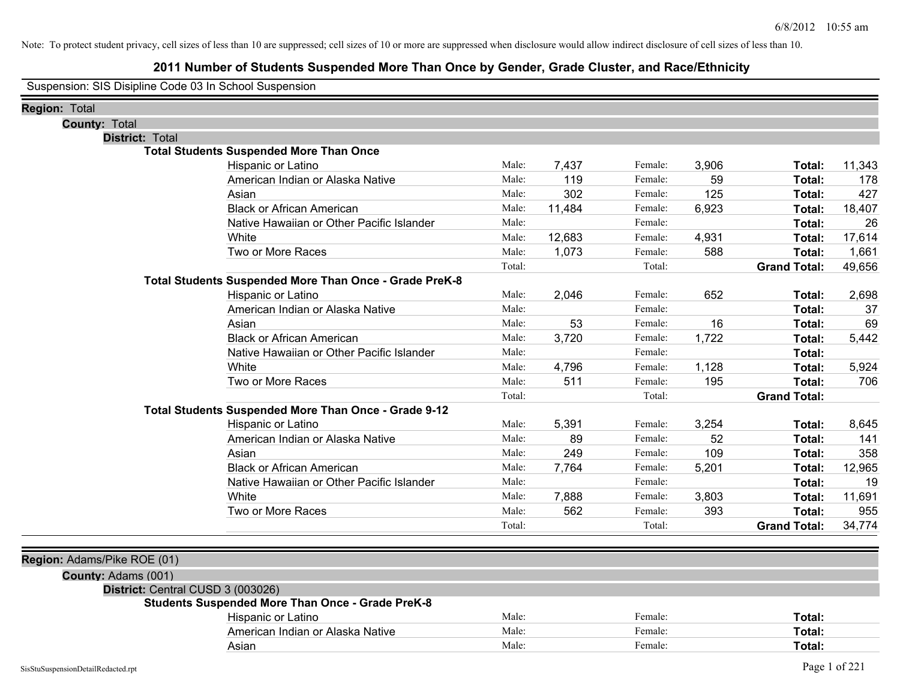# **2011 Number of Students Suspended More Than Once by Gender, Grade Cluster, and Race/Ethnicity**

Suspension: SIS Disipline Code 03 In School Suspension

| Region: Total                     |                                                         |        |        |         |       |                     |        |
|-----------------------------------|---------------------------------------------------------|--------|--------|---------|-------|---------------------|--------|
| <b>County: Total</b>              |                                                         |        |        |         |       |                     |        |
| District: Total                   |                                                         |        |        |         |       |                     |        |
|                                   | <b>Total Students Suspended More Than Once</b>          |        |        |         |       |                     |        |
|                                   | Hispanic or Latino                                      | Male:  | 7,437  | Female: | 3,906 | Total:              | 11,343 |
|                                   | American Indian or Alaska Native                        | Male:  | 119    | Female: | 59    | Total:              | 178    |
|                                   | Asian                                                   | Male:  | 302    | Female: | 125   | Total:              | 427    |
|                                   | <b>Black or African American</b>                        | Male:  | 11,484 | Female: | 6,923 | Total:              | 18,407 |
|                                   | Native Hawaiian or Other Pacific Islander               | Male:  |        | Female: |       | Total:              | 26     |
|                                   | White                                                   | Male:  | 12,683 | Female: | 4,931 | Total:              | 17,614 |
|                                   | Two or More Races                                       | Male:  | 1,073  | Female: | 588   | Total:              | 1,661  |
|                                   |                                                         | Total: |        | Total:  |       | <b>Grand Total:</b> | 49,656 |
|                                   | Total Students Suspended More Than Once - Grade PreK-8  |        |        |         |       |                     |        |
|                                   | Hispanic or Latino                                      | Male:  | 2,046  | Female: | 652   | Total:              | 2,698  |
|                                   | American Indian or Alaska Native                        | Male:  |        | Female: |       | Total:              | 37     |
|                                   | Asian                                                   | Male:  | 53     | Female: | 16    | Total:              | 69     |
|                                   | <b>Black or African American</b>                        | Male:  | 3,720  | Female: | 1,722 | Total:              | 5,442  |
|                                   | Native Hawaiian or Other Pacific Islander               | Male:  |        | Female: |       | Total:              |        |
|                                   | White                                                   | Male:  | 4,796  | Female: | 1,128 | Total:              | 5,924  |
|                                   | Two or More Races                                       | Male:  | 511    | Female: | 195   | Total:              | 706    |
|                                   |                                                         | Total: |        | Total:  |       | <b>Grand Total:</b> |        |
|                                   | Total Students Suspended More Than Once - Grade 9-12    |        |        |         |       |                     |        |
|                                   | Hispanic or Latino                                      | Male:  | 5,391  | Female: | 3,254 | Total:              | 8,645  |
|                                   | American Indian or Alaska Native                        | Male:  | 89     | Female: | 52    | Total:              | 141    |
|                                   | Asian                                                   | Male:  | 249    | Female: | 109   | Total:              | 358    |
|                                   | <b>Black or African American</b>                        | Male:  | 7,764  | Female: | 5,201 | Total:              | 12,965 |
|                                   | Native Hawaiian or Other Pacific Islander               | Male:  |        | Female: |       | Total:              | 19     |
|                                   | White                                                   | Male:  | 7,888  | Female: | 3,803 | Total:              | 11,691 |
|                                   | Two or More Races                                       | Male:  | 562    | Female: | 393   | Total:              | 955    |
|                                   |                                                         | Total: |        | Total:  |       | <b>Grand Total:</b> | 34,774 |
|                                   |                                                         |        |        |         |       |                     |        |
| Region: Adams/Pike ROE (01)       |                                                         |        |        |         |       |                     |        |
| County: Adams (001)               |                                                         |        |        |         |       |                     |        |
| District: Central CUSD 3 (003026) |                                                         |        |        |         |       |                     |        |
|                                   | <b>Students Suspended More Than Once - Grade PreK-8</b> |        |        |         |       |                     |        |
|                                   | Hispanic or Latino                                      | Male:  |        | Female: |       | Total:              |        |
|                                   | American Indian or Alaska Native                        | Male:  |        | Female: |       | Total:              |        |
|                                   | Asian                                                   | Male:  |        | Female: |       | Total:              |        |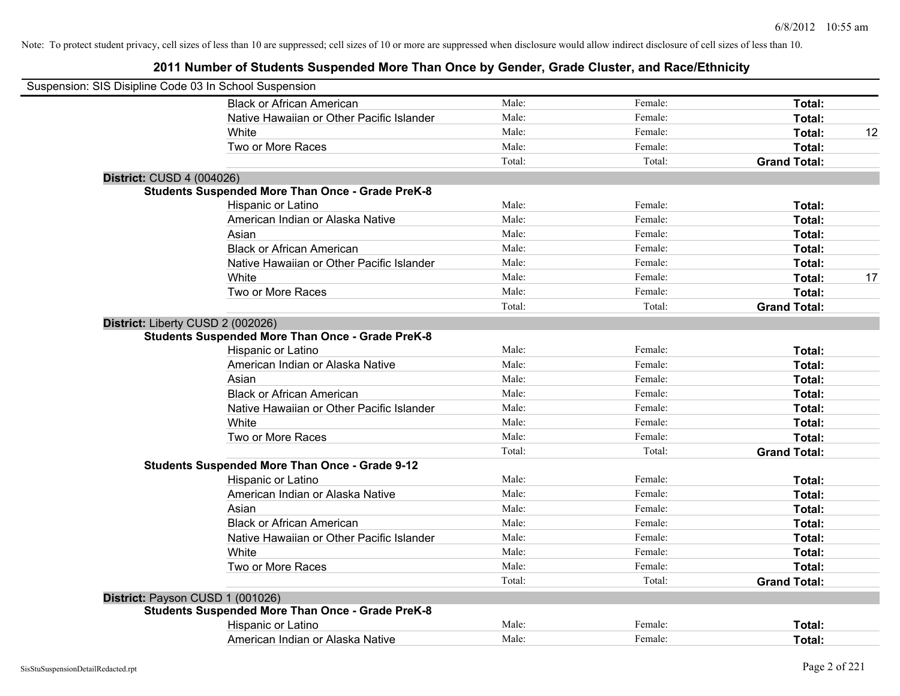| Suspension: SIS Disipline Code 03 In School Suspension |                                                         |        |         |                     |    |
|--------------------------------------------------------|---------------------------------------------------------|--------|---------|---------------------|----|
|                                                        | <b>Black or African American</b>                        | Male:  | Female: | Total:              |    |
|                                                        | Native Hawaiian or Other Pacific Islander               | Male:  | Female: | Total:              |    |
|                                                        | White                                                   | Male:  | Female: | Total:              | 12 |
|                                                        | Two or More Races                                       | Male:  | Female: | Total:              |    |
|                                                        |                                                         | Total: | Total:  | <b>Grand Total:</b> |    |
| District: CUSD 4 (004026)                              |                                                         |        |         |                     |    |
|                                                        | <b>Students Suspended More Than Once - Grade PreK-8</b> |        |         |                     |    |
|                                                        | Hispanic or Latino                                      | Male:  | Female: | Total:              |    |
|                                                        | American Indian or Alaska Native                        | Male:  | Female: | Total:              |    |
|                                                        | Asian                                                   | Male:  | Female: | Total:              |    |
|                                                        | <b>Black or African American</b>                        | Male:  | Female: | Total:              |    |
|                                                        | Native Hawaiian or Other Pacific Islander               | Male:  | Female: | Total:              |    |
|                                                        | White                                                   | Male:  | Female: | Total:              | 17 |
|                                                        | Two or More Races                                       | Male:  | Female: | Total:              |    |
|                                                        |                                                         | Total: | Total:  | <b>Grand Total:</b> |    |
|                                                        | District: Liberty CUSD 2 (002026)                       |        |         |                     |    |
|                                                        | <b>Students Suspended More Than Once - Grade PreK-8</b> |        |         |                     |    |
|                                                        | Hispanic or Latino                                      | Male:  | Female: | Total:              |    |
|                                                        | American Indian or Alaska Native                        | Male:  | Female: | Total:              |    |
|                                                        | Asian                                                   | Male:  | Female: | Total:              |    |
|                                                        | <b>Black or African American</b>                        | Male:  | Female: | Total:              |    |
|                                                        | Native Hawaiian or Other Pacific Islander               | Male:  | Female: | Total:              |    |
|                                                        | White                                                   | Male:  | Female: | Total:              |    |
|                                                        | Two or More Races                                       | Male:  | Female: | Total:              |    |
|                                                        |                                                         | Total: | Total:  | <b>Grand Total:</b> |    |
|                                                        | <b>Students Suspended More Than Once - Grade 9-12</b>   |        |         |                     |    |
|                                                        | Hispanic or Latino                                      | Male:  | Female: | Total:              |    |
|                                                        | American Indian or Alaska Native                        | Male:  | Female: | Total:              |    |
|                                                        | Asian                                                   | Male:  | Female: | Total:              |    |
|                                                        | <b>Black or African American</b>                        | Male:  | Female: | Total:              |    |
|                                                        | Native Hawaiian or Other Pacific Islander               | Male:  | Female: | Total:              |    |
|                                                        | White                                                   | Male:  | Female: | Total:              |    |
|                                                        | Two or More Races                                       | Male:  | Female: | Total:              |    |
|                                                        |                                                         | Total: | Total:  | <b>Grand Total:</b> |    |
|                                                        | District: Payson CUSD 1 (001026)                        |        |         |                     |    |
|                                                        | <b>Students Suspended More Than Once - Grade PreK-8</b> |        |         |                     |    |
|                                                        | Hispanic or Latino                                      | Male:  | Female: | Total:              |    |
|                                                        | American Indian or Alaska Native                        | Male:  | Female: | Total:              |    |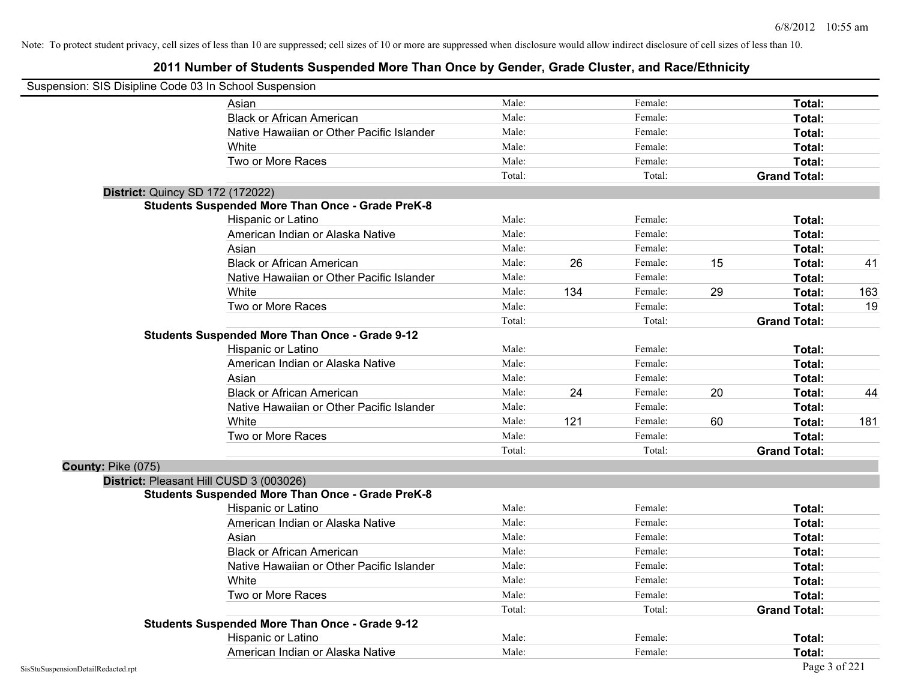| Suspension: SIS Disipline Code 03 In School Suspension |                                                         |        |     |         |    |                     |     |
|--------------------------------------------------------|---------------------------------------------------------|--------|-----|---------|----|---------------------|-----|
|                                                        | Asian                                                   | Male:  |     | Female: |    | Total:              |     |
|                                                        | <b>Black or African American</b>                        | Male:  |     | Female: |    | Total:              |     |
|                                                        | Native Hawaiian or Other Pacific Islander               | Male:  |     | Female: |    | Total:              |     |
|                                                        | White                                                   | Male:  |     | Female: |    | Total:              |     |
|                                                        | Two or More Races                                       | Male:  |     | Female: |    | Total:              |     |
|                                                        |                                                         | Total: |     | Total:  |    | <b>Grand Total:</b> |     |
|                                                        | <b>District: Quincy SD 172 (172022)</b>                 |        |     |         |    |                     |     |
|                                                        | <b>Students Suspended More Than Once - Grade PreK-8</b> |        |     |         |    |                     |     |
|                                                        | Hispanic or Latino                                      | Male:  |     | Female: |    | Total:              |     |
|                                                        | American Indian or Alaska Native                        | Male:  |     | Female: |    | Total:              |     |
|                                                        | Asian                                                   | Male:  |     | Female: |    | Total:              |     |
|                                                        | <b>Black or African American</b>                        | Male:  | 26  | Female: | 15 | Total:              | 41  |
|                                                        | Native Hawaiian or Other Pacific Islander               | Male:  |     | Female: |    | Total:              |     |
|                                                        | White                                                   | Male:  | 134 | Female: | 29 | Total:              | 163 |
|                                                        | Two or More Races                                       | Male:  |     | Female: |    | Total:              | 19  |
|                                                        |                                                         | Total: |     | Total:  |    | <b>Grand Total:</b> |     |
|                                                        | <b>Students Suspended More Than Once - Grade 9-12</b>   |        |     |         |    |                     |     |
|                                                        | Hispanic or Latino                                      | Male:  |     | Female: |    | Total:              |     |
|                                                        | American Indian or Alaska Native                        | Male:  |     | Female: |    | Total:              |     |
|                                                        | Asian                                                   | Male:  |     | Female: |    | Total:              |     |
|                                                        | <b>Black or African American</b>                        | Male:  | 24  | Female: | 20 | Total:              | 44  |
|                                                        | Native Hawaiian or Other Pacific Islander               | Male:  |     | Female: |    | Total:              |     |
|                                                        | White                                                   | Male:  | 121 | Female: | 60 | Total:              | 181 |
|                                                        | Two or More Races                                       | Male:  |     | Female: |    | Total:              |     |
|                                                        |                                                         | Total: |     | Total:  |    | <b>Grand Total:</b> |     |
| County: Pike (075)                                     |                                                         |        |     |         |    |                     |     |
|                                                        | District: Pleasant Hill CUSD 3 (003026)                 |        |     |         |    |                     |     |
|                                                        | <b>Students Suspended More Than Once - Grade PreK-8</b> |        |     |         |    |                     |     |
|                                                        | Hispanic or Latino                                      | Male:  |     | Female: |    | Total:              |     |
|                                                        | American Indian or Alaska Native                        | Male:  |     | Female: |    | Total:              |     |
|                                                        | Asian                                                   | Male:  |     | Female: |    | Total:              |     |
|                                                        | <b>Black or African American</b>                        | Male:  |     | Female: |    | Total:              |     |
|                                                        | Native Hawaiian or Other Pacific Islander               | Male:  |     | Female: |    | Total:              |     |
|                                                        | White                                                   | Male:  |     | Female: |    | Total:              |     |
|                                                        | Two or More Races                                       | Male:  |     | Female: |    | Total:              |     |
|                                                        |                                                         | Total: |     | Total:  |    | <b>Grand Total:</b> |     |
|                                                        | <b>Students Suspended More Than Once - Grade 9-12</b>   |        |     |         |    |                     |     |
|                                                        | Hispanic or Latino                                      | Male:  |     | Female: |    | <b>Total:</b>       |     |
|                                                        | American Indian or Alaska Native                        | Male:  |     | Female: |    | Total:              |     |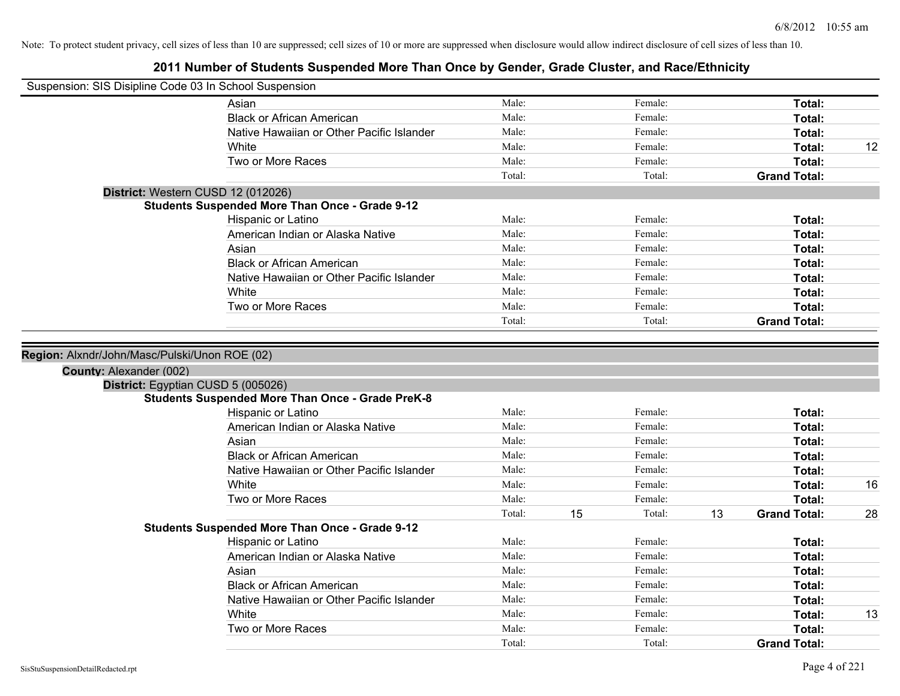| Suspension: SIS Disipline Code 03 In School Suspension        |                                                         |        |    |         |    |                     |    |
|---------------------------------------------------------------|---------------------------------------------------------|--------|----|---------|----|---------------------|----|
|                                                               | Asian                                                   | Male:  |    | Female: |    | Total:              |    |
|                                                               | <b>Black or African American</b>                        | Male:  |    | Female: |    | Total:              |    |
|                                                               | Native Hawaiian or Other Pacific Islander               | Male:  |    | Female: |    | Total:              |    |
|                                                               | White                                                   | Male:  |    | Female: |    | Total:              | 12 |
|                                                               | Two or More Races                                       | Male:  |    | Female: |    | Total:              |    |
|                                                               |                                                         | Total: |    | Total:  |    | <b>Grand Total:</b> |    |
| District: Western CUSD 12 (012026)                            |                                                         |        |    |         |    |                     |    |
|                                                               | <b>Students Suspended More Than Once - Grade 9-12</b>   |        |    |         |    |                     |    |
|                                                               | Hispanic or Latino                                      | Male:  |    | Female: |    | Total:              |    |
|                                                               | American Indian or Alaska Native                        | Male:  |    | Female: |    | Total:              |    |
|                                                               | Asian                                                   | Male:  |    | Female: |    | Total:              |    |
|                                                               | <b>Black or African American</b>                        | Male:  |    | Female: |    | Total:              |    |
|                                                               | Native Hawaiian or Other Pacific Islander               | Male:  |    | Female: |    | Total:              |    |
|                                                               | White                                                   | Male:  |    | Female: |    | Total:              |    |
|                                                               | Two or More Races                                       | Male:  |    | Female: |    | Total:              |    |
|                                                               |                                                         | Total: |    | Total:  |    | <b>Grand Total:</b> |    |
| County: Alexander (002)<br>District: Egyptian CUSD 5 (005026) |                                                         |        |    |         |    |                     |    |
|                                                               | <b>Students Suspended More Than Once - Grade PreK-8</b> |        |    |         |    |                     |    |
|                                                               | Hispanic or Latino                                      | Male:  |    | Female: |    | Total:              |    |
|                                                               | American Indian or Alaska Native                        | Male:  |    | Female: |    | Total:              |    |
|                                                               | Asian                                                   | Male:  |    | Female: |    | Total:              |    |
|                                                               | <b>Black or African American</b>                        | Male:  |    | Female: |    | Total:              |    |
|                                                               | Native Hawaiian or Other Pacific Islander               | Male:  |    | Female: |    | Total:              |    |
|                                                               | White                                                   | Male:  |    | Female: |    | Total:              | 16 |
|                                                               | Two or More Races                                       | Male:  |    | Female: |    | Total:              |    |
|                                                               |                                                         | Total: | 15 | Total:  | 13 | <b>Grand Total:</b> | 28 |
|                                                               | <b>Students Suspended More Than Once - Grade 9-12</b>   |        |    |         |    |                     |    |
|                                                               | Hispanic or Latino                                      | Male:  |    | Female: |    | Total:              |    |
|                                                               | American Indian or Alaska Native                        | Male:  |    | Female: |    | Total:              |    |
|                                                               | Asian                                                   | Male:  |    | Female: |    | Total:              |    |
|                                                               | <b>Black or African American</b>                        | Male:  |    | Female: |    | Total:              |    |
|                                                               | Native Hawaiian or Other Pacific Islander               | Male:  |    | Female: |    | Total:              |    |
|                                                               | White                                                   | Male:  |    | Female: |    | Total:              | 13 |
|                                                               | Two or More Races                                       | Male:  |    | Female: |    | Total:              |    |
|                                                               |                                                         | Total: |    | Total:  |    | <b>Grand Total:</b> |    |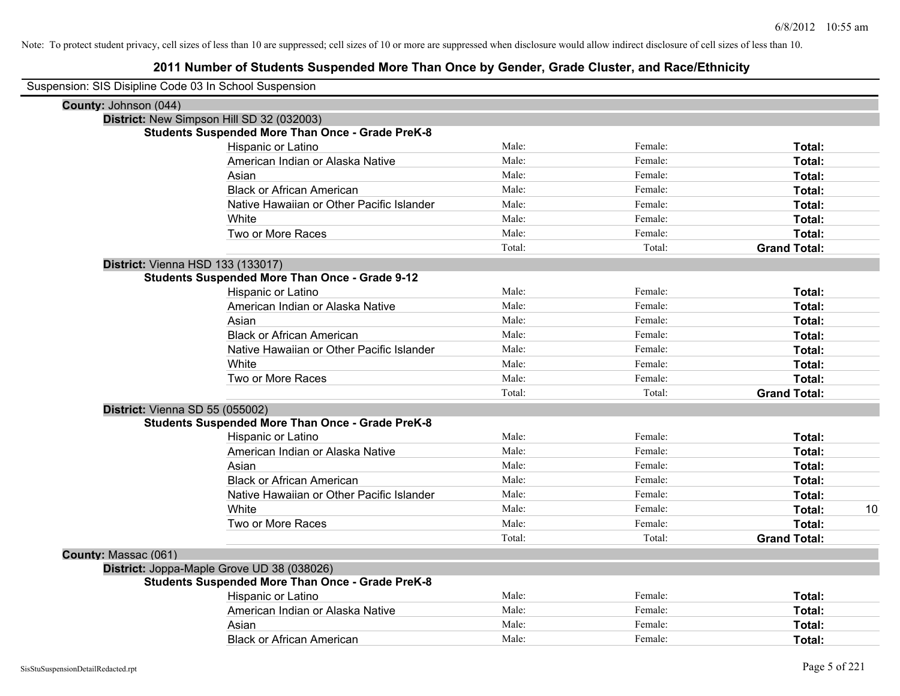| Suspension: SIS Disipline Code 03 In School Suspension |                                                         |        |         |                     |    |
|--------------------------------------------------------|---------------------------------------------------------|--------|---------|---------------------|----|
| County: Johnson (044)                                  |                                                         |        |         |                     |    |
|                                                        | District: New Simpson Hill SD 32 (032003)               |        |         |                     |    |
|                                                        | <b>Students Suspended More Than Once - Grade PreK-8</b> |        |         |                     |    |
|                                                        | Hispanic or Latino                                      | Male:  | Female: | Total:              |    |
|                                                        | American Indian or Alaska Native                        | Male:  | Female: | Total:              |    |
|                                                        | Asian                                                   | Male:  | Female: | Total:              |    |
|                                                        | <b>Black or African American</b>                        | Male:  | Female: | Total:              |    |
|                                                        | Native Hawaiian or Other Pacific Islander               | Male:  | Female: | Total:              |    |
|                                                        | White                                                   | Male:  | Female: | Total:              |    |
|                                                        | Two or More Races                                       | Male:  | Female: | Total:              |    |
|                                                        |                                                         | Total: | Total:  | <b>Grand Total:</b> |    |
|                                                        | District: Vienna HSD 133 (133017)                       |        |         |                     |    |
|                                                        | <b>Students Suspended More Than Once - Grade 9-12</b>   |        |         |                     |    |
|                                                        | Hispanic or Latino                                      | Male:  | Female: | Total:              |    |
|                                                        | American Indian or Alaska Native                        | Male:  | Female: | Total:              |    |
|                                                        | Asian                                                   | Male:  | Female: | Total:              |    |
|                                                        | <b>Black or African American</b>                        | Male:  | Female: | Total:              |    |
|                                                        | Native Hawaiian or Other Pacific Islander               | Male:  | Female: | Total:              |    |
|                                                        | White                                                   | Male:  | Female: | Total:              |    |
|                                                        | Two or More Races                                       | Male:  | Female: | Total:              |    |
|                                                        |                                                         | Total: | Total:  | <b>Grand Total:</b> |    |
|                                                        | District: Vienna SD 55 (055002)                         |        |         |                     |    |
|                                                        | <b>Students Suspended More Than Once - Grade PreK-8</b> |        |         |                     |    |
|                                                        | Hispanic or Latino                                      | Male:  | Female: | Total:              |    |
|                                                        | American Indian or Alaska Native                        | Male:  | Female: | Total:              |    |
|                                                        | Asian                                                   | Male:  | Female: | Total:              |    |
|                                                        | <b>Black or African American</b>                        | Male:  | Female: | Total:              |    |
|                                                        | Native Hawaiian or Other Pacific Islander               | Male:  | Female: | Total:              |    |
|                                                        | <b>White</b>                                            | Male:  | Female: | Total:              | 10 |
|                                                        | Two or More Races                                       | Male:  | Female: | Total:              |    |
|                                                        |                                                         | Total: | Total:  | <b>Grand Total:</b> |    |
| County: Massac (061)                                   |                                                         |        |         |                     |    |
|                                                        | District: Joppa-Maple Grove UD 38 (038026)              |        |         |                     |    |
|                                                        | <b>Students Suspended More Than Once - Grade PreK-8</b> |        |         |                     |    |
|                                                        | Hispanic or Latino                                      | Male:  | Female: | Total:              |    |
|                                                        | American Indian or Alaska Native                        | Male:  | Female: | Total:              |    |
|                                                        | Asian                                                   | Male:  | Female: | Total:              |    |
|                                                        | <b>Black or African American</b>                        | Male:  | Female: | Total:              |    |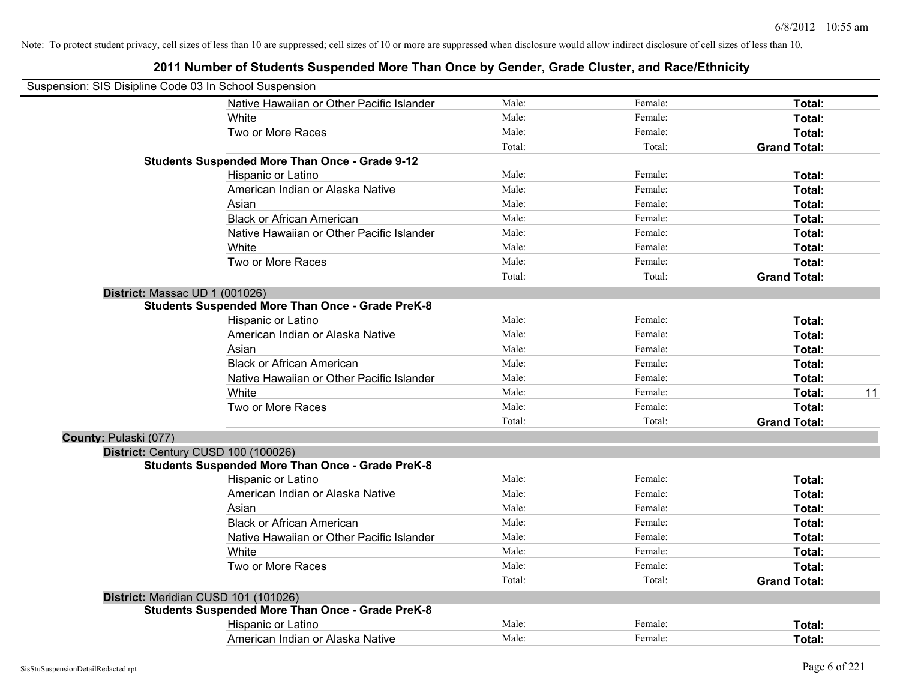| Suspension: SIS Disipline Code 03 In School Suspension |                                                         |        |         |                     |
|--------------------------------------------------------|---------------------------------------------------------|--------|---------|---------------------|
|                                                        | Native Hawaiian or Other Pacific Islander               | Male:  | Female: | Total:              |
|                                                        | White                                                   | Male:  | Female: | Total:              |
|                                                        | Two or More Races                                       | Male:  | Female: | Total:              |
|                                                        |                                                         | Total: | Total:  | <b>Grand Total:</b> |
|                                                        | <b>Students Suspended More Than Once - Grade 9-12</b>   |        |         |                     |
|                                                        | Hispanic or Latino                                      | Male:  | Female: | Total:              |
|                                                        | American Indian or Alaska Native                        | Male:  | Female: | Total:              |
|                                                        | Asian                                                   | Male:  | Female: | Total:              |
|                                                        | <b>Black or African American</b>                        | Male:  | Female: | Total:              |
|                                                        | Native Hawaiian or Other Pacific Islander               | Male:  | Female: | Total:              |
|                                                        | White                                                   | Male:  | Female: | Total:              |
|                                                        | Two or More Races                                       | Male:  | Female: | Total:              |
|                                                        |                                                         | Total: | Total:  | <b>Grand Total:</b> |
| District: Massac UD 1 (001026)                         |                                                         |        |         |                     |
|                                                        | <b>Students Suspended More Than Once - Grade PreK-8</b> |        |         |                     |
|                                                        | Hispanic or Latino                                      | Male:  | Female: | Total:              |
|                                                        | American Indian or Alaska Native                        | Male:  | Female: | Total:              |
|                                                        | Asian                                                   | Male:  | Female: | Total:              |
|                                                        | <b>Black or African American</b>                        | Male:  | Female: | Total:              |
|                                                        | Native Hawaiian or Other Pacific Islander               | Male:  | Female: | Total:              |
|                                                        | White                                                   | Male:  | Female: | 11<br>Total:        |
|                                                        | Two or More Races                                       | Male:  | Female: | Total:              |
|                                                        |                                                         | Total: | Total:  | <b>Grand Total:</b> |
| County: Pulaski (077)                                  |                                                         |        |         |                     |
| District: Century CUSD 100 (100026)                    |                                                         |        |         |                     |
|                                                        | <b>Students Suspended More Than Once - Grade PreK-8</b> |        |         |                     |
|                                                        | Hispanic or Latino                                      | Male:  | Female: | Total:              |
|                                                        | American Indian or Alaska Native                        | Male:  | Female: | Total:              |
|                                                        | Asian                                                   | Male:  | Female: | Total:              |
|                                                        | <b>Black or African American</b>                        | Male:  | Female: | Total:              |
|                                                        | Native Hawaiian or Other Pacific Islander               | Male:  | Female: | Total:              |
|                                                        | White                                                   | Male:  | Female: | Total:              |
|                                                        | Two or More Races                                       | Male:  | Female: | Total:              |
|                                                        |                                                         | Total: | Total:  | <b>Grand Total:</b> |
| District: Meridian CUSD 101 (101026)                   |                                                         |        |         |                     |
|                                                        | <b>Students Suspended More Than Once - Grade PreK-8</b> |        |         |                     |
|                                                        | Hispanic or Latino                                      | Male:  | Female: | Total:              |
|                                                        | American Indian or Alaska Native                        | Male:  | Female: | Total:              |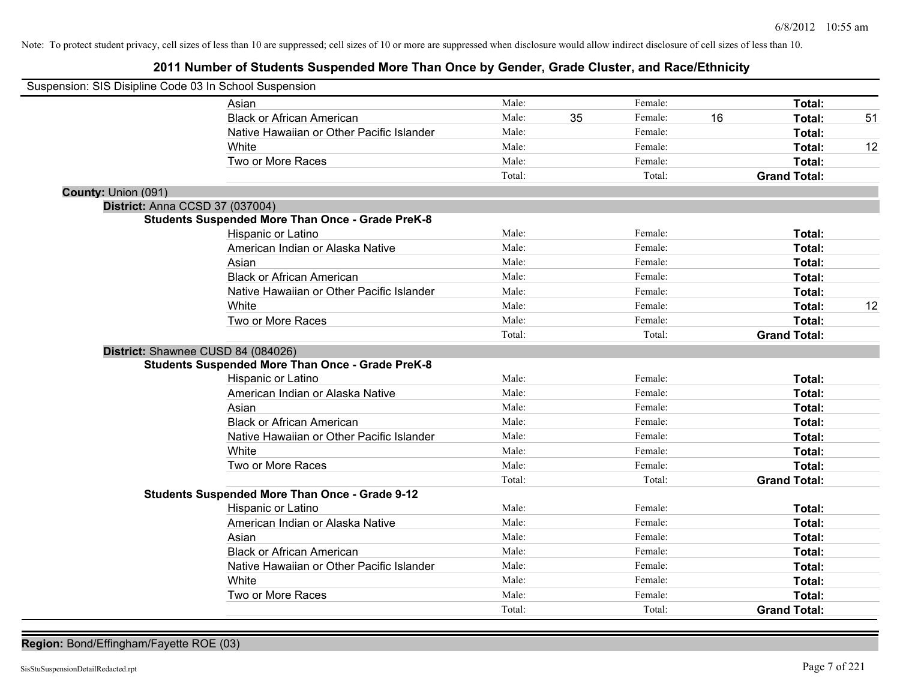# **2011 Number of Students Suspended More Than Once by Gender, Grade Cluster, and Race/Ethnicity**

| Suspension: SIS Disipline Code 03 In School Suspension |                                                         |        |    |         |    |                     |    |
|--------------------------------------------------------|---------------------------------------------------------|--------|----|---------|----|---------------------|----|
|                                                        | Asian                                                   | Male:  |    | Female: |    | Total:              |    |
|                                                        | <b>Black or African American</b>                        | Male:  | 35 | Female: | 16 | Total:              | 51 |
|                                                        | Native Hawaiian or Other Pacific Islander               | Male:  |    | Female: |    | Total:              |    |
|                                                        | White                                                   | Male:  |    | Female: |    | Total:              | 12 |
|                                                        | Two or More Races                                       | Male:  |    | Female: |    | Total:              |    |
|                                                        |                                                         | Total: |    | Total:  |    | <b>Grand Total:</b> |    |
| County: Union (091)                                    |                                                         |        |    |         |    |                     |    |
| District: Anna CCSD 37 (037004)                        |                                                         |        |    |         |    |                     |    |
|                                                        | <b>Students Suspended More Than Once - Grade PreK-8</b> |        |    |         |    |                     |    |
|                                                        | Hispanic or Latino                                      | Male:  |    | Female: |    | Total:              |    |
|                                                        | American Indian or Alaska Native                        | Male:  |    | Female: |    | Total:              |    |
|                                                        | Asian                                                   | Male:  |    | Female: |    | Total:              |    |
|                                                        | <b>Black or African American</b>                        | Male:  |    | Female: |    | Total:              |    |
|                                                        | Native Hawaiian or Other Pacific Islander               | Male:  |    | Female: |    | Total:              |    |
|                                                        | White                                                   | Male:  |    | Female: |    | Total:              | 12 |
|                                                        | Two or More Races                                       | Male:  |    | Female: |    | Total:              |    |
|                                                        |                                                         | Total: |    | Total:  |    | <b>Grand Total:</b> |    |
| District: Shawnee CUSD 84 (084026)                     |                                                         |        |    |         |    |                     |    |
|                                                        | <b>Students Suspended More Than Once - Grade PreK-8</b> |        |    |         |    |                     |    |
|                                                        | Hispanic or Latino                                      | Male:  |    | Female: |    | Total:              |    |
|                                                        | American Indian or Alaska Native                        | Male:  |    | Female: |    | Total:              |    |
|                                                        | Asian                                                   | Male:  |    | Female: |    | Total:              |    |
|                                                        | <b>Black or African American</b>                        | Male:  |    | Female: |    | Total:              |    |
|                                                        | Native Hawaiian or Other Pacific Islander               | Male:  |    | Female: |    | Total:              |    |
|                                                        | White                                                   | Male:  |    | Female: |    | Total:              |    |
|                                                        | Two or More Races                                       | Male:  |    | Female: |    | Total:              |    |
|                                                        |                                                         | Total: |    | Total:  |    | <b>Grand Total:</b> |    |
|                                                        | <b>Students Suspended More Than Once - Grade 9-12</b>   |        |    |         |    |                     |    |
|                                                        | Hispanic or Latino                                      | Male:  |    | Female: |    | Total:              |    |
|                                                        | American Indian or Alaska Native                        | Male:  |    | Female: |    | Total:              |    |
|                                                        | Asian                                                   | Male:  |    | Female: |    | Total:              |    |
|                                                        | <b>Black or African American</b>                        | Male:  |    | Female: |    | Total:              |    |
|                                                        | Native Hawaiian or Other Pacific Islander               | Male:  |    | Female: |    | Total:              |    |
|                                                        | White                                                   | Male:  |    | Female: |    | Total:              |    |
|                                                        | Two or More Races                                       | Male:  |    | Female: |    | Total:              |    |
|                                                        |                                                         | Total: |    | Total:  |    | <b>Grand Total:</b> |    |

**Region:** Bond/Effingham/Fayette ROE (03)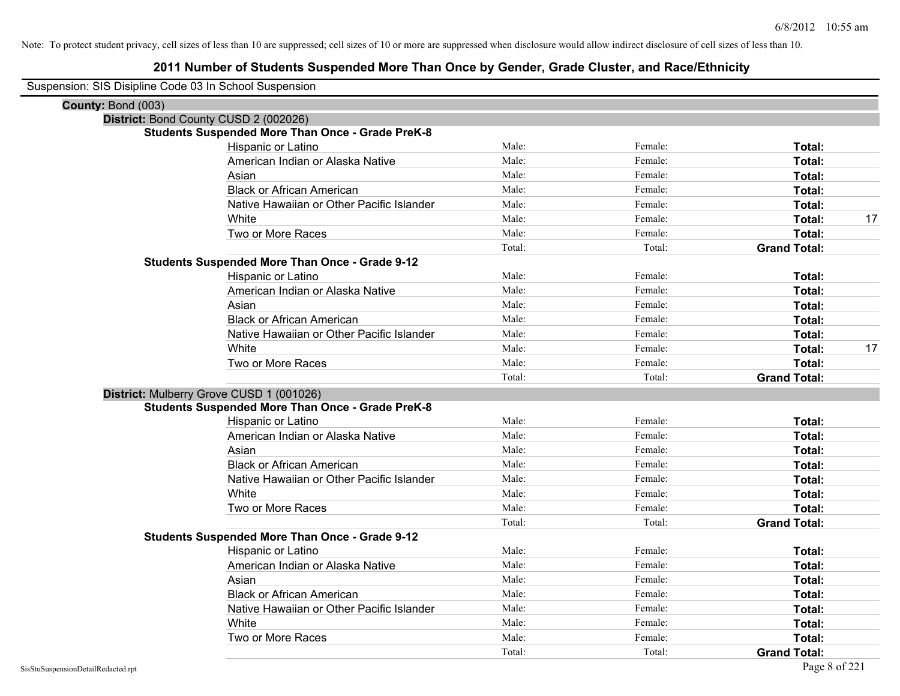| Suspension: SIS Disipline Code 03 In School Suspension |                                                         |        |         |                     |    |
|--------------------------------------------------------|---------------------------------------------------------|--------|---------|---------------------|----|
| County: Bond (003)                                     |                                                         |        |         |                     |    |
|                                                        | District: Bond County CUSD 2 (002026)                   |        |         |                     |    |
|                                                        | <b>Students Suspended More Than Once - Grade PreK-8</b> |        |         |                     |    |
|                                                        | Hispanic or Latino                                      | Male:  | Female: | Total:              |    |
|                                                        | American Indian or Alaska Native                        | Male:  | Female: | Total:              |    |
|                                                        | Asian                                                   | Male:  | Female: | Total:              |    |
|                                                        | <b>Black or African American</b>                        | Male:  | Female: | Total:              |    |
|                                                        | Native Hawaiian or Other Pacific Islander               | Male:  | Female: | Total:              |    |
|                                                        | White                                                   | Male:  | Female: | Total:              | 17 |
|                                                        | Two or More Races                                       | Male:  | Female: | Total:              |    |
|                                                        |                                                         | Total: | Total:  | <b>Grand Total:</b> |    |
|                                                        | <b>Students Suspended More Than Once - Grade 9-12</b>   |        |         |                     |    |
|                                                        | Hispanic or Latino                                      | Male:  | Female: | Total:              |    |
|                                                        | American Indian or Alaska Native                        | Male:  | Female: | Total:              |    |
|                                                        | Asian                                                   | Male:  | Female: | Total:              |    |
|                                                        | <b>Black or African American</b>                        | Male:  | Female: | Total:              |    |
|                                                        | Native Hawaiian or Other Pacific Islander               | Male:  | Female: | Total:              |    |
|                                                        | White                                                   | Male:  | Female: | Total:              | 17 |
|                                                        | Two or More Races                                       | Male:  | Female: | Total:              |    |
|                                                        |                                                         | Total: | Total:  | <b>Grand Total:</b> |    |
|                                                        | District: Mulberry Grove CUSD 1 (001026)                |        |         |                     |    |
|                                                        | <b>Students Suspended More Than Once - Grade PreK-8</b> |        |         |                     |    |
|                                                        | Hispanic or Latino                                      | Male:  | Female: | Total:              |    |
|                                                        | American Indian or Alaska Native                        | Male:  | Female: | Total:              |    |
|                                                        | Asian                                                   | Male:  | Female: | Total:              |    |
|                                                        | <b>Black or African American</b>                        | Male:  | Female: | Total:              |    |
|                                                        | Native Hawaiian or Other Pacific Islander               | Male:  | Female: | Total:              |    |
|                                                        | White                                                   | Male:  | Female: | Total:              |    |
|                                                        | Two or More Races                                       | Male:  | Female: | Total:              |    |
|                                                        |                                                         | Total: | Total:  | <b>Grand Total:</b> |    |
|                                                        | <b>Students Suspended More Than Once - Grade 9-12</b>   |        |         |                     |    |
|                                                        | Hispanic or Latino                                      | Male:  | Female: | Total:              |    |
|                                                        | American Indian or Alaska Native                        | Male:  | Female: | Total:              |    |
|                                                        | Asian                                                   | Male:  | Female: | Total:              |    |
|                                                        | <b>Black or African American</b>                        | Male:  | Female: | Total:              |    |
|                                                        | Native Hawaiian or Other Pacific Islander               | Male:  | Female: | Total:              |    |
|                                                        | White                                                   | Male:  | Female: | Total:              |    |
|                                                        | Two or More Races                                       | Male:  | Female: | Total:              |    |
|                                                        |                                                         | Total: | Total:  | <b>Grand Total:</b> |    |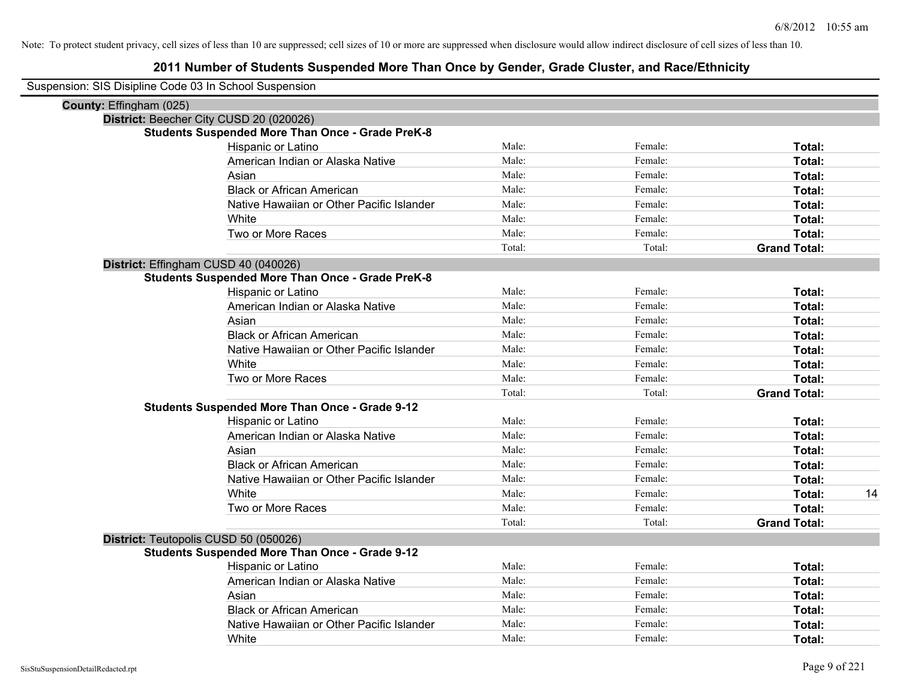| Suspension: SIS Disipline Code 03 In School Suspension |                                                         |        |         |                     |
|--------------------------------------------------------|---------------------------------------------------------|--------|---------|---------------------|
| County: Effingham (025)                                |                                                         |        |         |                     |
|                                                        | District: Beecher City CUSD 20 (020026)                 |        |         |                     |
|                                                        | <b>Students Suspended More Than Once - Grade PreK-8</b> |        |         |                     |
|                                                        | Hispanic or Latino                                      | Male:  | Female: | Total:              |
|                                                        | American Indian or Alaska Native                        | Male:  | Female: | Total:              |
|                                                        | Asian                                                   | Male:  | Female: | Total:              |
|                                                        | <b>Black or African American</b>                        | Male:  | Female: | Total:              |
|                                                        | Native Hawaiian or Other Pacific Islander               | Male:  | Female: | Total:              |
|                                                        | White                                                   | Male:  | Female: | Total:              |
|                                                        | Two or More Races                                       | Male:  | Female: | Total:              |
|                                                        |                                                         | Total: | Total:  | <b>Grand Total:</b> |
|                                                        | District: Effingham CUSD 40 (040026)                    |        |         |                     |
|                                                        | <b>Students Suspended More Than Once - Grade PreK-8</b> |        |         |                     |
|                                                        | Hispanic or Latino                                      | Male:  | Female: | Total:              |
|                                                        | American Indian or Alaska Native                        | Male:  | Female: | Total:              |
|                                                        | Asian                                                   | Male:  | Female: | Total:              |
|                                                        | <b>Black or African American</b>                        | Male:  | Female: | Total:              |
|                                                        | Native Hawaiian or Other Pacific Islander               | Male:  | Female: | Total:              |
|                                                        | White                                                   | Male:  | Female: | Total:              |
|                                                        | Two or More Races                                       | Male:  | Female: | Total:              |
|                                                        |                                                         | Total: | Total:  | <b>Grand Total:</b> |
|                                                        | <b>Students Suspended More Than Once - Grade 9-12</b>   |        |         |                     |
|                                                        | Hispanic or Latino                                      | Male:  | Female: | Total:              |
|                                                        | American Indian or Alaska Native                        | Male:  | Female: | Total:              |
|                                                        | Asian                                                   | Male:  | Female: | Total:              |
|                                                        | <b>Black or African American</b>                        | Male:  | Female: | Total:              |
|                                                        | Native Hawaiian or Other Pacific Islander               | Male:  | Female: | Total:              |
|                                                        | White                                                   | Male:  | Female: | 14<br>Total:        |
|                                                        | Two or More Races                                       | Male:  | Female: | Total:              |
|                                                        |                                                         | Total: | Total:  | <b>Grand Total:</b> |
|                                                        | District: Teutopolis CUSD 50 (050026)                   |        |         |                     |
|                                                        | <b>Students Suspended More Than Once - Grade 9-12</b>   |        |         |                     |
|                                                        | Hispanic or Latino                                      | Male:  | Female: | Total:              |
|                                                        | American Indian or Alaska Native                        | Male:  | Female: | Total:              |
|                                                        | Asian                                                   | Male:  | Female: | Total:              |
|                                                        | <b>Black or African American</b>                        | Male:  | Female: | Total:              |
|                                                        | Native Hawaiian or Other Pacific Islander               | Male:  | Female: | <b>Total:</b>       |
|                                                        | White                                                   | Male:  | Female: | Total:              |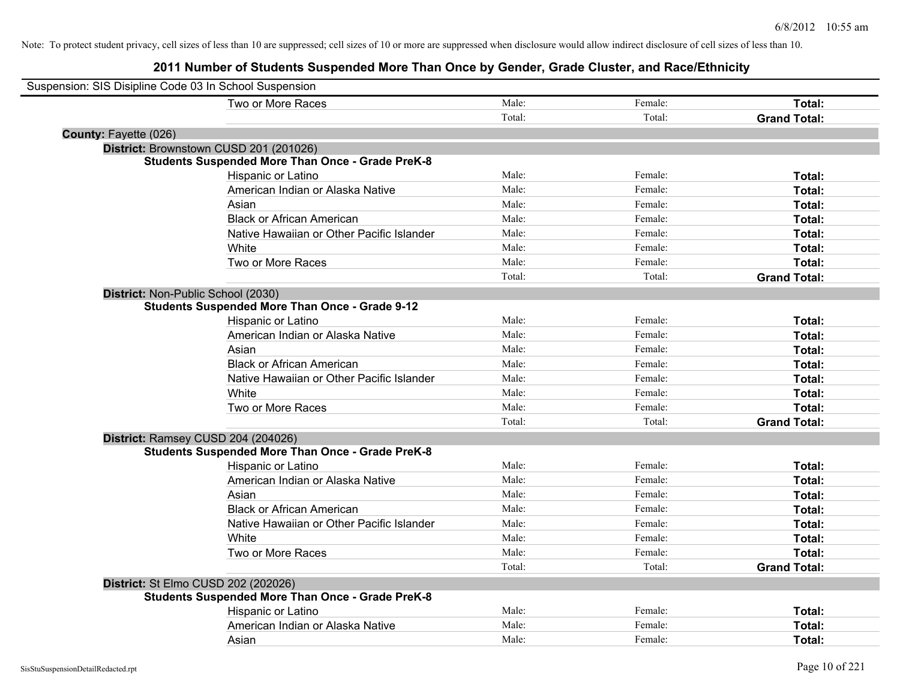| Suspension: SIS Disipline Code 03 In School Suspension |                                                         |        |         |                     |
|--------------------------------------------------------|---------------------------------------------------------|--------|---------|---------------------|
|                                                        | Two or More Races                                       | Male:  | Female: | Total:              |
|                                                        |                                                         | Total: | Total:  | <b>Grand Total:</b> |
| County: Fayette (026)                                  |                                                         |        |         |                     |
|                                                        | District: Brownstown CUSD 201 (201026)                  |        |         |                     |
|                                                        | <b>Students Suspended More Than Once - Grade PreK-8</b> |        |         |                     |
|                                                        | Hispanic or Latino                                      | Male:  | Female: | Total:              |
|                                                        | American Indian or Alaska Native                        | Male:  | Female: | Total:              |
|                                                        | Asian                                                   | Male:  | Female: | Total:              |
|                                                        | <b>Black or African American</b>                        | Male:  | Female: | Total:              |
|                                                        | Native Hawaiian or Other Pacific Islander               | Male:  | Female: | Total:              |
|                                                        | White                                                   | Male:  | Female: | Total:              |
|                                                        | Two or More Races                                       | Male:  | Female: | Total:              |
|                                                        |                                                         | Total: | Total:  | <b>Grand Total:</b> |
| District: Non-Public School (2030)                     |                                                         |        |         |                     |
|                                                        | <b>Students Suspended More Than Once - Grade 9-12</b>   |        |         |                     |
|                                                        | Hispanic or Latino                                      | Male:  | Female: | Total:              |
|                                                        | American Indian or Alaska Native                        | Male:  | Female: | Total:              |
|                                                        | Asian                                                   | Male:  | Female: | Total:              |
|                                                        | <b>Black or African American</b>                        | Male:  | Female: | Total:              |
|                                                        | Native Hawaiian or Other Pacific Islander               | Male:  | Female: | Total:              |
|                                                        | White                                                   | Male:  | Female: | <b>Total:</b>       |
|                                                        | Two or More Races                                       | Male:  | Female: | Total:              |
|                                                        |                                                         | Total: | Total:  | <b>Grand Total:</b> |
| District: Ramsey CUSD 204 (204026)                     |                                                         |        |         |                     |
|                                                        | <b>Students Suspended More Than Once - Grade PreK-8</b> |        |         |                     |
|                                                        | Hispanic or Latino                                      | Male:  | Female: | Total:              |
|                                                        | American Indian or Alaska Native                        | Male:  | Female: | Total:              |
|                                                        | Asian                                                   | Male:  | Female: | Total:              |
|                                                        | <b>Black or African American</b>                        | Male:  | Female: | Total:              |
|                                                        | Native Hawaiian or Other Pacific Islander               | Male:  | Female: | Total:              |
|                                                        | White                                                   | Male:  | Female: | Total:              |
|                                                        | Two or More Races                                       | Male:  | Female: | Total:              |
|                                                        |                                                         | Total: | Total:  | <b>Grand Total:</b> |
| District: St Elmo CUSD 202 (202026)                    |                                                         |        |         |                     |
|                                                        | <b>Students Suspended More Than Once - Grade PreK-8</b> |        |         |                     |
|                                                        | Hispanic or Latino                                      | Male:  | Female: | Total:              |
|                                                        | American Indian or Alaska Native                        | Male:  | Female: | Total:              |
|                                                        | Asian                                                   | Male:  | Female: | Total:              |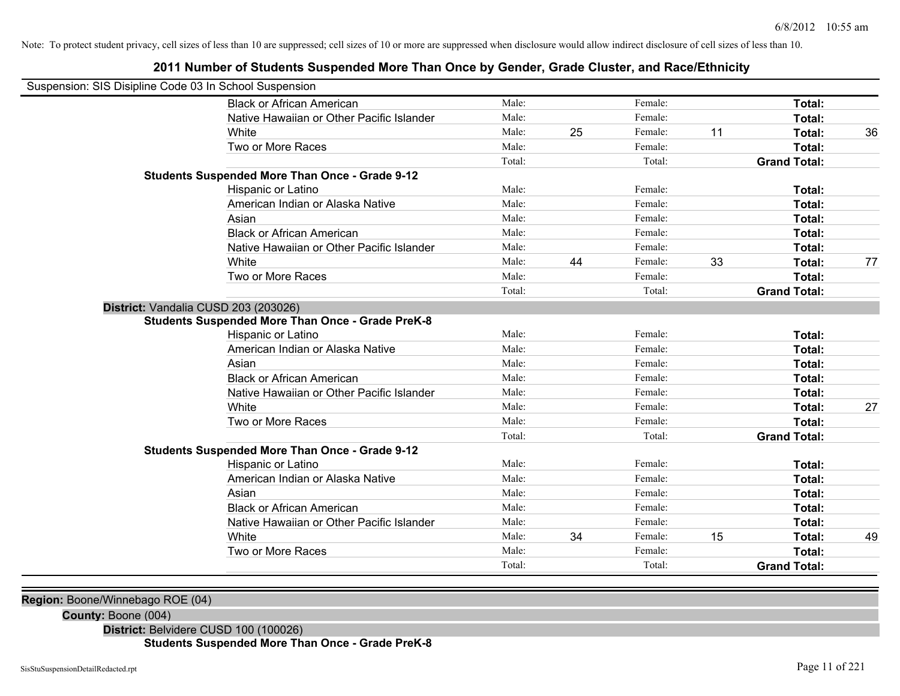### **2011 Number of Students Suspended More Than Once by Gender, Grade Cluster, and Race/Ethnicity**

| Suspension: SIS Disipline Code 03 In School Suspension |                                                         |        |    |         |    |                     |    |
|--------------------------------------------------------|---------------------------------------------------------|--------|----|---------|----|---------------------|----|
|                                                        | <b>Black or African American</b>                        | Male:  |    | Female: |    | <b>Total:</b>       |    |
|                                                        | Native Hawaiian or Other Pacific Islander               | Male:  |    | Female: |    | Total:              |    |
|                                                        | White                                                   | Male:  | 25 | Female: | 11 | Total:              | 36 |
|                                                        | Two or More Races                                       | Male:  |    | Female: |    | Total:              |    |
|                                                        |                                                         | Total: |    | Total:  |    | <b>Grand Total:</b> |    |
|                                                        | <b>Students Suspended More Than Once - Grade 9-12</b>   |        |    |         |    |                     |    |
|                                                        | Hispanic or Latino                                      | Male:  |    | Female: |    | Total:              |    |
|                                                        | American Indian or Alaska Native                        | Male:  |    | Female: |    | Total:              |    |
|                                                        | Asian                                                   | Male:  |    | Female: |    | Total:              |    |
|                                                        | <b>Black or African American</b>                        | Male:  |    | Female: |    | <b>Total:</b>       |    |
|                                                        | Native Hawaiian or Other Pacific Islander               | Male:  |    | Female: |    | Total:              |    |
|                                                        | White                                                   | Male:  | 44 | Female: | 33 | Total:              | 77 |
|                                                        | Two or More Races                                       | Male:  |    | Female: |    | Total:              |    |
|                                                        |                                                         | Total: |    | Total:  |    | <b>Grand Total:</b> |    |
| District: Vandalia CUSD 203 (203026)                   |                                                         |        |    |         |    |                     |    |
|                                                        | <b>Students Suspended More Than Once - Grade PreK-8</b> |        |    |         |    |                     |    |
|                                                        | Hispanic or Latino                                      | Male:  |    | Female: |    | Total:              |    |
|                                                        | American Indian or Alaska Native                        | Male:  |    | Female: |    | Total:              |    |
|                                                        | Asian                                                   | Male:  |    | Female: |    | Total:              |    |
|                                                        | <b>Black or African American</b>                        | Male:  |    | Female: |    | Total:              |    |
|                                                        | Native Hawaiian or Other Pacific Islander               | Male:  |    | Female: |    | Total:              |    |
|                                                        | White                                                   | Male:  |    | Female: |    | Total:              | 27 |
|                                                        | Two or More Races                                       | Male:  |    | Female: |    | Total:              |    |
|                                                        |                                                         | Total: |    | Total:  |    | <b>Grand Total:</b> |    |
|                                                        | <b>Students Suspended More Than Once - Grade 9-12</b>   |        |    |         |    |                     |    |
|                                                        | Hispanic or Latino                                      | Male:  |    | Female: |    | Total:              |    |
|                                                        | American Indian or Alaska Native                        | Male:  |    | Female: |    | Total:              |    |
|                                                        | Asian                                                   | Male:  |    | Female: |    | Total:              |    |
|                                                        | <b>Black or African American</b>                        | Male:  |    | Female: |    | Total:              |    |
|                                                        | Native Hawaiian or Other Pacific Islander               | Male:  |    | Female: |    | Total:              |    |
|                                                        | White                                                   | Male:  | 34 | Female: | 15 | Total:              | 49 |
|                                                        | Two or More Races                                       | Male:  |    | Female: |    | Total:              |    |
|                                                        |                                                         | Total: |    | Total:  |    | <b>Grand Total:</b> |    |

**Region:** Boone/Winnebago ROE (04)

**County:** Boone (004)

**District:** Belvidere CUSD 100 (100026)

**Students Suspended More Than Once - Grade PreK-8**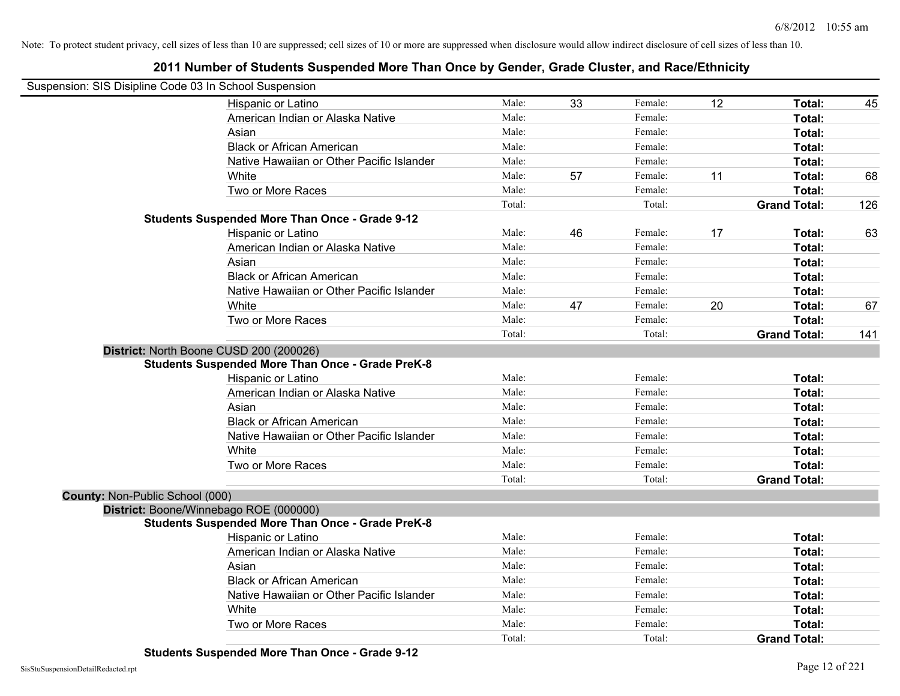| Suspension: SIS Disipline Code 03 In School Suspension |                                                         |        |    |         |    |                     |     |
|--------------------------------------------------------|---------------------------------------------------------|--------|----|---------|----|---------------------|-----|
|                                                        | Hispanic or Latino                                      | Male:  | 33 | Female: | 12 | Total:              | 45  |
|                                                        | American Indian or Alaska Native                        | Male:  |    | Female: |    | Total:              |     |
|                                                        | Asian                                                   | Male:  |    | Female: |    | Total:              |     |
|                                                        | <b>Black or African American</b>                        | Male:  |    | Female: |    | Total:              |     |
|                                                        | Native Hawaiian or Other Pacific Islander               | Male:  |    | Female: |    | Total:              |     |
|                                                        | White                                                   | Male:  | 57 | Female: | 11 | Total:              | 68  |
|                                                        | Two or More Races                                       | Male:  |    | Female: |    | Total:              |     |
|                                                        |                                                         | Total: |    | Total:  |    | <b>Grand Total:</b> | 126 |
|                                                        | <b>Students Suspended More Than Once - Grade 9-12</b>   |        |    |         |    |                     |     |
|                                                        | Hispanic or Latino                                      | Male:  | 46 | Female: | 17 | Total:              | 63  |
|                                                        | American Indian or Alaska Native                        | Male:  |    | Female: |    | Total:              |     |
|                                                        | Asian                                                   | Male:  |    | Female: |    | Total:              |     |
|                                                        | <b>Black or African American</b>                        | Male:  |    | Female: |    | Total:              |     |
|                                                        | Native Hawaiian or Other Pacific Islander               | Male:  |    | Female: |    | Total:              |     |
|                                                        | White                                                   | Male:  | 47 | Female: | 20 | Total:              | 67  |
|                                                        | Two or More Races                                       | Male:  |    | Female: |    | Total:              |     |
|                                                        |                                                         | Total: |    | Total:  |    | <b>Grand Total:</b> | 141 |
|                                                        | District: North Boone CUSD 200 (200026)                 |        |    |         |    |                     |     |
|                                                        | <b>Students Suspended More Than Once - Grade PreK-8</b> |        |    |         |    |                     |     |
|                                                        | Hispanic or Latino                                      | Male:  |    | Female: |    | Total:              |     |
|                                                        | American Indian or Alaska Native                        | Male:  |    | Female: |    | Total:              |     |
|                                                        | Asian                                                   | Male:  |    | Female: |    | Total:              |     |
|                                                        | <b>Black or African American</b>                        | Male:  |    | Female: |    | Total:              |     |
|                                                        | Native Hawaiian or Other Pacific Islander               | Male:  |    | Female: |    | Total:              |     |
|                                                        | White                                                   | Male:  |    | Female: |    | Total:              |     |
|                                                        | Two or More Races                                       | Male:  |    | Female: |    | Total:              |     |
|                                                        |                                                         | Total: |    | Total:  |    | <b>Grand Total:</b> |     |
| County: Non-Public School (000)                        |                                                         |        |    |         |    |                     |     |
|                                                        | District: Boone/Winnebago ROE (000000)                  |        |    |         |    |                     |     |
|                                                        | <b>Students Suspended More Than Once - Grade PreK-8</b> |        |    |         |    |                     |     |
|                                                        | Hispanic or Latino                                      | Male:  |    | Female: |    | Total:              |     |
|                                                        | American Indian or Alaska Native                        | Male:  |    | Female: |    | Total:              |     |
|                                                        | Asian                                                   | Male:  |    | Female: |    | Total:              |     |
|                                                        | <b>Black or African American</b>                        | Male:  |    | Female: |    | Total:              |     |
|                                                        | Native Hawaiian or Other Pacific Islander               | Male:  |    | Female: |    | Total:              |     |
|                                                        | White                                                   | Male:  |    | Female: |    | Total:              |     |
|                                                        | Two or More Races                                       | Male:  |    | Female: |    | Total:              |     |
|                                                        |                                                         | Total: |    | Total:  |    | <b>Grand Total:</b> |     |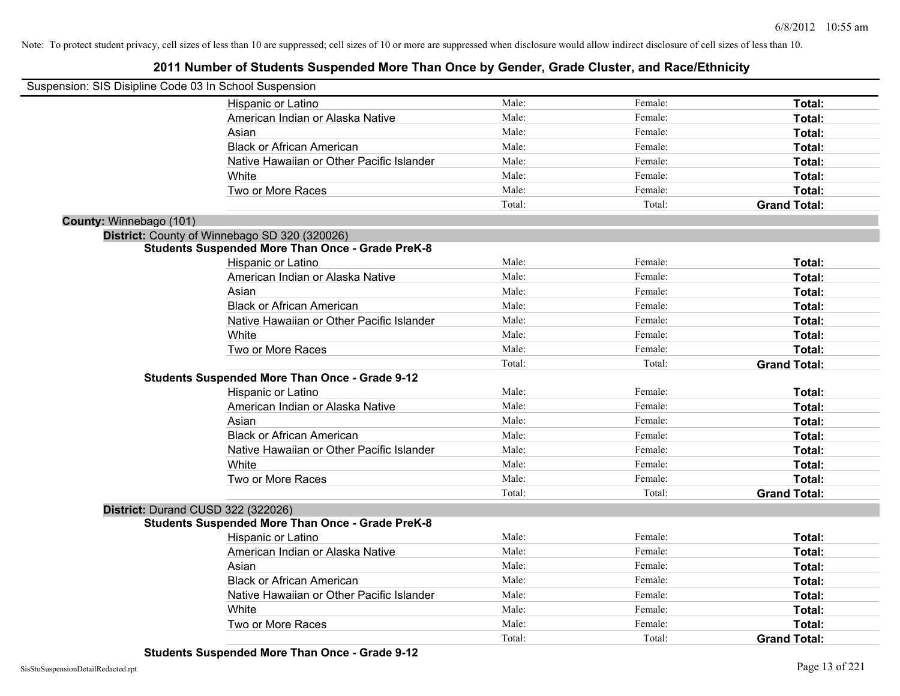| Suspension: SIS Disipline Code 03 In School Suspension |                                                         |        |         |                     |
|--------------------------------------------------------|---------------------------------------------------------|--------|---------|---------------------|
|                                                        | Hispanic or Latino                                      | Male:  | Female: | Total:              |
|                                                        | American Indian or Alaska Native                        | Male:  | Female: | Total:              |
|                                                        | Asian                                                   | Male:  | Female: | Total:              |
|                                                        | <b>Black or African American</b>                        | Male:  | Female: | Total:              |
|                                                        | Native Hawaiian or Other Pacific Islander               | Male:  | Female: | Total:              |
|                                                        | White                                                   | Male:  | Female: | Total:              |
|                                                        | Two or More Races                                       | Male:  | Female: | Total:              |
|                                                        |                                                         | Total: | Total:  | <b>Grand Total:</b> |
| County: Winnebago (101)                                |                                                         |        |         |                     |
|                                                        | District: County of Winnebago SD 320 (320026)           |        |         |                     |
|                                                        | <b>Students Suspended More Than Once - Grade PreK-8</b> |        |         |                     |
|                                                        | Hispanic or Latino                                      | Male:  | Female: | Total:              |
|                                                        | American Indian or Alaska Native                        | Male:  | Female: | Total:              |
|                                                        | Asian                                                   | Male:  | Female: | Total:              |
|                                                        | <b>Black or African American</b>                        | Male:  | Female: | Total:              |
|                                                        | Native Hawaiian or Other Pacific Islander               | Male:  | Female: | Total:              |
|                                                        | White                                                   | Male:  | Female: | Total:              |
|                                                        | Two or More Races                                       | Male:  | Female: | Total:              |
|                                                        |                                                         | Total: | Total:  | <b>Grand Total:</b> |
|                                                        | <b>Students Suspended More Than Once - Grade 9-12</b>   |        |         |                     |
|                                                        | Hispanic or Latino                                      | Male:  | Female: | Total:              |
|                                                        | American Indian or Alaska Native                        | Male:  | Female: | Total:              |
|                                                        | Asian                                                   | Male:  | Female: | Total:              |
|                                                        | <b>Black or African American</b>                        | Male:  | Female: | Total:              |
|                                                        | Native Hawaiian or Other Pacific Islander               | Male:  | Female: | Total:              |
|                                                        | White                                                   | Male:  | Female: | Total:              |
|                                                        | Two or More Races                                       | Male:  | Female: | Total:              |
|                                                        |                                                         | Total: | Total:  | <b>Grand Total:</b> |
| District: Durand CUSD 322 (322026)                     |                                                         |        |         |                     |
|                                                        | <b>Students Suspended More Than Once - Grade PreK-8</b> |        |         |                     |
|                                                        | Hispanic or Latino                                      | Male:  | Female: | Total:              |
|                                                        | American Indian or Alaska Native                        | Male:  | Female: | Total:              |
|                                                        | Asian                                                   | Male:  | Female: | Total:              |
|                                                        | <b>Black or African American</b>                        | Male:  | Female: | Total:              |
|                                                        | Native Hawaiian or Other Pacific Islander               | Male:  | Female: | Total:              |
|                                                        | White                                                   | Male:  | Female: | Total:              |
|                                                        | Two or More Races                                       | Male:  | Female: | Total:              |
|                                                        |                                                         | Total: | Total:  | <b>Grand Total:</b> |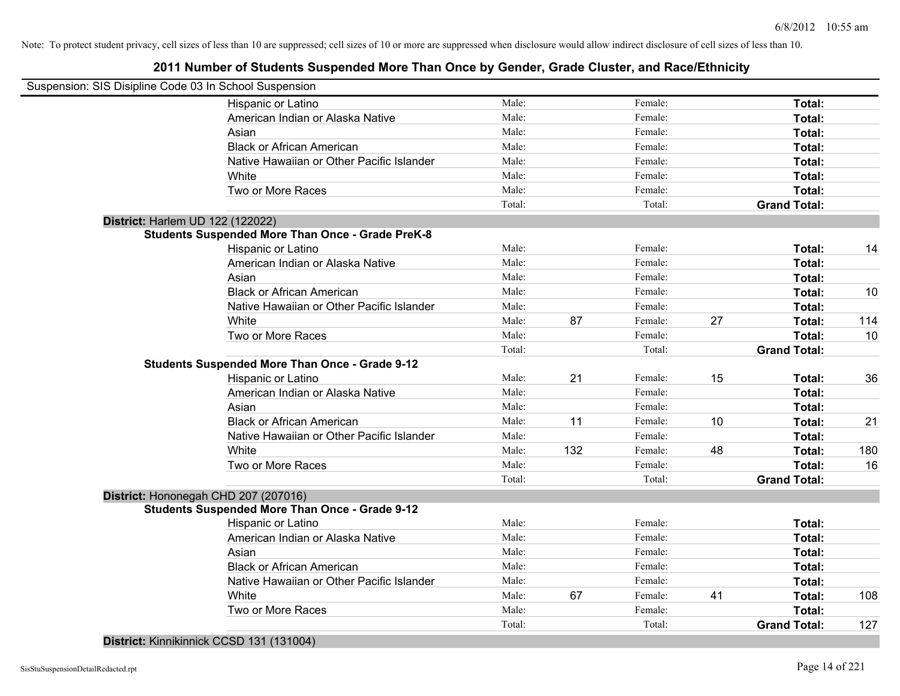# **2011 Number of Students Suspended More Than Once by Gender, Grade Cluster, and Race/Ethnicity**

| Suspension: SIS Disipline Code 03 In School Suspension |                                                         |        |     |         |    |                     |     |
|--------------------------------------------------------|---------------------------------------------------------|--------|-----|---------|----|---------------------|-----|
|                                                        | Hispanic or Latino                                      | Male:  |     | Female: |    | Total:              |     |
|                                                        | American Indian or Alaska Native                        | Male:  |     | Female: |    | Total:              |     |
|                                                        | Asian                                                   | Male:  |     | Female: |    | Total:              |     |
|                                                        | <b>Black or African American</b>                        | Male:  |     | Female: |    | Total:              |     |
|                                                        | Native Hawaiian or Other Pacific Islander               | Male:  |     | Female: |    | Total:              |     |
|                                                        | White                                                   | Male:  |     | Female: |    | Total:              |     |
|                                                        | Two or More Races                                       | Male:  |     | Female: |    | Total:              |     |
|                                                        |                                                         | Total: |     | Total:  |    | <b>Grand Total:</b> |     |
| District: Harlem UD 122 (122022)                       |                                                         |        |     |         |    |                     |     |
|                                                        | <b>Students Suspended More Than Once - Grade PreK-8</b> |        |     |         |    |                     |     |
|                                                        | Hispanic or Latino                                      | Male:  |     | Female: |    | Total:              | 14  |
|                                                        | American Indian or Alaska Native                        | Male:  |     | Female: |    | Total:              |     |
|                                                        | Asian                                                   | Male:  |     | Female: |    | Total:              |     |
|                                                        | <b>Black or African American</b>                        | Male:  |     | Female: |    | Total:              | 10  |
|                                                        | Native Hawaiian or Other Pacific Islander               | Male:  |     | Female: |    | Total:              |     |
|                                                        | White                                                   | Male:  | 87  | Female: | 27 | Total:              | 114 |
|                                                        | Two or More Races                                       | Male:  |     | Female: |    | Total:              | 10  |
|                                                        |                                                         | Total: |     | Total:  |    | <b>Grand Total:</b> |     |
|                                                        | <b>Students Suspended More Than Once - Grade 9-12</b>   |        |     |         |    |                     |     |
|                                                        | Hispanic or Latino                                      | Male:  | 21  | Female: | 15 | Total:              | 36  |
|                                                        | American Indian or Alaska Native                        | Male:  |     | Female: |    | Total:              |     |
|                                                        | Asian                                                   | Male:  |     | Female: |    | Total:              |     |
|                                                        | <b>Black or African American</b>                        | Male:  | 11  | Female: | 10 | Total:              | 21  |
|                                                        | Native Hawaiian or Other Pacific Islander               | Male:  |     | Female: |    | Total:              |     |
|                                                        | White                                                   | Male:  | 132 | Female: | 48 | Total:              | 180 |
|                                                        | Two or More Races                                       | Male:  |     | Female: |    | Total:              | 16  |
|                                                        |                                                         | Total: |     | Total:  |    | <b>Grand Total:</b> |     |
| District: Hononegah CHD 207 (207016)                   |                                                         |        |     |         |    |                     |     |
|                                                        | <b>Students Suspended More Than Once - Grade 9-12</b>   |        |     |         |    |                     |     |
|                                                        | Hispanic or Latino                                      | Male:  |     | Female: |    | Total:              |     |
|                                                        | American Indian or Alaska Native                        | Male:  |     | Female: |    | Total:              |     |
|                                                        | Asian                                                   | Male:  |     | Female: |    | Total:              |     |
|                                                        | <b>Black or African American</b>                        | Male:  |     | Female: |    | Total:              |     |
|                                                        | Native Hawaiian or Other Pacific Islander               | Male:  |     | Female: |    | Total:              |     |
|                                                        | White                                                   | Male:  | 67  | Female: | 41 | Total:              | 108 |
|                                                        | Two or More Races                                       | Male:  |     | Female: |    | Total:              |     |
|                                                        |                                                         | Total: |     | Total:  |    | <b>Grand Total:</b> | 127 |

**District:** Kinnikinnick CCSD 131 (131004)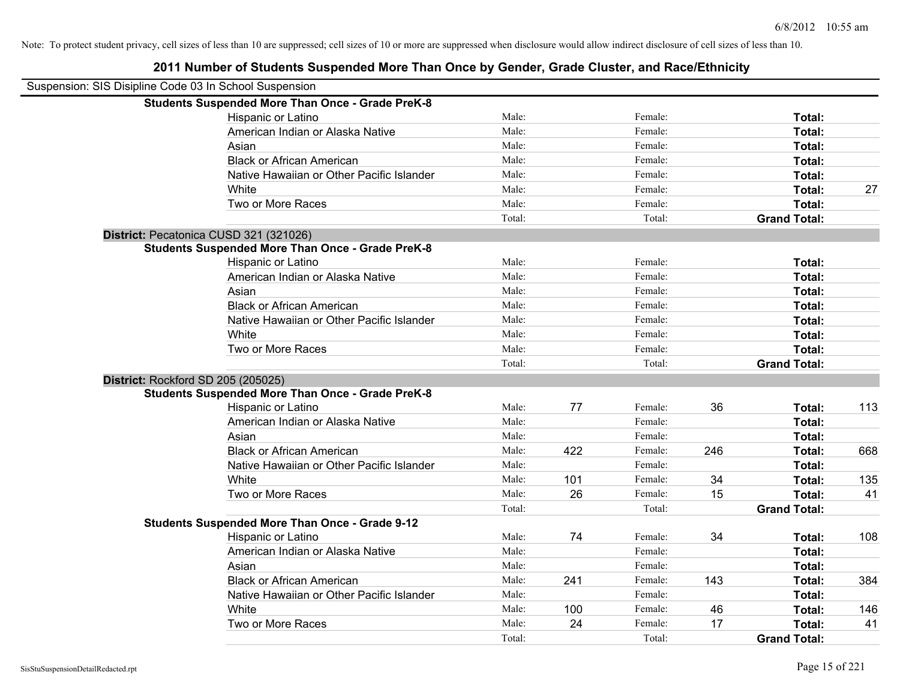| Suspension: SIS Disipline Code 03 In School Suspension |                                                         |        |     |         |     |                     |     |
|--------------------------------------------------------|---------------------------------------------------------|--------|-----|---------|-----|---------------------|-----|
|                                                        | <b>Students Suspended More Than Once - Grade PreK-8</b> |        |     |         |     |                     |     |
|                                                        | Hispanic or Latino                                      | Male:  |     | Female: |     | Total:              |     |
|                                                        | American Indian or Alaska Native                        | Male:  |     | Female: |     | Total:              |     |
|                                                        | Asian                                                   | Male:  |     | Female: |     | Total:              |     |
|                                                        | <b>Black or African American</b>                        | Male:  |     | Female: |     | Total:              |     |
|                                                        | Native Hawaiian or Other Pacific Islander               | Male:  |     | Female: |     | Total:              |     |
|                                                        | White                                                   | Male:  |     | Female: |     | Total:              | 27  |
|                                                        | Two or More Races                                       | Male:  |     | Female: |     | Total:              |     |
|                                                        |                                                         | Total: |     | Total:  |     | <b>Grand Total:</b> |     |
|                                                        | District: Pecatonica CUSD 321 (321026)                  |        |     |         |     |                     |     |
|                                                        | <b>Students Suspended More Than Once - Grade PreK-8</b> |        |     |         |     |                     |     |
|                                                        | Hispanic or Latino                                      | Male:  |     | Female: |     | Total:              |     |
|                                                        | American Indian or Alaska Native                        | Male:  |     | Female: |     | Total:              |     |
|                                                        | Asian                                                   | Male:  |     | Female: |     | Total:              |     |
|                                                        | <b>Black or African American</b>                        | Male:  |     | Female: |     | Total:              |     |
|                                                        | Native Hawaiian or Other Pacific Islander               | Male:  |     | Female: |     | Total:              |     |
|                                                        | White                                                   | Male:  |     | Female: |     | Total:              |     |
|                                                        | Two or More Races                                       | Male:  |     | Female: |     | Total:              |     |
|                                                        |                                                         | Total: |     | Total:  |     | <b>Grand Total:</b> |     |
|                                                        | District: Rockford SD 205 (205025)                      |        |     |         |     |                     |     |
|                                                        | <b>Students Suspended More Than Once - Grade PreK-8</b> |        |     |         |     |                     |     |
|                                                        | Hispanic or Latino                                      | Male:  | 77  | Female: | 36  | Total:              | 113 |
|                                                        | American Indian or Alaska Native                        | Male:  |     | Female: |     | Total:              |     |
|                                                        | Asian                                                   | Male:  |     | Female: |     | Total:              |     |
|                                                        | <b>Black or African American</b>                        | Male:  | 422 | Female: | 246 | Total:              | 668 |
|                                                        | Native Hawaiian or Other Pacific Islander               | Male:  |     | Female: |     | Total:              |     |
|                                                        | White                                                   | Male:  | 101 | Female: | 34  | Total:              | 135 |
|                                                        | Two or More Races                                       | Male:  | 26  | Female: | 15  | Total:              | 41  |
|                                                        |                                                         | Total: |     | Total:  |     | <b>Grand Total:</b> |     |
|                                                        | <b>Students Suspended More Than Once - Grade 9-12</b>   |        |     |         |     |                     |     |
|                                                        | Hispanic or Latino                                      | Male:  | 74  | Female: | 34  | Total:              | 108 |
|                                                        | American Indian or Alaska Native                        | Male:  |     | Female: |     | Total:              |     |
|                                                        | Asian                                                   | Male:  |     | Female: |     | Total:              |     |
|                                                        | <b>Black or African American</b>                        | Male:  | 241 | Female: | 143 | Total:              | 384 |
|                                                        | Native Hawaiian or Other Pacific Islander               | Male:  |     | Female: |     | Total:              |     |
|                                                        | White                                                   | Male:  | 100 | Female: | 46  | Total:              | 146 |
|                                                        | Two or More Races                                       | Male:  | 24  | Female: | 17  | Total:              | 41  |
|                                                        |                                                         | Total: |     | Total:  |     | <b>Grand Total:</b> |     |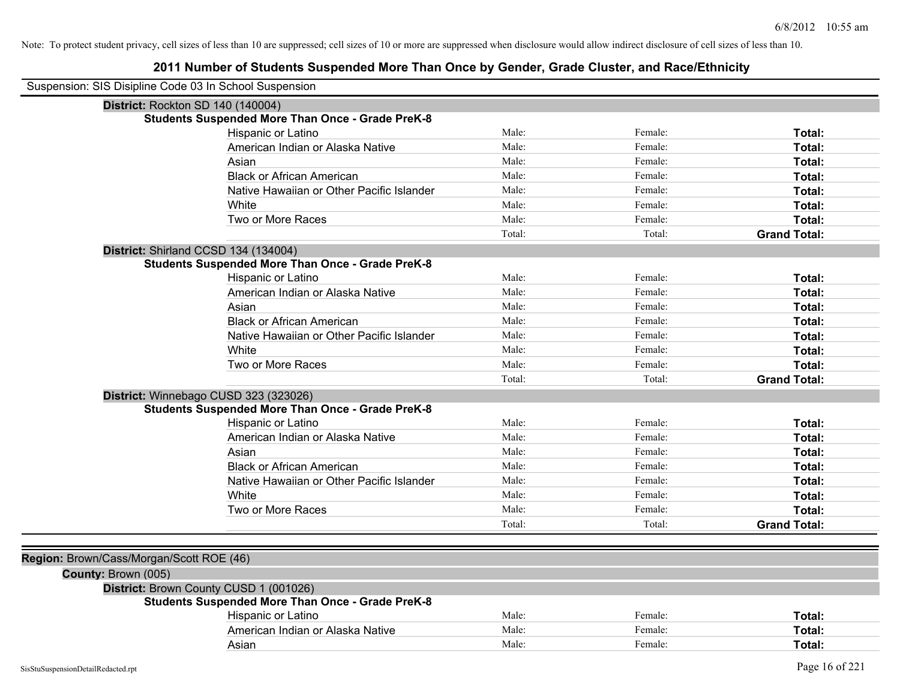| Suspension: SIS Disipline Code 03 In School Suspension |                                                         |        |         |                     |
|--------------------------------------------------------|---------------------------------------------------------|--------|---------|---------------------|
| District: Rockton SD 140 (140004)                      |                                                         |        |         |                     |
|                                                        | <b>Students Suspended More Than Once - Grade PreK-8</b> |        |         |                     |
|                                                        | <b>Hispanic or Latino</b>                               | Male:  | Female: | Total:              |
|                                                        | American Indian or Alaska Native                        | Male:  | Female: | Total:              |
|                                                        | Asian                                                   | Male:  | Female: | Total:              |
|                                                        | <b>Black or African American</b>                        | Male:  | Female: | Total:              |
|                                                        | Native Hawaiian or Other Pacific Islander               | Male:  | Female: | Total:              |
|                                                        | White                                                   | Male:  | Female: | Total:              |
|                                                        | Two or More Races                                       | Male:  | Female: | Total:              |
|                                                        |                                                         | Total: | Total:  | <b>Grand Total:</b> |
| District: Shirland CCSD 134 (134004)                   |                                                         |        |         |                     |
|                                                        | <b>Students Suspended More Than Once - Grade PreK-8</b> |        |         |                     |
|                                                        | Hispanic or Latino                                      | Male:  | Female: | Total:              |
|                                                        | American Indian or Alaska Native                        | Male:  | Female: | Total:              |
|                                                        | Asian                                                   | Male:  | Female: | Total:              |
|                                                        | <b>Black or African American</b>                        | Male:  | Female: | Total:              |
|                                                        | Native Hawaiian or Other Pacific Islander               | Male:  | Female: | Total:              |
|                                                        | White                                                   | Male:  | Female: | Total:              |
|                                                        | Two or More Races                                       | Male:  | Female: | Total:              |
|                                                        |                                                         | Total: | Total:  | <b>Grand Total:</b> |
|                                                        | District: Winnebago CUSD 323 (323026)                   |        |         |                     |
|                                                        | <b>Students Suspended More Than Once - Grade PreK-8</b> |        |         |                     |
|                                                        | Hispanic or Latino                                      | Male:  | Female: | Total:              |
|                                                        | American Indian or Alaska Native                        | Male:  | Female: | Total:              |
|                                                        | Asian                                                   | Male:  | Female: | Total:              |
|                                                        | <b>Black or African American</b>                        | Male:  | Female: | Total:              |
|                                                        | Native Hawaiian or Other Pacific Islander               | Male:  | Female: | Total:              |
|                                                        | White                                                   | Male:  | Female: | Total:              |
|                                                        | Two or More Races                                       | Male:  | Female: | Total:              |
|                                                        |                                                         | Total: | Total:  | <b>Grand Total:</b> |
|                                                        |                                                         |        |         |                     |
| Region: Brown/Cass/Morgan/Scott ROE (46)               |                                                         |        |         |                     |
| County: Brown (005)                                    |                                                         |        |         |                     |
|                                                        | District: Brown County CUSD 1 (001026)                  |        |         |                     |
|                                                        | <b>Students Suspended More Than Once - Grade PreK-8</b> |        |         |                     |
|                                                        | Hispanic or Latino                                      | Male:  | Female: | Total:              |
|                                                        | American Indian or Alaska Native                        | Male:  | Female: | Total:              |
|                                                        | Asian                                                   | Male:  | Female: | Total:              |
|                                                        |                                                         |        |         |                     |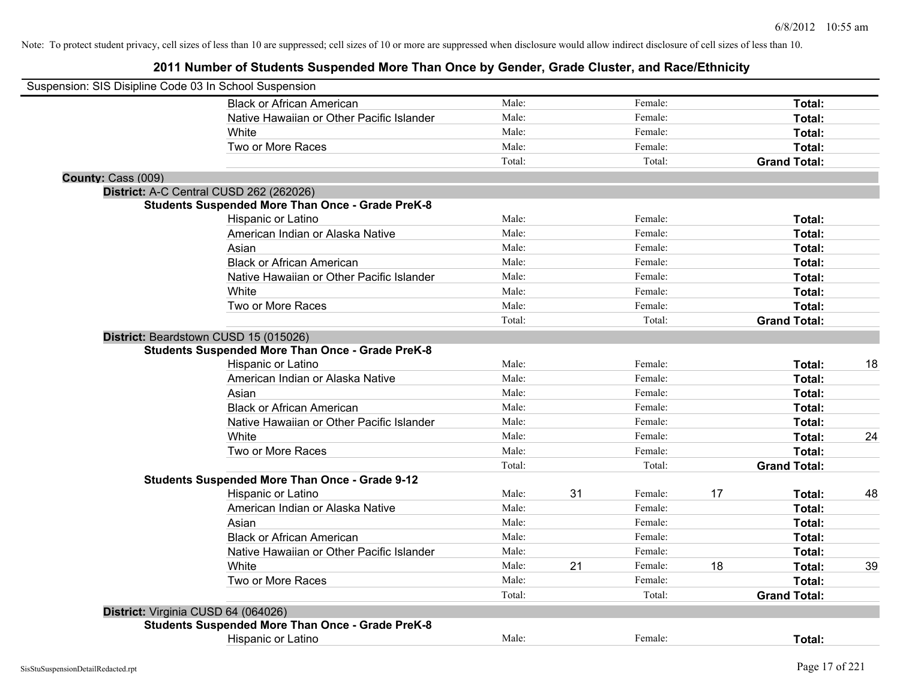|                    | Suspension: SIS Disipline Code 03 In School Suspension                                           |        |    |         |    |                     |    |
|--------------------|--------------------------------------------------------------------------------------------------|--------|----|---------|----|---------------------|----|
|                    | <b>Black or African American</b>                                                                 | Male:  |    | Female: |    | Total:              |    |
|                    | Native Hawaiian or Other Pacific Islander                                                        | Male:  |    | Female: |    | Total:              |    |
|                    | White                                                                                            | Male:  |    | Female: |    | Total:              |    |
|                    | Two or More Races                                                                                | Male:  |    | Female: |    | Total:              |    |
|                    |                                                                                                  | Total: |    | Total:  |    | <b>Grand Total:</b> |    |
| County: Cass (009) |                                                                                                  |        |    |         |    |                     |    |
|                    | District: A-C Central CUSD 262 (262026)                                                          |        |    |         |    |                     |    |
|                    | <b>Students Suspended More Than Once - Grade PreK-8</b>                                          |        |    |         |    |                     |    |
|                    | Hispanic or Latino                                                                               | Male:  |    | Female: |    | Total:              |    |
|                    | American Indian or Alaska Native                                                                 | Male:  |    | Female: |    | Total:              |    |
|                    | Asian                                                                                            | Male:  |    | Female: |    | Total:              |    |
|                    | <b>Black or African American</b>                                                                 | Male:  |    | Female: |    | Total:              |    |
|                    | Native Hawaiian or Other Pacific Islander                                                        | Male:  |    | Female: |    | Total:              |    |
|                    | White                                                                                            | Male:  |    | Female: |    | Total:              |    |
|                    | Two or More Races                                                                                | Male:  |    | Female: |    | Total:              |    |
|                    |                                                                                                  | Total: |    | Total:  |    | <b>Grand Total:</b> |    |
|                    | District: Beardstown CUSD 15 (015026)<br><b>Students Suspended More Than Once - Grade PreK-8</b> |        |    |         |    |                     |    |
|                    | Hispanic or Latino                                                                               | Male:  |    | Female: |    | Total:              | 18 |
|                    | American Indian or Alaska Native                                                                 | Male:  |    | Female: |    | Total:              |    |
|                    | Asian                                                                                            | Male:  |    | Female: |    | Total:              |    |
|                    | <b>Black or African American</b>                                                                 | Male:  |    | Female: |    | Total:              |    |
|                    | Native Hawaiian or Other Pacific Islander                                                        | Male:  |    | Female: |    | Total:              |    |
|                    | White                                                                                            | Male:  |    | Female: |    | Total:              | 24 |
|                    | Two or More Races                                                                                | Male:  |    | Female: |    | Total:              |    |
|                    |                                                                                                  | Total: |    | Total:  |    | <b>Grand Total:</b> |    |
|                    | <b>Students Suspended More Than Once - Grade 9-12</b>                                            |        |    |         |    |                     |    |
|                    | Hispanic or Latino                                                                               | Male:  | 31 | Female: | 17 | Total:              | 48 |
|                    | American Indian or Alaska Native                                                                 | Male:  |    | Female: |    | Total:              |    |
|                    | Asian                                                                                            | Male:  |    | Female: |    | Total:              |    |
|                    | <b>Black or African American</b>                                                                 | Male:  |    | Female: |    | Total:              |    |
|                    | Native Hawaiian or Other Pacific Islander                                                        | Male:  |    | Female: |    | Total:              |    |
|                    | White                                                                                            | Male:  | 21 | Female: | 18 | Total:              | 39 |
|                    | Two or More Races                                                                                | Male:  |    | Female: |    | Total:              |    |
|                    |                                                                                                  | Total: |    | Total:  |    | <b>Grand Total:</b> |    |
|                    | District: Virginia CUSD 64 (064026)                                                              |        |    |         |    |                     |    |
|                    | <b>Students Suspended More Than Once - Grade PreK-8</b>                                          |        |    |         |    |                     |    |
|                    | <b>Hispanic or Latino</b>                                                                        | Male:  |    | Female: |    | Total:              |    |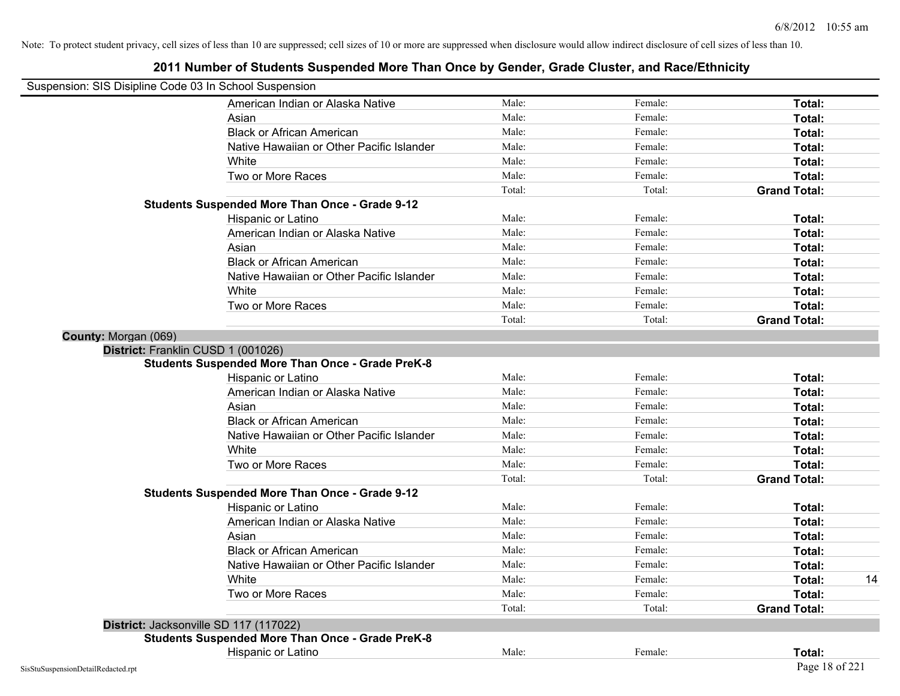| Suspension: SIS Disipline Code 03 In School Suspension |                                                         |        |         |                     |
|--------------------------------------------------------|---------------------------------------------------------|--------|---------|---------------------|
|                                                        | American Indian or Alaska Native                        | Male:  | Female: | Total:              |
|                                                        | Asian                                                   | Male:  | Female: | Total:              |
|                                                        | <b>Black or African American</b>                        | Male:  | Female: | Total:              |
|                                                        | Native Hawaiian or Other Pacific Islander               | Male:  | Female: | Total:              |
|                                                        | White                                                   | Male:  | Female: | Total:              |
|                                                        | Two or More Races                                       | Male:  | Female: | Total:              |
|                                                        |                                                         | Total: | Total:  | <b>Grand Total:</b> |
|                                                        | <b>Students Suspended More Than Once - Grade 9-12</b>   |        |         |                     |
|                                                        | Hispanic or Latino                                      | Male:  | Female: | Total:              |
|                                                        | American Indian or Alaska Native                        | Male:  | Female: | Total:              |
|                                                        | Asian                                                   | Male:  | Female: | Total:              |
|                                                        | <b>Black or African American</b>                        | Male:  | Female: | Total:              |
|                                                        | Native Hawaiian or Other Pacific Islander               | Male:  | Female: | Total:              |
|                                                        | White                                                   | Male:  | Female: | Total:              |
|                                                        | Two or More Races                                       | Male:  | Female: | Total:              |
|                                                        |                                                         | Total: | Total:  | <b>Grand Total:</b> |
| County: Morgan (069)                                   |                                                         |        |         |                     |
| District: Franklin CUSD 1 (001026)                     |                                                         |        |         |                     |
|                                                        | <b>Students Suspended More Than Once - Grade PreK-8</b> |        |         |                     |
|                                                        | Hispanic or Latino                                      | Male:  | Female: | Total:              |
|                                                        | American Indian or Alaska Native                        | Male:  | Female: | Total:              |
|                                                        | Asian                                                   | Male:  | Female: | Total:              |
|                                                        | <b>Black or African American</b>                        | Male:  | Female: | Total:              |
|                                                        | Native Hawaiian or Other Pacific Islander               | Male:  | Female: | Total:              |
|                                                        | White                                                   | Male:  | Female: | Total:              |
|                                                        | Two or More Races                                       | Male:  | Female: | Total:              |
|                                                        |                                                         | Total: | Total:  | <b>Grand Total:</b> |
|                                                        | <b>Students Suspended More Than Once - Grade 9-12</b>   |        |         |                     |
|                                                        | Hispanic or Latino                                      | Male:  | Female: | Total:              |
|                                                        | American Indian or Alaska Native                        | Male:  | Female: | Total:              |
|                                                        | Asian                                                   | Male:  | Female: | Total:              |
|                                                        | <b>Black or African American</b>                        | Male:  | Female: | Total:              |
|                                                        | Native Hawaiian or Other Pacific Islander               | Male:  | Female: | Total:              |
|                                                        | White                                                   | Male:  | Female: | Total:<br>14        |
|                                                        | Two or More Races                                       | Male:  | Female: | Total:              |
|                                                        |                                                         | Total: | Total:  | <b>Grand Total:</b> |
|                                                        | District: Jacksonville SD 117 (117022)                  |        |         |                     |
|                                                        | <b>Students Suspended More Than Once - Grade PreK-8</b> |        |         |                     |
|                                                        | Hispanic or Latino                                      | Male:  | Female: | Total:              |
| SisStuSuspensionDetailRedacted.rpt                     |                                                         |        |         | Page 18 of 221      |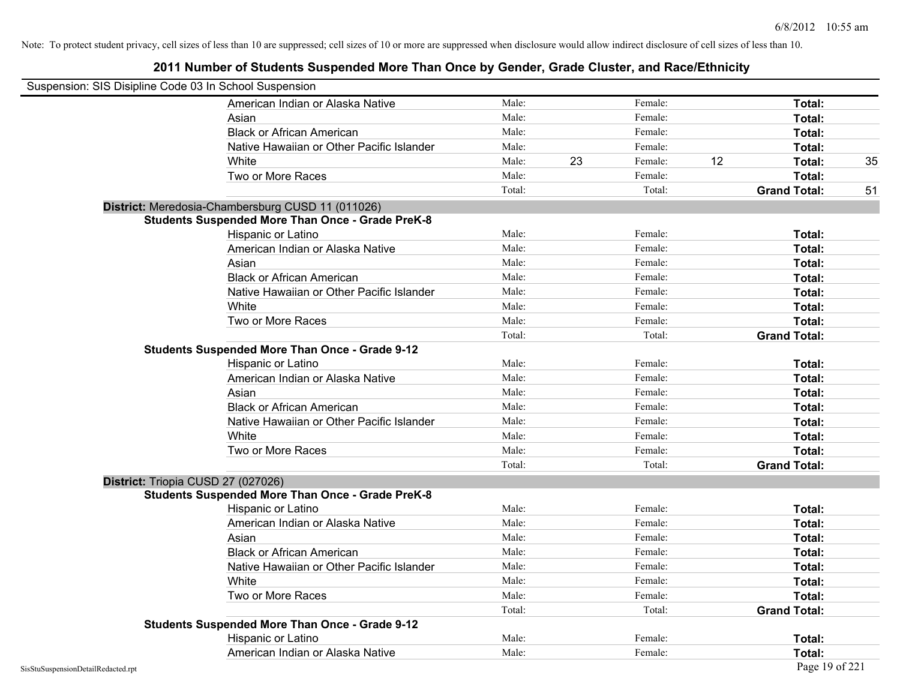| Suspension: SIS Disipline Code 03 In School Suspension |                                                         |        |    |         |    |                     |    |
|--------------------------------------------------------|---------------------------------------------------------|--------|----|---------|----|---------------------|----|
|                                                        | American Indian or Alaska Native                        | Male:  |    | Female: |    | Total:              |    |
|                                                        | Asian                                                   | Male:  |    | Female: |    | Total:              |    |
|                                                        | <b>Black or African American</b>                        | Male:  |    | Female: |    | Total:              |    |
|                                                        | Native Hawaiian or Other Pacific Islander               | Male:  |    | Female: |    | Total:              |    |
|                                                        | White                                                   | Male:  | 23 | Female: | 12 | Total:              | 35 |
|                                                        | Two or More Races                                       | Male:  |    | Female: |    | Total:              |    |
|                                                        |                                                         | Total: |    | Total:  |    | <b>Grand Total:</b> | 51 |
|                                                        | District: Meredosia-Chambersburg CUSD 11 (011026)       |        |    |         |    |                     |    |
|                                                        | <b>Students Suspended More Than Once - Grade PreK-8</b> |        |    |         |    |                     |    |
|                                                        | Hispanic or Latino                                      | Male:  |    | Female: |    | Total:              |    |
|                                                        | American Indian or Alaska Native                        | Male:  |    | Female: |    | Total:              |    |
|                                                        | Asian                                                   | Male:  |    | Female: |    | Total:              |    |
|                                                        | <b>Black or African American</b>                        | Male:  |    | Female: |    | Total:              |    |
|                                                        | Native Hawaiian or Other Pacific Islander               | Male:  |    | Female: |    | Total:              |    |
|                                                        | White                                                   | Male:  |    | Female: |    | Total:              |    |
|                                                        | Two or More Races                                       | Male:  |    | Female: |    | Total:              |    |
|                                                        |                                                         | Total: |    | Total:  |    | <b>Grand Total:</b> |    |
|                                                        | <b>Students Suspended More Than Once - Grade 9-12</b>   |        |    |         |    |                     |    |
|                                                        | Hispanic or Latino                                      | Male:  |    | Female: |    | Total:              |    |
|                                                        | American Indian or Alaska Native                        | Male:  |    | Female: |    | Total:              |    |
|                                                        | Asian                                                   | Male:  |    | Female: |    | Total:              |    |
|                                                        | <b>Black or African American</b>                        | Male:  |    | Female: |    | Total:              |    |
|                                                        | Native Hawaiian or Other Pacific Islander               | Male:  |    | Female: |    | Total:              |    |
|                                                        | White                                                   | Male:  |    | Female: |    | Total:              |    |
|                                                        | Two or More Races                                       | Male:  |    | Female: |    | Total:              |    |
|                                                        |                                                         | Total: |    | Total:  |    | <b>Grand Total:</b> |    |
|                                                        | District: Triopia CUSD 27 (027026)                      |        |    |         |    |                     |    |
|                                                        | <b>Students Suspended More Than Once - Grade PreK-8</b> |        |    |         |    |                     |    |
|                                                        | Hispanic or Latino                                      | Male:  |    | Female: |    | Total:              |    |
|                                                        | American Indian or Alaska Native                        | Male:  |    | Female: |    | Total:              |    |
|                                                        | Asian                                                   | Male:  |    | Female: |    | Total:              |    |
|                                                        | <b>Black or African American</b>                        | Male:  |    | Female: |    | Total:              |    |
|                                                        | Native Hawaiian or Other Pacific Islander               | Male:  |    | Female: |    | Total:              |    |
|                                                        | White                                                   | Male:  |    | Female: |    | Total:              |    |
|                                                        | Two or More Races                                       | Male:  |    | Female: |    | Total:              |    |
|                                                        |                                                         | Total: |    | Total:  |    | <b>Grand Total:</b> |    |
|                                                        | <b>Students Suspended More Than Once - Grade 9-12</b>   |        |    |         |    |                     |    |
|                                                        | Hispanic or Latino                                      | Male:  |    | Female: |    | Total:              |    |
|                                                        | American Indian or Alaska Native                        | Male:  |    | Female: |    | Total:              |    |
| SisStuSuspensionDetailRedacted.rpt                     |                                                         |        |    |         |    | Page 19 of 221      |    |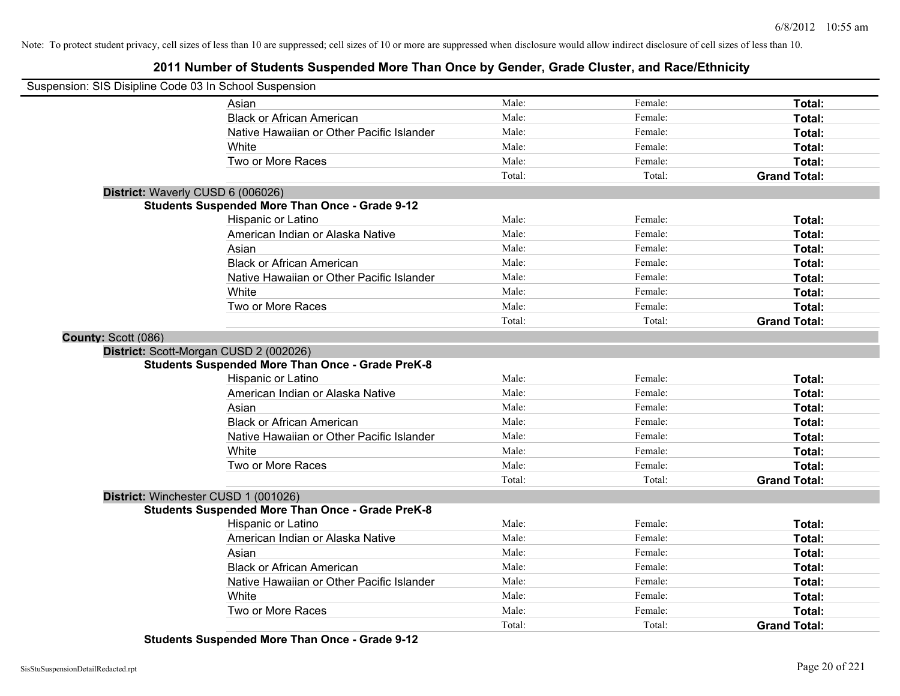**2011 Number of Students Suspended More Than Once by Gender, Grade Cluster, and Race/Ethnicity**

| Suspension: SIS Disipline Code 03 In School Suspension |                                                         |        |         |                     |
|--------------------------------------------------------|---------------------------------------------------------|--------|---------|---------------------|
|                                                        | Asian                                                   | Male:  | Female: | Total:              |
|                                                        | <b>Black or African American</b>                        | Male:  | Female: | Total:              |
|                                                        | Native Hawaiian or Other Pacific Islander               | Male:  | Female: | Total:              |
|                                                        | White                                                   | Male:  | Female: | Total:              |
|                                                        | Two or More Races                                       | Male:  | Female: | Total:              |
|                                                        |                                                         | Total: | Total:  | <b>Grand Total:</b> |
| District: Waverly CUSD 6 (006026)                      |                                                         |        |         |                     |
|                                                        | <b>Students Suspended More Than Once - Grade 9-12</b>   |        |         |                     |
|                                                        | Hispanic or Latino                                      | Male:  | Female: | Total:              |
|                                                        | American Indian or Alaska Native                        | Male:  | Female: | Total:              |
|                                                        | Asian                                                   | Male:  | Female: | Total:              |
|                                                        | <b>Black or African American</b>                        | Male:  | Female: | Total:              |
|                                                        | Native Hawaiian or Other Pacific Islander               | Male:  | Female: | Total:              |
|                                                        | White                                                   | Male:  | Female: | Total:              |
|                                                        | Two or More Races                                       | Male:  | Female: | Total:              |
|                                                        |                                                         | Total: | Total:  | <b>Grand Total:</b> |
| County: Scott (086)                                    |                                                         |        |         |                     |
|                                                        | District: Scott-Morgan CUSD 2 (002026)                  |        |         |                     |
|                                                        | <b>Students Suspended More Than Once - Grade PreK-8</b> |        |         |                     |
|                                                        | Hispanic or Latino                                      | Male:  | Female: | Total:              |
|                                                        | American Indian or Alaska Native                        | Male:  | Female: | Total:              |
|                                                        | Asian                                                   | Male:  | Female: | Total:              |
|                                                        | <b>Black or African American</b>                        | Male:  | Female: | Total:              |
|                                                        | Native Hawaiian or Other Pacific Islander               | Male:  | Female: | Total:              |
|                                                        | White                                                   | Male:  | Female: | Total:              |
|                                                        | Two or More Races                                       | Male:  | Female: | Total:              |
|                                                        |                                                         | Total: | Total:  | <b>Grand Total:</b> |
| District: Winchester CUSD 1 (001026)                   |                                                         |        |         |                     |
|                                                        | <b>Students Suspended More Than Once - Grade PreK-8</b> |        |         |                     |
|                                                        | Hispanic or Latino                                      | Male:  | Female: | Total:              |
|                                                        | American Indian or Alaska Native                        | Male:  | Female: | Total:              |
|                                                        | Asian                                                   | Male:  | Female: | Total:              |
|                                                        | <b>Black or African American</b>                        | Male:  | Female: | Total:              |
|                                                        | Native Hawaiian or Other Pacific Islander               | Male:  | Female: | Total:              |
|                                                        | White                                                   | Male:  | Female: | Total:              |
|                                                        | Two or More Races                                       | Male:  | Female: | Total:              |
|                                                        |                                                         | Total: | Total:  | <b>Grand Total:</b> |

**Students Suspended More Than Once - Grade 9-12**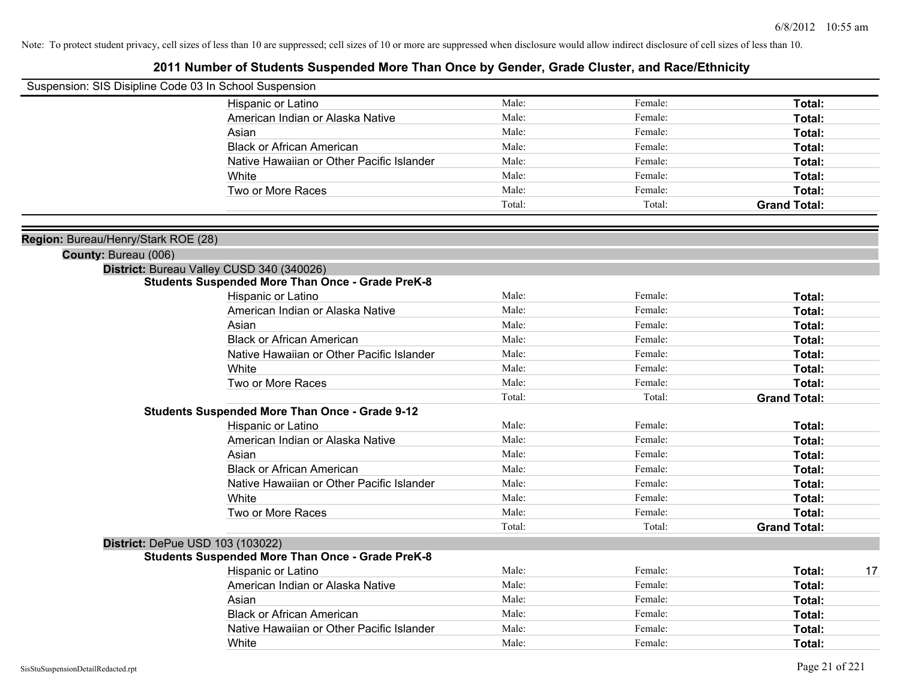| Suspension: SIS Disipline Code 03 In School Suspension |                                                         |        |         |                     |
|--------------------------------------------------------|---------------------------------------------------------|--------|---------|---------------------|
|                                                        | Hispanic or Latino                                      | Male:  | Female: | Total:              |
|                                                        | American Indian or Alaska Native                        | Male:  | Female: | Total:              |
|                                                        | Asian                                                   | Male:  | Female: | Total:              |
|                                                        | <b>Black or African American</b>                        | Male:  | Female: | Total:              |
|                                                        | Native Hawaiian or Other Pacific Islander               | Male:  | Female: | Total:              |
|                                                        | White                                                   | Male:  | Female: | Total:              |
|                                                        | Two or More Races                                       | Male:  | Female: | Total:              |
|                                                        |                                                         | Total: | Total:  | <b>Grand Total:</b> |
| Region: Bureau/Henry/Stark ROE (28)                    |                                                         |        |         |                     |
| County: Bureau (006)                                   |                                                         |        |         |                     |
|                                                        | District: Bureau Valley CUSD 340 (340026)               |        |         |                     |
|                                                        | <b>Students Suspended More Than Once - Grade PreK-8</b> |        |         |                     |
|                                                        | Hispanic or Latino                                      | Male:  | Female: | Total:              |
|                                                        | American Indian or Alaska Native                        | Male:  | Female: | Total:              |
|                                                        | Asian                                                   | Male:  | Female: | Total:              |
|                                                        | <b>Black or African American</b>                        | Male:  | Female: | Total:              |
|                                                        | Native Hawaiian or Other Pacific Islander               | Male:  | Female: | Total:              |
|                                                        | White                                                   | Male:  | Female: | Total:              |
|                                                        | Two or More Races                                       | Male:  | Female: | Total:              |
|                                                        |                                                         | Total: | Total:  | <b>Grand Total:</b> |
|                                                        | <b>Students Suspended More Than Once - Grade 9-12</b>   |        |         |                     |
|                                                        | Hispanic or Latino                                      | Male:  | Female: | Total:              |
|                                                        | American Indian or Alaska Native                        | Male:  | Female: | Total:              |
|                                                        | Asian                                                   | Male:  | Female: | Total:              |
|                                                        | <b>Black or African American</b>                        | Male:  | Female: | <b>Total:</b>       |
|                                                        | Native Hawaiian or Other Pacific Islander               | Male:  | Female: | Total:              |
|                                                        | White                                                   | Male:  | Female: | Total:              |
|                                                        | Two or More Races                                       | Male:  | Female: | Total:              |
|                                                        |                                                         | Total: | Total:  | <b>Grand Total:</b> |
|                                                        | District: DePue USD 103 (103022)                        |        |         |                     |
|                                                        | <b>Students Suspended More Than Once - Grade PreK-8</b> |        |         |                     |
|                                                        | <b>Hispanic or Latino</b>                               | Male:  | Female: | 17<br>Total:        |
|                                                        | American Indian or Alaska Native                        | Male:  | Female: | <b>Total:</b>       |
|                                                        | Asian                                                   | Male:  | Female: | Total:              |
|                                                        | <b>Black or African American</b>                        | Male:  | Female: | Total:              |
|                                                        | Native Hawaiian or Other Pacific Islander               | Male:  | Female: | Total:              |
|                                                        | White                                                   | Male:  | Female: | Total:              |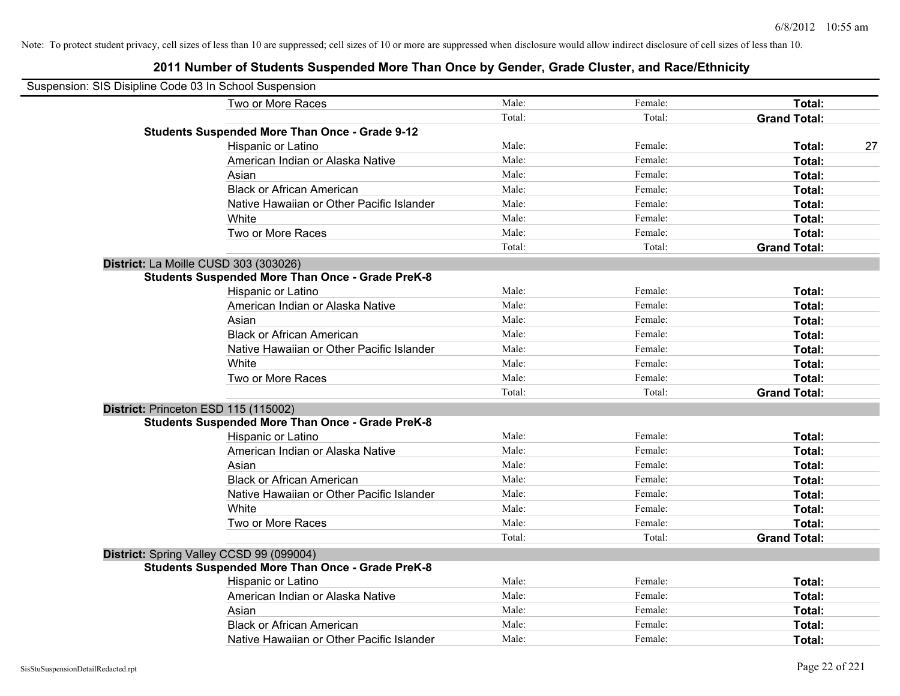| Suspension: SIS Disipline Code 03 In School Suspension |                                                         |        |         |                     |    |
|--------------------------------------------------------|---------------------------------------------------------|--------|---------|---------------------|----|
|                                                        | Two or More Races                                       | Male:  | Female: | Total:              |    |
|                                                        |                                                         | Total: | Total:  | <b>Grand Total:</b> |    |
|                                                        | <b>Students Suspended More Than Once - Grade 9-12</b>   |        |         |                     |    |
|                                                        | Hispanic or Latino                                      | Male:  | Female: | Total:              | 27 |
|                                                        | American Indian or Alaska Native                        | Male:  | Female: | Total:              |    |
|                                                        | Asian                                                   | Male:  | Female: | Total:              |    |
|                                                        | <b>Black or African American</b>                        | Male:  | Female: | Total:              |    |
|                                                        | Native Hawaiian or Other Pacific Islander               | Male:  | Female: | Total:              |    |
|                                                        | White                                                   | Male:  | Female: | Total:              |    |
|                                                        | Two or More Races                                       | Male:  | Female: | Total:              |    |
|                                                        |                                                         | Total: | Total:  | <b>Grand Total:</b> |    |
| District: La Moille CUSD 303 (303026)                  |                                                         |        |         |                     |    |
|                                                        | Students Suspended More Than Once - Grade PreK-8        |        |         |                     |    |
|                                                        | Hispanic or Latino                                      | Male:  | Female: | Total:              |    |
|                                                        | American Indian or Alaska Native                        | Male:  | Female: | Total:              |    |
|                                                        | Asian                                                   | Male:  | Female: | Total:              |    |
|                                                        | <b>Black or African American</b>                        | Male:  | Female: | Total:              |    |
|                                                        | Native Hawaiian or Other Pacific Islander               | Male:  | Female: | Total:              |    |
|                                                        | White                                                   | Male:  | Female: | Total:              |    |
|                                                        | Two or More Races                                       | Male:  | Female: | Total:              |    |
|                                                        |                                                         | Total: | Total:  | <b>Grand Total:</b> |    |
| District: Princeton ESD 115 (115002)                   |                                                         |        |         |                     |    |
|                                                        | <b>Students Suspended More Than Once - Grade PreK-8</b> |        |         |                     |    |
|                                                        | Hispanic or Latino                                      | Male:  | Female: | Total:              |    |
|                                                        | American Indian or Alaska Native                        | Male:  | Female: | Total:              |    |
|                                                        | Asian                                                   | Male:  | Female: | Total:              |    |
|                                                        | <b>Black or African American</b>                        | Male:  | Female: | Total:              |    |
|                                                        | Native Hawaiian or Other Pacific Islander               | Male:  | Female: | Total:              |    |
|                                                        | White                                                   | Male:  | Female: | Total:              |    |
|                                                        | Two or More Races                                       | Male:  | Female: | Total:              |    |
|                                                        |                                                         | Total: | Total:  | <b>Grand Total:</b> |    |
|                                                        | District: Spring Valley CCSD 99 (099004)                |        |         |                     |    |
|                                                        | <b>Students Suspended More Than Once - Grade PreK-8</b> |        |         |                     |    |
|                                                        | Hispanic or Latino                                      | Male:  | Female: | Total:              |    |
|                                                        | American Indian or Alaska Native                        | Male:  | Female: | Total:              |    |
|                                                        | Asian                                                   | Male:  | Female: | Total:              |    |
|                                                        | <b>Black or African American</b>                        | Male:  | Female: | Total:              |    |
|                                                        | Native Hawaiian or Other Pacific Islander               | Male:  | Female: | Total:              |    |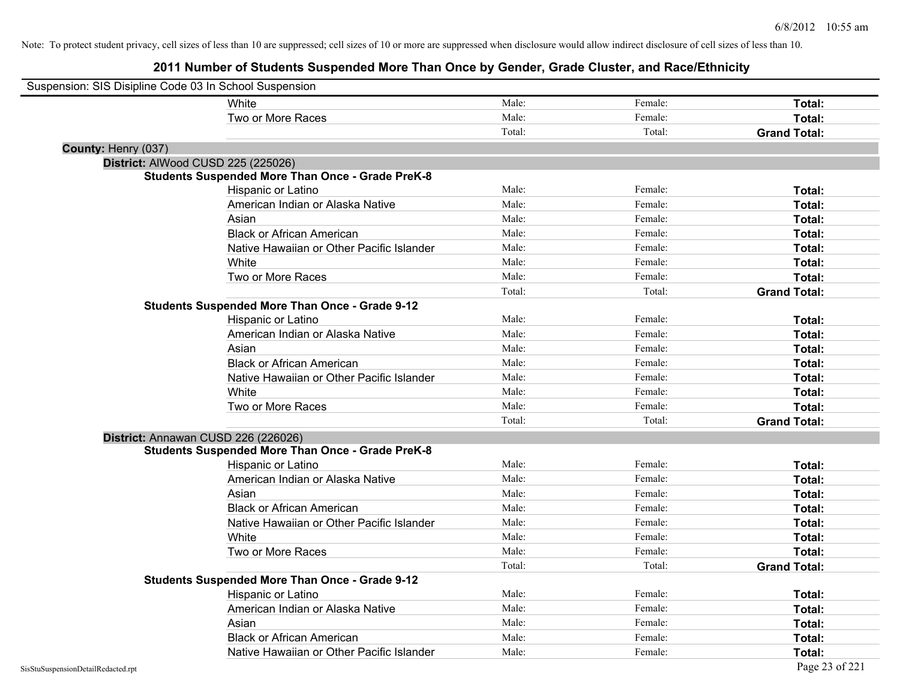| Suspension: SIS Disipline Code 03 In School Suspension |                                                         |        |         |                     |
|--------------------------------------------------------|---------------------------------------------------------|--------|---------|---------------------|
|                                                        | White                                                   | Male:  | Female: | Total:              |
|                                                        | Two or More Races                                       | Male:  | Female: | Total:              |
|                                                        |                                                         | Total: | Total:  | <b>Grand Total:</b> |
| County: Henry (037)                                    |                                                         |        |         |                     |
| District: AlWood CUSD 225 (225026)                     |                                                         |        |         |                     |
|                                                        | <b>Students Suspended More Than Once - Grade PreK-8</b> |        |         |                     |
|                                                        | Hispanic or Latino                                      | Male:  | Female: | Total:              |
|                                                        | American Indian or Alaska Native                        | Male:  | Female: | Total:              |
|                                                        | Asian                                                   | Male:  | Female: | Total:              |
|                                                        | <b>Black or African American</b>                        | Male:  | Female: | Total:              |
|                                                        | Native Hawaiian or Other Pacific Islander               | Male:  | Female: | Total:              |
|                                                        | White                                                   | Male:  | Female: | Total:              |
|                                                        | Two or More Races                                       | Male:  | Female: | Total:              |
|                                                        |                                                         | Total: | Total:  | <b>Grand Total:</b> |
|                                                        | <b>Students Suspended More Than Once - Grade 9-12</b>   |        |         |                     |
|                                                        | Hispanic or Latino                                      | Male:  | Female: | Total:              |
|                                                        | American Indian or Alaska Native                        | Male:  | Female: | Total:              |
|                                                        | Asian                                                   | Male:  | Female: | Total:              |
|                                                        | <b>Black or African American</b>                        | Male:  | Female: | Total:              |
|                                                        | Native Hawaiian or Other Pacific Islander               | Male:  | Female: | Total:              |
|                                                        | White                                                   | Male:  | Female: | Total:              |
|                                                        | Two or More Races                                       | Male:  | Female: | Total:              |
|                                                        |                                                         | Total: | Total:  | <b>Grand Total:</b> |
| District: Annawan CUSD 226 (226026)                    |                                                         |        |         |                     |
|                                                        | <b>Students Suspended More Than Once - Grade PreK-8</b> |        |         |                     |
|                                                        | Hispanic or Latino                                      | Male:  | Female: | Total:              |
|                                                        | American Indian or Alaska Native                        | Male:  | Female: | Total:              |
|                                                        | Asian                                                   | Male:  | Female: | Total:              |
|                                                        | <b>Black or African American</b>                        | Male:  | Female: | Total:              |
|                                                        | Native Hawaiian or Other Pacific Islander               | Male:  | Female: | Total:              |
|                                                        | White                                                   | Male:  | Female: | Total:              |
|                                                        | Two or More Races                                       | Male:  | Female: | Total:              |
|                                                        |                                                         | Total: | Total:  | <b>Grand Total:</b> |
|                                                        | <b>Students Suspended More Than Once - Grade 9-12</b>   |        |         |                     |
|                                                        | Hispanic or Latino                                      | Male:  | Female: | Total:              |
|                                                        | American Indian or Alaska Native                        | Male:  | Female: | Total:              |
|                                                        | Asian                                                   | Male:  | Female: | Total:              |
|                                                        | <b>Black or African American</b>                        | Male:  | Female: | Total:              |
|                                                        | Native Hawaiian or Other Pacific Islander               | Male:  | Female: | Total:              |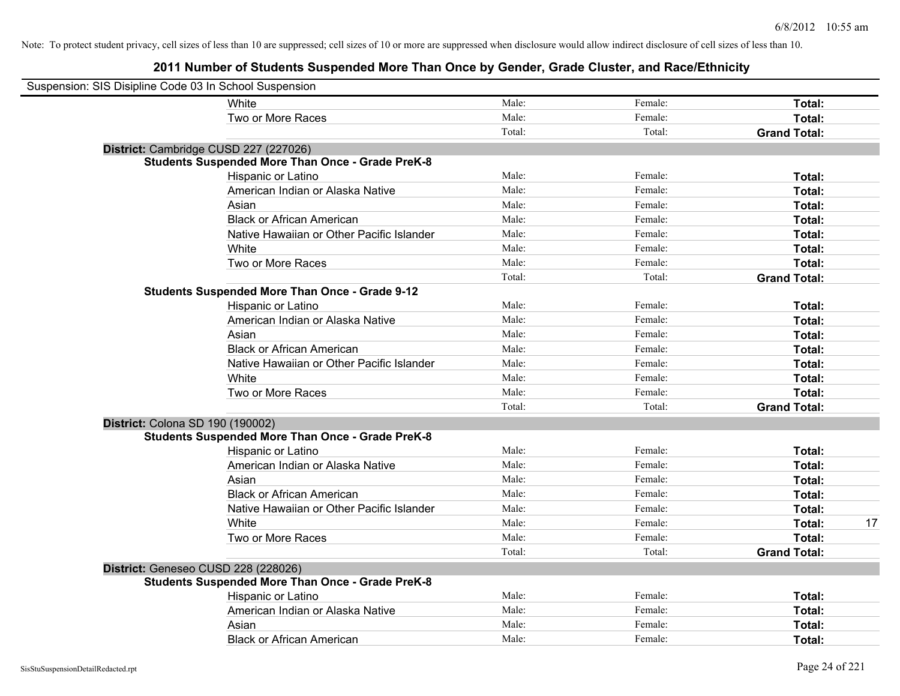| Suspension: SIS Disipline Code 03 In School Suspension |                                                         |        |         |                     |    |
|--------------------------------------------------------|---------------------------------------------------------|--------|---------|---------------------|----|
|                                                        | White                                                   | Male:  | Female: | Total:              |    |
|                                                        | Two or More Races                                       | Male:  | Female: | Total:              |    |
|                                                        |                                                         | Total: | Total:  | <b>Grand Total:</b> |    |
|                                                        | District: Cambridge CUSD 227 (227026)                   |        |         |                     |    |
|                                                        | <b>Students Suspended More Than Once - Grade PreK-8</b> |        |         |                     |    |
|                                                        | Hispanic or Latino                                      | Male:  | Female: | Total:              |    |
|                                                        | American Indian or Alaska Native                        | Male:  | Female: | Total:              |    |
|                                                        | Asian                                                   | Male:  | Female: | Total:              |    |
|                                                        | <b>Black or African American</b>                        | Male:  | Female: | Total:              |    |
|                                                        | Native Hawaiian or Other Pacific Islander               | Male:  | Female: | Total:              |    |
|                                                        | White                                                   | Male:  | Female: | Total:              |    |
|                                                        | Two or More Races                                       | Male:  | Female: | Total:              |    |
|                                                        |                                                         | Total: | Total:  | <b>Grand Total:</b> |    |
|                                                        | <b>Students Suspended More Than Once - Grade 9-12</b>   |        |         |                     |    |
|                                                        | Hispanic or Latino                                      | Male:  | Female: | Total:              |    |
|                                                        | American Indian or Alaska Native                        | Male:  | Female: | Total:              |    |
|                                                        | Asian                                                   | Male:  | Female: | Total:              |    |
|                                                        | <b>Black or African American</b>                        | Male:  | Female: | Total:              |    |
|                                                        | Native Hawaiian or Other Pacific Islander               | Male:  | Female: | Total:              |    |
|                                                        | White                                                   | Male:  | Female: | Total:              |    |
|                                                        | Two or More Races                                       | Male:  | Female: | Total:              |    |
|                                                        |                                                         | Total: | Total:  | <b>Grand Total:</b> |    |
| District: Colona SD 190 (190002)                       |                                                         |        |         |                     |    |
|                                                        | <b>Students Suspended More Than Once - Grade PreK-8</b> |        |         |                     |    |
|                                                        | Hispanic or Latino                                      | Male:  | Female: | Total:              |    |
|                                                        | American Indian or Alaska Native                        | Male:  | Female: | Total:              |    |
|                                                        | Asian                                                   | Male:  | Female: | Total:              |    |
|                                                        | <b>Black or African American</b>                        | Male:  | Female: | Total:              |    |
|                                                        | Native Hawaiian or Other Pacific Islander               | Male:  | Female: | Total:              |    |
|                                                        | White                                                   | Male:  | Female: | Total:              | 17 |
|                                                        | Two or More Races                                       | Male:  | Female: | Total:              |    |
|                                                        |                                                         | Total: | Total:  | <b>Grand Total:</b> |    |
| District: Geneseo CUSD 228 (228026)                    |                                                         |        |         |                     |    |
|                                                        | <b>Students Suspended More Than Once - Grade PreK-8</b> |        |         |                     |    |
|                                                        | Hispanic or Latino                                      | Male:  | Female: | Total:              |    |
|                                                        | American Indian or Alaska Native                        | Male:  | Female: | Total:              |    |
|                                                        | Asian                                                   | Male:  | Female: | Total:              |    |
|                                                        | <b>Black or African American</b>                        | Male:  | Female: | Total:              |    |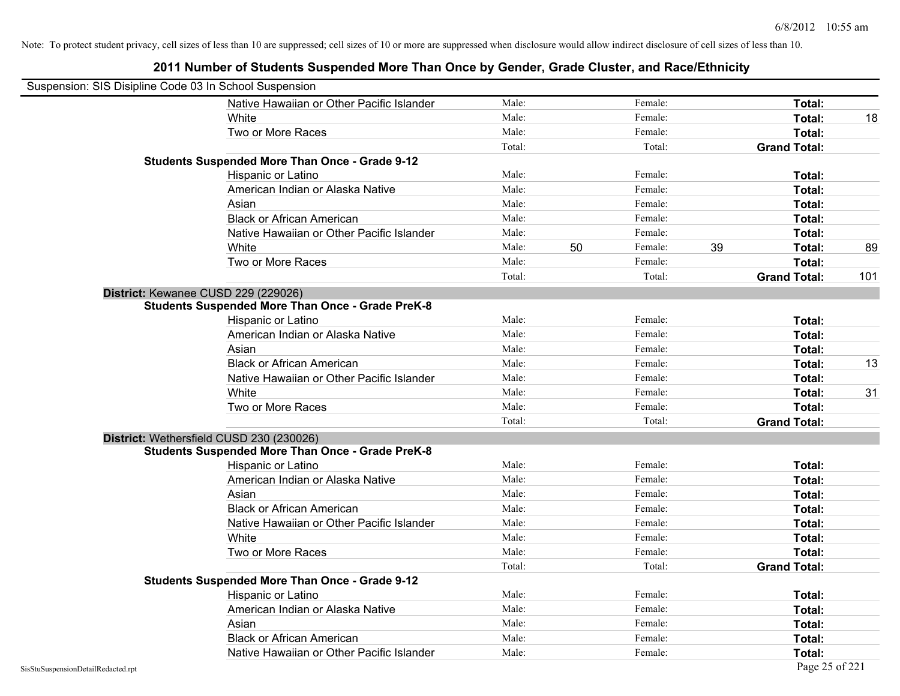|                                    | Suspension: SIS Disipline Code 03 In School Suspension  |        |    |         |    |                     |     |
|------------------------------------|---------------------------------------------------------|--------|----|---------|----|---------------------|-----|
|                                    | Native Hawaiian or Other Pacific Islander               | Male:  |    | Female: |    | Total:              |     |
|                                    | White                                                   | Male:  |    | Female: |    | Total:              | 18  |
|                                    | Two or More Races                                       | Male:  |    | Female: |    | Total:              |     |
|                                    |                                                         | Total: |    | Total:  |    | <b>Grand Total:</b> |     |
|                                    | <b>Students Suspended More Than Once - Grade 9-12</b>   |        |    |         |    |                     |     |
|                                    | Hispanic or Latino                                      | Male:  |    | Female: |    | Total:              |     |
|                                    | American Indian or Alaska Native                        | Male:  |    | Female: |    | Total:              |     |
|                                    | Asian                                                   | Male:  |    | Female: |    | Total:              |     |
|                                    | <b>Black or African American</b>                        | Male:  |    | Female: |    | Total:              |     |
|                                    | Native Hawaiian or Other Pacific Islander               | Male:  |    | Female: |    | Total:              |     |
|                                    | White                                                   | Male:  | 50 | Female: | 39 | <b>Total:</b>       | 89  |
|                                    | Two or More Races                                       | Male:  |    | Female: |    | Total:              |     |
|                                    |                                                         | Total: |    | Total:  |    | <b>Grand Total:</b> | 101 |
|                                    | District: Kewanee CUSD 229 (229026)                     |        |    |         |    |                     |     |
|                                    | <b>Students Suspended More Than Once - Grade PreK-8</b> |        |    |         |    |                     |     |
|                                    | Hispanic or Latino                                      | Male:  |    | Female: |    | <b>Total:</b>       |     |
|                                    | American Indian or Alaska Native                        | Male:  |    | Female: |    | <b>Total:</b>       |     |
|                                    | Asian                                                   | Male:  |    | Female: |    | Total:              |     |
|                                    | <b>Black or African American</b>                        | Male:  |    | Female: |    | Total:              | 13  |
|                                    | Native Hawaiian or Other Pacific Islander               | Male:  |    | Female: |    | Total:              |     |
|                                    | White                                                   | Male:  |    | Female: |    | Total:              | 31  |
|                                    | Two or More Races                                       | Male:  |    | Female: |    | Total:              |     |
|                                    |                                                         | Total: |    | Total:  |    | <b>Grand Total:</b> |     |
|                                    | District: Wethersfield CUSD 230 (230026)                |        |    |         |    |                     |     |
|                                    | <b>Students Suspended More Than Once - Grade PreK-8</b> |        |    |         |    |                     |     |
|                                    | Hispanic or Latino                                      | Male:  |    | Female: |    | Total:              |     |
|                                    | American Indian or Alaska Native                        | Male:  |    | Female: |    | Total:              |     |
|                                    | Asian                                                   | Male:  |    | Female: |    | Total:              |     |
|                                    | <b>Black or African American</b>                        | Male:  |    | Female: |    | Total:              |     |
|                                    | Native Hawaiian or Other Pacific Islander               | Male:  |    | Female: |    | <b>Total:</b>       |     |
|                                    | White                                                   | Male:  |    | Female: |    | Total:              |     |
|                                    | Two or More Races                                       | Male:  |    | Female: |    | Total:              |     |
|                                    |                                                         | Total: |    | Total:  |    | <b>Grand Total:</b> |     |
|                                    | <b>Students Suspended More Than Once - Grade 9-12</b>   |        |    |         |    |                     |     |
|                                    | Hispanic or Latino                                      | Male:  |    | Female: |    | Total:              |     |
|                                    | American Indian or Alaska Native                        | Male:  |    | Female: |    | Total:              |     |
|                                    | Asian                                                   | Male:  |    | Female: |    | Total:              |     |
|                                    | <b>Black or African American</b>                        | Male:  |    | Female: |    | Total:              |     |
|                                    | Native Hawaiian or Other Pacific Islander               | Male:  |    | Female: |    | <b>Total:</b>       |     |
| SisStuSuspensionDetailRedacted.rpt |                                                         |        |    |         |    | Page 25 of 221      |     |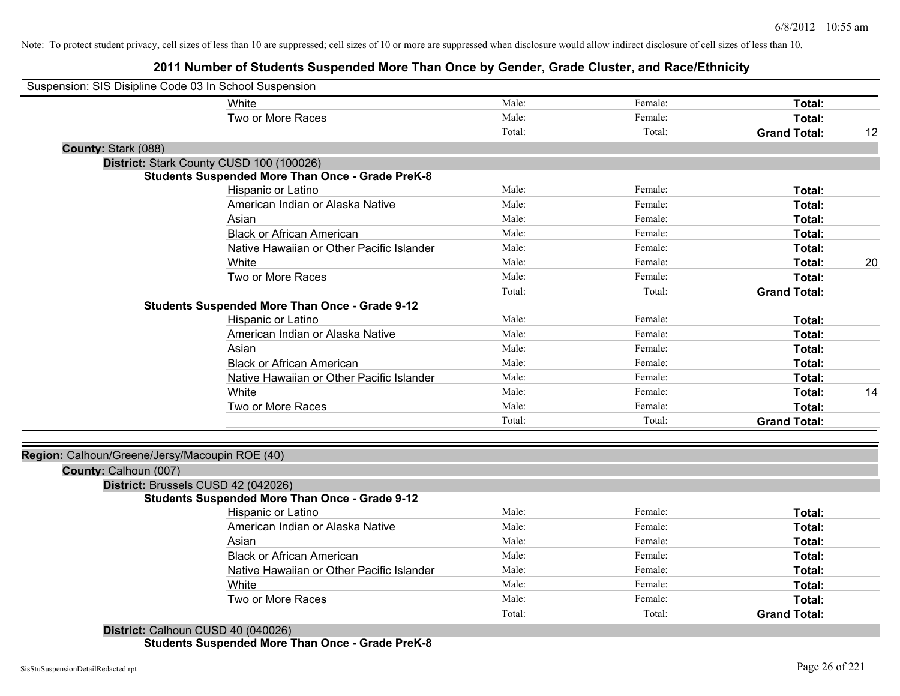# **2011 Number of Students Suspended More Than Once by Gender, Grade Cluster, and Race/Ethnicity**

| Suspension: SIS Disipline Code 03 In School Suspension  |        |         |                     |    |
|---------------------------------------------------------|--------|---------|---------------------|----|
| White                                                   | Male:  | Female: | Total:              |    |
| Two or More Races                                       | Male:  | Female: | Total:              |    |
|                                                         | Total: | Total:  | <b>Grand Total:</b> | 12 |
| County: Stark (088)                                     |        |         |                     |    |
| District: Stark County CUSD 100 (100026)                |        |         |                     |    |
| <b>Students Suspended More Than Once - Grade PreK-8</b> |        |         |                     |    |
| Hispanic or Latino                                      | Male:  | Female: | Total:              |    |
| American Indian or Alaska Native                        | Male:  | Female: | Total:              |    |
| Asian                                                   | Male:  | Female: | Total:              |    |
| <b>Black or African American</b>                        | Male:  | Female: | Total:              |    |
| Native Hawaiian or Other Pacific Islander               | Male:  | Female: | Total:              |    |
| White                                                   | Male:  | Female: | <b>Total:</b>       | 20 |
| Two or More Races                                       | Male:  | Female: | Total:              |    |
|                                                         | Total: | Total:  | <b>Grand Total:</b> |    |
| <b>Students Suspended More Than Once - Grade 9-12</b>   |        |         |                     |    |
| Hispanic or Latino                                      | Male:  | Female: | Total:              |    |
| American Indian or Alaska Native                        | Male:  | Female: | Total:              |    |
| Asian                                                   | Male:  | Female: | Total:              |    |
| <b>Black or African American</b>                        | Male:  | Female: | Total:              |    |
| Native Hawaiian or Other Pacific Islander               | Male:  | Female: | Total:              |    |
| White                                                   | Male:  | Female: | Total:              | 14 |
| Two or More Races                                       | Male:  | Female: | Total:              |    |
|                                                         | Total: | Total:  | <b>Grand Total:</b> |    |
|                                                         |        |         |                     |    |
| Region: Calhoun/Greene/Jersy/Macoupin ROE (40)          |        |         |                     |    |
| County: Calhoun (007)                                   |        |         |                     |    |
| District: Brussels CUSD 42 (042026)                     |        |         |                     |    |
| <b>Students Suspended More Than Once - Grade 9-12</b>   |        |         |                     |    |
| Hispanic or Latino                                      | Male:  | Female: | Total:              |    |
| American Indian or Alaska Native                        | Male:  | Female: | Total:              |    |
| Asian                                                   | Male:  | Female: | Total:              |    |
| <b>Black or African American</b>                        | Male:  | Female: | Total:              |    |
| Native Hawaiian or Other Pacific Islander               | Male:  | Female: | Total:              |    |
| White                                                   | Male:  | Female: | Total:              |    |
| Two or More Races                                       | Male:  | Female: | Total:              |    |
| <b>PERSONAL PROPERTY</b><br>$QUOP$ 10 (0.10000)         | Total: | Total:  | <b>Grand Total:</b> |    |

**District:** Calhoun CUSD 40 (040026) **Students Suspended More Than Once - Grade PreK-8**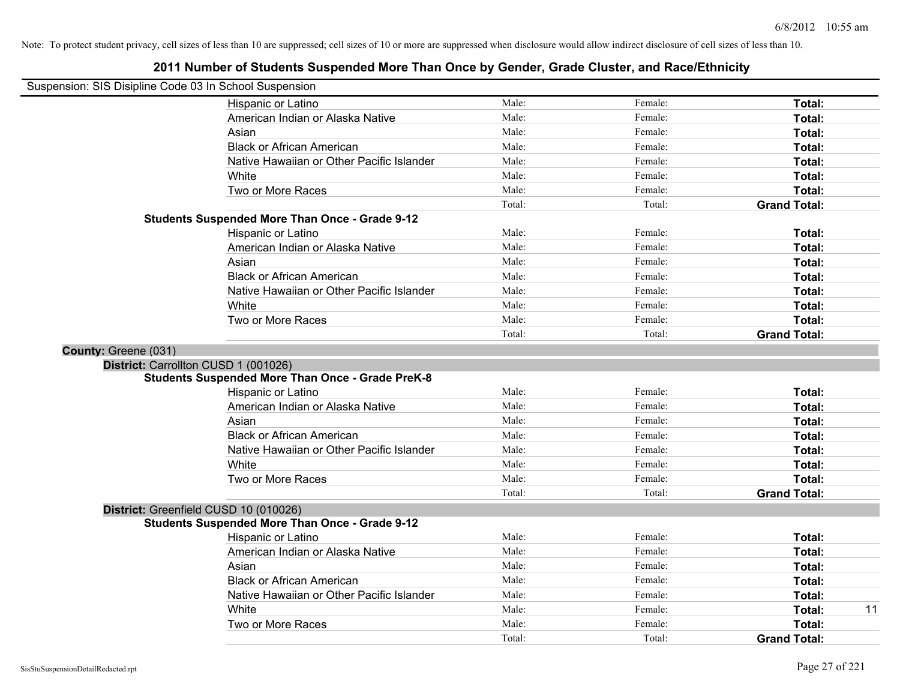| Suspension: SIS Disipline Code 03 In School Suspension |                                                         |        |         |                     |
|--------------------------------------------------------|---------------------------------------------------------|--------|---------|---------------------|
|                                                        | Hispanic or Latino                                      | Male:  | Female: | Total:              |
|                                                        | American Indian or Alaska Native                        | Male:  | Female: | Total:              |
|                                                        | Asian                                                   | Male:  | Female: | Total:              |
|                                                        | <b>Black or African American</b>                        | Male:  | Female: | Total:              |
|                                                        | Native Hawaiian or Other Pacific Islander               | Male:  | Female: | Total:              |
|                                                        | White                                                   | Male:  | Female: | Total:              |
|                                                        | Two or More Races                                       | Male:  | Female: | Total:              |
|                                                        |                                                         | Total: | Total:  | <b>Grand Total:</b> |
|                                                        | Students Suspended More Than Once - Grade 9-12          |        |         |                     |
|                                                        | Hispanic or Latino                                      | Male:  | Female: | Total:              |
|                                                        | American Indian or Alaska Native                        | Male:  | Female: | Total:              |
|                                                        | Asian                                                   | Male:  | Female: | Total:              |
|                                                        | <b>Black or African American</b>                        | Male:  | Female: | Total:              |
|                                                        | Native Hawaiian or Other Pacific Islander               | Male:  | Female: | Total:              |
|                                                        | White                                                   | Male:  | Female: | Total:              |
|                                                        | Two or More Races                                       | Male:  | Female: | Total:              |
|                                                        |                                                         | Total: | Total:  | <b>Grand Total:</b> |
| County: Greene (031)                                   |                                                         |        |         |                     |
|                                                        | District: Carrollton CUSD 1 (001026)                    |        |         |                     |
|                                                        | <b>Students Suspended More Than Once - Grade PreK-8</b> |        |         |                     |
|                                                        | Hispanic or Latino                                      | Male:  | Female: | Total:              |
|                                                        | American Indian or Alaska Native                        | Male:  | Female: | Total:              |
|                                                        | Asian                                                   | Male:  | Female: | Total:              |
|                                                        | <b>Black or African American</b>                        | Male:  | Female: | Total:              |
|                                                        | Native Hawaiian or Other Pacific Islander               | Male:  | Female: | Total:              |
|                                                        | White                                                   | Male:  | Female: | Total:              |
|                                                        | Two or More Races                                       | Male:  | Female: | Total:              |
|                                                        |                                                         | Total: | Total:  | <b>Grand Total:</b> |
|                                                        | District: Greenfield CUSD 10 (010026)                   |        |         |                     |
|                                                        | <b>Students Suspended More Than Once - Grade 9-12</b>   |        |         |                     |
|                                                        | Hispanic or Latino                                      | Male:  | Female: | Total:              |
|                                                        | American Indian or Alaska Native                        | Male:  | Female: | Total:              |
|                                                        | Asian                                                   | Male:  | Female: | Total:              |
|                                                        | <b>Black or African American</b>                        | Male:  | Female: | Total:              |
|                                                        | Native Hawaiian or Other Pacific Islander               | Male:  | Female: | Total:              |
|                                                        | White                                                   | Male:  | Female: | 11<br>Total:        |
|                                                        | Two or More Races                                       | Male:  | Female: | Total:              |
|                                                        |                                                         | Total: | Total:  | <b>Grand Total:</b> |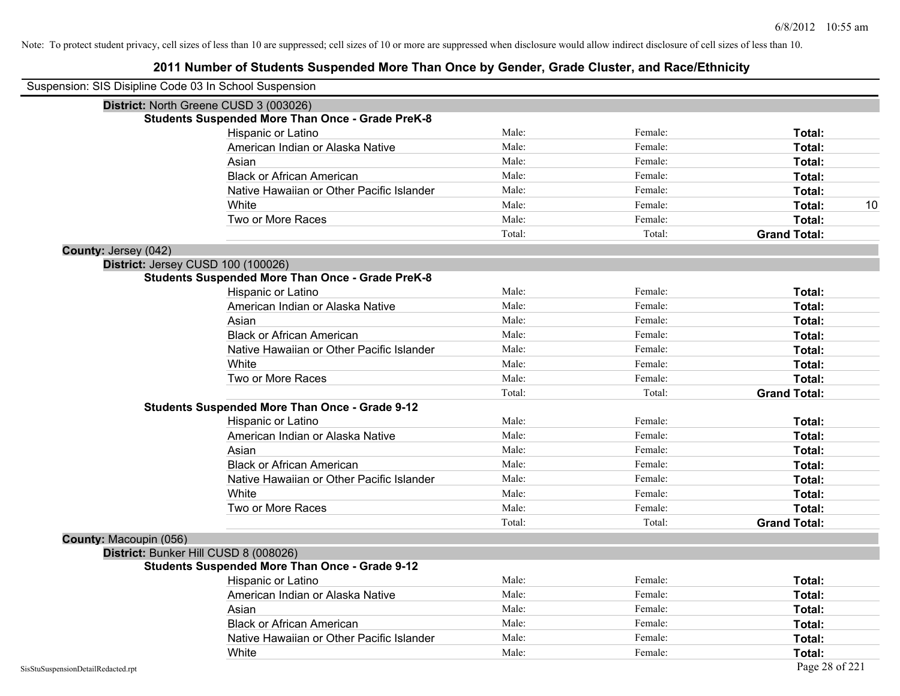| Suspension: SIS Disipline Code 03 In School Suspension |                                                         |        |         |                     |
|--------------------------------------------------------|---------------------------------------------------------|--------|---------|---------------------|
|                                                        | District: North Greene CUSD 3 (003026)                  |        |         |                     |
|                                                        | <b>Students Suspended More Than Once - Grade PreK-8</b> |        |         |                     |
|                                                        | Hispanic or Latino                                      | Male:  | Female: | Total:              |
|                                                        | American Indian or Alaska Native                        | Male:  | Female: | Total:              |
|                                                        | Asian                                                   | Male:  | Female: | Total:              |
|                                                        | <b>Black or African American</b>                        | Male:  | Female: | Total:              |
|                                                        | Native Hawaiian or Other Pacific Islander               | Male:  | Female: | Total:              |
|                                                        | White                                                   | Male:  | Female: | 10<br>Total:        |
|                                                        | Two or More Races                                       | Male:  | Female: | Total:              |
|                                                        |                                                         | Total: | Total:  | <b>Grand Total:</b> |
| <b>County: Jersey (042)</b>                            |                                                         |        |         |                     |
|                                                        | District: Jersey CUSD 100 (100026)                      |        |         |                     |
|                                                        | <b>Students Suspended More Than Once - Grade PreK-8</b> |        |         |                     |
|                                                        | Hispanic or Latino                                      | Male:  | Female: | Total:              |
|                                                        | American Indian or Alaska Native                        | Male:  | Female: | Total:              |
|                                                        | Asian                                                   | Male:  | Female: | Total:              |
|                                                        | <b>Black or African American</b>                        | Male:  | Female: | Total:              |
|                                                        | Native Hawaiian or Other Pacific Islander               | Male:  | Female: | Total:              |
|                                                        | White                                                   | Male:  | Female: | Total:              |
|                                                        | Two or More Races                                       | Male:  | Female: | Total:              |
|                                                        |                                                         | Total: | Total:  | <b>Grand Total:</b> |
|                                                        | <b>Students Suspended More Than Once - Grade 9-12</b>   |        |         |                     |
|                                                        | Hispanic or Latino                                      | Male:  | Female: | Total:              |
|                                                        | American Indian or Alaska Native                        | Male:  | Female: | Total:              |
|                                                        | Asian                                                   | Male:  | Female: | Total:              |
|                                                        | <b>Black or African American</b>                        | Male:  | Female: | Total:              |
|                                                        | Native Hawaiian or Other Pacific Islander               | Male:  | Female: | Total:              |
|                                                        | White                                                   | Male:  | Female: | Total:              |
|                                                        | Two or More Races                                       | Male:  | Female: | Total:              |
|                                                        |                                                         | Total: | Total:  | <b>Grand Total:</b> |
| County: Macoupin (056)                                 |                                                         |        |         |                     |
|                                                        | District: Bunker Hill CUSD 8 (008026)                   |        |         |                     |
|                                                        | <b>Students Suspended More Than Once - Grade 9-12</b>   |        |         |                     |
|                                                        | Hispanic or Latino                                      | Male:  | Female: | Total:              |
|                                                        | American Indian or Alaska Native                        | Male:  | Female: | Total:              |
|                                                        | Asian                                                   | Male:  | Female: | Total:              |
|                                                        | <b>Black or African American</b>                        | Male:  | Female: | Total:              |
|                                                        | Native Hawaiian or Other Pacific Islander               | Male:  | Female: | Total:              |
|                                                        | White                                                   | Male:  | Female: | Total:              |
| SisStuSuspensionDetailRedacted.rpt                     |                                                         |        |         | Page 28 of 221      |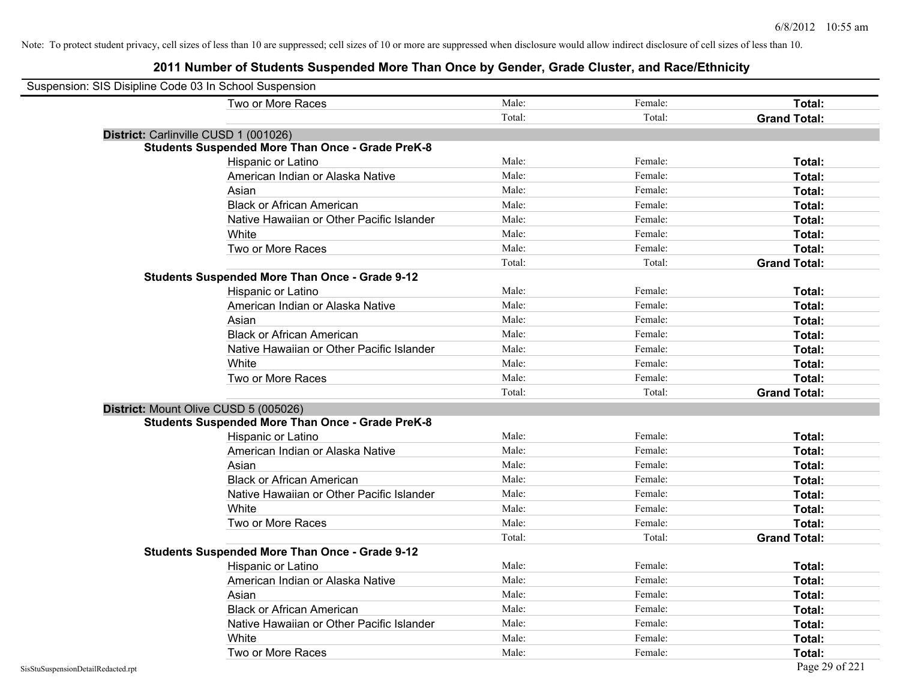| Suspension: SIS Disipline Code 03 In School Suspension |                                                         |        |         |                     |
|--------------------------------------------------------|---------------------------------------------------------|--------|---------|---------------------|
|                                                        | Two or More Races                                       | Male:  | Female: | Total:              |
|                                                        |                                                         | Total: | Total:  | <b>Grand Total:</b> |
| District: Carlinville CUSD 1 (001026)                  |                                                         |        |         |                     |
|                                                        | <b>Students Suspended More Than Once - Grade PreK-8</b> |        |         |                     |
|                                                        | Hispanic or Latino                                      | Male:  | Female: | Total:              |
|                                                        | American Indian or Alaska Native                        | Male:  | Female: | Total:              |
|                                                        | Asian                                                   | Male:  | Female: | Total:              |
|                                                        | <b>Black or African American</b>                        | Male:  | Female: | Total:              |
|                                                        | Native Hawaiian or Other Pacific Islander               | Male:  | Female: | Total:              |
|                                                        | White                                                   | Male:  | Female: | Total:              |
|                                                        | Two or More Races                                       | Male:  | Female: | Total:              |
|                                                        |                                                         | Total: | Total:  | <b>Grand Total:</b> |
|                                                        | <b>Students Suspended More Than Once - Grade 9-12</b>   |        |         |                     |
|                                                        | Hispanic or Latino                                      | Male:  | Female: | Total:              |
|                                                        | American Indian or Alaska Native                        | Male:  | Female: | Total:              |
|                                                        | Asian                                                   | Male:  | Female: | Total:              |
|                                                        | <b>Black or African American</b>                        | Male:  | Female: | Total:              |
|                                                        | Native Hawaiian or Other Pacific Islander               | Male:  | Female: | Total:              |
|                                                        | White                                                   | Male:  | Female: | Total:              |
|                                                        | Two or More Races                                       | Male:  | Female: | Total:              |
|                                                        |                                                         | Total: | Total:  | <b>Grand Total:</b> |
| District: Mount Olive CUSD 5 (005026)                  |                                                         |        |         |                     |
|                                                        | <b>Students Suspended More Than Once - Grade PreK-8</b> |        |         |                     |
|                                                        | Hispanic or Latino                                      | Male:  | Female: | Total:              |
|                                                        | American Indian or Alaska Native                        | Male:  | Female: | Total:              |
|                                                        | Asian                                                   | Male:  | Female: | Total:              |
|                                                        | <b>Black or African American</b>                        | Male:  | Female: | Total:              |
|                                                        | Native Hawaiian or Other Pacific Islander               | Male:  | Female: | Total:              |
|                                                        | White                                                   | Male:  | Female: | Total:              |
|                                                        | Two or More Races                                       | Male:  | Female: | Total:              |
|                                                        |                                                         | Total: | Total:  | <b>Grand Total:</b> |
|                                                        | <b>Students Suspended More Than Once - Grade 9-12</b>   |        |         |                     |
|                                                        | Hispanic or Latino                                      | Male:  | Female: | Total:              |
|                                                        | American Indian or Alaska Native                        | Male:  | Female: | Total:              |
|                                                        | Asian                                                   | Male:  | Female: | Total:              |
|                                                        | <b>Black or African American</b>                        | Male:  | Female: | Total:              |
|                                                        | Native Hawaiian or Other Pacific Islander               | Male:  | Female: | Total:              |
|                                                        | White                                                   | Male:  | Female: | Total:              |
|                                                        | Two or More Races                                       | Male:  | Female: | Total:              |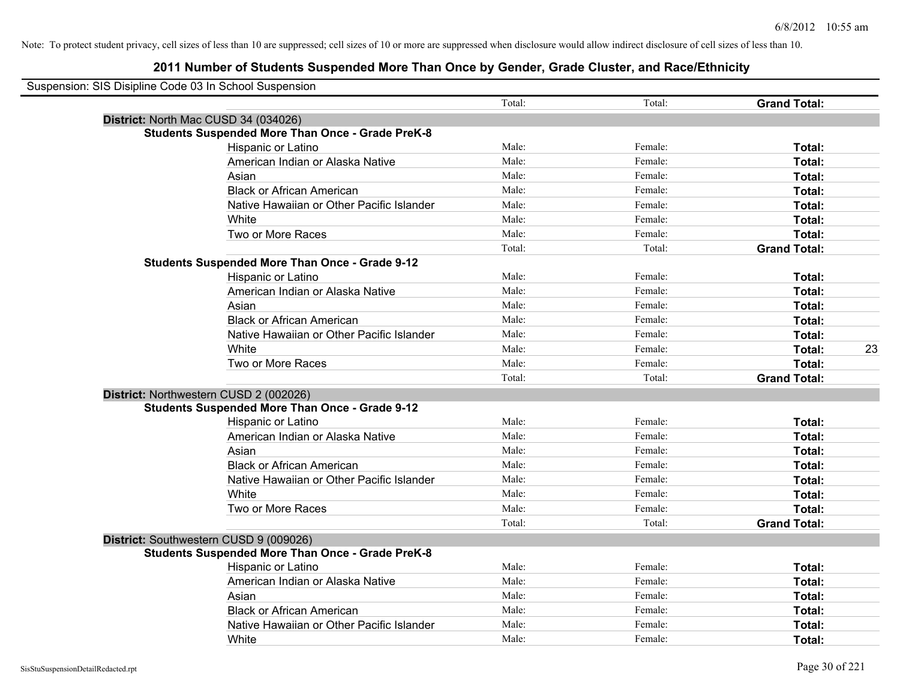| Suspension: SIS Disipline Code 03 In School Suspension  |        |         |                     |    |
|---------------------------------------------------------|--------|---------|---------------------|----|
|                                                         | Total: | Total:  | <b>Grand Total:</b> |    |
| District: North Mac CUSD 34 (034026)                    |        |         |                     |    |
| <b>Students Suspended More Than Once - Grade PreK-8</b> |        |         |                     |    |
| Hispanic or Latino                                      | Male:  | Female: | Total:              |    |
| American Indian or Alaska Native                        | Male:  | Female: | Total:              |    |
| Asian                                                   | Male:  | Female: | Total:              |    |
| <b>Black or African American</b>                        | Male:  | Female: | Total:              |    |
| Native Hawaiian or Other Pacific Islander               | Male:  | Female: | Total:              |    |
| White                                                   | Male:  | Female: | Total:              |    |
| Two or More Races                                       | Male:  | Female: | Total:              |    |
|                                                         | Total: | Total:  | <b>Grand Total:</b> |    |
| <b>Students Suspended More Than Once - Grade 9-12</b>   |        |         |                     |    |
| Hispanic or Latino                                      | Male:  | Female: | Total:              |    |
| American Indian or Alaska Native                        | Male:  | Female: | Total:              |    |
| Asian                                                   | Male:  | Female: | Total:              |    |
| <b>Black or African American</b>                        | Male:  | Female: | Total:              |    |
| Native Hawaiian or Other Pacific Islander               | Male:  | Female: | Total:              |    |
| White                                                   | Male:  | Female: | Total:              | 23 |
| Two or More Races                                       | Male:  | Female: | Total:              |    |
|                                                         | Total: | Total:  | <b>Grand Total:</b> |    |
| District: Northwestern CUSD 2 (002026)                  |        |         |                     |    |
| <b>Students Suspended More Than Once - Grade 9-12</b>   |        |         |                     |    |
| Hispanic or Latino                                      | Male:  | Female: | Total:              |    |
| American Indian or Alaska Native                        | Male:  | Female: | Total:              |    |
| Asian                                                   | Male:  | Female: | Total:              |    |
| <b>Black or African American</b>                        | Male:  | Female: | Total:              |    |
| Native Hawaiian or Other Pacific Islander               | Male:  | Female: | Total:              |    |
| White                                                   | Male:  | Female: | Total:              |    |
| Two or More Races                                       | Male:  | Female: | Total:              |    |
|                                                         | Total: | Total:  | <b>Grand Total:</b> |    |
| District: Southwestern CUSD 9 (009026)                  |        |         |                     |    |
| <b>Students Suspended More Than Once - Grade PreK-8</b> |        |         |                     |    |
| <b>Hispanic or Latino</b>                               | Male:  | Female: | Total:              |    |
| American Indian or Alaska Native                        | Male:  | Female: | Total:              |    |
| Asian                                                   | Male:  | Female: | Total:              |    |
| <b>Black or African American</b>                        | Male:  | Female: | Total:              |    |
| Native Hawaiian or Other Pacific Islander               | Male:  | Female: | <b>Total:</b>       |    |
| White                                                   | Male:  | Female: | Total:              |    |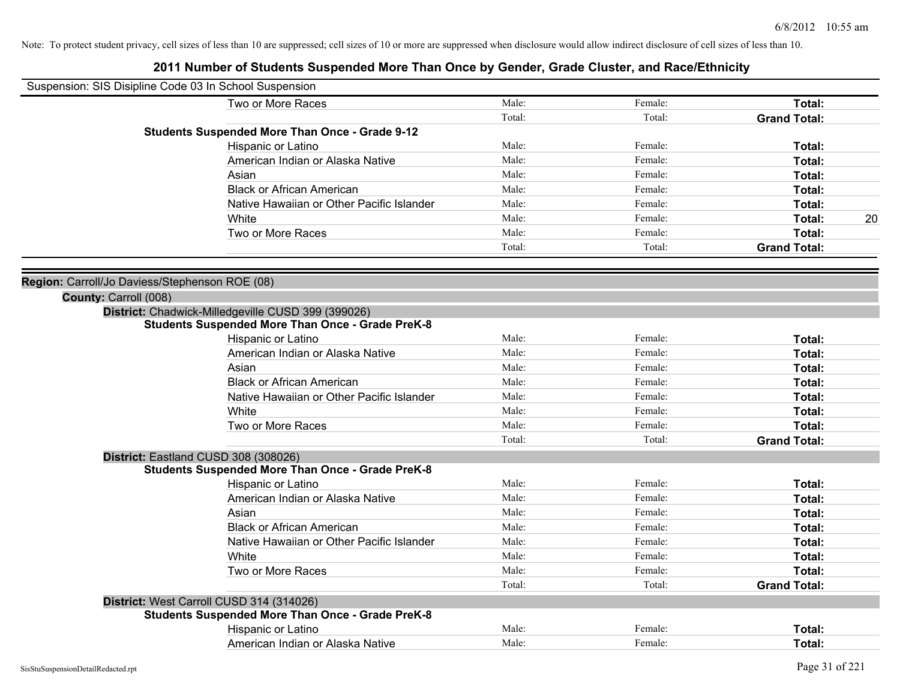| Male:<br>Female:<br>Total:<br>Two or More Races<br>Total:<br>Total:<br><b>Grand Total:</b><br><b>Students Suspended More Than Once - Grade 9-12</b><br>Male:<br>Female:<br>Total:<br>Hispanic or Latino<br>Male:<br>American Indian or Alaska Native<br>Female:<br>Total:<br>Asian<br>Male:<br>Female:<br>Total:<br>Male:<br><b>Black or African American</b><br>Female:<br>Total:<br>Male:<br>Native Hawaiian or Other Pacific Islander<br>Female:<br>Total:<br>Male:<br>Female:<br>20<br>White<br>Total:<br>Male:<br>Two or More Races<br>Female:<br>Total:<br>Total:<br>Total:<br><b>Grand Total:</b><br>Region: Carroll/Jo Daviess/Stephenson ROE (08)<br>County: Carroll (008)<br>District: Chadwick-Milledgeville CUSD 399 (399026)<br><b>Students Suspended More Than Once - Grade PreK-8</b><br>Male:<br>Hispanic or Latino<br>Female:<br>Total:<br>Male:<br>Female:<br>American Indian or Alaska Native<br>Total:<br>Male:<br>Female:<br>Total:<br>Asian<br>Male:<br><b>Black or African American</b><br>Female:<br>Total:<br>Male:<br>Female:<br>Native Hawaiian or Other Pacific Islander<br>Total:<br>Male:<br>White<br>Female:<br>Total:<br>Male:<br>Two or More Races<br>Female:<br>Total:<br>Total:<br>Total:<br><b>Grand Total:</b><br>District: Eastland CUSD 308 (308026)<br><b>Students Suspended More Than Once - Grade PreK-8</b><br>Male:<br>Female:<br>Hispanic or Latino<br>Total:<br>American Indian or Alaska Native<br>Male:<br>Female:<br>Total:<br>Male:<br>Asian<br>Female:<br>Total:<br>Male:<br><b>Black or African American</b><br>Female:<br>Total:<br>Male:<br>Native Hawaiian or Other Pacific Islander<br>Female:<br>Total:<br>White<br>Male:<br>Female:<br>Total:<br>Two or More Races<br>Male:<br>Female:<br>Total:<br>Total:<br>Total:<br><b>Grand Total:</b><br>District: West Carroll CUSD 314 (314026)<br><b>Students Suspended More Than Once - Grade PreK-8</b><br>Male:<br>Female:<br>Hispanic or Latino<br>Total:<br>Male:<br>American Indian or Alaska Native<br>Female:<br>Total: | Suspension: SIS Disipline Code 03 In School Suspension |  |  |
|------------------------------------------------------------------------------------------------------------------------------------------------------------------------------------------------------------------------------------------------------------------------------------------------------------------------------------------------------------------------------------------------------------------------------------------------------------------------------------------------------------------------------------------------------------------------------------------------------------------------------------------------------------------------------------------------------------------------------------------------------------------------------------------------------------------------------------------------------------------------------------------------------------------------------------------------------------------------------------------------------------------------------------------------------------------------------------------------------------------------------------------------------------------------------------------------------------------------------------------------------------------------------------------------------------------------------------------------------------------------------------------------------------------------------------------------------------------------------------------------------------------------------------------------------------------------------------------------------------------------------------------------------------------------------------------------------------------------------------------------------------------------------------------------------------------------------------------------------------------------------------------------------------------------------------------------------------------------------------------------------------------------------------|--------------------------------------------------------|--|--|
|                                                                                                                                                                                                                                                                                                                                                                                                                                                                                                                                                                                                                                                                                                                                                                                                                                                                                                                                                                                                                                                                                                                                                                                                                                                                                                                                                                                                                                                                                                                                                                                                                                                                                                                                                                                                                                                                                                                                                                                                                                    |                                                        |  |  |
|                                                                                                                                                                                                                                                                                                                                                                                                                                                                                                                                                                                                                                                                                                                                                                                                                                                                                                                                                                                                                                                                                                                                                                                                                                                                                                                                                                                                                                                                                                                                                                                                                                                                                                                                                                                                                                                                                                                                                                                                                                    |                                                        |  |  |
|                                                                                                                                                                                                                                                                                                                                                                                                                                                                                                                                                                                                                                                                                                                                                                                                                                                                                                                                                                                                                                                                                                                                                                                                                                                                                                                                                                                                                                                                                                                                                                                                                                                                                                                                                                                                                                                                                                                                                                                                                                    |                                                        |  |  |
|                                                                                                                                                                                                                                                                                                                                                                                                                                                                                                                                                                                                                                                                                                                                                                                                                                                                                                                                                                                                                                                                                                                                                                                                                                                                                                                                                                                                                                                                                                                                                                                                                                                                                                                                                                                                                                                                                                                                                                                                                                    |                                                        |  |  |
|                                                                                                                                                                                                                                                                                                                                                                                                                                                                                                                                                                                                                                                                                                                                                                                                                                                                                                                                                                                                                                                                                                                                                                                                                                                                                                                                                                                                                                                                                                                                                                                                                                                                                                                                                                                                                                                                                                                                                                                                                                    |                                                        |  |  |
|                                                                                                                                                                                                                                                                                                                                                                                                                                                                                                                                                                                                                                                                                                                                                                                                                                                                                                                                                                                                                                                                                                                                                                                                                                                                                                                                                                                                                                                                                                                                                                                                                                                                                                                                                                                                                                                                                                                                                                                                                                    |                                                        |  |  |
|                                                                                                                                                                                                                                                                                                                                                                                                                                                                                                                                                                                                                                                                                                                                                                                                                                                                                                                                                                                                                                                                                                                                                                                                                                                                                                                                                                                                                                                                                                                                                                                                                                                                                                                                                                                                                                                                                                                                                                                                                                    |                                                        |  |  |
|                                                                                                                                                                                                                                                                                                                                                                                                                                                                                                                                                                                                                                                                                                                                                                                                                                                                                                                                                                                                                                                                                                                                                                                                                                                                                                                                                                                                                                                                                                                                                                                                                                                                                                                                                                                                                                                                                                                                                                                                                                    |                                                        |  |  |
|                                                                                                                                                                                                                                                                                                                                                                                                                                                                                                                                                                                                                                                                                                                                                                                                                                                                                                                                                                                                                                                                                                                                                                                                                                                                                                                                                                                                                                                                                                                                                                                                                                                                                                                                                                                                                                                                                                                                                                                                                                    |                                                        |  |  |
|                                                                                                                                                                                                                                                                                                                                                                                                                                                                                                                                                                                                                                                                                                                                                                                                                                                                                                                                                                                                                                                                                                                                                                                                                                                                                                                                                                                                                                                                                                                                                                                                                                                                                                                                                                                                                                                                                                                                                                                                                                    |                                                        |  |  |
|                                                                                                                                                                                                                                                                                                                                                                                                                                                                                                                                                                                                                                                                                                                                                                                                                                                                                                                                                                                                                                                                                                                                                                                                                                                                                                                                                                                                                                                                                                                                                                                                                                                                                                                                                                                                                                                                                                                                                                                                                                    |                                                        |  |  |
|                                                                                                                                                                                                                                                                                                                                                                                                                                                                                                                                                                                                                                                                                                                                                                                                                                                                                                                                                                                                                                                                                                                                                                                                                                                                                                                                                                                                                                                                                                                                                                                                                                                                                                                                                                                                                                                                                                                                                                                                                                    |                                                        |  |  |
|                                                                                                                                                                                                                                                                                                                                                                                                                                                                                                                                                                                                                                                                                                                                                                                                                                                                                                                                                                                                                                                                                                                                                                                                                                                                                                                                                                                                                                                                                                                                                                                                                                                                                                                                                                                                                                                                                                                                                                                                                                    |                                                        |  |  |
|                                                                                                                                                                                                                                                                                                                                                                                                                                                                                                                                                                                                                                                                                                                                                                                                                                                                                                                                                                                                                                                                                                                                                                                                                                                                                                                                                                                                                                                                                                                                                                                                                                                                                                                                                                                                                                                                                                                                                                                                                                    |                                                        |  |  |
|                                                                                                                                                                                                                                                                                                                                                                                                                                                                                                                                                                                                                                                                                                                                                                                                                                                                                                                                                                                                                                                                                                                                                                                                                                                                                                                                                                                                                                                                                                                                                                                                                                                                                                                                                                                                                                                                                                                                                                                                                                    |                                                        |  |  |
|                                                                                                                                                                                                                                                                                                                                                                                                                                                                                                                                                                                                                                                                                                                                                                                                                                                                                                                                                                                                                                                                                                                                                                                                                                                                                                                                                                                                                                                                                                                                                                                                                                                                                                                                                                                                                                                                                                                                                                                                                                    |                                                        |  |  |
|                                                                                                                                                                                                                                                                                                                                                                                                                                                                                                                                                                                                                                                                                                                                                                                                                                                                                                                                                                                                                                                                                                                                                                                                                                                                                                                                                                                                                                                                                                                                                                                                                                                                                                                                                                                                                                                                                                                                                                                                                                    |                                                        |  |  |
|                                                                                                                                                                                                                                                                                                                                                                                                                                                                                                                                                                                                                                                                                                                                                                                                                                                                                                                                                                                                                                                                                                                                                                                                                                                                                                                                                                                                                                                                                                                                                                                                                                                                                                                                                                                                                                                                                                                                                                                                                                    |                                                        |  |  |
|                                                                                                                                                                                                                                                                                                                                                                                                                                                                                                                                                                                                                                                                                                                                                                                                                                                                                                                                                                                                                                                                                                                                                                                                                                                                                                                                                                                                                                                                                                                                                                                                                                                                                                                                                                                                                                                                                                                                                                                                                                    |                                                        |  |  |
|                                                                                                                                                                                                                                                                                                                                                                                                                                                                                                                                                                                                                                                                                                                                                                                                                                                                                                                                                                                                                                                                                                                                                                                                                                                                                                                                                                                                                                                                                                                                                                                                                                                                                                                                                                                                                                                                                                                                                                                                                                    |                                                        |  |  |
|                                                                                                                                                                                                                                                                                                                                                                                                                                                                                                                                                                                                                                                                                                                                                                                                                                                                                                                                                                                                                                                                                                                                                                                                                                                                                                                                                                                                                                                                                                                                                                                                                                                                                                                                                                                                                                                                                                                                                                                                                                    |                                                        |  |  |
|                                                                                                                                                                                                                                                                                                                                                                                                                                                                                                                                                                                                                                                                                                                                                                                                                                                                                                                                                                                                                                                                                                                                                                                                                                                                                                                                                                                                                                                                                                                                                                                                                                                                                                                                                                                                                                                                                                                                                                                                                                    |                                                        |  |  |
|                                                                                                                                                                                                                                                                                                                                                                                                                                                                                                                                                                                                                                                                                                                                                                                                                                                                                                                                                                                                                                                                                                                                                                                                                                                                                                                                                                                                                                                                                                                                                                                                                                                                                                                                                                                                                                                                                                                                                                                                                                    |                                                        |  |  |
|                                                                                                                                                                                                                                                                                                                                                                                                                                                                                                                                                                                                                                                                                                                                                                                                                                                                                                                                                                                                                                                                                                                                                                                                                                                                                                                                                                                                                                                                                                                                                                                                                                                                                                                                                                                                                                                                                                                                                                                                                                    |                                                        |  |  |
|                                                                                                                                                                                                                                                                                                                                                                                                                                                                                                                                                                                                                                                                                                                                                                                                                                                                                                                                                                                                                                                                                                                                                                                                                                                                                                                                                                                                                                                                                                                                                                                                                                                                                                                                                                                                                                                                                                                                                                                                                                    |                                                        |  |  |
|                                                                                                                                                                                                                                                                                                                                                                                                                                                                                                                                                                                                                                                                                                                                                                                                                                                                                                                                                                                                                                                                                                                                                                                                                                                                                                                                                                                                                                                                                                                                                                                                                                                                                                                                                                                                                                                                                                                                                                                                                                    |                                                        |  |  |
|                                                                                                                                                                                                                                                                                                                                                                                                                                                                                                                                                                                                                                                                                                                                                                                                                                                                                                                                                                                                                                                                                                                                                                                                                                                                                                                                                                                                                                                                                                                                                                                                                                                                                                                                                                                                                                                                                                                                                                                                                                    |                                                        |  |  |
|                                                                                                                                                                                                                                                                                                                                                                                                                                                                                                                                                                                                                                                                                                                                                                                                                                                                                                                                                                                                                                                                                                                                                                                                                                                                                                                                                                                                                                                                                                                                                                                                                                                                                                                                                                                                                                                                                                                                                                                                                                    |                                                        |  |  |
|                                                                                                                                                                                                                                                                                                                                                                                                                                                                                                                                                                                                                                                                                                                                                                                                                                                                                                                                                                                                                                                                                                                                                                                                                                                                                                                                                                                                                                                                                                                                                                                                                                                                                                                                                                                                                                                                                                                                                                                                                                    |                                                        |  |  |
|                                                                                                                                                                                                                                                                                                                                                                                                                                                                                                                                                                                                                                                                                                                                                                                                                                                                                                                                                                                                                                                                                                                                                                                                                                                                                                                                                                                                                                                                                                                                                                                                                                                                                                                                                                                                                                                                                                                                                                                                                                    |                                                        |  |  |
|                                                                                                                                                                                                                                                                                                                                                                                                                                                                                                                                                                                                                                                                                                                                                                                                                                                                                                                                                                                                                                                                                                                                                                                                                                                                                                                                                                                                                                                                                                                                                                                                                                                                                                                                                                                                                                                                                                                                                                                                                                    |                                                        |  |  |
|                                                                                                                                                                                                                                                                                                                                                                                                                                                                                                                                                                                                                                                                                                                                                                                                                                                                                                                                                                                                                                                                                                                                                                                                                                                                                                                                                                                                                                                                                                                                                                                                                                                                                                                                                                                                                                                                                                                                                                                                                                    |                                                        |  |  |
|                                                                                                                                                                                                                                                                                                                                                                                                                                                                                                                                                                                                                                                                                                                                                                                                                                                                                                                                                                                                                                                                                                                                                                                                                                                                                                                                                                                                                                                                                                                                                                                                                                                                                                                                                                                                                                                                                                                                                                                                                                    |                                                        |  |  |
|                                                                                                                                                                                                                                                                                                                                                                                                                                                                                                                                                                                                                                                                                                                                                                                                                                                                                                                                                                                                                                                                                                                                                                                                                                                                                                                                                                                                                                                                                                                                                                                                                                                                                                                                                                                                                                                                                                                                                                                                                                    |                                                        |  |  |
|                                                                                                                                                                                                                                                                                                                                                                                                                                                                                                                                                                                                                                                                                                                                                                                                                                                                                                                                                                                                                                                                                                                                                                                                                                                                                                                                                                                                                                                                                                                                                                                                                                                                                                                                                                                                                                                                                                                                                                                                                                    |                                                        |  |  |
|                                                                                                                                                                                                                                                                                                                                                                                                                                                                                                                                                                                                                                                                                                                                                                                                                                                                                                                                                                                                                                                                                                                                                                                                                                                                                                                                                                                                                                                                                                                                                                                                                                                                                                                                                                                                                                                                                                                                                                                                                                    |                                                        |  |  |
|                                                                                                                                                                                                                                                                                                                                                                                                                                                                                                                                                                                                                                                                                                                                                                                                                                                                                                                                                                                                                                                                                                                                                                                                                                                                                                                                                                                                                                                                                                                                                                                                                                                                                                                                                                                                                                                                                                                                                                                                                                    |                                                        |  |  |
|                                                                                                                                                                                                                                                                                                                                                                                                                                                                                                                                                                                                                                                                                                                                                                                                                                                                                                                                                                                                                                                                                                                                                                                                                                                                                                                                                                                                                                                                                                                                                                                                                                                                                                                                                                                                                                                                                                                                                                                                                                    |                                                        |  |  |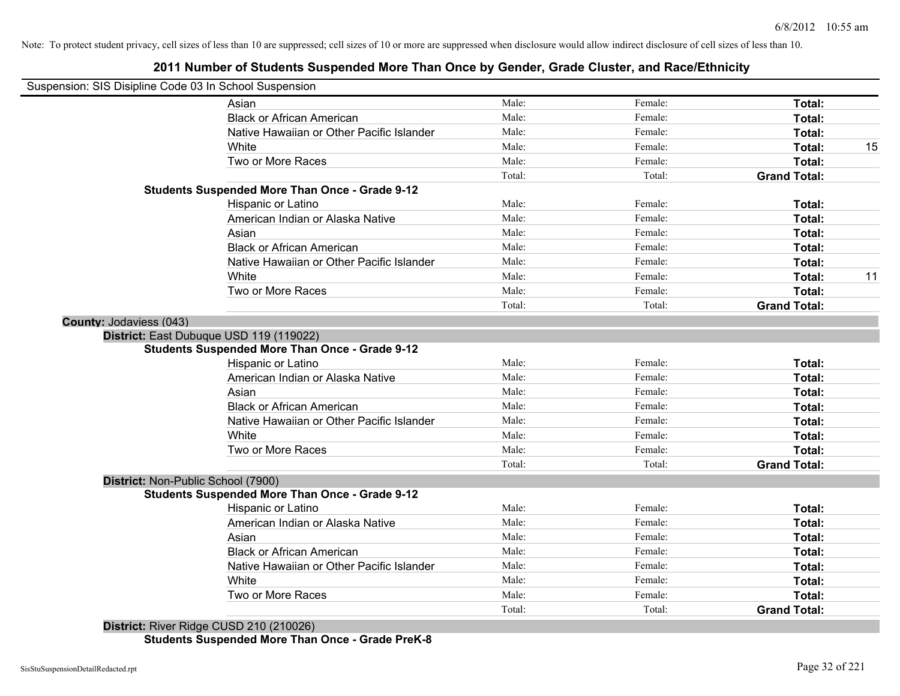# **2011 Number of Students Suspended More Than Once by Gender, Grade Cluster, and Race/Ethnicity**

| Suspension: SIS Disipline Code 03 In School Suspension |                                                       |        |         |                     |    |
|--------------------------------------------------------|-------------------------------------------------------|--------|---------|---------------------|----|
|                                                        | Asian                                                 | Male:  | Female: | Total:              |    |
|                                                        | <b>Black or African American</b>                      | Male:  | Female: | Total:              |    |
|                                                        | Native Hawaiian or Other Pacific Islander             | Male:  | Female: | Total:              |    |
|                                                        | White                                                 | Male:  | Female: | Total:              | 15 |
|                                                        | Two or More Races                                     | Male:  | Female: | Total:              |    |
|                                                        |                                                       | Total: | Total:  | <b>Grand Total:</b> |    |
|                                                        | <b>Students Suspended More Than Once - Grade 9-12</b> |        |         |                     |    |
|                                                        | Hispanic or Latino                                    | Male:  | Female: | Total:              |    |
|                                                        | American Indian or Alaska Native                      | Male:  | Female: | Total:              |    |
|                                                        | Asian                                                 | Male:  | Female: | Total:              |    |
|                                                        | <b>Black or African American</b>                      | Male:  | Female: | Total:              |    |
|                                                        | Native Hawaiian or Other Pacific Islander             | Male:  | Female: | Total:              |    |
|                                                        | White                                                 | Male:  | Female: | Total:              | 11 |
|                                                        | Two or More Races                                     | Male:  | Female: | Total:              |    |
|                                                        |                                                       | Total: | Total:  | <b>Grand Total:</b> |    |
| <b>County: Jodaviess (043)</b>                         |                                                       |        |         |                     |    |
|                                                        | District: East Dubuque USD 119 (119022)               |        |         |                     |    |
|                                                        | <b>Students Suspended More Than Once - Grade 9-12</b> |        |         |                     |    |
|                                                        | Hispanic or Latino                                    | Male:  | Female: | Total:              |    |
|                                                        | American Indian or Alaska Native                      | Male:  | Female: | Total:              |    |
|                                                        | Asian                                                 | Male:  | Female: | Total:              |    |
|                                                        | <b>Black or African American</b>                      | Male:  | Female: | Total:              |    |
|                                                        | Native Hawaiian or Other Pacific Islander             | Male:  | Female: | Total:              |    |
|                                                        | White                                                 | Male:  | Female: | Total:              |    |
|                                                        | Two or More Races                                     | Male:  | Female: | Total:              |    |
|                                                        |                                                       | Total: | Total:  | <b>Grand Total:</b> |    |
| District: Non-Public School (7900)                     |                                                       |        |         |                     |    |
|                                                        | <b>Students Suspended More Than Once - Grade 9-12</b> |        |         |                     |    |
|                                                        | Hispanic or Latino                                    | Male:  | Female: | Total:              |    |
|                                                        | American Indian or Alaska Native                      | Male:  | Female: | Total:              |    |
|                                                        | Asian                                                 | Male:  | Female: | Total:              |    |
|                                                        | <b>Black or African American</b>                      | Male:  | Female: | Total:              |    |
|                                                        | Native Hawaiian or Other Pacific Islander             | Male:  | Female: | Total:              |    |
|                                                        | White                                                 | Male:  | Female: | Total:              |    |
|                                                        | Two or More Races                                     | Male:  | Female: | Total:              |    |
|                                                        |                                                       | Total: | Total:  | <b>Grand Total:</b> |    |

**District:** River Ridge CUSD 210 (210026) **Students Suspended More Than Once - Grade PreK-8**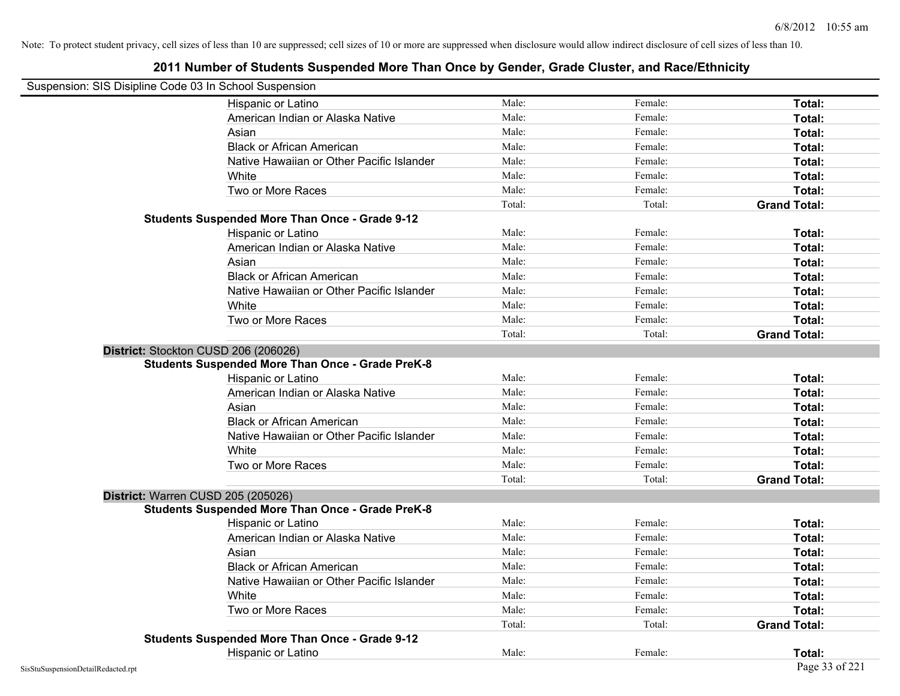| Suspension: SIS Disipline Code 03 In School Suspension |                                                         |        |         |                     |
|--------------------------------------------------------|---------------------------------------------------------|--------|---------|---------------------|
|                                                        | Hispanic or Latino                                      | Male:  | Female: | Total:              |
|                                                        | American Indian or Alaska Native                        | Male:  | Female: | Total:              |
|                                                        | Asian                                                   | Male:  | Female: | Total:              |
|                                                        | <b>Black or African American</b>                        | Male:  | Female: | Total:              |
|                                                        | Native Hawaiian or Other Pacific Islander               | Male:  | Female: | Total:              |
|                                                        | White                                                   | Male:  | Female: | Total:              |
|                                                        | Two or More Races                                       | Male:  | Female: | Total:              |
|                                                        |                                                         | Total: | Total:  | <b>Grand Total:</b> |
|                                                        | <b>Students Suspended More Than Once - Grade 9-12</b>   |        |         |                     |
|                                                        | Hispanic or Latino                                      | Male:  | Female: | Total:              |
|                                                        | American Indian or Alaska Native                        | Male:  | Female: | Total:              |
|                                                        | Asian                                                   | Male:  | Female: | Total:              |
|                                                        | <b>Black or African American</b>                        | Male:  | Female: | Total:              |
|                                                        | Native Hawaiian or Other Pacific Islander               | Male:  | Female: | Total:              |
|                                                        | White                                                   | Male:  | Female: | Total:              |
|                                                        | Two or More Races                                       | Male:  | Female: | Total:              |
|                                                        |                                                         | Total: | Total:  | <b>Grand Total:</b> |
|                                                        | District: Stockton CUSD 206 (206026)                    |        |         |                     |
|                                                        | <b>Students Suspended More Than Once - Grade PreK-8</b> |        |         |                     |
|                                                        | Hispanic or Latino                                      | Male:  | Female: | Total:              |
|                                                        | American Indian or Alaska Native                        | Male:  | Female: | Total:              |
|                                                        | Asian                                                   | Male:  | Female: | Total:              |
|                                                        | <b>Black or African American</b>                        | Male:  | Female: | Total:              |
|                                                        | Native Hawaiian or Other Pacific Islander               | Male:  | Female: | Total:              |
|                                                        | White                                                   | Male:  | Female: | Total:              |
|                                                        | Two or More Races                                       | Male:  | Female: | Total:              |
|                                                        |                                                         | Total: | Total:  | <b>Grand Total:</b> |
|                                                        | District: Warren CUSD 205 (205026)                      |        |         |                     |
|                                                        | <b>Students Suspended More Than Once - Grade PreK-8</b> |        |         |                     |
|                                                        | Hispanic or Latino                                      | Male:  | Female: | Total:              |
|                                                        | American Indian or Alaska Native                        | Male:  | Female: | Total:              |
|                                                        | Asian                                                   | Male:  | Female: | Total:              |
|                                                        | <b>Black or African American</b>                        | Male:  | Female: | Total:              |
|                                                        | Native Hawaiian or Other Pacific Islander               | Male:  | Female: | Total:              |
|                                                        | White                                                   | Male:  | Female: | Total:              |
|                                                        | Two or More Races                                       | Male:  | Female: | Total:              |
|                                                        |                                                         | Total: | Total:  | <b>Grand Total:</b> |
|                                                        | <b>Students Suspended More Than Once - Grade 9-12</b>   |        |         |                     |
|                                                        | Hispanic or Latino                                      | Male:  | Female: | Total:              |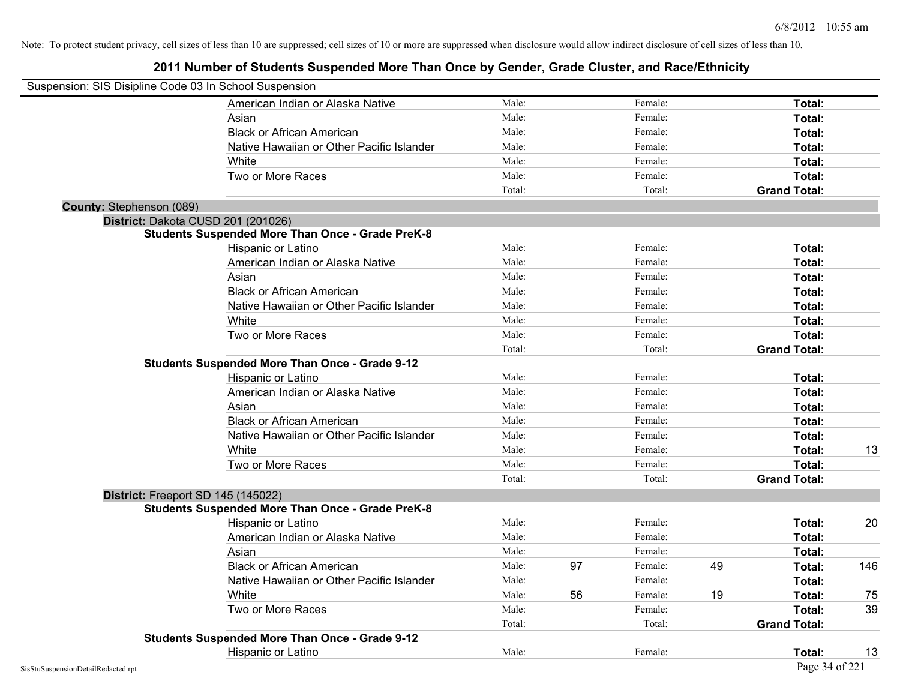| Suspension: SIS Disipline Code 03 In School Suspension |                                                         |        |    |         |    |                     |     |
|--------------------------------------------------------|---------------------------------------------------------|--------|----|---------|----|---------------------|-----|
|                                                        | American Indian or Alaska Native                        | Male:  |    | Female: |    | Total:              |     |
|                                                        | Asian                                                   | Male:  |    | Female: |    | Total:              |     |
|                                                        | <b>Black or African American</b>                        | Male:  |    | Female: |    | Total:              |     |
|                                                        | Native Hawaiian or Other Pacific Islander               | Male:  |    | Female: |    | Total:              |     |
|                                                        | White                                                   | Male:  |    | Female: |    | Total:              |     |
|                                                        | Two or More Races                                       | Male:  |    | Female: |    | Total:              |     |
|                                                        |                                                         | Total: |    | Total:  |    | <b>Grand Total:</b> |     |
| <b>County: Stephenson (089)</b>                        |                                                         |        |    |         |    |                     |     |
|                                                        | District: Dakota CUSD 201 (201026)                      |        |    |         |    |                     |     |
|                                                        | <b>Students Suspended More Than Once - Grade PreK-8</b> |        |    |         |    |                     |     |
|                                                        | Hispanic or Latino                                      | Male:  |    | Female: |    | Total:              |     |
|                                                        | American Indian or Alaska Native                        | Male:  |    | Female: |    | Total:              |     |
|                                                        | Asian                                                   | Male:  |    | Female: |    | Total:              |     |
|                                                        | <b>Black or African American</b>                        | Male:  |    | Female: |    | Total:              |     |
|                                                        | Native Hawaiian or Other Pacific Islander               | Male:  |    | Female: |    | Total:              |     |
|                                                        | White                                                   | Male:  |    | Female: |    | Total:              |     |
|                                                        | Two or More Races                                       | Male:  |    | Female: |    | Total:              |     |
|                                                        |                                                         | Total: |    | Total:  |    | <b>Grand Total:</b> |     |
|                                                        | <b>Students Suspended More Than Once - Grade 9-12</b>   |        |    |         |    |                     |     |
|                                                        | Hispanic or Latino                                      | Male:  |    | Female: |    | Total:              |     |
|                                                        | American Indian or Alaska Native                        | Male:  |    | Female: |    | Total:              |     |
|                                                        | Asian                                                   | Male:  |    | Female: |    | Total:              |     |
|                                                        | <b>Black or African American</b>                        | Male:  |    | Female: |    | Total:              |     |
|                                                        | Native Hawaiian or Other Pacific Islander               | Male:  |    | Female: |    | Total:              |     |
|                                                        | White                                                   | Male:  |    | Female: |    | Total:              | 13  |
|                                                        | Two or More Races                                       | Male:  |    | Female: |    | Total:              |     |
|                                                        |                                                         | Total: |    | Total:  |    | <b>Grand Total:</b> |     |
|                                                        | District: Freeport SD 145 (145022)                      |        |    |         |    |                     |     |
|                                                        | <b>Students Suspended More Than Once - Grade PreK-8</b> |        |    |         |    |                     |     |
|                                                        | Hispanic or Latino                                      | Male:  |    | Female: |    | Total:              | 20  |
|                                                        | American Indian or Alaska Native                        | Male:  |    | Female: |    | Total:              |     |
|                                                        | Asian                                                   | Male:  |    | Female: |    | Total:              |     |
|                                                        | <b>Black or African American</b>                        | Male:  | 97 | Female: | 49 | Total:              | 146 |
|                                                        | Native Hawaiian or Other Pacific Islander               | Male:  |    | Female: |    | Total:              |     |
|                                                        | <b>White</b>                                            | Male:  | 56 | Female: | 19 | Total:              | 75  |
|                                                        | Two or More Races                                       | Male:  |    | Female: |    | Total:              | 39  |
|                                                        |                                                         | Total: |    | Total:  |    | <b>Grand Total:</b> |     |
|                                                        | <b>Students Suspended More Than Once - Grade 9-12</b>   |        |    |         |    |                     |     |
|                                                        | Hispanic or Latino                                      | Male:  |    | Female: |    | Total:              | 13  |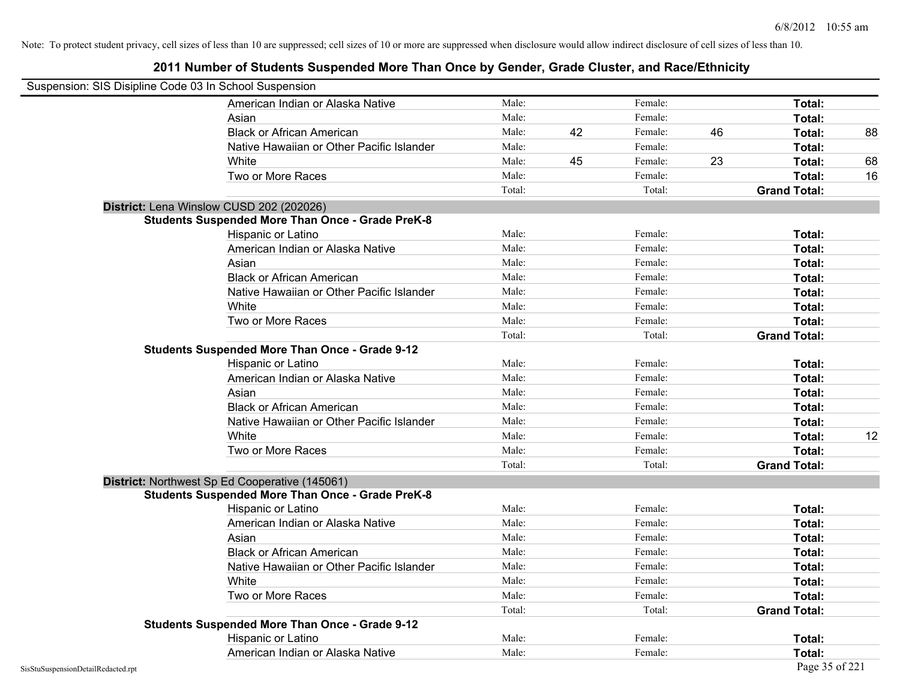|                                    | Suspension: SIS Disipline Code 03 In School Suspension  |        |    |         |    |                     |    |
|------------------------------------|---------------------------------------------------------|--------|----|---------|----|---------------------|----|
|                                    | American Indian or Alaska Native                        | Male:  |    | Female: |    | Total:              |    |
|                                    | Asian                                                   | Male:  |    | Female: |    | Total:              |    |
|                                    | <b>Black or African American</b>                        | Male:  | 42 | Female: | 46 | Total:              | 88 |
|                                    | Native Hawaiian or Other Pacific Islander               | Male:  |    | Female: |    | Total:              |    |
|                                    | White                                                   | Male:  | 45 | Female: | 23 | Total:              | 68 |
|                                    | Two or More Races                                       | Male:  |    | Female: |    | Total:              | 16 |
|                                    |                                                         | Total: |    | Total:  |    | <b>Grand Total:</b> |    |
|                                    | District: Lena Winslow CUSD 202 (202026)                |        |    |         |    |                     |    |
|                                    | <b>Students Suspended More Than Once - Grade PreK-8</b> |        |    |         |    |                     |    |
|                                    | Hispanic or Latino                                      | Male:  |    | Female: |    | Total:              |    |
|                                    | American Indian or Alaska Native                        | Male:  |    | Female: |    | Total:              |    |
|                                    | Asian                                                   | Male:  |    | Female: |    | Total:              |    |
|                                    | <b>Black or African American</b>                        | Male:  |    | Female: |    | Total:              |    |
|                                    | Native Hawaiian or Other Pacific Islander               | Male:  |    | Female: |    | Total:              |    |
|                                    | White                                                   | Male:  |    | Female: |    | Total:              |    |
|                                    | Two or More Races                                       | Male:  |    | Female: |    | Total:              |    |
|                                    |                                                         | Total: |    | Total:  |    | <b>Grand Total:</b> |    |
|                                    | <b>Students Suspended More Than Once - Grade 9-12</b>   |        |    |         |    |                     |    |
|                                    | Hispanic or Latino                                      | Male:  |    | Female: |    | Total:              |    |
|                                    | American Indian or Alaska Native                        | Male:  |    | Female: |    | Total:              |    |
|                                    | Asian                                                   | Male:  |    | Female: |    | Total:              |    |
|                                    | <b>Black or African American</b>                        | Male:  |    | Female: |    | Total:              |    |
|                                    | Native Hawaiian or Other Pacific Islander               | Male:  |    | Female: |    | Total:              |    |
|                                    | White                                                   | Male:  |    | Female: |    | Total:              | 12 |
|                                    | Two or More Races                                       | Male:  |    | Female: |    | Total:              |    |
|                                    |                                                         | Total: |    | Total:  |    | <b>Grand Total:</b> |    |
|                                    | District: Northwest Sp Ed Cooperative (145061)          |        |    |         |    |                     |    |
|                                    | <b>Students Suspended More Than Once - Grade PreK-8</b> |        |    |         |    |                     |    |
|                                    | Hispanic or Latino                                      | Male:  |    | Female: |    | Total:              |    |
|                                    | American Indian or Alaska Native                        | Male:  |    | Female: |    | Total:              |    |
|                                    | Asian                                                   | Male:  |    | Female: |    | Total:              |    |
|                                    | <b>Black or African American</b>                        | Male:  |    | Female: |    | Total:              |    |
|                                    | Native Hawaiian or Other Pacific Islander               | Male:  |    | Female: |    | <b>Total:</b>       |    |
|                                    | White                                                   | Male:  |    | Female: |    | Total:              |    |
|                                    | Two or More Races                                       | Male:  |    | Female: |    | Total:              |    |
|                                    |                                                         | Total: |    | Total:  |    | <b>Grand Total:</b> |    |
|                                    | <b>Students Suspended More Than Once - Grade 9-12</b>   |        |    |         |    |                     |    |
|                                    | Hispanic or Latino                                      | Male:  |    | Female: |    | Total:              |    |
|                                    | American Indian or Alaska Native                        | Male:  |    | Female: |    | Total:              |    |
| SisStuSuspensionDetailRedacted.rpt |                                                         |        |    |         |    | Page 35 of 221      |    |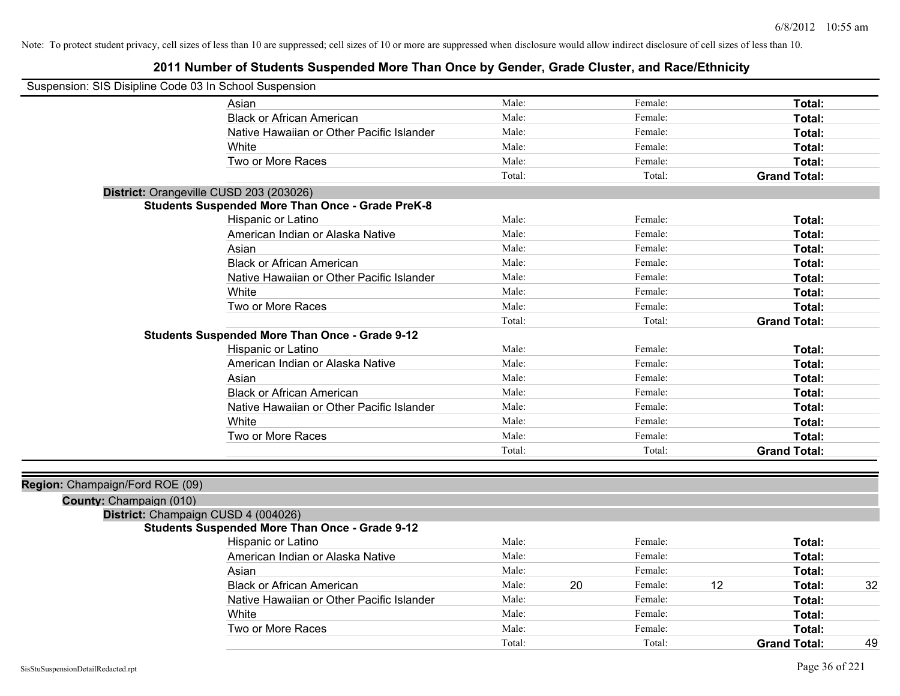| Suspension: SIS Disipline Code 03 In School Suspension |                                                         |        |    |         |    |                     |    |
|--------------------------------------------------------|---------------------------------------------------------|--------|----|---------|----|---------------------|----|
|                                                        | Asian                                                   | Male:  |    | Female: |    | Total:              |    |
|                                                        | <b>Black or African American</b>                        | Male:  |    | Female: |    | Total:              |    |
|                                                        | Native Hawaiian or Other Pacific Islander               | Male:  |    | Female: |    | Total:              |    |
|                                                        | White                                                   | Male:  |    | Female: |    | Total:              |    |
|                                                        | Two or More Races                                       | Male:  |    | Female: |    | Total:              |    |
|                                                        |                                                         | Total: |    | Total:  |    | <b>Grand Total:</b> |    |
|                                                        | District: Orangeville CUSD 203 (203026)                 |        |    |         |    |                     |    |
|                                                        | <b>Students Suspended More Than Once - Grade PreK-8</b> |        |    |         |    |                     |    |
|                                                        | Hispanic or Latino                                      | Male:  |    | Female: |    | Total:              |    |
|                                                        | American Indian or Alaska Native                        | Male:  |    | Female: |    | Total:              |    |
|                                                        | Asian                                                   | Male:  |    | Female: |    | Total:              |    |
|                                                        | <b>Black or African American</b>                        | Male:  |    | Female: |    | Total:              |    |
|                                                        | Native Hawaiian or Other Pacific Islander               | Male:  |    | Female: |    | Total:              |    |
|                                                        | White                                                   | Male:  |    | Female: |    | Total:              |    |
|                                                        | Two or More Races                                       | Male:  |    | Female: |    | Total:              |    |
|                                                        |                                                         | Total: |    | Total:  |    | <b>Grand Total:</b> |    |
|                                                        | <b>Students Suspended More Than Once - Grade 9-12</b>   |        |    |         |    |                     |    |
|                                                        | Hispanic or Latino                                      | Male:  |    | Female: |    | Total:              |    |
|                                                        | American Indian or Alaska Native                        | Male:  |    | Female: |    | Total:              |    |
|                                                        | Asian                                                   | Male:  |    | Female: |    | Total:              |    |
|                                                        | <b>Black or African American</b>                        | Male:  |    | Female: |    | Total:              |    |
|                                                        | Native Hawaiian or Other Pacific Islander               | Male:  |    | Female: |    | Total:              |    |
|                                                        | White                                                   | Male:  |    | Female: |    | Total:              |    |
|                                                        | Two or More Races                                       | Male:  |    | Female: |    | Total:              |    |
|                                                        |                                                         | Total: |    | Total:  |    | <b>Grand Total:</b> |    |
|                                                        |                                                         |        |    |         |    |                     |    |
| Region: Champaign/Ford ROE (09)                        |                                                         |        |    |         |    |                     |    |
| County: Champaign (010)                                |                                                         |        |    |         |    |                     |    |
|                                                        | District: Champaign CUSD 4 (004026)                     |        |    |         |    |                     |    |
|                                                        | <b>Students Suspended More Than Once - Grade 9-12</b>   |        |    |         |    |                     |    |
|                                                        | Hispanic or Latino                                      | Male:  |    | Female: |    | Total:              |    |
|                                                        | American Indian or Alaska Native                        | Male:  |    | Female: |    | Total:              |    |
|                                                        | Asian                                                   | Male:  |    | Female: |    | Total:              |    |
|                                                        | <b>Black or African American</b>                        | Male:  | 20 | Female: | 12 | Total:              | 32 |
|                                                        | Native Hawaiian or Other Pacific Islander               | Male:  |    | Female: |    | Total:              |    |
|                                                        | White                                                   | Male:  |    | Female: |    | Total:              |    |
|                                                        | Two or More Races                                       | Male:  |    | Female: |    | Total:              |    |
|                                                        |                                                         | Total: |    | Total:  |    | <b>Grand Total:</b> | 49 |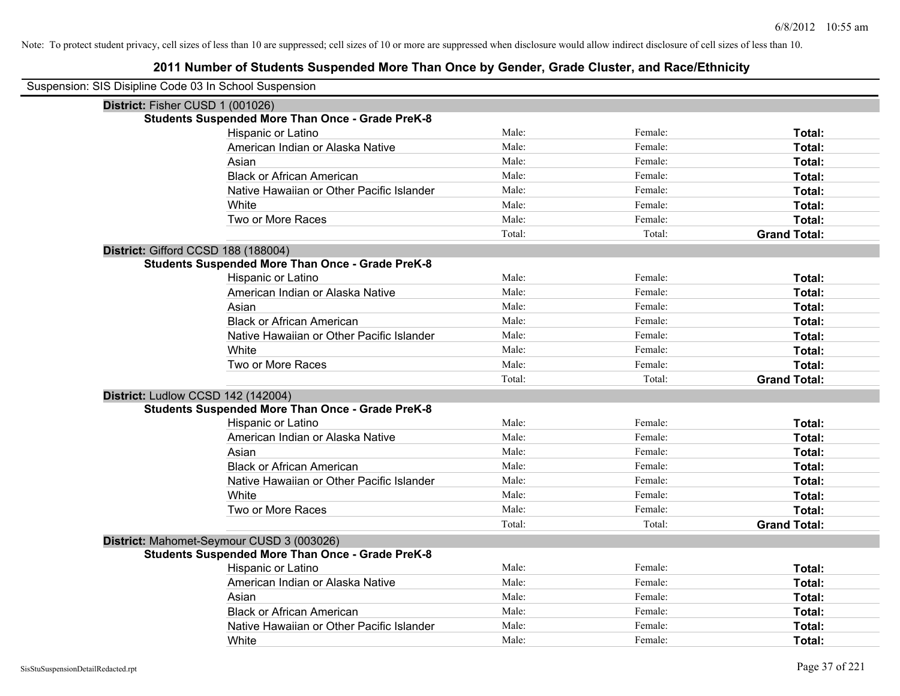| Suspension: SIS Disipline Code 03 In School Suspension  |        |         |                     |
|---------------------------------------------------------|--------|---------|---------------------|
| District: Fisher CUSD 1 (001026)                        |        |         |                     |
| <b>Students Suspended More Than Once - Grade PreK-8</b> |        |         |                     |
| Hispanic or Latino                                      | Male:  | Female: | Total:              |
| American Indian or Alaska Native                        | Male:  | Female: | Total:              |
| Asian                                                   | Male:  | Female: | Total:              |
| <b>Black or African American</b>                        | Male:  | Female: | Total:              |
| Native Hawaiian or Other Pacific Islander               | Male:  | Female: | Total:              |
| White                                                   | Male:  | Female: | Total:              |
| Two or More Races                                       | Male:  | Female: | Total:              |
|                                                         | Total: | Total:  | <b>Grand Total:</b> |
| District: Gifford CCSD 188 (188004)                     |        |         |                     |
| <b>Students Suspended More Than Once - Grade PreK-8</b> |        |         |                     |
| Hispanic or Latino                                      | Male:  | Female: | Total:              |
| American Indian or Alaska Native                        | Male:  | Female: | Total:              |
| Asian                                                   | Male:  | Female: | Total:              |
| <b>Black or African American</b>                        | Male:  | Female: | Total:              |
| Native Hawaiian or Other Pacific Islander               | Male:  | Female: | Total:              |
| White                                                   | Male:  | Female: | Total:              |
| Two or More Races                                       | Male:  | Female: | Total:              |
|                                                         | Total: | Total:  | <b>Grand Total:</b> |
| District: Ludlow CCSD 142 (142004)                      |        |         |                     |
| <b>Students Suspended More Than Once - Grade PreK-8</b> |        |         |                     |
| Hispanic or Latino                                      | Male:  | Female: | Total:              |
| American Indian or Alaska Native                        | Male:  | Female: | Total:              |
| Asian                                                   | Male:  | Female: | Total:              |
| <b>Black or African American</b>                        | Male:  | Female: | Total:              |
| Native Hawaiian or Other Pacific Islander               | Male:  | Female: | Total:              |
| White                                                   | Male:  | Female: | Total:              |
| Two or More Races                                       | Male:  | Female: | Total:              |
|                                                         | Total: | Total:  | <b>Grand Total:</b> |
| District: Mahomet-Seymour CUSD 3 (003026)               |        |         |                     |
| <b>Students Suspended More Than Once - Grade PreK-8</b> |        |         |                     |
| Hispanic or Latino                                      | Male:  | Female: | Total:              |
| American Indian or Alaska Native                        | Male:  | Female: | Total:              |
| Asian                                                   | Male:  | Female: | Total:              |
| <b>Black or African American</b>                        | Male:  | Female: | Total:              |
| Native Hawaiian or Other Pacific Islander               | Male:  | Female: | Total:              |
| White                                                   | Male:  | Female: | Total:              |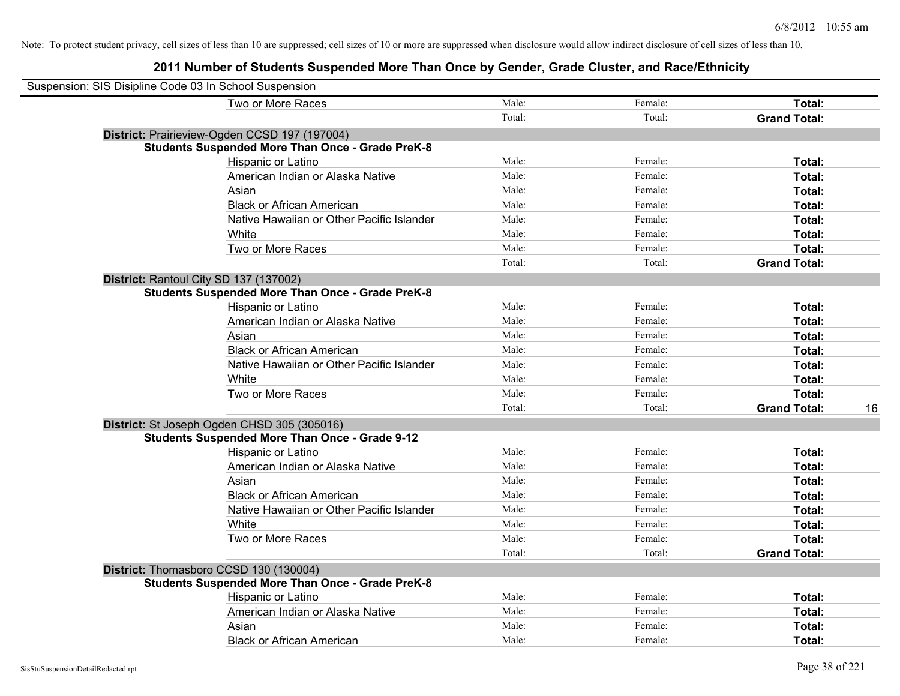| Suspension: SIS Disipline Code 03 In School Suspension |                                                         |        |         |                           |
|--------------------------------------------------------|---------------------------------------------------------|--------|---------|---------------------------|
|                                                        | Two or More Races                                       | Male:  | Female: | Total:                    |
|                                                        |                                                         | Total: | Total:  | <b>Grand Total:</b>       |
|                                                        | District: Prairieview-Ogden CCSD 197 (197004)           |        |         |                           |
|                                                        | <b>Students Suspended More Than Once - Grade PreK-8</b> |        |         |                           |
|                                                        | Hispanic or Latino                                      | Male:  | Female: | Total:                    |
|                                                        | American Indian or Alaska Native                        | Male:  | Female: | Total:                    |
|                                                        | Asian                                                   | Male:  | Female: | Total:                    |
|                                                        | <b>Black or African American</b>                        | Male:  | Female: | Total:                    |
|                                                        | Native Hawaiian or Other Pacific Islander               | Male:  | Female: | Total:                    |
|                                                        | White                                                   | Male:  | Female: | Total:                    |
|                                                        | Two or More Races                                       | Male:  | Female: | Total:                    |
|                                                        |                                                         | Total: | Total:  | <b>Grand Total:</b>       |
|                                                        | District: Rantoul City SD 137 (137002)                  |        |         |                           |
|                                                        | <b>Students Suspended More Than Once - Grade PreK-8</b> |        |         |                           |
|                                                        | Hispanic or Latino                                      | Male:  | Female: | Total:                    |
|                                                        | American Indian or Alaska Native                        | Male:  | Female: | Total:                    |
|                                                        | Asian                                                   | Male:  | Female: | Total:                    |
|                                                        | <b>Black or African American</b>                        | Male:  | Female: | Total:                    |
|                                                        | Native Hawaiian or Other Pacific Islander               | Male:  | Female: | Total:                    |
|                                                        | White                                                   | Male:  | Female: | Total:                    |
|                                                        | Two or More Races                                       | Male:  | Female: | Total:                    |
|                                                        |                                                         | Total: | Total:  | <b>Grand Total:</b><br>16 |
|                                                        | District: St Joseph Ogden CHSD 305 (305016)             |        |         |                           |
|                                                        | <b>Students Suspended More Than Once - Grade 9-12</b>   |        |         |                           |
|                                                        | Hispanic or Latino                                      | Male:  | Female: | Total:                    |
|                                                        | American Indian or Alaska Native                        | Male:  | Female: | Total:                    |
|                                                        | Asian                                                   | Male:  | Female: | Total:                    |
|                                                        | <b>Black or African American</b>                        | Male:  | Female: | Total:                    |
|                                                        | Native Hawaiian or Other Pacific Islander               | Male:  | Female: | Total:                    |
|                                                        | White                                                   | Male:  | Female: | Total:                    |
|                                                        | Two or More Races                                       | Male:  | Female: | Total:                    |
|                                                        |                                                         | Total: | Total:  | <b>Grand Total:</b>       |
|                                                        | District: Thomasboro CCSD 130 (130004)                  |        |         |                           |
|                                                        | <b>Students Suspended More Than Once - Grade PreK-8</b> |        |         |                           |
|                                                        | Hispanic or Latino                                      | Male:  | Female: | Total:                    |
|                                                        | American Indian or Alaska Native                        | Male:  | Female: | Total:                    |
|                                                        | Asian                                                   | Male:  | Female: | Total:                    |
|                                                        | <b>Black or African American</b>                        | Male:  | Female: | Total:                    |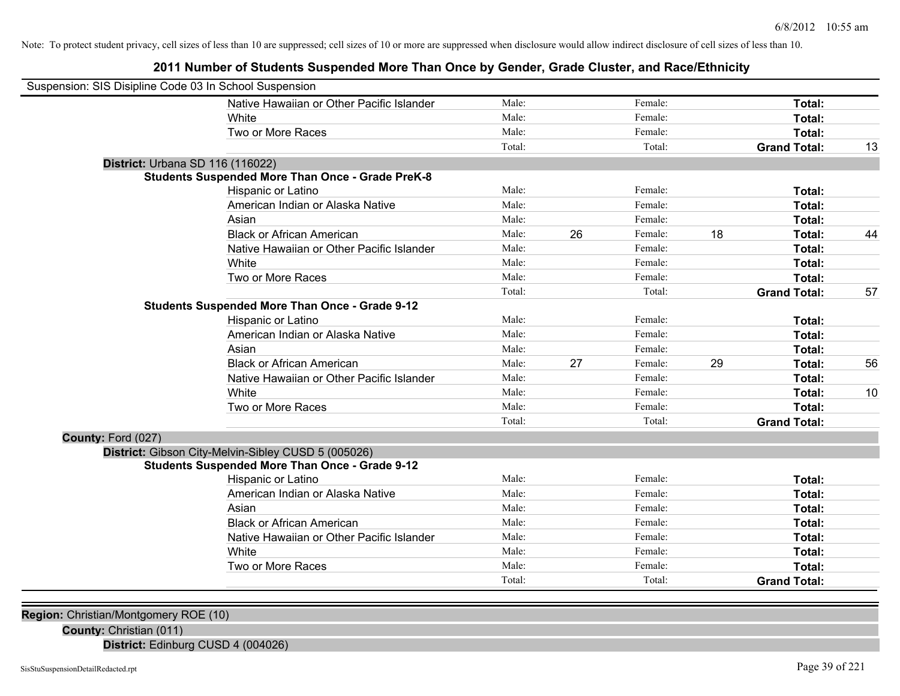**2011 Number of Students Suspended More Than Once by Gender, Grade Cluster, and Race/Ethnicity**

| Suspension: SIS Disipline Code 03 In School Suspension |                                                         |        |    |         |    |                     |    |
|--------------------------------------------------------|---------------------------------------------------------|--------|----|---------|----|---------------------|----|
|                                                        | Native Hawaiian or Other Pacific Islander               | Male:  |    | Female: |    | Total:              |    |
|                                                        | White                                                   | Male:  |    | Female: |    | Total:              |    |
|                                                        | Two or More Races                                       | Male:  |    | Female: |    | Total:              |    |
|                                                        |                                                         | Total: |    | Total:  |    | <b>Grand Total:</b> | 13 |
| District: Urbana SD 116 (116022)                       |                                                         |        |    |         |    |                     |    |
|                                                        | <b>Students Suspended More Than Once - Grade PreK-8</b> |        |    |         |    |                     |    |
|                                                        | Hispanic or Latino                                      | Male:  |    | Female: |    | Total:              |    |
|                                                        | American Indian or Alaska Native                        | Male:  |    | Female: |    | Total:              |    |
|                                                        | Asian                                                   | Male:  |    | Female: |    | Total:              |    |
|                                                        | <b>Black or African American</b>                        | Male:  | 26 | Female: | 18 | Total:              | 44 |
|                                                        | Native Hawaiian or Other Pacific Islander               | Male:  |    | Female: |    | Total:              |    |
|                                                        | White                                                   | Male:  |    | Female: |    | Total:              |    |
|                                                        | Two or More Races                                       | Male:  |    | Female: |    | Total:              |    |
|                                                        |                                                         | Total: |    | Total:  |    | <b>Grand Total:</b> | 57 |
|                                                        | <b>Students Suspended More Than Once - Grade 9-12</b>   |        |    |         |    |                     |    |
|                                                        | Hispanic or Latino                                      | Male:  |    | Female: |    | Total:              |    |
|                                                        | American Indian or Alaska Native                        | Male:  |    | Female: |    | Total:              |    |
|                                                        | Asian                                                   | Male:  |    | Female: |    | Total:              |    |
|                                                        | <b>Black or African American</b>                        | Male:  | 27 | Female: | 29 | Total:              | 56 |
|                                                        | Native Hawaiian or Other Pacific Islander               | Male:  |    | Female: |    | Total:              |    |
|                                                        | White                                                   | Male:  |    | Female: |    | Total:              | 10 |
|                                                        | Two or More Races                                       | Male:  |    | Female: |    | Total:              |    |
|                                                        |                                                         | Total: |    | Total:  |    | <b>Grand Total:</b> |    |
| County: Ford (027)                                     |                                                         |        |    |         |    |                     |    |
|                                                        | District: Gibson City-Melvin-Sibley CUSD 5 (005026)     |        |    |         |    |                     |    |
|                                                        | <b>Students Suspended More Than Once - Grade 9-12</b>   |        |    |         |    |                     |    |
|                                                        | Hispanic or Latino                                      | Male:  |    | Female: |    | Total:              |    |
|                                                        | American Indian or Alaska Native                        | Male:  |    | Female: |    | Total:              |    |
|                                                        | Asian                                                   | Male:  |    | Female: |    | Total:              |    |
|                                                        | <b>Black or African American</b>                        | Male:  |    | Female: |    | Total:              |    |
|                                                        | Native Hawaiian or Other Pacific Islander               | Male:  |    | Female: |    | Total:              |    |
|                                                        | White                                                   | Male:  |    | Female: |    | Total:              |    |
|                                                        | Two or More Races                                       | Male:  |    | Female: |    | Total:              |    |
|                                                        |                                                         | Total: |    | Total:  |    | <b>Grand Total:</b> |    |

**Region:** Christian/Montgomery ROE (10)

**County:** Christian (011)

**District:** Edinburg CUSD 4 (004026)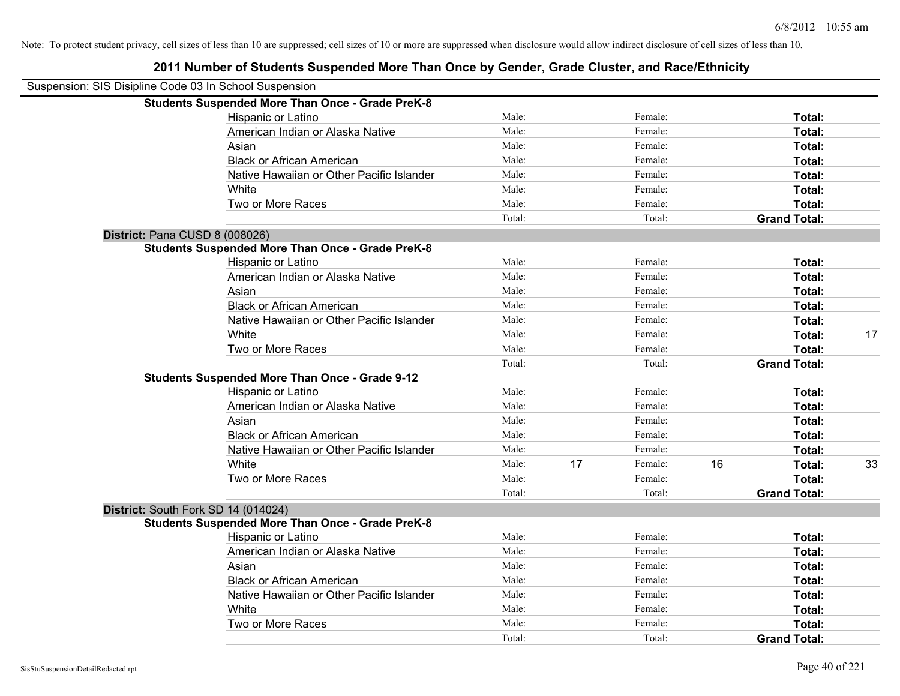| Suspension: SIS Disipline Code 03 In School Suspension |                                                         |        |    |         |    |                     |    |
|--------------------------------------------------------|---------------------------------------------------------|--------|----|---------|----|---------------------|----|
|                                                        | <b>Students Suspended More Than Once - Grade PreK-8</b> |        |    |         |    |                     |    |
|                                                        | Hispanic or Latino                                      | Male:  |    | Female: |    | Total:              |    |
|                                                        | American Indian or Alaska Native                        | Male:  |    | Female: |    | Total:              |    |
|                                                        | Asian                                                   | Male:  |    | Female: |    | Total:              |    |
|                                                        | <b>Black or African American</b>                        | Male:  |    | Female: |    | Total:              |    |
|                                                        | Native Hawaiian or Other Pacific Islander               | Male:  |    | Female: |    | Total:              |    |
|                                                        | White                                                   | Male:  |    | Female: |    | Total:              |    |
|                                                        | Two or More Races                                       | Male:  |    | Female: |    | Total:              |    |
|                                                        |                                                         | Total: |    | Total:  |    | <b>Grand Total:</b> |    |
| District: Pana CUSD 8 (008026)                         |                                                         |        |    |         |    |                     |    |
|                                                        | <b>Students Suspended More Than Once - Grade PreK-8</b> |        |    |         |    |                     |    |
|                                                        | Hispanic or Latino                                      | Male:  |    | Female: |    | Total:              |    |
|                                                        | American Indian or Alaska Native                        | Male:  |    | Female: |    | Total:              |    |
|                                                        | Asian                                                   | Male:  |    | Female: |    | Total:              |    |
|                                                        | <b>Black or African American</b>                        | Male:  |    | Female: |    | Total:              |    |
|                                                        | Native Hawaiian or Other Pacific Islander               | Male:  |    | Female: |    | Total:              |    |
|                                                        | White                                                   | Male:  |    | Female: |    | Total:              | 17 |
|                                                        | Two or More Races                                       | Male:  |    | Female: |    | Total:              |    |
|                                                        |                                                         | Total: |    | Total:  |    | <b>Grand Total:</b> |    |
|                                                        | <b>Students Suspended More Than Once - Grade 9-12</b>   |        |    |         |    |                     |    |
|                                                        | Hispanic or Latino                                      | Male:  |    | Female: |    | Total:              |    |
|                                                        | American Indian or Alaska Native                        | Male:  |    | Female: |    | Total:              |    |
|                                                        | Asian                                                   | Male:  |    | Female: |    | Total:              |    |
|                                                        | <b>Black or African American</b>                        | Male:  |    | Female: |    | Total:              |    |
|                                                        | Native Hawaiian or Other Pacific Islander               | Male:  |    | Female: |    | Total:              |    |
|                                                        | White                                                   | Male:  | 17 | Female: | 16 | Total:              | 33 |
|                                                        | Two or More Races                                       | Male:  |    | Female: |    | Total:              |    |
|                                                        |                                                         | Total: |    | Total:  |    | <b>Grand Total:</b> |    |
| District: South Fork SD 14 (014024)                    |                                                         |        |    |         |    |                     |    |
|                                                        | <b>Students Suspended More Than Once - Grade PreK-8</b> |        |    |         |    |                     |    |
|                                                        | Hispanic or Latino                                      | Male:  |    | Female: |    | Total:              |    |
|                                                        | American Indian or Alaska Native                        | Male:  |    | Female: |    | Total:              |    |
|                                                        | Asian                                                   | Male:  |    | Female: |    | Total:              |    |
|                                                        | <b>Black or African American</b>                        | Male:  |    | Female: |    | Total:              |    |
|                                                        | Native Hawaiian or Other Pacific Islander               | Male:  |    | Female: |    | Total:              |    |
|                                                        | White                                                   | Male:  |    | Female: |    | Total:              |    |
|                                                        | Two or More Races                                       | Male:  |    | Female: |    | <b>Total:</b>       |    |
|                                                        |                                                         | Total: |    | Total:  |    | <b>Grand Total:</b> |    |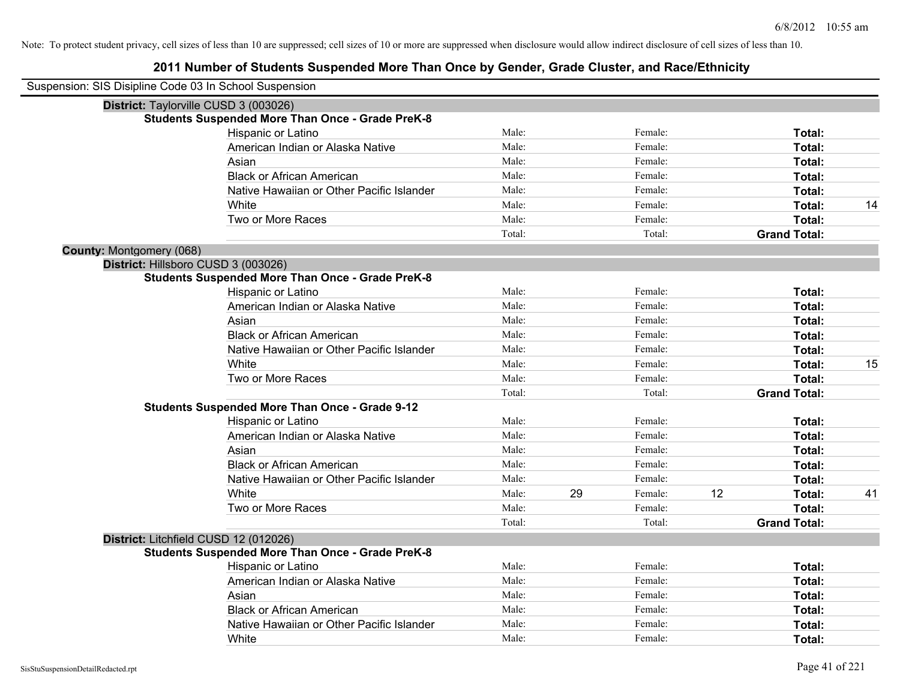| Suspension: SIS Disipline Code 03 In School Suspension |                                                         |        |    |         |    |                     |    |
|--------------------------------------------------------|---------------------------------------------------------|--------|----|---------|----|---------------------|----|
|                                                        | District: Taylorville CUSD 3 (003026)                   |        |    |         |    |                     |    |
|                                                        | <b>Students Suspended More Than Once - Grade PreK-8</b> |        |    |         |    |                     |    |
|                                                        | Hispanic or Latino                                      | Male:  |    | Female: |    | Total:              |    |
|                                                        | American Indian or Alaska Native                        | Male:  |    | Female: |    | Total:              |    |
|                                                        | Asian                                                   | Male:  |    | Female: |    | Total:              |    |
|                                                        | <b>Black or African American</b>                        | Male:  |    | Female: |    | Total:              |    |
|                                                        | Native Hawaiian or Other Pacific Islander               | Male:  |    | Female: |    | Total:              |    |
|                                                        | White                                                   | Male:  |    | Female: |    | Total:              | 14 |
|                                                        | Two or More Races                                       | Male:  |    | Female: |    | Total:              |    |
|                                                        |                                                         | Total: |    | Total:  |    | <b>Grand Total:</b> |    |
| <b>County: Montgomery (068)</b>                        |                                                         |        |    |         |    |                     |    |
|                                                        | District: Hillsboro CUSD 3 (003026)                     |        |    |         |    |                     |    |
|                                                        | <b>Students Suspended More Than Once - Grade PreK-8</b> |        |    |         |    |                     |    |
|                                                        | Hispanic or Latino                                      | Male:  |    | Female: |    | Total:              |    |
|                                                        | American Indian or Alaska Native                        | Male:  |    | Female: |    | Total:              |    |
|                                                        | Asian                                                   | Male:  |    | Female: |    | Total:              |    |
|                                                        | <b>Black or African American</b>                        | Male:  |    | Female: |    | Total:              |    |
|                                                        | Native Hawaiian or Other Pacific Islander               | Male:  |    | Female: |    | Total:              |    |
|                                                        | White                                                   | Male:  |    | Female: |    | Total:              | 15 |
|                                                        | Two or More Races                                       | Male:  |    | Female: |    | Total:              |    |
|                                                        |                                                         | Total: |    | Total:  |    | <b>Grand Total:</b> |    |
|                                                        | <b>Students Suspended More Than Once - Grade 9-12</b>   |        |    |         |    |                     |    |
|                                                        | Hispanic or Latino                                      | Male:  |    | Female: |    | Total:              |    |
|                                                        | American Indian or Alaska Native                        | Male:  |    | Female: |    | Total:              |    |
|                                                        | Asian                                                   | Male:  |    | Female: |    | Total:              |    |
|                                                        | <b>Black or African American</b>                        | Male:  |    | Female: |    | Total:              |    |
|                                                        | Native Hawaiian or Other Pacific Islander               | Male:  |    | Female: |    | Total:              |    |
|                                                        | White                                                   | Male:  | 29 | Female: | 12 | Total:              | 41 |
|                                                        | Two or More Races                                       | Male:  |    | Female: |    | Total:              |    |
|                                                        |                                                         | Total: |    | Total:  |    | <b>Grand Total:</b> |    |
|                                                        | District: Litchfield CUSD 12 (012026)                   |        |    |         |    |                     |    |
|                                                        | <b>Students Suspended More Than Once - Grade PreK-8</b> |        |    |         |    |                     |    |
|                                                        | Hispanic or Latino                                      | Male:  |    | Female: |    | Total:              |    |
|                                                        | American Indian or Alaska Native                        | Male:  |    | Female: |    | Total:              |    |
|                                                        | Asian                                                   | Male:  |    | Female: |    | Total:              |    |
|                                                        | <b>Black or African American</b>                        | Male:  |    | Female: |    | Total:              |    |
|                                                        | Native Hawaiian or Other Pacific Islander               | Male:  |    | Female: |    | Total:              |    |
|                                                        | White                                                   | Male:  |    | Female: |    | Total:              |    |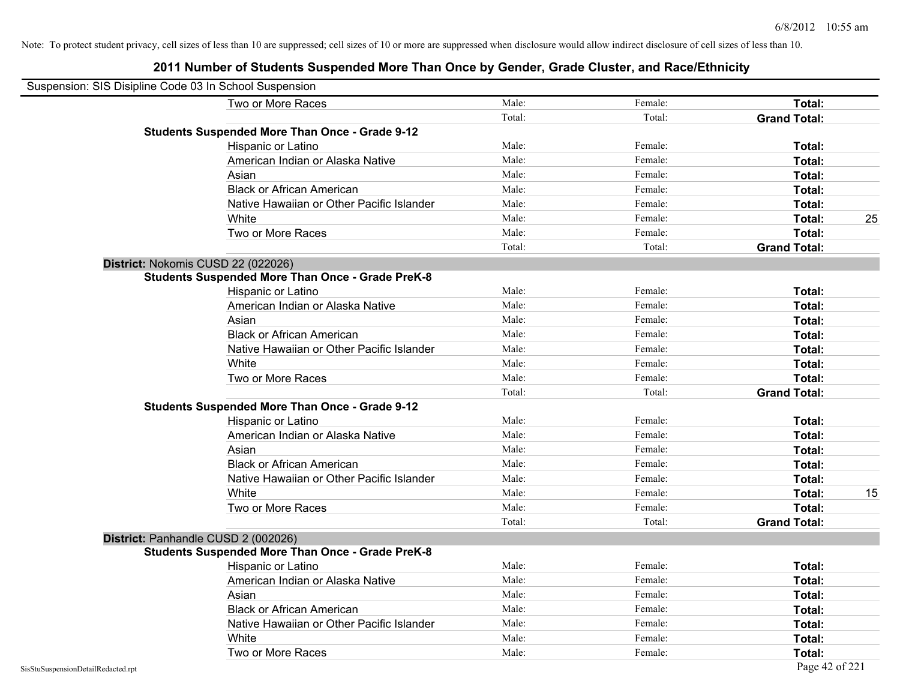| Suspension: SIS Disipline Code 03 In School Suspension |                                                         |        |         |                     |
|--------------------------------------------------------|---------------------------------------------------------|--------|---------|---------------------|
|                                                        | Two or More Races                                       | Male:  | Female: | Total:              |
|                                                        |                                                         | Total: | Total:  | <b>Grand Total:</b> |
|                                                        | <b>Students Suspended More Than Once - Grade 9-12</b>   |        |         |                     |
|                                                        | Hispanic or Latino                                      | Male:  | Female: | Total:              |
|                                                        | American Indian or Alaska Native                        | Male:  | Female: | <b>Total:</b>       |
|                                                        | Asian                                                   | Male:  | Female: | Total:              |
|                                                        | <b>Black or African American</b>                        | Male:  | Female: | Total:              |
|                                                        | Native Hawaiian or Other Pacific Islander               | Male:  | Female: | Total:              |
|                                                        | White                                                   | Male:  | Female: | 25<br>Total:        |
|                                                        | Two or More Races                                       | Male:  | Female: | Total:              |
|                                                        |                                                         | Total: | Total:  | <b>Grand Total:</b> |
|                                                        | District: Nokomis CUSD 22 (022026)                      |        |         |                     |
|                                                        | <b>Students Suspended More Than Once - Grade PreK-8</b> |        |         |                     |
|                                                        | Hispanic or Latino                                      | Male:  | Female: | Total:              |
|                                                        | American Indian or Alaska Native                        | Male:  | Female: | Total:              |
|                                                        | Asian                                                   | Male:  | Female: | Total:              |
|                                                        | <b>Black or African American</b>                        | Male:  | Female: | Total:              |
|                                                        | Native Hawaiian or Other Pacific Islander               | Male:  | Female: | Total:              |
|                                                        | White                                                   | Male:  | Female: | Total:              |
|                                                        | Two or More Races                                       | Male:  | Female: | Total:              |
|                                                        |                                                         | Total: | Total:  | <b>Grand Total:</b> |
|                                                        | <b>Students Suspended More Than Once - Grade 9-12</b>   |        |         |                     |
|                                                        | Hispanic or Latino                                      | Male:  | Female: | Total:              |
|                                                        | American Indian or Alaska Native                        | Male:  | Female: | Total:              |
|                                                        | Asian                                                   | Male:  | Female: | <b>Total:</b>       |
|                                                        | <b>Black or African American</b>                        | Male:  | Female: | Total:              |
|                                                        | Native Hawaiian or Other Pacific Islander               | Male:  | Female: | Total:              |
|                                                        | White                                                   | Male:  | Female: | 15<br>Total:        |
|                                                        | Two or More Races                                       | Male:  | Female: | Total:              |
|                                                        |                                                         | Total: | Total:  | <b>Grand Total:</b> |
|                                                        | District: Panhandle CUSD 2 (002026)                     |        |         |                     |
|                                                        | <b>Students Suspended More Than Once - Grade PreK-8</b> |        |         |                     |
|                                                        | Hispanic or Latino                                      | Male:  | Female: | Total:              |
|                                                        | American Indian or Alaska Native                        | Male:  | Female: | <b>Total:</b>       |
|                                                        | Asian                                                   | Male:  | Female: | Total:              |
|                                                        | <b>Black or African American</b>                        | Male:  | Female: | Total:              |
|                                                        | Native Hawaiian or Other Pacific Islander               | Male:  | Female: | Total:              |
|                                                        | White                                                   | Male:  | Female: | Total:              |
|                                                        | Two or More Races                                       | Male:  | Female: | <b>Total:</b>       |
| SisStuSuspensionDetailRedacted.rpt                     |                                                         |        |         | Page 42 of 221      |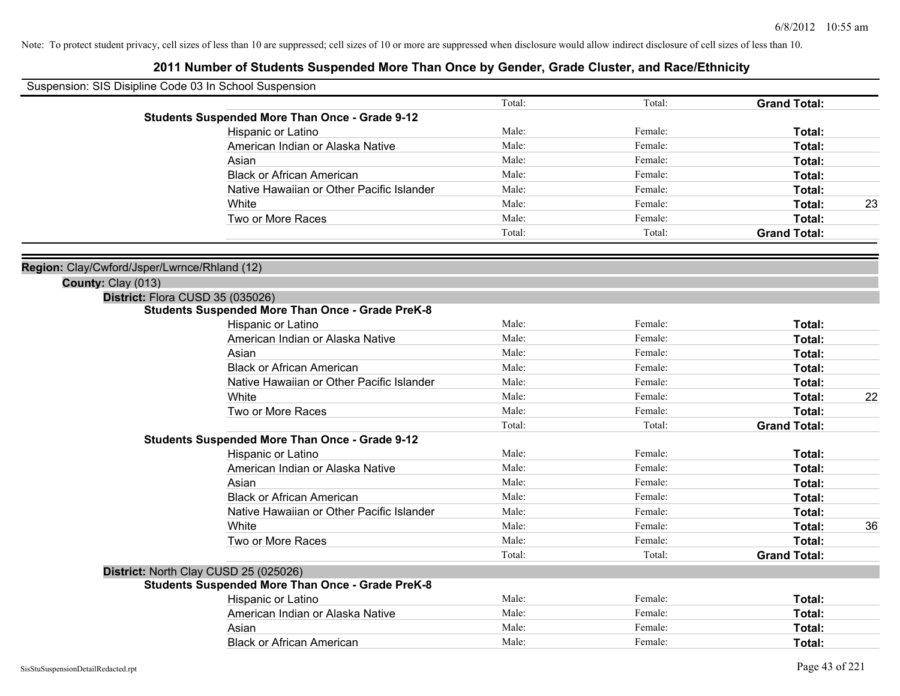| Suspension: SIS Disipline Code 03 In School Suspension |                                                         |        |         |                     |    |
|--------------------------------------------------------|---------------------------------------------------------|--------|---------|---------------------|----|
|                                                        |                                                         | Total: | Total:  | <b>Grand Total:</b> |    |
|                                                        | <b>Students Suspended More Than Once - Grade 9-12</b>   |        |         |                     |    |
|                                                        | Hispanic or Latino                                      | Male:  | Female: | Total:              |    |
|                                                        | American Indian or Alaska Native                        | Male:  | Female: | Total:              |    |
|                                                        | Asian                                                   | Male:  | Female: | Total:              |    |
|                                                        | <b>Black or African American</b>                        | Male:  | Female: | Total:              |    |
|                                                        | Native Hawaiian or Other Pacific Islander               | Male:  | Female: | Total:              |    |
|                                                        | White                                                   | Male:  | Female: | Total:              | 23 |
|                                                        | Two or More Races                                       | Male:  | Female: | Total:              |    |
|                                                        |                                                         | Total: | Total:  | <b>Grand Total:</b> |    |
| Region: Clay/Cwford/Jsper/Lwrnce/Rhland (12)           |                                                         |        |         |                     |    |
| County: Clay (013)                                     |                                                         |        |         |                     |    |
|                                                        | District: Flora CUSD 35 (035026)                        |        |         |                     |    |
|                                                        | <b>Students Suspended More Than Once - Grade PreK-8</b> |        |         |                     |    |
|                                                        | Hispanic or Latino                                      | Male:  | Female: | Total:              |    |
|                                                        | American Indian or Alaska Native                        | Male:  | Female: | Total:              |    |
|                                                        | Asian                                                   | Male:  | Female: | <b>Total:</b>       |    |
|                                                        | <b>Black or African American</b>                        | Male:  | Female: | Total:              |    |
|                                                        | Native Hawaiian or Other Pacific Islander               | Male:  | Female: | Total:              |    |
|                                                        | White                                                   | Male:  | Female: | Total:              | 22 |
|                                                        | Two or More Races                                       | Male:  | Female: | Total:              |    |
|                                                        |                                                         | Total: | Total:  | <b>Grand Total:</b> |    |
|                                                        | <b>Students Suspended More Than Once - Grade 9-12</b>   |        |         |                     |    |
|                                                        | Hispanic or Latino                                      | Male:  | Female: | Total:              |    |
|                                                        | American Indian or Alaska Native                        | Male:  | Female: | <b>Total:</b>       |    |
|                                                        | Asian                                                   | Male:  | Female: | Total:              |    |
|                                                        | <b>Black or African American</b>                        | Male:  | Female: | Total:              |    |
|                                                        | Native Hawaiian or Other Pacific Islander               | Male:  | Female: | Total:              |    |
|                                                        | White                                                   | Male:  | Female: | Total:              | 36 |
|                                                        | Two or More Races                                       | Male:  | Female: | Total:              |    |
|                                                        |                                                         | Total: | Total:  | <b>Grand Total:</b> |    |
|                                                        | District: North Clay CUSD 25 (025026)                   |        |         |                     |    |
|                                                        | <b>Students Suspended More Than Once - Grade PreK-8</b> |        |         |                     |    |
|                                                        | Hispanic or Latino                                      | Male:  | Female: | Total:              |    |
|                                                        | American Indian or Alaska Native                        | Male:  | Female: | Total:              |    |
|                                                        | Asian                                                   | Male:  | Female: | Total:              |    |
|                                                        | <b>Black or African American</b>                        | Male:  | Female: | Total:              |    |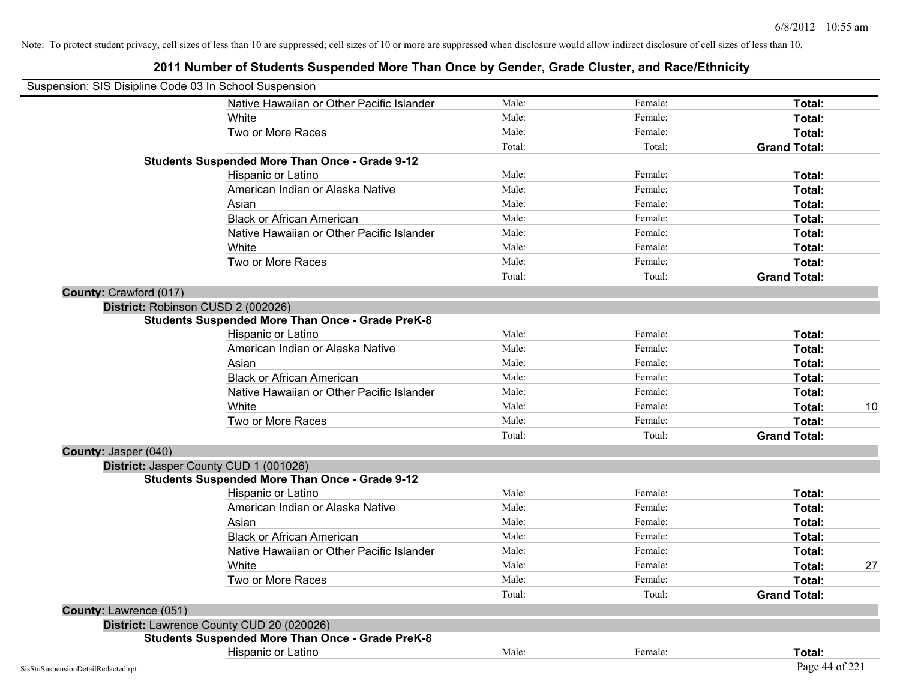# **2011 Number of Students Suspended More Than Once by Gender, Grade Cluster, and Race/Ethnicity** Suspension: SIS Disipline Code 03 In School Suspension Native Hawaiian or Other Pacific Islander **Male:** Male: Female: Female: **Total:** Total: White **Total:** Male: **Female:** Female: **Total:** Total: **Total:** Female: **Total:** Total: **Total:** Total: **Total:** Total: **Total:** Total: **Total:** Total: **Total:** Total: **Total:** Total: **Total:** Total: **Total:** Total: **Total** Two or More Races **Total:** Total: Male: Female: Female: **Total:** Total: Total: Total: **Grand Total: Students Suspended More Than Once - Grade 9-12** Hispanic or Latino **Finale:** Female: **Female:** Female: **Total:** Female: **Total:** Female: **Female:** Female: **Fotal:** Fotal: American Indian or Alaska Native **Male:** Male: Female: Female: **Total:** Total: Asian **Asian Male:** Female: **Total:** Female: **Total:** Female: **Total:** Female: **Total:** Female: **Total:** Female: **Total:** Female: **Total:** Female: **Total:** Female: **Total: Total: Total: Total: Total: Total: Tot** Black or African American **Figure 1.1 and Total:** Male: Female: Female: **Total: Total:** Total: Native Hawaiian or Other Pacific Islander Male: **Male:** Female: Female: **Total:** Total: White **Total:** Male: **Female:** Female: **Total:** Total: **Total:** Female: **Total:** Total: **Total:** Total: **Total:** Total: **Total:** Total: **Total:** Total: **Total:** Total: **Total:** Total: **Total:** Total: **Total:** Total: **Total** Two or More Races **Total:** Total: Male: Female: Female: **Total:** Total: Total: Total: **Grand Total: County:** Crawford (017) **District:** Robinson CUSD 2 (002026) **Students Suspended More Than Once - Grade PreK-8** Hispanic or Latino **Finally Hispanic or Latino** *Total:* Male: Female: **Female: Total: Total: Total: Female: Total: Total: Female: Total: Total: Total: Total: Total: Total: Total: Total: T** American Indian or Alaska Native **Male:** Male: Female: Female: **Total:** Total: Asian **Asian Male:** Total: Male: Female: **Total: Total:** Total: Total: Total: Total: Total: Total: Total: Total: Total: Total: Total: Total: Total: Total: Total: Total: Total: Total: Total: Total: Total: Total: Total: Tota Black or African American **Figure 1.1 and Total:** Male: Female: Female: **Total: Total:** Total: Native Hawaiian or Other Pacific Islander **Male:** Male: Female: Female: **Total:** Total: White **Male:** Male: **Total: 10** Male: **Total: 10** Male: **Total: 10** Two or More Races **Total:** Total: Male: Female: Female: **Total:** Total: Female: Total: Total: Total: **Grand Total: County:** Jasper (040) **District:** Jasper County CUD 1 (001026) **Students Suspended More Than Once - Grade 9-12** Hispanic or Latino **Finale:** Female: **Female:** Female: **Total:** Female: **Total:** Female: **Female:** Female: **Fotal:** Fotal: American Indian or Alaska Native **Male:** Male: Female: Female: **Total:** Total: Asian **Female:** Total: Male: Female: **Total:** Total: Total: Total: Total: Total: Total: Total: Total: Total: Total: Total: Total: Total: Total: Total: Total: Total: Total: Total: Total: Total: Total: Total: Total: Total: T Black or African American **Figure 1.1 and Total:** Male: Female: Female: **Total:** Total: Native Hawaiian or Other Pacific Islander Male: Female: Female: **Formale: Total:** Total: White **Male:** Male: **Total: 27** Male: **Total: 27** Male: **Total: 27** Male: 27 Male: 27 Male: 27 Male: 27 Male: 27 Male: 27 Male: 27 Male: 27 Male: 27 Male: 27 Male: 27 Male: 27 Male: 27 Male: 27 Male: 27 Male: 27 Male: 27 M Two or More Races **Total:** Total: Male: Female: Female: **Total:** Female: **Total:** Total: Total: Total: **Grand Total: County:** Lawrence (051) **District:** Lawrence County CUD 20 (020026) **Students Suspended More Than Once - Grade PreK-8** Hispanic or Latino **Finally Contract Contract Contract Contract Contract Contract Contract Contract Contract Contract Contract Contract Contract Contract Contract Contract Contract Contract Contract Contract Contract Contr**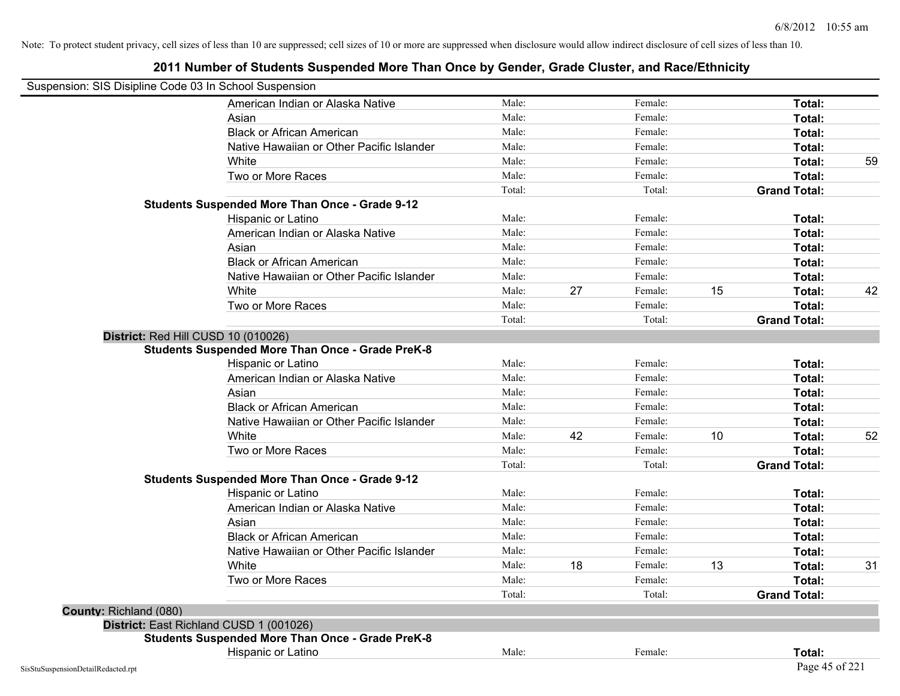| Suspension: SIS Disipline Code 03 In School Suspension |                                                         |        |    |         |    |                     |    |
|--------------------------------------------------------|---------------------------------------------------------|--------|----|---------|----|---------------------|----|
|                                                        | American Indian or Alaska Native                        | Male:  |    | Female: |    | Total:              |    |
|                                                        | Asian                                                   | Male:  |    | Female: |    | Total:              |    |
|                                                        | <b>Black or African American</b>                        | Male:  |    | Female: |    | Total:              |    |
|                                                        | Native Hawaiian or Other Pacific Islander               | Male:  |    | Female: |    | Total:              |    |
|                                                        | White                                                   | Male:  |    | Female: |    | Total:              | 59 |
|                                                        | Two or More Races                                       | Male:  |    | Female: |    | Total:              |    |
|                                                        |                                                         | Total: |    | Total:  |    | <b>Grand Total:</b> |    |
|                                                        | <b>Students Suspended More Than Once - Grade 9-12</b>   |        |    |         |    |                     |    |
|                                                        | Hispanic or Latino                                      | Male:  |    | Female: |    | Total:              |    |
|                                                        | American Indian or Alaska Native                        | Male:  |    | Female: |    | Total:              |    |
|                                                        | Asian                                                   | Male:  |    | Female: |    | Total:              |    |
|                                                        | <b>Black or African American</b>                        | Male:  |    | Female: |    | Total:              |    |
|                                                        | Native Hawaiian or Other Pacific Islander               | Male:  |    | Female: |    | Total:              |    |
|                                                        | White                                                   | Male:  | 27 | Female: | 15 | Total:              | 42 |
|                                                        | Two or More Races                                       | Male:  |    | Female: |    | Total:              |    |
|                                                        |                                                         | Total: |    | Total:  |    | <b>Grand Total:</b> |    |
|                                                        | District: Red Hill CUSD 10 (010026)                     |        |    |         |    |                     |    |
|                                                        | <b>Students Suspended More Than Once - Grade PreK-8</b> |        |    |         |    |                     |    |
|                                                        | Hispanic or Latino                                      | Male:  |    | Female: |    | Total:              |    |
|                                                        | American Indian or Alaska Native                        | Male:  |    | Female: |    | Total:              |    |
|                                                        | Asian                                                   | Male:  |    | Female: |    | Total:              |    |
|                                                        | <b>Black or African American</b>                        | Male:  |    | Female: |    | Total:              |    |
|                                                        | Native Hawaiian or Other Pacific Islander               | Male:  |    | Female: |    | Total:              |    |
|                                                        | White                                                   | Male:  | 42 | Female: | 10 | Total:              | 52 |
|                                                        | Two or More Races                                       | Male:  |    | Female: |    | Total:              |    |
|                                                        |                                                         | Total: |    | Total:  |    | <b>Grand Total:</b> |    |
|                                                        | <b>Students Suspended More Than Once - Grade 9-12</b>   |        |    |         |    |                     |    |
|                                                        | Hispanic or Latino                                      | Male:  |    | Female: |    | Total:              |    |
|                                                        | American Indian or Alaska Native                        | Male:  |    | Female: |    | Total:              |    |
|                                                        | Asian                                                   | Male:  |    | Female: |    | Total:              |    |
|                                                        | <b>Black or African American</b>                        | Male:  |    | Female: |    | Total:              |    |
|                                                        | Native Hawaiian or Other Pacific Islander               | Male:  |    | Female: |    | Total:              |    |
|                                                        | White                                                   | Male:  | 18 | Female: | 13 | Total:              | 31 |
|                                                        | Two or More Races                                       | Male:  |    | Female: |    | Total:              |    |
|                                                        |                                                         | Total: |    | Total:  |    | <b>Grand Total:</b> |    |
| County: Richland (080)                                 |                                                         |        |    |         |    |                     |    |
|                                                        | District: East Richland CUSD 1 (001026)                 |        |    |         |    |                     |    |
|                                                        | <b>Students Suspended More Than Once - Grade PreK-8</b> |        |    |         |    |                     |    |
|                                                        | Hispanic or Latino                                      | Male:  |    | Female: |    | Total:              |    |
| SisStuSuspensionDetailRedacted.rpt                     |                                                         |        |    |         |    | Page 45 of 221      |    |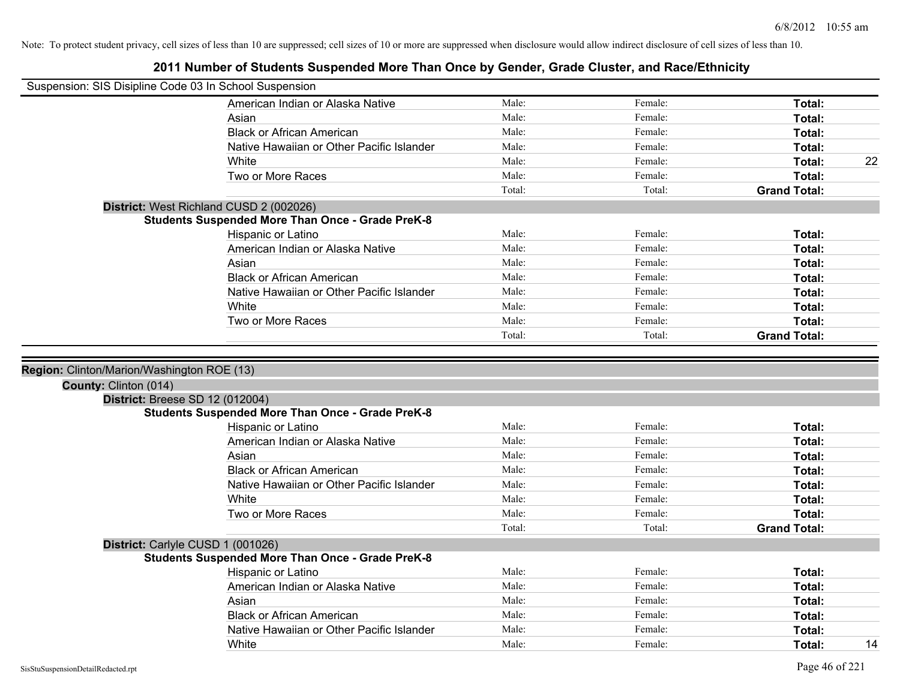| Suspension: SIS Disipline Code 03 In School Suspension |                                                         |        |         |                     |    |
|--------------------------------------------------------|---------------------------------------------------------|--------|---------|---------------------|----|
|                                                        | American Indian or Alaska Native                        | Male:  | Female: | Total:              |    |
|                                                        | Asian                                                   | Male:  | Female: | Total:              |    |
|                                                        | <b>Black or African American</b>                        | Male:  | Female: | Total:              |    |
|                                                        | Native Hawaiian or Other Pacific Islander               | Male:  | Female: | Total:              |    |
|                                                        | White                                                   | Male:  | Female: | Total:              | 22 |
|                                                        | Two or More Races                                       | Male:  | Female: | Total:              |    |
|                                                        |                                                         | Total: | Total:  | <b>Grand Total:</b> |    |
|                                                        | District: West Richland CUSD 2 (002026)                 |        |         |                     |    |
|                                                        | <b>Students Suspended More Than Once - Grade PreK-8</b> |        |         |                     |    |
|                                                        | Hispanic or Latino                                      | Male:  | Female: | Total:              |    |
|                                                        | American Indian or Alaska Native                        | Male:  | Female: | Total:              |    |
|                                                        | Asian                                                   | Male:  | Female: | Total:              |    |
|                                                        | <b>Black or African American</b>                        | Male:  | Female: | Total:              |    |
|                                                        | Native Hawaiian or Other Pacific Islander               | Male:  | Female: | Total:              |    |
|                                                        | White                                                   | Male:  | Female: | Total:              |    |
|                                                        | Two or More Races                                       | Male:  | Female: | Total:              |    |
|                                                        |                                                         | Total: | Total:  | <b>Grand Total:</b> |    |
|                                                        |                                                         |        |         |                     |    |
| Region: Clinton/Marion/Washington ROE (13)             |                                                         |        |         |                     |    |
|                                                        |                                                         |        |         |                     |    |
| County: Clinton (014)                                  |                                                         |        |         |                     |    |
| <b>District: Breese SD 12 (012004)</b>                 |                                                         |        |         |                     |    |
|                                                        | <b>Students Suspended More Than Once - Grade PreK-8</b> |        |         |                     |    |
|                                                        | Hispanic or Latino                                      | Male:  | Female: | Total:              |    |
|                                                        | American Indian or Alaska Native                        | Male:  | Female: | Total:              |    |
|                                                        | Asian                                                   | Male:  | Female: | Total:              |    |
|                                                        | <b>Black or African American</b>                        | Male:  | Female: | Total:              |    |
|                                                        | Native Hawaiian or Other Pacific Islander               | Male:  | Female: | <b>Total:</b>       |    |
|                                                        | White                                                   | Male:  | Female: | Total:              |    |
|                                                        | Two or More Races                                       | Male:  | Female: | Total:              |    |
|                                                        |                                                         | Total: | Total:  | <b>Grand Total:</b> |    |
|                                                        | District: Carlyle CUSD 1 (001026)                       |        |         |                     |    |
|                                                        | <b>Students Suspended More Than Once - Grade PreK-8</b> |        |         |                     |    |
|                                                        | Hispanic or Latino                                      | Male:  | Female: | Total:              |    |
|                                                        | American Indian or Alaska Native                        | Male:  | Female: | Total:              |    |
|                                                        | Asian                                                   | Male:  | Female: | Total:              |    |
|                                                        | <b>Black or African American</b>                        | Male:  | Female: | Total:              |    |
|                                                        | Native Hawaiian or Other Pacific Islander               | Male:  | Female: | Total:              |    |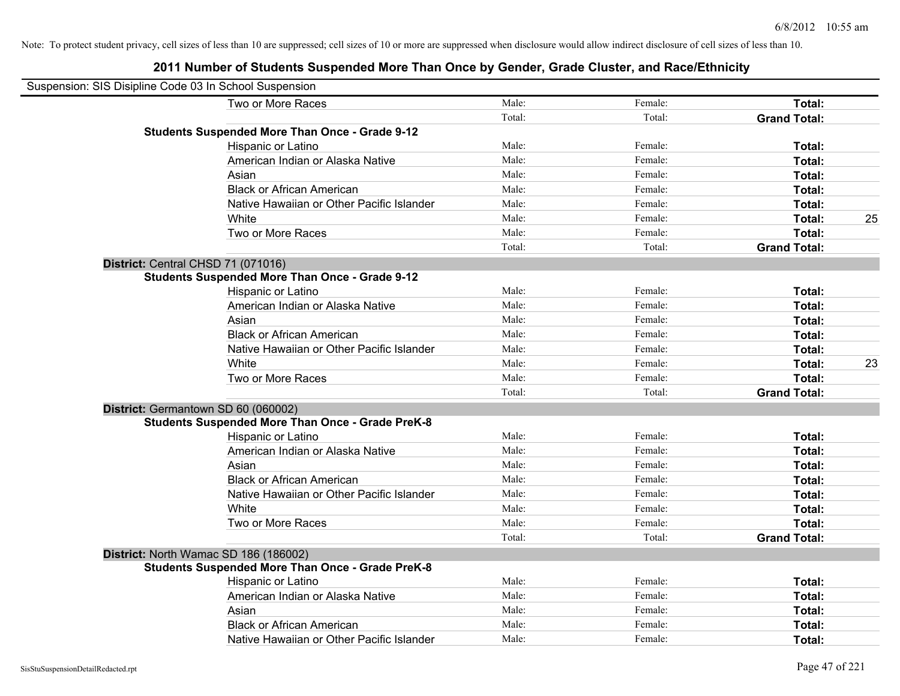| Suspension: SIS Disipline Code 03 In School Suspension |                                                         |        |         |                     |    |
|--------------------------------------------------------|---------------------------------------------------------|--------|---------|---------------------|----|
|                                                        | Two or More Races                                       | Male:  | Female: | Total:              |    |
|                                                        |                                                         | Total: | Total:  | <b>Grand Total:</b> |    |
|                                                        | <b>Students Suspended More Than Once - Grade 9-12</b>   |        |         |                     |    |
|                                                        | Hispanic or Latino                                      | Male:  | Female: | Total:              |    |
|                                                        | American Indian or Alaska Native                        | Male:  | Female: | Total:              |    |
|                                                        | Asian                                                   | Male:  | Female: | Total:              |    |
|                                                        | <b>Black or African American</b>                        | Male:  | Female: | Total:              |    |
|                                                        | Native Hawaiian or Other Pacific Islander               | Male:  | Female: | Total:              |    |
|                                                        | White                                                   | Male:  | Female: | Total:              | 25 |
|                                                        | Two or More Races                                       | Male:  | Female: | Total:              |    |
|                                                        |                                                         | Total: | Total:  | <b>Grand Total:</b> |    |
|                                                        | District: Central CHSD 71 (071016)                      |        |         |                     |    |
|                                                        | <b>Students Suspended More Than Once - Grade 9-12</b>   |        |         |                     |    |
|                                                        | Hispanic or Latino                                      | Male:  | Female: | Total:              |    |
|                                                        | American Indian or Alaska Native                        | Male:  | Female: | Total:              |    |
|                                                        | Asian                                                   | Male:  | Female: | Total:              |    |
|                                                        | <b>Black or African American</b>                        | Male:  | Female: | Total:              |    |
|                                                        | Native Hawaiian or Other Pacific Islander               | Male:  | Female: | Total:              |    |
|                                                        | White                                                   | Male:  | Female: | Total:              | 23 |
|                                                        | Two or More Races                                       | Male:  | Female: | Total:              |    |
|                                                        |                                                         | Total: | Total:  | <b>Grand Total:</b> |    |
|                                                        | District: Germantown SD 60 (060002)                     |        |         |                     |    |
|                                                        | <b>Students Suspended More Than Once - Grade PreK-8</b> |        |         |                     |    |
|                                                        | Hispanic or Latino                                      | Male:  | Female: | Total:              |    |
|                                                        | American Indian or Alaska Native                        | Male:  | Female: | Total:              |    |
|                                                        | Asian                                                   | Male:  | Female: | Total:              |    |
|                                                        | <b>Black or African American</b>                        | Male:  | Female: | Total:              |    |
|                                                        | Native Hawaiian or Other Pacific Islander               | Male:  | Female: | Total:              |    |
|                                                        | White                                                   | Male:  | Female: | Total:              |    |
|                                                        | Two or More Races                                       | Male:  | Female: | Total:              |    |
|                                                        |                                                         | Total: | Total:  | <b>Grand Total:</b> |    |
|                                                        | District: North Wamac SD 186 (186002)                   |        |         |                     |    |
|                                                        | <b>Students Suspended More Than Once - Grade PreK-8</b> |        |         |                     |    |
|                                                        | Hispanic or Latino                                      | Male:  | Female: | Total:              |    |
|                                                        | American Indian or Alaska Native                        | Male:  | Female: | Total:              |    |
|                                                        | Asian                                                   | Male:  | Female: | Total:              |    |
|                                                        | <b>Black or African American</b>                        | Male:  | Female: | Total:              |    |
|                                                        | Native Hawaiian or Other Pacific Islander               | Male:  | Female: | Total:              |    |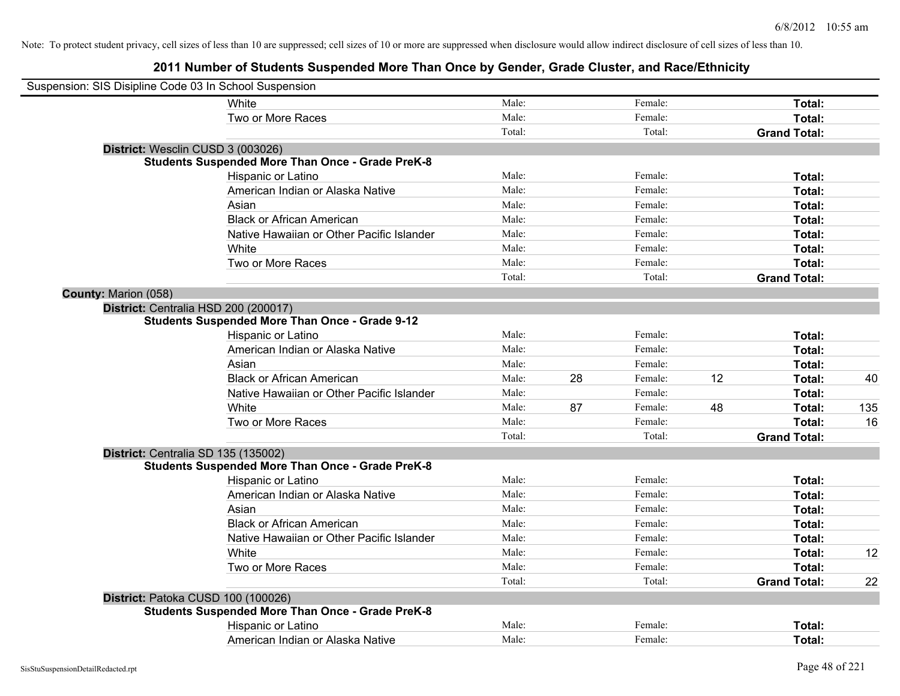| Suspension: SIS Disipline Code 03 In School Suspension |                                                         |        |    |         |    |                     |     |
|--------------------------------------------------------|---------------------------------------------------------|--------|----|---------|----|---------------------|-----|
|                                                        | White                                                   | Male:  |    | Female: |    | Total:              |     |
|                                                        | Two or More Races                                       | Male:  |    | Female: |    | Total:              |     |
|                                                        |                                                         | Total: |    | Total:  |    | <b>Grand Total:</b> |     |
| District: Wesclin CUSD 3 (003026)                      |                                                         |        |    |         |    |                     |     |
|                                                        | <b>Students Suspended More Than Once - Grade PreK-8</b> |        |    |         |    |                     |     |
|                                                        | Hispanic or Latino                                      | Male:  |    | Female: |    | Total:              |     |
|                                                        | American Indian or Alaska Native                        | Male:  |    | Female: |    | Total:              |     |
|                                                        | Asian                                                   | Male:  |    | Female: |    | Total:              |     |
|                                                        | <b>Black or African American</b>                        | Male:  |    | Female: |    | Total:              |     |
|                                                        | Native Hawaiian or Other Pacific Islander               | Male:  |    | Female: |    | Total:              |     |
|                                                        | White                                                   | Male:  |    | Female: |    | Total:              |     |
|                                                        | Two or More Races                                       | Male:  |    | Female: |    | Total:              |     |
|                                                        |                                                         | Total: |    | Total:  |    | <b>Grand Total:</b> |     |
| County: Marion (058)                                   |                                                         |        |    |         |    |                     |     |
| District: Centralia HSD 200 (200017)                   |                                                         |        |    |         |    |                     |     |
|                                                        | <b>Students Suspended More Than Once - Grade 9-12</b>   |        |    |         |    |                     |     |
|                                                        | Hispanic or Latino                                      | Male:  |    | Female: |    | Total:              |     |
|                                                        | American Indian or Alaska Native                        | Male:  |    | Female: |    | Total:              |     |
|                                                        | Asian                                                   | Male:  |    | Female: |    | Total:              |     |
|                                                        | <b>Black or African American</b>                        | Male:  | 28 | Female: | 12 | Total:              | 40  |
|                                                        | Native Hawaiian or Other Pacific Islander               | Male:  |    | Female: |    | Total:              |     |
|                                                        | White                                                   | Male:  | 87 | Female: | 48 | Total:              | 135 |
|                                                        | Two or More Races                                       | Male:  |    | Female: |    | Total:              | 16  |
|                                                        |                                                         | Total: |    | Total:  |    | <b>Grand Total:</b> |     |
| District: Centralia SD 135 (135002)                    |                                                         |        |    |         |    |                     |     |
|                                                        | <b>Students Suspended More Than Once - Grade PreK-8</b> |        |    |         |    |                     |     |
|                                                        | Hispanic or Latino                                      | Male:  |    | Female: |    | Total:              |     |
|                                                        | American Indian or Alaska Native                        | Male:  |    | Female: |    | Total:              |     |
|                                                        | Asian                                                   | Male:  |    | Female: |    | Total:              |     |
|                                                        | <b>Black or African American</b>                        | Male:  |    | Female: |    | Total:              |     |
|                                                        | Native Hawaiian or Other Pacific Islander               | Male:  |    | Female: |    | Total:              |     |
|                                                        | White                                                   | Male:  |    | Female: |    | Total:              | 12  |
|                                                        | Two or More Races                                       | Male:  |    | Female: |    | Total:              |     |
|                                                        |                                                         | Total: |    | Total:  |    | <b>Grand Total:</b> | 22  |
| District: Patoka CUSD 100 (100026)                     |                                                         |        |    |         |    |                     |     |
|                                                        | <b>Students Suspended More Than Once - Grade PreK-8</b> |        |    |         |    |                     |     |
|                                                        | Hispanic or Latino                                      | Male:  |    | Female: |    | Total:              |     |
|                                                        | American Indian or Alaska Native                        | Male:  |    | Female: |    | Total:              |     |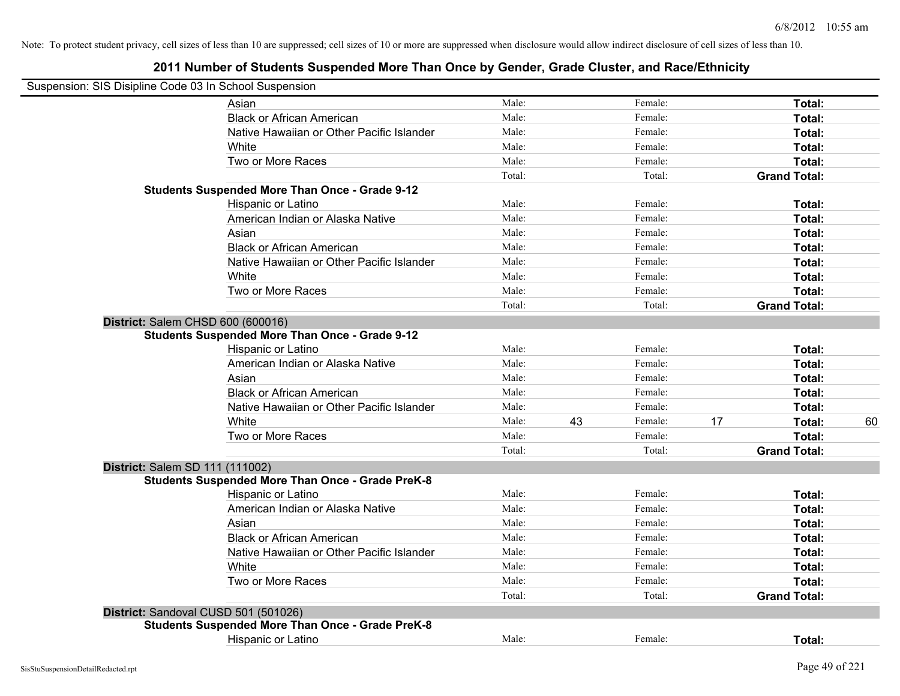| Suspension: SIS Disipline Code 03 In School Suspension |                                                         |        |    |         |    |                     |    |
|--------------------------------------------------------|---------------------------------------------------------|--------|----|---------|----|---------------------|----|
|                                                        | Asian                                                   | Male:  |    | Female: |    | Total:              |    |
|                                                        | <b>Black or African American</b>                        | Male:  |    | Female: |    | Total:              |    |
|                                                        | Native Hawaiian or Other Pacific Islander               | Male:  |    | Female: |    | Total:              |    |
|                                                        | White                                                   | Male:  |    | Female: |    | Total:              |    |
|                                                        | Two or More Races                                       | Male:  |    | Female: |    | Total:              |    |
|                                                        |                                                         | Total: |    | Total:  |    | <b>Grand Total:</b> |    |
|                                                        | <b>Students Suspended More Than Once - Grade 9-12</b>   |        |    |         |    |                     |    |
|                                                        | Hispanic or Latino                                      | Male:  |    | Female: |    | Total:              |    |
|                                                        | American Indian or Alaska Native                        | Male:  |    | Female: |    | Total:              |    |
|                                                        | Asian                                                   | Male:  |    | Female: |    | Total:              |    |
|                                                        | <b>Black or African American</b>                        | Male:  |    | Female: |    | Total:              |    |
|                                                        | Native Hawaiian or Other Pacific Islander               | Male:  |    | Female: |    | Total:              |    |
|                                                        | White                                                   | Male:  |    | Female: |    | Total:              |    |
|                                                        | Two or More Races                                       | Male:  |    | Female: |    | Total:              |    |
|                                                        |                                                         | Total: |    | Total:  |    | <b>Grand Total:</b> |    |
| District: Salem CHSD 600 (600016)                      |                                                         |        |    |         |    |                     |    |
|                                                        | <b>Students Suspended More Than Once - Grade 9-12</b>   |        |    |         |    |                     |    |
|                                                        | Hispanic or Latino                                      | Male:  |    | Female: |    | Total:              |    |
|                                                        | American Indian or Alaska Native                        | Male:  |    | Female: |    | Total:              |    |
|                                                        | Asian                                                   | Male:  |    | Female: |    | Total:              |    |
|                                                        | <b>Black or African American</b>                        | Male:  |    | Female: |    | Total:              |    |
|                                                        | Native Hawaiian or Other Pacific Islander               | Male:  |    | Female: |    | Total:              |    |
|                                                        | White                                                   | Male:  | 43 | Female: | 17 | Total:              | 60 |
|                                                        | Two or More Races                                       | Male:  |    | Female: |    | Total:              |    |
|                                                        |                                                         | Total: |    | Total:  |    | <b>Grand Total:</b> |    |
| District: Salem SD 111 (111002)                        |                                                         |        |    |         |    |                     |    |
|                                                        | <b>Students Suspended More Than Once - Grade PreK-8</b> |        |    |         |    |                     |    |
|                                                        | Hispanic or Latino                                      | Male:  |    | Female: |    | Total:              |    |
|                                                        | American Indian or Alaska Native                        | Male:  |    | Female: |    | Total:              |    |
|                                                        | Asian                                                   | Male:  |    | Female: |    | Total:              |    |
|                                                        | <b>Black or African American</b>                        | Male:  |    | Female: |    | Total:              |    |
|                                                        | Native Hawaiian or Other Pacific Islander               | Male:  |    | Female: |    | Total:              |    |
|                                                        | White                                                   | Male:  |    | Female: |    | Total:              |    |
|                                                        | Two or More Races                                       | Male:  |    | Female: |    | Total:              |    |
|                                                        |                                                         | Total: |    | Total:  |    | <b>Grand Total:</b> |    |
| District: Sandoval CUSD 501 (501026)                   |                                                         |        |    |         |    |                     |    |
|                                                        | <b>Students Suspended More Than Once - Grade PreK-8</b> |        |    |         |    |                     |    |
|                                                        | Hispanic or Latino                                      | Male:  |    | Female: |    | Total:              |    |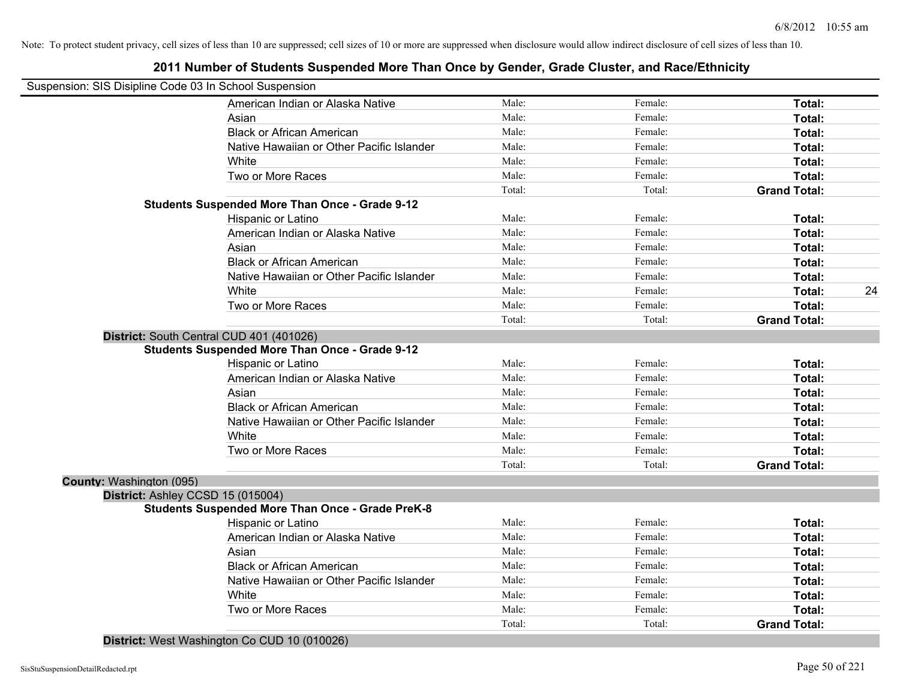| Suspension: SIS Disipline Code 03 In School Suspension<br>Male:<br>Female:<br>American Indian or Alaska Native<br>Total:<br>Male:<br>Female:<br>Asian<br>Total:<br><b>Black or African American</b><br>Male:<br>Female:<br>Total:<br>Male:<br>Female:<br>Native Hawaiian or Other Pacific Islander<br>Total:<br>Male:<br>Female:<br>White<br>Total:<br>Two or More Races<br>Male:<br>Female:<br>Total:<br>Total:<br>Total:<br><b>Grand Total:</b><br><b>Students Suspended More Than Once - Grade 9-12</b><br>Male:<br>Female:<br>Total:<br>Hispanic or Latino<br>Male:<br>American Indian or Alaska Native<br>Female:<br>Total:<br>Male:<br>Female:<br>Total:<br>Asian<br>Male:<br>Female:<br><b>Black or African American</b><br>Total:<br>Male:<br>Native Hawaiian or Other Pacific Islander<br>Female:<br>Total:<br>Male:<br>Female:<br>White<br>Total:<br>Male:<br>Female:<br>Total:<br>Two or More Races<br>Total:<br>Total:<br><b>Grand Total:</b><br>District: South Central CUD 401 (401026)<br><b>Students Suspended More Than Once - Grade 9-12</b><br>Male:<br>Hispanic or Latino<br>Female:<br>Total:<br>Male:<br>American Indian or Alaska Native<br>Female:<br>Total:<br>Male:<br>Female:<br>Asian<br><b>Total:</b><br><b>Black or African American</b><br>Male:<br>Female:<br>Total:<br>Native Hawaiian or Other Pacific Islander<br>Male:<br>Female:<br>Total:<br>White<br>Male:<br>Female:<br>Total:<br>Two or More Races<br>Male:<br>Total:<br>Female:<br>Total:<br>Total:<br><b>Grand Total:</b><br>County: Washington (095)<br>District: Ashley CCSD 15 (015004)<br><b>Students Suspended More Than Once - Grade PreK-8</b><br>Male:<br>Female:<br>Hispanic or Latino<br>Total:<br>American Indian or Alaska Native<br>Male:<br>Female:<br>Total:<br>Male:<br>Female:<br>Asian<br>Total:<br><b>Black or African American</b><br>Male:<br>Female:<br>Total:<br>Native Hawaiian or Other Pacific Islander<br>Male:<br>Female:<br>Total:<br>White<br>Male:<br>Female:<br>Total:<br>Two or More Races<br>Male:<br>Female:<br>Total:<br>Total:<br>Total:<br><b>Grand Total:</b> | 2011 Number of Students Suspended More Than Once by Gender, Grade Cluster, and Race/Ethnicity |  |    |
|-------------------------------------------------------------------------------------------------------------------------------------------------------------------------------------------------------------------------------------------------------------------------------------------------------------------------------------------------------------------------------------------------------------------------------------------------------------------------------------------------------------------------------------------------------------------------------------------------------------------------------------------------------------------------------------------------------------------------------------------------------------------------------------------------------------------------------------------------------------------------------------------------------------------------------------------------------------------------------------------------------------------------------------------------------------------------------------------------------------------------------------------------------------------------------------------------------------------------------------------------------------------------------------------------------------------------------------------------------------------------------------------------------------------------------------------------------------------------------------------------------------------------------------------------------------------------------------------------------------------------------------------------------------------------------------------------------------------------------------------------------------------------------------------------------------------------------------------------------------------------------------------------------------------------------------------------------------------------------------------------------------------------------------------------------------------------------------------------|-----------------------------------------------------------------------------------------------|--|----|
|                                                                                                                                                                                                                                                                                                                                                                                                                                                                                                                                                                                                                                                                                                                                                                                                                                                                                                                                                                                                                                                                                                                                                                                                                                                                                                                                                                                                                                                                                                                                                                                                                                                                                                                                                                                                                                                                                                                                                                                                                                                                                                 |                                                                                               |  |    |
|                                                                                                                                                                                                                                                                                                                                                                                                                                                                                                                                                                                                                                                                                                                                                                                                                                                                                                                                                                                                                                                                                                                                                                                                                                                                                                                                                                                                                                                                                                                                                                                                                                                                                                                                                                                                                                                                                                                                                                                                                                                                                                 |                                                                                               |  |    |
|                                                                                                                                                                                                                                                                                                                                                                                                                                                                                                                                                                                                                                                                                                                                                                                                                                                                                                                                                                                                                                                                                                                                                                                                                                                                                                                                                                                                                                                                                                                                                                                                                                                                                                                                                                                                                                                                                                                                                                                                                                                                                                 |                                                                                               |  |    |
|                                                                                                                                                                                                                                                                                                                                                                                                                                                                                                                                                                                                                                                                                                                                                                                                                                                                                                                                                                                                                                                                                                                                                                                                                                                                                                                                                                                                                                                                                                                                                                                                                                                                                                                                                                                                                                                                                                                                                                                                                                                                                                 |                                                                                               |  |    |
|                                                                                                                                                                                                                                                                                                                                                                                                                                                                                                                                                                                                                                                                                                                                                                                                                                                                                                                                                                                                                                                                                                                                                                                                                                                                                                                                                                                                                                                                                                                                                                                                                                                                                                                                                                                                                                                                                                                                                                                                                                                                                                 |                                                                                               |  |    |
|                                                                                                                                                                                                                                                                                                                                                                                                                                                                                                                                                                                                                                                                                                                                                                                                                                                                                                                                                                                                                                                                                                                                                                                                                                                                                                                                                                                                                                                                                                                                                                                                                                                                                                                                                                                                                                                                                                                                                                                                                                                                                                 |                                                                                               |  |    |
|                                                                                                                                                                                                                                                                                                                                                                                                                                                                                                                                                                                                                                                                                                                                                                                                                                                                                                                                                                                                                                                                                                                                                                                                                                                                                                                                                                                                                                                                                                                                                                                                                                                                                                                                                                                                                                                                                                                                                                                                                                                                                                 |                                                                                               |  |    |
|                                                                                                                                                                                                                                                                                                                                                                                                                                                                                                                                                                                                                                                                                                                                                                                                                                                                                                                                                                                                                                                                                                                                                                                                                                                                                                                                                                                                                                                                                                                                                                                                                                                                                                                                                                                                                                                                                                                                                                                                                                                                                                 |                                                                                               |  |    |
|                                                                                                                                                                                                                                                                                                                                                                                                                                                                                                                                                                                                                                                                                                                                                                                                                                                                                                                                                                                                                                                                                                                                                                                                                                                                                                                                                                                                                                                                                                                                                                                                                                                                                                                                                                                                                                                                                                                                                                                                                                                                                                 |                                                                                               |  |    |
|                                                                                                                                                                                                                                                                                                                                                                                                                                                                                                                                                                                                                                                                                                                                                                                                                                                                                                                                                                                                                                                                                                                                                                                                                                                                                                                                                                                                                                                                                                                                                                                                                                                                                                                                                                                                                                                                                                                                                                                                                                                                                                 |                                                                                               |  |    |
|                                                                                                                                                                                                                                                                                                                                                                                                                                                                                                                                                                                                                                                                                                                                                                                                                                                                                                                                                                                                                                                                                                                                                                                                                                                                                                                                                                                                                                                                                                                                                                                                                                                                                                                                                                                                                                                                                                                                                                                                                                                                                                 |                                                                                               |  |    |
|                                                                                                                                                                                                                                                                                                                                                                                                                                                                                                                                                                                                                                                                                                                                                                                                                                                                                                                                                                                                                                                                                                                                                                                                                                                                                                                                                                                                                                                                                                                                                                                                                                                                                                                                                                                                                                                                                                                                                                                                                                                                                                 |                                                                                               |  |    |
|                                                                                                                                                                                                                                                                                                                                                                                                                                                                                                                                                                                                                                                                                                                                                                                                                                                                                                                                                                                                                                                                                                                                                                                                                                                                                                                                                                                                                                                                                                                                                                                                                                                                                                                                                                                                                                                                                                                                                                                                                                                                                                 |                                                                                               |  |    |
|                                                                                                                                                                                                                                                                                                                                                                                                                                                                                                                                                                                                                                                                                                                                                                                                                                                                                                                                                                                                                                                                                                                                                                                                                                                                                                                                                                                                                                                                                                                                                                                                                                                                                                                                                                                                                                                                                                                                                                                                                                                                                                 |                                                                                               |  |    |
|                                                                                                                                                                                                                                                                                                                                                                                                                                                                                                                                                                                                                                                                                                                                                                                                                                                                                                                                                                                                                                                                                                                                                                                                                                                                                                                                                                                                                                                                                                                                                                                                                                                                                                                                                                                                                                                                                                                                                                                                                                                                                                 |                                                                                               |  | 24 |
|                                                                                                                                                                                                                                                                                                                                                                                                                                                                                                                                                                                                                                                                                                                                                                                                                                                                                                                                                                                                                                                                                                                                                                                                                                                                                                                                                                                                                                                                                                                                                                                                                                                                                                                                                                                                                                                                                                                                                                                                                                                                                                 |                                                                                               |  |    |
|                                                                                                                                                                                                                                                                                                                                                                                                                                                                                                                                                                                                                                                                                                                                                                                                                                                                                                                                                                                                                                                                                                                                                                                                                                                                                                                                                                                                                                                                                                                                                                                                                                                                                                                                                                                                                                                                                                                                                                                                                                                                                                 |                                                                                               |  |    |
|                                                                                                                                                                                                                                                                                                                                                                                                                                                                                                                                                                                                                                                                                                                                                                                                                                                                                                                                                                                                                                                                                                                                                                                                                                                                                                                                                                                                                                                                                                                                                                                                                                                                                                                                                                                                                                                                                                                                                                                                                                                                                                 |                                                                                               |  |    |
|                                                                                                                                                                                                                                                                                                                                                                                                                                                                                                                                                                                                                                                                                                                                                                                                                                                                                                                                                                                                                                                                                                                                                                                                                                                                                                                                                                                                                                                                                                                                                                                                                                                                                                                                                                                                                                                                                                                                                                                                                                                                                                 |                                                                                               |  |    |
|                                                                                                                                                                                                                                                                                                                                                                                                                                                                                                                                                                                                                                                                                                                                                                                                                                                                                                                                                                                                                                                                                                                                                                                                                                                                                                                                                                                                                                                                                                                                                                                                                                                                                                                                                                                                                                                                                                                                                                                                                                                                                                 |                                                                                               |  |    |
|                                                                                                                                                                                                                                                                                                                                                                                                                                                                                                                                                                                                                                                                                                                                                                                                                                                                                                                                                                                                                                                                                                                                                                                                                                                                                                                                                                                                                                                                                                                                                                                                                                                                                                                                                                                                                                                                                                                                                                                                                                                                                                 |                                                                                               |  |    |
|                                                                                                                                                                                                                                                                                                                                                                                                                                                                                                                                                                                                                                                                                                                                                                                                                                                                                                                                                                                                                                                                                                                                                                                                                                                                                                                                                                                                                                                                                                                                                                                                                                                                                                                                                                                                                                                                                                                                                                                                                                                                                                 |                                                                                               |  |    |
|                                                                                                                                                                                                                                                                                                                                                                                                                                                                                                                                                                                                                                                                                                                                                                                                                                                                                                                                                                                                                                                                                                                                                                                                                                                                                                                                                                                                                                                                                                                                                                                                                                                                                                                                                                                                                                                                                                                                                                                                                                                                                                 |                                                                                               |  |    |
|                                                                                                                                                                                                                                                                                                                                                                                                                                                                                                                                                                                                                                                                                                                                                                                                                                                                                                                                                                                                                                                                                                                                                                                                                                                                                                                                                                                                                                                                                                                                                                                                                                                                                                                                                                                                                                                                                                                                                                                                                                                                                                 |                                                                                               |  |    |
|                                                                                                                                                                                                                                                                                                                                                                                                                                                                                                                                                                                                                                                                                                                                                                                                                                                                                                                                                                                                                                                                                                                                                                                                                                                                                                                                                                                                                                                                                                                                                                                                                                                                                                                                                                                                                                                                                                                                                                                                                                                                                                 |                                                                                               |  |    |
|                                                                                                                                                                                                                                                                                                                                                                                                                                                                                                                                                                                                                                                                                                                                                                                                                                                                                                                                                                                                                                                                                                                                                                                                                                                                                                                                                                                                                                                                                                                                                                                                                                                                                                                                                                                                                                                                                                                                                                                                                                                                                                 |                                                                                               |  |    |
|                                                                                                                                                                                                                                                                                                                                                                                                                                                                                                                                                                                                                                                                                                                                                                                                                                                                                                                                                                                                                                                                                                                                                                                                                                                                                                                                                                                                                                                                                                                                                                                                                                                                                                                                                                                                                                                                                                                                                                                                                                                                                                 |                                                                                               |  |    |
|                                                                                                                                                                                                                                                                                                                                                                                                                                                                                                                                                                                                                                                                                                                                                                                                                                                                                                                                                                                                                                                                                                                                                                                                                                                                                                                                                                                                                                                                                                                                                                                                                                                                                                                                                                                                                                                                                                                                                                                                                                                                                                 |                                                                                               |  |    |
|                                                                                                                                                                                                                                                                                                                                                                                                                                                                                                                                                                                                                                                                                                                                                                                                                                                                                                                                                                                                                                                                                                                                                                                                                                                                                                                                                                                                                                                                                                                                                                                                                                                                                                                                                                                                                                                                                                                                                                                                                                                                                                 |                                                                                               |  |    |
|                                                                                                                                                                                                                                                                                                                                                                                                                                                                                                                                                                                                                                                                                                                                                                                                                                                                                                                                                                                                                                                                                                                                                                                                                                                                                                                                                                                                                                                                                                                                                                                                                                                                                                                                                                                                                                                                                                                                                                                                                                                                                                 |                                                                                               |  |    |
|                                                                                                                                                                                                                                                                                                                                                                                                                                                                                                                                                                                                                                                                                                                                                                                                                                                                                                                                                                                                                                                                                                                                                                                                                                                                                                                                                                                                                                                                                                                                                                                                                                                                                                                                                                                                                                                                                                                                                                                                                                                                                                 |                                                                                               |  |    |
|                                                                                                                                                                                                                                                                                                                                                                                                                                                                                                                                                                                                                                                                                                                                                                                                                                                                                                                                                                                                                                                                                                                                                                                                                                                                                                                                                                                                                                                                                                                                                                                                                                                                                                                                                                                                                                                                                                                                                                                                                                                                                                 |                                                                                               |  |    |
|                                                                                                                                                                                                                                                                                                                                                                                                                                                                                                                                                                                                                                                                                                                                                                                                                                                                                                                                                                                                                                                                                                                                                                                                                                                                                                                                                                                                                                                                                                                                                                                                                                                                                                                                                                                                                                                                                                                                                                                                                                                                                                 |                                                                                               |  |    |
|                                                                                                                                                                                                                                                                                                                                                                                                                                                                                                                                                                                                                                                                                                                                                                                                                                                                                                                                                                                                                                                                                                                                                                                                                                                                                                                                                                                                                                                                                                                                                                                                                                                                                                                                                                                                                                                                                                                                                                                                                                                                                                 |                                                                                               |  |    |
|                                                                                                                                                                                                                                                                                                                                                                                                                                                                                                                                                                                                                                                                                                                                                                                                                                                                                                                                                                                                                                                                                                                                                                                                                                                                                                                                                                                                                                                                                                                                                                                                                                                                                                                                                                                                                                                                                                                                                                                                                                                                                                 |                                                                                               |  |    |
|                                                                                                                                                                                                                                                                                                                                                                                                                                                                                                                                                                                                                                                                                                                                                                                                                                                                                                                                                                                                                                                                                                                                                                                                                                                                                                                                                                                                                                                                                                                                                                                                                                                                                                                                                                                                                                                                                                                                                                                                                                                                                                 |                                                                                               |  |    |
|                                                                                                                                                                                                                                                                                                                                                                                                                                                                                                                                                                                                                                                                                                                                                                                                                                                                                                                                                                                                                                                                                                                                                                                                                                                                                                                                                                                                                                                                                                                                                                                                                                                                                                                                                                                                                                                                                                                                                                                                                                                                                                 |                                                                                               |  |    |
|                                                                                                                                                                                                                                                                                                                                                                                                                                                                                                                                                                                                                                                                                                                                                                                                                                                                                                                                                                                                                                                                                                                                                                                                                                                                                                                                                                                                                                                                                                                                                                                                                                                                                                                                                                                                                                                                                                                                                                                                                                                                                                 |                                                                                               |  |    |

#### **2011 Number of Students Suspended More Than Once by Gender, Grade Cluster, and Race/Ethnicity**

**District:** West Washington Co CUD 10 (010026)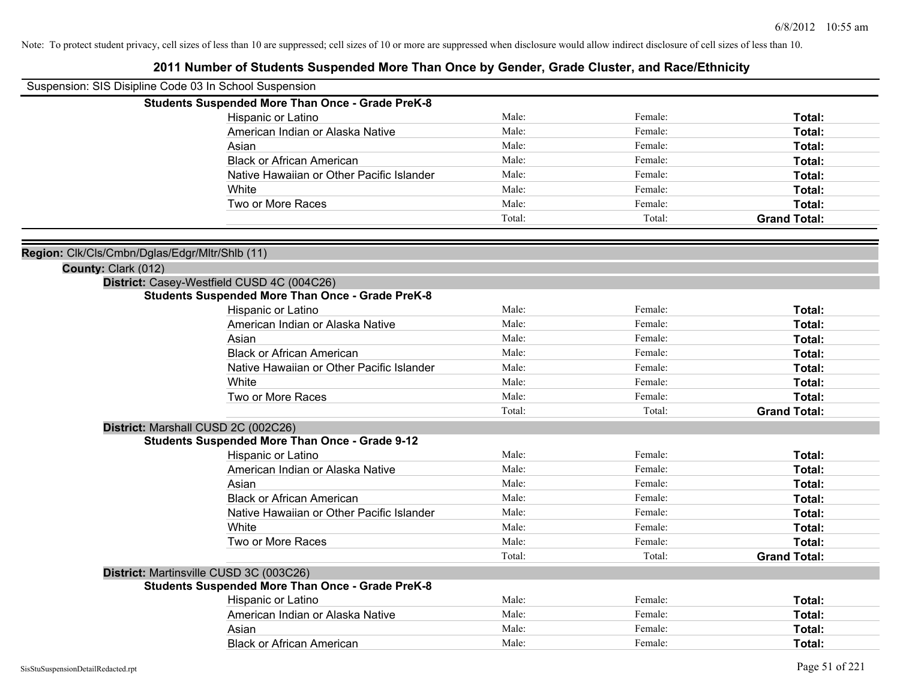| <b>Students Suspended More Than Once - Grade PreK-8</b><br>Hispanic or Latino<br>American Indian or Alaska Native | Male:<br>Male:<br>Male:<br>Male: | Female:<br>Female: | Total:              |
|-------------------------------------------------------------------------------------------------------------------|----------------------------------|--------------------|---------------------|
|                                                                                                                   |                                  |                    |                     |
|                                                                                                                   |                                  |                    |                     |
|                                                                                                                   |                                  |                    | Total:              |
| Asian                                                                                                             |                                  | Female:            | Total:              |
| <b>Black or African American</b>                                                                                  |                                  | Female:            | Total:              |
| Native Hawaiian or Other Pacific Islander                                                                         | Male:                            | Female:            | Total:              |
| White                                                                                                             | Male:                            | Female:            | Total:              |
| Two or More Races                                                                                                 | Male:                            | Female:            | Total:              |
|                                                                                                                   | Total:                           | Total:             | <b>Grand Total:</b> |
| Region: Clk/Cls/Cmbn/Dglas/Edgr/Mltr/Shlb (11)<br>County: Clark (012)                                             |                                  |                    |                     |
| District: Casey-Westfield CUSD 4C (004C26)                                                                        |                                  |                    |                     |
| <b>Students Suspended More Than Once - Grade PreK-8</b>                                                           |                                  |                    |                     |
| Hispanic or Latino                                                                                                | Male:                            | Female:            | Total:              |
| American Indian or Alaska Native                                                                                  | Male:                            | Female:            | Total:              |
| Asian                                                                                                             | Male:                            | Female:            | Total:              |
| <b>Black or African American</b>                                                                                  | Male:                            | Female:            | Total:              |
| Native Hawaiian or Other Pacific Islander                                                                         | Male:                            | Female:            | Total:              |
| White                                                                                                             | Male:                            | Female:            | Total:              |
| Two or More Races                                                                                                 | Male:                            | Female:            | Total:              |
|                                                                                                                   | Total:                           | Total:             | <b>Grand Total:</b> |
| District: Marshall CUSD 2C (002C26)                                                                               |                                  |                    |                     |
| <b>Students Suspended More Than Once - Grade 9-12</b>                                                             |                                  |                    |                     |
| Hispanic or Latino                                                                                                | Male:                            | Female:            | Total:              |
| American Indian or Alaska Native                                                                                  | Male:                            | Female:            | Total:              |
| Asian                                                                                                             | Male:                            | Female:            | Total:              |
| <b>Black or African American</b>                                                                                  | Male:                            | Female:            | Total:              |
| Native Hawaiian or Other Pacific Islander                                                                         | Male:                            | Female:            | Total:              |
| White                                                                                                             | Male:                            | Female:            | Total:              |
| Two or More Races                                                                                                 | Male:                            | Female:            | Total:              |
|                                                                                                                   | Total:                           | Total:             | <b>Grand Total:</b> |
| District: Martinsville CUSD 3C (003C26)                                                                           |                                  |                    |                     |
| <b>Students Suspended More Than Once - Grade PreK-8</b>                                                           |                                  |                    |                     |
| Hispanic or Latino                                                                                                | Male:                            | Female:            | Total:              |
| American Indian or Alaska Native                                                                                  | Male:                            | Female:            | Total:              |
| Asian                                                                                                             | Male:                            | Female:            | Total:              |
| <b>Black or African American</b>                                                                                  | Male:                            | Female:            | Total:              |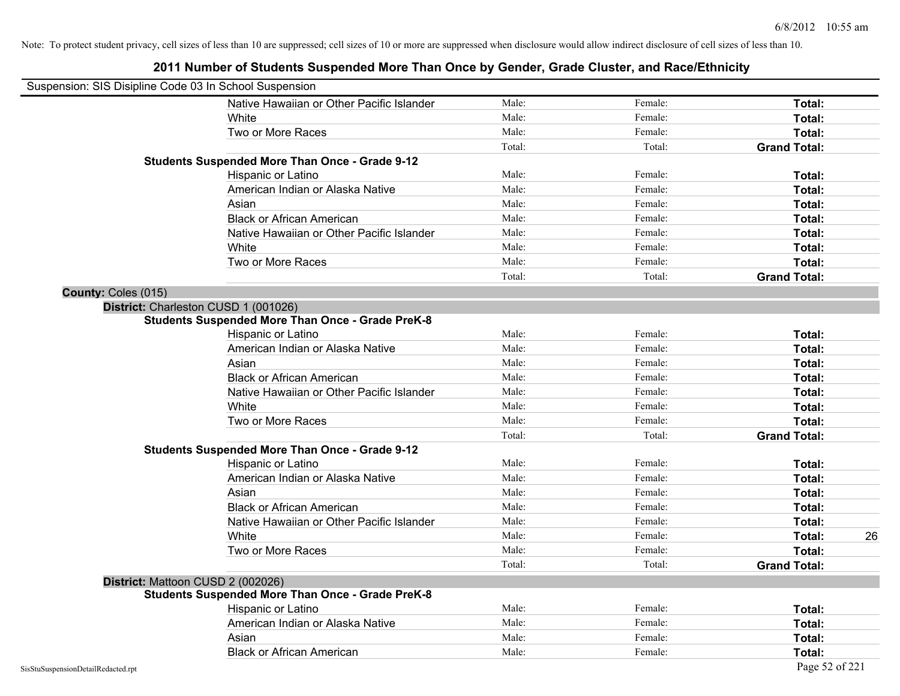# **2011 Number of Students Suspended More Than Once by Gender, Grade Cluster, and Race/Ethnicity** Suspension: SIS Disipline Code 03 In School Suspension Native Hawaiian or Other Pacific Islander **Male:** Male: Female: Female: **Total:** Total: White **Total:** Male: **Female:** Female: **Total:** Total: **Total:** Female: **Total:** Total: **Total:** Total: **Total:** Total: **Total:** Total: **Total:** Total: **Total:** Total: **Total:** Total: **Total:** Total: **Total:** Total: **Total** Two or More Races **Total:** Total: Male: Female: Female: **Total:** Total: Total: Total: **Grand Total: Students Suspended More Than Once - Grade 9-12** Hispanic or Latino **Finale:** Female: **Female:** Female: **Total:** Female: **Total:** Female: **Female:** Female: **Fotal:** Fotal: American Indian or Alaska Native **Male:** Male: Female: Female: **Total:** Total: Asian **Asian Male:** Female: **Total:** Female: **Total:** Female: **Total:** Female: **Total:** Female: **Total:** Female: **Total:** Female: **Total:** Female: **Total:** Female: **Total: Total: Total: Total: Total: Total: Tot** Black or African American **Figure 1.1 and Total:** Male: Female: Female: **Total:** Total: Native Hawaiian or Other Pacific Islander Male: **Male:** Female: Female: **Total:** Total: White **Total:** Male: **Female:** Female: **Total:** Total: **Total:** Female: **Total:** Total: **Total:** Total: **Total:** Total: **Total:** Total: **Total:** Total: **Total:** Total: **Total:** Total: **Total:** Total: **Total:** Total: **Total** Two or More Races **Total:** Total: Male: Female: Female: **Total:** Total: Total: Total: **Grand Total: County:** Coles (015) **District:** Charleston CUSD 1 (001026) **Students Suspended More Than Once - Grade PreK-8** Hispanic or Latino **Finally Hispanic or Latino** *Total:* Male: Female: **Female: Total: Total: Total: Female: Total: Total: Female: Total: Total: Total: Total: Total: Total: Total: Total: T** American Indian or Alaska Native **Male:** Male: Female: Female: **Total:** Total: Asian **Asian Male:** Total: Male: Female: **Total: Total:** Total: Total: Total: Total: Total: Total: Total: Total: Total: Total: Total: Total: Total: Total: Total: Total: Total: Total: Total: Total: Total: Total: Total: Tota Black or African American **Figure 1.1 and Total:** Male: Female: Female: **Total:** Total: Native Hawaiian or Other Pacific Islander **Male:** Male: Female: Female: **Total:** Total: White **Total:** Male: Female: **Total:** Total: **Total:** Female: **Total:** Total: Two or More Races **Total:** Total: Male: Female: Female: **Total:** Total: Total: Total: **Grand Total: Students Suspended More Than Once - Grade 9-12** Hispanic or Latino **Finally Hispanic or Latino** *Total:* Male: Female: **Female: Total: Total: Total: Female: Total: Total: Female: Total: Total: Total: Total: Total: Total: Total: Total: T** American Indian or Alaska Native **Male:** Male: Female: Female: **Total:** Total: Asian **Asian Male:** Total: Male: Female: **Total: Total:** Total: Total: Total: Total: Total: Total: Total: Total: Total: Total: Total: Total: Total: Total: Total: Total: Total: Total: Total: Total: Total: Total: Total: Tota Black or African American **Figure 1.1 and Struck and Male:** Female: **Female: Total: Total: Total: Total: Total: Total: Total: Total: Total: Total: Total: Total: Total: Total: Total: Total:** Native Hawaiian or Other Pacific Islander **Male:** Male: Female: Female: **Total:** Total: White **Male:** Male: **Total: 26** Male: **Total: 26** Male: **Total: 26** Male: **Total: 26** Two or More Races **Total:** Total: Male: Female: Female: **Total:** Total: Total: Total: **Grand Total: District:** Mattoon CUSD 2 (002026) **Students Suspended More Than Once - Grade PreK-8** Hispanic or Latino **Finale:** Female: **Total:** Female: **Total:** Female: **Total:** Female: **Finale:** Female: **Total:** Female: **Finale:** Female: **Finale:** Female: **Finale:** Finale: **Finale:** Finale: **Finale:** Finale: **Finale:** American Indian or Alaska Native **Male:** Male: Female: Female: **Total:** Total:

Asian **Asian Male:** Total: Male: Female: **Total: Total:** Total: Total: Total: Total: Total: Total: Total: Total: Total: Total: Total: Total: Total: Total: Total: Total: Total: Total: Total: Total: Total: Total: Total: Tota Black or African American **American** Male: Male: **Female:** Female: **Total:** Total: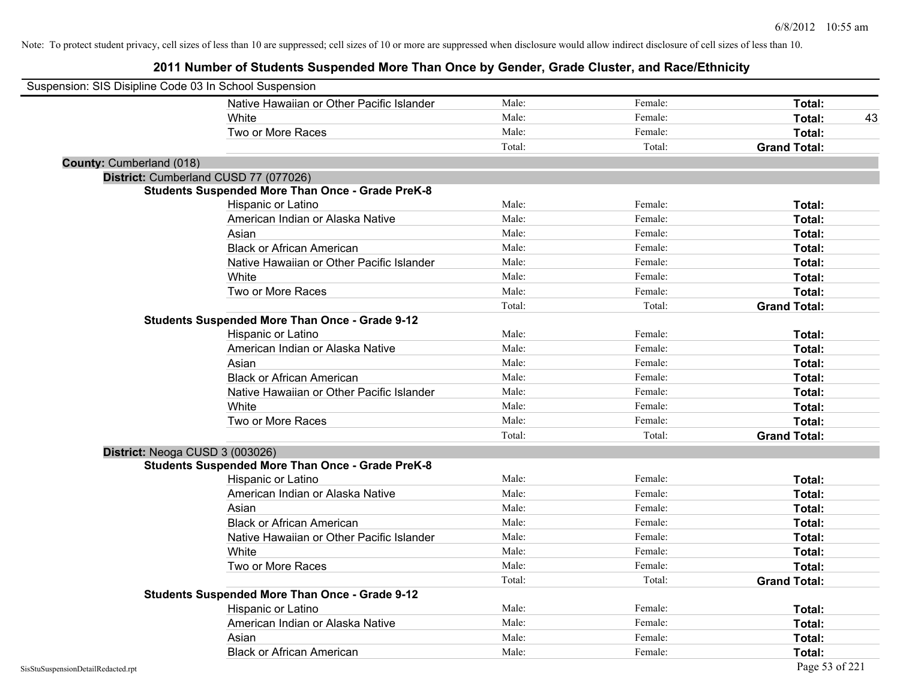| Suspension: SIS Disipline Code 03 In School Suspension |                                                         |        |         |                     |
|--------------------------------------------------------|---------------------------------------------------------|--------|---------|---------------------|
|                                                        | Native Hawaiian or Other Pacific Islander               | Male:  | Female: | Total:              |
|                                                        | White                                                   | Male:  | Female: | 43<br>Total:        |
|                                                        | Two or More Races                                       | Male:  | Female: | Total:              |
|                                                        |                                                         | Total: | Total:  | <b>Grand Total:</b> |
| <b>County: Cumberland (018)</b>                        |                                                         |        |         |                     |
|                                                        | District: Cumberland CUSD 77 (077026)                   |        |         |                     |
|                                                        | <b>Students Suspended More Than Once - Grade PreK-8</b> |        |         |                     |
|                                                        | Hispanic or Latino                                      | Male:  | Female: | Total:              |
|                                                        | American Indian or Alaska Native                        | Male:  | Female: | Total:              |
|                                                        | Asian                                                   | Male:  | Female: | Total:              |
|                                                        | <b>Black or African American</b>                        | Male:  | Female: | Total:              |
|                                                        | Native Hawaiian or Other Pacific Islander               | Male:  | Female: | Total:              |
|                                                        | White                                                   | Male:  | Female: | Total:              |
|                                                        | Two or More Races                                       | Male:  | Female: | Total:              |
|                                                        |                                                         | Total: | Total:  | <b>Grand Total:</b> |
|                                                        | <b>Students Suspended More Than Once - Grade 9-12</b>   |        |         |                     |
|                                                        | Hispanic or Latino                                      | Male:  | Female: | Total:              |
|                                                        | American Indian or Alaska Native                        | Male:  | Female: | Total:              |
|                                                        | Asian                                                   | Male:  | Female: | Total:              |
|                                                        | <b>Black or African American</b>                        | Male:  | Female: | Total:              |
|                                                        | Native Hawaiian or Other Pacific Islander               | Male:  | Female: | Total:              |
|                                                        | White                                                   | Male:  | Female: | Total:              |
|                                                        | Two or More Races                                       | Male:  | Female: | Total:              |
|                                                        |                                                         | Total: | Total:  | <b>Grand Total:</b> |
|                                                        | District: Neoga CUSD 3 (003026)                         |        |         |                     |
|                                                        | <b>Students Suspended More Than Once - Grade PreK-8</b> |        |         |                     |
|                                                        | Hispanic or Latino                                      | Male:  | Female: | Total:              |
|                                                        | American Indian or Alaska Native                        | Male:  | Female: | Total:              |
|                                                        | Asian                                                   | Male:  | Female: | Total:              |
|                                                        | <b>Black or African American</b>                        | Male:  | Female: | Total:              |
|                                                        | Native Hawaiian or Other Pacific Islander               | Male:  | Female: | Total:              |
|                                                        | White                                                   | Male:  | Female: | Total:              |
|                                                        | Two or More Races                                       | Male:  | Female: | Total:              |
|                                                        |                                                         | Total: | Total:  | <b>Grand Total:</b> |
|                                                        | <b>Students Suspended More Than Once - Grade 9-12</b>   |        |         |                     |
|                                                        | Hispanic or Latino                                      | Male:  | Female: | Total:              |
|                                                        | American Indian or Alaska Native                        | Male:  | Female: | Total:              |
|                                                        | Asian                                                   | Male:  | Female: | <b>Total:</b>       |
|                                                        | <b>Black or African American</b>                        | Male:  | Female: | Total:              |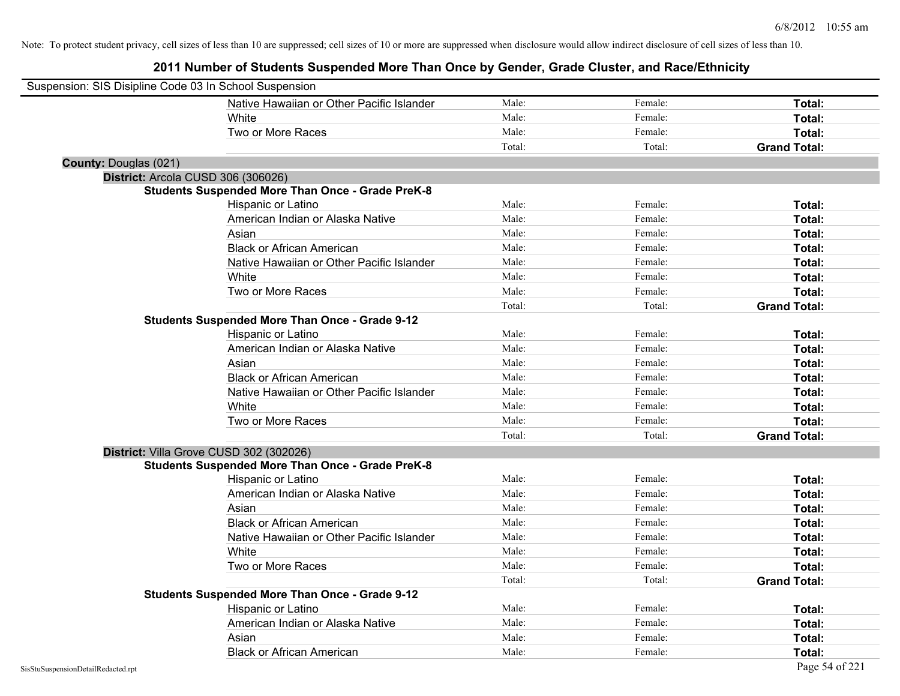| Suspension: SIS Disipline Code 03 In School Suspension |                                                         |        |         |                     |
|--------------------------------------------------------|---------------------------------------------------------|--------|---------|---------------------|
|                                                        | Native Hawaiian or Other Pacific Islander               | Male:  | Female: | Total:              |
|                                                        | White                                                   | Male:  | Female: | Total:              |
|                                                        | Two or More Races                                       | Male:  | Female: | Total:              |
|                                                        |                                                         | Total: | Total:  | <b>Grand Total:</b> |
| <b>County: Douglas (021)</b>                           |                                                         |        |         |                     |
| District: Arcola CUSD 306 (306026)                     |                                                         |        |         |                     |
|                                                        | <b>Students Suspended More Than Once - Grade PreK-8</b> |        |         |                     |
|                                                        | Hispanic or Latino                                      | Male:  | Female: | Total:              |
|                                                        | American Indian or Alaska Native                        | Male:  | Female: | Total:              |
|                                                        | Asian                                                   | Male:  | Female: | Total:              |
|                                                        | <b>Black or African American</b>                        | Male:  | Female: | Total:              |
|                                                        | Native Hawaiian or Other Pacific Islander               | Male:  | Female: | Total:              |
|                                                        | White                                                   | Male:  | Female: | Total:              |
|                                                        | Two or More Races                                       | Male:  | Female: | Total:              |
|                                                        |                                                         | Total: | Total:  | <b>Grand Total:</b> |
|                                                        | <b>Students Suspended More Than Once - Grade 9-12</b>   |        |         |                     |
|                                                        | Hispanic or Latino                                      | Male:  | Female: | Total:              |
|                                                        | American Indian or Alaska Native                        | Male:  | Female: | Total:              |
|                                                        | Asian                                                   | Male:  | Female: | Total:              |
|                                                        | <b>Black or African American</b>                        | Male:  | Female: | Total:              |
|                                                        | Native Hawaiian or Other Pacific Islander               | Male:  | Female: | Total:              |
|                                                        | White                                                   | Male:  | Female: | Total:              |
|                                                        | Two or More Races                                       | Male:  | Female: | Total:              |
|                                                        |                                                         | Total: | Total:  | <b>Grand Total:</b> |
|                                                        | District: Villa Grove CUSD 302 (302026)                 |        |         |                     |
|                                                        | <b>Students Suspended More Than Once - Grade PreK-8</b> |        |         |                     |
|                                                        | Hispanic or Latino                                      | Male:  | Female: | Total:              |
|                                                        | American Indian or Alaska Native                        | Male:  | Female: | Total:              |
|                                                        | Asian                                                   | Male:  | Female: | Total:              |
|                                                        | <b>Black or African American</b>                        | Male:  | Female: | Total:              |
|                                                        | Native Hawaiian or Other Pacific Islander               | Male:  | Female: | Total:              |
|                                                        | White                                                   | Male:  | Female: | Total:              |
|                                                        | Two or More Races                                       | Male:  | Female: | Total:              |
|                                                        |                                                         | Total: | Total:  | <b>Grand Total:</b> |
|                                                        | <b>Students Suspended More Than Once - Grade 9-12</b>   |        |         |                     |
|                                                        | Hispanic or Latino                                      | Male:  | Female: | Total:              |
|                                                        | American Indian or Alaska Native                        | Male:  | Female: | Total:              |
|                                                        | Asian                                                   | Male:  | Female: | Total:              |
|                                                        | <b>Black or African American</b>                        | Male:  | Female: | Total:              |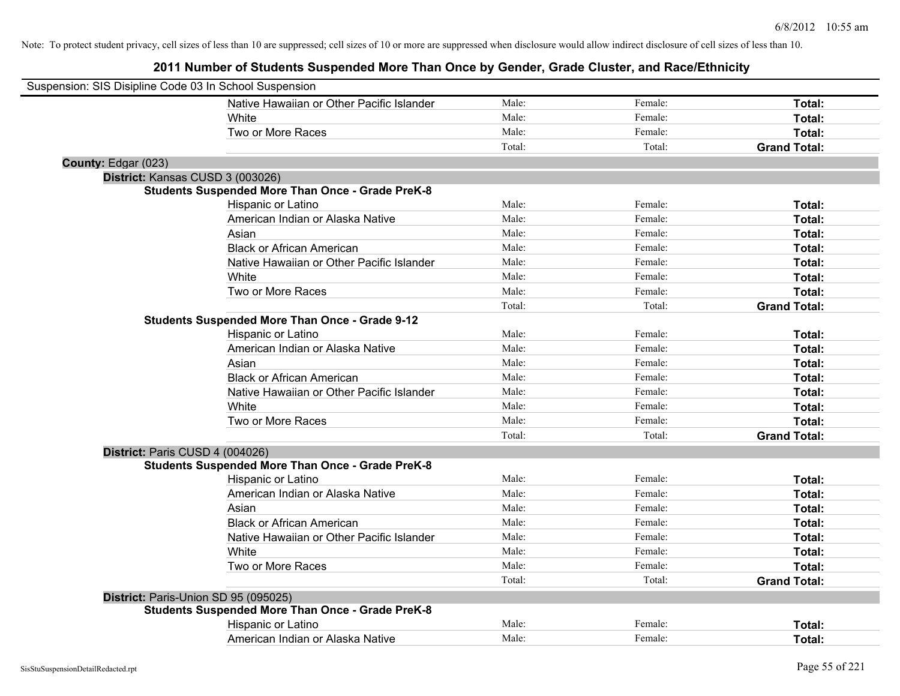| Suspension: SIS Disipline Code 03 In School Suspension |                                                         |        |         |                     |
|--------------------------------------------------------|---------------------------------------------------------|--------|---------|---------------------|
|                                                        | Native Hawaiian or Other Pacific Islander               | Male:  | Female: | Total:              |
|                                                        | White                                                   | Male:  | Female: | Total:              |
|                                                        | Two or More Races                                       | Male:  | Female: | Total:              |
|                                                        |                                                         | Total: | Total:  | <b>Grand Total:</b> |
| County: Edgar (023)                                    |                                                         |        |         |                     |
|                                                        | District: Kansas CUSD 3 (003026)                        |        |         |                     |
|                                                        | <b>Students Suspended More Than Once - Grade PreK-8</b> |        |         |                     |
|                                                        | Hispanic or Latino                                      | Male:  | Female: | Total:              |
|                                                        | American Indian or Alaska Native                        | Male:  | Female: | Total:              |
|                                                        | Asian                                                   | Male:  | Female: | Total:              |
|                                                        | <b>Black or African American</b>                        | Male:  | Female: | Total:              |
|                                                        | Native Hawaiian or Other Pacific Islander               | Male:  | Female: | Total:              |
|                                                        | White                                                   | Male:  | Female: | Total:              |
|                                                        | Two or More Races                                       | Male:  | Female: | Total:              |
|                                                        |                                                         | Total: | Total:  | <b>Grand Total:</b> |
|                                                        | <b>Students Suspended More Than Once - Grade 9-12</b>   |        |         |                     |
|                                                        | Hispanic or Latino                                      | Male:  | Female: | Total:              |
|                                                        | American Indian or Alaska Native                        | Male:  | Female: | Total:              |
|                                                        | Asian                                                   | Male:  | Female: | Total:              |
|                                                        | <b>Black or African American</b>                        | Male:  | Female: | Total:              |
|                                                        | Native Hawaiian or Other Pacific Islander               | Male:  | Female: | Total:              |
|                                                        | White                                                   | Male:  | Female: | Total:              |
|                                                        | Two or More Races                                       | Male:  | Female: | Total:              |
|                                                        |                                                         | Total: | Total:  | <b>Grand Total:</b> |
| District: Paris CUSD 4 (004026)                        |                                                         |        |         |                     |
|                                                        | <b>Students Suspended More Than Once - Grade PreK-8</b> |        |         |                     |
|                                                        | Hispanic or Latino                                      | Male:  | Female: | Total:              |
|                                                        | American Indian or Alaska Native                        | Male:  | Female: | Total:              |
|                                                        | Asian                                                   | Male:  | Female: | Total:              |
|                                                        | <b>Black or African American</b>                        | Male:  | Female: | Total:              |
|                                                        | Native Hawaiian or Other Pacific Islander               | Male:  | Female: | Total:              |
|                                                        | White                                                   | Male:  | Female: | Total:              |
|                                                        | Two or More Races                                       | Male:  | Female: | Total:              |
|                                                        |                                                         | Total: | Total:  | <b>Grand Total:</b> |
|                                                        | District: Paris-Union SD 95 (095025)                    |        |         |                     |
|                                                        | <b>Students Suspended More Than Once - Grade PreK-8</b> |        |         |                     |
|                                                        | Hispanic or Latino                                      | Male:  | Female: | Total:              |
|                                                        | American Indian or Alaska Native                        | Male:  | Female: | Total:              |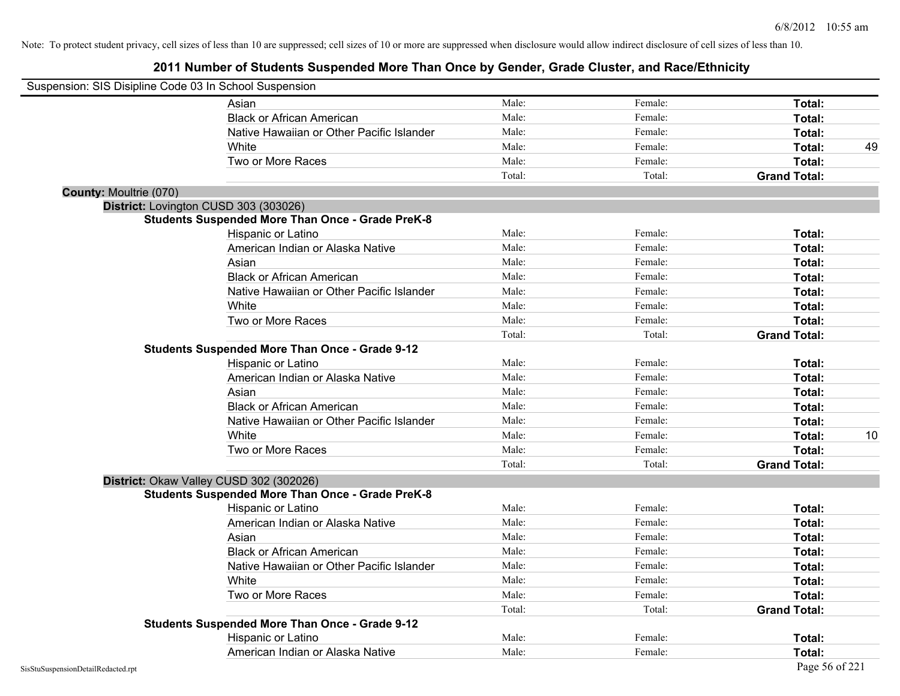| Suspension: SIS Disipline Code 03 In School Suspension |                                                         |        |         |                     |    |
|--------------------------------------------------------|---------------------------------------------------------|--------|---------|---------------------|----|
|                                                        | Asian                                                   | Male:  | Female: | Total:              |    |
|                                                        | <b>Black or African American</b>                        | Male:  | Female: | Total:              |    |
|                                                        | Native Hawaiian or Other Pacific Islander               | Male:  | Female: | Total:              |    |
|                                                        | White                                                   | Male:  | Female: | Total:              | 49 |
|                                                        | Two or More Races                                       | Male:  | Female: | Total:              |    |
|                                                        |                                                         | Total: | Total:  | <b>Grand Total:</b> |    |
| <b>County: Moultrie (070)</b>                          |                                                         |        |         |                     |    |
| District: Lovington CUSD 303 (303026)                  |                                                         |        |         |                     |    |
|                                                        | <b>Students Suspended More Than Once - Grade PreK-8</b> |        |         |                     |    |
|                                                        | Hispanic or Latino                                      | Male:  | Female: | Total:              |    |
|                                                        | American Indian or Alaska Native                        | Male:  | Female: | Total:              |    |
|                                                        | Asian                                                   | Male:  | Female: | Total:              |    |
|                                                        | <b>Black or African American</b>                        | Male:  | Female: | Total:              |    |
|                                                        | Native Hawaiian or Other Pacific Islander               | Male:  | Female: | Total:              |    |
|                                                        | White                                                   | Male:  | Female: | Total:              |    |
|                                                        | Two or More Races                                       | Male:  | Female: | Total:              |    |
|                                                        |                                                         | Total: | Total:  | <b>Grand Total:</b> |    |
|                                                        | <b>Students Suspended More Than Once - Grade 9-12</b>   |        |         |                     |    |
|                                                        | Hispanic or Latino                                      | Male:  | Female: | Total:              |    |
|                                                        | American Indian or Alaska Native                        | Male:  | Female: | Total:              |    |
|                                                        | Asian                                                   | Male:  | Female: | Total:              |    |
|                                                        | <b>Black or African American</b>                        | Male:  | Female: | Total:              |    |
|                                                        | Native Hawaiian or Other Pacific Islander               | Male:  | Female: | Total:              |    |
|                                                        | White                                                   | Male:  | Female: | Total:              | 10 |
|                                                        | Two or More Races                                       | Male:  | Female: | Total:              |    |
|                                                        |                                                         | Total: | Total:  | <b>Grand Total:</b> |    |
|                                                        | District: Okaw Valley CUSD 302 (302026)                 |        |         |                     |    |
|                                                        | <b>Students Suspended More Than Once - Grade PreK-8</b> |        |         |                     |    |
|                                                        | Hispanic or Latino                                      | Male:  | Female: | Total:              |    |
|                                                        | American Indian or Alaska Native                        | Male:  | Female: | Total:              |    |
|                                                        | Asian                                                   | Male:  | Female: | Total:              |    |
|                                                        | <b>Black or African American</b>                        | Male:  | Female: | Total:              |    |
|                                                        | Native Hawaiian or Other Pacific Islander               | Male:  | Female: | Total:              |    |
|                                                        | White                                                   | Male:  | Female: | Total:              |    |
|                                                        | Two or More Races                                       | Male:  | Female: | Total:              |    |
|                                                        |                                                         | Total: | Total:  | <b>Grand Total:</b> |    |
|                                                        | <b>Students Suspended More Than Once - Grade 9-12</b>   |        |         |                     |    |
|                                                        | Hispanic or Latino                                      | Male:  | Female: | Total:              |    |
|                                                        | American Indian or Alaska Native                        | Male:  | Female: | Total:              |    |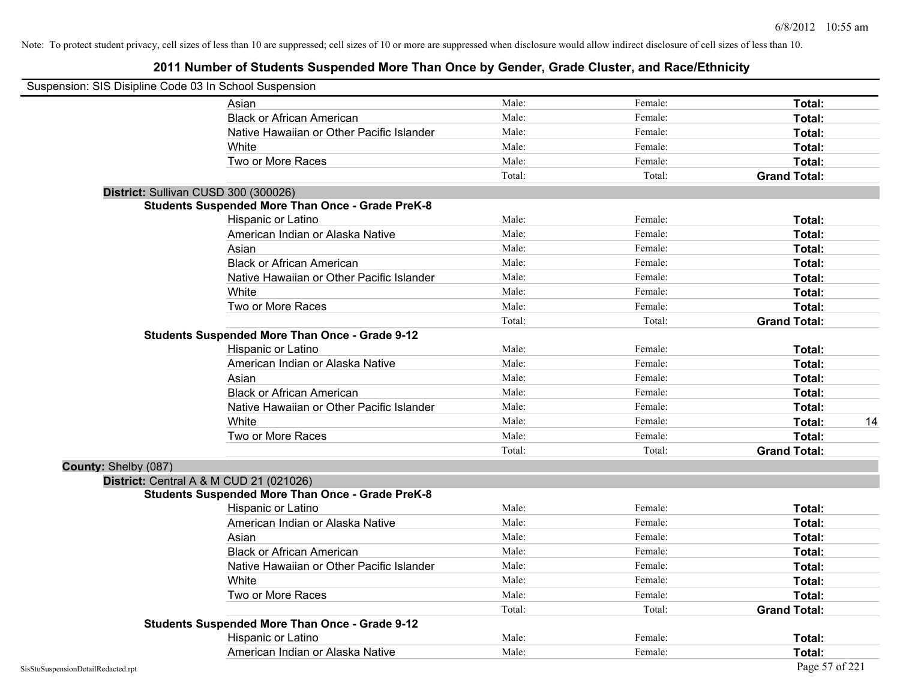| Suspension: SIS Disipline Code 03 In School Suspension |                                                         |        |         |                     |    |
|--------------------------------------------------------|---------------------------------------------------------|--------|---------|---------------------|----|
|                                                        | Asian                                                   | Male:  | Female: | Total:              |    |
|                                                        | <b>Black or African American</b>                        | Male:  | Female: | Total:              |    |
|                                                        | Native Hawaiian or Other Pacific Islander               | Male:  | Female: | Total:              |    |
|                                                        | White                                                   | Male:  | Female: | Total:              |    |
|                                                        | Two or More Races                                       | Male:  | Female: | Total:              |    |
|                                                        |                                                         | Total: | Total:  | <b>Grand Total:</b> |    |
|                                                        | District: Sullivan CUSD 300 (300026)                    |        |         |                     |    |
|                                                        | <b>Students Suspended More Than Once - Grade PreK-8</b> |        |         |                     |    |
|                                                        | Hispanic or Latino                                      | Male:  | Female: | Total:              |    |
|                                                        | American Indian or Alaska Native                        | Male:  | Female: | Total:              |    |
|                                                        | Asian                                                   | Male:  | Female: | Total:              |    |
|                                                        | <b>Black or African American</b>                        | Male:  | Female: | Total:              |    |
|                                                        | Native Hawaiian or Other Pacific Islander               | Male:  | Female: | Total:              |    |
|                                                        | White                                                   | Male:  | Female: | Total:              |    |
|                                                        | Two or More Races                                       | Male:  | Female: | Total:              |    |
|                                                        |                                                         | Total: | Total:  | <b>Grand Total:</b> |    |
|                                                        | <b>Students Suspended More Than Once - Grade 9-12</b>   |        |         |                     |    |
|                                                        | Hispanic or Latino                                      | Male:  | Female: | Total:              |    |
|                                                        | American Indian or Alaska Native                        | Male:  | Female: | Total:              |    |
|                                                        | Asian                                                   | Male:  | Female: | Total:              |    |
|                                                        | <b>Black or African American</b>                        | Male:  | Female: | Total:              |    |
|                                                        | Native Hawaiian or Other Pacific Islander               | Male:  | Female: | Total:              |    |
|                                                        | White                                                   | Male:  | Female: | Total:              | 14 |
|                                                        | Two or More Races                                       | Male:  | Female: | Total:              |    |
|                                                        |                                                         | Total: | Total:  | <b>Grand Total:</b> |    |
| County: Shelby (087)                                   |                                                         |        |         |                     |    |
|                                                        | District: Central A & M CUD 21 (021026)                 |        |         |                     |    |
|                                                        | <b>Students Suspended More Than Once - Grade PreK-8</b> |        |         |                     |    |
|                                                        | Hispanic or Latino                                      | Male:  | Female: | Total:              |    |
|                                                        | American Indian or Alaska Native                        | Male:  | Female: | Total:              |    |
|                                                        | Asian                                                   | Male:  | Female: | Total:              |    |
|                                                        | <b>Black or African American</b>                        | Male:  | Female: | Total:              |    |
|                                                        | Native Hawaiian or Other Pacific Islander               | Male:  | Female: | Total:              |    |
|                                                        | White                                                   | Male:  | Female: | Total:              |    |
|                                                        | Two or More Races                                       | Male:  | Female: | Total:              |    |
|                                                        |                                                         | Total: | Total:  | <b>Grand Total:</b> |    |
|                                                        | <b>Students Suspended More Than Once - Grade 9-12</b>   |        |         |                     |    |
|                                                        | Hispanic or Latino                                      | Male:  | Female: | <b>Total:</b>       |    |
|                                                        | American Indian or Alaska Native                        | Male:  | Female: | Total:              |    |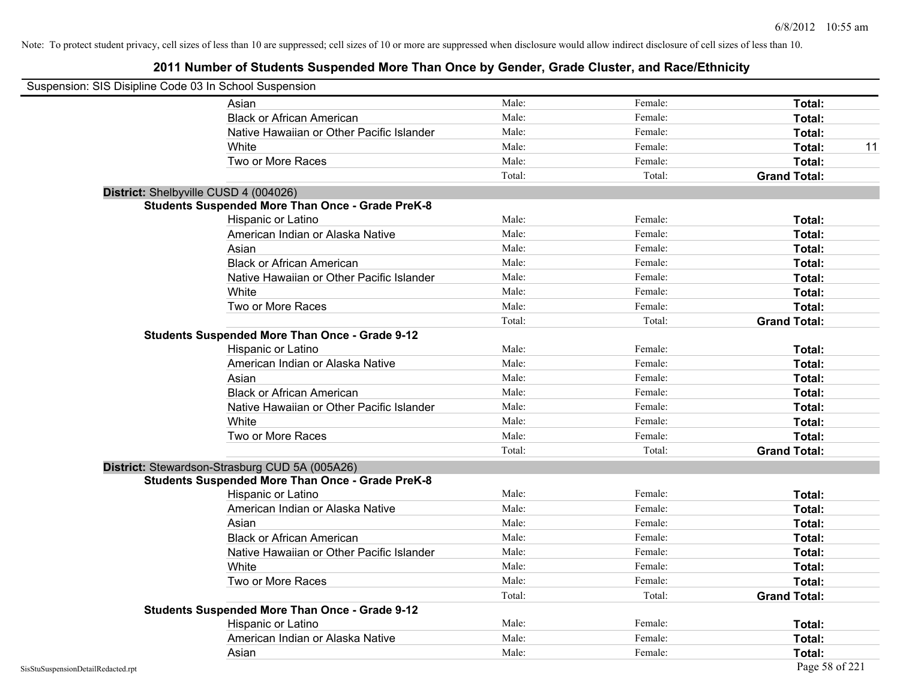|                                    | Suspension: SIS Disipline Code 03 In School Suspension  |        |         |                     |
|------------------------------------|---------------------------------------------------------|--------|---------|---------------------|
|                                    | Asian                                                   | Male:  | Female: | Total:              |
|                                    | <b>Black or African American</b>                        | Male:  | Female: | Total:              |
|                                    | Native Hawaiian or Other Pacific Islander               | Male:  | Female: | Total:              |
|                                    | White                                                   | Male:  | Female: | Total:<br>11        |
|                                    | Two or More Races                                       | Male:  | Female: | Total:              |
|                                    |                                                         | Total: | Total:  | <b>Grand Total:</b> |
|                                    | District: Shelbyville CUSD 4 (004026)                   |        |         |                     |
|                                    | <b>Students Suspended More Than Once - Grade PreK-8</b> |        |         |                     |
|                                    | Hispanic or Latino                                      | Male:  | Female: | Total:              |
|                                    | American Indian or Alaska Native                        | Male:  | Female: | Total:              |
|                                    | Asian                                                   | Male:  | Female: | Total:              |
|                                    | <b>Black or African American</b>                        | Male:  | Female: | Total:              |
|                                    | Native Hawaiian or Other Pacific Islander               | Male:  | Female: | Total:              |
|                                    | White                                                   | Male:  | Female: | Total:              |
|                                    | Two or More Races                                       | Male:  | Female: | Total:              |
|                                    |                                                         | Total: | Total:  | <b>Grand Total:</b> |
|                                    | <b>Students Suspended More Than Once - Grade 9-12</b>   |        |         |                     |
|                                    | Hispanic or Latino                                      | Male:  | Female: | Total:              |
|                                    | American Indian or Alaska Native                        | Male:  | Female: | Total:              |
|                                    | Asian                                                   | Male:  | Female: | Total:              |
|                                    | <b>Black or African American</b>                        | Male:  | Female: | Total:              |
|                                    | Native Hawaiian or Other Pacific Islander               | Male:  | Female: | Total:              |
|                                    | White                                                   | Male:  | Female: | Total:              |
|                                    | Two or More Races                                       | Male:  | Female: | Total:              |
|                                    |                                                         | Total: | Total:  | <b>Grand Total:</b> |
|                                    | District: Stewardson-Strasburg CUD 5A (005A26)          |        |         |                     |
|                                    | <b>Students Suspended More Than Once - Grade PreK-8</b> |        |         |                     |
|                                    | Hispanic or Latino                                      | Male:  | Female: | Total:              |
|                                    | American Indian or Alaska Native                        | Male:  | Female: | Total:              |
|                                    | Asian                                                   | Male:  | Female: | Total:              |
|                                    | <b>Black or African American</b>                        | Male:  | Female: | Total:              |
|                                    | Native Hawaiian or Other Pacific Islander               | Male:  | Female: | Total:              |
|                                    | White                                                   | Male:  | Female: | Total:              |
|                                    | Two or More Races                                       | Male:  | Female: | Total:              |
|                                    |                                                         | Total: | Total:  | <b>Grand Total:</b> |
|                                    | <b>Students Suspended More Than Once - Grade 9-12</b>   |        |         |                     |
|                                    | Hispanic or Latino                                      | Male:  | Female: | Total:              |
|                                    | American Indian or Alaska Native                        | Male:  | Female: | Total:              |
|                                    | Asian                                                   | Male:  | Female: | Total:              |
| SisStuSuspensionDetailRedacted.rpt |                                                         |        |         | Page 58 of 221      |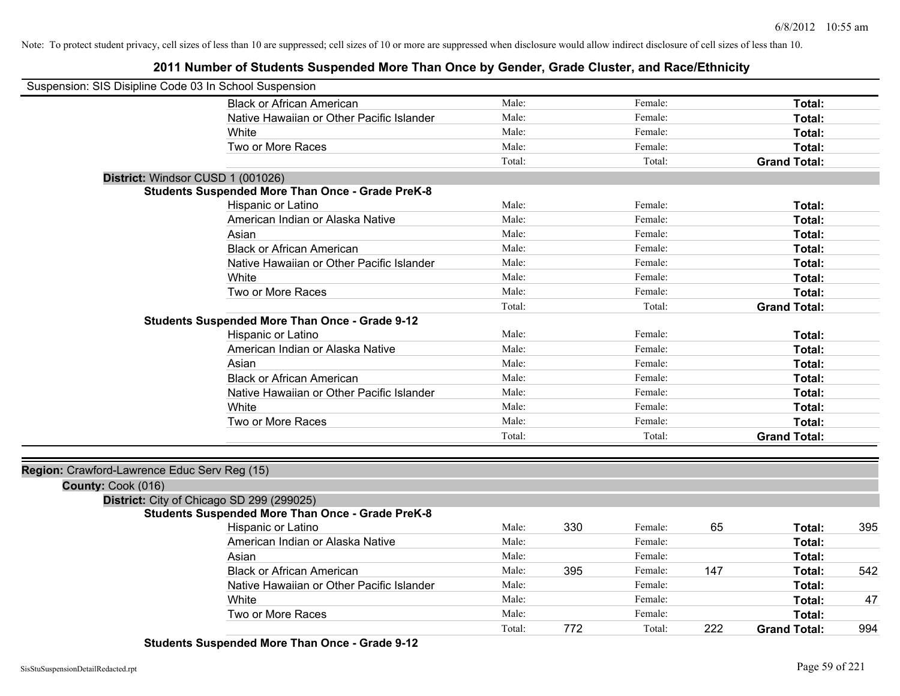**2011 Number of Students Suspended More Than Once by Gender, Grade Cluster, and Race/Ethnicity**

| Suspension: SIS Disipline Code 03 In School Suspension             |                                                         |        |     |         |     |                     |     |
|--------------------------------------------------------------------|---------------------------------------------------------|--------|-----|---------|-----|---------------------|-----|
|                                                                    | <b>Black or African American</b>                        | Male:  |     | Female: |     | Total:              |     |
|                                                                    | Native Hawaiian or Other Pacific Islander               | Male:  |     | Female: |     | Total:              |     |
|                                                                    | White                                                   | Male:  |     | Female: |     | Total:              |     |
|                                                                    | Two or More Races                                       | Male:  |     | Female: |     | Total:              |     |
|                                                                    |                                                         | Total: |     | Total:  |     | <b>Grand Total:</b> |     |
| District: Windsor CUSD 1 (001026)                                  |                                                         |        |     |         |     |                     |     |
|                                                                    | <b>Students Suspended More Than Once - Grade PreK-8</b> |        |     |         |     |                     |     |
|                                                                    | Hispanic or Latino                                      | Male:  |     | Female: |     | Total:              |     |
|                                                                    | American Indian or Alaska Native                        | Male:  |     | Female: |     | Total:              |     |
|                                                                    | Asian                                                   | Male:  |     | Female: |     | Total:              |     |
|                                                                    | <b>Black or African American</b>                        | Male:  |     | Female: |     | Total:              |     |
|                                                                    | Native Hawaiian or Other Pacific Islander               | Male:  |     | Female: |     | Total:              |     |
|                                                                    | White                                                   | Male:  |     | Female: |     | Total:              |     |
|                                                                    | Two or More Races                                       | Male:  |     | Female: |     | Total:              |     |
|                                                                    |                                                         | Total: |     | Total:  |     | <b>Grand Total:</b> |     |
|                                                                    | <b>Students Suspended More Than Once - Grade 9-12</b>   |        |     |         |     |                     |     |
|                                                                    | Hispanic or Latino                                      | Male:  |     | Female: |     | Total:              |     |
|                                                                    | American Indian or Alaska Native                        | Male:  |     | Female: |     | Total:              |     |
|                                                                    | Asian                                                   | Male:  |     | Female: |     | Total:              |     |
|                                                                    | <b>Black or African American</b>                        | Male:  |     | Female: |     | Total:              |     |
|                                                                    | Native Hawaiian or Other Pacific Islander               | Male:  |     | Female: |     | Total:              |     |
|                                                                    | White                                                   | Male:  |     | Female: |     | Total:              |     |
|                                                                    | Two or More Races                                       | Male:  |     | Female: |     | Total:              |     |
|                                                                    |                                                         | Total: |     | Total:  |     | <b>Grand Total:</b> |     |
|                                                                    |                                                         |        |     |         |     |                     |     |
| Region: Crawford-Lawrence Educ Serv Reg (15)<br>County: Cook (016) |                                                         |        |     |         |     |                     |     |
|                                                                    | District: City of Chicago SD 299 (299025)               |        |     |         |     |                     |     |
|                                                                    | <b>Students Suspended More Than Once - Grade PreK-8</b> |        |     |         |     |                     |     |
|                                                                    | Hispanic or Latino                                      | Male:  | 330 | Female: | 65  | Total:              | 395 |
|                                                                    | American Indian or Alaska Native                        | Male:  |     | Female: |     | Total:              |     |
|                                                                    | Asian                                                   | Male:  |     | Female: |     | Total:              |     |
|                                                                    | <b>Black or African American</b>                        | Male:  | 395 | Female: | 147 | Total:              | 542 |
|                                                                    | Native Hawaiian or Other Pacific Islander               | Male:  |     | Female: |     | Total:              |     |
|                                                                    | White                                                   | Male:  |     | Female: |     | Total:              | 47  |
|                                                                    | Two or More Races                                       | Male:  |     | Female: |     | Total:              |     |
|                                                                    |                                                         | Total: | 772 | Total:  | 222 | <b>Grand Total:</b> | 994 |

**Students Suspended More Than Once - Grade 9-12**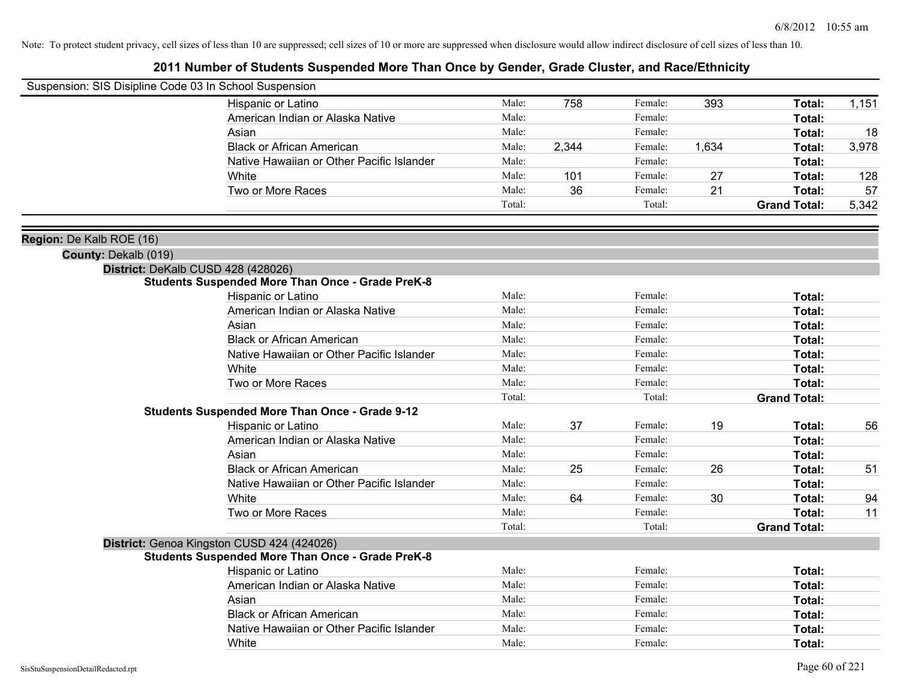| Suspension: SIS Disipline Code 03 In School Suspension |                                                         |        |       |         |       |                     |       |
|--------------------------------------------------------|---------------------------------------------------------|--------|-------|---------|-------|---------------------|-------|
|                                                        | Hispanic or Latino                                      | Male:  | 758   | Female: | 393   | Total:              | 1,151 |
|                                                        | American Indian or Alaska Native                        | Male:  |       | Female: |       | Total:              |       |
|                                                        | Asian                                                   | Male:  |       | Female: |       | Total:              | 18    |
|                                                        | <b>Black or African American</b>                        | Male:  | 2,344 | Female: | 1,634 | Total:              | 3,978 |
|                                                        | Native Hawaiian or Other Pacific Islander               | Male:  |       | Female: |       | Total:              |       |
|                                                        | White                                                   | Male:  | 101   | Female: | 27    | Total:              | 128   |
|                                                        | Two or More Races                                       | Male:  | 36    | Female: | 21    | Total:              | 57    |
|                                                        |                                                         | Total: |       | Total:  |       | <b>Grand Total:</b> | 5,342 |
| Region: De Kalb ROE (16)                               |                                                         |        |       |         |       |                     |       |
| County: Dekalb (019)                                   |                                                         |        |       |         |       |                     |       |
|                                                        | District: DeKalb CUSD 428 (428026)                      |        |       |         |       |                     |       |
|                                                        | <b>Students Suspended More Than Once - Grade PreK-8</b> |        |       |         |       |                     |       |
|                                                        | Hispanic or Latino                                      | Male:  |       | Female: |       | Total:              |       |
|                                                        | American Indian or Alaska Native                        | Male:  |       | Female: |       | Total:              |       |
|                                                        | Asian                                                   | Male:  |       | Female: |       | Total:              |       |
|                                                        | <b>Black or African American</b>                        | Male:  |       | Female: |       | Total:              |       |
|                                                        | Native Hawaiian or Other Pacific Islander               | Male:  |       | Female: |       | Total:              |       |
|                                                        | White                                                   | Male:  |       | Female: |       | Total:              |       |
|                                                        | Two or More Races                                       | Male:  |       | Female: |       | Total:              |       |
|                                                        |                                                         | Total: |       | Total:  |       | <b>Grand Total:</b> |       |
|                                                        | <b>Students Suspended More Than Once - Grade 9-12</b>   |        |       |         |       |                     |       |
|                                                        | Hispanic or Latino                                      | Male:  | 37    | Female: | 19    | Total:              | 56    |
|                                                        | American Indian or Alaska Native                        | Male:  |       | Female: |       | Total:              |       |
|                                                        | Asian                                                   | Male:  |       | Female: |       | Total:              |       |
|                                                        | <b>Black or African American</b>                        | Male:  | 25    | Female: | 26    | Total:              | 51    |
|                                                        | Native Hawaiian or Other Pacific Islander               | Male:  |       | Female: |       | Total:              |       |
|                                                        | White                                                   | Male:  | 64    | Female: | 30    | Total:              | 94    |
|                                                        | Two or More Races                                       | Male:  |       | Female: |       | Total:              | 11    |
|                                                        |                                                         | Total: |       | Total:  |       | <b>Grand Total:</b> |       |
|                                                        | District: Genoa Kingston CUSD 424 (424026)              |        |       |         |       |                     |       |
|                                                        | <b>Students Suspended More Than Once - Grade PreK-8</b> |        |       |         |       |                     |       |
|                                                        | Hispanic or Latino                                      | Male:  |       | Female: |       | Total:              |       |
|                                                        | American Indian or Alaska Native                        | Male:  |       | Female: |       | Total:              |       |
|                                                        | Asian                                                   | Male:  |       | Female: |       | Total:              |       |
|                                                        | <b>Black or African American</b>                        | Male:  |       | Female: |       | Total:              |       |
|                                                        | Native Hawaiian or Other Pacific Islander               | Male:  |       | Female: |       | Total:              |       |
|                                                        | White                                                   | Male:  |       | Female: |       | Total:              |       |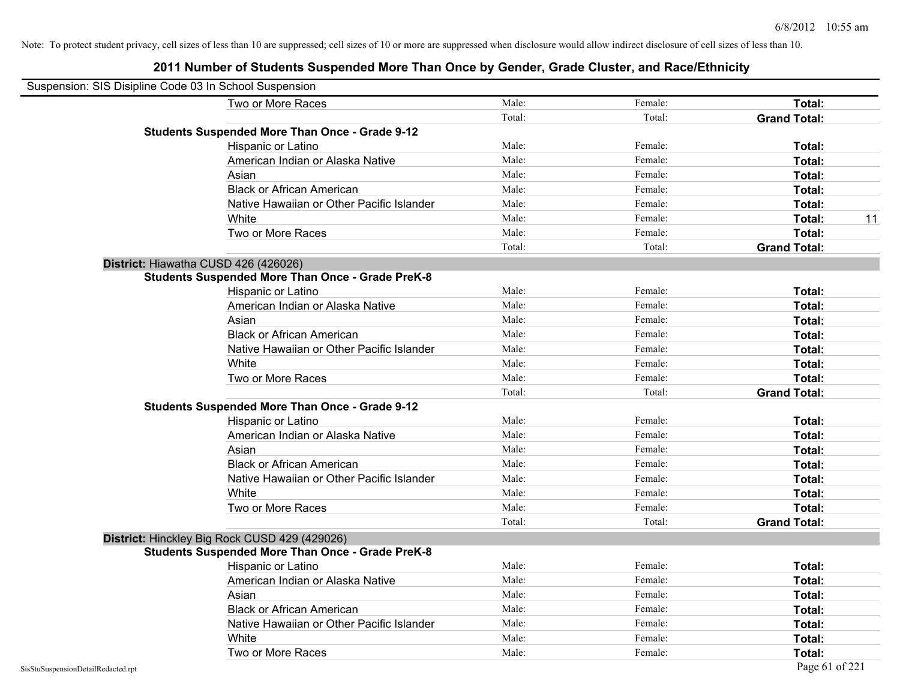| Suspension: SIS Disipline Code 03 In School Suspension |                                                         |        |         |                     |
|--------------------------------------------------------|---------------------------------------------------------|--------|---------|---------------------|
|                                                        | Two or More Races                                       | Male:  | Female: | <b>Total:</b>       |
|                                                        |                                                         | Total: | Total:  | <b>Grand Total:</b> |
|                                                        | <b>Students Suspended More Than Once - Grade 9-12</b>   |        |         |                     |
|                                                        | Hispanic or Latino                                      | Male:  | Female: | Total:              |
|                                                        | American Indian or Alaska Native                        | Male:  | Female: | Total:              |
|                                                        | Asian                                                   | Male:  | Female: | Total:              |
|                                                        | <b>Black or African American</b>                        | Male:  | Female: | Total:              |
|                                                        | Native Hawaiian or Other Pacific Islander               | Male:  | Female: | Total:              |
|                                                        | White                                                   | Male:  | Female: | Total:<br>11        |
|                                                        | Two or More Races                                       | Male:  | Female: | Total:              |
|                                                        |                                                         | Total: | Total:  | <b>Grand Total:</b> |
|                                                        | District: Hiawatha CUSD 426 (426026)                    |        |         |                     |
|                                                        | <b>Students Suspended More Than Once - Grade PreK-8</b> |        |         |                     |
|                                                        | Hispanic or Latino                                      | Male:  | Female: | Total:              |
|                                                        | American Indian or Alaska Native                        | Male:  | Female: | Total:              |
|                                                        | Asian                                                   | Male:  | Female: | Total:              |
|                                                        | <b>Black or African American</b>                        | Male:  | Female: | Total:              |
|                                                        | Native Hawaiian or Other Pacific Islander               | Male:  | Female: | Total:              |
|                                                        | White                                                   | Male:  | Female: | Total:              |
|                                                        | Two or More Races                                       | Male:  | Female: | Total:              |
|                                                        |                                                         | Total: | Total:  | <b>Grand Total:</b> |
|                                                        | <b>Students Suspended More Than Once - Grade 9-12</b>   |        |         |                     |
|                                                        | Hispanic or Latino                                      | Male:  | Female: | Total:              |
|                                                        | American Indian or Alaska Native                        | Male:  | Female: | Total:              |
|                                                        | Asian                                                   | Male:  | Female: | Total:              |
|                                                        | <b>Black or African American</b>                        | Male:  | Female: | Total:              |
|                                                        | Native Hawaiian or Other Pacific Islander               | Male:  | Female: | <b>Total:</b>       |
|                                                        | White                                                   | Male:  | Female: | Total:              |
|                                                        | Two or More Races                                       | Male:  | Female: | Total:              |
|                                                        |                                                         | Total: | Total:  | <b>Grand Total:</b> |
|                                                        | District: Hinckley Big Rock CUSD 429 (429026)           |        |         |                     |
|                                                        | <b>Students Suspended More Than Once - Grade PreK-8</b> |        |         |                     |
|                                                        | Hispanic or Latino                                      | Male:  | Female: | Total:              |
|                                                        | American Indian or Alaska Native                        | Male:  | Female: | <b>Total:</b>       |
|                                                        | Asian                                                   | Male:  | Female: | <b>Total:</b>       |
|                                                        | <b>Black or African American</b>                        | Male:  | Female: | Total:              |
|                                                        | Native Hawaiian or Other Pacific Islander               | Male:  | Female: | Total:              |
|                                                        | White                                                   | Male:  | Female: | Total:              |
|                                                        | Two or More Races                                       | Male:  | Female: | <b>Total:</b>       |
| SisStuSuspensionDetailRedacted.rpt                     |                                                         |        |         | Page 61 of 221      |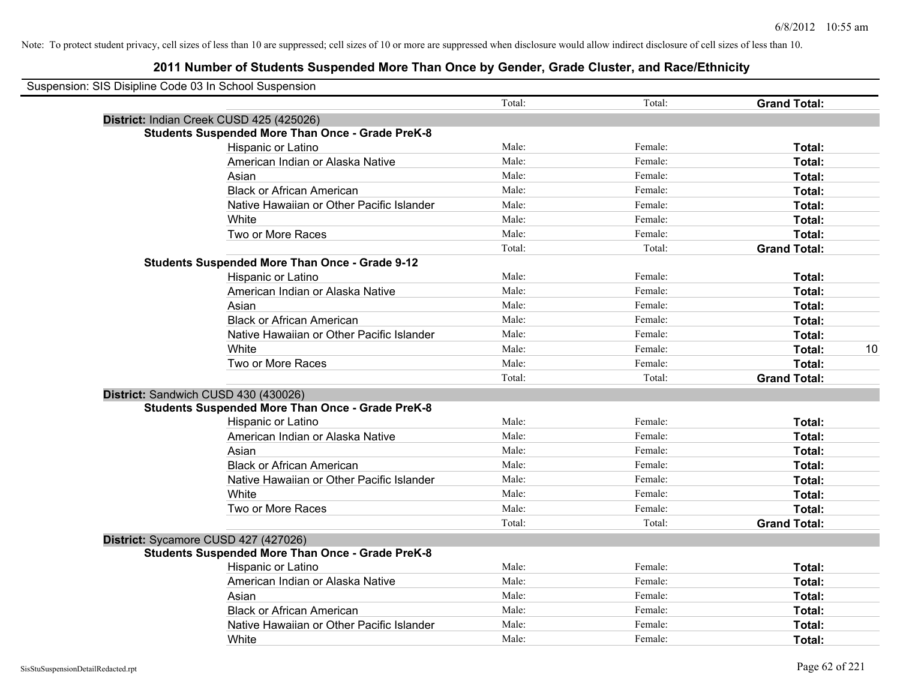| Suspension: SIS Disipline Code 03 In School Suspension |                                                         |        |         |                     |    |
|--------------------------------------------------------|---------------------------------------------------------|--------|---------|---------------------|----|
|                                                        |                                                         | Total: | Total:  | <b>Grand Total:</b> |    |
|                                                        | District: Indian Creek CUSD 425 (425026)                |        |         |                     |    |
|                                                        | <b>Students Suspended More Than Once - Grade PreK-8</b> |        |         |                     |    |
|                                                        | Hispanic or Latino                                      | Male:  | Female: | Total:              |    |
|                                                        | American Indian or Alaska Native                        | Male:  | Female: | Total:              |    |
|                                                        | Asian                                                   | Male:  | Female: | Total:              |    |
|                                                        | <b>Black or African American</b>                        | Male:  | Female: | Total:              |    |
|                                                        | Native Hawaiian or Other Pacific Islander               | Male:  | Female: | Total:              |    |
|                                                        | White                                                   | Male:  | Female: | Total:              |    |
|                                                        | Two or More Races                                       | Male:  | Female: | Total:              |    |
|                                                        |                                                         | Total: | Total:  | <b>Grand Total:</b> |    |
|                                                        | <b>Students Suspended More Than Once - Grade 9-12</b>   |        |         |                     |    |
|                                                        | Hispanic or Latino                                      | Male:  | Female: | Total:              |    |
|                                                        | American Indian or Alaska Native                        | Male:  | Female: | Total:              |    |
|                                                        | Asian                                                   | Male:  | Female: | Total:              |    |
|                                                        | <b>Black or African American</b>                        | Male:  | Female: | Total:              |    |
|                                                        | Native Hawaiian or Other Pacific Islander               | Male:  | Female: | Total:              |    |
|                                                        | White                                                   | Male:  | Female: | Total:              | 10 |
|                                                        | Two or More Races                                       | Male:  | Female: | Total:              |    |
|                                                        |                                                         | Total: | Total:  | <b>Grand Total:</b> |    |
|                                                        | District: Sandwich CUSD 430 (430026)                    |        |         |                     |    |
|                                                        | <b>Students Suspended More Than Once - Grade PreK-8</b> |        |         |                     |    |
|                                                        | Hispanic or Latino                                      | Male:  | Female: | Total:              |    |
|                                                        | American Indian or Alaska Native                        | Male:  | Female: | Total:              |    |
|                                                        | Asian                                                   | Male:  | Female: | Total:              |    |
|                                                        | <b>Black or African American</b>                        | Male:  | Female: | Total:              |    |
|                                                        | Native Hawaiian or Other Pacific Islander               | Male:  | Female: | Total:              |    |
|                                                        | White                                                   | Male:  | Female: | Total:              |    |
|                                                        | Two or More Races                                       | Male:  | Female: | Total:              |    |
|                                                        |                                                         | Total: | Total:  | <b>Grand Total:</b> |    |
|                                                        | District: Sycamore CUSD 427 (427026)                    |        |         |                     |    |
|                                                        | <b>Students Suspended More Than Once - Grade PreK-8</b> |        |         |                     |    |
|                                                        | <b>Hispanic or Latino</b>                               | Male:  | Female: | Total:              |    |
|                                                        | American Indian or Alaska Native                        | Male:  | Female: | Total:              |    |
|                                                        | Asian                                                   | Male:  | Female: | Total:              |    |
|                                                        | <b>Black or African American</b>                        | Male:  | Female: | Total:              |    |
|                                                        | Native Hawaiian or Other Pacific Islander               | Male:  | Female: | Total:              |    |
|                                                        | White                                                   | Male:  | Female: | Total:              |    |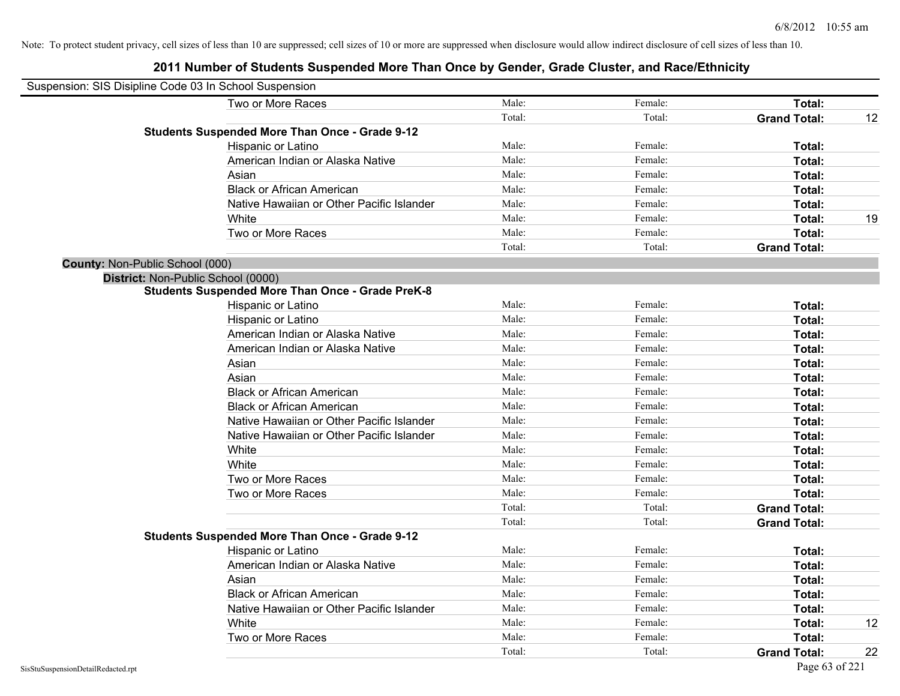| Suspension: SIS Disipline Code 03 In School Suspension  |        |         |                     |    |
|---------------------------------------------------------|--------|---------|---------------------|----|
| Two or More Races                                       | Male:  | Female: | Total:              |    |
|                                                         | Total: | Total:  | <b>Grand Total:</b> | 12 |
| <b>Students Suspended More Than Once - Grade 9-12</b>   |        |         |                     |    |
| Hispanic or Latino                                      | Male:  | Female: | Total:              |    |
| American Indian or Alaska Native                        | Male:  | Female: | Total:              |    |
| Asian                                                   | Male:  | Female: | Total:              |    |
| <b>Black or African American</b>                        | Male:  | Female: | Total:              |    |
| Native Hawaiian or Other Pacific Islander               | Male:  | Female: | Total:              |    |
| White                                                   | Male:  | Female: | Total:              | 19 |
| Two or More Races                                       | Male:  | Female: | Total:              |    |
|                                                         | Total: | Total:  | <b>Grand Total:</b> |    |
| <b>County: Non-Public School (000)</b>                  |        |         |                     |    |
| District: Non-Public School (0000)                      |        |         |                     |    |
| <b>Students Suspended More Than Once - Grade PreK-8</b> |        |         |                     |    |
| Hispanic or Latino                                      | Male:  | Female: | Total:              |    |
| Hispanic or Latino                                      | Male:  | Female: | Total:              |    |
| American Indian or Alaska Native                        | Male:  | Female: | Total:              |    |
| American Indian or Alaska Native                        | Male:  | Female: | Total:              |    |
| Asian                                                   | Male:  | Female: | Total:              |    |
| Asian                                                   | Male:  | Female: | Total:              |    |
| <b>Black or African American</b>                        | Male:  | Female: | Total:              |    |
| <b>Black or African American</b>                        | Male:  | Female: | Total:              |    |
| Native Hawaiian or Other Pacific Islander               | Male:  | Female: | Total:              |    |
| Native Hawaiian or Other Pacific Islander               | Male:  | Female: | Total:              |    |
| White                                                   | Male:  | Female: | Total:              |    |
| White                                                   | Male:  | Female: | Total:              |    |
| Two or More Races                                       | Male:  | Female: | Total:              |    |
| Two or More Races                                       | Male:  | Female: | Total:              |    |
|                                                         | Total: | Total:  | <b>Grand Total:</b> |    |
|                                                         | Total: | Total:  | <b>Grand Total:</b> |    |
| <b>Students Suspended More Than Once - Grade 9-12</b>   |        |         |                     |    |
| Hispanic or Latino                                      | Male:  | Female: | Total:              |    |
| American Indian or Alaska Native                        | Male:  | Female: | Total:              |    |
| Asian                                                   | Male:  | Female: | Total:              |    |
| <b>Black or African American</b>                        | Male:  | Female: | Total:              |    |
| Native Hawaiian or Other Pacific Islander               | Male:  | Female: | Total:              |    |
| White                                                   | Male:  | Female: | Total:              | 12 |
| Two or More Races                                       | Male:  | Female: | <b>Total:</b>       |    |
|                                                         | Total: | Total:  | <b>Grand Total:</b> | 22 |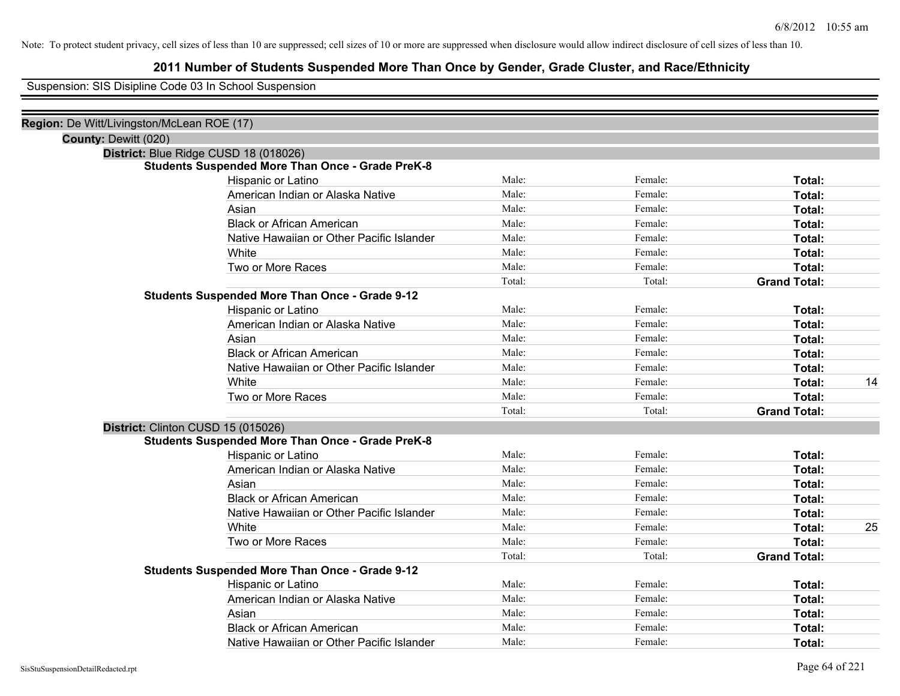### **2011 Number of Students Suspended More Than Once by Gender, Grade Cluster, and Race/Ethnicity**

Suspension: SIS Disipline Code 03 In School Suspension

| Region: De Witt/Livingston/McLean ROE (17) |                                                         |        |         |                     |    |
|--------------------------------------------|---------------------------------------------------------|--------|---------|---------------------|----|
| County: Dewitt (020)                       |                                                         |        |         |                     |    |
|                                            | District: Blue Ridge CUSD 18 (018026)                   |        |         |                     |    |
|                                            | <b>Students Suspended More Than Once - Grade PreK-8</b> |        |         |                     |    |
|                                            | Hispanic or Latino                                      | Male:  | Female: | Total:              |    |
|                                            | American Indian or Alaska Native                        | Male:  | Female: | Total:              |    |
|                                            | Asian                                                   | Male:  | Female: | Total:              |    |
|                                            | <b>Black or African American</b>                        | Male:  | Female: | Total:              |    |
|                                            | Native Hawaiian or Other Pacific Islander               | Male:  | Female: | Total:              |    |
|                                            | White                                                   | Male:  | Female: | Total:              |    |
|                                            | Two or More Races                                       | Male:  | Female: | Total:              |    |
|                                            |                                                         | Total: | Total:  | <b>Grand Total:</b> |    |
|                                            | <b>Students Suspended More Than Once - Grade 9-12</b>   |        |         |                     |    |
|                                            | Hispanic or Latino                                      | Male:  | Female: | Total:              |    |
|                                            | American Indian or Alaska Native                        | Male:  | Female: | Total:              |    |
|                                            | Asian                                                   | Male:  | Female: | Total:              |    |
|                                            | <b>Black or African American</b>                        | Male:  | Female: | Total:              |    |
|                                            | Native Hawaiian or Other Pacific Islander               | Male:  | Female: | Total:              |    |
|                                            | White                                                   | Male:  | Female: | Total:              | 14 |
|                                            | Two or More Races                                       | Male:  | Female: | Total:              |    |
|                                            |                                                         | Total: | Total:  | <b>Grand Total:</b> |    |
|                                            | District: Clinton CUSD 15 (015026)                      |        |         |                     |    |
|                                            | <b>Students Suspended More Than Once - Grade PreK-8</b> |        |         |                     |    |
|                                            | Hispanic or Latino                                      | Male:  | Female: | Total:              |    |
|                                            | American Indian or Alaska Native                        | Male:  | Female: | Total:              |    |
|                                            | Asian                                                   | Male:  | Female: | Total:              |    |
|                                            | <b>Black or African American</b>                        | Male:  | Female: | Total:              |    |
|                                            | Native Hawaiian or Other Pacific Islander               | Male:  | Female: | Total:              |    |
|                                            | White                                                   | Male:  | Female: | Total:              | 25 |
|                                            | Two or More Races                                       | Male:  | Female: | Total:              |    |
|                                            |                                                         | Total: | Total:  | <b>Grand Total:</b> |    |
|                                            | <b>Students Suspended More Than Once - Grade 9-12</b>   |        |         |                     |    |
|                                            | Hispanic or Latino                                      | Male:  | Female: | Total:              |    |
|                                            | American Indian or Alaska Native                        | Male:  | Female: | Total:              |    |
|                                            | Asian                                                   | Male:  | Female: | Total:              |    |
|                                            | <b>Black or African American</b>                        | Male:  | Female: | Total:              |    |
|                                            | Native Hawaiian or Other Pacific Islander               | Male:  | Female: | Total:              |    |
|                                            |                                                         |        |         |                     |    |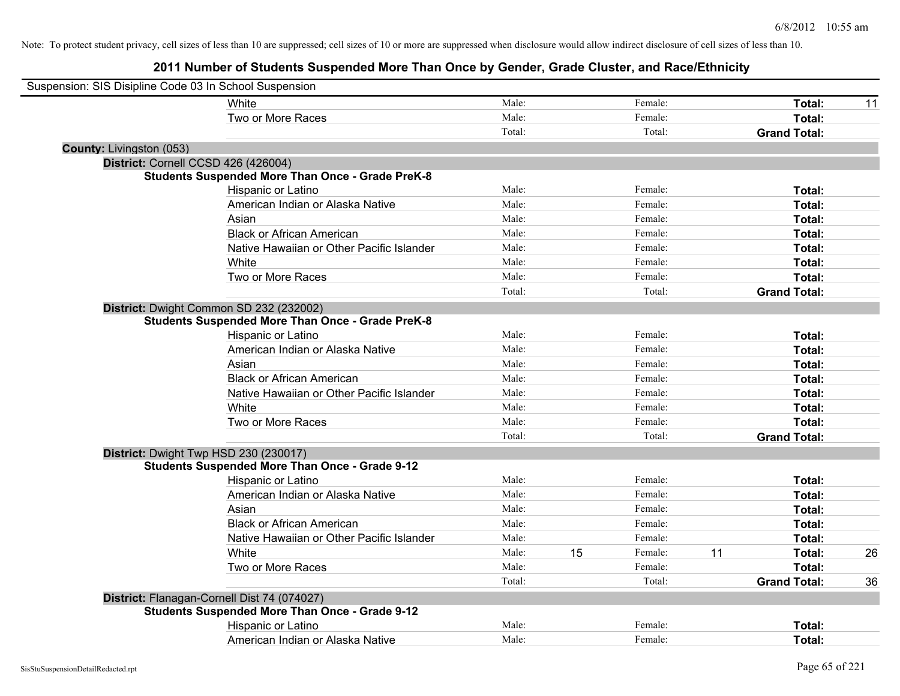| Suspension: SIS Disipline Code 03 In School Suspension |                                                         |        |    |         |    |                     |    |
|--------------------------------------------------------|---------------------------------------------------------|--------|----|---------|----|---------------------|----|
|                                                        | White                                                   | Male:  |    | Female: |    | Total:              | 11 |
|                                                        | Two or More Races                                       | Male:  |    | Female: |    | Total:              |    |
|                                                        |                                                         | Total: |    | Total:  |    | <b>Grand Total:</b> |    |
| County: Livingston (053)                               |                                                         |        |    |         |    |                     |    |
|                                                        | District: Cornell CCSD 426 (426004)                     |        |    |         |    |                     |    |
|                                                        | <b>Students Suspended More Than Once - Grade PreK-8</b> |        |    |         |    |                     |    |
|                                                        | Hispanic or Latino                                      | Male:  |    | Female: |    | Total:              |    |
|                                                        | American Indian or Alaska Native                        | Male:  |    | Female: |    | Total:              |    |
|                                                        | Asian                                                   | Male:  |    | Female: |    | Total:              |    |
|                                                        | <b>Black or African American</b>                        | Male:  |    | Female: |    | Total:              |    |
|                                                        | Native Hawaiian or Other Pacific Islander               | Male:  |    | Female: |    | Total:              |    |
|                                                        | White                                                   | Male:  |    | Female: |    | Total:              |    |
|                                                        | Two or More Races                                       | Male:  |    | Female: |    | Total:              |    |
|                                                        |                                                         | Total: |    | Total:  |    | <b>Grand Total:</b> |    |
|                                                        | District: Dwight Common SD 232 (232002)                 |        |    |         |    |                     |    |
|                                                        | <b>Students Suspended More Than Once - Grade PreK-8</b> |        |    |         |    |                     |    |
|                                                        | Hispanic or Latino                                      | Male:  |    | Female: |    | Total:              |    |
|                                                        | American Indian or Alaska Native                        | Male:  |    | Female: |    | Total:              |    |
|                                                        | Asian                                                   | Male:  |    | Female: |    | Total:              |    |
|                                                        | <b>Black or African American</b>                        | Male:  |    | Female: |    | Total:              |    |
|                                                        | Native Hawaiian or Other Pacific Islander               | Male:  |    | Female: |    | Total:              |    |
|                                                        | White                                                   | Male:  |    | Female: |    | Total:              |    |
|                                                        | Two or More Races                                       | Male:  |    | Female: |    | Total:              |    |
|                                                        |                                                         | Total: |    | Total:  |    | <b>Grand Total:</b> |    |
|                                                        | District: Dwight Twp HSD 230 (230017)                   |        |    |         |    |                     |    |
|                                                        | <b>Students Suspended More Than Once - Grade 9-12</b>   |        |    |         |    |                     |    |
|                                                        | Hispanic or Latino                                      | Male:  |    | Female: |    | Total:              |    |
|                                                        | American Indian or Alaska Native                        | Male:  |    | Female: |    | Total:              |    |
|                                                        | Asian                                                   | Male:  |    | Female: |    | Total:              |    |
|                                                        | <b>Black or African American</b>                        | Male:  |    | Female: |    | Total:              |    |
|                                                        | Native Hawaiian or Other Pacific Islander               | Male:  |    | Female: |    | Total:              |    |
|                                                        | White                                                   | Male:  | 15 | Female: | 11 | Total:              | 26 |
|                                                        | Two or More Races                                       | Male:  |    | Female: |    | Total:              |    |
|                                                        |                                                         | Total: |    | Total:  |    | <b>Grand Total:</b> | 36 |
|                                                        | District: Flanagan-Cornell Dist 74 (074027)             |        |    |         |    |                     |    |
|                                                        | <b>Students Suspended More Than Once - Grade 9-12</b>   |        |    |         |    |                     |    |
|                                                        | Hispanic or Latino                                      | Male:  |    | Female: |    | Total:              |    |
|                                                        | American Indian or Alaska Native                        | Male:  |    | Female: |    | Total:              |    |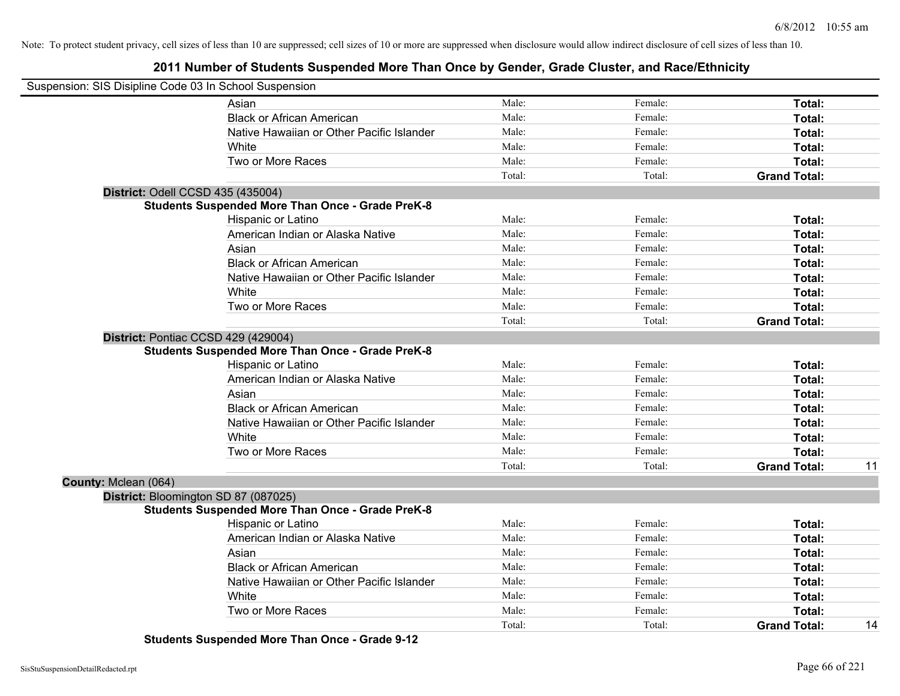### **2011 Number of Students Suspended More Than Once by Gender, Grade Cluster, and Race/Ethnicity**

| Suspension: SIS Disipline Code 03 In School Suspension |                                                         |        |         |                     |    |
|--------------------------------------------------------|---------------------------------------------------------|--------|---------|---------------------|----|
|                                                        | Asian                                                   | Male:  | Female: | Total:              |    |
|                                                        | <b>Black or African American</b>                        | Male:  | Female: | Total:              |    |
|                                                        | Native Hawaiian or Other Pacific Islander               | Male:  | Female: | Total:              |    |
|                                                        | White                                                   | Male:  | Female: | Total:              |    |
|                                                        | Two or More Races                                       | Male:  | Female: | Total:              |    |
|                                                        |                                                         | Total: | Total:  | <b>Grand Total:</b> |    |
| District: Odell CCSD 435 (435004)                      |                                                         |        |         |                     |    |
|                                                        | <b>Students Suspended More Than Once - Grade PreK-8</b> |        |         |                     |    |
|                                                        | Hispanic or Latino                                      | Male:  | Female: | Total:              |    |
|                                                        | American Indian or Alaska Native                        | Male:  | Female: | Total:              |    |
|                                                        | Asian                                                   | Male:  | Female: | Total:              |    |
|                                                        | <b>Black or African American</b>                        | Male:  | Female: | Total:              |    |
|                                                        | Native Hawaiian or Other Pacific Islander               | Male:  | Female: | Total:              |    |
|                                                        | White                                                   | Male:  | Female: | Total:              |    |
|                                                        | Two or More Races                                       | Male:  | Female: | Total:              |    |
|                                                        |                                                         | Total: | Total:  | <b>Grand Total:</b> |    |
| District: Pontiac CCSD 429 (429004)                    |                                                         |        |         |                     |    |
|                                                        | <b>Students Suspended More Than Once - Grade PreK-8</b> |        |         |                     |    |
|                                                        | Hispanic or Latino                                      | Male:  | Female: | Total:              |    |
|                                                        | American Indian or Alaska Native                        | Male:  | Female: | Total:              |    |
|                                                        | Asian                                                   | Male:  | Female: | Total:              |    |
|                                                        | <b>Black or African American</b>                        | Male:  | Female: | Total:              |    |
|                                                        | Native Hawaiian or Other Pacific Islander               | Male:  | Female: | Total:              |    |
|                                                        | White                                                   | Male:  | Female: | Total:              |    |
|                                                        | Two or More Races                                       | Male:  | Female: | Total:              |    |
|                                                        |                                                         | Total: | Total:  | <b>Grand Total:</b> | 11 |
| County: Mclean (064)                                   |                                                         |        |         |                     |    |
| District: Bloomington SD 87 (087025)                   |                                                         |        |         |                     |    |
|                                                        | <b>Students Suspended More Than Once - Grade PreK-8</b> |        |         |                     |    |
|                                                        | Hispanic or Latino                                      | Male:  | Female: | Total:              |    |
|                                                        | American Indian or Alaska Native                        | Male:  | Female: | Total:              |    |
|                                                        | Asian                                                   | Male:  | Female: | Total:              |    |
|                                                        | <b>Black or African American</b>                        | Male:  | Female: | Total:              |    |
|                                                        | Native Hawaiian or Other Pacific Islander               | Male:  | Female: | Total:              |    |
|                                                        | White                                                   | Male:  | Female: | Total:              |    |
|                                                        | Two or More Races                                       | Male:  | Female: | Total:              |    |
|                                                        |                                                         | Total: | Total:  | <b>Grand Total:</b> | 14 |

**Students Suspended More Than Once - Grade 9-12**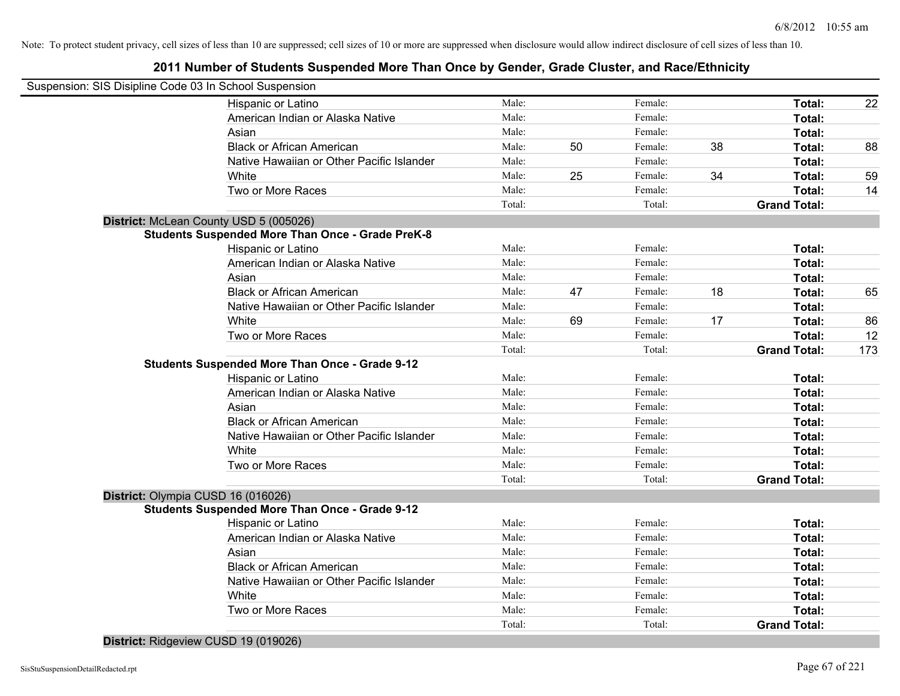### **2011 Number of Students Suspended More Than Once by Gender, Grade Cluster, and Race/Ethnicity**

| Suspension: SIS Disipline Code 03 In School Suspension  |        |    |         |    |                     |     |
|---------------------------------------------------------|--------|----|---------|----|---------------------|-----|
| Hispanic or Latino                                      | Male:  |    | Female: |    | Total:              | 22  |
| American Indian or Alaska Native                        | Male:  |    | Female: |    | Total:              |     |
| Asian                                                   | Male:  |    | Female: |    | Total:              |     |
| <b>Black or African American</b>                        | Male:  | 50 | Female: | 38 | Total:              | 88  |
| Native Hawaiian or Other Pacific Islander               | Male:  |    | Female: |    | Total:              |     |
| White                                                   | Male:  | 25 | Female: | 34 | Total:              | 59  |
| Two or More Races                                       | Male:  |    | Female: |    | Total:              | 14  |
|                                                         | Total: |    | Total:  |    | <b>Grand Total:</b> |     |
| District: McLean County USD 5 (005026)                  |        |    |         |    |                     |     |
| <b>Students Suspended More Than Once - Grade PreK-8</b> |        |    |         |    |                     |     |
| Hispanic or Latino                                      | Male:  |    | Female: |    | Total:              |     |
| American Indian or Alaska Native                        | Male:  |    | Female: |    | Total:              |     |
| Asian                                                   | Male:  |    | Female: |    | Total:              |     |
| <b>Black or African American</b>                        | Male:  | 47 | Female: | 18 | Total:              | 65  |
| Native Hawaiian or Other Pacific Islander               | Male:  |    | Female: |    | Total:              |     |
| White                                                   | Male:  | 69 | Female: | 17 | Total:              | 86  |
| Two or More Races                                       | Male:  |    | Female: |    | Total:              | 12  |
|                                                         | Total: |    | Total:  |    | <b>Grand Total:</b> | 173 |
| <b>Students Suspended More Than Once - Grade 9-12</b>   |        |    |         |    |                     |     |
| Hispanic or Latino                                      | Male:  |    | Female: |    | Total:              |     |
| American Indian or Alaska Native                        | Male:  |    | Female: |    | Total:              |     |
| Asian                                                   | Male:  |    | Female: |    | Total:              |     |
| <b>Black or African American</b>                        | Male:  |    | Female: |    | Total:              |     |
| Native Hawaiian or Other Pacific Islander               | Male:  |    | Female: |    | Total:              |     |
| White                                                   | Male:  |    | Female: |    | Total:              |     |
| Two or More Races                                       | Male:  |    | Female: |    | Total:              |     |
|                                                         | Total: |    | Total:  |    | <b>Grand Total:</b> |     |
| District: Olympia CUSD 16 (016026)                      |        |    |         |    |                     |     |
| <b>Students Suspended More Than Once - Grade 9-12</b>   |        |    |         |    |                     |     |
| Hispanic or Latino                                      | Male:  |    | Female: |    | Total:              |     |
| American Indian or Alaska Native                        | Male:  |    | Female: |    | Total:              |     |
| Asian                                                   | Male:  |    | Female: |    | Total:              |     |
| <b>Black or African American</b>                        | Male:  |    | Female: |    | Total:              |     |
| Native Hawaiian or Other Pacific Islander               | Male:  |    | Female: |    | Total:              |     |
| White                                                   | Male:  |    | Female: |    | Total:              |     |
| Two or More Races                                       | Male:  |    | Female: |    | Total:              |     |
|                                                         | Total: |    | Total:  |    | <b>Grand Total:</b> |     |
|                                                         |        |    |         |    |                     |     |

**District:** Ridgeview CUSD 19 (019026)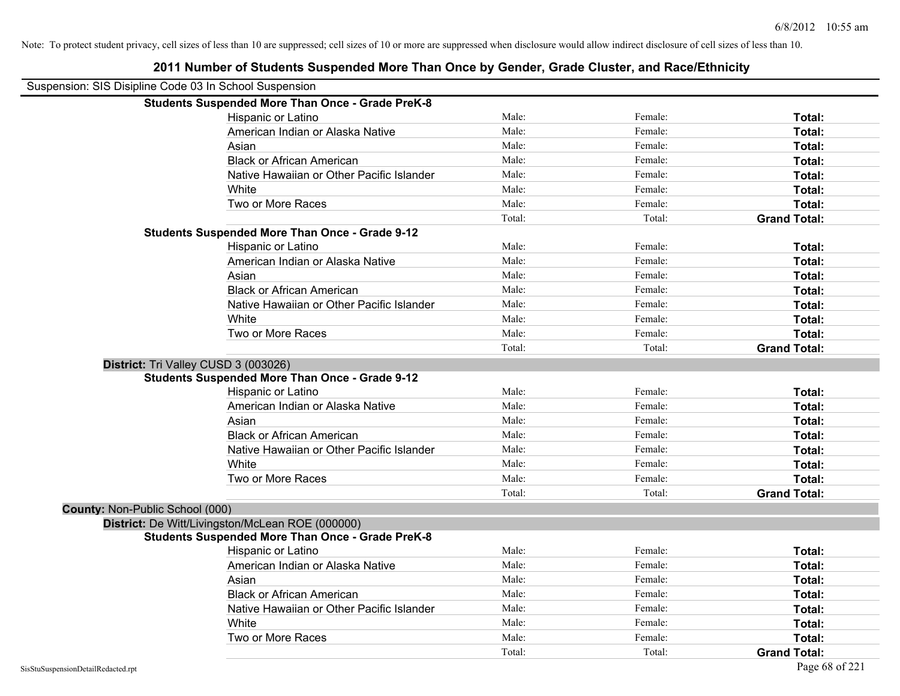| 2011 Number of Students Suspended More Than Once by Gender, Grade Cluster, and Race/Ethnicity |        |         |                     |
|-----------------------------------------------------------------------------------------------|--------|---------|---------------------|
| Suspension: SIS Disipline Code 03 In School Suspension                                        |        |         |                     |
| <b>Students Suspended More Than Once - Grade PreK-8</b>                                       |        |         |                     |
| Hispanic or Latino                                                                            | Male:  | Female: | Total:              |
| American Indian or Alaska Native                                                              | Male:  | Female: | Total:              |
| Asian                                                                                         | Male:  | Female: | Total:              |
| <b>Black or African American</b>                                                              | Male:  | Female: | Total:              |
| Native Hawaiian or Other Pacific Islander                                                     | Male:  | Female: | Total:              |
| White                                                                                         | Male:  | Female: | Total:              |
| Two or More Races                                                                             | Male:  | Female: | Total:              |
|                                                                                               | Total: | Total:  | <b>Grand Total:</b> |
| <b>Students Suspended More Than Once - Grade 9-12</b>                                         |        |         |                     |
| Hispanic or Latino                                                                            | Male:  | Female: | Total:              |
| American Indian or Alaska Native                                                              | Male:  | Female: | Total:              |
| Asian                                                                                         | Male:  | Female: | Total:              |
| <b>Black or African American</b>                                                              | Male:  | Female: | Total:              |
| Native Hawaiian or Other Pacific Islander                                                     | Male:  | Female: | Total:              |
| White                                                                                         | Male:  | Female: | Total:              |
| Two or More Races                                                                             | Male:  | Female: | Total:              |
|                                                                                               | Total: | Total:  | <b>Grand Total:</b> |
| District: Tri Valley CUSD 3 (003026)                                                          |        |         |                     |
| <b>Students Suspended More Than Once - Grade 9-12</b>                                         |        |         |                     |
| Hispanic or Latino                                                                            | Male:  | Female: | Total:              |
| American Indian or Alaska Native                                                              | Male:  | Female: | Total:              |
| Asian                                                                                         | Male:  | Female: | Total:              |
| <b>Black or African American</b>                                                              | Male:  | Female: | Total:              |
| Native Hawaiian or Other Pacific Islander                                                     | Male:  | Female: | Total:              |
| White                                                                                         | Male:  | Female: | Total:              |
| Two or More Races                                                                             | Male:  | Female: | Total:              |
|                                                                                               | Total: | Total:  | <b>Grand Total:</b> |
| County: Non-Public School (000)                                                               |        |         |                     |
| District: De Witt/Livingston/McLean ROE (000000)                                              |        |         |                     |
| <b>Students Suspended More Than Once - Grade PreK-8</b>                                       |        |         |                     |
| Hispanic or Latino                                                                            | Male:  | Female: | Total:              |
| American Indian or Alaska Native                                                              | Male:  | Female: | Total:              |
| Asian                                                                                         | Male:  | Female: | Total:              |
| <b>Black or African American</b>                                                              | Male:  | Female: | Total:              |
| Native Hawaiian or Other Pacific Islander                                                     | Male:  | Female: | Total:              |
| White                                                                                         | Male:  | Female: | Total:              |
| Two or More Races                                                                             | Male:  | Female: | Total:              |
|                                                                                               | Total: | Total:  | <b>Grand Total:</b> |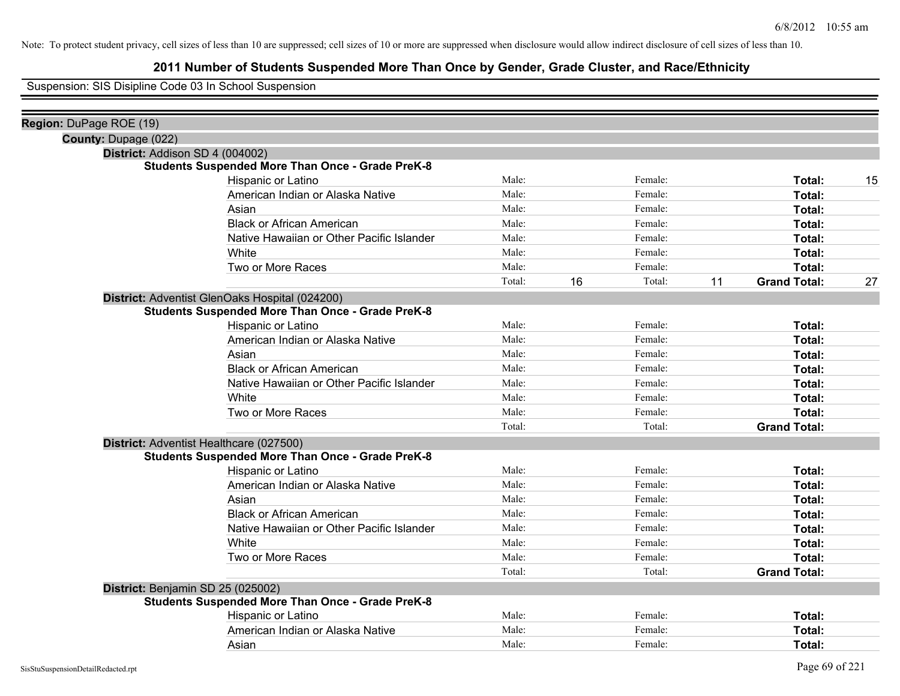### **2011 Number of Students Suspended More Than Once by Gender, Grade Cluster, and Race/Ethnicity**

Suspension: SIS Disipline Code 03 In School Suspension

|        |                                                             | Female: |                                                     | Total:              | 15 |
|--------|-------------------------------------------------------------|---------|-----------------------------------------------------|---------------------|----|
|        |                                                             |         |                                                     | Total:              |    |
|        |                                                             | Female: |                                                     | Total:              |    |
|        |                                                             |         |                                                     | Total:              |    |
| Male:  |                                                             | Female: |                                                     | Total:              |    |
| Male:  |                                                             | Female: |                                                     | Total:              |    |
|        |                                                             |         |                                                     | Total:              |    |
| Total: | 16                                                          | Total:  | 11                                                  | <b>Grand Total:</b> | 27 |
|        |                                                             |         |                                                     |                     |    |
|        |                                                             |         |                                                     |                     |    |
| Male:  |                                                             | Female: |                                                     | Total:              |    |
|        |                                                             |         |                                                     | Total:              |    |
| Male:  |                                                             | Female: |                                                     | Total:              |    |
| Male:  |                                                             | Female: |                                                     | Total:              |    |
|        |                                                             |         |                                                     | Total:              |    |
| Male:  |                                                             | Female: |                                                     | Total:              |    |
| Male:  |                                                             | Female: |                                                     | <b>Total:</b>       |    |
| Total: |                                                             | Total:  |                                                     | <b>Grand Total:</b> |    |
|        |                                                             |         |                                                     |                     |    |
|        |                                                             |         |                                                     |                     |    |
| Male:  |                                                             | Female: |                                                     | Total:              |    |
| Male:  |                                                             | Female: |                                                     | Total:              |    |
| Male:  |                                                             | Female: |                                                     | <b>Total:</b>       |    |
| Male:  |                                                             | Female: |                                                     | Total:              |    |
| Male:  |                                                             | Female: |                                                     | Total:              |    |
| Male:  |                                                             | Female: |                                                     | Total:              |    |
| Male:  |                                                             | Female: |                                                     | Total:              |    |
| Total: |                                                             | Total:  |                                                     | <b>Grand Total:</b> |    |
|        |                                                             |         |                                                     |                     |    |
|        |                                                             |         |                                                     |                     |    |
| Male:  |                                                             | Female: |                                                     | Total:              |    |
| Male:  |                                                             | Female: |                                                     | Total:              |    |
| Male:  |                                                             | Female: |                                                     | Total:              |    |
|        | Male:<br>Male:<br>Male:<br>Male:<br>Male:<br>Male:<br>Male: |         | Female:<br>Female:<br>Female:<br>Female:<br>Female: |                     |    |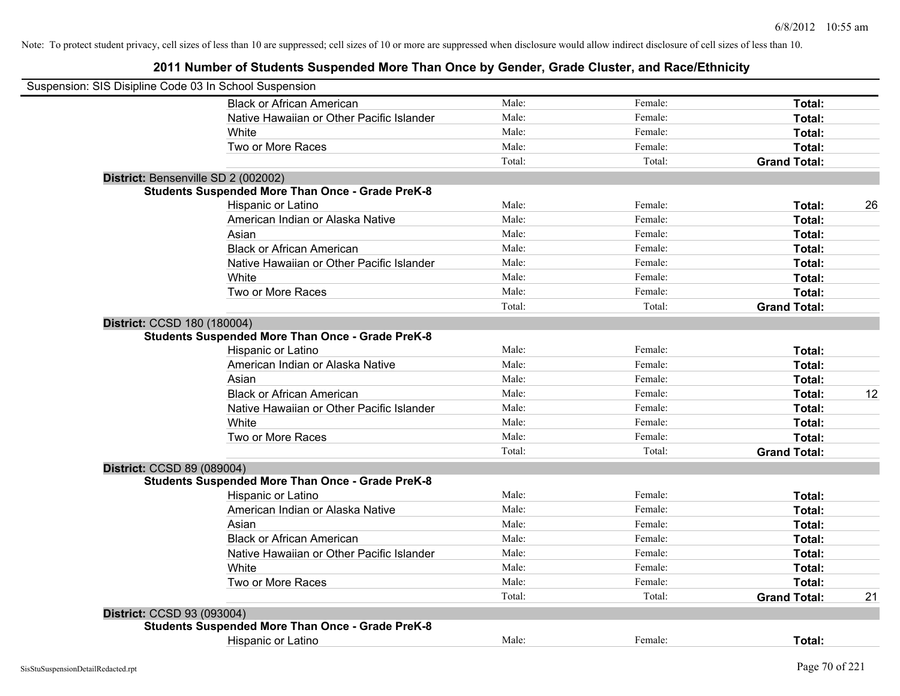| Suspension: SIS Disipline Code 03 In School Suspension  |        |         |                     |    |
|---------------------------------------------------------|--------|---------|---------------------|----|
| <b>Black or African American</b>                        | Male:  | Female: | Total:              |    |
| Native Hawaiian or Other Pacific Islander               | Male:  | Female: | Total:              |    |
| White                                                   | Male:  | Female: | Total:              |    |
| Two or More Races                                       | Male:  | Female: | Total:              |    |
|                                                         | Total: | Total:  | <b>Grand Total:</b> |    |
| District: Bensenville SD 2 (002002)                     |        |         |                     |    |
| <b>Students Suspended More Than Once - Grade PreK-8</b> |        |         |                     |    |
| Hispanic or Latino                                      | Male:  | Female: | Total:              | 26 |
| American Indian or Alaska Native                        | Male:  | Female: | Total:              |    |
| Asian                                                   | Male:  | Female: | Total:              |    |
| <b>Black or African American</b>                        | Male:  | Female: | Total:              |    |
| Native Hawaiian or Other Pacific Islander               | Male:  | Female: | Total:              |    |
| White                                                   | Male:  | Female: | Total:              |    |
| Two or More Races                                       | Male:  | Female: | Total:              |    |
|                                                         | Total: | Total:  | <b>Grand Total:</b> |    |
| District: CCSD 180 (180004)                             |        |         |                     |    |
| <b>Students Suspended More Than Once - Grade PreK-8</b> |        |         |                     |    |
| Hispanic or Latino                                      | Male:  | Female: | Total:              |    |
| American Indian or Alaska Native                        | Male:  | Female: | Total:              |    |
| Asian                                                   | Male:  | Female: | Total:              |    |
| <b>Black or African American</b>                        | Male:  | Female: | Total:              | 12 |
| Native Hawaiian or Other Pacific Islander               | Male:  | Female: | Total:              |    |
| White                                                   | Male:  | Female: | Total:              |    |
| Two or More Races                                       | Male:  | Female: | Total:              |    |
|                                                         | Total: | Total:  | <b>Grand Total:</b> |    |
| District: CCSD 89 (089004)                              |        |         |                     |    |
| <b>Students Suspended More Than Once - Grade PreK-8</b> |        |         |                     |    |
| Hispanic or Latino                                      | Male:  | Female: | Total:              |    |
| American Indian or Alaska Native                        | Male:  | Female: | Total:              |    |
| Asian                                                   | Male:  | Female: | Total:              |    |
| <b>Black or African American</b>                        | Male:  | Female: | Total:              |    |
| Native Hawaiian or Other Pacific Islander               | Male:  | Female: | Total:              |    |
| White                                                   | Male:  | Female: | Total:              |    |
| Two or More Races                                       | Male:  | Female: | Total:              |    |
|                                                         | Total: | Total:  | <b>Grand Total:</b> | 21 |
| District: CCSD 93 (093004)                              |        |         |                     |    |
| <b>Students Suspended More Than Once - Grade PreK-8</b> |        |         |                     |    |
| <b>Hispanic or Latino</b>                               | Male:  | Female: | Total:              |    |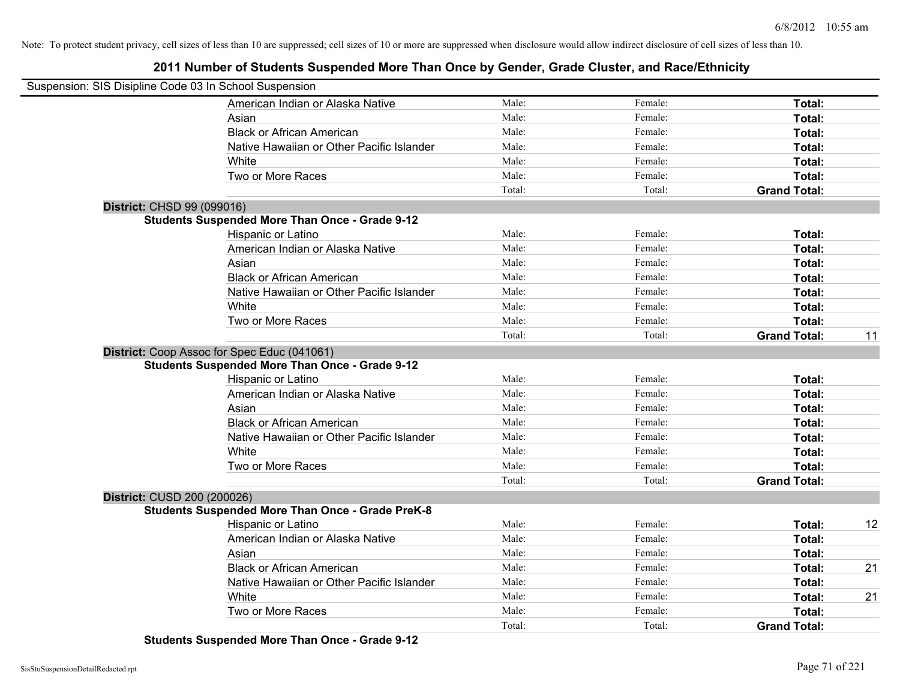### **2011 Number of Students Suspended More Than Once by Gender, Grade Cluster, and Race/Ethnicity**

| Suspension: SIS Disipline Code 03 In School Suspension |                                                         |        |         |                     |    |
|--------------------------------------------------------|---------------------------------------------------------|--------|---------|---------------------|----|
|                                                        | American Indian or Alaska Native                        | Male:  | Female: | Total:              |    |
|                                                        | Asian                                                   | Male:  | Female: | Total:              |    |
|                                                        | <b>Black or African American</b>                        | Male:  | Female: | Total:              |    |
|                                                        | Native Hawaiian or Other Pacific Islander               | Male:  | Female: | Total:              |    |
|                                                        | White                                                   | Male:  | Female: | Total:              |    |
|                                                        | Two or More Races                                       | Male:  | Female: | Total:              |    |
|                                                        |                                                         | Total: | Total:  | <b>Grand Total:</b> |    |
| District: CHSD 99 (099016)                             |                                                         |        |         |                     |    |
|                                                        | <b>Students Suspended More Than Once - Grade 9-12</b>   |        |         |                     |    |
|                                                        | Hispanic or Latino                                      | Male:  | Female: | Total:              |    |
|                                                        | American Indian or Alaska Native                        | Male:  | Female: | Total:              |    |
|                                                        | Asian                                                   | Male:  | Female: | Total:              |    |
|                                                        | <b>Black or African American</b>                        | Male:  | Female: | Total:              |    |
|                                                        | Native Hawaiian or Other Pacific Islander               | Male:  | Female: | Total:              |    |
|                                                        | White                                                   | Male:  | Female: | Total:              |    |
|                                                        | Two or More Races                                       | Male:  | Female: | Total:              |    |
|                                                        |                                                         | Total: | Total:  | <b>Grand Total:</b> | 11 |
|                                                        | District: Coop Assoc for Spec Educ (041061)             |        |         |                     |    |
|                                                        | <b>Students Suspended More Than Once - Grade 9-12</b>   |        |         |                     |    |
|                                                        | Hispanic or Latino                                      | Male:  | Female: | Total:              |    |
|                                                        | American Indian or Alaska Native                        | Male:  | Female: | Total:              |    |
|                                                        | Asian                                                   | Male:  | Female: | Total:              |    |
|                                                        | <b>Black or African American</b>                        | Male:  | Female: | Total:              |    |
|                                                        | Native Hawaiian or Other Pacific Islander               | Male:  | Female: | Total:              |    |
|                                                        | White                                                   | Male:  | Female: | Total:              |    |
|                                                        | Two or More Races                                       | Male:  | Female: | Total:              |    |
|                                                        |                                                         | Total: | Total:  | <b>Grand Total:</b> |    |
| District: CUSD 200 (200026)                            |                                                         |        |         |                     |    |
|                                                        | <b>Students Suspended More Than Once - Grade PreK-8</b> |        |         |                     |    |
|                                                        | <b>Hispanic or Latino</b>                               | Male:  | Female: | Total:              | 12 |
|                                                        | American Indian or Alaska Native                        | Male:  | Female: | Total:              |    |
|                                                        | Asian                                                   | Male:  | Female: | Total:              |    |
|                                                        | <b>Black or African American</b>                        | Male:  | Female: | Total:              | 21 |
|                                                        | Native Hawaiian or Other Pacific Islander               | Male:  | Female: | Total:              |    |
|                                                        | White                                                   | Male:  | Female: | Total:              | 21 |
|                                                        | Two or More Races                                       | Male:  | Female: | Total:              |    |
|                                                        |                                                         | Total: | Total:  | <b>Grand Total:</b> |    |

**Students Suspended More Than Once - Grade 9-12**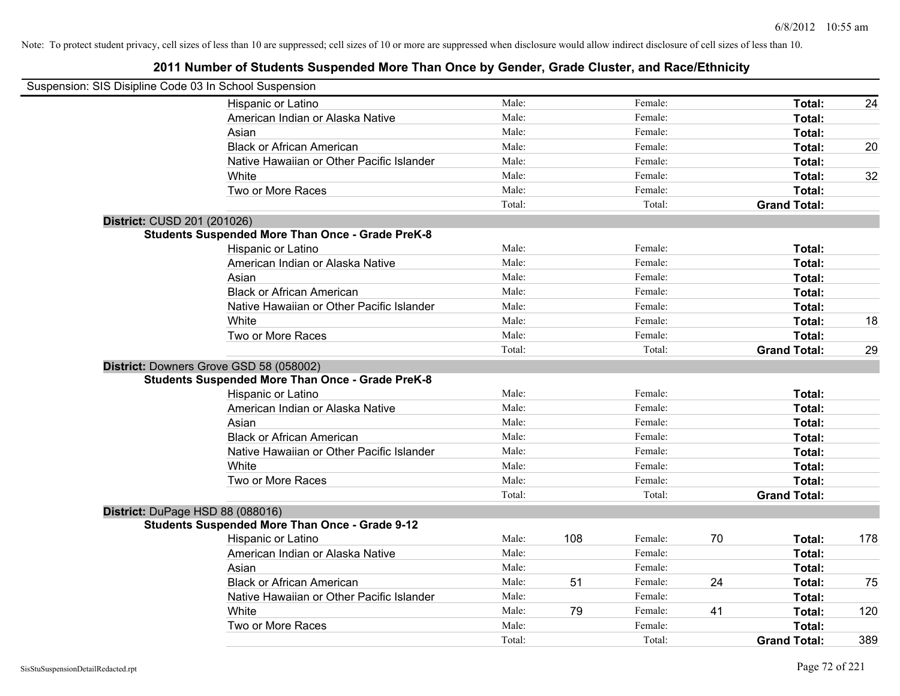| Suspension: SIS Disipline Code 03 In School Suspension |                                                         |        |     |         |    |                     |     |
|--------------------------------------------------------|---------------------------------------------------------|--------|-----|---------|----|---------------------|-----|
|                                                        | Hispanic or Latino                                      | Male:  |     | Female: |    | Total:              | 24  |
|                                                        | American Indian or Alaska Native                        | Male:  |     | Female: |    | Total:              |     |
|                                                        | Asian                                                   | Male:  |     | Female: |    | Total:              |     |
|                                                        | <b>Black or African American</b>                        | Male:  |     | Female: |    | Total:              | 20  |
|                                                        | Native Hawaiian or Other Pacific Islander               | Male:  |     | Female: |    | Total:              |     |
|                                                        | White                                                   | Male:  |     | Female: |    | Total:              | 32  |
|                                                        | Two or More Races                                       | Male:  |     | Female: |    | Total:              |     |
|                                                        |                                                         | Total: |     | Total:  |    | <b>Grand Total:</b> |     |
| District: CUSD 201 (201026)                            |                                                         |        |     |         |    |                     |     |
|                                                        | <b>Students Suspended More Than Once - Grade PreK-8</b> |        |     |         |    |                     |     |
|                                                        | Hispanic or Latino                                      | Male:  |     | Female: |    | Total:              |     |
|                                                        | American Indian or Alaska Native                        | Male:  |     | Female: |    | Total:              |     |
|                                                        | Asian                                                   | Male:  |     | Female: |    | Total:              |     |
|                                                        | <b>Black or African American</b>                        | Male:  |     | Female: |    | Total:              |     |
|                                                        | Native Hawaiian or Other Pacific Islander               | Male:  |     | Female: |    | Total:              |     |
|                                                        | White                                                   | Male:  |     | Female: |    | Total:              | 18  |
|                                                        | Two or More Races                                       | Male:  |     | Female: |    | Total:              |     |
|                                                        |                                                         | Total: |     | Total:  |    | <b>Grand Total:</b> | 29  |
|                                                        | District: Downers Grove GSD 58 (058002)                 |        |     |         |    |                     |     |
|                                                        | <b>Students Suspended More Than Once - Grade PreK-8</b> |        |     |         |    |                     |     |
|                                                        | Hispanic or Latino                                      | Male:  |     | Female: |    | Total:              |     |
|                                                        | American Indian or Alaska Native                        | Male:  |     | Female: |    | Total:              |     |
|                                                        | Asian                                                   | Male:  |     | Female: |    | Total:              |     |
|                                                        | <b>Black or African American</b>                        | Male:  |     | Female: |    | Total:              |     |
|                                                        | Native Hawaiian or Other Pacific Islander               | Male:  |     | Female: |    | Total:              |     |
|                                                        | White                                                   | Male:  |     | Female: |    | Total:              |     |
|                                                        | Two or More Races                                       | Male:  |     | Female: |    | Total:              |     |
|                                                        |                                                         | Total: |     | Total:  |    | <b>Grand Total:</b> |     |
|                                                        | District: DuPage HSD 88 (088016)                        |        |     |         |    |                     |     |
|                                                        | <b>Students Suspended More Than Once - Grade 9-12</b>   |        |     |         |    |                     |     |
|                                                        | Hispanic or Latino                                      | Male:  | 108 | Female: | 70 | Total:              | 178 |
|                                                        | American Indian or Alaska Native                        | Male:  |     | Female: |    | Total:              |     |
|                                                        | Asian                                                   | Male:  |     | Female: |    | Total:              |     |
|                                                        | <b>Black or African American</b>                        | Male:  | 51  | Female: | 24 | Total:              | 75  |
|                                                        | Native Hawaiian or Other Pacific Islander               | Male:  |     | Female: |    | Total:              |     |
|                                                        | White                                                   | Male:  | 79  | Female: | 41 | Total:              | 120 |
|                                                        | Two or More Races                                       | Male:  |     | Female: |    | Total:              |     |
|                                                        |                                                         | Total: |     | Total:  |    | <b>Grand Total:</b> | 389 |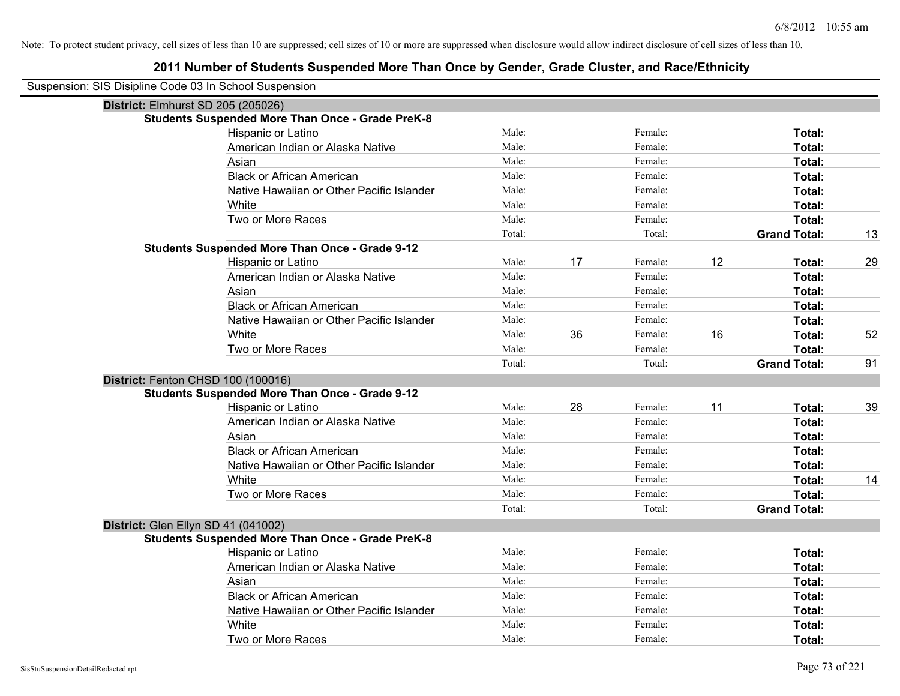| Suspension: SIS Disipline Code 03 In School Suspension |                                                         |        |    |         |    |                     |    |
|--------------------------------------------------------|---------------------------------------------------------|--------|----|---------|----|---------------------|----|
|                                                        | District: Elmhurst SD 205 (205026)                      |        |    |         |    |                     |    |
|                                                        | <b>Students Suspended More Than Once - Grade PreK-8</b> |        |    |         |    |                     |    |
|                                                        | Hispanic or Latino                                      | Male:  |    | Female: |    | Total:              |    |
|                                                        | American Indian or Alaska Native                        | Male:  |    | Female: |    | Total:              |    |
|                                                        | Asian                                                   | Male:  |    | Female: |    | Total:              |    |
|                                                        | <b>Black or African American</b>                        | Male:  |    | Female: |    | Total:              |    |
|                                                        | Native Hawaiian or Other Pacific Islander               | Male:  |    | Female: |    | Total:              |    |
|                                                        | White                                                   | Male:  |    | Female: |    | Total:              |    |
|                                                        | Two or More Races                                       | Male:  |    | Female: |    | Total:              |    |
|                                                        |                                                         | Total: |    | Total:  |    | <b>Grand Total:</b> | 13 |
|                                                        | <b>Students Suspended More Than Once - Grade 9-12</b>   |        |    |         |    |                     |    |
|                                                        | Hispanic or Latino                                      | Male:  | 17 | Female: | 12 | Total:              | 29 |
|                                                        | American Indian or Alaska Native                        | Male:  |    | Female: |    | Total:              |    |
|                                                        | Asian                                                   | Male:  |    | Female: |    | Total:              |    |
|                                                        | <b>Black or African American</b>                        | Male:  |    | Female: |    | Total:              |    |
|                                                        | Native Hawaiian or Other Pacific Islander               | Male:  |    | Female: |    | Total:              |    |
|                                                        | White                                                   | Male:  | 36 | Female: | 16 | Total:              | 52 |
|                                                        | Two or More Races                                       | Male:  |    | Female: |    | Total:              |    |
|                                                        |                                                         | Total: |    | Total:  |    | <b>Grand Total:</b> | 91 |
|                                                        | District: Fenton CHSD 100 (100016)                      |        |    |         |    |                     |    |
|                                                        | <b>Students Suspended More Than Once - Grade 9-12</b>   |        |    |         |    |                     |    |
|                                                        | Hispanic or Latino                                      | Male:  | 28 | Female: | 11 | Total:              | 39 |
|                                                        | American Indian or Alaska Native                        | Male:  |    | Female: |    | Total:              |    |
|                                                        | Asian                                                   | Male:  |    | Female: |    | Total:              |    |
|                                                        | <b>Black or African American</b>                        | Male:  |    | Female: |    | Total:              |    |
|                                                        | Native Hawaiian or Other Pacific Islander               | Male:  |    | Female: |    | Total:              |    |
|                                                        | White                                                   | Male:  |    | Female: |    | Total:              | 14 |
|                                                        | Two or More Races                                       | Male:  |    | Female: |    | <b>Total:</b>       |    |
|                                                        |                                                         | Total: |    | Total:  |    | <b>Grand Total:</b> |    |
|                                                        | District: Glen Ellyn SD 41 (041002)                     |        |    |         |    |                     |    |
|                                                        | <b>Students Suspended More Than Once - Grade PreK-8</b> |        |    |         |    |                     |    |
|                                                        | Hispanic or Latino                                      | Male:  |    | Female: |    | Total:              |    |
|                                                        | American Indian or Alaska Native                        | Male:  |    | Female: |    | Total:              |    |
|                                                        | Asian                                                   | Male:  |    | Female: |    | Total:              |    |
|                                                        | <b>Black or African American</b>                        | Male:  |    | Female: |    | Total:              |    |
|                                                        | Native Hawaiian or Other Pacific Islander               | Male:  |    | Female: |    | Total:              |    |
|                                                        | White                                                   | Male:  |    | Female: |    | Total:              |    |
|                                                        | Two or More Races                                       | Male:  |    | Female: |    | Total:              |    |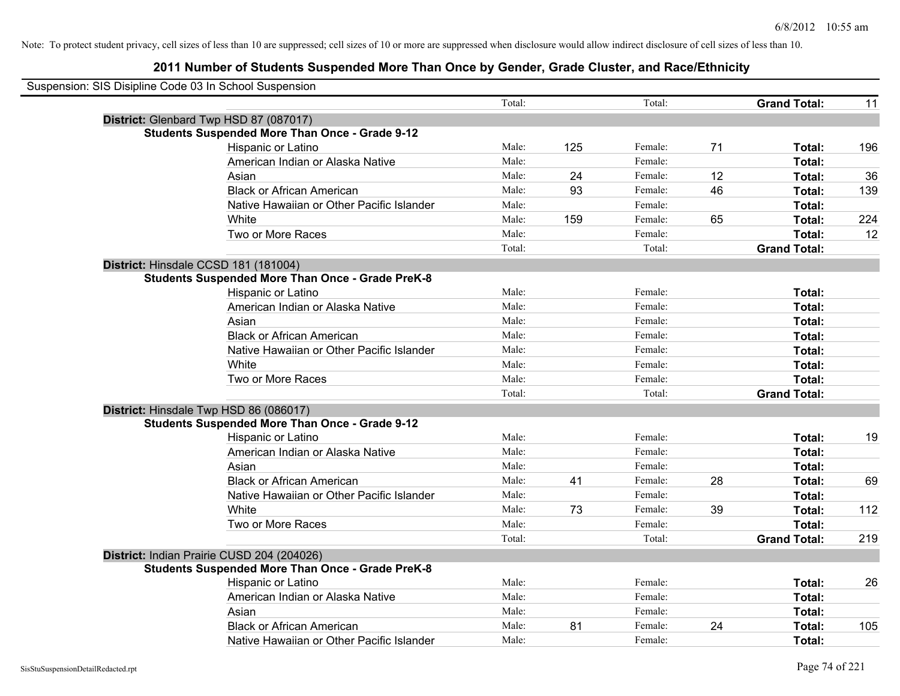| Suspension: SIS Disipline Code 03 In School Suspension |                                                         |        |     |         |    |                     |     |
|--------------------------------------------------------|---------------------------------------------------------|--------|-----|---------|----|---------------------|-----|
|                                                        |                                                         | Total: |     | Total:  |    | <b>Grand Total:</b> | 11  |
|                                                        | District: Glenbard Twp HSD 87 (087017)                  |        |     |         |    |                     |     |
|                                                        | <b>Students Suspended More Than Once - Grade 9-12</b>   |        |     |         |    |                     |     |
|                                                        | Hispanic or Latino                                      | Male:  | 125 | Female: | 71 | Total:              | 196 |
|                                                        | American Indian or Alaska Native                        | Male:  |     | Female: |    | Total:              |     |
|                                                        | Asian                                                   | Male:  | 24  | Female: | 12 | Total:              | 36  |
|                                                        | <b>Black or African American</b>                        | Male:  | 93  | Female: | 46 | Total:              | 139 |
|                                                        | Native Hawaiian or Other Pacific Islander               | Male:  |     | Female: |    | Total:              |     |
|                                                        | White                                                   | Male:  | 159 | Female: | 65 | Total:              | 224 |
|                                                        | Two or More Races                                       | Male:  |     | Female: |    | Total:              | 12  |
|                                                        |                                                         | Total: |     | Total:  |    | <b>Grand Total:</b> |     |
|                                                        | District: Hinsdale CCSD 181 (181004)                    |        |     |         |    |                     |     |
|                                                        | <b>Students Suspended More Than Once - Grade PreK-8</b> |        |     |         |    |                     |     |
|                                                        | Hispanic or Latino                                      | Male:  |     | Female: |    | Total:              |     |
|                                                        | American Indian or Alaska Native                        | Male:  |     | Female: |    | Total:              |     |
|                                                        | Asian                                                   | Male:  |     | Female: |    | Total:              |     |
|                                                        | <b>Black or African American</b>                        | Male:  |     | Female: |    | Total:              |     |
|                                                        | Native Hawaiian or Other Pacific Islander               | Male:  |     | Female: |    | Total:              |     |
|                                                        | White                                                   | Male:  |     | Female: |    | Total:              |     |
|                                                        | Two or More Races                                       | Male:  |     | Female: |    | Total:              |     |
|                                                        |                                                         | Total: |     | Total:  |    | <b>Grand Total:</b> |     |
|                                                        | District: Hinsdale Twp HSD 86 (086017)                  |        |     |         |    |                     |     |
|                                                        | <b>Students Suspended More Than Once - Grade 9-12</b>   |        |     |         |    |                     |     |
|                                                        | Hispanic or Latino                                      | Male:  |     | Female: |    | Total:              | 19  |
|                                                        | American Indian or Alaska Native                        | Male:  |     | Female: |    | Total:              |     |
|                                                        | Asian                                                   | Male:  |     | Female: |    | Total:              |     |
|                                                        | <b>Black or African American</b>                        | Male:  | 41  | Female: | 28 | Total:              | 69  |
|                                                        | Native Hawaiian or Other Pacific Islander               | Male:  |     | Female: |    | Total:              |     |
|                                                        | White                                                   | Male:  | 73  | Female: | 39 | Total:              | 112 |
|                                                        | Two or More Races                                       | Male:  |     | Female: |    | Total:              |     |
|                                                        |                                                         | Total: |     | Total:  |    | <b>Grand Total:</b> | 219 |
|                                                        | District: Indian Prairie CUSD 204 (204026)              |        |     |         |    |                     |     |
|                                                        | <b>Students Suspended More Than Once - Grade PreK-8</b> |        |     |         |    |                     |     |
|                                                        | <b>Hispanic or Latino</b>                               | Male:  |     | Female: |    | Total:              | 26  |
|                                                        | American Indian or Alaska Native                        | Male:  |     | Female: |    | Total:              |     |
|                                                        | Asian                                                   | Male:  |     | Female: |    | Total:              |     |
|                                                        | <b>Black or African American</b>                        | Male:  | 81  | Female: | 24 | Total:              | 105 |
|                                                        | Native Hawaiian or Other Pacific Islander               | Male:  |     | Female: |    | Total:              |     |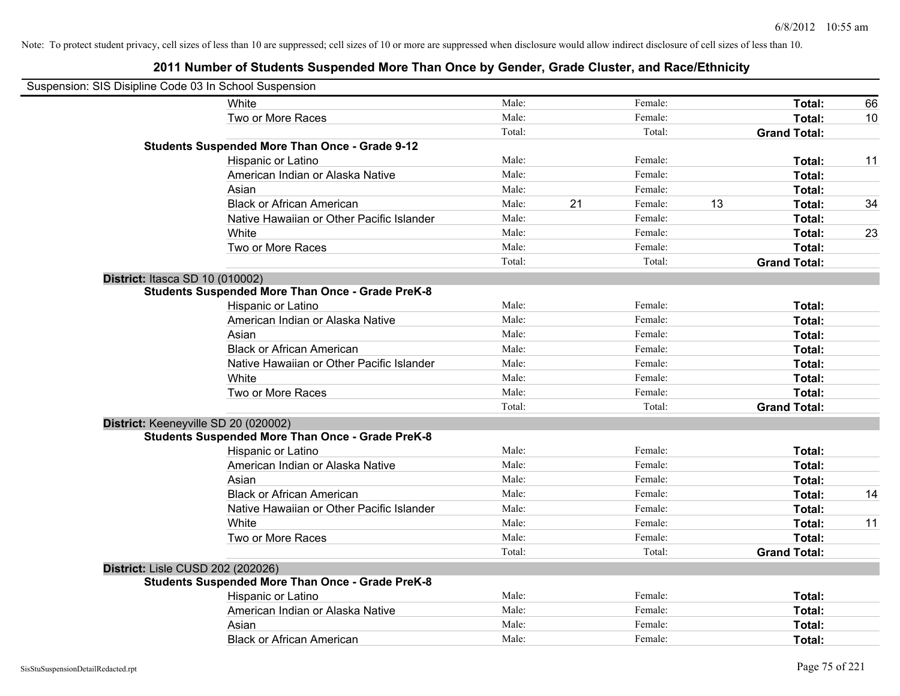| Suspension: SIS Disipline Code 03 In School Suspension |                                                         |        |    |         |    |                     |    |
|--------------------------------------------------------|---------------------------------------------------------|--------|----|---------|----|---------------------|----|
|                                                        | White                                                   | Male:  |    | Female: |    | Total:              | 66 |
|                                                        | Two or More Races                                       | Male:  |    | Female: |    | Total:              | 10 |
|                                                        |                                                         | Total: |    | Total:  |    | <b>Grand Total:</b> |    |
|                                                        | Students Suspended More Than Once - Grade 9-12          |        |    |         |    |                     |    |
|                                                        | Hispanic or Latino                                      | Male:  |    | Female: |    | Total:              | 11 |
|                                                        | American Indian or Alaska Native                        | Male:  |    | Female: |    | Total:              |    |
|                                                        | Asian                                                   | Male:  |    | Female: |    | Total:              |    |
|                                                        | <b>Black or African American</b>                        | Male:  | 21 | Female: | 13 | Total:              | 34 |
|                                                        | Native Hawaiian or Other Pacific Islander               | Male:  |    | Female: |    | Total:              |    |
|                                                        | White                                                   | Male:  |    | Female: |    | Total:              | 23 |
|                                                        | Two or More Races                                       | Male:  |    | Female: |    | Total:              |    |
|                                                        |                                                         | Total: |    | Total:  |    | <b>Grand Total:</b> |    |
| District: Itasca SD 10 (010002)                        |                                                         |        |    |         |    |                     |    |
|                                                        | <b>Students Suspended More Than Once - Grade PreK-8</b> |        |    |         |    |                     |    |
|                                                        | Hispanic or Latino                                      | Male:  |    | Female: |    | Total:              |    |
|                                                        | American Indian or Alaska Native                        | Male:  |    | Female: |    | Total:              |    |
|                                                        | Asian                                                   | Male:  |    | Female: |    | Total:              |    |
|                                                        | <b>Black or African American</b>                        | Male:  |    | Female: |    | Total:              |    |
|                                                        | Native Hawaiian or Other Pacific Islander               | Male:  |    | Female: |    | Total:              |    |
|                                                        | White                                                   | Male:  |    | Female: |    | Total:              |    |
|                                                        | Two or More Races                                       | Male:  |    | Female: |    | Total:              |    |
|                                                        |                                                         | Total: |    | Total:  |    | <b>Grand Total:</b> |    |
|                                                        | District: Keeneyville SD 20 (020002)                    |        |    |         |    |                     |    |
|                                                        | <b>Students Suspended More Than Once - Grade PreK-8</b> |        |    |         |    |                     |    |
|                                                        | Hispanic or Latino                                      | Male:  |    | Female: |    | Total:              |    |
|                                                        | American Indian or Alaska Native                        | Male:  |    | Female: |    | Total:              |    |
|                                                        | Asian                                                   | Male:  |    | Female: |    | Total:              |    |
|                                                        | <b>Black or African American</b>                        | Male:  |    | Female: |    | Total:              | 14 |
|                                                        | Native Hawaiian or Other Pacific Islander               | Male:  |    | Female: |    | Total:              |    |
|                                                        | White                                                   | Male:  |    | Female: |    | Total:              | 11 |
|                                                        | Two or More Races                                       | Male:  |    | Female: |    | Total:              |    |
|                                                        |                                                         | Total: |    | Total:  |    | <b>Grand Total:</b> |    |
| District: Lisle CUSD 202 (202026)                      |                                                         |        |    |         |    |                     |    |
|                                                        | <b>Students Suspended More Than Once - Grade PreK-8</b> |        |    |         |    |                     |    |
|                                                        | Hispanic or Latino                                      | Male:  |    | Female: |    | Total:              |    |
|                                                        | American Indian or Alaska Native                        | Male:  |    | Female: |    | Total:              |    |
|                                                        | Asian                                                   | Male:  |    | Female: |    | Total:              |    |
|                                                        | <b>Black or African American</b>                        | Male:  |    | Female: |    | Total:              |    |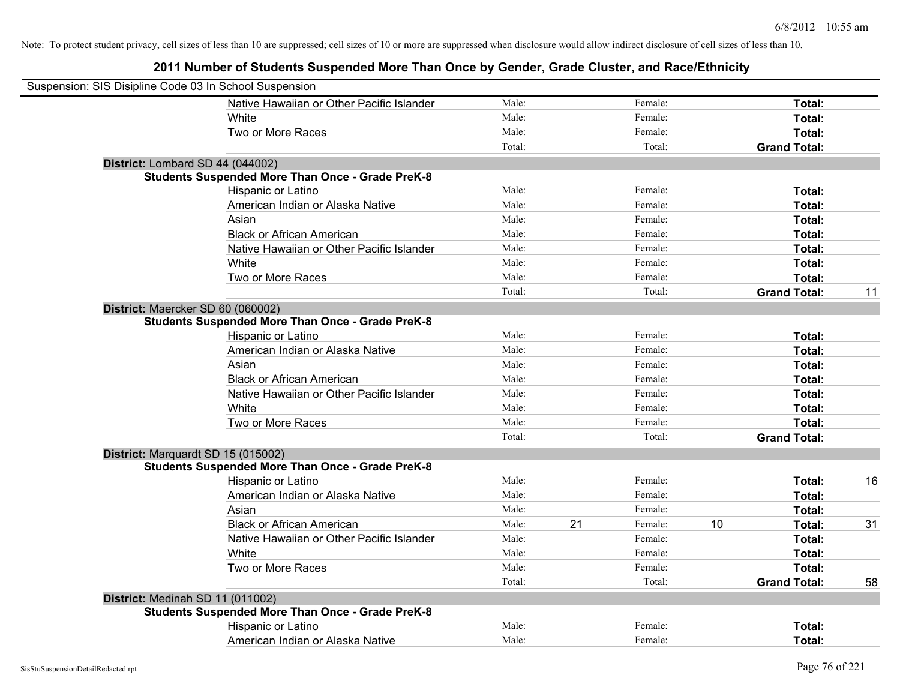| Suspension: SIS Disipline Code 03 In School Suspension |                                                         |        |    |         |    |                     |    |
|--------------------------------------------------------|---------------------------------------------------------|--------|----|---------|----|---------------------|----|
|                                                        | Native Hawaiian or Other Pacific Islander               | Male:  |    | Female: |    | Total:              |    |
|                                                        | White                                                   | Male:  |    | Female: |    | Total:              |    |
|                                                        | Two or More Races                                       | Male:  |    | Female: |    | Total:              |    |
|                                                        |                                                         | Total: |    | Total:  |    | <b>Grand Total:</b> |    |
|                                                        | District: Lombard SD 44 (044002)                        |        |    |         |    |                     |    |
|                                                        | <b>Students Suspended More Than Once - Grade PreK-8</b> |        |    |         |    |                     |    |
|                                                        | Hispanic or Latino                                      | Male:  |    | Female: |    | Total:              |    |
|                                                        | American Indian or Alaska Native                        | Male:  |    | Female: |    | Total:              |    |
|                                                        | Asian                                                   | Male:  |    | Female: |    | Total:              |    |
|                                                        | <b>Black or African American</b>                        | Male:  |    | Female: |    | Total:              |    |
|                                                        | Native Hawaiian or Other Pacific Islander               | Male:  |    | Female: |    | Total:              |    |
|                                                        | White                                                   | Male:  |    | Female: |    | Total:              |    |
|                                                        | Two or More Races                                       | Male:  |    | Female: |    | Total:              |    |
|                                                        |                                                         | Total: |    | Total:  |    | <b>Grand Total:</b> | 11 |
|                                                        | District: Maercker SD 60 (060002)                       |        |    |         |    |                     |    |
|                                                        | <b>Students Suspended More Than Once - Grade PreK-8</b> |        |    |         |    |                     |    |
|                                                        | Hispanic or Latino                                      | Male:  |    | Female: |    | Total:              |    |
|                                                        | American Indian or Alaska Native                        | Male:  |    | Female: |    | Total:              |    |
|                                                        | Asian                                                   | Male:  |    | Female: |    | Total:              |    |
|                                                        | <b>Black or African American</b>                        | Male:  |    | Female: |    | Total:              |    |
|                                                        | Native Hawaiian or Other Pacific Islander               | Male:  |    | Female: |    | Total:              |    |
|                                                        | White                                                   | Male:  |    | Female: |    | Total:              |    |
|                                                        | Two or More Races                                       | Male:  |    | Female: |    | Total:              |    |
|                                                        |                                                         | Total: |    | Total:  |    | <b>Grand Total:</b> |    |
|                                                        | District: Marquardt SD 15 (015002)                      |        |    |         |    |                     |    |
|                                                        | <b>Students Suspended More Than Once - Grade PreK-8</b> |        |    |         |    |                     |    |
|                                                        | Hispanic or Latino                                      | Male:  |    | Female: |    | Total:              | 16 |
|                                                        | American Indian or Alaska Native                        | Male:  |    | Female: |    | Total:              |    |
|                                                        | Asian                                                   | Male:  |    | Female: |    | Total:              |    |
|                                                        | <b>Black or African American</b>                        | Male:  | 21 | Female: | 10 | Total:              | 31 |
|                                                        | Native Hawaiian or Other Pacific Islander               | Male:  |    | Female: |    | Total:              |    |
|                                                        | White                                                   | Male:  |    | Female: |    | Total:              |    |
|                                                        | Two or More Races                                       | Male:  |    | Female: |    | Total:              |    |
|                                                        |                                                         | Total: |    | Total:  |    | <b>Grand Total:</b> | 58 |
|                                                        | District: Medinah SD 11 (011002)                        |        |    |         |    |                     |    |
|                                                        | <b>Students Suspended More Than Once - Grade PreK-8</b> |        |    |         |    |                     |    |
|                                                        | Hispanic or Latino                                      | Male:  |    | Female: |    | Total:              |    |
|                                                        | American Indian or Alaska Native                        | Male:  |    | Female: |    | Total:              |    |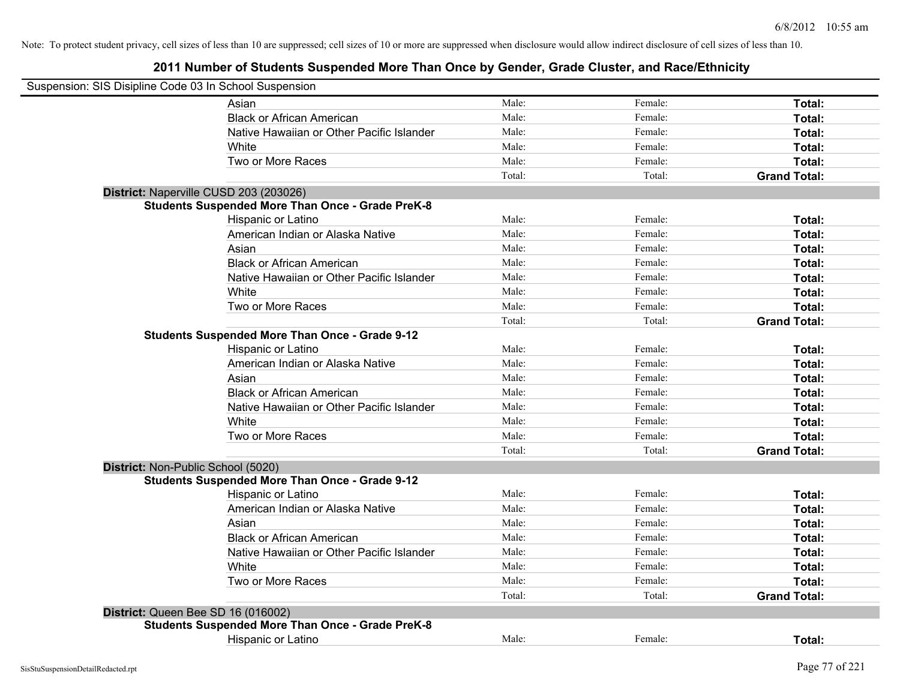| Suspension: SIS Disipline Code 03 In School Suspension |                                                         |        |         |                     |
|--------------------------------------------------------|---------------------------------------------------------|--------|---------|---------------------|
|                                                        | Asian                                                   | Male:  | Female: | Total:              |
|                                                        | <b>Black or African American</b>                        | Male:  | Female: | Total:              |
|                                                        | Native Hawaiian or Other Pacific Islander               | Male:  | Female: | Total:              |
|                                                        | White                                                   | Male:  | Female: | Total:              |
|                                                        | Two or More Races                                       | Male:  | Female: | Total:              |
|                                                        |                                                         | Total: | Total:  | <b>Grand Total:</b> |
| District: Naperville CUSD 203 (203026)                 |                                                         |        |         |                     |
|                                                        | <b>Students Suspended More Than Once - Grade PreK-8</b> |        |         |                     |
|                                                        | Hispanic or Latino                                      | Male:  | Female: | Total:              |
|                                                        | American Indian or Alaska Native                        | Male:  | Female: | Total:              |
|                                                        | Asian                                                   | Male:  | Female: | Total:              |
|                                                        | <b>Black or African American</b>                        | Male:  | Female: | Total:              |
|                                                        | Native Hawaiian or Other Pacific Islander               | Male:  | Female: | Total:              |
|                                                        | White                                                   | Male:  | Female: | Total:              |
|                                                        | Two or More Races                                       | Male:  | Female: | Total:              |
|                                                        |                                                         | Total: | Total:  | <b>Grand Total:</b> |
|                                                        | <b>Students Suspended More Than Once - Grade 9-12</b>   |        |         |                     |
|                                                        | Hispanic or Latino                                      | Male:  | Female: | Total:              |
|                                                        | American Indian or Alaska Native                        | Male:  | Female: | Total:              |
|                                                        | Asian                                                   | Male:  | Female: | Total:              |
|                                                        | <b>Black or African American</b>                        | Male:  | Female: | Total:              |
|                                                        | Native Hawaiian or Other Pacific Islander               | Male:  | Female: | Total:              |
|                                                        | White                                                   | Male:  | Female: | Total:              |
|                                                        | Two or More Races                                       | Male:  | Female: | Total:              |
|                                                        |                                                         | Total: | Total:  | <b>Grand Total:</b> |
| District: Non-Public School (5020)                     |                                                         |        |         |                     |
|                                                        | <b>Students Suspended More Than Once - Grade 9-12</b>   |        |         |                     |
|                                                        | Hispanic or Latino                                      | Male:  | Female: | Total:              |
|                                                        | American Indian or Alaska Native                        | Male:  | Female: | Total:              |
|                                                        | Asian                                                   | Male:  | Female: | Total:              |
|                                                        | <b>Black or African American</b>                        | Male:  | Female: | Total:              |
|                                                        | Native Hawaiian or Other Pacific Islander               | Male:  | Female: | Total:              |
|                                                        | White                                                   | Male:  | Female: | Total:              |
|                                                        | Two or More Races                                       | Male:  | Female: | Total:              |
|                                                        |                                                         | Total: | Total:  | <b>Grand Total:</b> |
| District: Queen Bee SD 16 (016002)                     |                                                         |        |         |                     |
|                                                        | <b>Students Suspended More Than Once - Grade PreK-8</b> |        |         |                     |
|                                                        | <b>Hispanic or Latino</b>                               | Male:  | Female: | Total:              |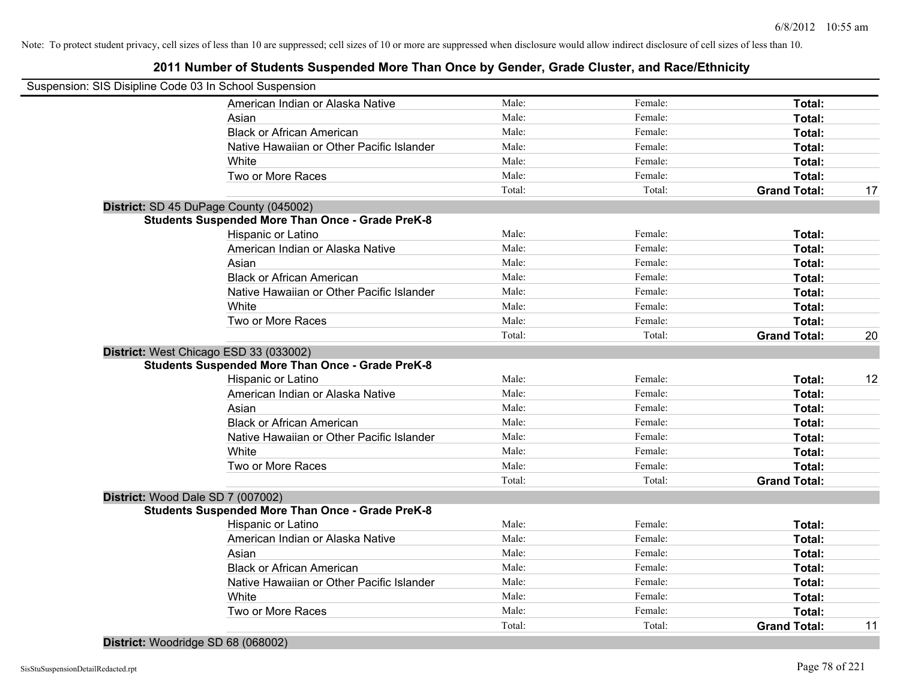| Suspension: SIS Disipline Code 03 In School Suspension  |        |         |                     |    |
|---------------------------------------------------------|--------|---------|---------------------|----|
| American Indian or Alaska Native                        | Male:  | Female: | Total:              |    |
| Asian                                                   | Male:  | Female: | Total:              |    |
| <b>Black or African American</b>                        | Male:  | Female: | Total:              |    |
| Native Hawaiian or Other Pacific Islander               | Male:  | Female: | Total:              |    |
| White                                                   | Male:  | Female: | Total:              |    |
| Two or More Races                                       | Male:  | Female: | Total:              |    |
|                                                         | Total: | Total:  | <b>Grand Total:</b> | 17 |
| District: SD 45 DuPage County (045002)                  |        |         |                     |    |
| <b>Students Suspended More Than Once - Grade PreK-8</b> |        |         |                     |    |
| Hispanic or Latino                                      | Male:  | Female: | Total:              |    |
| American Indian or Alaska Native                        | Male:  | Female: | Total:              |    |
| Asian                                                   | Male:  | Female: | Total:              |    |
| <b>Black or African American</b>                        | Male:  | Female: | Total:              |    |
| Native Hawaiian or Other Pacific Islander               | Male:  | Female: | Total:              |    |
| White                                                   | Male:  | Female: | Total:              |    |
| Two or More Races                                       | Male:  | Female: | Total:              |    |
|                                                         | Total: | Total:  | <b>Grand Total:</b> | 20 |
| District: West Chicago ESD 33 (033002)                  |        |         |                     |    |
| <b>Students Suspended More Than Once - Grade PreK-8</b> |        |         |                     |    |
| Hispanic or Latino                                      | Male:  | Female: | Total:              | 12 |
| American Indian or Alaska Native                        | Male:  | Female: | Total:              |    |
| Asian                                                   | Male:  | Female: | Total:              |    |
| <b>Black or African American</b>                        | Male:  | Female: | Total:              |    |
| Native Hawaiian or Other Pacific Islander               | Male:  | Female: | Total:              |    |
| White                                                   | Male:  | Female: | Total:              |    |
| Two or More Races                                       | Male:  | Female: | Total:              |    |
|                                                         | Total: | Total:  | <b>Grand Total:</b> |    |
| District: Wood Dale SD 7 (007002)                       |        |         |                     |    |
| <b>Students Suspended More Than Once - Grade PreK-8</b> |        |         |                     |    |
| Hispanic or Latino                                      | Male:  | Female: | Total:              |    |
| American Indian or Alaska Native                        | Male:  | Female: | Total:              |    |
| Asian                                                   | Male:  | Female: | Total:              |    |
| <b>Black or African American</b>                        | Male:  | Female: | Total:              |    |
| Native Hawaiian or Other Pacific Islander               | Male:  | Female: | Total:              |    |
| White                                                   | Male:  | Female: | Total:              |    |
| Two or More Races                                       | Male:  | Female: | Total:              |    |
|                                                         | Total: | Total:  | <b>Grand Total:</b> | 11 |
|                                                         |        |         |                     |    |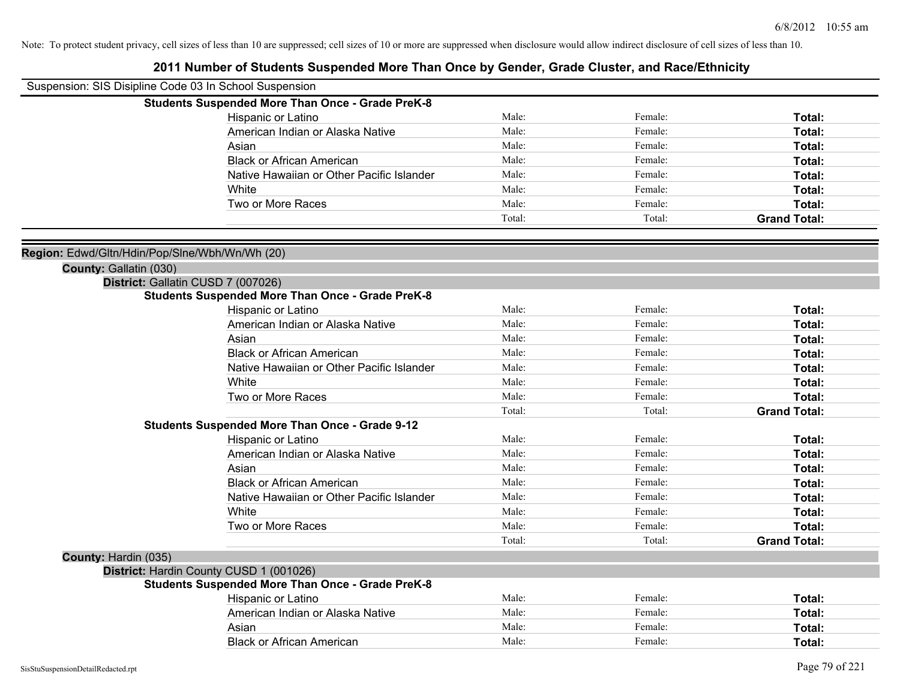| Suspension: SIS Disipline Code 03 In School Suspension |                                                         |        |         |                     |
|--------------------------------------------------------|---------------------------------------------------------|--------|---------|---------------------|
|                                                        | <b>Students Suspended More Than Once - Grade PreK-8</b> |        |         |                     |
|                                                        | Hispanic or Latino                                      | Male:  | Female: | Total:              |
|                                                        | American Indian or Alaska Native                        | Male:  | Female: | Total:              |
|                                                        | Asian                                                   | Male:  | Female: | Total:              |
|                                                        | <b>Black or African American</b>                        | Male:  | Female: | Total:              |
|                                                        | Native Hawaiian or Other Pacific Islander               | Male:  | Female: | Total:              |
|                                                        | White                                                   | Male:  | Female: | Total:              |
|                                                        | Two or More Races                                       | Male:  | Female: | Total:              |
|                                                        |                                                         | Total: | Total:  | <b>Grand Total:</b> |
|                                                        |                                                         |        |         |                     |
| Region: Edwd/Gltn/Hdin/Pop/Slne/Wbh/Wn/Wh (20)         |                                                         |        |         |                     |
| County: Gallatin (030)                                 |                                                         |        |         |                     |
| District: Gallatin CUSD 7 (007026)                     |                                                         |        |         |                     |
|                                                        | <b>Students Suspended More Than Once - Grade PreK-8</b> | Male:  | Female: | Total:              |
|                                                        | Hispanic or Latino<br>American Indian or Alaska Native  | Male:  | Female: | Total:              |
|                                                        |                                                         | Male:  | Female: | Total:              |
|                                                        | Asian<br><b>Black or African American</b>               | Male:  | Female: |                     |
|                                                        |                                                         | Male:  | Female: | Total:              |
|                                                        | Native Hawaiian or Other Pacific Islander               | Male:  | Female: | Total:              |
|                                                        | White                                                   | Male:  | Female: | Total:              |
|                                                        | Two or More Races                                       | Total: | Total:  | Total:              |
|                                                        | <b>Students Suspended More Than Once - Grade 9-12</b>   |        |         | <b>Grand Total:</b> |
|                                                        | Hispanic or Latino                                      | Male:  | Female: | Total:              |
|                                                        | American Indian or Alaska Native                        | Male:  | Female: | Total:              |
|                                                        | Asian                                                   | Male:  | Female: | Total:              |
|                                                        | <b>Black or African American</b>                        | Male:  | Female: | Total:              |
|                                                        | Native Hawaiian or Other Pacific Islander               | Male:  | Female: | Total:              |
|                                                        | White                                                   | Male:  | Female: | Total:              |
|                                                        | Two or More Races                                       | Male:  | Female: | Total:              |
|                                                        |                                                         | Total: | Total:  | <b>Grand Total:</b> |
| County: Hardin (035)                                   |                                                         |        |         |                     |
| District: Hardin County CUSD 1 (001026)                |                                                         |        |         |                     |
|                                                        | <b>Students Suspended More Than Once - Grade PreK-8</b> |        |         |                     |
|                                                        | Hispanic or Latino                                      | Male:  | Female: | Total:              |
|                                                        | American Indian or Alaska Native                        | Male:  | Female: | Total:              |
|                                                        | Asian                                                   | Male:  | Female: | <b>Total:</b>       |
|                                                        | <b>Black or African American</b>                        | Male:  | Female: | Total:              |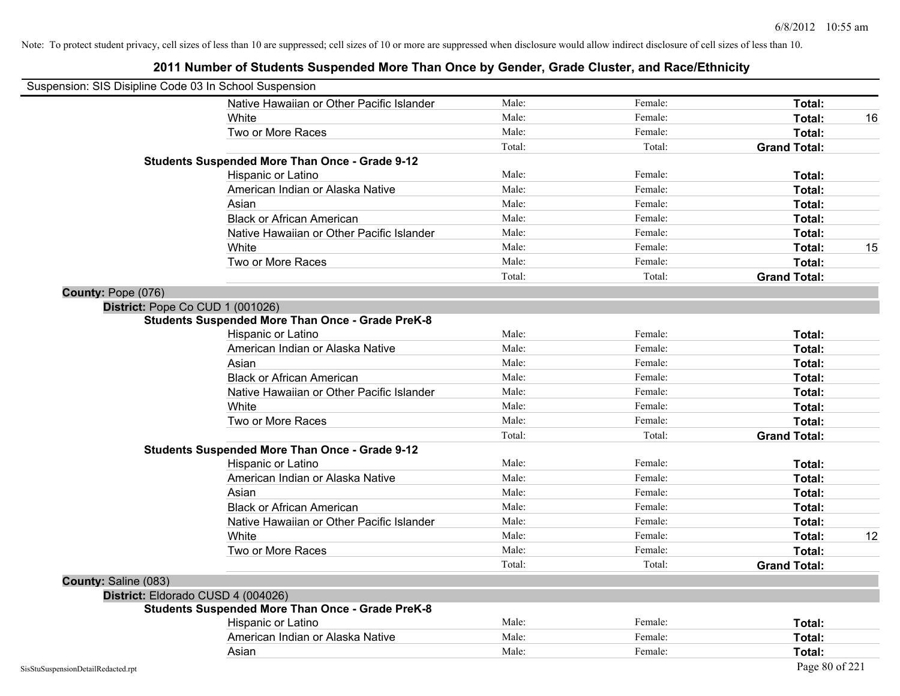| Suspension: SIS Disipline Code 03 In School Suspension |                                                         |        |         |                     |    |
|--------------------------------------------------------|---------------------------------------------------------|--------|---------|---------------------|----|
|                                                        | Native Hawaiian or Other Pacific Islander               | Male:  | Female: | Total:              |    |
|                                                        | White                                                   | Male:  | Female: | Total:              | 16 |
|                                                        | Two or More Races                                       | Male:  | Female: | Total:              |    |
|                                                        |                                                         | Total: | Total:  | <b>Grand Total:</b> |    |
|                                                        | <b>Students Suspended More Than Once - Grade 9-12</b>   |        |         |                     |    |
|                                                        | Hispanic or Latino                                      | Male:  | Female: | Total:              |    |
|                                                        | American Indian or Alaska Native                        | Male:  | Female: | Total:              |    |
|                                                        | Asian                                                   | Male:  | Female: | Total:              |    |
|                                                        | <b>Black or African American</b>                        | Male:  | Female: | Total:              |    |
|                                                        | Native Hawaiian or Other Pacific Islander               | Male:  | Female: | Total:              |    |
|                                                        | White                                                   | Male:  | Female: | Total:              | 15 |
|                                                        | Two or More Races                                       | Male:  | Female: | Total:              |    |
|                                                        |                                                         | Total: | Total:  | <b>Grand Total:</b> |    |
| County: Pope (076)                                     |                                                         |        |         |                     |    |
|                                                        | District: Pope Co CUD 1 (001026)                        |        |         |                     |    |
|                                                        | <b>Students Suspended More Than Once - Grade PreK-8</b> |        |         |                     |    |
|                                                        | Hispanic or Latino                                      | Male:  | Female: | Total:              |    |
|                                                        | American Indian or Alaska Native                        | Male:  | Female: | Total:              |    |
|                                                        | Asian                                                   | Male:  | Female: | Total:              |    |
|                                                        | <b>Black or African American</b>                        | Male:  | Female: | Total:              |    |
|                                                        | Native Hawaiian or Other Pacific Islander               | Male:  | Female: | Total:              |    |
|                                                        | White                                                   | Male:  | Female: | Total:              |    |
|                                                        | Two or More Races                                       | Male:  | Female: | Total:              |    |
|                                                        |                                                         | Total: | Total:  | <b>Grand Total:</b> |    |
|                                                        | <b>Students Suspended More Than Once - Grade 9-12</b>   |        |         |                     |    |
|                                                        | Hispanic or Latino                                      | Male:  | Female: | Total:              |    |
|                                                        | American Indian or Alaska Native                        | Male:  | Female: | Total:              |    |
|                                                        | Asian                                                   | Male:  | Female: | Total:              |    |
|                                                        | <b>Black or African American</b>                        | Male:  | Female: | Total:              |    |
|                                                        | Native Hawaiian or Other Pacific Islander               | Male:  | Female: | Total:              |    |
|                                                        | White                                                   | Male:  | Female: | Total:              | 12 |
|                                                        | Two or More Races                                       | Male:  | Female: | Total:              |    |
|                                                        |                                                         | Total: | Total:  | <b>Grand Total:</b> |    |
| County: Saline (083)                                   |                                                         |        |         |                     |    |
|                                                        | District: Eldorado CUSD 4 (004026)                      |        |         |                     |    |
|                                                        | <b>Students Suspended More Than Once - Grade PreK-8</b> |        |         |                     |    |
|                                                        | Hispanic or Latino                                      | Male:  | Female: | Total:              |    |
|                                                        | American Indian or Alaska Native                        | Male:  | Female: | Total:              |    |
|                                                        | Asian                                                   | Male:  | Female: | Total:              |    |
| SisStuSuspensionDetailRedacted.rpt                     |                                                         |        |         | Page 80 of 221      |    |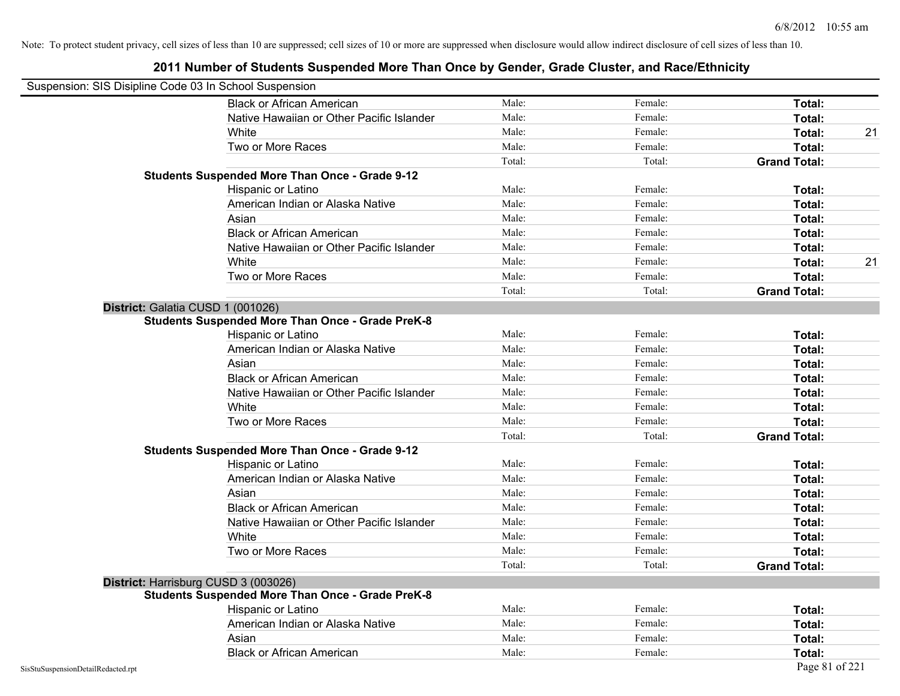| Suspension: SIS Disipline Code 03 In School Suspension |                                                         |        |         |                     |    |
|--------------------------------------------------------|---------------------------------------------------------|--------|---------|---------------------|----|
|                                                        | <b>Black or African American</b>                        | Male:  | Female: | Total:              |    |
|                                                        | Native Hawaiian or Other Pacific Islander               | Male:  | Female: | Total:              |    |
|                                                        | White                                                   | Male:  | Female: | Total:              | 21 |
|                                                        | Two or More Races                                       | Male:  | Female: | Total:              |    |
|                                                        |                                                         | Total: | Total:  | <b>Grand Total:</b> |    |
|                                                        | <b>Students Suspended More Than Once - Grade 9-12</b>   |        |         |                     |    |
|                                                        | Hispanic or Latino                                      | Male:  | Female: | Total:              |    |
|                                                        | American Indian or Alaska Native                        | Male:  | Female: | Total:              |    |
|                                                        | Asian                                                   | Male:  | Female: | <b>Total:</b>       |    |
|                                                        | <b>Black or African American</b>                        | Male:  | Female: | Total:              |    |
|                                                        | Native Hawaiian or Other Pacific Islander               | Male:  | Female: | Total:              |    |
|                                                        | White                                                   | Male:  | Female: | Total:              | 21 |
|                                                        | Two or More Races                                       | Male:  | Female: | Total:              |    |
|                                                        |                                                         | Total: | Total:  | <b>Grand Total:</b> |    |
| District: Galatia CUSD 1 (001026)                      |                                                         |        |         |                     |    |
|                                                        | <b>Students Suspended More Than Once - Grade PreK-8</b> |        |         |                     |    |
|                                                        | Hispanic or Latino                                      | Male:  | Female: | Total:              |    |
|                                                        | American Indian or Alaska Native                        | Male:  | Female: | Total:              |    |
|                                                        | Asian                                                   | Male:  | Female: | Total:              |    |
|                                                        | <b>Black or African American</b>                        | Male:  | Female: | Total:              |    |
|                                                        | Native Hawaiian or Other Pacific Islander               | Male:  | Female: | Total:              |    |
|                                                        | White                                                   | Male:  | Female: | Total:              |    |
|                                                        | Two or More Races                                       | Male:  | Female: | Total:              |    |
|                                                        |                                                         | Total: | Total:  | <b>Grand Total:</b> |    |
|                                                        | <b>Students Suspended More Than Once - Grade 9-12</b>   |        |         |                     |    |
|                                                        | Hispanic or Latino                                      | Male:  | Female: | Total:              |    |
|                                                        | American Indian or Alaska Native                        | Male:  | Female: | Total:              |    |
|                                                        | Asian                                                   | Male:  | Female: | Total:              |    |
|                                                        | <b>Black or African American</b>                        | Male:  | Female: | Total:              |    |
|                                                        | Native Hawaiian or Other Pacific Islander               | Male:  | Female: | Total:              |    |
|                                                        | White                                                   | Male:  | Female: | Total:              |    |
|                                                        | Two or More Races                                       | Male:  | Female: | Total:              |    |
|                                                        |                                                         | Total: | Total:  | <b>Grand Total:</b> |    |
| District: Harrisburg CUSD 3 (003026)                   |                                                         |        |         |                     |    |
|                                                        | <b>Students Suspended More Than Once - Grade PreK-8</b> |        |         |                     |    |
|                                                        | Hispanic or Latino                                      | Male:  | Female: | Total:              |    |
|                                                        | American Indian or Alaska Native                        | Male:  | Female: | Total:              |    |
|                                                        | Asian                                                   | Male:  | Female: | Total:              |    |
|                                                        | <b>Black or African American</b>                        | Male:  | Female: | Total:              |    |
| SisStuSuspensionDetailRedacted.rpt                     |                                                         |        |         | Page 81 of 221      |    |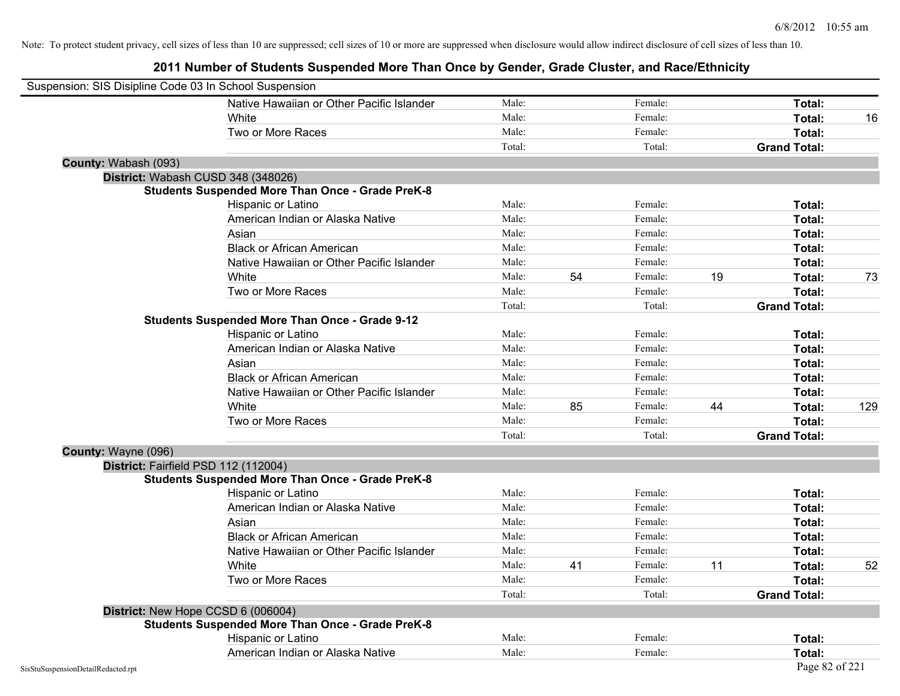| Suspension: SIS Disipline Code 03 In School Suspension |                                                         |        |    |         |    |                     |     |
|--------------------------------------------------------|---------------------------------------------------------|--------|----|---------|----|---------------------|-----|
|                                                        | Native Hawaiian or Other Pacific Islander               | Male:  |    | Female: |    | Total:              |     |
|                                                        | White                                                   | Male:  |    | Female: |    | Total:              | 16  |
|                                                        | Two or More Races                                       | Male:  |    | Female: |    | Total:              |     |
|                                                        |                                                         | Total: |    | Total:  |    | <b>Grand Total:</b> |     |
| County: Wabash (093)                                   |                                                         |        |    |         |    |                     |     |
| District: Wabash CUSD 348 (348026)                     |                                                         |        |    |         |    |                     |     |
|                                                        | <b>Students Suspended More Than Once - Grade PreK-8</b> |        |    |         |    |                     |     |
|                                                        | Hispanic or Latino                                      | Male:  |    | Female: |    | Total:              |     |
|                                                        | American Indian or Alaska Native                        | Male:  |    | Female: |    | Total:              |     |
|                                                        | Asian                                                   | Male:  |    | Female: |    | Total:              |     |
|                                                        | <b>Black or African American</b>                        | Male:  |    | Female: |    | Total:              |     |
|                                                        | Native Hawaiian or Other Pacific Islander               | Male:  |    | Female: |    | Total:              |     |
|                                                        | White                                                   | Male:  | 54 | Female: | 19 | Total:              | 73  |
|                                                        | Two or More Races                                       | Male:  |    | Female: |    | Total:              |     |
|                                                        |                                                         | Total: |    | Total:  |    | <b>Grand Total:</b> |     |
|                                                        | <b>Students Suspended More Than Once - Grade 9-12</b>   |        |    |         |    |                     |     |
|                                                        | Hispanic or Latino                                      | Male:  |    | Female: |    | Total:              |     |
|                                                        | American Indian or Alaska Native                        | Male:  |    | Female: |    | Total:              |     |
|                                                        | Asian                                                   | Male:  |    | Female: |    | Total:              |     |
|                                                        | <b>Black or African American</b>                        | Male:  |    | Female: |    | Total:              |     |
|                                                        | Native Hawaiian or Other Pacific Islander               | Male:  |    | Female: |    | Total:              |     |
|                                                        | White                                                   | Male:  | 85 | Female: | 44 | Total:              | 129 |
|                                                        | Two or More Races                                       | Male:  |    | Female: |    | Total:              |     |
|                                                        |                                                         | Total: |    | Total:  |    | <b>Grand Total:</b> |     |
| County: Wayne (096)                                    |                                                         |        |    |         |    |                     |     |
| District: Fairfield PSD 112 (112004)                   |                                                         |        |    |         |    |                     |     |
|                                                        | <b>Students Suspended More Than Once - Grade PreK-8</b> |        |    |         |    |                     |     |
|                                                        | <b>Hispanic or Latino</b>                               | Male:  |    | Female: |    | Total:              |     |
|                                                        | American Indian or Alaska Native                        | Male:  |    | Female: |    | Total:              |     |
|                                                        | Asian                                                   | Male:  |    | Female: |    | Total:              |     |
|                                                        | <b>Black or African American</b>                        | Male:  |    | Female: |    | Total:              |     |
|                                                        | Native Hawaiian or Other Pacific Islander               | Male:  |    | Female: |    | Total:              |     |
|                                                        | White                                                   | Male:  | 41 | Female: | 11 | Total:              | 52  |
|                                                        | Two or More Races                                       | Male:  |    | Female: |    | Total:              |     |
|                                                        |                                                         | Total: |    | Total:  |    | <b>Grand Total:</b> |     |
| District: New Hope CCSD 6 (006004)                     |                                                         |        |    |         |    |                     |     |
|                                                        | <b>Students Suspended More Than Once - Grade PreK-8</b> |        |    |         |    |                     |     |
|                                                        | Hispanic or Latino                                      | Male:  |    | Female: |    | Total:              |     |
|                                                        | American Indian or Alaska Native                        | Male:  |    | Female: |    | Total:              |     |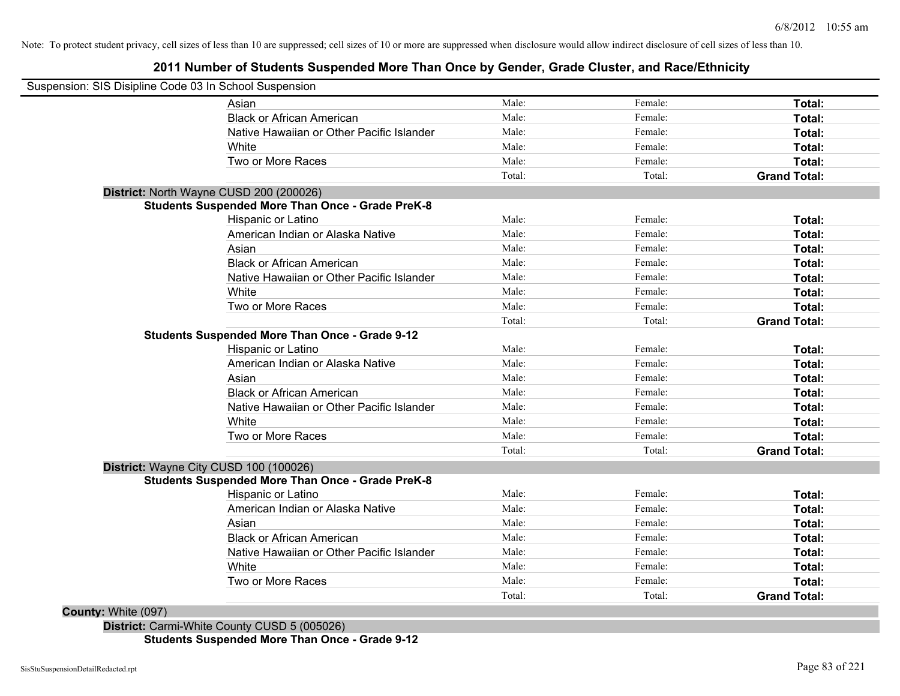## **2011 Number of Students Suspended More Than Once by Gender, Grade Cluster, and Race/Ethnicity**

| Suspension: SIS Disipline Code 03 In School Suspension  |        |         |                     |
|---------------------------------------------------------|--------|---------|---------------------|
| Asian                                                   | Male:  | Female: | Total:              |
| <b>Black or African American</b>                        | Male:  | Female: | Total:              |
| Native Hawaiian or Other Pacific Islander               | Male:  | Female: | Total:              |
| White                                                   | Male:  | Female: | Total:              |
| Two or More Races                                       | Male:  | Female: | Total:              |
|                                                         | Total: | Total:  | <b>Grand Total:</b> |
| District: North Wayne CUSD 200 (200026)                 |        |         |                     |
| <b>Students Suspended More Than Once - Grade PreK-8</b> |        |         |                     |
| Hispanic or Latino                                      | Male:  | Female: | Total:              |
| American Indian or Alaska Native                        | Male:  | Female: | Total:              |
| Asian                                                   | Male:  | Female: | Total:              |
| <b>Black or African American</b>                        | Male:  | Female: | Total:              |
| Native Hawaiian or Other Pacific Islander               | Male:  | Female: | Total:              |
| White                                                   | Male:  | Female: | Total:              |
| Two or More Races                                       | Male:  | Female: | Total:              |
|                                                         | Total: | Total:  | <b>Grand Total:</b> |
| <b>Students Suspended More Than Once - Grade 9-12</b>   |        |         |                     |
| Hispanic or Latino                                      | Male:  | Female: | Total:              |
| American Indian or Alaska Native                        | Male:  | Female: | Total:              |
| Asian                                                   | Male:  | Female: | Total:              |
| <b>Black or African American</b>                        | Male:  | Female: | Total:              |
| Native Hawaiian or Other Pacific Islander               | Male:  | Female: | Total:              |
| White                                                   | Male:  | Female: | Total:              |
| Two or More Races                                       | Male:  | Female: | Total:              |
|                                                         | Total: | Total:  | <b>Grand Total:</b> |
| District: Wayne City CUSD 100 (100026)                  |        |         |                     |
| <b>Students Suspended More Than Once - Grade PreK-8</b> |        |         |                     |
| Hispanic or Latino                                      | Male:  | Female: | Total:              |
| American Indian or Alaska Native                        | Male:  | Female: | Total:              |
| Asian                                                   | Male:  | Female: | Total:              |
| <b>Black or African American</b>                        | Male:  | Female: | Total:              |
| Native Hawaiian or Other Pacific Islander               | Male:  | Female: | Total:              |
| White                                                   | Male:  | Female: | Total:              |
| Two or More Races                                       | Male:  | Female: | Total:              |
|                                                         | Total: | Total:  | <b>Grand Total:</b> |
|                                                         |        |         |                     |

**District:** Carmi-White County CUSD 5 (005026) **Students Suspended More Than Once - Grade 9-12**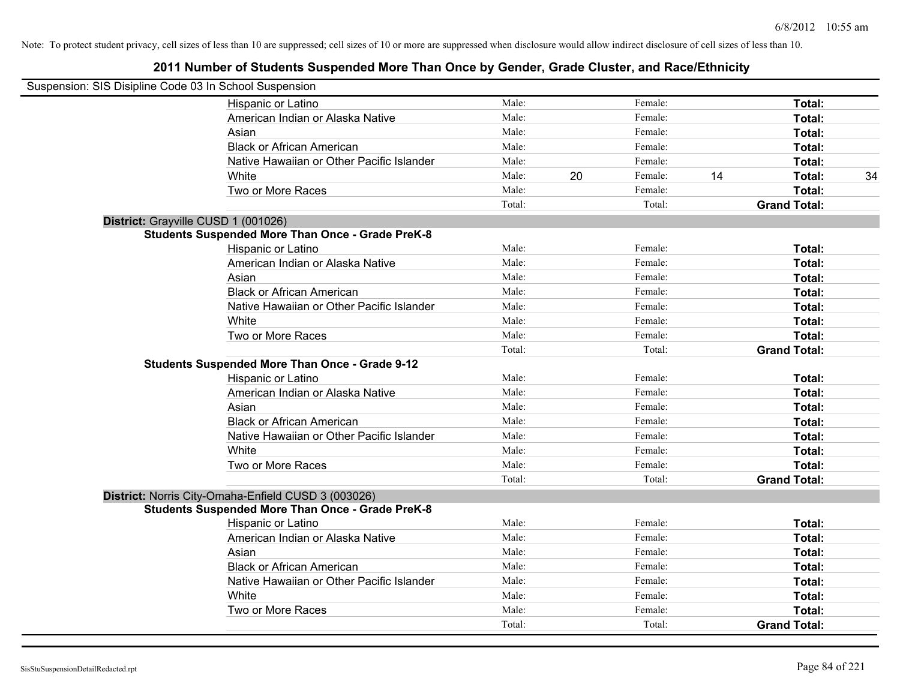| Suspension: SIS Disipline Code 03 In School Suspension |                                                         |        |    |         |    |                     |    |
|--------------------------------------------------------|---------------------------------------------------------|--------|----|---------|----|---------------------|----|
|                                                        | Hispanic or Latino                                      | Male:  |    | Female: |    | Total:              |    |
|                                                        | American Indian or Alaska Native                        | Male:  |    | Female: |    | Total:              |    |
|                                                        | Asian                                                   | Male:  |    | Female: |    | Total:              |    |
|                                                        | <b>Black or African American</b>                        | Male:  |    | Female: |    | Total:              |    |
|                                                        | Native Hawaiian or Other Pacific Islander               | Male:  |    | Female: |    | Total:              |    |
|                                                        | White                                                   | Male:  | 20 | Female: | 14 | Total:              | 34 |
|                                                        | Two or More Races                                       | Male:  |    | Female: |    | Total:              |    |
|                                                        |                                                         | Total: |    | Total:  |    | <b>Grand Total:</b> |    |
| District: Grayville CUSD 1 (001026)                    |                                                         |        |    |         |    |                     |    |
|                                                        | <b>Students Suspended More Than Once - Grade PreK-8</b> |        |    |         |    |                     |    |
|                                                        | Hispanic or Latino                                      | Male:  |    | Female: |    | Total:              |    |
|                                                        | American Indian or Alaska Native                        | Male:  |    | Female: |    | Total:              |    |
|                                                        | Asian                                                   | Male:  |    | Female: |    | Total:              |    |
|                                                        | <b>Black or African American</b>                        | Male:  |    | Female: |    | Total:              |    |
|                                                        | Native Hawaiian or Other Pacific Islander               | Male:  |    | Female: |    | Total:              |    |
|                                                        | White                                                   | Male:  |    | Female: |    | Total:              |    |
|                                                        | Two or More Races                                       | Male:  |    | Female: |    | Total:              |    |
|                                                        |                                                         | Total: |    | Total:  |    | <b>Grand Total:</b> |    |
|                                                        | <b>Students Suspended More Than Once - Grade 9-12</b>   |        |    |         |    |                     |    |
|                                                        | <b>Hispanic or Latino</b>                               | Male:  |    | Female: |    | Total:              |    |
|                                                        | American Indian or Alaska Native                        | Male:  |    | Female: |    | Total:              |    |
|                                                        | Asian                                                   | Male:  |    | Female: |    | Total:              |    |
|                                                        | <b>Black or African American</b>                        | Male:  |    | Female: |    | Total:              |    |
|                                                        | Native Hawaiian or Other Pacific Islander               | Male:  |    | Female: |    | Total:              |    |
|                                                        | White                                                   | Male:  |    | Female: |    | Total:              |    |
|                                                        | Two or More Races                                       | Male:  |    | Female: |    | Total:              |    |
|                                                        |                                                         | Total: |    | Total:  |    | <b>Grand Total:</b> |    |
|                                                        | District: Norris City-Omaha-Enfield CUSD 3 (003026)     |        |    |         |    |                     |    |
|                                                        | <b>Students Suspended More Than Once - Grade PreK-8</b> |        |    |         |    |                     |    |
|                                                        | Hispanic or Latino                                      | Male:  |    | Female: |    | Total:              |    |
|                                                        | American Indian or Alaska Native                        | Male:  |    | Female: |    | Total:              |    |
|                                                        | Asian                                                   | Male:  |    | Female: |    | Total:              |    |
|                                                        | <b>Black or African American</b>                        | Male:  |    | Female: |    | Total:              |    |
|                                                        | Native Hawaiian or Other Pacific Islander               | Male:  |    | Female: |    | Total:              |    |
|                                                        | White                                                   | Male:  |    | Female: |    | Total:              |    |
|                                                        | Two or More Races                                       | Male:  |    | Female: |    | Total:              |    |
|                                                        |                                                         | Total: |    | Total:  |    | <b>Grand Total:</b> |    |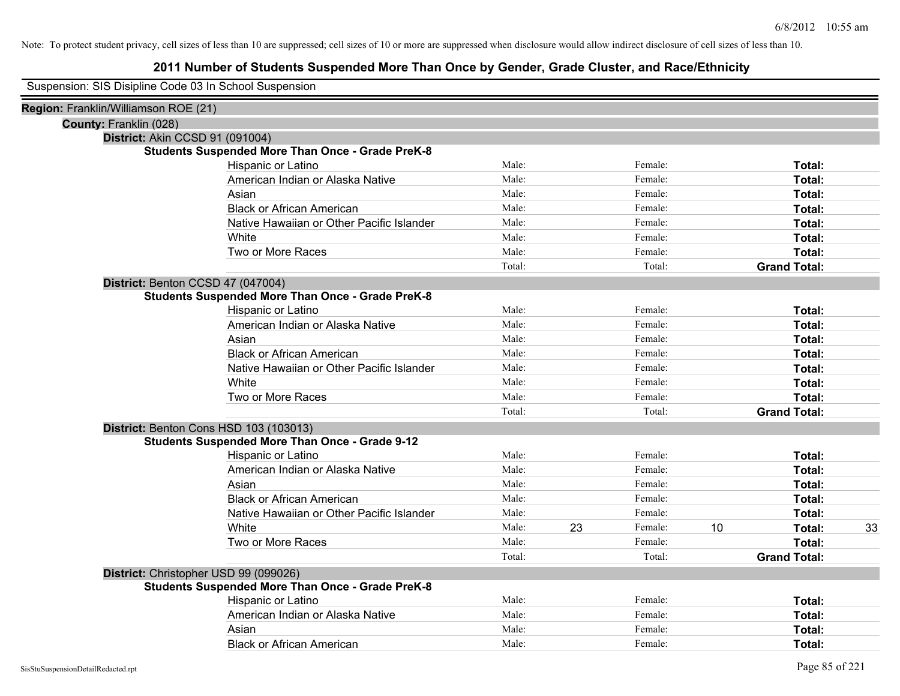| Suspension: SIS Disipline Code 03 In School Suspension |
|--------------------------------------------------------|
|--------------------------------------------------------|

| Region: Franklin/Williamson ROE (21)                    |        |    |         |    |                     |    |
|---------------------------------------------------------|--------|----|---------|----|---------------------|----|
| County: Franklin (028)                                  |        |    |         |    |                     |    |
| District: Akin CCSD 91 (091004)                         |        |    |         |    |                     |    |
| <b>Students Suspended More Than Once - Grade PreK-8</b> |        |    |         |    |                     |    |
| Hispanic or Latino                                      | Male:  |    | Female: |    | Total:              |    |
| American Indian or Alaska Native                        | Male:  |    | Female: |    | Total:              |    |
| Asian                                                   | Male:  |    | Female: |    | Total:              |    |
| <b>Black or African American</b>                        | Male:  |    | Female: |    | Total:              |    |
| Native Hawaiian or Other Pacific Islander               | Male:  |    | Female: |    | Total:              |    |
| White                                                   | Male:  |    | Female: |    | Total:              |    |
| Two or More Races                                       | Male:  |    | Female: |    | Total:              |    |
|                                                         | Total: |    | Total:  |    | <b>Grand Total:</b> |    |
| District: Benton CCSD 47 (047004)                       |        |    |         |    |                     |    |
| <b>Students Suspended More Than Once - Grade PreK-8</b> |        |    |         |    |                     |    |
| Hispanic or Latino                                      | Male:  |    | Female: |    | Total:              |    |
| American Indian or Alaska Native                        | Male:  |    | Female: |    | Total:              |    |
| Asian                                                   | Male:  |    | Female: |    | Total:              |    |
| <b>Black or African American</b>                        | Male:  |    | Female: |    | Total:              |    |
| Native Hawaiian or Other Pacific Islander               | Male:  |    | Female: |    | Total:              |    |
| White                                                   | Male:  |    | Female: |    | Total:              |    |
| Two or More Races                                       | Male:  |    | Female: |    | Total:              |    |
|                                                         | Total: |    | Total:  |    | <b>Grand Total:</b> |    |
| District: Benton Cons HSD 103 (103013)                  |        |    |         |    |                     |    |
| <b>Students Suspended More Than Once - Grade 9-12</b>   |        |    |         |    |                     |    |
| Hispanic or Latino                                      | Male:  |    | Female: |    | Total:              |    |
| American Indian or Alaska Native                        | Male:  |    | Female: |    | Total:              |    |
| Asian                                                   | Male:  |    | Female: |    | Total:              |    |
| <b>Black or African American</b>                        | Male:  |    | Female: |    | Total:              |    |
| Native Hawaiian or Other Pacific Islander               | Male:  |    | Female: |    | Total:              |    |
| White                                                   | Male:  | 23 | Female: | 10 | Total:              | 33 |
| Two or More Races                                       | Male:  |    | Female: |    | Total:              |    |
|                                                         | Total: |    | Total:  |    | <b>Grand Total:</b> |    |
| District: Christopher USD 99 (099026)                   |        |    |         |    |                     |    |
| <b>Students Suspended More Than Once - Grade PreK-8</b> |        |    |         |    |                     |    |
| Hispanic or Latino                                      | Male:  |    | Female: |    | Total:              |    |
| American Indian or Alaska Native                        | Male:  |    | Female: |    | Total:              |    |
| Asian                                                   | Male:  |    | Female: |    | Total:              |    |
| <b>Black or African American</b>                        | Male:  |    | Female: |    | Total:              |    |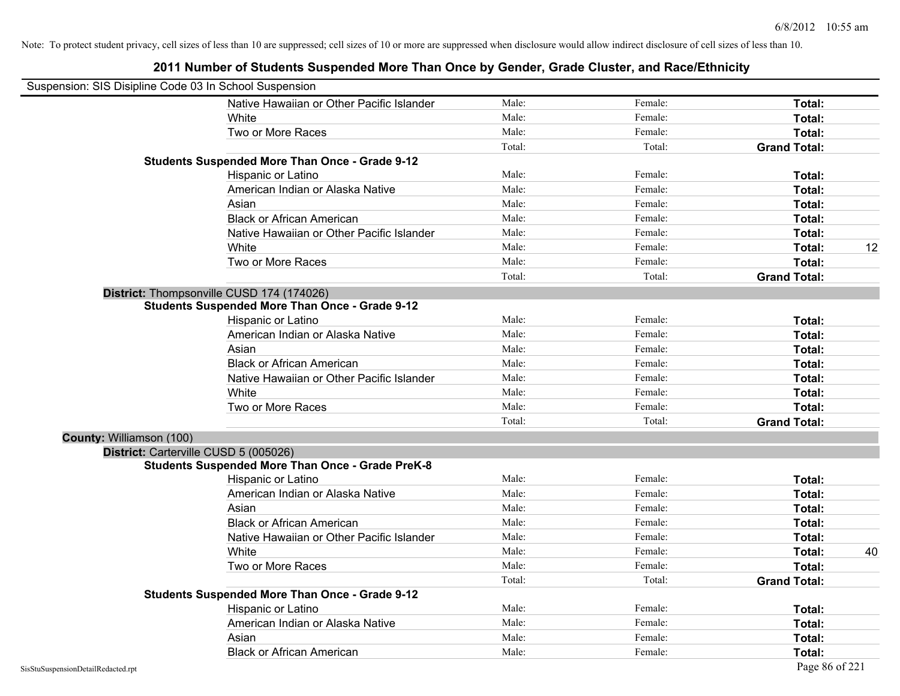|                          | Suspension: SIS Disipline Code 03 In School Suspension  |        |         |                     |    |
|--------------------------|---------------------------------------------------------|--------|---------|---------------------|----|
|                          | Native Hawaiian or Other Pacific Islander               | Male:  | Female: | Total:              |    |
|                          | White                                                   | Male:  | Female: | Total:              |    |
|                          | Two or More Races                                       | Male:  | Female: | Total:              |    |
|                          |                                                         | Total: | Total:  | <b>Grand Total:</b> |    |
|                          | <b>Students Suspended More Than Once - Grade 9-12</b>   |        |         |                     |    |
|                          | Hispanic or Latino                                      | Male:  | Female: | Total:              |    |
|                          | American Indian or Alaska Native                        | Male:  | Female: | Total:              |    |
|                          | Asian                                                   | Male:  | Female: | Total:              |    |
|                          | <b>Black or African American</b>                        | Male:  | Female: | Total:              |    |
|                          | Native Hawaiian or Other Pacific Islander               | Male:  | Female: | Total:              |    |
|                          | White                                                   | Male:  | Female: | Total:              | 12 |
|                          | Two or More Races                                       | Male:  | Female: | Total:              |    |
|                          |                                                         | Total: | Total:  | <b>Grand Total:</b> |    |
|                          | District: Thompsonville CUSD 174 (174026)               |        |         |                     |    |
|                          | <b>Students Suspended More Than Once - Grade 9-12</b>   |        |         |                     |    |
|                          | Hispanic or Latino                                      | Male:  | Female: | Total:              |    |
|                          | American Indian or Alaska Native                        | Male:  | Female: | Total:              |    |
|                          | Asian                                                   | Male:  | Female: | Total:              |    |
|                          | <b>Black or African American</b>                        | Male:  | Female: | Total:              |    |
|                          | Native Hawaiian or Other Pacific Islander               | Male:  | Female: | Total:              |    |
|                          | White                                                   | Male:  | Female: | Total:              |    |
|                          | Two or More Races                                       | Male:  | Female: | Total:              |    |
|                          |                                                         | Total: | Total:  | <b>Grand Total:</b> |    |
| County: Williamson (100) |                                                         |        |         |                     |    |
|                          | District: Carterville CUSD 5 (005026)                   |        |         |                     |    |
|                          | <b>Students Suspended More Than Once - Grade PreK-8</b> |        |         |                     |    |
|                          | Hispanic or Latino                                      | Male:  | Female: | Total:              |    |
|                          | American Indian or Alaska Native                        | Male:  | Female: | Total:              |    |
|                          | Asian                                                   | Male:  | Female: | Total:              |    |
|                          | <b>Black or African American</b>                        | Male:  | Female: | Total:              |    |
|                          | Native Hawaiian or Other Pacific Islander               | Male:  | Female: | Total:              |    |
|                          | <b>White</b>                                            | Male:  | Female: | Total:              | 40 |
|                          | Two or More Races                                       | Male:  | Female: | Total:              |    |
|                          |                                                         | Total: | Total:  | <b>Grand Total:</b> |    |
|                          | <b>Students Suspended More Than Once - Grade 9-12</b>   |        |         |                     |    |
|                          | Hispanic or Latino                                      | Male:  | Female: | Total:              |    |
|                          | American Indian or Alaska Native                        | Male:  | Female: | Total:              |    |
|                          | Asian                                                   | Male:  | Female: | <b>Total:</b>       |    |
|                          | <b>Black or African American</b>                        | Male:  | Female: | Total:              |    |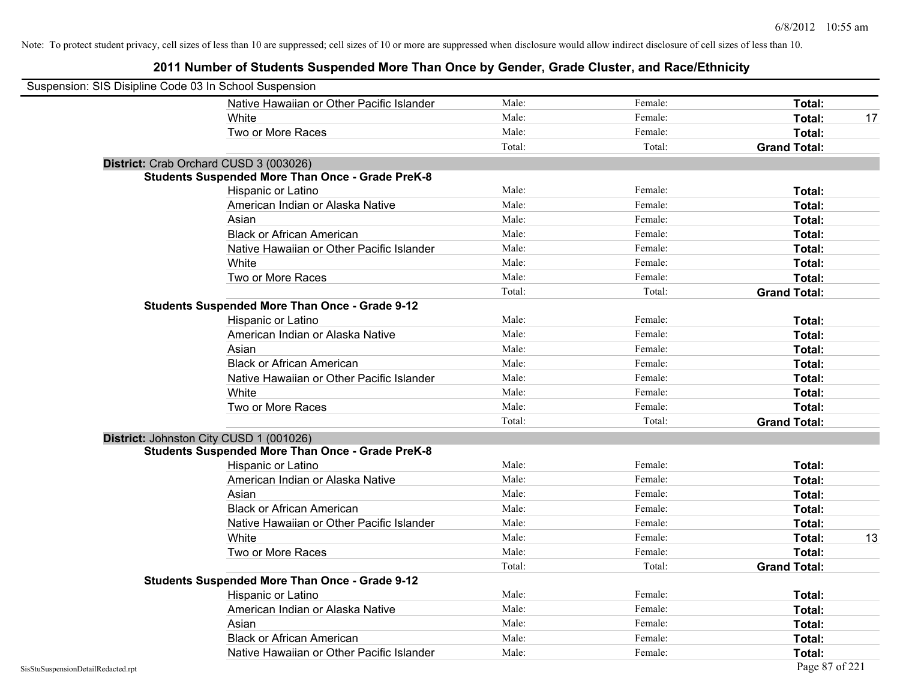| Suspension: SIS Disipline Code 03 In School Suspension |                                                         |        |         |                     |    |
|--------------------------------------------------------|---------------------------------------------------------|--------|---------|---------------------|----|
|                                                        | Native Hawaiian or Other Pacific Islander               | Male:  | Female: | Total:              |    |
|                                                        | White                                                   | Male:  | Female: | Total:              | 17 |
|                                                        | Two or More Races                                       | Male:  | Female: | Total:              |    |
|                                                        |                                                         | Total: | Total:  | <b>Grand Total:</b> |    |
| District: Crab Orchard CUSD 3 (003026)                 |                                                         |        |         |                     |    |
|                                                        | <b>Students Suspended More Than Once - Grade PreK-8</b> |        |         |                     |    |
|                                                        | Hispanic or Latino                                      | Male:  | Female: | Total:              |    |
|                                                        | American Indian or Alaska Native                        | Male:  | Female: | Total:              |    |
|                                                        | Asian                                                   | Male:  | Female: | Total:              |    |
|                                                        | <b>Black or African American</b>                        | Male:  | Female: | Total:              |    |
|                                                        | Native Hawaiian or Other Pacific Islander               | Male:  | Female: | Total:              |    |
|                                                        | White                                                   | Male:  | Female: | Total:              |    |
|                                                        | Two or More Races                                       | Male:  | Female: | Total:              |    |
|                                                        |                                                         | Total: | Total:  | <b>Grand Total:</b> |    |
|                                                        | <b>Students Suspended More Than Once - Grade 9-12</b>   |        |         |                     |    |
|                                                        | Hispanic or Latino                                      | Male:  | Female: | Total:              |    |
|                                                        | American Indian or Alaska Native                        | Male:  | Female: | Total:              |    |
|                                                        | Asian                                                   | Male:  | Female: | Total:              |    |
|                                                        | <b>Black or African American</b>                        | Male:  | Female: | Total:              |    |
|                                                        | Native Hawaiian or Other Pacific Islander               | Male:  | Female: | Total:              |    |
|                                                        | White                                                   | Male:  | Female: | Total:              |    |
|                                                        | Two or More Races                                       | Male:  | Female: | Total:              |    |
|                                                        |                                                         | Total: | Total:  | <b>Grand Total:</b> |    |
| District: Johnston City CUSD 1 (001026)                |                                                         |        |         |                     |    |
|                                                        | <b>Students Suspended More Than Once - Grade PreK-8</b> |        |         |                     |    |
|                                                        | Hispanic or Latino                                      | Male:  | Female: | Total:              |    |
|                                                        | American Indian or Alaska Native                        | Male:  | Female: | Total:              |    |
|                                                        | Asian                                                   | Male:  | Female: | Total:              |    |
|                                                        | <b>Black or African American</b>                        | Male:  | Female: | Total:              |    |
|                                                        | Native Hawaiian or Other Pacific Islander               | Male:  | Female: | Total:              |    |
|                                                        | White                                                   | Male:  | Female: | Total:              | 13 |
|                                                        | Two or More Races                                       | Male:  | Female: | Total:              |    |
|                                                        |                                                         | Total: | Total:  | <b>Grand Total:</b> |    |
|                                                        | <b>Students Suspended More Than Once - Grade 9-12</b>   |        |         |                     |    |
|                                                        | Hispanic or Latino                                      | Male:  | Female: | Total:              |    |
|                                                        | American Indian or Alaska Native                        | Male:  | Female: | Total:              |    |
|                                                        | Asian                                                   | Male:  | Female: | Total:              |    |
|                                                        | <b>Black or African American</b>                        | Male:  | Female: | Total:              |    |
|                                                        | Native Hawaiian or Other Pacific Islander               | Male:  | Female: | Total:              |    |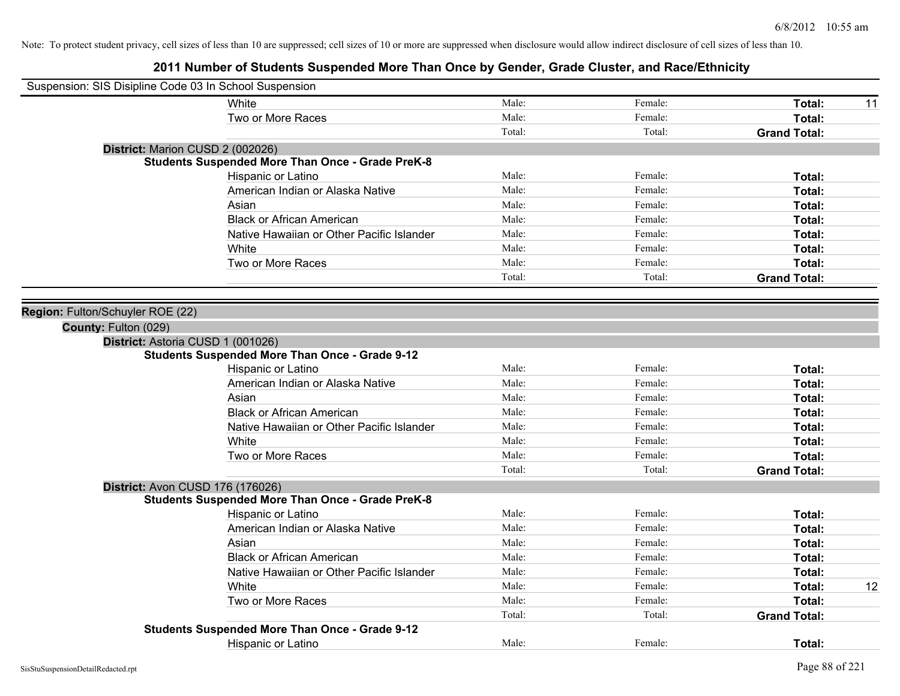| Suspension: SIS Disipline Code 03 In School Suspension  |        |         |                     |    |
|---------------------------------------------------------|--------|---------|---------------------|----|
| White                                                   | Male:  | Female: | Total:              | 11 |
| Two or More Races                                       | Male:  | Female: | Total:              |    |
|                                                         | Total: | Total:  | <b>Grand Total:</b> |    |
| District: Marion CUSD 2 (002026)                        |        |         |                     |    |
| <b>Students Suspended More Than Once - Grade PreK-8</b> |        |         |                     |    |
| Hispanic or Latino                                      | Male:  | Female: | Total:              |    |
| American Indian or Alaska Native                        | Male:  | Female: | Total:              |    |
| Asian                                                   | Male:  | Female: | Total:              |    |
| <b>Black or African American</b>                        | Male:  | Female: | Total:              |    |
| Native Hawaiian or Other Pacific Islander               | Male:  | Female: | Total:              |    |
| White                                                   | Male:  | Female: | Total:              |    |
| Two or More Races                                       | Male:  | Female: | Total:              |    |
|                                                         | Total: | Total:  | <b>Grand Total:</b> |    |
|                                                         |        |         |                     |    |
| Region: Fulton/Schuyler ROE (22)                        |        |         |                     |    |
| County: Fulton (029)                                    |        |         |                     |    |
| District: Astoria CUSD 1 (001026)                       |        |         |                     |    |
| <b>Students Suspended More Than Once - Grade 9-12</b>   |        |         |                     |    |
| Hispanic or Latino                                      | Male:  | Female: | Total:              |    |
| American Indian or Alaska Native                        | Male:  | Female: | Total:              |    |
| Asian                                                   | Male:  | Female: | Total:              |    |
| <b>Black or African American</b>                        | Male:  | Female: | Total:              |    |
| Native Hawaiian or Other Pacific Islander               | Male:  | Female: | Total:              |    |
| White                                                   | Male:  | Female: | Total:              |    |
| Two or More Races                                       | Male:  | Female: | Total:              |    |
|                                                         | Total: | Total:  | <b>Grand Total:</b> |    |
| District: Avon CUSD 176 (176026)                        |        |         |                     |    |
| <b>Students Suspended More Than Once - Grade PreK-8</b> |        |         |                     |    |
| Hispanic or Latino                                      | Male:  | Female: | Total:              |    |
| American Indian or Alaska Native                        | Male:  | Female: | Total:              |    |
| Asian                                                   | Male:  | Female: | Total:              |    |
| <b>Black or African American</b>                        | Male:  | Female: | Total:              |    |
| Native Hawaiian or Other Pacific Islander               | Male:  | Female: | Total:              |    |
| White                                                   | Male:  | Female: | Total:              | 12 |
| Two or More Races                                       | Male:  | Female: | Total:              |    |
|                                                         | Total: | Total:  | <b>Grand Total:</b> |    |
| <b>Students Suspended More Than Once - Grade 9-12</b>   |        |         |                     |    |
| <b>Hispanic or Latino</b>                               | Male:  | Female: | Total:              |    |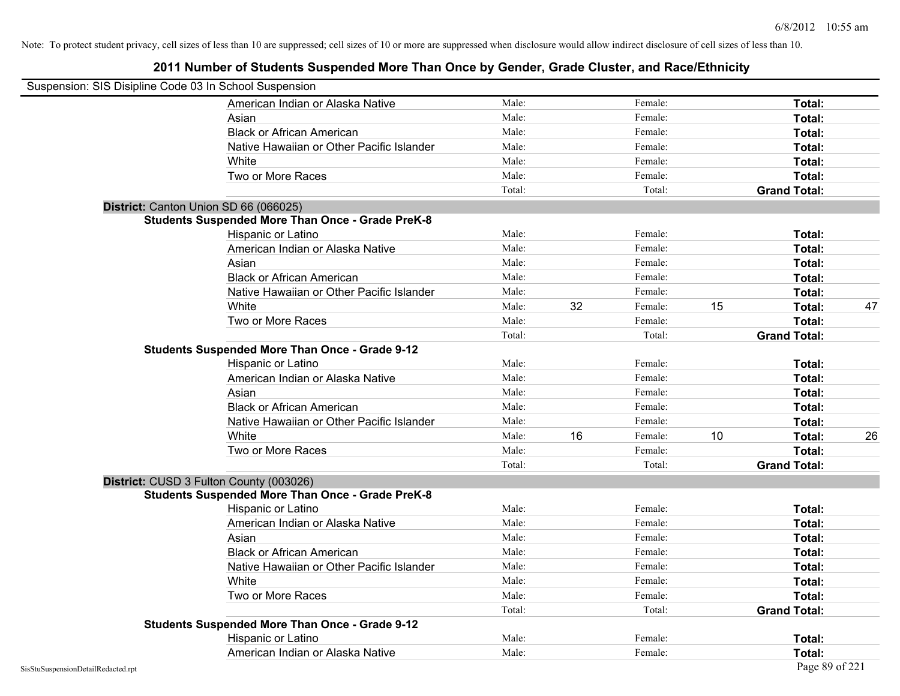| Suspension: SIS Disipline Code 03 In School Suspension |                                                         |        |    |         |    |                     |    |
|--------------------------------------------------------|---------------------------------------------------------|--------|----|---------|----|---------------------|----|
|                                                        | American Indian or Alaska Native                        | Male:  |    | Female: |    | Total:              |    |
|                                                        | Asian                                                   | Male:  |    | Female: |    | Total:              |    |
|                                                        | <b>Black or African American</b>                        | Male:  |    | Female: |    | Total:              |    |
|                                                        | Native Hawaiian or Other Pacific Islander               | Male:  |    | Female: |    | Total:              |    |
|                                                        | White                                                   | Male:  |    | Female: |    | Total:              |    |
|                                                        | Two or More Races                                       | Male:  |    | Female: |    | Total:              |    |
|                                                        |                                                         | Total: |    | Total:  |    | <b>Grand Total:</b> |    |
|                                                        | District: Canton Union SD 66 (066025)                   |        |    |         |    |                     |    |
|                                                        | <b>Students Suspended More Than Once - Grade PreK-8</b> |        |    |         |    |                     |    |
|                                                        | Hispanic or Latino                                      | Male:  |    | Female: |    | Total:              |    |
|                                                        | American Indian or Alaska Native                        | Male:  |    | Female: |    | Total:              |    |
|                                                        | Asian                                                   | Male:  |    | Female: |    | Total:              |    |
|                                                        | <b>Black or African American</b>                        | Male:  |    | Female: |    | Total:              |    |
|                                                        | Native Hawaiian or Other Pacific Islander               | Male:  |    | Female: |    | Total:              |    |
|                                                        | White                                                   | Male:  | 32 | Female: | 15 | Total:              | 47 |
|                                                        | Two or More Races                                       | Male:  |    | Female: |    | Total:              |    |
|                                                        |                                                         | Total: |    | Total:  |    | <b>Grand Total:</b> |    |
|                                                        | <b>Students Suspended More Than Once - Grade 9-12</b>   |        |    |         |    |                     |    |
|                                                        | Hispanic or Latino                                      | Male:  |    | Female: |    | Total:              |    |
|                                                        | American Indian or Alaska Native                        | Male:  |    | Female: |    | Total:              |    |
|                                                        | Asian                                                   | Male:  |    | Female: |    | Total:              |    |
|                                                        | <b>Black or African American</b>                        | Male:  |    | Female: |    | Total:              |    |
|                                                        | Native Hawaiian or Other Pacific Islander               | Male:  |    | Female: |    | Total:              |    |
|                                                        | White                                                   | Male:  | 16 | Female: | 10 | Total:              | 26 |
|                                                        | Two or More Races                                       | Male:  |    | Female: |    | Total:              |    |
|                                                        |                                                         | Total: |    | Total:  |    | <b>Grand Total:</b> |    |
|                                                        | District: CUSD 3 Fulton County (003026)                 |        |    |         |    |                     |    |
|                                                        | <b>Students Suspended More Than Once - Grade PreK-8</b> |        |    |         |    |                     |    |
|                                                        | Hispanic or Latino                                      | Male:  |    | Female: |    | Total:              |    |
|                                                        | American Indian or Alaska Native                        | Male:  |    | Female: |    | Total:              |    |
|                                                        | Asian                                                   | Male:  |    | Female: |    | Total:              |    |
|                                                        | <b>Black or African American</b>                        | Male:  |    | Female: |    | Total:              |    |
|                                                        | Native Hawaiian or Other Pacific Islander               | Male:  |    | Female: |    | Total:              |    |
|                                                        | White                                                   | Male:  |    | Female: |    | Total:              |    |
|                                                        | Two or More Races                                       | Male:  |    | Female: |    | Total:              |    |
|                                                        |                                                         | Total: |    | Total:  |    | <b>Grand Total:</b> |    |
|                                                        | <b>Students Suspended More Than Once - Grade 9-12</b>   |        |    |         |    |                     |    |
|                                                        | Hispanic or Latino                                      | Male:  |    | Female: |    | Total:              |    |
|                                                        | American Indian or Alaska Native                        | Male:  |    | Female: |    | Total:              |    |
| SisStuSuspensionDetailRedacted.rpt                     |                                                         |        |    |         |    | Page 89 of 221      |    |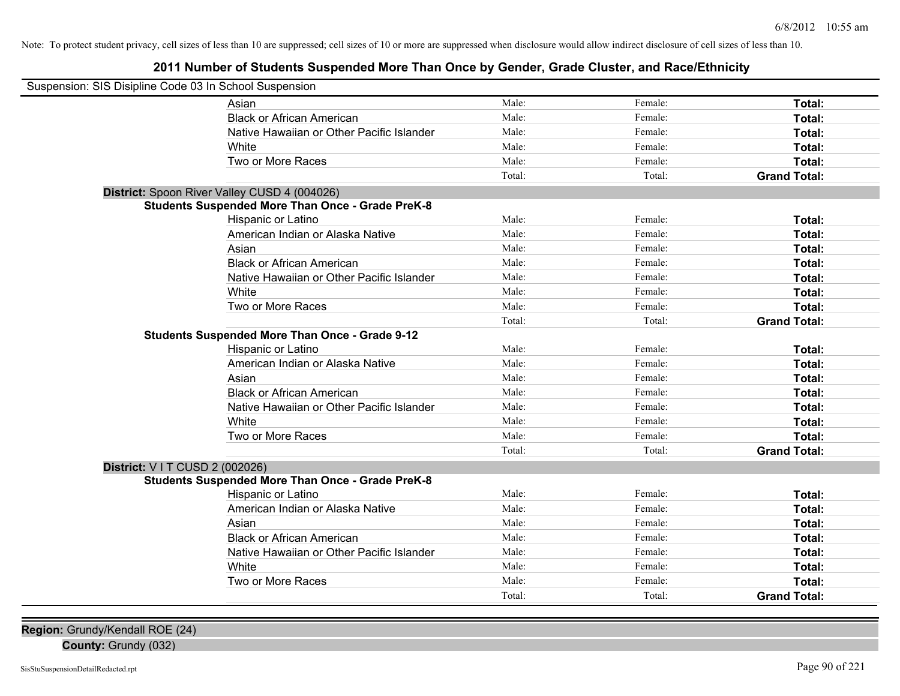# **2011 Number of Students Suspended More Than Once by Gender, Grade Cluster, and Race/Ethnicity**

| Suspension: SIS Disipline Code 03 In School Suspension |                                                         |        |         |                     |
|--------------------------------------------------------|---------------------------------------------------------|--------|---------|---------------------|
|                                                        | Asian                                                   | Male:  | Female: | Total:              |
|                                                        | <b>Black or African American</b>                        | Male:  | Female: | Total:              |
|                                                        | Native Hawaiian or Other Pacific Islander               | Male:  | Female: | Total:              |
|                                                        | White                                                   | Male:  | Female: | Total:              |
|                                                        | Two or More Races                                       | Male:  | Female: | Total:              |
|                                                        |                                                         | Total: | Total:  | <b>Grand Total:</b> |
|                                                        | District: Spoon River Valley CUSD 4 (004026)            |        |         |                     |
|                                                        | <b>Students Suspended More Than Once - Grade PreK-8</b> |        |         |                     |
|                                                        | Hispanic or Latino                                      | Male:  | Female: | Total:              |
|                                                        | American Indian or Alaska Native                        | Male:  | Female: | Total:              |
|                                                        | Asian                                                   | Male:  | Female: | Total:              |
|                                                        | <b>Black or African American</b>                        | Male:  | Female: | Total:              |
|                                                        | Native Hawaiian or Other Pacific Islander               | Male:  | Female: | Total:              |
|                                                        | White                                                   | Male:  | Female: | Total:              |
|                                                        | Two or More Races                                       | Male:  | Female: | Total:              |
|                                                        |                                                         | Total: | Total:  | <b>Grand Total:</b> |
|                                                        | <b>Students Suspended More Than Once - Grade 9-12</b>   |        |         |                     |
|                                                        | Hispanic or Latino                                      | Male:  | Female: | Total:              |
|                                                        | American Indian or Alaska Native                        | Male:  | Female: | Total:              |
|                                                        | Asian                                                   | Male:  | Female: | Total:              |
|                                                        | <b>Black or African American</b>                        | Male:  | Female: | Total:              |
|                                                        | Native Hawaiian or Other Pacific Islander               | Male:  | Female: | Total:              |
|                                                        | White                                                   | Male:  | Female: | Total:              |
|                                                        | Two or More Races                                       | Male:  | Female: | Total:              |
|                                                        |                                                         | Total: | Total:  | <b>Grand Total:</b> |
| <b>District: VIT CUSD 2 (002026)</b>                   |                                                         |        |         |                     |
|                                                        | <b>Students Suspended More Than Once - Grade PreK-8</b> |        |         |                     |
|                                                        | Hispanic or Latino                                      | Male:  | Female: | Total:              |
|                                                        | American Indian or Alaska Native                        | Male:  | Female: | Total:              |
|                                                        | Asian                                                   | Male:  | Female: | Total:              |
|                                                        | <b>Black or African American</b>                        | Male:  | Female: | Total:              |
|                                                        | Native Hawaiian or Other Pacific Islander               | Male:  | Female: | Total:              |
|                                                        | White                                                   | Male:  | Female: | Total:              |
|                                                        | Two or More Races                                       | Male:  | Female: | Total:              |
|                                                        |                                                         | Total: | Total:  | <b>Grand Total:</b> |
|                                                        |                                                         |        |         |                     |

**County:** Grundy (032)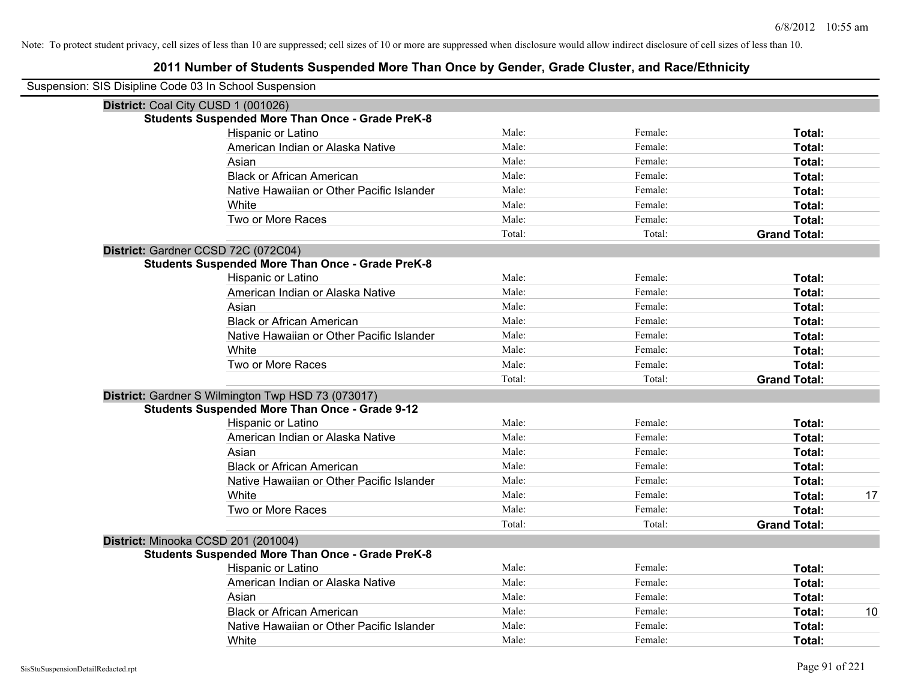| Suspension: SIS Disipline Code 03 In School Suspension |                                                         |        |         |                     |
|--------------------------------------------------------|---------------------------------------------------------|--------|---------|---------------------|
| District: Coal City CUSD 1 (001026)                    |                                                         |        |         |                     |
|                                                        | <b>Students Suspended More Than Once - Grade PreK-8</b> |        |         |                     |
|                                                        | Hispanic or Latino                                      | Male:  | Female: | Total:              |
|                                                        | American Indian or Alaska Native                        | Male:  | Female: | Total:              |
|                                                        | Asian                                                   | Male:  | Female: | Total:              |
|                                                        | <b>Black or African American</b>                        | Male:  | Female: | Total:              |
|                                                        | Native Hawaiian or Other Pacific Islander               | Male:  | Female: | Total:              |
|                                                        | White                                                   | Male:  | Female: | Total:              |
|                                                        | Two or More Races                                       | Male:  | Female: | Total:              |
|                                                        |                                                         | Total: | Total:  | <b>Grand Total:</b> |
|                                                        | District: Gardner CCSD 72C (072C04)                     |        |         |                     |
|                                                        | <b>Students Suspended More Than Once - Grade PreK-8</b> |        |         |                     |
|                                                        | Hispanic or Latino                                      | Male:  | Female: | Total:              |
|                                                        | American Indian or Alaska Native                        | Male:  | Female: | Total:              |
|                                                        | Asian                                                   | Male:  | Female: | Total:              |
|                                                        | <b>Black or African American</b>                        | Male:  | Female: | Total:              |
|                                                        | Native Hawaiian or Other Pacific Islander               | Male:  | Female: | Total:              |
|                                                        | White                                                   | Male:  | Female: | Total:              |
|                                                        | Two or More Races                                       | Male:  | Female: | Total:              |
|                                                        |                                                         | Total: | Total:  | <b>Grand Total:</b> |
|                                                        | District: Gardner S Wilmington Twp HSD 73 (073017)      |        |         |                     |
|                                                        | <b>Students Suspended More Than Once - Grade 9-12</b>   |        |         |                     |
|                                                        | Hispanic or Latino                                      | Male:  | Female: | Total:              |
|                                                        | American Indian or Alaska Native                        | Male:  | Female: | Total:              |
|                                                        | Asian                                                   | Male:  | Female: | Total:              |
|                                                        | <b>Black or African American</b>                        | Male:  | Female: | Total:              |
|                                                        | Native Hawaiian or Other Pacific Islander               | Male:  | Female: | Total:              |
|                                                        | White                                                   | Male:  | Female: | 17<br>Total:        |
|                                                        | Two or More Races                                       | Male:  | Female: | Total:              |
|                                                        |                                                         | Total: | Total:  | <b>Grand Total:</b> |
|                                                        | District: Minooka CCSD 201 (201004)                     |        |         |                     |
|                                                        | <b>Students Suspended More Than Once - Grade PreK-8</b> |        |         |                     |
|                                                        | Hispanic or Latino                                      | Male:  | Female: | Total:              |
|                                                        | American Indian or Alaska Native                        | Male:  | Female: | Total:              |
|                                                        | Asian                                                   | Male:  | Female: | Total:              |
|                                                        | <b>Black or African American</b>                        | Male:  | Female: | Total:<br>10        |
|                                                        | Native Hawaiian or Other Pacific Islander               | Male:  | Female: | Total:              |
|                                                        | White                                                   | Male:  | Female: | Total:              |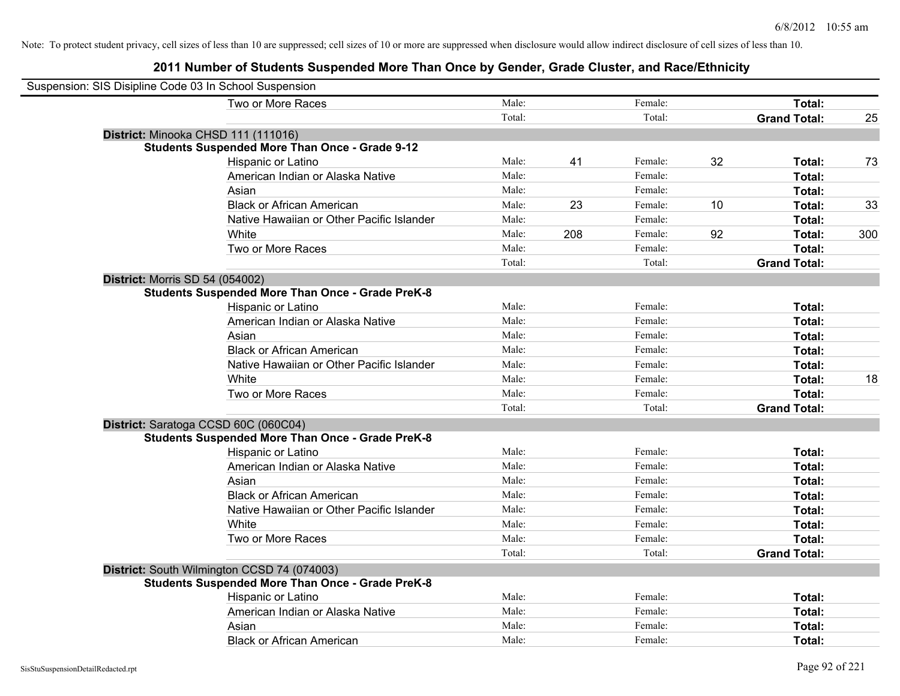| Suspension: SIS Disipline Code 03 In School Suspension |                                                         |        |     |         |    |                     |     |
|--------------------------------------------------------|---------------------------------------------------------|--------|-----|---------|----|---------------------|-----|
|                                                        | Two or More Races                                       | Male:  |     | Female: |    | Total:              |     |
|                                                        |                                                         | Total: |     | Total:  |    | <b>Grand Total:</b> | 25  |
| District: Minooka CHSD 111 (111016)                    |                                                         |        |     |         |    |                     |     |
|                                                        | <b>Students Suspended More Than Once - Grade 9-12</b>   |        |     |         |    |                     |     |
|                                                        | Hispanic or Latino                                      | Male:  | 41  | Female: | 32 | Total:              | 73  |
|                                                        | American Indian or Alaska Native                        | Male:  |     | Female: |    | Total:              |     |
|                                                        | Asian                                                   | Male:  |     | Female: |    | Total:              |     |
|                                                        | <b>Black or African American</b>                        | Male:  | 23  | Female: | 10 | Total:              | 33  |
|                                                        | Native Hawaiian or Other Pacific Islander               | Male:  |     | Female: |    | Total:              |     |
|                                                        | White                                                   | Male:  | 208 | Female: | 92 | Total:              | 300 |
|                                                        | Two or More Races                                       | Male:  |     | Female: |    | Total:              |     |
|                                                        |                                                         | Total: |     | Total:  |    | <b>Grand Total:</b> |     |
| <b>District: Morris SD 54 (054002)</b>                 |                                                         |        |     |         |    |                     |     |
|                                                        | <b>Students Suspended More Than Once - Grade PreK-8</b> |        |     |         |    |                     |     |
|                                                        | Hispanic or Latino                                      | Male:  |     | Female: |    | Total:              |     |
|                                                        | American Indian or Alaska Native                        | Male:  |     | Female: |    | Total:              |     |
|                                                        | Asian                                                   | Male:  |     | Female: |    | Total:              |     |
|                                                        | <b>Black or African American</b>                        | Male:  |     | Female: |    | Total:              |     |
|                                                        | Native Hawaiian or Other Pacific Islander               | Male:  |     | Female: |    | Total:              |     |
|                                                        | White                                                   | Male:  |     | Female: |    | Total:              | 18  |
|                                                        | Two or More Races                                       | Male:  |     | Female: |    | Total:              |     |
|                                                        |                                                         | Total: |     | Total:  |    | <b>Grand Total:</b> |     |
|                                                        | District: Saratoga CCSD 60C (060C04)                    |        |     |         |    |                     |     |
|                                                        | <b>Students Suspended More Than Once - Grade PreK-8</b> |        |     |         |    |                     |     |
|                                                        | Hispanic or Latino                                      | Male:  |     | Female: |    | Total:              |     |
|                                                        | American Indian or Alaska Native                        | Male:  |     | Female: |    | Total:              |     |
|                                                        | Asian                                                   | Male:  |     | Female: |    | Total:              |     |
|                                                        | <b>Black or African American</b>                        | Male:  |     | Female: |    | Total:              |     |
|                                                        | Native Hawaiian or Other Pacific Islander               | Male:  |     | Female: |    | Total:              |     |
|                                                        | White                                                   | Male:  |     | Female: |    | Total:              |     |
|                                                        | Two or More Races                                       | Male:  |     | Female: |    | Total:              |     |
|                                                        |                                                         | Total: |     | Total:  |    | <b>Grand Total:</b> |     |
|                                                        | District: South Wilmington CCSD 74 (074003)             |        |     |         |    |                     |     |
|                                                        | <b>Students Suspended More Than Once - Grade PreK-8</b> |        |     |         |    |                     |     |
|                                                        | Hispanic or Latino                                      | Male:  |     | Female: |    | Total:              |     |
|                                                        | American Indian or Alaska Native                        | Male:  |     | Female: |    | Total:              |     |
|                                                        | Asian                                                   | Male:  |     | Female: |    | Total:              |     |
|                                                        | <b>Black or African American</b>                        | Male:  |     | Female: |    | Total:              |     |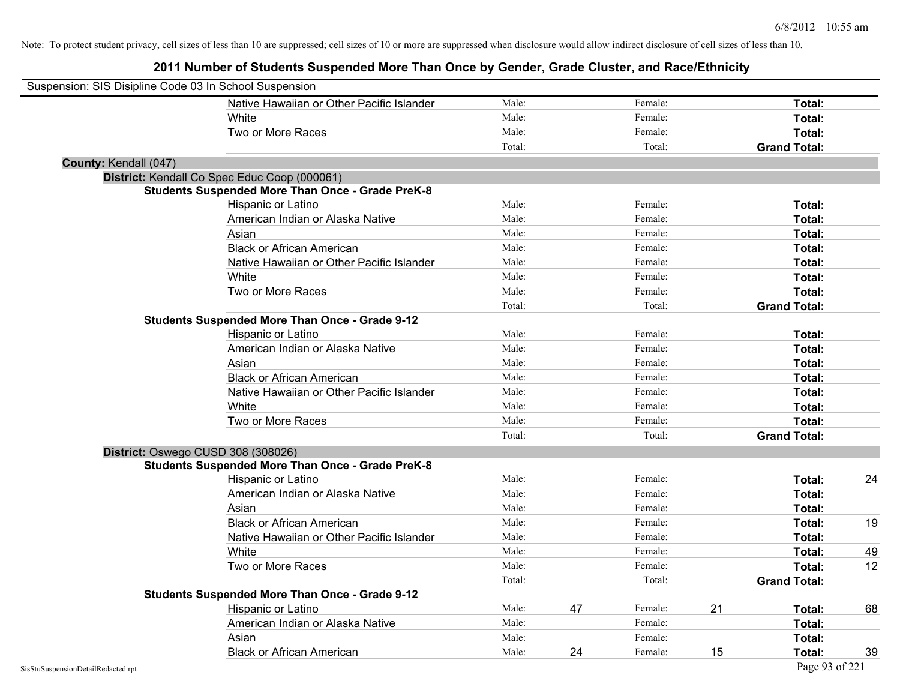| Suspension: SIS Disipline Code 03 In School Suspension |                                                         |        |    |         |    |                     |    |
|--------------------------------------------------------|---------------------------------------------------------|--------|----|---------|----|---------------------|----|
|                                                        | Native Hawaiian or Other Pacific Islander               | Male:  |    | Female: |    | Total:              |    |
|                                                        | White                                                   | Male:  |    | Female: |    | Total:              |    |
|                                                        | Two or More Races                                       | Male:  |    | Female: |    | Total:              |    |
|                                                        |                                                         | Total: |    | Total:  |    | <b>Grand Total:</b> |    |
| County: Kendall (047)                                  |                                                         |        |    |         |    |                     |    |
|                                                        | District: Kendall Co Spec Educ Coop (000061)            |        |    |         |    |                     |    |
|                                                        | <b>Students Suspended More Than Once - Grade PreK-8</b> |        |    |         |    |                     |    |
|                                                        | Hispanic or Latino                                      | Male:  |    | Female: |    | Total:              |    |
|                                                        | American Indian or Alaska Native                        | Male:  |    | Female: |    | Total:              |    |
|                                                        | Asian                                                   | Male:  |    | Female: |    | Total:              |    |
|                                                        | <b>Black or African American</b>                        | Male:  |    | Female: |    | Total:              |    |
|                                                        | Native Hawaiian or Other Pacific Islander               | Male:  |    | Female: |    | Total:              |    |
|                                                        | White                                                   | Male:  |    | Female: |    | Total:              |    |
|                                                        | Two or More Races                                       | Male:  |    | Female: |    | Total:              |    |
|                                                        |                                                         | Total: |    | Total:  |    | <b>Grand Total:</b> |    |
|                                                        | <b>Students Suspended More Than Once - Grade 9-12</b>   |        |    |         |    |                     |    |
|                                                        | Hispanic or Latino                                      | Male:  |    | Female: |    | Total:              |    |
|                                                        | American Indian or Alaska Native                        | Male:  |    | Female: |    | Total:              |    |
|                                                        | Asian                                                   | Male:  |    | Female: |    | Total:              |    |
|                                                        | <b>Black or African American</b>                        | Male:  |    | Female: |    | Total:              |    |
|                                                        | Native Hawaiian or Other Pacific Islander               | Male:  |    | Female: |    | Total:              |    |
|                                                        | White                                                   | Male:  |    | Female: |    | Total:              |    |
|                                                        | Two or More Races                                       | Male:  |    | Female: |    | Total:              |    |
|                                                        |                                                         | Total: |    | Total:  |    | <b>Grand Total:</b> |    |
|                                                        | District: Oswego CUSD 308 (308026)                      |        |    |         |    |                     |    |
|                                                        | <b>Students Suspended More Than Once - Grade PreK-8</b> |        |    |         |    |                     |    |
|                                                        | Hispanic or Latino                                      | Male:  |    | Female: |    | Total:              | 24 |
|                                                        | American Indian or Alaska Native                        | Male:  |    | Female: |    | Total:              |    |
|                                                        | Asian                                                   | Male:  |    | Female: |    | Total:              |    |
|                                                        | <b>Black or African American</b>                        | Male:  |    | Female: |    | Total:              | 19 |
|                                                        | Native Hawaiian or Other Pacific Islander               | Male:  |    | Female: |    | Total:              |    |
|                                                        | White                                                   | Male:  |    | Female: |    | Total:              | 49 |
|                                                        | Two or More Races                                       | Male:  |    | Female: |    | Total:              | 12 |
|                                                        |                                                         | Total: |    | Total:  |    | <b>Grand Total:</b> |    |
|                                                        | <b>Students Suspended More Than Once - Grade 9-12</b>   |        |    |         |    |                     |    |
|                                                        | Hispanic or Latino                                      | Male:  | 47 | Female: | 21 | Total:              | 68 |
|                                                        | American Indian or Alaska Native                        | Male:  |    | Female: |    | Total:              |    |
|                                                        | Asian                                                   | Male:  |    | Female: |    | Total:              |    |
|                                                        | <b>Black or African American</b>                        | Male:  | 24 | Female: | 15 | Total:              | 39 |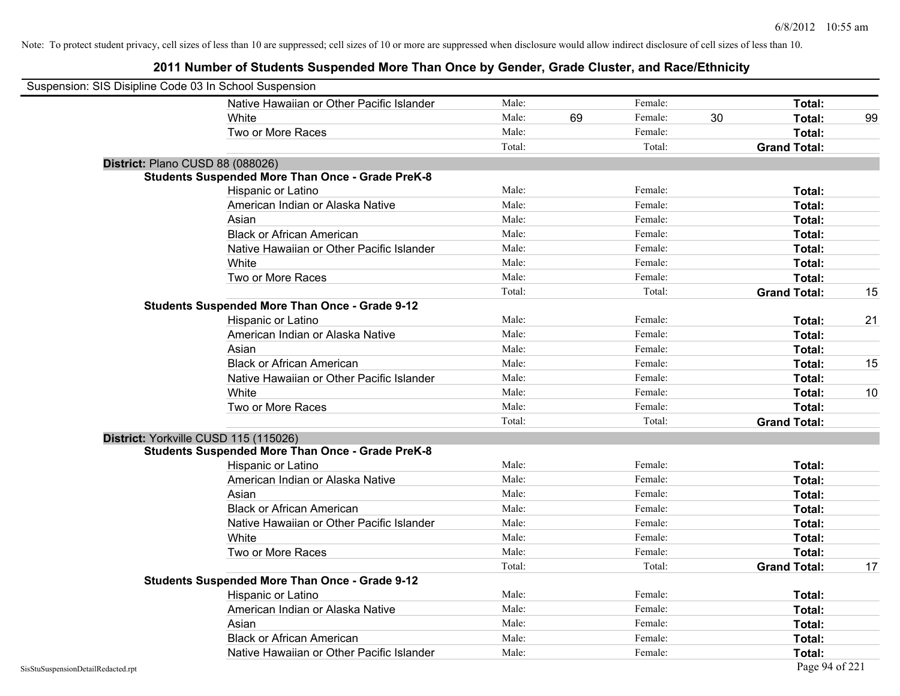| Suspension: SIS Disipline Code 03 In School Suspension |                                                         |        |    |         |    |                     |    |
|--------------------------------------------------------|---------------------------------------------------------|--------|----|---------|----|---------------------|----|
|                                                        | Native Hawaiian or Other Pacific Islander               | Male:  |    | Female: |    | Total:              |    |
|                                                        | White                                                   | Male:  | 69 | Female: | 30 | Total:              | 99 |
|                                                        | Two or More Races                                       | Male:  |    | Female: |    | Total:              |    |
|                                                        |                                                         | Total: |    | Total:  |    | <b>Grand Total:</b> |    |
| District: Plano CUSD 88 (088026)                       |                                                         |        |    |         |    |                     |    |
|                                                        | <b>Students Suspended More Than Once - Grade PreK-8</b> |        |    |         |    |                     |    |
|                                                        | Hispanic or Latino                                      | Male:  |    | Female: |    | Total:              |    |
|                                                        | American Indian or Alaska Native                        | Male:  |    | Female: |    | Total:              |    |
|                                                        | Asian                                                   | Male:  |    | Female: |    | Total:              |    |
|                                                        | <b>Black or African American</b>                        | Male:  |    | Female: |    | Total:              |    |
|                                                        | Native Hawaiian or Other Pacific Islander               | Male:  |    | Female: |    | Total:              |    |
|                                                        | White                                                   | Male:  |    | Female: |    | Total:              |    |
|                                                        | Two or More Races                                       | Male:  |    | Female: |    | Total:              |    |
|                                                        |                                                         | Total: |    | Total:  |    | <b>Grand Total:</b> | 15 |
|                                                        | <b>Students Suspended More Than Once - Grade 9-12</b>   |        |    |         |    |                     |    |
|                                                        | Hispanic or Latino                                      | Male:  |    | Female: |    | Total:              | 21 |
|                                                        | American Indian or Alaska Native                        | Male:  |    | Female: |    | Total:              |    |
|                                                        | Asian                                                   | Male:  |    | Female: |    | Total:              |    |
|                                                        | <b>Black or African American</b>                        | Male:  |    | Female: |    | Total:              | 15 |
|                                                        | Native Hawaiian or Other Pacific Islander               | Male:  |    | Female: |    | Total:              |    |
|                                                        | White                                                   | Male:  |    | Female: |    | Total:              | 10 |
|                                                        | Two or More Races                                       | Male:  |    | Female: |    | Total:              |    |
|                                                        |                                                         | Total: |    | Total:  |    | <b>Grand Total:</b> |    |
|                                                        | District: Yorkville CUSD 115 (115026)                   |        |    |         |    |                     |    |
|                                                        | <b>Students Suspended More Than Once - Grade PreK-8</b> |        |    |         |    |                     |    |
|                                                        | Hispanic or Latino                                      | Male:  |    | Female: |    | Total:              |    |
|                                                        | American Indian or Alaska Native                        | Male:  |    | Female: |    | Total:              |    |
|                                                        | Asian                                                   | Male:  |    | Female: |    | Total:              |    |
|                                                        | <b>Black or African American</b>                        | Male:  |    | Female: |    | Total:              |    |
|                                                        | Native Hawaiian or Other Pacific Islander               | Male:  |    | Female: |    | Total:              |    |
|                                                        | White                                                   | Male:  |    | Female: |    | Total:              |    |
|                                                        | Two or More Races                                       | Male:  |    | Female: |    | Total:              |    |
|                                                        |                                                         | Total: |    | Total:  |    | <b>Grand Total:</b> | 17 |
|                                                        | <b>Students Suspended More Than Once - Grade 9-12</b>   |        |    |         |    |                     |    |
|                                                        | Hispanic or Latino                                      | Male:  |    | Female: |    | Total:              |    |
|                                                        | American Indian or Alaska Native                        | Male:  |    | Female: |    | Total:              |    |
|                                                        | Asian                                                   | Male:  |    | Female: |    | Total:              |    |
|                                                        | <b>Black or African American</b>                        | Male:  |    | Female: |    | Total:              |    |
|                                                        | Native Hawaiian or Other Pacific Islander               | Male:  |    | Female: |    | Total:              |    |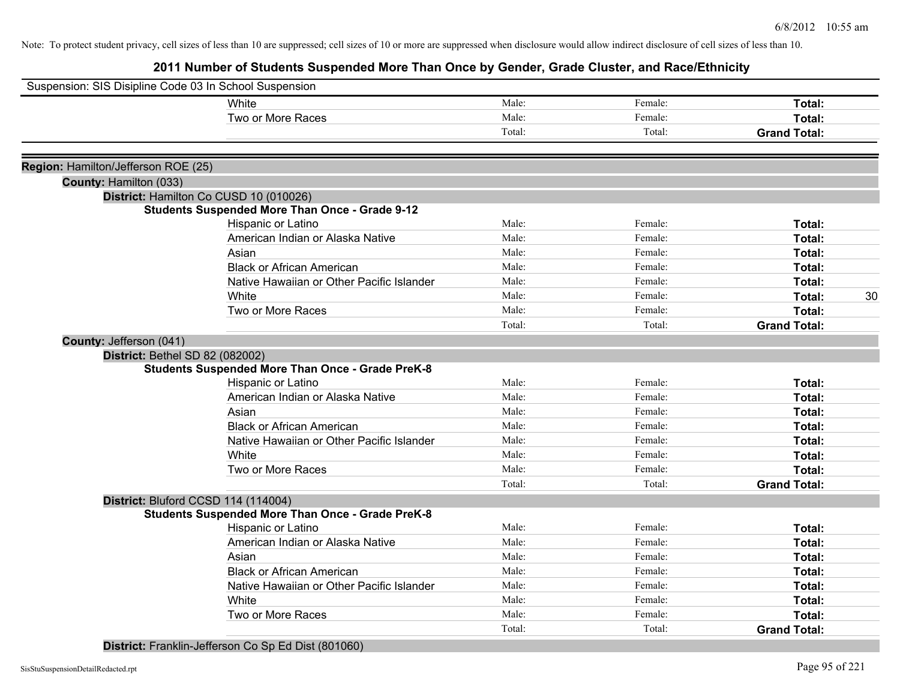**2011 Number of Students Suspended More Than Once by Gender, Grade Cluster, and Race/Ethnicity**

| Suspension: SIS Disipline Code 03 In School Suspension |                                                         |        |         |                     |    |
|--------------------------------------------------------|---------------------------------------------------------|--------|---------|---------------------|----|
|                                                        | White                                                   | Male:  | Female: | Total:              |    |
|                                                        | Two or More Races                                       | Male:  | Female: | Total:              |    |
|                                                        |                                                         | Total: | Total:  | <b>Grand Total:</b> |    |
| Region: Hamilton/Jefferson ROE (25)                    |                                                         |        |         |                     |    |
| County: Hamilton (033)                                 |                                                         |        |         |                     |    |
|                                                        | District: Hamilton Co CUSD 10 (010026)                  |        |         |                     |    |
|                                                        | <b>Students Suspended More Than Once - Grade 9-12</b>   |        |         |                     |    |
|                                                        | Hispanic or Latino                                      | Male:  | Female: | Total:              |    |
|                                                        | American Indian or Alaska Native                        | Male:  | Female: | Total:              |    |
|                                                        | Asian                                                   | Male:  | Female: | Total:              |    |
|                                                        | <b>Black or African American</b>                        | Male:  | Female: | Total:              |    |
|                                                        | Native Hawaiian or Other Pacific Islander               | Male:  | Female: | Total:              |    |
|                                                        | White                                                   | Male:  | Female: | Total:              | 30 |
|                                                        | Two or More Races                                       | Male:  | Female: | Total:              |    |
|                                                        |                                                         | Total: | Total:  | <b>Grand Total:</b> |    |
| County: Jefferson (041)                                |                                                         |        |         |                     |    |
| District: Bethel SD 82 (082002)                        |                                                         |        |         |                     |    |
|                                                        | <b>Students Suspended More Than Once - Grade PreK-8</b> |        |         |                     |    |
|                                                        | Hispanic or Latino                                      | Male:  | Female: | Total:              |    |
|                                                        | American Indian or Alaska Native                        | Male:  | Female: | Total:              |    |
|                                                        | Asian                                                   | Male:  | Female: | Total:              |    |
|                                                        | <b>Black or African American</b>                        | Male:  | Female: | Total:              |    |
|                                                        | Native Hawaiian or Other Pacific Islander               | Male:  | Female: | Total:              |    |
|                                                        | White                                                   | Male:  | Female: | Total:              |    |
|                                                        | Two or More Races                                       | Male:  | Female: | Total:              |    |
|                                                        |                                                         | Total: | Total:  | <b>Grand Total:</b> |    |
|                                                        | District: Bluford CCSD 114 (114004)                     |        |         |                     |    |
|                                                        | <b>Students Suspended More Than Once - Grade PreK-8</b> |        |         |                     |    |
|                                                        | Hispanic or Latino                                      | Male:  | Female: | Total:              |    |
|                                                        | American Indian or Alaska Native                        | Male:  | Female: | Total:              |    |
|                                                        | Asian                                                   | Male:  | Female: | Total:              |    |
|                                                        | <b>Black or African American</b>                        | Male:  | Female: | Total:              |    |
|                                                        | Native Hawaiian or Other Pacific Islander               | Male:  | Female: | Total:              |    |
|                                                        | White                                                   | Male:  | Female: | Total:              |    |
|                                                        | Two or More Races                                       | Male:  | Female: | Total:              |    |
|                                                        |                                                         | Total: | Total:  | <b>Grand Total:</b> |    |

**District:** Franklin-Jefferson Co Sp Ed Dist (801060)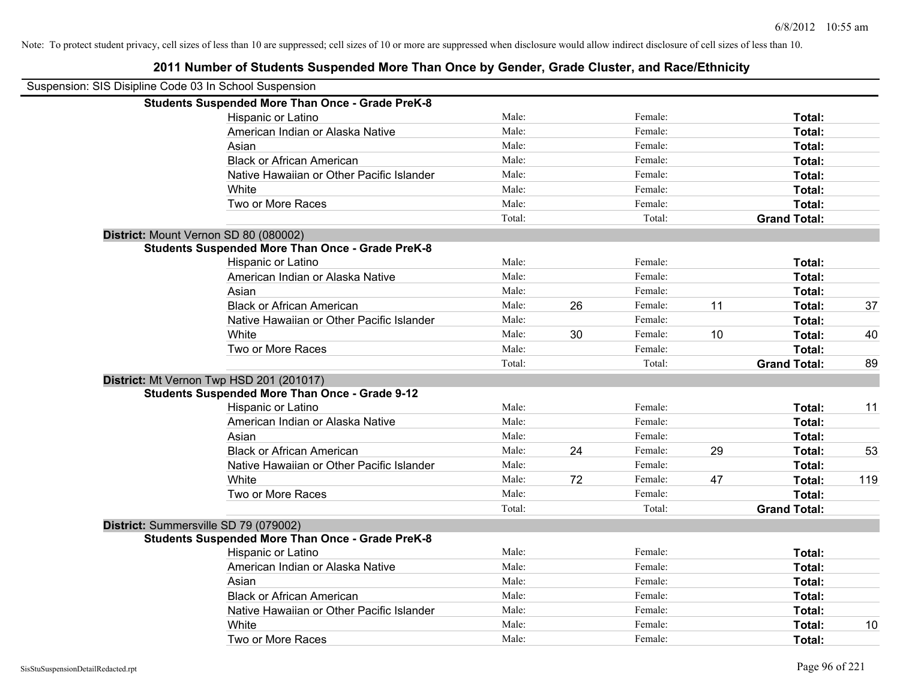| Suspension: SIS Disipline Code 03 In School Suspension |                                                         |        |    |         |    |                     |     |
|--------------------------------------------------------|---------------------------------------------------------|--------|----|---------|----|---------------------|-----|
|                                                        | <b>Students Suspended More Than Once - Grade PreK-8</b> |        |    |         |    |                     |     |
|                                                        | Hispanic or Latino                                      | Male:  |    | Female: |    | Total:              |     |
|                                                        | American Indian or Alaska Native                        | Male:  |    | Female: |    | Total:              |     |
|                                                        | Asian                                                   | Male:  |    | Female: |    | Total:              |     |
|                                                        | <b>Black or African American</b>                        | Male:  |    | Female: |    | Total:              |     |
|                                                        | Native Hawaiian or Other Pacific Islander               | Male:  |    | Female: |    | Total:              |     |
|                                                        | White                                                   | Male:  |    | Female: |    | Total:              |     |
|                                                        | Two or More Races                                       | Male:  |    | Female: |    | Total:              |     |
|                                                        |                                                         | Total: |    | Total:  |    | <b>Grand Total:</b> |     |
|                                                        | District: Mount Vernon SD 80 (080002)                   |        |    |         |    |                     |     |
|                                                        | <b>Students Suspended More Than Once - Grade PreK-8</b> |        |    |         |    |                     |     |
|                                                        | Hispanic or Latino                                      | Male:  |    | Female: |    | Total:              |     |
|                                                        | American Indian or Alaska Native                        | Male:  |    | Female: |    | Total:              |     |
|                                                        | Asian                                                   | Male:  |    | Female: |    | Total:              |     |
|                                                        | <b>Black or African American</b>                        | Male:  | 26 | Female: | 11 | Total:              | 37  |
|                                                        | Native Hawaiian or Other Pacific Islander               | Male:  |    | Female: |    | Total:              |     |
|                                                        | White                                                   | Male:  | 30 | Female: | 10 | Total:              | 40  |
|                                                        | Two or More Races                                       | Male:  |    | Female: |    | Total:              |     |
|                                                        |                                                         | Total: |    | Total:  |    | <b>Grand Total:</b> | 89  |
|                                                        | District: Mt Vernon Twp HSD 201 (201017)                |        |    |         |    |                     |     |
|                                                        | <b>Students Suspended More Than Once - Grade 9-12</b>   |        |    |         |    |                     |     |
|                                                        | Hispanic or Latino                                      | Male:  |    | Female: |    | Total:              | 11  |
|                                                        | American Indian or Alaska Native                        | Male:  |    | Female: |    | Total:              |     |
|                                                        | Asian                                                   | Male:  |    | Female: |    | Total:              |     |
|                                                        | <b>Black or African American</b>                        | Male:  | 24 | Female: | 29 | Total:              | 53  |
|                                                        | Native Hawaiian or Other Pacific Islander               | Male:  |    | Female: |    | Total:              |     |
|                                                        | White                                                   | Male:  | 72 | Female: | 47 | Total:              | 119 |
|                                                        | Two or More Races                                       | Male:  |    | Female: |    | Total:              |     |
|                                                        |                                                         | Total: |    | Total:  |    | <b>Grand Total:</b> |     |
|                                                        | District: Summersville SD 79 (079002)                   |        |    |         |    |                     |     |
|                                                        | <b>Students Suspended More Than Once - Grade PreK-8</b> |        |    |         |    |                     |     |
|                                                        | Hispanic or Latino                                      | Male:  |    | Female: |    | Total:              |     |
|                                                        | American Indian or Alaska Native                        | Male:  |    | Female: |    | Total:              |     |
|                                                        | Asian                                                   | Male:  |    | Female: |    | Total:              |     |
|                                                        | <b>Black or African American</b>                        | Male:  |    | Female: |    | Total:              |     |
|                                                        | Native Hawaiian or Other Pacific Islander               | Male:  |    | Female: |    | Total:              |     |
|                                                        | White                                                   | Male:  |    | Female: |    | Total:              | 10  |
|                                                        | Two or More Races                                       | Male:  |    | Female: |    | Total:              |     |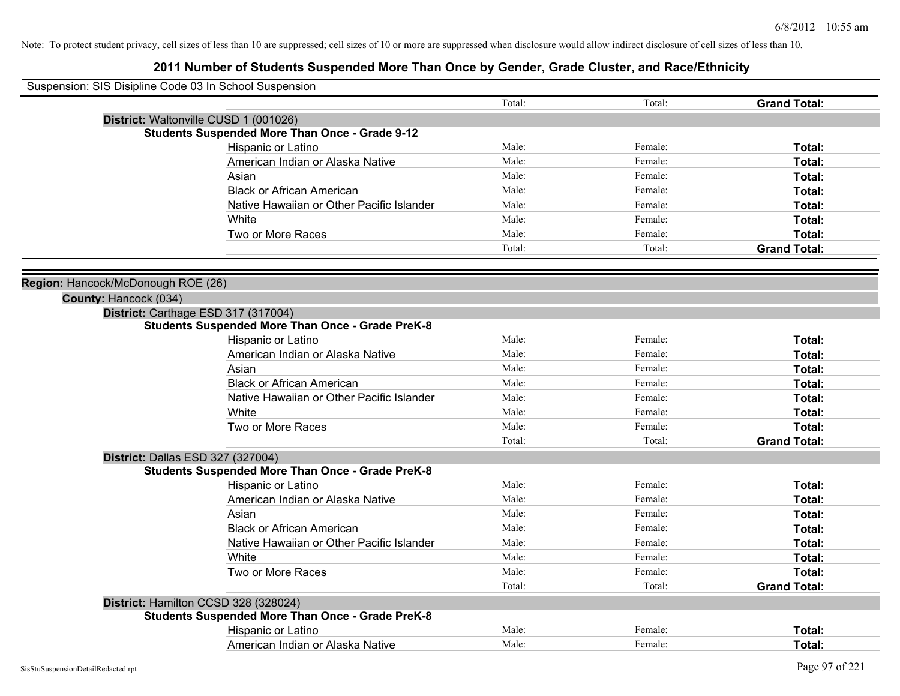| Suspension: SIS Disipline Code 03 In School Suspension |                                                         |        |         |                     |
|--------------------------------------------------------|---------------------------------------------------------|--------|---------|---------------------|
|                                                        |                                                         | Total: | Total:  | <b>Grand Total:</b> |
|                                                        | District: Waltonville CUSD 1 (001026)                   |        |         |                     |
|                                                        | <b>Students Suspended More Than Once - Grade 9-12</b>   |        |         |                     |
|                                                        | Hispanic or Latino                                      | Male:  | Female: | Total:              |
|                                                        | American Indian or Alaska Native                        | Male:  | Female: | Total:              |
|                                                        | Asian                                                   | Male:  | Female: | Total:              |
|                                                        | <b>Black or African American</b>                        | Male:  | Female: | Total:              |
|                                                        | Native Hawaiian or Other Pacific Islander               | Male:  | Female: | Total:              |
|                                                        | White                                                   | Male:  | Female: | Total:              |
|                                                        | Two or More Races                                       | Male:  | Female: | Total:              |
|                                                        |                                                         | Total: | Total:  | <b>Grand Total:</b> |
|                                                        |                                                         |        |         |                     |
| Region: Hancock/McDonough ROE (26)                     |                                                         |        |         |                     |
| County: Hancock (034)                                  |                                                         |        |         |                     |
|                                                        | District: Carthage ESD 317 (317004)                     |        |         |                     |
|                                                        | <b>Students Suspended More Than Once - Grade PreK-8</b> |        |         |                     |
|                                                        | Hispanic or Latino                                      | Male:  | Female: | Total:              |
|                                                        | American Indian or Alaska Native                        | Male:  | Female: | Total:              |
|                                                        | Asian                                                   | Male:  | Female: | Total:              |
|                                                        | <b>Black or African American</b>                        | Male:  | Female: | Total:              |
|                                                        | Native Hawaiian or Other Pacific Islander               | Male:  | Female: | Total:              |
|                                                        | White                                                   | Male:  | Female: | Total:              |
|                                                        | Two or More Races                                       | Male:  | Female: | Total:              |
|                                                        |                                                         | Total: | Total:  | <b>Grand Total:</b> |
|                                                        | District: Dallas ESD 327 (327004)                       |        |         |                     |
|                                                        | <b>Students Suspended More Than Once - Grade PreK-8</b> |        |         |                     |
|                                                        | Hispanic or Latino                                      | Male:  | Female: | Total:              |
|                                                        | American Indian or Alaska Native                        | Male:  | Female: | Total:              |
|                                                        | Asian                                                   | Male:  | Female: | Total:              |
|                                                        | <b>Black or African American</b>                        | Male:  | Female: | Total:              |
|                                                        | Native Hawaiian or Other Pacific Islander               | Male:  | Female: | Total:              |
|                                                        | <b>White</b>                                            | Male:  | Female: | Total:              |
|                                                        | Two or More Races                                       | Male:  | Female: | Total:              |
|                                                        |                                                         | Total: | Total:  | <b>Grand Total:</b> |
|                                                        | District: Hamilton CCSD 328 (328024)                    |        |         |                     |
|                                                        | <b>Students Suspended More Than Once - Grade PreK-8</b> |        |         |                     |
|                                                        | Hispanic or Latino                                      | Male:  | Female: | Total:              |
|                                                        | American Indian or Alaska Native                        | Male:  | Female: | Total:              |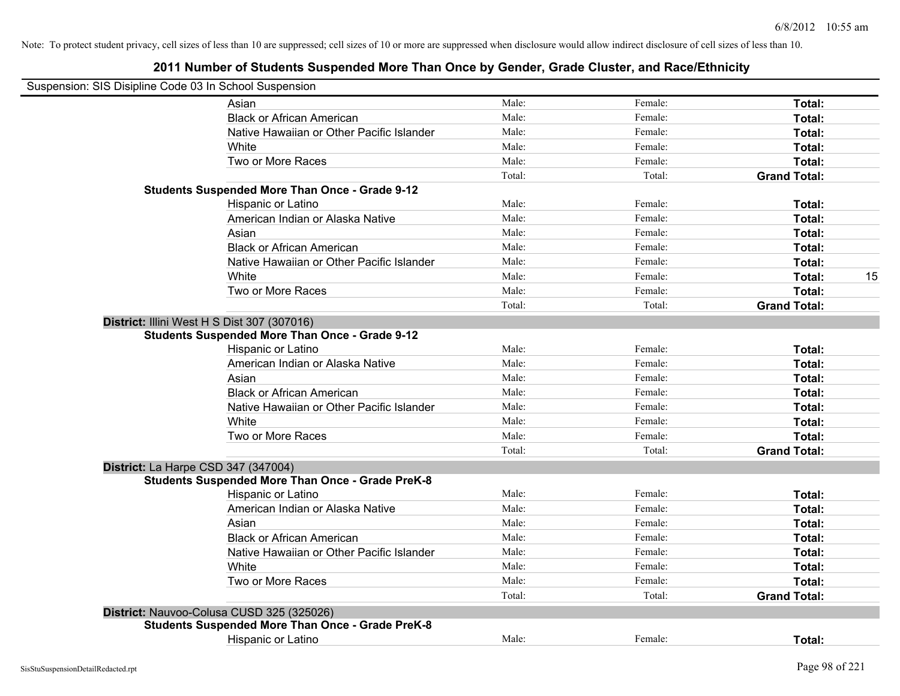| Suspension: SIS Disipline Code 03 In School Suspension  |        |         |                     |    |
|---------------------------------------------------------|--------|---------|---------------------|----|
| Asian                                                   | Male:  | Female: | Total:              |    |
| <b>Black or African American</b>                        | Male:  | Female: | Total:              |    |
| Native Hawaiian or Other Pacific Islander               | Male:  | Female: | Total:              |    |
| White                                                   | Male:  | Female: | Total:              |    |
| Two or More Races                                       | Male:  | Female: | Total:              |    |
|                                                         | Total: | Total:  | <b>Grand Total:</b> |    |
| <b>Students Suspended More Than Once - Grade 9-12</b>   |        |         |                     |    |
| Hispanic or Latino                                      | Male:  | Female: | Total:              |    |
| American Indian or Alaska Native                        | Male:  | Female: | Total:              |    |
| Asian                                                   | Male:  | Female: | Total:              |    |
| <b>Black or African American</b>                        | Male:  | Female: | Total:              |    |
| Native Hawaiian or Other Pacific Islander               | Male:  | Female: | Total:              |    |
| White                                                   | Male:  | Female: | Total:              | 15 |
| Two or More Races                                       | Male:  | Female: | Total:              |    |
|                                                         | Total: | Total:  | <b>Grand Total:</b> |    |
| District: Illini West H S Dist 307 (307016)             |        |         |                     |    |
| <b>Students Suspended More Than Once - Grade 9-12</b>   |        |         |                     |    |
| Hispanic or Latino                                      | Male:  | Female: | Total:              |    |
| American Indian or Alaska Native                        | Male:  | Female: | Total:              |    |
| Asian                                                   | Male:  | Female: | Total:              |    |
| <b>Black or African American</b>                        | Male:  | Female: | Total:              |    |
| Native Hawaiian or Other Pacific Islander               | Male:  | Female: | Total:              |    |
| White                                                   | Male:  | Female: | Total:              |    |
| Two or More Races                                       | Male:  | Female: | Total:              |    |
|                                                         | Total: | Total:  | <b>Grand Total:</b> |    |
| District: La Harpe CSD 347 (347004)                     |        |         |                     |    |
| <b>Students Suspended More Than Once - Grade PreK-8</b> |        |         |                     |    |
| Hispanic or Latino                                      | Male:  | Female: | Total:              |    |
| American Indian or Alaska Native                        | Male:  | Female: | Total:              |    |
| Asian                                                   | Male:  | Female: | Total:              |    |
| <b>Black or African American</b>                        | Male:  | Female: | Total:              |    |
| Native Hawaiian or Other Pacific Islander               | Male:  | Female: | Total:              |    |
| White                                                   | Male:  | Female: | Total:              |    |
| Two or More Races                                       | Male:  | Female: | Total:              |    |
|                                                         | Total: | Total:  | <b>Grand Total:</b> |    |
| District: Nauvoo-Colusa CUSD 325 (325026)               |        |         |                     |    |
| <b>Students Suspended More Than Once - Grade PreK-8</b> |        |         |                     |    |
| <b>Hispanic or Latino</b>                               | Male:  | Female: | Total:              |    |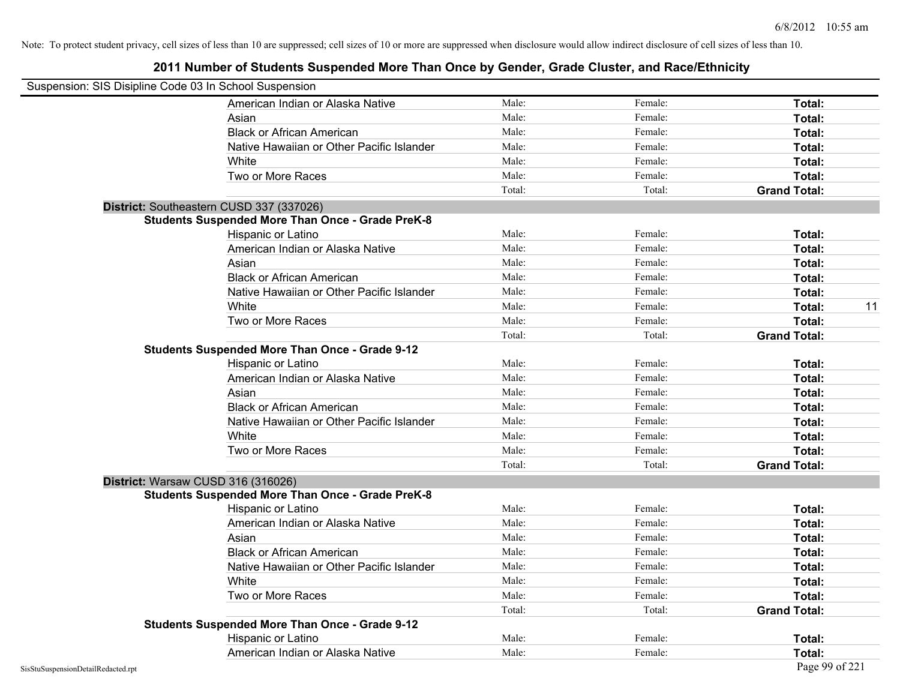| Suspension: SIS Disipline Code 03 In School Suspension |                                                         |        |         |                     |    |
|--------------------------------------------------------|---------------------------------------------------------|--------|---------|---------------------|----|
|                                                        | American Indian or Alaska Native                        | Male:  | Female: | Total:              |    |
|                                                        | Asian                                                   | Male:  | Female: | Total:              |    |
|                                                        | <b>Black or African American</b>                        | Male:  | Female: | Total:              |    |
|                                                        | Native Hawaiian or Other Pacific Islander               | Male:  | Female: | Total:              |    |
|                                                        | White                                                   | Male:  | Female: | Total:              |    |
|                                                        | Two or More Races                                       | Male:  | Female: | Total:              |    |
|                                                        |                                                         | Total: | Total:  | <b>Grand Total:</b> |    |
|                                                        | District: Southeastern CUSD 337 (337026)                |        |         |                     |    |
|                                                        | <b>Students Suspended More Than Once - Grade PreK-8</b> |        |         |                     |    |
|                                                        | Hispanic or Latino                                      | Male:  | Female: | Total:              |    |
|                                                        | American Indian or Alaska Native                        | Male:  | Female: | Total:              |    |
|                                                        | Asian                                                   | Male:  | Female: | Total:              |    |
|                                                        | <b>Black or African American</b>                        | Male:  | Female: | Total:              |    |
|                                                        | Native Hawaiian or Other Pacific Islander               | Male:  | Female: | Total:              |    |
|                                                        | White                                                   | Male:  | Female: | Total:              | 11 |
|                                                        | Two or More Races                                       | Male:  | Female: | Total:              |    |
|                                                        |                                                         | Total: | Total:  | <b>Grand Total:</b> |    |
|                                                        | <b>Students Suspended More Than Once - Grade 9-12</b>   |        |         |                     |    |
|                                                        | Hispanic or Latino                                      | Male:  | Female: | Total:              |    |
|                                                        | American Indian or Alaska Native                        | Male:  | Female: | Total:              |    |
|                                                        | Asian                                                   | Male:  | Female: | Total:              |    |
|                                                        | <b>Black or African American</b>                        | Male:  | Female: | Total:              |    |
|                                                        | Native Hawaiian or Other Pacific Islander               | Male:  | Female: | Total:              |    |
|                                                        | White                                                   | Male:  | Female: | Total:              |    |
|                                                        | Two or More Races                                       | Male:  | Female: | Total:              |    |
|                                                        |                                                         | Total: | Total:  | <b>Grand Total:</b> |    |
|                                                        | District: Warsaw CUSD 316 (316026)                      |        |         |                     |    |
|                                                        | <b>Students Suspended More Than Once - Grade PreK-8</b> |        |         |                     |    |
|                                                        | Hispanic or Latino                                      | Male:  | Female: | Total:              |    |
|                                                        | American Indian or Alaska Native                        | Male:  | Female: | Total:              |    |
|                                                        | Asian                                                   | Male:  | Female: | Total:              |    |
|                                                        | <b>Black or African American</b>                        | Male:  | Female: | Total:              |    |
|                                                        | Native Hawaiian or Other Pacific Islander               | Male:  | Female: | Total:              |    |
|                                                        | White                                                   | Male:  | Female: | Total:              |    |
|                                                        | Two or More Races                                       | Male:  | Female: | Total:              |    |
|                                                        |                                                         | Total: | Total:  | <b>Grand Total:</b> |    |
|                                                        | <b>Students Suspended More Than Once - Grade 9-12</b>   |        |         |                     |    |
|                                                        | Hispanic or Latino                                      | Male:  | Female: | Total:              |    |
|                                                        | American Indian or Alaska Native                        | Male:  | Female: | Total:              |    |
| SisStuSuspensionDetailRedacted.rpt                     |                                                         |        |         | Page 99 of 221      |    |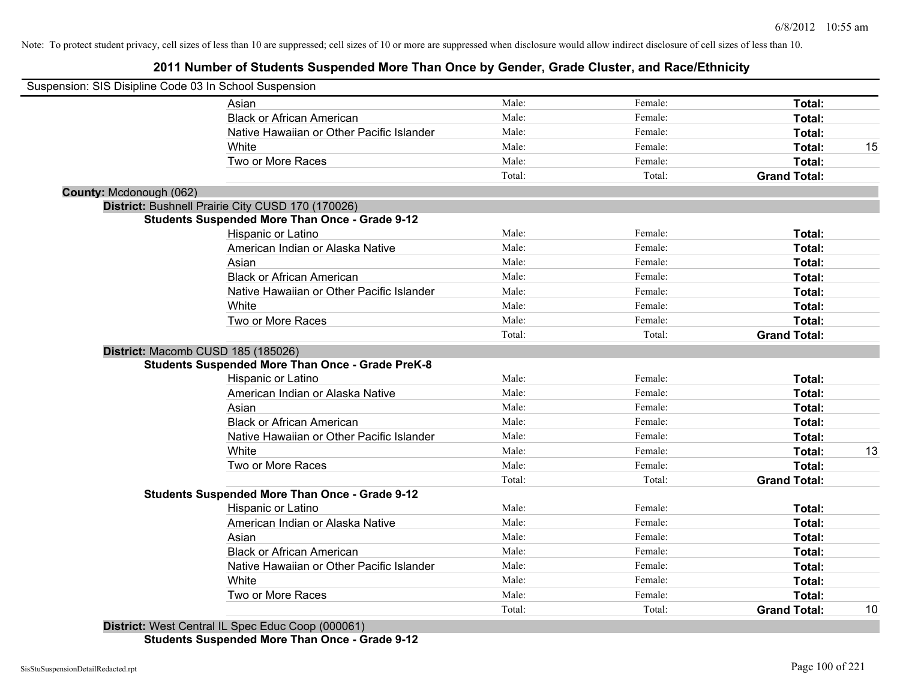# **2011 Number of Students Suspended More Than Once by Gender, Grade Cluster, and Race/Ethnicity**

| Suspension: SIS Disipline Code 03 In School Suspension  |        |         |                     |    |
|---------------------------------------------------------|--------|---------|---------------------|----|
| Asian                                                   | Male:  | Female: | Total:              |    |
| <b>Black or African American</b>                        | Male:  | Female: | Total:              |    |
| Native Hawaiian or Other Pacific Islander               | Male:  | Female: | Total:              |    |
| White                                                   | Male:  | Female: | Total:              | 15 |
| Two or More Races                                       | Male:  | Female: | Total:              |    |
|                                                         | Total: | Total:  | <b>Grand Total:</b> |    |
| County: Mcdonough (062)                                 |        |         |                     |    |
| District: Bushnell Prairie City CUSD 170 (170026)       |        |         |                     |    |
| <b>Students Suspended More Than Once - Grade 9-12</b>   |        |         |                     |    |
| Hispanic or Latino                                      | Male:  | Female: | Total:              |    |
| American Indian or Alaska Native                        | Male:  | Female: | Total:              |    |
| Asian                                                   | Male:  | Female: | Total:              |    |
| <b>Black or African American</b>                        | Male:  | Female: | Total:              |    |
| Native Hawaiian or Other Pacific Islander               | Male:  | Female: | Total:              |    |
| White                                                   | Male:  | Female: | Total:              |    |
| Two or More Races                                       | Male:  | Female: | Total:              |    |
|                                                         | Total: | Total:  | <b>Grand Total:</b> |    |
| District: Macomb CUSD 185 (185026)                      |        |         |                     |    |
| <b>Students Suspended More Than Once - Grade PreK-8</b> |        |         |                     |    |
| Hispanic or Latino                                      | Male:  | Female: | Total:              |    |
| American Indian or Alaska Native                        | Male:  | Female: | Total:              |    |
| Asian                                                   | Male:  | Female: | Total:              |    |
| <b>Black or African American</b>                        | Male:  | Female: | Total:              |    |
| Native Hawaiian or Other Pacific Islander               | Male:  | Female: | Total:              |    |
| White                                                   | Male:  | Female: | Total:              | 13 |
| Two or More Races                                       | Male:  | Female: | Total:              |    |
|                                                         | Total: | Total:  | <b>Grand Total:</b> |    |
| <b>Students Suspended More Than Once - Grade 9-12</b>   |        |         |                     |    |
| Hispanic or Latino                                      | Male:  | Female: | Total:              |    |
| American Indian or Alaska Native                        | Male:  | Female: | Total:              |    |
| Asian                                                   | Male:  | Female: | Total:              |    |
| <b>Black or African American</b>                        | Male:  | Female: | Total:              |    |
| Native Hawaiian or Other Pacific Islander               | Male:  | Female: | Total:              |    |
| White                                                   | Male:  | Female: | Total:              |    |
| Two or More Races                                       | Male:  | Female: | Total:              |    |
| District: West Central II, Spee Educ Cean (000061)      | Total: | Total:  | <b>Grand Total:</b> | 10 |

**District:** West Central IL Spec Educ Coop (000061) **Students Suspended More Than Once - Grade 9-12**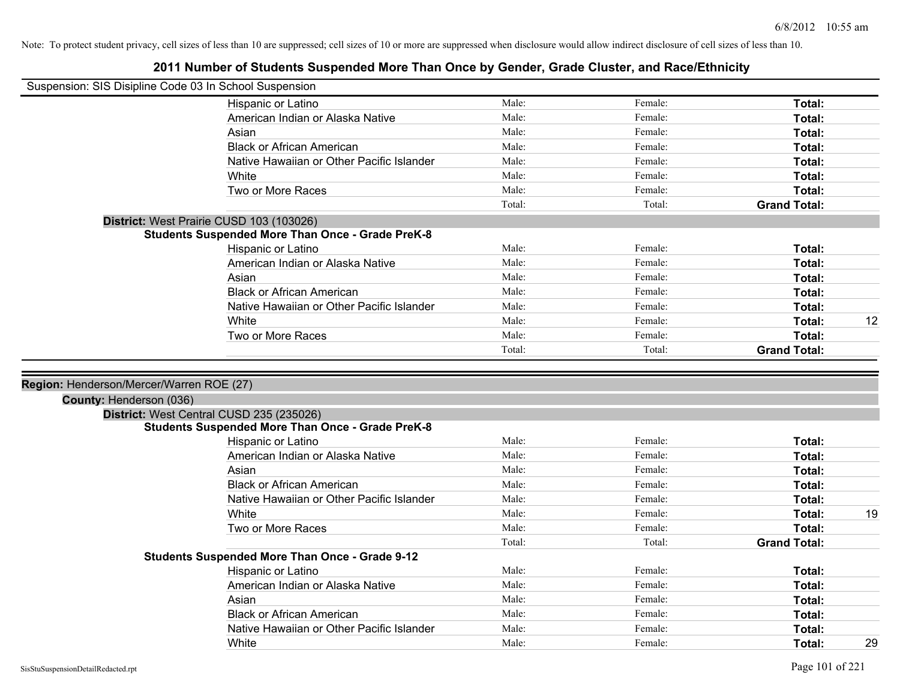| Suspension: SIS Disipline Code 03 In School Suspension |                                                         |        |         |                     |    |
|--------------------------------------------------------|---------------------------------------------------------|--------|---------|---------------------|----|
|                                                        | Hispanic or Latino                                      | Male:  | Female: | Total:              |    |
|                                                        | American Indian or Alaska Native                        | Male:  | Female: | Total:              |    |
|                                                        | Asian                                                   | Male:  | Female: | Total:              |    |
|                                                        | <b>Black or African American</b>                        | Male:  | Female: | Total:              |    |
|                                                        | Native Hawaiian or Other Pacific Islander               | Male:  | Female: | Total:              |    |
|                                                        | White                                                   | Male:  | Female: | Total:              |    |
|                                                        | Two or More Races                                       | Male:  | Female: | Total:              |    |
|                                                        |                                                         | Total: | Total:  | <b>Grand Total:</b> |    |
|                                                        | District: West Prairie CUSD 103 (103026)                |        |         |                     |    |
|                                                        | <b>Students Suspended More Than Once - Grade PreK-8</b> |        |         |                     |    |
|                                                        | Hispanic or Latino                                      | Male:  | Female: | Total:              |    |
|                                                        | American Indian or Alaska Native                        | Male:  | Female: | Total:              |    |
|                                                        | Asian                                                   | Male:  | Female: | Total:              |    |
|                                                        | <b>Black or African American</b>                        | Male:  | Female: | Total:              |    |
|                                                        | Native Hawaiian or Other Pacific Islander               | Male:  | Female: | Total:              |    |
|                                                        | White                                                   | Male:  | Female: | Total:              | 12 |
|                                                        | Two or More Races                                       | Male:  | Female: | <b>Total:</b>       |    |
|                                                        |                                                         | Total: | Total:  | <b>Grand Total:</b> |    |
| Region: Henderson/Mercer/Warren ROE (27)               |                                                         |        |         |                     |    |
| County: Henderson (036)                                |                                                         |        |         |                     |    |
|                                                        | District: West Central CUSD 235 (235026)                |        |         |                     |    |
|                                                        | <b>Students Suspended More Than Once - Grade PreK-8</b> |        |         |                     |    |
|                                                        | Hispanic or Latino                                      | Male:  | Female: | Total:              |    |
|                                                        | American Indian or Alaska Native                        | Male:  | Female: | Total:              |    |
|                                                        | Asian                                                   | Male:  | Female: | Total:              |    |
|                                                        | <b>Black or African American</b>                        | Male:  | Female: | Total:              |    |
|                                                        | Native Hawaiian or Other Pacific Islander               | Male:  | Female: | Total:              |    |
|                                                        | White                                                   | Male:  | Female: | Total:              | 19 |
|                                                        | Two or More Races                                       | Male:  | Female: | Total:              |    |
|                                                        |                                                         | Total: | Total:  | <b>Grand Total:</b> |    |
|                                                        | <b>Students Suspended More Than Once - Grade 9-12</b>   |        |         |                     |    |
|                                                        | Hispanic or Latino                                      | Male:  | Female: | Total:              |    |
|                                                        | American Indian or Alaska Native                        | Male:  | Female: | Total:              |    |
|                                                        | Asian                                                   | Male:  | Female: | Total:              |    |
|                                                        | <b>Black or African American</b>                        | Male:  | Female: | Total:              |    |
|                                                        | Native Hawaiian or Other Pacific Islander               | Male:  | Female: | <b>Total:</b>       |    |
|                                                        | White                                                   | Male:  | Female: | Total:              | 29 |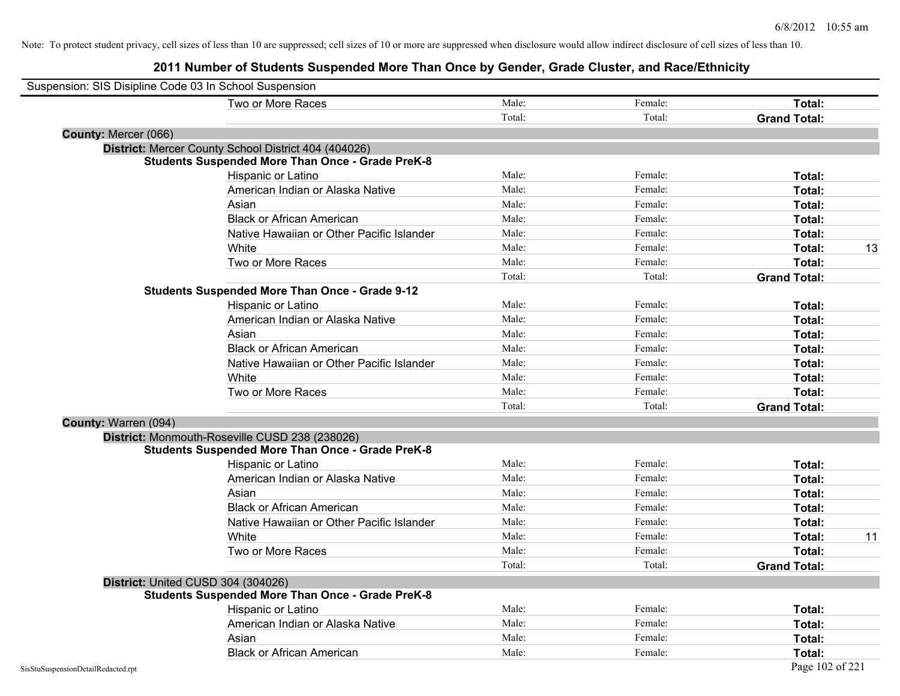| Suspension: SIS Disipline Code 03 In School Suspension |                                                         |        |         |                     |    |
|--------------------------------------------------------|---------------------------------------------------------|--------|---------|---------------------|----|
|                                                        | Two or More Races                                       | Male:  | Female: | Total:              |    |
|                                                        |                                                         | Total: | Total:  | <b>Grand Total:</b> |    |
| County: Mercer (066)                                   |                                                         |        |         |                     |    |
|                                                        | District: Mercer County School District 404 (404026)    |        |         |                     |    |
|                                                        | <b>Students Suspended More Than Once - Grade PreK-8</b> |        |         |                     |    |
|                                                        | Hispanic or Latino                                      | Male:  | Female: | Total:              |    |
|                                                        | American Indian or Alaska Native                        | Male:  | Female: | Total:              |    |
|                                                        | Asian                                                   | Male:  | Female: | Total:              |    |
|                                                        | <b>Black or African American</b>                        | Male:  | Female: | Total:              |    |
|                                                        | Native Hawaiian or Other Pacific Islander               | Male:  | Female: | Total:              |    |
|                                                        | White                                                   | Male:  | Female: | Total:              | 13 |
|                                                        | Two or More Races                                       | Male:  | Female: | Total:              |    |
|                                                        |                                                         | Total: | Total:  | <b>Grand Total:</b> |    |
|                                                        | <b>Students Suspended More Than Once - Grade 9-12</b>   |        |         |                     |    |
|                                                        | Hispanic or Latino                                      | Male:  | Female: | Total:              |    |
|                                                        | American Indian or Alaska Native                        | Male:  | Female: | Total:              |    |
|                                                        | Asian                                                   | Male:  | Female: | Total:              |    |
|                                                        | <b>Black or African American</b>                        | Male:  | Female: | Total:              |    |
|                                                        | Native Hawaiian or Other Pacific Islander               | Male:  | Female: | Total:              |    |
|                                                        | White                                                   | Male:  | Female: | Total:              |    |
|                                                        | Two or More Races                                       | Male:  | Female: | Total:              |    |
|                                                        |                                                         | Total: | Total:  | <b>Grand Total:</b> |    |
| County: Warren (094)                                   |                                                         |        |         |                     |    |
|                                                        | District: Monmouth-Roseville CUSD 238 (238026)          |        |         |                     |    |
|                                                        | <b>Students Suspended More Than Once - Grade PreK-8</b> |        |         |                     |    |
|                                                        | Hispanic or Latino                                      | Male:  | Female: | Total:              |    |
|                                                        | American Indian or Alaska Native                        | Male:  | Female: | Total:              |    |
|                                                        | Asian                                                   | Male:  | Female: | Total:              |    |
|                                                        | <b>Black or African American</b>                        | Male:  | Female: | Total:              |    |
|                                                        | Native Hawaiian or Other Pacific Islander               | Male:  | Female: | Total:              |    |
|                                                        | White                                                   | Male:  | Female: | Total:              | 11 |
|                                                        | Two or More Races                                       | Male:  | Female: | Total:              |    |
|                                                        |                                                         | Total: | Total:  | <b>Grand Total:</b> |    |
|                                                        | District: United CUSD 304 (304026)                      |        |         |                     |    |
|                                                        | <b>Students Suspended More Than Once - Grade PreK-8</b> |        |         |                     |    |
|                                                        | Hispanic or Latino                                      | Male:  | Female: | Total:              |    |
|                                                        | American Indian or Alaska Native                        | Male:  | Female: | Total:              |    |
|                                                        | Asian                                                   | Male:  | Female: | Total:              |    |
|                                                        | <b>Black or African American</b>                        | Male:  | Female: | Total:              |    |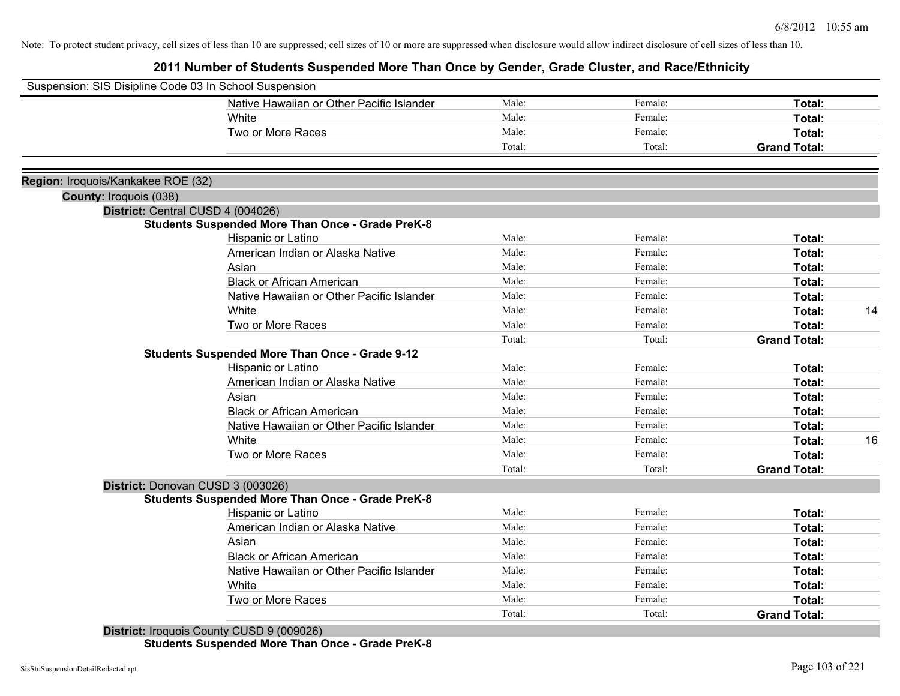**2011 Number of Students Suspended More Than Once by Gender, Grade Cluster, and Race/Ethnicity**

| Suspension: SIS Disipline Code 03 In School Suspension |                                                         |        |         |                     |    |
|--------------------------------------------------------|---------------------------------------------------------|--------|---------|---------------------|----|
|                                                        | Native Hawaiian or Other Pacific Islander               | Male:  | Female: | Total:              |    |
|                                                        | White                                                   | Male:  | Female: | Total:              |    |
|                                                        | Two or More Races                                       | Male:  | Female: | Total:              |    |
|                                                        |                                                         | Total: | Total:  | <b>Grand Total:</b> |    |
|                                                        |                                                         |        |         |                     |    |
| Region: Iroquois/Kankakee ROE (32)                     |                                                         |        |         |                     |    |
| County: Iroquois (038)                                 |                                                         |        |         |                     |    |
|                                                        | District: Central CUSD 4 (004026)                       |        |         |                     |    |
|                                                        | <b>Students Suspended More Than Once - Grade PreK-8</b> |        |         |                     |    |
|                                                        | Hispanic or Latino                                      | Male:  | Female: | Total:              |    |
|                                                        | American Indian or Alaska Native                        | Male:  | Female: | Total:              |    |
|                                                        | Asian                                                   | Male:  | Female: | Total:              |    |
|                                                        | <b>Black or African American</b>                        | Male:  | Female: | Total:              |    |
|                                                        | Native Hawaiian or Other Pacific Islander               | Male:  | Female: | Total:              |    |
|                                                        | White                                                   | Male:  | Female: | Total:              | 14 |
|                                                        | Two or More Races                                       | Male:  | Female: | Total:              |    |
|                                                        |                                                         | Total: | Total:  | <b>Grand Total:</b> |    |
|                                                        | <b>Students Suspended More Than Once - Grade 9-12</b>   |        |         |                     |    |
|                                                        | Hispanic or Latino                                      | Male:  | Female: | Total:              |    |
|                                                        | American Indian or Alaska Native                        | Male:  | Female: | Total:              |    |
|                                                        | Asian                                                   | Male:  | Female: | Total:              |    |
|                                                        | <b>Black or African American</b>                        | Male:  | Female: | Total:              |    |
|                                                        | Native Hawaiian or Other Pacific Islander               | Male:  | Female: | Total:              |    |
|                                                        | White                                                   | Male:  | Female: | Total:              | 16 |
|                                                        | Two or More Races                                       | Male:  | Female: | Total:              |    |
|                                                        |                                                         | Total: | Total:  | <b>Grand Total:</b> |    |
|                                                        | District: Donovan CUSD 3 (003026)                       |        |         |                     |    |
|                                                        | <b>Students Suspended More Than Once - Grade PreK-8</b> |        |         |                     |    |
|                                                        | Hispanic or Latino                                      | Male:  | Female: | Total:              |    |
|                                                        | American Indian or Alaska Native                        | Male:  | Female: | Total:              |    |
|                                                        | Asian                                                   | Male:  | Female: | Total:              |    |
|                                                        | <b>Black or African American</b>                        | Male:  | Female: | Total:              |    |
|                                                        | Native Hawaiian or Other Pacific Islander               | Male:  | Female: | Total:              |    |
|                                                        | White                                                   | Male:  | Female: | Total:              |    |
|                                                        | Two or More Races                                       | Male:  | Female: | Total:              |    |
|                                                        |                                                         | Total: | Total:  | <b>Grand Total:</b> |    |
|                                                        |                                                         |        |         |                     |    |

**District:** Iroquois County CUSD 9 (009026) **Students Suspended More Than Once - Grade PreK-8**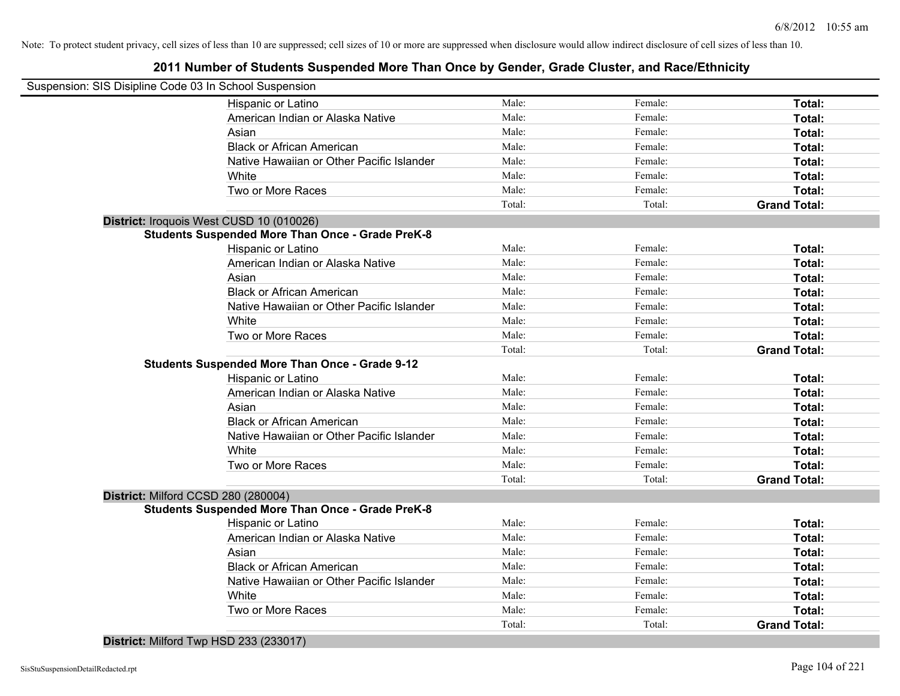# **2011 Number of Students Suspended More Than Once by Gender, Grade Cluster, and Race/Ethnicity**

| Suspension: SIS Disipline Code 03 In School Suspension  |        |         |                     |
|---------------------------------------------------------|--------|---------|---------------------|
| Hispanic or Latino                                      | Male:  | Female: | Total:              |
| American Indian or Alaska Native                        | Male:  | Female: | Total:              |
| Asian                                                   | Male:  | Female: | Total:              |
| <b>Black or African American</b>                        | Male:  | Female: | Total:              |
| Native Hawaiian or Other Pacific Islander               | Male:  | Female: | Total:              |
| White                                                   | Male:  | Female: | Total:              |
| Two or More Races                                       | Male:  | Female: | Total:              |
|                                                         | Total: | Total:  | <b>Grand Total:</b> |
| District: Iroquois West CUSD 10 (010026)                |        |         |                     |
| <b>Students Suspended More Than Once - Grade PreK-8</b> |        |         |                     |
| Hispanic or Latino                                      | Male:  | Female: | Total:              |
| American Indian or Alaska Native                        | Male:  | Female: | Total:              |
| Asian                                                   | Male:  | Female: | Total:              |
| <b>Black or African American</b>                        | Male:  | Female: | Total:              |
| Native Hawaiian or Other Pacific Islander               | Male:  | Female: | Total:              |
| White                                                   | Male:  | Female: | Total:              |
| Two or More Races                                       | Male:  | Female: | Total:              |
|                                                         | Total: | Total:  | <b>Grand Total:</b> |
| <b>Students Suspended More Than Once - Grade 9-12</b>   |        |         |                     |
| Hispanic or Latino                                      | Male:  | Female: | Total:              |
| American Indian or Alaska Native                        | Male:  | Female: | Total:              |
| Asian                                                   | Male:  | Female: | Total:              |
| <b>Black or African American</b>                        | Male:  | Female: | Total:              |
| Native Hawaiian or Other Pacific Islander               | Male:  | Female: | Total:              |
| White                                                   | Male:  | Female: | Total:              |
| Two or More Races                                       | Male:  | Female: | Total:              |
|                                                         | Total: | Total:  | <b>Grand Total:</b> |
| District: Milford CCSD 280 (280004)                     |        |         |                     |
| <b>Students Suspended More Than Once - Grade PreK-8</b> |        |         |                     |
| Hispanic or Latino                                      | Male:  | Female: | Total:              |
| American Indian or Alaska Native                        | Male:  | Female: | Total:              |
| Asian                                                   | Male:  | Female: | Total:              |
| <b>Black or African American</b>                        | Male:  | Female: | Total:              |
| Native Hawaiian or Other Pacific Islander               | Male:  | Female: | Total:              |
| White                                                   | Male:  | Female: | Total:              |
| Two or More Races                                       | Male:  | Female: | Total:              |
|                                                         | Total: | Total:  | <b>Grand Total:</b> |
|                                                         |        |         |                     |

**District:** Milford Twp HSD 233 (233017)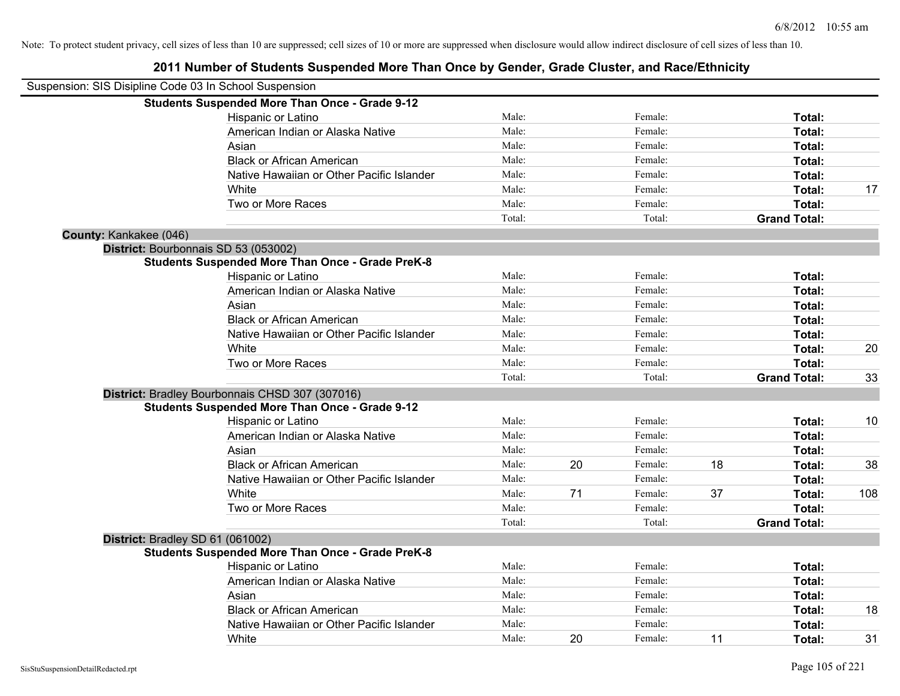|                        | Suspension: SIS Disipline Code 03 In School Suspension  |        |    |         |    |                     |     |
|------------------------|---------------------------------------------------------|--------|----|---------|----|---------------------|-----|
|                        | <b>Students Suspended More Than Once - Grade 9-12</b>   |        |    |         |    |                     |     |
|                        | Hispanic or Latino                                      | Male:  |    | Female: |    | Total:              |     |
|                        | American Indian or Alaska Native                        | Male:  |    | Female: |    | <b>Total:</b>       |     |
|                        | Asian                                                   | Male:  |    | Female: |    | <b>Total:</b>       |     |
|                        | <b>Black or African American</b>                        | Male:  |    | Female: |    | Total:              |     |
|                        | Native Hawaiian or Other Pacific Islander               | Male:  |    | Female: |    | <b>Total:</b>       |     |
|                        | White                                                   | Male:  |    | Female: |    | Total:              | 17  |
|                        | Two or More Races                                       | Male:  |    | Female: |    | Total:              |     |
|                        |                                                         | Total: |    | Total:  |    | <b>Grand Total:</b> |     |
| County: Kankakee (046) |                                                         |        |    |         |    |                     |     |
|                        | District: Bourbonnais SD 53 (053002)                    |        |    |         |    |                     |     |
|                        | <b>Students Suspended More Than Once - Grade PreK-8</b> |        |    |         |    |                     |     |
|                        | Hispanic or Latino                                      | Male:  |    | Female: |    | Total:              |     |
|                        | American Indian or Alaska Native                        | Male:  |    | Female: |    | Total:              |     |
|                        | Asian                                                   | Male:  |    | Female: |    | Total:              |     |
|                        | <b>Black or African American</b>                        | Male:  |    | Female: |    | Total:              |     |
|                        | Native Hawaiian or Other Pacific Islander               | Male:  |    | Female: |    | Total:              |     |
|                        | White                                                   | Male:  |    | Female: |    | Total:              | 20  |
|                        | Two or More Races                                       | Male:  |    | Female: |    | Total:              |     |
|                        |                                                         | Total: |    | Total:  |    | <b>Grand Total:</b> | 33  |
|                        | District: Bradley Bourbonnais CHSD 307 (307016)         |        |    |         |    |                     |     |
|                        | <b>Students Suspended More Than Once - Grade 9-12</b>   |        |    |         |    |                     |     |
|                        | Hispanic or Latino                                      | Male:  |    | Female: |    | Total:              | 10  |
|                        | American Indian or Alaska Native                        | Male:  |    | Female: |    | Total:              |     |
|                        | Asian                                                   | Male:  |    | Female: |    | Total:              |     |
|                        | <b>Black or African American</b>                        | Male:  | 20 | Female: | 18 | Total:              | 38  |
|                        | Native Hawaiian or Other Pacific Islander               | Male:  |    | Female: |    | Total:              |     |
|                        | White                                                   | Male:  | 71 | Female: | 37 | Total:              | 108 |
|                        | Two or More Races                                       | Male:  |    | Female: |    | Total:              |     |
|                        |                                                         | Total: |    | Total:  |    | <b>Grand Total:</b> |     |
|                        | District: Bradley SD 61 (061002)                        |        |    |         |    |                     |     |
|                        | <b>Students Suspended More Than Once - Grade PreK-8</b> |        |    |         |    |                     |     |
|                        | Hispanic or Latino                                      | Male:  |    | Female: |    | Total:              |     |
|                        | American Indian or Alaska Native                        | Male:  |    | Female: |    | Total:              |     |
|                        | Asian                                                   | Male:  |    | Female: |    | Total:              |     |
|                        | <b>Black or African American</b>                        | Male:  |    | Female: |    | Total:              | 18  |
|                        | Native Hawaiian or Other Pacific Islander               | Male:  |    | Female: |    | Total:              |     |
|                        | White                                                   | Male:  | 20 | Female: | 11 | Total:              | 31  |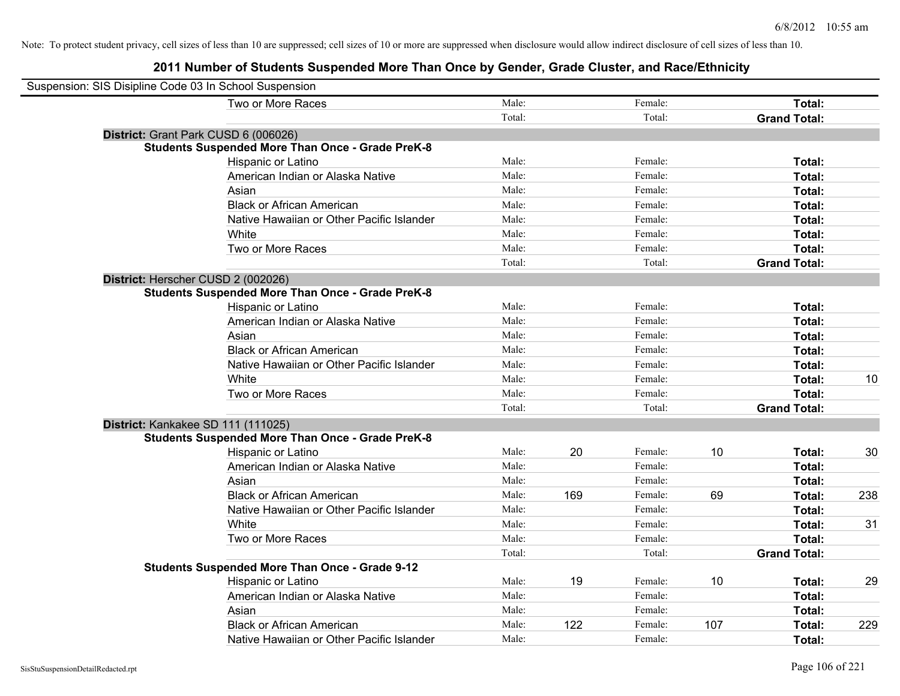| Suspension: SIS Disipline Code 03 In School Suspension |                                                         |        |     |         |     |                     |     |
|--------------------------------------------------------|---------------------------------------------------------|--------|-----|---------|-----|---------------------|-----|
|                                                        | Two or More Races                                       | Male:  |     | Female: |     | Total:              |     |
|                                                        |                                                         | Total: |     | Total:  |     | <b>Grand Total:</b> |     |
| District: Grant Park CUSD 6 (006026)                   |                                                         |        |     |         |     |                     |     |
|                                                        | <b>Students Suspended More Than Once - Grade PreK-8</b> |        |     |         |     |                     |     |
|                                                        | Hispanic or Latino                                      | Male:  |     | Female: |     | Total:              |     |
|                                                        | American Indian or Alaska Native                        | Male:  |     | Female: |     | Total:              |     |
|                                                        | Asian                                                   | Male:  |     | Female: |     | Total:              |     |
|                                                        | <b>Black or African American</b>                        | Male:  |     | Female: |     | Total:              |     |
|                                                        | Native Hawaiian or Other Pacific Islander               | Male:  |     | Female: |     | Total:              |     |
|                                                        | White                                                   | Male:  |     | Female: |     | Total:              |     |
|                                                        | Two or More Races                                       | Male:  |     | Female: |     | Total:              |     |
|                                                        |                                                         | Total: |     | Total:  |     | <b>Grand Total:</b> |     |
| District: Herscher CUSD 2 (002026)                     |                                                         |        |     |         |     |                     |     |
|                                                        | <b>Students Suspended More Than Once - Grade PreK-8</b> |        |     |         |     |                     |     |
|                                                        | Hispanic or Latino                                      | Male:  |     | Female: |     | Total:              |     |
|                                                        | American Indian or Alaska Native                        | Male:  |     | Female: |     | Total:              |     |
|                                                        | Asian                                                   | Male:  |     | Female: |     | Total:              |     |
|                                                        | <b>Black or African American</b>                        | Male:  |     | Female: |     | Total:              |     |
|                                                        | Native Hawaiian or Other Pacific Islander               | Male:  |     | Female: |     | Total:              |     |
|                                                        | White                                                   | Male:  |     | Female: |     | Total:              | 10  |
|                                                        | Two or More Races                                       | Male:  |     | Female: |     | Total:              |     |
|                                                        |                                                         | Total: |     | Total:  |     | <b>Grand Total:</b> |     |
| District: Kankakee SD 111 (111025)                     |                                                         |        |     |         |     |                     |     |
|                                                        | <b>Students Suspended More Than Once - Grade PreK-8</b> |        |     |         |     |                     |     |
|                                                        | Hispanic or Latino                                      | Male:  | 20  | Female: | 10  | Total:              | 30  |
|                                                        | American Indian or Alaska Native                        | Male:  |     | Female: |     | Total:              |     |
|                                                        | Asian                                                   | Male:  |     | Female: |     | Total:              |     |
|                                                        | <b>Black or African American</b>                        | Male:  | 169 | Female: | 69  | Total:              | 238 |
|                                                        | Native Hawaiian or Other Pacific Islander               | Male:  |     | Female: |     | Total:              |     |
|                                                        | White                                                   | Male:  |     | Female: |     | Total:              | 31  |
|                                                        | Two or More Races                                       | Male:  |     | Female: |     | Total:              |     |
|                                                        |                                                         | Total: |     | Total:  |     | <b>Grand Total:</b> |     |
|                                                        | <b>Students Suspended More Than Once - Grade 9-12</b>   |        |     |         |     |                     |     |
|                                                        | Hispanic or Latino                                      | Male:  | 19  | Female: | 10  | Total:              | 29  |
|                                                        | American Indian or Alaska Native                        | Male:  |     | Female: |     | Total:              |     |
|                                                        | Asian                                                   | Male:  |     | Female: |     | Total:              |     |
|                                                        | <b>Black or African American</b>                        | Male:  | 122 | Female: | 107 | Total:              | 229 |
|                                                        | Native Hawaiian or Other Pacific Islander               | Male:  |     | Female: |     | Total:              |     |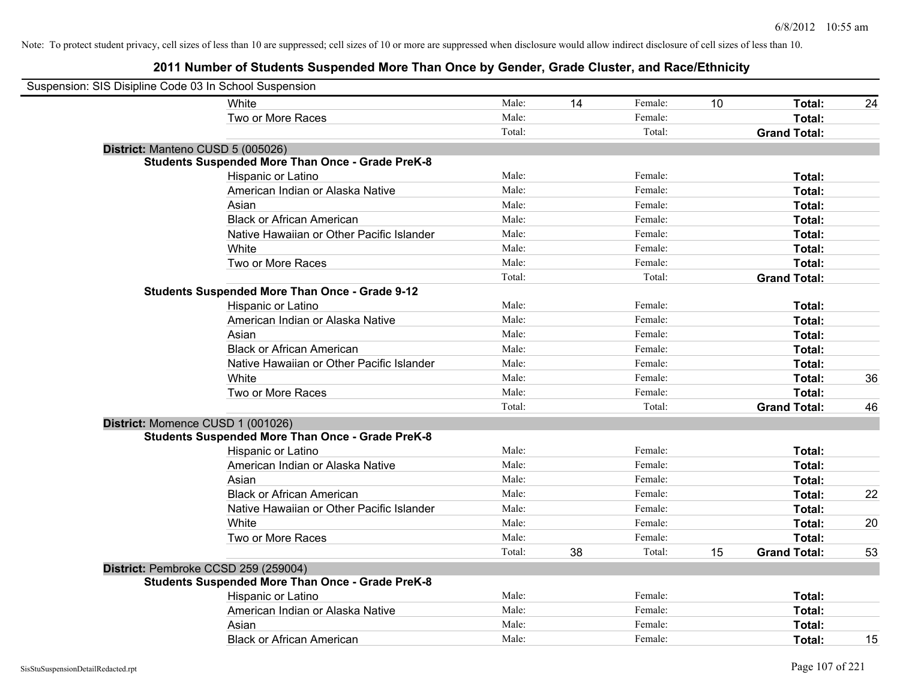| Suspension: SIS Disipline Code 03 In School Suspension  |        |    |         |    |                     |    |
|---------------------------------------------------------|--------|----|---------|----|---------------------|----|
| <b>White</b>                                            | Male:  | 14 | Female: | 10 | Total:              | 24 |
| Two or More Races                                       | Male:  |    | Female: |    | Total:              |    |
|                                                         | Total: |    | Total:  |    | <b>Grand Total:</b> |    |
| District: Manteno CUSD 5 (005026)                       |        |    |         |    |                     |    |
| <b>Students Suspended More Than Once - Grade PreK-8</b> |        |    |         |    |                     |    |
| Hispanic or Latino                                      | Male:  |    | Female: |    | Total:              |    |
| American Indian or Alaska Native                        | Male:  |    | Female: |    | Total:              |    |
| Asian                                                   | Male:  |    | Female: |    | Total:              |    |
| <b>Black or African American</b>                        | Male:  |    | Female: |    | Total:              |    |
| Native Hawaiian or Other Pacific Islander               | Male:  |    | Female: |    | Total:              |    |
| White                                                   | Male:  |    | Female: |    | Total:              |    |
| Two or More Races                                       | Male:  |    | Female: |    | Total:              |    |
|                                                         | Total: |    | Total:  |    | <b>Grand Total:</b> |    |
| <b>Students Suspended More Than Once - Grade 9-12</b>   |        |    |         |    |                     |    |
| Hispanic or Latino                                      | Male:  |    | Female: |    | Total:              |    |
| American Indian or Alaska Native                        | Male:  |    | Female: |    | Total:              |    |
| Asian                                                   | Male:  |    | Female: |    | Total:              |    |
| <b>Black or African American</b>                        | Male:  |    | Female: |    | Total:              |    |
| Native Hawaiian or Other Pacific Islander               | Male:  |    | Female: |    | Total:              |    |
| White                                                   | Male:  |    | Female: |    | Total:              | 36 |
| Two or More Races                                       | Male:  |    | Female: |    | Total:              |    |
|                                                         | Total: |    | Total:  |    | <b>Grand Total:</b> | 46 |
| District: Momence CUSD 1 (001026)                       |        |    |         |    |                     |    |
| <b>Students Suspended More Than Once - Grade PreK-8</b> |        |    |         |    |                     |    |
| Hispanic or Latino                                      | Male:  |    | Female: |    | Total:              |    |
| American Indian or Alaska Native                        | Male:  |    | Female: |    | Total:              |    |
| Asian                                                   | Male:  |    | Female: |    | Total:              |    |
| <b>Black or African American</b>                        | Male:  |    | Female: |    | Total:              | 22 |
| Native Hawaiian or Other Pacific Islander               | Male:  |    | Female: |    | Total:              |    |
| White                                                   | Male:  |    | Female: |    | Total:              | 20 |
| Two or More Races                                       | Male:  |    | Female: |    | Total:              |    |
|                                                         | Total: | 38 | Total:  | 15 | <b>Grand Total:</b> | 53 |
| District: Pembroke CCSD 259 (259004)                    |        |    |         |    |                     |    |
| <b>Students Suspended More Than Once - Grade PreK-8</b> |        |    |         |    |                     |    |
| Hispanic or Latino                                      | Male:  |    | Female: |    | Total:              |    |
| American Indian or Alaska Native                        | Male:  |    | Female: |    | Total:              |    |
| Asian                                                   | Male:  |    | Female: |    | Total:              |    |
| <b>Black or African American</b>                        | Male:  |    | Female: |    | Total:              | 15 |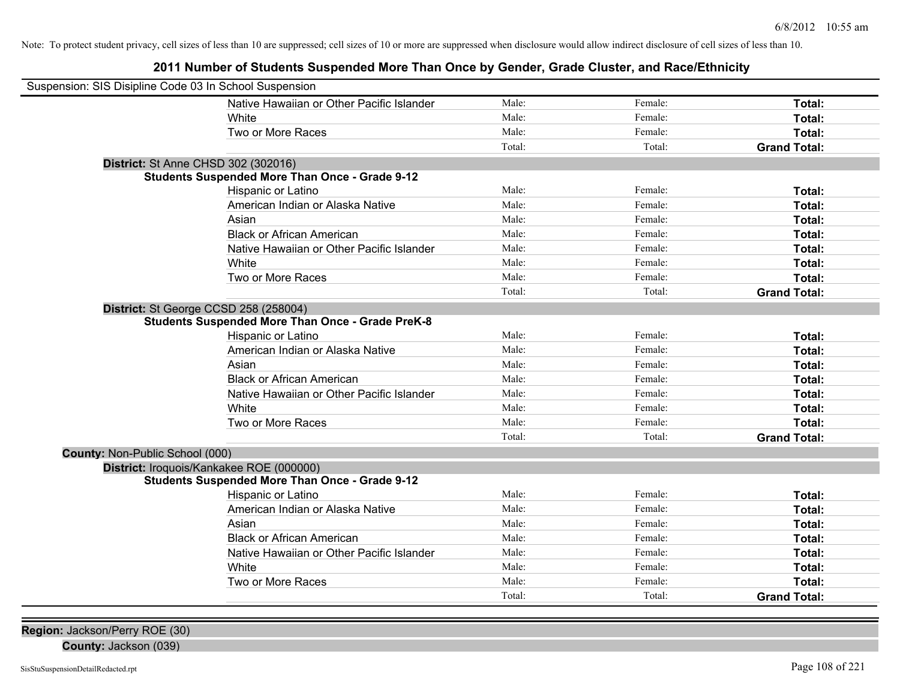**2011 Number of Students Suspended More Than Once by Gender, Grade Cluster, and Race/Ethnicity**

| Suspension: SIS Disipline Code 03 In School Suspension  |                                           |        |         |                     |
|---------------------------------------------------------|-------------------------------------------|--------|---------|---------------------|
|                                                         | Native Hawaiian or Other Pacific Islander | Male:  | Female: | Total:              |
| <b>White</b>                                            |                                           | Male:  | Female: | Total:              |
|                                                         | Two or More Races                         | Male:  | Female: | Total:              |
|                                                         |                                           | Total: | Total:  | <b>Grand Total:</b> |
| District: St Anne CHSD 302 (302016)                     |                                           |        |         |                     |
| <b>Students Suspended More Than Once - Grade 9-12</b>   |                                           |        |         |                     |
|                                                         | Hispanic or Latino                        | Male:  | Female: | Total:              |
|                                                         | American Indian or Alaska Native          | Male:  | Female: | Total:              |
| Asian                                                   |                                           | Male:  | Female: | Total:              |
|                                                         | <b>Black or African American</b>          | Male:  | Female: | Total:              |
|                                                         | Native Hawaiian or Other Pacific Islander | Male:  | Female: | Total:              |
| White                                                   |                                           | Male:  | Female: | Total:              |
|                                                         | Two or More Races                         | Male:  | Female: | Total:              |
|                                                         |                                           | Total: | Total:  | <b>Grand Total:</b> |
| District: St George CCSD 258 (258004)                   |                                           |        |         |                     |
| <b>Students Suspended More Than Once - Grade PreK-8</b> |                                           |        |         |                     |
|                                                         | Hispanic or Latino                        | Male:  | Female: | Total:              |
|                                                         | American Indian or Alaska Native          | Male:  | Female: | Total:              |
| Asian                                                   |                                           | Male:  | Female: | Total:              |
|                                                         | <b>Black or African American</b>          | Male:  | Female: | Total:              |
|                                                         | Native Hawaiian or Other Pacific Islander | Male:  | Female: | Total:              |
| White                                                   |                                           | Male:  | Female: | Total:              |
|                                                         | Two or More Races                         | Male:  | Female: | Total:              |
|                                                         |                                           | Total: | Total:  | <b>Grand Total:</b> |
| County: Non-Public School (000)                         |                                           |        |         |                     |
| District: Iroquois/Kankakee ROE (000000)                |                                           |        |         |                     |
| <b>Students Suspended More Than Once - Grade 9-12</b>   |                                           |        |         |                     |
|                                                         | Hispanic or Latino                        | Male:  | Female: | Total:              |
|                                                         | American Indian or Alaska Native          | Male:  | Female: | Total:              |
| Asian                                                   |                                           | Male:  | Female: | Total:              |
|                                                         | <b>Black or African American</b>          | Male:  | Female: | Total:              |
|                                                         | Native Hawaiian or Other Pacific Islander | Male:  | Female: | Total:              |
| White                                                   |                                           | Male:  | Female: | Total:              |
|                                                         | Two or More Races                         | Male:  | Female: | Total:              |
|                                                         |                                           | Total: | Total:  | <b>Grand Total:</b> |

**County:** Jackson (039)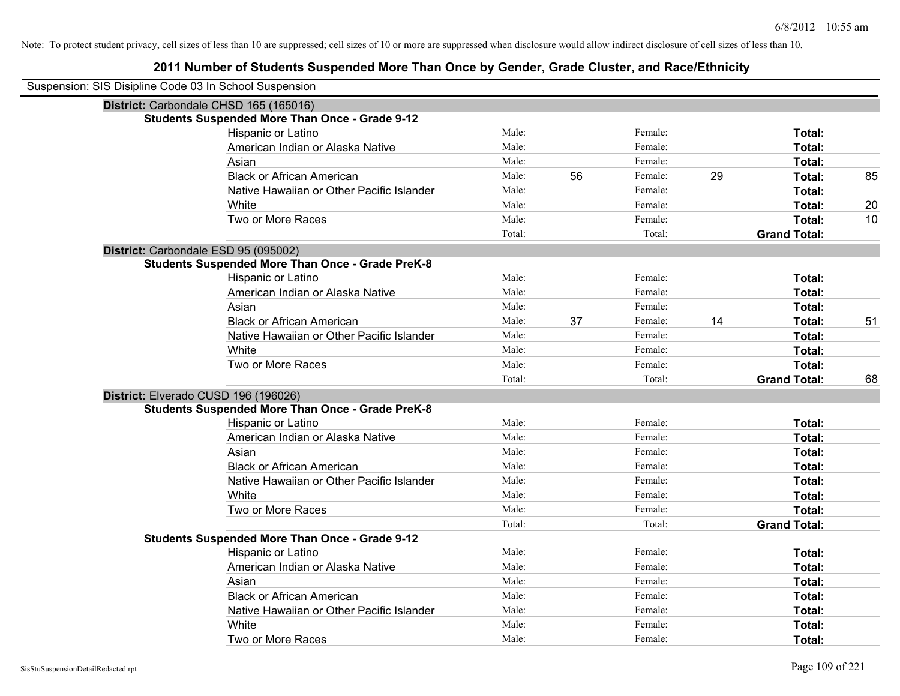| Suspension: SIS Disipline Code 03 In School Suspension |                                                         |        |    |         |    |                     |    |
|--------------------------------------------------------|---------------------------------------------------------|--------|----|---------|----|---------------------|----|
|                                                        | District: Carbondale CHSD 165 (165016)                  |        |    |         |    |                     |    |
|                                                        | <b>Students Suspended More Than Once - Grade 9-12</b>   |        |    |         |    |                     |    |
|                                                        | Hispanic or Latino                                      | Male:  |    | Female: |    | Total:              |    |
|                                                        | American Indian or Alaska Native                        | Male:  |    | Female: |    | Total:              |    |
|                                                        | Asian                                                   | Male:  |    | Female: |    | Total:              |    |
|                                                        | <b>Black or African American</b>                        | Male:  | 56 | Female: | 29 | Total:              | 85 |
|                                                        | Native Hawaiian or Other Pacific Islander               | Male:  |    | Female: |    | Total:              |    |
|                                                        | White                                                   | Male:  |    | Female: |    | Total:              | 20 |
|                                                        | Two or More Races                                       | Male:  |    | Female: |    | Total:              | 10 |
|                                                        |                                                         | Total: |    | Total:  |    | <b>Grand Total:</b> |    |
|                                                        | District: Carbondale ESD 95 (095002)                    |        |    |         |    |                     |    |
|                                                        | <b>Students Suspended More Than Once - Grade PreK-8</b> |        |    |         |    |                     |    |
|                                                        | Hispanic or Latino                                      | Male:  |    | Female: |    | Total:              |    |
|                                                        | American Indian or Alaska Native                        | Male:  |    | Female: |    | Total:              |    |
|                                                        | Asian                                                   | Male:  |    | Female: |    | Total:              |    |
|                                                        | <b>Black or African American</b>                        | Male:  | 37 | Female: | 14 | Total:              | 51 |
|                                                        | Native Hawaiian or Other Pacific Islander               | Male:  |    | Female: |    | Total:              |    |
|                                                        | White                                                   | Male:  |    | Female: |    | Total:              |    |
|                                                        | Two or More Races                                       | Male:  |    | Female: |    | Total:              |    |
|                                                        |                                                         | Total: |    | Total:  |    | <b>Grand Total:</b> | 68 |
|                                                        | District: Elverado CUSD 196 (196026)                    |        |    |         |    |                     |    |
|                                                        | <b>Students Suspended More Than Once - Grade PreK-8</b> |        |    |         |    |                     |    |
|                                                        | Hispanic or Latino                                      | Male:  |    | Female: |    | Total:              |    |
|                                                        | American Indian or Alaska Native                        | Male:  |    | Female: |    | Total:              |    |
|                                                        | Asian                                                   | Male:  |    | Female: |    | <b>Total:</b>       |    |
|                                                        | <b>Black or African American</b>                        | Male:  |    | Female: |    | Total:              |    |
|                                                        | Native Hawaiian or Other Pacific Islander               | Male:  |    | Female: |    | <b>Total:</b>       |    |
|                                                        | White                                                   | Male:  |    | Female: |    | Total:              |    |
|                                                        | Two or More Races                                       | Male:  |    | Female: |    | Total:              |    |
|                                                        |                                                         | Total: |    | Total:  |    | <b>Grand Total:</b> |    |
|                                                        | <b>Students Suspended More Than Once - Grade 9-12</b>   |        |    |         |    |                     |    |
|                                                        | Hispanic or Latino                                      | Male:  |    | Female: |    | Total:              |    |
|                                                        | American Indian or Alaska Native                        | Male:  |    | Female: |    | Total:              |    |
|                                                        | Asian                                                   | Male:  |    | Female: |    | Total:              |    |
|                                                        | <b>Black or African American</b>                        | Male:  |    | Female: |    | Total:              |    |
|                                                        | Native Hawaiian or Other Pacific Islander               | Male:  |    | Female: |    | Total:              |    |
|                                                        | White                                                   | Male:  |    | Female: |    | Total:              |    |
|                                                        | Two or More Races                                       | Male:  |    | Female: |    | Total:              |    |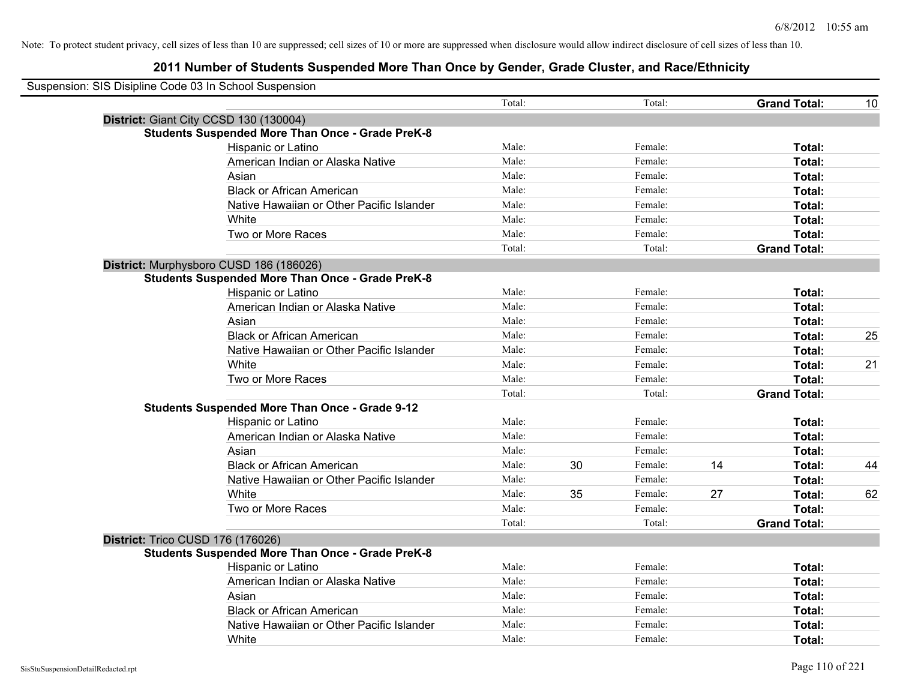| Suspension: SIS Disipline Code 03 In School Suspension |                                                         |        |    |         |    |                     |    |
|--------------------------------------------------------|---------------------------------------------------------|--------|----|---------|----|---------------------|----|
|                                                        |                                                         | Total: |    | Total:  |    | <b>Grand Total:</b> | 10 |
|                                                        | District: Giant City CCSD 130 (130004)                  |        |    |         |    |                     |    |
|                                                        | <b>Students Suspended More Than Once - Grade PreK-8</b> |        |    |         |    |                     |    |
|                                                        | Hispanic or Latino                                      | Male:  |    | Female: |    | Total:              |    |
|                                                        | American Indian or Alaska Native                        | Male:  |    | Female: |    | Total:              |    |
|                                                        | Asian                                                   | Male:  |    | Female: |    | Total:              |    |
|                                                        | <b>Black or African American</b>                        | Male:  |    | Female: |    | Total:              |    |
|                                                        | Native Hawaiian or Other Pacific Islander               | Male:  |    | Female: |    | Total:              |    |
|                                                        | White                                                   | Male:  |    | Female: |    | Total:              |    |
|                                                        | Two or More Races                                       | Male:  |    | Female: |    | Total:              |    |
|                                                        |                                                         | Total: |    | Total:  |    | <b>Grand Total:</b> |    |
|                                                        | District: Murphysboro CUSD 186 (186026)                 |        |    |         |    |                     |    |
|                                                        | <b>Students Suspended More Than Once - Grade PreK-8</b> |        |    |         |    |                     |    |
|                                                        | Hispanic or Latino                                      | Male:  |    | Female: |    | Total:              |    |
|                                                        | American Indian or Alaska Native                        | Male:  |    | Female: |    | Total:              |    |
|                                                        | Asian                                                   | Male:  |    | Female: |    | Total:              |    |
|                                                        | <b>Black or African American</b>                        | Male:  |    | Female: |    | Total:              | 25 |
|                                                        | Native Hawaiian or Other Pacific Islander               | Male:  |    | Female: |    | Total:              |    |
|                                                        | White                                                   | Male:  |    | Female: |    | Total:              | 21 |
|                                                        | Two or More Races                                       | Male:  |    | Female: |    | Total:              |    |
|                                                        |                                                         | Total: |    | Total:  |    | <b>Grand Total:</b> |    |
|                                                        | Students Suspended More Than Once - Grade 9-12          |        |    |         |    |                     |    |
|                                                        | Hispanic or Latino                                      | Male:  |    | Female: |    | Total:              |    |
|                                                        | American Indian or Alaska Native                        | Male:  |    | Female: |    | Total:              |    |
|                                                        | Asian                                                   | Male:  |    | Female: |    | Total:              |    |
|                                                        | <b>Black or African American</b>                        | Male:  | 30 | Female: | 14 | Total:              | 44 |
|                                                        | Native Hawaiian or Other Pacific Islander               | Male:  |    | Female: |    | Total:              |    |
|                                                        | White                                                   | Male:  | 35 | Female: | 27 | Total:              | 62 |
|                                                        | Two or More Races                                       | Male:  |    | Female: |    | Total:              |    |
|                                                        |                                                         | Total: |    | Total:  |    | <b>Grand Total:</b> |    |
| District: Trico CUSD 176 (176026)                      |                                                         |        |    |         |    |                     |    |
|                                                        | <b>Students Suspended More Than Once - Grade PreK-8</b> |        |    |         |    |                     |    |
|                                                        | Hispanic or Latino                                      | Male:  |    | Female: |    | Total:              |    |
|                                                        | American Indian or Alaska Native                        | Male:  |    | Female: |    | Total:              |    |
|                                                        | Asian                                                   | Male:  |    | Female: |    | Total:              |    |
|                                                        | <b>Black or African American</b>                        | Male:  |    | Female: |    | Total:              |    |
|                                                        | Native Hawaiian or Other Pacific Islander               | Male:  |    | Female: |    | Total:              |    |
|                                                        | White                                                   | Male:  |    | Female: |    | Total:              |    |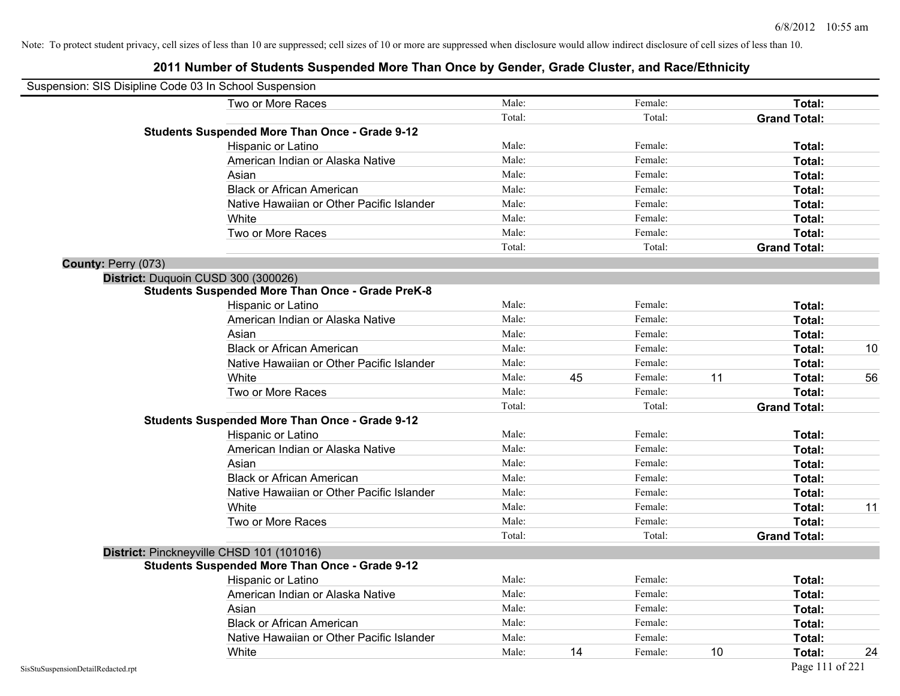| Suspension: SIS Disipline Code 03 In School Suspension |                                                         |        |    |         |    |                     |    |
|--------------------------------------------------------|---------------------------------------------------------|--------|----|---------|----|---------------------|----|
|                                                        | Two or More Races                                       | Male:  |    | Female: |    | Total:              |    |
|                                                        |                                                         | Total: |    | Total:  |    | <b>Grand Total:</b> |    |
|                                                        | <b>Students Suspended More Than Once - Grade 9-12</b>   |        |    |         |    |                     |    |
|                                                        | Hispanic or Latino                                      | Male:  |    | Female: |    | Total:              |    |
|                                                        | American Indian or Alaska Native                        | Male:  |    | Female: |    | Total:              |    |
|                                                        | Asian                                                   | Male:  |    | Female: |    | Total:              |    |
|                                                        | <b>Black or African American</b>                        | Male:  |    | Female: |    | Total:              |    |
|                                                        | Native Hawaiian or Other Pacific Islander               | Male:  |    | Female: |    | Total:              |    |
|                                                        | White                                                   | Male:  |    | Female: |    | Total:              |    |
|                                                        | Two or More Races                                       | Male:  |    | Female: |    | Total:              |    |
|                                                        |                                                         | Total: |    | Total:  |    | <b>Grand Total:</b> |    |
| County: Perry (073)                                    |                                                         |        |    |         |    |                     |    |
|                                                        | District: Duquoin CUSD 300 (300026)                     |        |    |         |    |                     |    |
|                                                        | <b>Students Suspended More Than Once - Grade PreK-8</b> |        |    |         |    |                     |    |
|                                                        | Hispanic or Latino                                      | Male:  |    | Female: |    | Total:              |    |
|                                                        | American Indian or Alaska Native                        | Male:  |    | Female: |    | Total:              |    |
|                                                        | Asian                                                   | Male:  |    | Female: |    | Total:              |    |
|                                                        | <b>Black or African American</b>                        | Male:  |    | Female: |    | Total:              | 10 |
|                                                        | Native Hawaiian or Other Pacific Islander               | Male:  |    | Female: |    | Total:              |    |
|                                                        | White                                                   | Male:  | 45 | Female: | 11 | Total:              | 56 |
|                                                        | Two or More Races                                       | Male:  |    | Female: |    | Total:              |    |
|                                                        |                                                         | Total: |    | Total:  |    | <b>Grand Total:</b> |    |
|                                                        | <b>Students Suspended More Than Once - Grade 9-12</b>   |        |    |         |    |                     |    |
|                                                        | Hispanic or Latino                                      | Male:  |    | Female: |    | Total:              |    |
|                                                        | American Indian or Alaska Native                        | Male:  |    | Female: |    | Total:              |    |
|                                                        | Asian                                                   | Male:  |    | Female: |    | Total:              |    |
|                                                        | <b>Black or African American</b>                        | Male:  |    | Female: |    | Total:              |    |
|                                                        | Native Hawaiian or Other Pacific Islander               | Male:  |    | Female: |    | Total:              |    |
|                                                        | White                                                   | Male:  |    | Female: |    | Total:              | 11 |
|                                                        | Two or More Races                                       | Male:  |    | Female: |    | Total:              |    |
|                                                        |                                                         | Total: |    | Total:  |    | <b>Grand Total:</b> |    |
|                                                        | District: Pinckneyville CHSD 101 (101016)               |        |    |         |    |                     |    |
|                                                        | <b>Students Suspended More Than Once - Grade 9-12</b>   |        |    |         |    |                     |    |
|                                                        | Hispanic or Latino                                      | Male:  |    | Female: |    | Total:              |    |
|                                                        | American Indian or Alaska Native                        | Male:  |    | Female: |    | Total:              |    |
|                                                        | Asian                                                   | Male:  |    | Female: |    | Total:              |    |
|                                                        | <b>Black or African American</b>                        | Male:  |    | Female: |    | Total:              |    |
|                                                        | Native Hawaiian or Other Pacific Islander               | Male:  |    | Female: |    | Total:              |    |
|                                                        | White                                                   | Male:  | 14 | Female: | 10 | Total:              | 24 |
| SisStuSuspensionDetailRedacted.rpt                     |                                                         |        |    |         |    | Page 111 of 221     |    |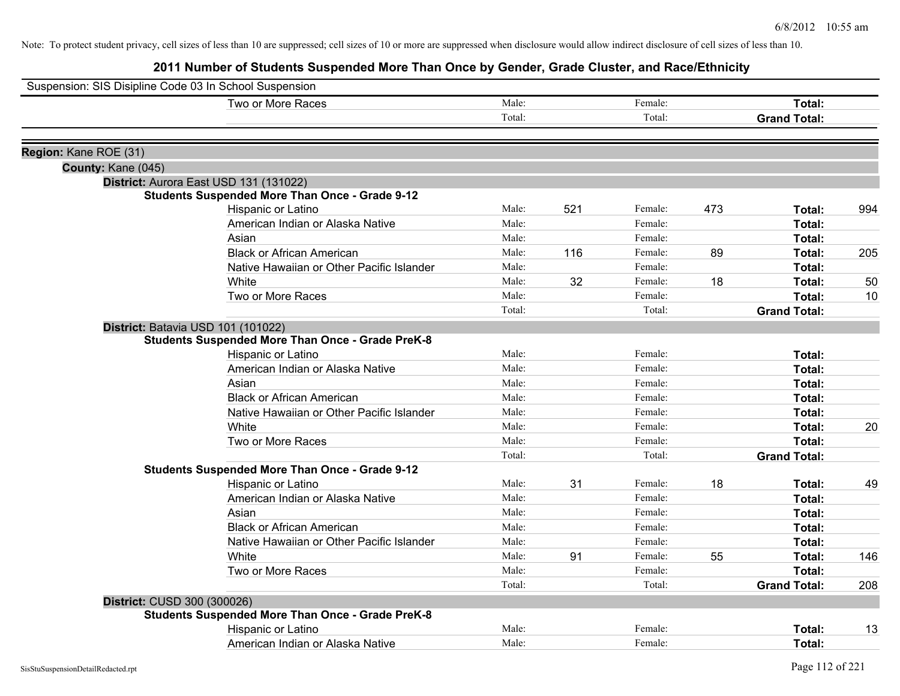|                       | Suspension: SIS Disipline Code 03 In School Suspension  |        |     |         |     |                     |     |
|-----------------------|---------------------------------------------------------|--------|-----|---------|-----|---------------------|-----|
|                       | Two or More Races                                       | Male:  |     | Female: |     | Total:              |     |
|                       |                                                         | Total: |     | Total:  |     | <b>Grand Total:</b> |     |
| Region: Kane ROE (31) |                                                         |        |     |         |     |                     |     |
| County: Kane (045)    |                                                         |        |     |         |     |                     |     |
|                       | District: Aurora East USD 131 (131022)                  |        |     |         |     |                     |     |
|                       | <b>Students Suspended More Than Once - Grade 9-12</b>   |        |     |         |     |                     |     |
|                       | Hispanic or Latino                                      | Male:  | 521 | Female: | 473 | Total:              | 994 |
|                       | American Indian or Alaska Native                        | Male:  |     | Female: |     | <b>Total:</b>       |     |
|                       | Asian                                                   | Male:  |     | Female: |     | Total:              |     |
|                       | <b>Black or African American</b>                        | Male:  | 116 | Female: | 89  | Total:              | 205 |
|                       | Native Hawaiian or Other Pacific Islander               | Male:  |     | Female: |     | Total:              |     |
|                       | White                                                   | Male:  | 32  | Female: | 18  | <b>Total:</b>       | 50  |
|                       | Two or More Races                                       | Male:  |     | Female: |     | <b>Total:</b>       | 10  |
|                       |                                                         | Total: |     | Total:  |     | <b>Grand Total:</b> |     |
|                       | District: Batavia USD 101 (101022)                      |        |     |         |     |                     |     |
|                       | <b>Students Suspended More Than Once - Grade PreK-8</b> |        |     |         |     |                     |     |
|                       | Hispanic or Latino                                      | Male:  |     | Female: |     | <b>Total:</b>       |     |
|                       | American Indian or Alaska Native                        | Male:  |     | Female: |     | <b>Total:</b>       |     |
|                       | Asian                                                   | Male:  |     | Female: |     | Total:              |     |
|                       | <b>Black or African American</b>                        | Male:  |     | Female: |     | Total:              |     |
|                       | Native Hawaiian or Other Pacific Islander               | Male:  |     | Female: |     | Total:              |     |
|                       | White                                                   | Male:  |     | Female: |     | <b>Total:</b>       | 20  |
|                       | Two or More Races                                       | Male:  |     | Female: |     | Total:              |     |
|                       |                                                         | Total: |     | Total:  |     | <b>Grand Total:</b> |     |
|                       | <b>Students Suspended More Than Once - Grade 9-12</b>   |        |     |         |     |                     |     |
|                       | Hispanic or Latino                                      | Male:  | 31  | Female: | 18  | Total:              | 49  |
|                       | American Indian or Alaska Native                        | Male:  |     | Female: |     | Total:              |     |
|                       | Asian                                                   | Male:  |     | Female: |     | Total:              |     |
|                       | <b>Black or African American</b>                        | Male:  |     | Female: |     | Total:              |     |
|                       | Native Hawaiian or Other Pacific Islander               | Male:  |     | Female: |     | Total:              |     |
|                       | White                                                   | Male:  | 91  | Female: | 55  | <b>Total:</b>       | 146 |
|                       | Two or More Races                                       | Male:  |     | Female: |     | Total:              |     |
|                       |                                                         | Total: |     | Total:  |     | <b>Grand Total:</b> | 208 |
|                       | District: CUSD 300 (300026)                             |        |     |         |     |                     |     |
|                       | <b>Students Suspended More Than Once - Grade PreK-8</b> |        |     |         |     |                     |     |
|                       | Hispanic or Latino                                      | Male:  |     | Female: |     | Total:              | 13  |
|                       | American Indian or Alaska Native                        | Male:  |     | Female: |     | Total:              |     |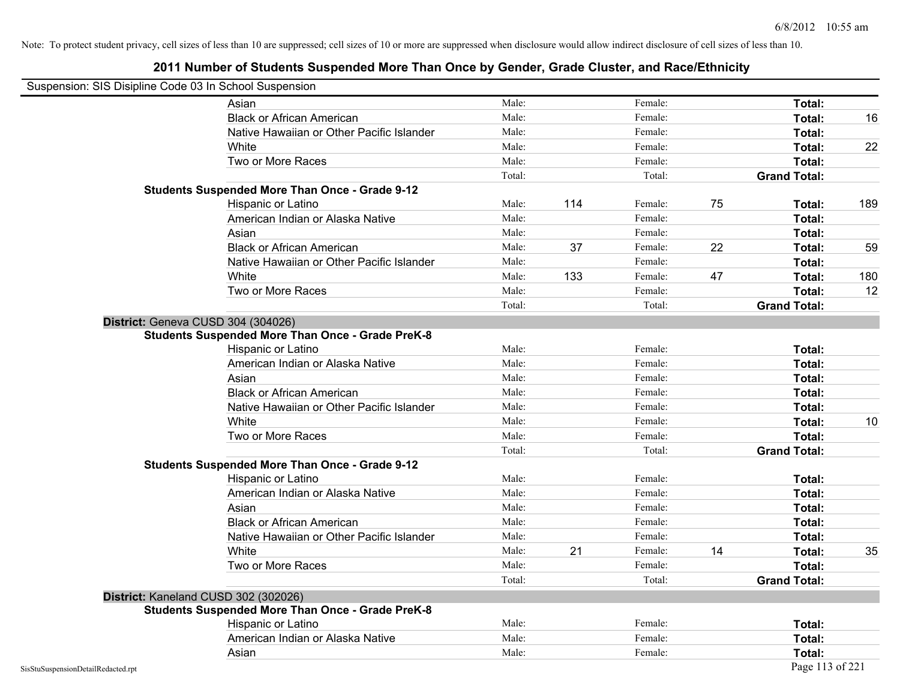|                                    | Suspension: SIS Disipline Code 03 In School Suspension  |        |     |         |    |                     |     |
|------------------------------------|---------------------------------------------------------|--------|-----|---------|----|---------------------|-----|
|                                    | Asian                                                   | Male:  |     | Female: |    | Total:              |     |
|                                    | <b>Black or African American</b>                        | Male:  |     | Female: |    | Total:              | 16  |
|                                    | Native Hawaiian or Other Pacific Islander               | Male:  |     | Female: |    | Total:              |     |
|                                    | White                                                   | Male:  |     | Female: |    | Total:              | 22  |
|                                    | Two or More Races                                       | Male:  |     | Female: |    | Total:              |     |
|                                    |                                                         | Total: |     | Total:  |    | <b>Grand Total:</b> |     |
|                                    | <b>Students Suspended More Than Once - Grade 9-12</b>   |        |     |         |    |                     |     |
|                                    | Hispanic or Latino                                      | Male:  | 114 | Female: | 75 | Total:              | 189 |
|                                    | American Indian or Alaska Native                        | Male:  |     | Female: |    | Total:              |     |
|                                    | Asian                                                   | Male:  |     | Female: |    | Total:              |     |
|                                    | <b>Black or African American</b>                        | Male:  | 37  | Female: | 22 | Total:              | 59  |
|                                    | Native Hawaiian or Other Pacific Islander               | Male:  |     | Female: |    | Total:              |     |
|                                    | White                                                   | Male:  | 133 | Female: | 47 | Total:              | 180 |
|                                    | Two or More Races                                       | Male:  |     | Female: |    | Total:              | 12  |
|                                    |                                                         | Total: |     | Total:  |    | <b>Grand Total:</b> |     |
|                                    | District: Geneva CUSD 304 (304026)                      |        |     |         |    |                     |     |
|                                    | <b>Students Suspended More Than Once - Grade PreK-8</b> |        |     |         |    |                     |     |
|                                    | Hispanic or Latino                                      | Male:  |     | Female: |    | Total:              |     |
|                                    | American Indian or Alaska Native                        | Male:  |     | Female: |    | Total:              |     |
|                                    | Asian                                                   | Male:  |     | Female: |    | Total:              |     |
|                                    | <b>Black or African American</b>                        | Male:  |     | Female: |    | Total:              |     |
|                                    | Native Hawaiian or Other Pacific Islander               | Male:  |     | Female: |    | Total:              |     |
|                                    | White                                                   | Male:  |     | Female: |    | Total:              | 10  |
|                                    | Two or More Races                                       | Male:  |     | Female: |    | Total:              |     |
|                                    |                                                         | Total: |     | Total:  |    | <b>Grand Total:</b> |     |
|                                    | <b>Students Suspended More Than Once - Grade 9-12</b>   |        |     |         |    |                     |     |
|                                    | Hispanic or Latino                                      | Male:  |     | Female: |    | Total:              |     |
|                                    | American Indian or Alaska Native                        | Male:  |     | Female: |    | Total:              |     |
|                                    | Asian                                                   | Male:  |     | Female: |    | Total:              |     |
|                                    | <b>Black or African American</b>                        | Male:  |     | Female: |    | Total:              |     |
|                                    | Native Hawaiian or Other Pacific Islander               | Male:  |     | Female: |    | Total:              |     |
|                                    | White                                                   | Male:  | 21  | Female: | 14 | Total:              | 35  |
|                                    | Two or More Races                                       | Male:  |     | Female: |    | Total:              |     |
|                                    |                                                         | Total: |     | Total:  |    | <b>Grand Total:</b> |     |
|                                    | District: Kaneland CUSD 302 (302026)                    |        |     |         |    |                     |     |
|                                    | <b>Students Suspended More Than Once - Grade PreK-8</b> |        |     |         |    |                     |     |
|                                    | Hispanic or Latino                                      | Male:  |     | Female: |    | Total:              |     |
|                                    | American Indian or Alaska Native                        | Male:  |     | Female: |    | Total:              |     |
|                                    | Asian                                                   | Male:  |     | Female: |    | Total:              |     |
| SisStuSuspensionDetailRedacted.rpt |                                                         |        |     |         |    | Page 113 of 221     |     |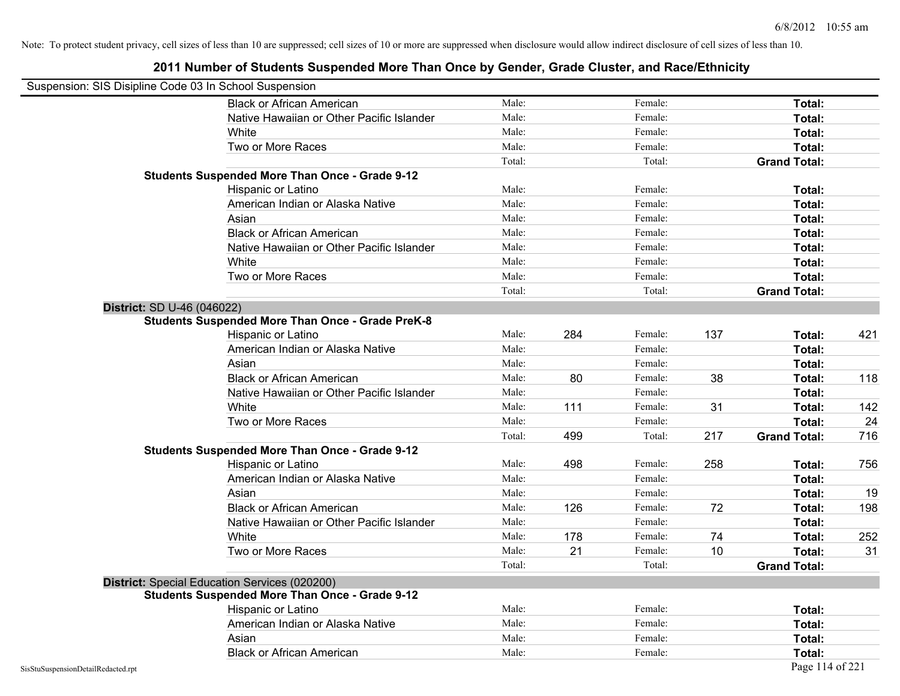|                                    | Suspension: SIS Disipline Code 03 In School Suspension  |        |     |         |     |                     |     |
|------------------------------------|---------------------------------------------------------|--------|-----|---------|-----|---------------------|-----|
|                                    | <b>Black or African American</b>                        | Male:  |     | Female: |     | Total:              |     |
|                                    | Native Hawaiian or Other Pacific Islander               | Male:  |     | Female: |     | Total:              |     |
|                                    | White                                                   | Male:  |     | Female: |     | Total:              |     |
|                                    | Two or More Races                                       | Male:  |     | Female: |     | Total:              |     |
|                                    |                                                         | Total: |     | Total:  |     | <b>Grand Total:</b> |     |
|                                    | <b>Students Suspended More Than Once - Grade 9-12</b>   |        |     |         |     |                     |     |
|                                    | Hispanic or Latino                                      | Male:  |     | Female: |     | Total:              |     |
|                                    | American Indian or Alaska Native                        | Male:  |     | Female: |     | Total:              |     |
|                                    | Asian                                                   | Male:  |     | Female: |     | Total:              |     |
|                                    | <b>Black or African American</b>                        | Male:  |     | Female: |     | Total:              |     |
|                                    | Native Hawaiian or Other Pacific Islander               | Male:  |     | Female: |     | Total:              |     |
|                                    | White                                                   | Male:  |     | Female: |     | Total:              |     |
|                                    | Two or More Races                                       | Male:  |     | Female: |     | Total:              |     |
|                                    |                                                         | Total: |     | Total:  |     | <b>Grand Total:</b> |     |
|                                    | District: SD U-46 (046022)                              |        |     |         |     |                     |     |
|                                    | <b>Students Suspended More Than Once - Grade PreK-8</b> |        |     |         |     |                     |     |
|                                    | Hispanic or Latino                                      | Male:  | 284 | Female: | 137 | Total:              | 421 |
|                                    | American Indian or Alaska Native                        | Male:  |     | Female: |     | Total:              |     |
|                                    | Asian                                                   | Male:  |     | Female: |     | Total:              |     |
|                                    | <b>Black or African American</b>                        | Male:  | 80  | Female: | 38  | Total:              | 118 |
|                                    | Native Hawaiian or Other Pacific Islander               | Male:  |     | Female: |     | Total:              |     |
|                                    | White                                                   | Male:  | 111 | Female: | 31  | Total:              | 142 |
|                                    | Two or More Races                                       | Male:  |     | Female: |     | Total:              | 24  |
|                                    |                                                         | Total: | 499 | Total:  | 217 | <b>Grand Total:</b> | 716 |
|                                    | <b>Students Suspended More Than Once - Grade 9-12</b>   |        |     |         |     |                     |     |
|                                    | Hispanic or Latino                                      | Male:  | 498 | Female: | 258 | Total:              | 756 |
|                                    | American Indian or Alaska Native                        | Male:  |     | Female: |     | Total:              |     |
|                                    | Asian                                                   | Male:  |     | Female: |     | Total:              | 19  |
|                                    | <b>Black or African American</b>                        | Male:  | 126 | Female: | 72  | Total:              | 198 |
|                                    | Native Hawaiian or Other Pacific Islander               | Male:  |     | Female: |     | Total:              |     |
|                                    | White                                                   | Male:  | 178 | Female: | 74  | Total:              | 252 |
|                                    | Two or More Races                                       | Male:  | 21  | Female: | 10  | Total:              | 31  |
|                                    |                                                         | Total: |     | Total:  |     | <b>Grand Total:</b> |     |
|                                    | District: Special Education Services (020200)           |        |     |         |     |                     |     |
|                                    | <b>Students Suspended More Than Once - Grade 9-12</b>   |        |     |         |     |                     |     |
|                                    | Hispanic or Latino                                      | Male:  |     | Female: |     | Total:              |     |
|                                    | American Indian or Alaska Native                        | Male:  |     | Female: |     | Total:              |     |
|                                    | Asian                                                   | Male:  |     | Female: |     | Total:              |     |
|                                    | <b>Black or African American</b>                        | Male:  |     | Female: |     | Total:              |     |
| SisStuSuspensionDetailRedacted.rpt |                                                         |        |     |         |     | Page 114 of 221     |     |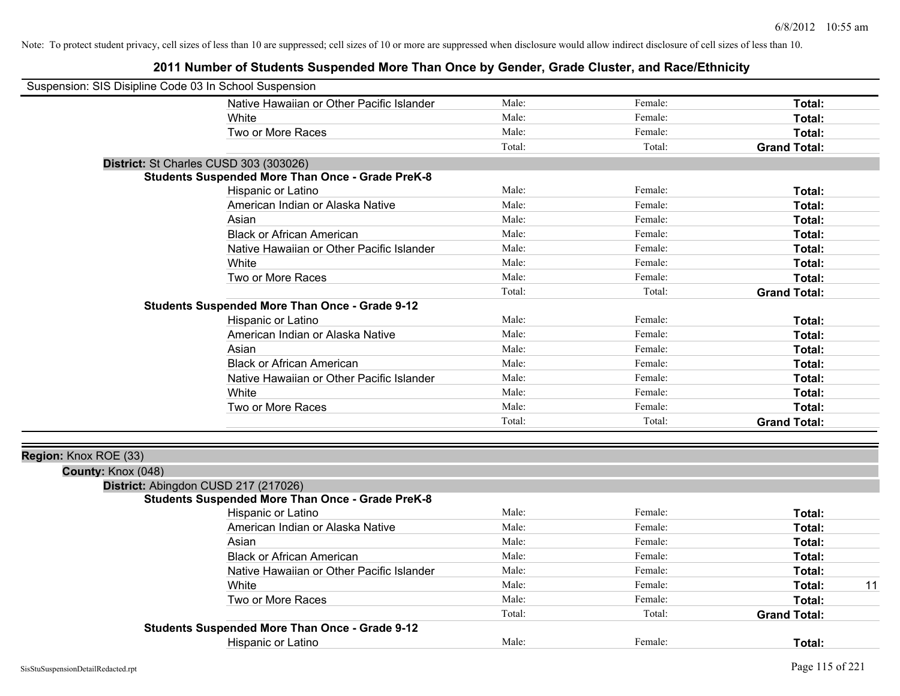| Suspension: SIS Disipline Code 03 In School Suspension |                                                         |        |         |                     |
|--------------------------------------------------------|---------------------------------------------------------|--------|---------|---------------------|
|                                                        | Native Hawaiian or Other Pacific Islander               | Male:  | Female: | Total:              |
|                                                        | White                                                   | Male:  | Female: | Total:              |
|                                                        | Two or More Races                                       | Male:  | Female: | Total:              |
|                                                        |                                                         | Total: | Total:  | <b>Grand Total:</b> |
|                                                        | District: St Charles CUSD 303 (303026)                  |        |         |                     |
|                                                        | <b>Students Suspended More Than Once - Grade PreK-8</b> |        |         |                     |
|                                                        | Hispanic or Latino                                      | Male:  | Female: | Total:              |
|                                                        | American Indian or Alaska Native                        | Male:  | Female: | Total:              |
|                                                        | Asian                                                   | Male:  | Female: | Total:              |
|                                                        | <b>Black or African American</b>                        | Male:  | Female: | Total:              |
|                                                        | Native Hawaiian or Other Pacific Islander               | Male:  | Female: | Total:              |
|                                                        | White                                                   | Male:  | Female: | Total:              |
|                                                        | Two or More Races                                       | Male:  | Female: | Total:              |
|                                                        |                                                         | Total: | Total:  | <b>Grand Total:</b> |
|                                                        | <b>Students Suspended More Than Once - Grade 9-12</b>   |        |         |                     |
|                                                        | Hispanic or Latino                                      | Male:  | Female: | Total:              |
|                                                        | American Indian or Alaska Native                        | Male:  | Female: | Total:              |
|                                                        | Asian                                                   | Male:  | Female: | Total:              |
|                                                        | <b>Black or African American</b>                        | Male:  | Female: | Total:              |
|                                                        | Native Hawaiian or Other Pacific Islander               | Male:  | Female: | Total:              |
|                                                        | White                                                   | Male:  | Female: | Total:              |
|                                                        | Two or More Races                                       | Male:  | Female: | Total:              |
|                                                        |                                                         | Total: | Total:  | <b>Grand Total:</b> |
|                                                        |                                                         |        |         |                     |
| Region: Knox ROE (33)                                  |                                                         |        |         |                     |
| County: Knox (048)                                     |                                                         |        |         |                     |
|                                                        | District: Abingdon CUSD 217 (217026)                    |        |         |                     |
|                                                        | <b>Students Suspended More Than Once - Grade PreK-8</b> |        |         |                     |
|                                                        | Hispanic or Latino                                      | Male:  | Female: | Total:              |
|                                                        | American Indian or Alaska Native                        | Male:  | Female: | Total:              |
|                                                        | Asian                                                   | Male:  | Female: | Total:              |
|                                                        | <b>Black or African American</b>                        | Male:  | Female: | Total:              |
|                                                        | Native Hawaiian or Other Pacific Islander               | Male:  | Female: | Total:              |
|                                                        | White                                                   | Male:  | Female: | 11<br>Total:        |
|                                                        | Two or More Races                                       | Male:  | Female: | Total:              |
|                                                        |                                                         | Total: | Total:  | <b>Grand Total:</b> |
|                                                        | <b>Students Suspended More Than Once - Grade 9-12</b>   |        |         |                     |
|                                                        | Hispanic or Latino                                      | Male:  | Female: | Total:              |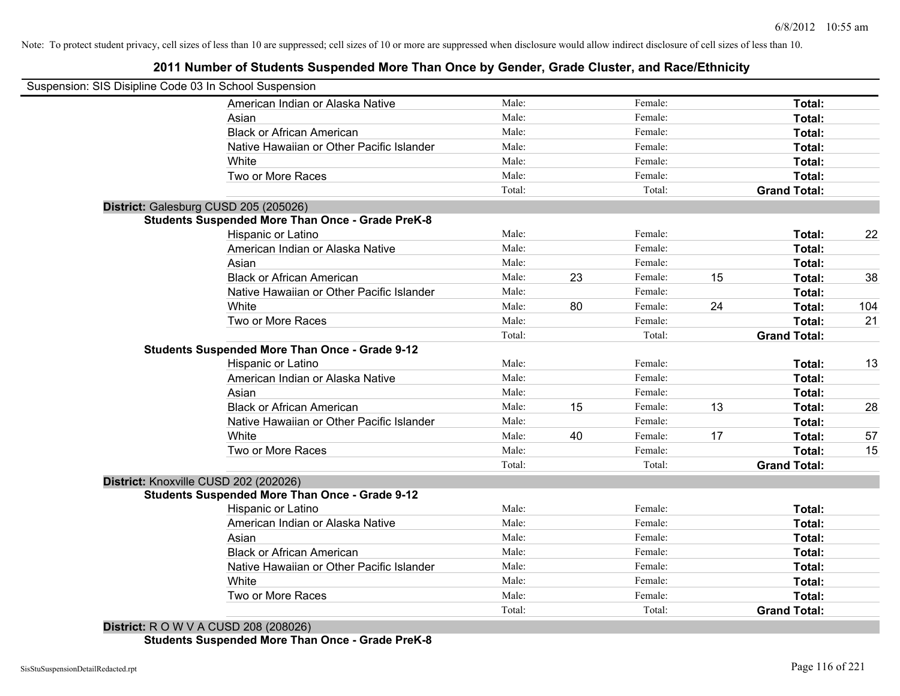# **2011 Number of Students Suspended More Than Once by Gender, Grade Cluster, and Race/Ethnicity**

| Suspension: SIS Disipline Code 03 In School Suspension                                                                                                                                                                                                                              |        |    |         |    |                     |     |
|-------------------------------------------------------------------------------------------------------------------------------------------------------------------------------------------------------------------------------------------------------------------------------------|--------|----|---------|----|---------------------|-----|
| American Indian or Alaska Native                                                                                                                                                                                                                                                    | Male:  |    | Female: |    | Total:              |     |
| Asian                                                                                                                                                                                                                                                                               | Male:  |    | Female: |    | Total:              |     |
| <b>Black or African American</b>                                                                                                                                                                                                                                                    | Male:  |    | Female: |    | Total:              |     |
| Native Hawaiian or Other Pacific Islander                                                                                                                                                                                                                                           | Male:  |    | Female: |    | Total:              |     |
| White                                                                                                                                                                                                                                                                               | Male:  |    | Female: |    | Total:              |     |
| Two or More Races                                                                                                                                                                                                                                                                   | Male:  |    | Female: |    | Total:              |     |
|                                                                                                                                                                                                                                                                                     | Total: |    | Total:  |    | <b>Grand Total:</b> |     |
| District: Galesburg CUSD 205 (205026)                                                                                                                                                                                                                                               |        |    |         |    |                     |     |
| <b>Students Suspended More Than Once - Grade PreK-8</b>                                                                                                                                                                                                                             |        |    |         |    |                     |     |
| Hispanic or Latino                                                                                                                                                                                                                                                                  | Male:  |    | Female: |    | Total:              | 22  |
| American Indian or Alaska Native                                                                                                                                                                                                                                                    | Male:  |    | Female: |    | Total:              |     |
| Asian                                                                                                                                                                                                                                                                               | Male:  |    | Female: |    | Total:              |     |
| <b>Black or African American</b>                                                                                                                                                                                                                                                    | Male:  | 23 | Female: | 15 | Total:              | 38  |
| Native Hawaiian or Other Pacific Islander                                                                                                                                                                                                                                           | Male:  |    | Female: |    | Total:              |     |
| White                                                                                                                                                                                                                                                                               | Male:  | 80 | Female: | 24 | Total:              | 104 |
| Two or More Races                                                                                                                                                                                                                                                                   | Male:  |    | Female: |    | <b>Total:</b>       | 21  |
|                                                                                                                                                                                                                                                                                     | Total: |    | Total:  |    | <b>Grand Total:</b> |     |
| <b>Students Suspended More Than Once - Grade 9-12</b>                                                                                                                                                                                                                               |        |    |         |    |                     |     |
| Hispanic or Latino                                                                                                                                                                                                                                                                  | Male:  |    | Female: |    | Total:              | 13  |
| American Indian or Alaska Native                                                                                                                                                                                                                                                    | Male:  |    | Female: |    | Total:              |     |
| Asian                                                                                                                                                                                                                                                                               | Male:  |    | Female: |    | Total:              |     |
| <b>Black or African American</b>                                                                                                                                                                                                                                                    | Male:  | 15 | Female: | 13 | Total:              | 28  |
| Native Hawaiian or Other Pacific Islander                                                                                                                                                                                                                                           | Male:  |    | Female: |    | Total:              |     |
| White                                                                                                                                                                                                                                                                               | Male:  | 40 | Female: | 17 | Total:              | 57  |
| Two or More Races                                                                                                                                                                                                                                                                   | Male:  |    | Female: |    | Total:              | 15  |
|                                                                                                                                                                                                                                                                                     | Total: |    | Total:  |    | <b>Grand Total:</b> |     |
| District: Knoxville CUSD 202 (202026)                                                                                                                                                                                                                                               |        |    |         |    |                     |     |
| <b>Students Suspended More Than Once - Grade 9-12</b>                                                                                                                                                                                                                               |        |    |         |    |                     |     |
| Hispanic or Latino                                                                                                                                                                                                                                                                  | Male:  |    | Female: |    | Total:              |     |
| American Indian or Alaska Native                                                                                                                                                                                                                                                    | Male:  |    | Female: |    | Total:              |     |
| Asian                                                                                                                                                                                                                                                                               | Male:  |    | Female: |    | Total:              |     |
| <b>Black or African American</b>                                                                                                                                                                                                                                                    | Male:  |    | Female: |    | Total:              |     |
| Native Hawaiian or Other Pacific Islander                                                                                                                                                                                                                                           | Male:  |    | Female: |    | Total:              |     |
| White                                                                                                                                                                                                                                                                               | Male:  |    | Female: |    | Total:              |     |
| Two or More Races                                                                                                                                                                                                                                                                   | Male:  |    | Female: |    | Total:              |     |
|                                                                                                                                                                                                                                                                                     | Total: |    | Total:  |    | <b>Grand Total:</b> |     |
| $D_{i}$ , $L_{i}$ , $L_{i}$ , $D_{i}$ , $M_{i}$ , $l$ , $A_{i}$ , $C_{i}$ , $D_{i}$ , $D_{i}$ , $D_{i}$ , $D_{i}$ , $D_{i}$ , $D_{i}$ , $D_{i}$ , $D_{i}$ , $D_{i}$ , $D_{i}$ , $D_{i}$ , $D_{i}$ , $D_{i}$ , $D_{i}$ , $D_{i}$ , $D_{i}$ , $D_{i}$ , $D_{i}$ , $D_{i}$ , $D_{i}$ , |        |    |         |    |                     |     |

**District:** R O W V A CUSD 208 (208026) **Students Suspended More Than Once - Grade PreK-8**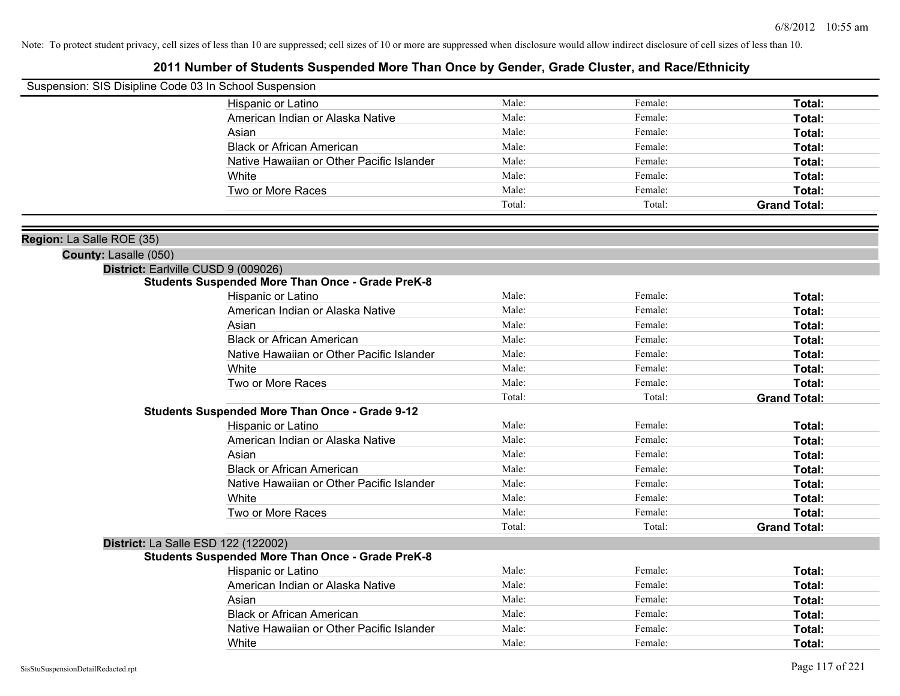| Suspension: SIS Disipline Code 03 In School Suspension |                                                         |        |         |                     |
|--------------------------------------------------------|---------------------------------------------------------|--------|---------|---------------------|
|                                                        | Hispanic or Latino                                      | Male:  | Female: | Total:              |
|                                                        | American Indian or Alaska Native                        | Male:  | Female: | Total:              |
|                                                        | Asian                                                   | Male:  | Female: | Total:              |
|                                                        | <b>Black or African American</b>                        | Male:  | Female: | Total:              |
|                                                        | Native Hawaiian or Other Pacific Islander               | Male:  | Female: | Total:              |
|                                                        | White                                                   | Male:  | Female: | Total:              |
|                                                        | Two or More Races                                       | Male:  | Female: | Total:              |
|                                                        |                                                         | Total: | Total:  | <b>Grand Total:</b> |
| Region: La Salle ROE (35)                              |                                                         |        |         |                     |
| County: Lasalle (050)                                  |                                                         |        |         |                     |
|                                                        | District: Earlville CUSD 9 (009026)                     |        |         |                     |
|                                                        | <b>Students Suspended More Than Once - Grade PreK-8</b> |        |         |                     |
|                                                        | Hispanic or Latino                                      | Male:  | Female: | Total:              |
|                                                        | American Indian or Alaska Native                        | Male:  | Female: | Total:              |
|                                                        | Asian                                                   | Male:  | Female: | Total:              |
|                                                        | <b>Black or African American</b>                        | Male:  | Female: | Total:              |
|                                                        | Native Hawaiian or Other Pacific Islander               | Male:  | Female: | Total:              |
|                                                        | White                                                   | Male:  | Female: | Total:              |
|                                                        | Two or More Races                                       | Male:  | Female: | Total:              |
|                                                        |                                                         | Total: | Total:  | <b>Grand Total:</b> |
|                                                        | <b>Students Suspended More Than Once - Grade 9-12</b>   |        |         |                     |
|                                                        | Hispanic or Latino                                      | Male:  | Female: | Total:              |
|                                                        | American Indian or Alaska Native                        | Male:  | Female: | Total:              |
|                                                        | Asian                                                   | Male:  | Female: | Total:              |
|                                                        | <b>Black or African American</b>                        | Male:  | Female: | Total:              |
|                                                        | Native Hawaiian or Other Pacific Islander               | Male:  | Female: | Total:              |
|                                                        | White                                                   | Male:  | Female: | Total:              |
|                                                        | Two or More Races                                       | Male:  | Female: | Total:              |
|                                                        |                                                         | Total: | Total:  | <b>Grand Total:</b> |
|                                                        | <b>District: La Salle ESD 122 (122002)</b>              |        |         |                     |
|                                                        | <b>Students Suspended More Than Once - Grade PreK-8</b> |        |         |                     |
|                                                        | Hispanic or Latino                                      | Male:  | Female: | Total:              |
|                                                        | American Indian or Alaska Native                        | Male:  | Female: | Total:              |
|                                                        | Asian                                                   | Male:  | Female: | Total:              |
|                                                        | <b>Black or African American</b>                        | Male:  | Female: | Total:              |
|                                                        | Native Hawaiian or Other Pacific Islander               | Male:  | Female: | Total:              |
|                                                        | White                                                   | Male:  | Female: | Total:              |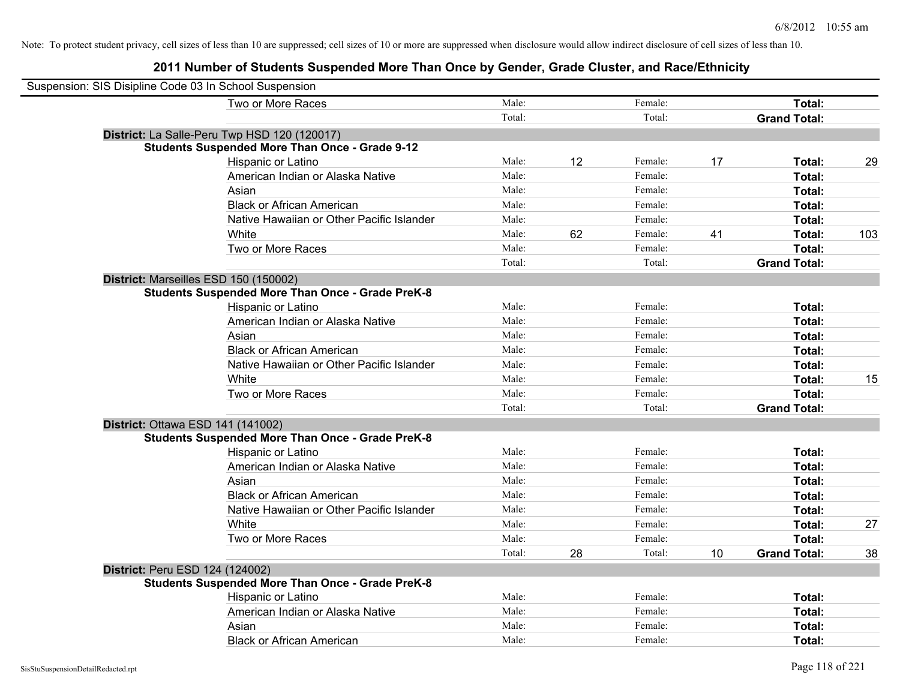| Suspension: SIS Disipline Code 03 In School Suspension  |        |    |         |    |                     |     |
|---------------------------------------------------------|--------|----|---------|----|---------------------|-----|
| Two or More Races                                       | Male:  |    | Female: |    | Total:              |     |
|                                                         | Total: |    | Total:  |    | <b>Grand Total:</b> |     |
| District: La Salle-Peru Twp HSD 120 (120017)            |        |    |         |    |                     |     |
| <b>Students Suspended More Than Once - Grade 9-12</b>   |        |    |         |    |                     |     |
| Hispanic or Latino                                      | Male:  | 12 | Female: | 17 | Total:              | 29  |
| American Indian or Alaska Native                        | Male:  |    | Female: |    | Total:              |     |
| Asian                                                   | Male:  |    | Female: |    | Total:              |     |
| <b>Black or African American</b>                        | Male:  |    | Female: |    | Total:              |     |
| Native Hawaiian or Other Pacific Islander               | Male:  |    | Female: |    | Total:              |     |
| White                                                   | Male:  | 62 | Female: | 41 | Total:              | 103 |
| Two or More Races                                       | Male:  |    | Female: |    | Total:              |     |
|                                                         | Total: |    | Total:  |    | <b>Grand Total:</b> |     |
| District: Marseilles ESD 150 (150002)                   |        |    |         |    |                     |     |
| <b>Students Suspended More Than Once - Grade PreK-8</b> |        |    |         |    |                     |     |
| Hispanic or Latino                                      | Male:  |    | Female: |    | Total:              |     |
| American Indian or Alaska Native                        | Male:  |    | Female: |    | Total:              |     |
| Asian                                                   | Male:  |    | Female: |    | Total:              |     |
| <b>Black or African American</b>                        | Male:  |    | Female: |    | Total:              |     |
| Native Hawaiian or Other Pacific Islander               | Male:  |    | Female: |    | Total:              |     |
| White                                                   | Male:  |    | Female: |    | Total:              | 15  |
| Two or More Races                                       | Male:  |    | Female: |    | Total:              |     |
|                                                         | Total: |    | Total:  |    | <b>Grand Total:</b> |     |
| District: Ottawa ESD 141 (141002)                       |        |    |         |    |                     |     |
| <b>Students Suspended More Than Once - Grade PreK-8</b> |        |    |         |    |                     |     |
| Hispanic or Latino                                      | Male:  |    | Female: |    | Total:              |     |
| American Indian or Alaska Native                        | Male:  |    | Female: |    | Total:              |     |
| Asian                                                   | Male:  |    | Female: |    | Total:              |     |
| <b>Black or African American</b>                        | Male:  |    | Female: |    | Total:              |     |
| Native Hawaiian or Other Pacific Islander               | Male:  |    | Female: |    | Total:              |     |
| White                                                   | Male:  |    | Female: |    | Total:              | 27  |
| Two or More Races                                       | Male:  |    | Female: |    | Total:              |     |
|                                                         | Total: | 28 | Total:  | 10 | <b>Grand Total:</b> | 38  |
| <b>District: Peru ESD 124 (124002)</b>                  |        |    |         |    |                     |     |
| <b>Students Suspended More Than Once - Grade PreK-8</b> |        |    |         |    |                     |     |
| Hispanic or Latino                                      | Male:  |    | Female: |    | Total:              |     |
| American Indian or Alaska Native                        | Male:  |    | Female: |    | Total:              |     |
| Asian                                                   | Male:  |    | Female: |    | Total:              |     |
| <b>Black or African American</b>                        | Male:  |    | Female: |    | Total:              |     |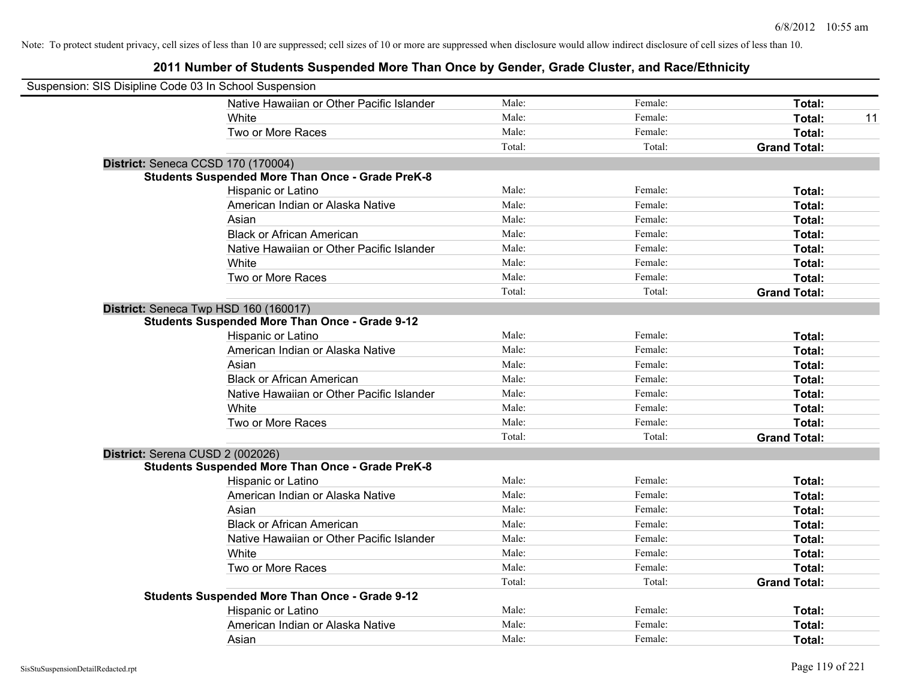| Suspension: SIS Disipline Code 03 In School Suspension |                                                         |        |         |                     |    |
|--------------------------------------------------------|---------------------------------------------------------|--------|---------|---------------------|----|
|                                                        | Native Hawaiian or Other Pacific Islander               | Male:  | Female: | Total:              |    |
|                                                        | White                                                   | Male:  | Female: | Total:              | 11 |
|                                                        | Two or More Races                                       | Male:  | Female: | Total:              |    |
|                                                        |                                                         | Total: | Total:  | <b>Grand Total:</b> |    |
| District: Seneca CCSD 170 (170004)                     |                                                         |        |         |                     |    |
|                                                        | <b>Students Suspended More Than Once - Grade PreK-8</b> |        |         |                     |    |
|                                                        | Hispanic or Latino                                      | Male:  | Female: | Total:              |    |
|                                                        | American Indian or Alaska Native                        | Male:  | Female: | Total:              |    |
|                                                        | Asian                                                   | Male:  | Female: | Total:              |    |
|                                                        | <b>Black or African American</b>                        | Male:  | Female: | Total:              |    |
|                                                        | Native Hawaiian or Other Pacific Islander               | Male:  | Female: | Total:              |    |
|                                                        | White                                                   | Male:  | Female: | Total:              |    |
|                                                        | Two or More Races                                       | Male:  | Female: | Total:              |    |
|                                                        |                                                         | Total: | Total:  | <b>Grand Total:</b> |    |
|                                                        | District: Seneca Twp HSD 160 (160017)                   |        |         |                     |    |
|                                                        | <b>Students Suspended More Than Once - Grade 9-12</b>   |        |         |                     |    |
|                                                        | Hispanic or Latino                                      | Male:  | Female: | Total:              |    |
|                                                        | American Indian or Alaska Native                        | Male:  | Female: | Total:              |    |
|                                                        | Asian                                                   | Male:  | Female: | Total:              |    |
|                                                        | <b>Black or African American</b>                        | Male:  | Female: | Total:              |    |
|                                                        | Native Hawaiian or Other Pacific Islander               | Male:  | Female: | Total:              |    |
|                                                        | White                                                   | Male:  | Female: | Total:              |    |
|                                                        | Two or More Races                                       | Male:  | Female: | Total:              |    |
|                                                        |                                                         | Total: | Total:  | <b>Grand Total:</b> |    |
| District: Serena CUSD 2 (002026)                       |                                                         |        |         |                     |    |
|                                                        | <b>Students Suspended More Than Once - Grade PreK-8</b> |        |         |                     |    |
|                                                        | Hispanic or Latino                                      | Male:  | Female: | Total:              |    |
|                                                        | American Indian or Alaska Native                        | Male:  | Female: | Total:              |    |
|                                                        | Asian                                                   | Male:  | Female: | Total:              |    |
|                                                        | <b>Black or African American</b>                        | Male:  | Female: | Total:              |    |
|                                                        | Native Hawaiian or Other Pacific Islander               | Male:  | Female: | Total:              |    |
|                                                        | White                                                   | Male:  | Female: | Total:              |    |
|                                                        | Two or More Races                                       | Male:  | Female: | Total:              |    |
|                                                        |                                                         | Total: | Total:  | <b>Grand Total:</b> |    |
|                                                        | <b>Students Suspended More Than Once - Grade 9-12</b>   |        |         |                     |    |
|                                                        | Hispanic or Latino                                      | Male:  | Female: | Total:              |    |
|                                                        | American Indian or Alaska Native                        | Male:  | Female: | Total:              |    |
|                                                        | Asian                                                   | Male:  | Female: | Total:              |    |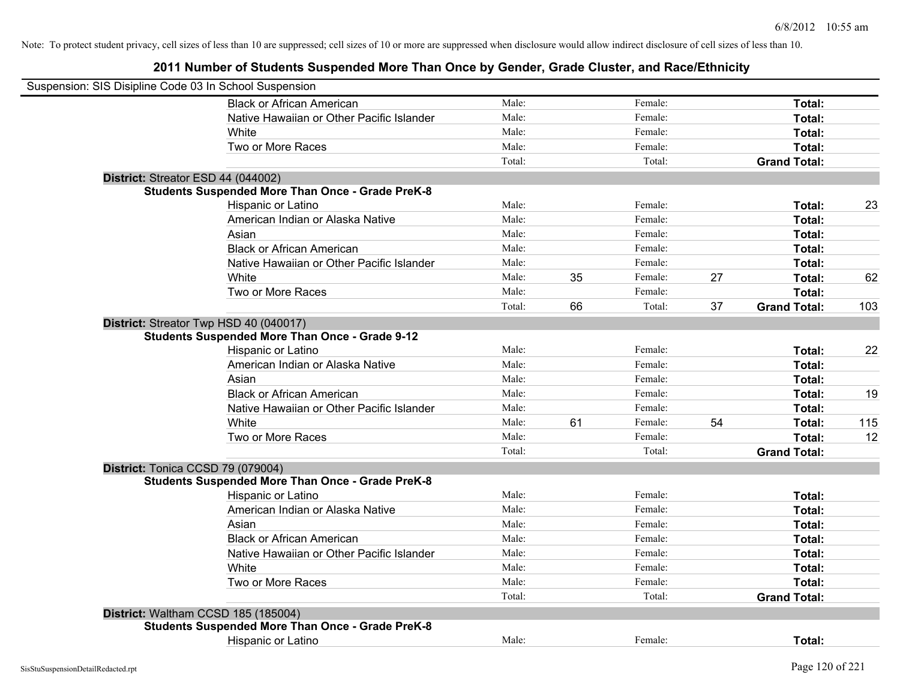| Suspension: SIS Disipline Code 03 In School Suspension |                                                         |        |    |         |    |                     |     |
|--------------------------------------------------------|---------------------------------------------------------|--------|----|---------|----|---------------------|-----|
|                                                        | <b>Black or African American</b>                        | Male:  |    | Female: |    | Total:              |     |
|                                                        | Native Hawaiian or Other Pacific Islander               | Male:  |    | Female: |    | Total:              |     |
|                                                        | White                                                   | Male:  |    | Female: |    | Total:              |     |
|                                                        | Two or More Races                                       | Male:  |    | Female: |    | Total:              |     |
|                                                        |                                                         | Total: |    | Total:  |    | <b>Grand Total:</b> |     |
|                                                        | District: Streator ESD 44 (044002)                      |        |    |         |    |                     |     |
|                                                        | <b>Students Suspended More Than Once - Grade PreK-8</b> |        |    |         |    |                     |     |
|                                                        | Hispanic or Latino                                      | Male:  |    | Female: |    | Total:              | 23  |
|                                                        | American Indian or Alaska Native                        | Male:  |    | Female: |    | Total:              |     |
|                                                        | Asian                                                   | Male:  |    | Female: |    | Total:              |     |
|                                                        | <b>Black or African American</b>                        | Male:  |    | Female: |    | Total:              |     |
|                                                        | Native Hawaiian or Other Pacific Islander               | Male:  |    | Female: |    | Total:              |     |
|                                                        | White                                                   | Male:  | 35 | Female: | 27 | Total:              | 62  |
|                                                        | Two or More Races                                       | Male:  |    | Female: |    | <b>Total:</b>       |     |
|                                                        |                                                         | Total: | 66 | Total:  | 37 | <b>Grand Total:</b> | 103 |
|                                                        | District: Streator Twp HSD 40 (040017)                  |        |    |         |    |                     |     |
|                                                        | <b>Students Suspended More Than Once - Grade 9-12</b>   |        |    |         |    |                     |     |
|                                                        | Hispanic or Latino                                      | Male:  |    | Female: |    | Total:              | 22  |
|                                                        | American Indian or Alaska Native                        | Male:  |    | Female: |    | Total:              |     |
|                                                        | Asian                                                   | Male:  |    | Female: |    | Total:              |     |
|                                                        | <b>Black or African American</b>                        | Male:  |    | Female: |    | Total:              | 19  |
|                                                        | Native Hawaiian or Other Pacific Islander               | Male:  |    | Female: |    | Total:              |     |
|                                                        | White                                                   | Male:  | 61 | Female: | 54 | Total:              | 115 |
|                                                        | Two or More Races                                       | Male:  |    | Female: |    | Total:              | 12  |
|                                                        |                                                         | Total: |    | Total:  |    | <b>Grand Total:</b> |     |
|                                                        | District: Tonica CCSD 79 (079004)                       |        |    |         |    |                     |     |
|                                                        | <b>Students Suspended More Than Once - Grade PreK-8</b> |        |    |         |    |                     |     |
|                                                        | Hispanic or Latino                                      | Male:  |    | Female: |    | Total:              |     |
|                                                        | American Indian or Alaska Native                        | Male:  |    | Female: |    | Total:              |     |
|                                                        | Asian                                                   | Male:  |    | Female: |    | Total:              |     |
|                                                        | <b>Black or African American</b>                        | Male:  |    | Female: |    | Total:              |     |
|                                                        | Native Hawaiian or Other Pacific Islander               | Male:  |    | Female: |    | Total:              |     |
|                                                        | White                                                   | Male:  |    | Female: |    | Total:              |     |
|                                                        | Two or More Races                                       | Male:  |    | Female: |    | Total:              |     |
|                                                        |                                                         | Total: |    | Total:  |    | <b>Grand Total:</b> |     |
|                                                        | District: Waltham CCSD 185 (185004)                     |        |    |         |    |                     |     |
|                                                        | <b>Students Suspended More Than Once - Grade PreK-8</b> |        |    |         |    |                     |     |
|                                                        | <b>Hispanic or Latino</b>                               | Male:  |    | Female: |    | Total:              |     |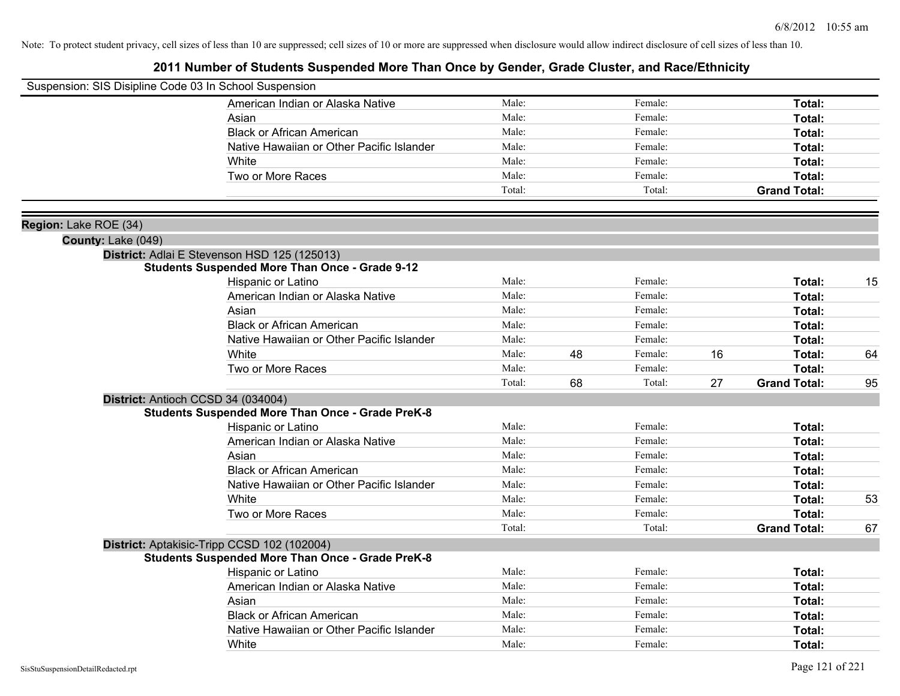| Suspension: SIS Disipline Code 03 In School Suspension |                                                         |        |    |         |    |                     |    |
|--------------------------------------------------------|---------------------------------------------------------|--------|----|---------|----|---------------------|----|
|                                                        | American Indian or Alaska Native                        | Male:  |    | Female: |    | Total:              |    |
|                                                        | Asian                                                   | Male:  |    | Female: |    | Total:              |    |
|                                                        | <b>Black or African American</b>                        | Male:  |    | Female: |    | Total:              |    |
|                                                        | Native Hawaiian or Other Pacific Islander               | Male:  |    | Female: |    | <b>Total:</b>       |    |
|                                                        | White                                                   | Male:  |    | Female: |    | Total:              |    |
|                                                        | Two or More Races                                       | Male:  |    | Female: |    | Total:              |    |
|                                                        |                                                         | Total: |    | Total:  |    | <b>Grand Total:</b> |    |
|                                                        |                                                         |        |    |         |    |                     |    |
| Region: Lake ROE (34)                                  |                                                         |        |    |         |    |                     |    |
| County: Lake (049)                                     |                                                         |        |    |         |    |                     |    |
|                                                        | District: Adlai E Stevenson HSD 125 (125013)            |        |    |         |    |                     |    |
|                                                        | <b>Students Suspended More Than Once - Grade 9-12</b>   |        |    |         |    |                     |    |
|                                                        | Hispanic or Latino                                      | Male:  |    | Female: |    | Total:              | 15 |
|                                                        | American Indian or Alaska Native                        | Male:  |    | Female: |    | Total:              |    |
|                                                        | Asian                                                   | Male:  |    | Female: |    | Total:              |    |
|                                                        | <b>Black or African American</b>                        | Male:  |    | Female: |    | Total:              |    |
|                                                        | Native Hawaiian or Other Pacific Islander               | Male:  |    | Female: |    | Total:              |    |
|                                                        | White                                                   | Male:  | 48 | Female: | 16 | Total:              | 64 |
|                                                        | Two or More Races                                       | Male:  |    | Female: |    | Total:              |    |
|                                                        |                                                         | Total: | 68 | Total:  | 27 | <b>Grand Total:</b> | 95 |
|                                                        | District: Antioch CCSD 34 (034004)                      |        |    |         |    |                     |    |
|                                                        | <b>Students Suspended More Than Once - Grade PreK-8</b> |        |    |         |    |                     |    |
|                                                        | Hispanic or Latino                                      | Male:  |    | Female: |    | Total:              |    |
|                                                        | American Indian or Alaska Native                        | Male:  |    | Female: |    | Total:              |    |
|                                                        | Asian                                                   | Male:  |    | Female: |    | Total:              |    |
|                                                        | <b>Black or African American</b>                        | Male:  |    | Female: |    | Total:              |    |
|                                                        | Native Hawaiian or Other Pacific Islander               | Male:  |    | Female: |    | Total:              |    |
|                                                        | White                                                   | Male:  |    | Female: |    | Total:              | 53 |
|                                                        | Two or More Races                                       | Male:  |    | Female: |    | Total:              |    |
|                                                        |                                                         | Total: |    | Total:  |    | <b>Grand Total:</b> | 67 |
|                                                        | District: Aptakisic-Tripp CCSD 102 (102004)             |        |    |         |    |                     |    |
|                                                        | <b>Students Suspended More Than Once - Grade PreK-8</b> |        |    |         |    |                     |    |
|                                                        | Hispanic or Latino                                      | Male:  |    | Female: |    | Total:              |    |
|                                                        | American Indian or Alaska Native                        | Male:  |    | Female: |    | Total:              |    |
|                                                        | Asian                                                   | Male:  |    | Female: |    | Total:              |    |
|                                                        | <b>Black or African American</b>                        | Male:  |    | Female: |    | Total:              |    |
|                                                        | Native Hawaiian or Other Pacific Islander               | Male:  |    | Female: |    | <b>Total:</b>       |    |
|                                                        | White                                                   | Male:  |    | Female: |    | Total:              |    |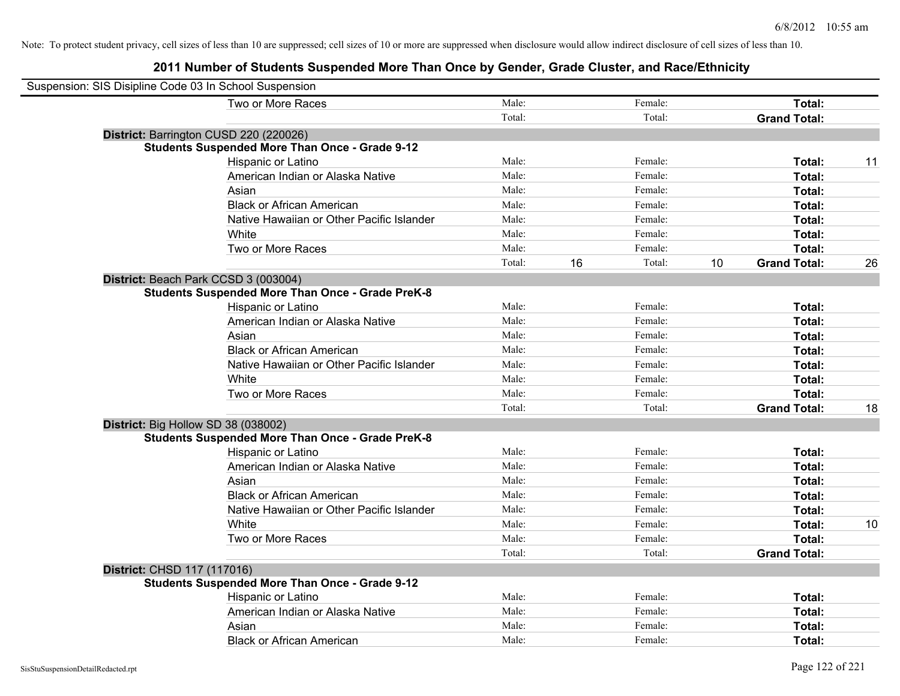| Suspension: SIS Disipline Code 03 In School Suspension  |        |    |         |    |                     |    |
|---------------------------------------------------------|--------|----|---------|----|---------------------|----|
| Two or More Races                                       | Male:  |    | Female: |    | Total:              |    |
|                                                         | Total: |    | Total:  |    | <b>Grand Total:</b> |    |
| District: Barrington CUSD 220 (220026)                  |        |    |         |    |                     |    |
| <b>Students Suspended More Than Once - Grade 9-12</b>   |        |    |         |    |                     |    |
| Hispanic or Latino                                      | Male:  |    | Female: |    | Total:              | 11 |
| American Indian or Alaska Native                        | Male:  |    | Female: |    | Total:              |    |
| Asian                                                   | Male:  |    | Female: |    | Total:              |    |
| <b>Black or African American</b>                        | Male:  |    | Female: |    | Total:              |    |
| Native Hawaiian or Other Pacific Islander               | Male:  |    | Female: |    | Total:              |    |
| White                                                   | Male:  |    | Female: |    | Total:              |    |
| Two or More Races                                       | Male:  |    | Female: |    | Total:              |    |
|                                                         | Total: | 16 | Total:  | 10 | <b>Grand Total:</b> | 26 |
| District: Beach Park CCSD 3 (003004)                    |        |    |         |    |                     |    |
| <b>Students Suspended More Than Once - Grade PreK-8</b> |        |    |         |    |                     |    |
| Hispanic or Latino                                      | Male:  |    | Female: |    | Total:              |    |
| American Indian or Alaska Native                        | Male:  |    | Female: |    | Total:              |    |
| Asian                                                   | Male:  |    | Female: |    | Total:              |    |
| <b>Black or African American</b>                        | Male:  |    | Female: |    | Total:              |    |
| Native Hawaiian or Other Pacific Islander               | Male:  |    | Female: |    | Total:              |    |
| White                                                   | Male:  |    | Female: |    | Total:              |    |
| Two or More Races                                       | Male:  |    | Female: |    | Total:              |    |
|                                                         | Total: |    | Total:  |    | <b>Grand Total:</b> | 18 |
| District: Big Hollow SD 38 (038002)                     |        |    |         |    |                     |    |
| <b>Students Suspended More Than Once - Grade PreK-8</b> |        |    |         |    |                     |    |
| Hispanic or Latino                                      | Male:  |    | Female: |    | Total:              |    |
| American Indian or Alaska Native                        | Male:  |    | Female: |    | Total:              |    |
| Asian                                                   | Male:  |    | Female: |    | Total:              |    |
| <b>Black or African American</b>                        | Male:  |    | Female: |    | Total:              |    |
| Native Hawaiian or Other Pacific Islander               | Male:  |    | Female: |    | Total:              |    |
| White                                                   | Male:  |    | Female: |    | Total:              | 10 |
| Two or More Races                                       | Male:  |    | Female: |    | Total:              |    |
|                                                         | Total: |    | Total:  |    | <b>Grand Total:</b> |    |
| District: CHSD 117 (117016)                             |        |    |         |    |                     |    |
| <b>Students Suspended More Than Once - Grade 9-12</b>   |        |    |         |    |                     |    |
| Hispanic or Latino                                      | Male:  |    | Female: |    | Total:              |    |
| American Indian or Alaska Native                        | Male:  |    | Female: |    | Total:              |    |
| Asian                                                   | Male:  |    | Female: |    | Total:              |    |
| <b>Black or African American</b>                        | Male:  |    | Female: |    | Total:              |    |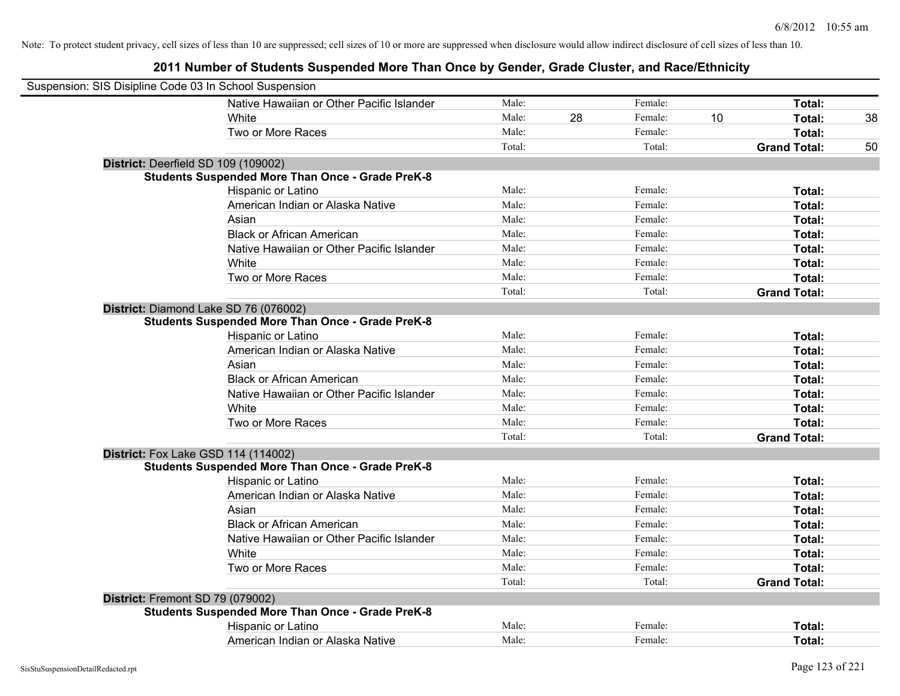| Suspension: SIS Disipline Code 03 In School Suspension  |        |    |         |    |                     |    |
|---------------------------------------------------------|--------|----|---------|----|---------------------|----|
| Native Hawaiian or Other Pacific Islander               | Male:  |    | Female: |    | Total:              |    |
| White                                                   | Male:  | 28 | Female: | 10 | Total:              | 38 |
| Two or More Races                                       | Male:  |    | Female: |    | Total:              |    |
|                                                         | Total: |    | Total:  |    | <b>Grand Total:</b> | 50 |
| District: Deerfield SD 109 (109002)                     |        |    |         |    |                     |    |
| <b>Students Suspended More Than Once - Grade PreK-8</b> |        |    |         |    |                     |    |
| Hispanic or Latino                                      | Male:  |    | Female: |    | Total:              |    |
| American Indian or Alaska Native                        | Male:  |    | Female: |    | Total:              |    |
| Asian                                                   | Male:  |    | Female: |    | Total:              |    |
| <b>Black or African American</b>                        | Male:  |    | Female: |    | Total:              |    |
| Native Hawaiian or Other Pacific Islander               | Male:  |    | Female: |    | Total:              |    |
| White                                                   | Male:  |    | Female: |    | Total:              |    |
| Two or More Races                                       | Male:  |    | Female: |    | Total:              |    |
|                                                         | Total: |    | Total:  |    | <b>Grand Total:</b> |    |
| District: Diamond Lake SD 76 (076002)                   |        |    |         |    |                     |    |
| <b>Students Suspended More Than Once - Grade PreK-8</b> |        |    |         |    |                     |    |
| Hispanic or Latino                                      | Male:  |    | Female: |    | Total:              |    |
| American Indian or Alaska Native                        | Male:  |    | Female: |    | Total:              |    |
| Asian                                                   | Male:  |    | Female: |    | Total:              |    |
| <b>Black or African American</b>                        | Male:  |    | Female: |    | Total:              |    |
| Native Hawaiian or Other Pacific Islander               | Male:  |    | Female: |    | Total:              |    |
| White                                                   | Male:  |    | Female: |    | Total:              |    |
| Two or More Races                                       | Male:  |    | Female: |    | Total:              |    |
|                                                         | Total: |    | Total:  |    | <b>Grand Total:</b> |    |
| <b>District:</b> Fox Lake GSD 114 (114002)              |        |    |         |    |                     |    |
| <b>Students Suspended More Than Once - Grade PreK-8</b> |        |    |         |    |                     |    |
| Hispanic or Latino                                      | Male:  |    | Female: |    | Total:              |    |
| American Indian or Alaska Native                        | Male:  |    | Female: |    | Total:              |    |
| Asian                                                   | Male:  |    | Female: |    | Total:              |    |
| <b>Black or African American</b>                        | Male:  |    | Female: |    | Total:              |    |
| Native Hawaiian or Other Pacific Islander               | Male:  |    | Female: |    | Total:              |    |
| White                                                   | Male:  |    | Female: |    | Total:              |    |
| Two or More Races                                       | Male:  |    | Female: |    | Total:              |    |
|                                                         | Total: |    | Total:  |    | <b>Grand Total:</b> |    |
| District: Fremont SD 79 (079002)                        |        |    |         |    |                     |    |
| <b>Students Suspended More Than Once - Grade PreK-8</b> |        |    |         |    |                     |    |
| Hispanic or Latino                                      | Male:  |    | Female: |    | Total:              |    |
| American Indian or Alaska Native                        | Male:  |    | Female: |    | Total:              |    |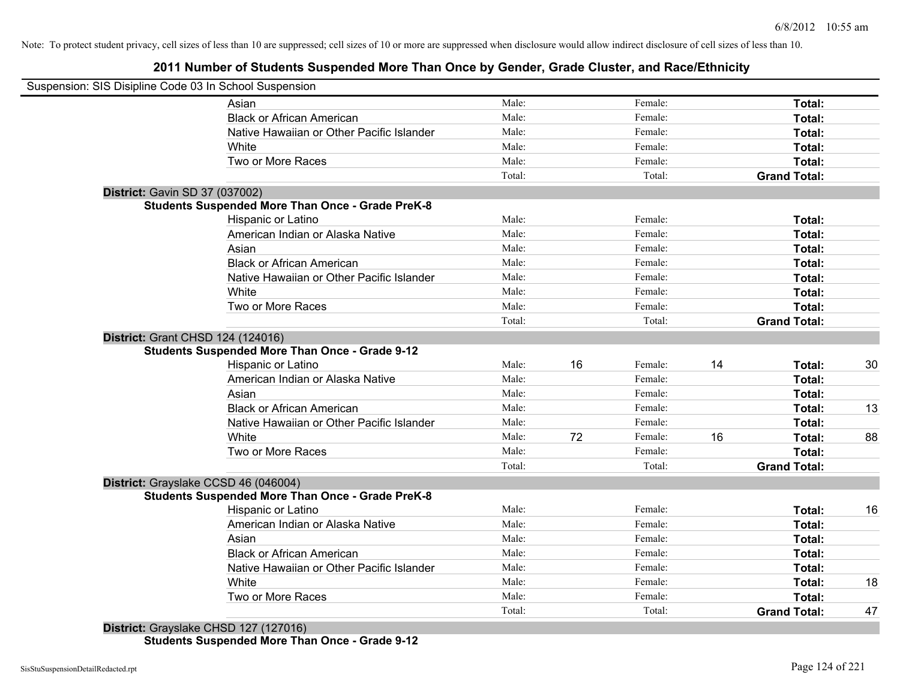**2011 Number of Students Suspended More Than Once by Gender, Grade Cluster, and Race/Ethnicity**

|                                      | Suspension: SIS Disipline Code 03 In School Suspension  |                 |    |                   |    |                               |    |
|--------------------------------------|---------------------------------------------------------|-----------------|----|-------------------|----|-------------------------------|----|
|                                      | Asian                                                   | Male:           |    | Female:           |    | Total:                        |    |
|                                      | <b>Black or African American</b>                        | Male:           |    | Female:           |    | Total:                        |    |
|                                      | Native Hawaiian or Other Pacific Islander               | Male:           |    | Female:           |    | Total:                        |    |
|                                      | White                                                   | Male:           |    | Female:           |    | Total:                        |    |
|                                      | Two or More Races                                       | Male:           |    | Female:           |    | Total:                        |    |
|                                      |                                                         | Total:          |    | Total:            |    | <b>Grand Total:</b>           |    |
| District: Gavin SD 37 (037002)       |                                                         |                 |    |                   |    |                               |    |
|                                      | <b>Students Suspended More Than Once - Grade PreK-8</b> |                 |    |                   |    |                               |    |
|                                      | Hispanic or Latino                                      | Male:           |    | Female:           |    | Total:                        |    |
|                                      | American Indian or Alaska Native                        | Male:           |    | Female:           |    | Total:                        |    |
|                                      | Asian                                                   | Male:           |    | Female:           |    | Total:                        |    |
|                                      | <b>Black or African American</b>                        | Male:           |    | Female:           |    | Total:                        |    |
|                                      | Native Hawaiian or Other Pacific Islander               | Male:           |    | Female:           |    | Total:                        |    |
|                                      | White                                                   | Male:           |    | Female:           |    | Total:                        |    |
|                                      | Two or More Races                                       | Male:           |    | Female:           |    | Total:                        |    |
|                                      |                                                         | Total:          |    | Total:            |    | <b>Grand Total:</b>           |    |
| District: Grant CHSD 124 (124016)    |                                                         |                 |    |                   |    |                               |    |
|                                      | <b>Students Suspended More Than Once - Grade 9-12</b>   |                 |    |                   |    |                               |    |
|                                      | Hispanic or Latino                                      | Male:           | 16 | Female:           | 14 | Total:                        | 30 |
|                                      | American Indian or Alaska Native                        | Male:           |    | Female:           |    | Total:                        |    |
|                                      | Asian                                                   | Male:           |    | Female:           |    | Total:                        |    |
|                                      | <b>Black or African American</b>                        | Male:           |    | Female:           |    | Total:                        | 13 |
|                                      | Native Hawaiian or Other Pacific Islander               | Male:           |    | Female:           |    | Total:                        |    |
|                                      | White                                                   | Male:           | 72 | Female:           | 16 | Total:                        | 88 |
|                                      | Two or More Races                                       | Male:           |    | Female:           |    | Total:                        |    |
|                                      |                                                         | Total:          |    | Total:            |    | <b>Grand Total:</b>           |    |
| District: Grayslake CCSD 46 (046004) |                                                         |                 |    |                   |    |                               |    |
|                                      | <b>Students Suspended More Than Once - Grade PreK-8</b> |                 |    |                   |    |                               |    |
|                                      | Hispanic or Latino                                      | Male:           |    | Female:           |    | Total:                        | 16 |
|                                      | American Indian or Alaska Native                        | Male:           |    | Female:           |    | Total:                        |    |
|                                      | Asian                                                   | Male:           |    | Female:           |    | Total:                        |    |
|                                      | <b>Black or African American</b>                        | Male:           |    | Female:           |    | Total:                        |    |
|                                      | Native Hawaiian or Other Pacific Islander               | Male:           |    | Female:           |    | Total:                        |    |
|                                      | White                                                   | Male:           |    | Female:           |    | Total:                        | 18 |
|                                      |                                                         |                 |    |                   |    |                               |    |
|                                      | Two or More Races                                       | Male:<br>Total: |    | Female:<br>Total: |    | Total:<br><b>Grand Total:</b> | 47 |

**District:** Grayslake CHSD 127 (127016) **Students Suspended More Than Once - Grade 9-12**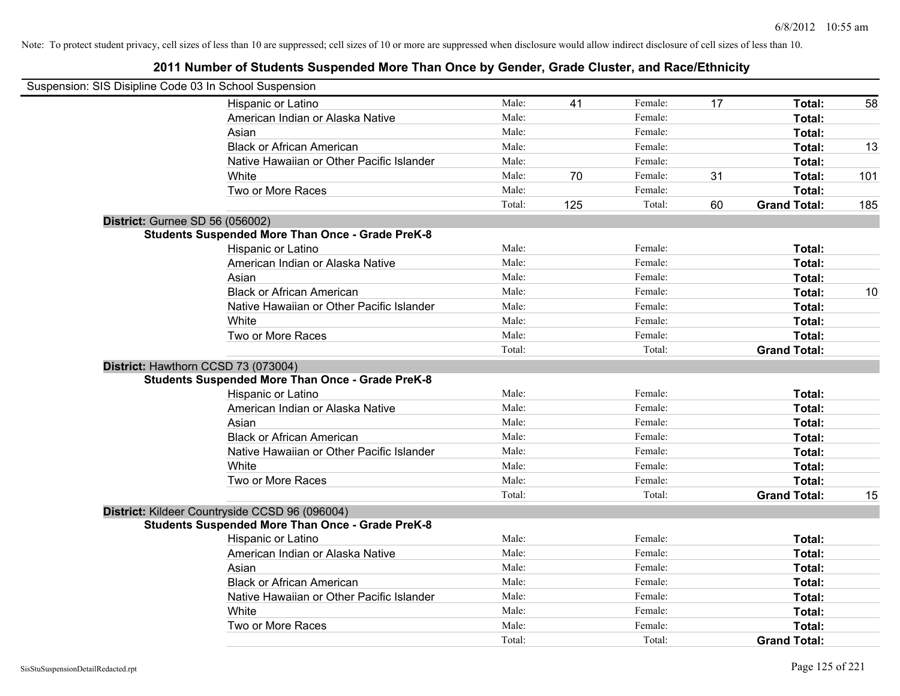| Suspension: SIS Disipline Code 03 In School Suspension |                                                         |        |     |         |    |                     |     |
|--------------------------------------------------------|---------------------------------------------------------|--------|-----|---------|----|---------------------|-----|
|                                                        | Hispanic or Latino                                      | Male:  | 41  | Female: | 17 | Total:              | 58  |
|                                                        | American Indian or Alaska Native                        | Male:  |     | Female: |    | Total:              |     |
|                                                        | Asian                                                   | Male:  |     | Female: |    | Total:              |     |
|                                                        | <b>Black or African American</b>                        | Male:  |     | Female: |    | Total:              | 13  |
|                                                        | Native Hawaiian or Other Pacific Islander               | Male:  |     | Female: |    | Total:              |     |
|                                                        | White                                                   | Male:  | 70  | Female: | 31 | Total:              | 101 |
|                                                        | Two or More Races                                       | Male:  |     | Female: |    | Total:              |     |
|                                                        |                                                         | Total: | 125 | Total:  | 60 | <b>Grand Total:</b> | 185 |
|                                                        | <b>District: Gurnee SD 56 (056002)</b>                  |        |     |         |    |                     |     |
|                                                        | <b>Students Suspended More Than Once - Grade PreK-8</b> |        |     |         |    |                     |     |
|                                                        | Hispanic or Latino                                      | Male:  |     | Female: |    | Total:              |     |
|                                                        | American Indian or Alaska Native                        | Male:  |     | Female: |    | Total:              |     |
|                                                        | Asian                                                   | Male:  |     | Female: |    | Total:              |     |
|                                                        | <b>Black or African American</b>                        | Male:  |     | Female: |    | Total:              | 10  |
|                                                        | Native Hawaiian or Other Pacific Islander               | Male:  |     | Female: |    | Total:              |     |
|                                                        | White                                                   | Male:  |     | Female: |    | Total:              |     |
|                                                        | Two or More Races                                       | Male:  |     | Female: |    | Total:              |     |
|                                                        |                                                         | Total: |     | Total:  |    | <b>Grand Total:</b> |     |
|                                                        | District: Hawthorn CCSD 73 (073004)                     |        |     |         |    |                     |     |
|                                                        | <b>Students Suspended More Than Once - Grade PreK-8</b> |        |     |         |    |                     |     |
|                                                        | Hispanic or Latino                                      | Male:  |     | Female: |    | Total:              |     |
|                                                        | American Indian or Alaska Native                        | Male:  |     | Female: |    | Total:              |     |
|                                                        | Asian                                                   | Male:  |     | Female: |    | Total:              |     |
|                                                        | <b>Black or African American</b>                        | Male:  |     | Female: |    | Total:              |     |
|                                                        | Native Hawaiian or Other Pacific Islander               | Male:  |     | Female: |    | Total:              |     |
|                                                        | White                                                   | Male:  |     | Female: |    | Total:              |     |
|                                                        | Two or More Races                                       | Male:  |     | Female: |    | Total:              |     |
|                                                        |                                                         | Total: |     | Total:  |    | <b>Grand Total:</b> | 15  |
|                                                        | District: Kildeer Countryside CCSD 96 (096004)          |        |     |         |    |                     |     |
|                                                        | <b>Students Suspended More Than Once - Grade PreK-8</b> |        |     |         |    |                     |     |
|                                                        | Hispanic or Latino                                      | Male:  |     | Female: |    | Total:              |     |
|                                                        | American Indian or Alaska Native                        | Male:  |     | Female: |    | Total:              |     |
|                                                        | Asian                                                   | Male:  |     | Female: |    | Total:              |     |
|                                                        | <b>Black or African American</b>                        | Male:  |     | Female: |    | Total:              |     |
|                                                        | Native Hawaiian or Other Pacific Islander               | Male:  |     | Female: |    | Total:              |     |
|                                                        | White                                                   | Male:  |     | Female: |    | Total:              |     |
|                                                        | Two or More Races                                       | Male:  |     | Female: |    | <b>Total:</b>       |     |
|                                                        |                                                         | Total: |     | Total:  |    | <b>Grand Total:</b> |     |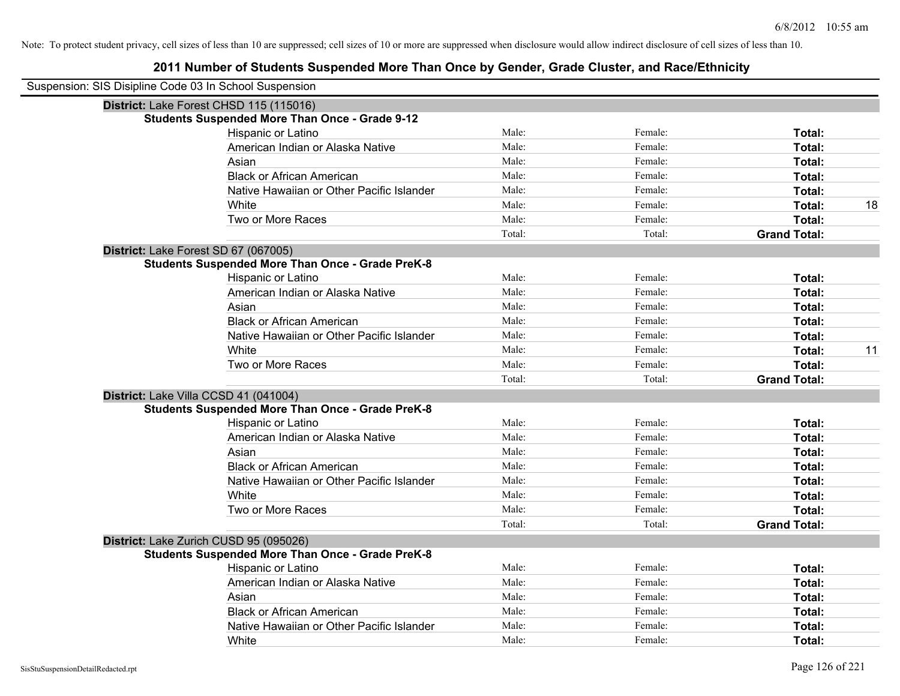| Suspension: SIS Disipline Code 03 In School Suspension |                                                         |        |         |                     |    |
|--------------------------------------------------------|---------------------------------------------------------|--------|---------|---------------------|----|
|                                                        | District: Lake Forest CHSD 115 (115016)                 |        |         |                     |    |
|                                                        | <b>Students Suspended More Than Once - Grade 9-12</b>   |        |         |                     |    |
|                                                        | Hispanic or Latino                                      | Male:  | Female: | Total:              |    |
|                                                        | American Indian or Alaska Native                        | Male:  | Female: | Total:              |    |
|                                                        | Asian                                                   | Male:  | Female: | Total:              |    |
|                                                        | <b>Black or African American</b>                        | Male:  | Female: | Total:              |    |
|                                                        | Native Hawaiian or Other Pacific Islander               | Male:  | Female: | Total:              |    |
|                                                        | White                                                   | Male:  | Female: | Total:              | 18 |
|                                                        | Two or More Races                                       | Male:  | Female: | Total:              |    |
|                                                        |                                                         | Total: | Total:  | <b>Grand Total:</b> |    |
|                                                        | District: Lake Forest SD 67 (067005)                    |        |         |                     |    |
|                                                        | <b>Students Suspended More Than Once - Grade PreK-8</b> |        |         |                     |    |
|                                                        | Hispanic or Latino                                      | Male:  | Female: | Total:              |    |
|                                                        | American Indian or Alaska Native                        | Male:  | Female: | Total:              |    |
|                                                        | Asian                                                   | Male:  | Female: | Total:              |    |
|                                                        | <b>Black or African American</b>                        | Male:  | Female: | Total:              |    |
|                                                        | Native Hawaiian or Other Pacific Islander               | Male:  | Female: | Total:              |    |
|                                                        | White                                                   | Male:  | Female: | Total:              | 11 |
|                                                        | Two or More Races                                       | Male:  | Female: | Total:              |    |
|                                                        |                                                         | Total: | Total:  | <b>Grand Total:</b> |    |
|                                                        | District: Lake Villa CCSD 41 (041004)                   |        |         |                     |    |
|                                                        | <b>Students Suspended More Than Once - Grade PreK-8</b> |        |         |                     |    |
|                                                        | Hispanic or Latino                                      | Male:  | Female: | Total:              |    |
|                                                        | American Indian or Alaska Native                        | Male:  | Female: | Total:              |    |
|                                                        | Asian                                                   | Male:  | Female: | Total:              |    |
|                                                        | <b>Black or African American</b>                        | Male:  | Female: | Total:              |    |
|                                                        | Native Hawaiian or Other Pacific Islander               | Male:  | Female: | Total:              |    |
|                                                        | White                                                   | Male:  | Female: | Total:              |    |
|                                                        | Two or More Races                                       | Male:  | Female: | Total:              |    |
|                                                        |                                                         | Total: | Total:  | <b>Grand Total:</b> |    |
|                                                        | District: Lake Zurich CUSD 95 (095026)                  |        |         |                     |    |
|                                                        | <b>Students Suspended More Than Once - Grade PreK-8</b> |        |         |                     |    |
|                                                        | Hispanic or Latino                                      | Male:  | Female: | Total:              |    |
|                                                        | American Indian or Alaska Native                        | Male:  | Female: | Total:              |    |
|                                                        | Asian                                                   | Male:  | Female: | Total:              |    |
|                                                        | <b>Black or African American</b>                        | Male:  | Female: | Total:              |    |
|                                                        | Native Hawaiian or Other Pacific Islander               | Male:  | Female: | Total:              |    |
|                                                        | White                                                   | Male:  | Female: | Total:              |    |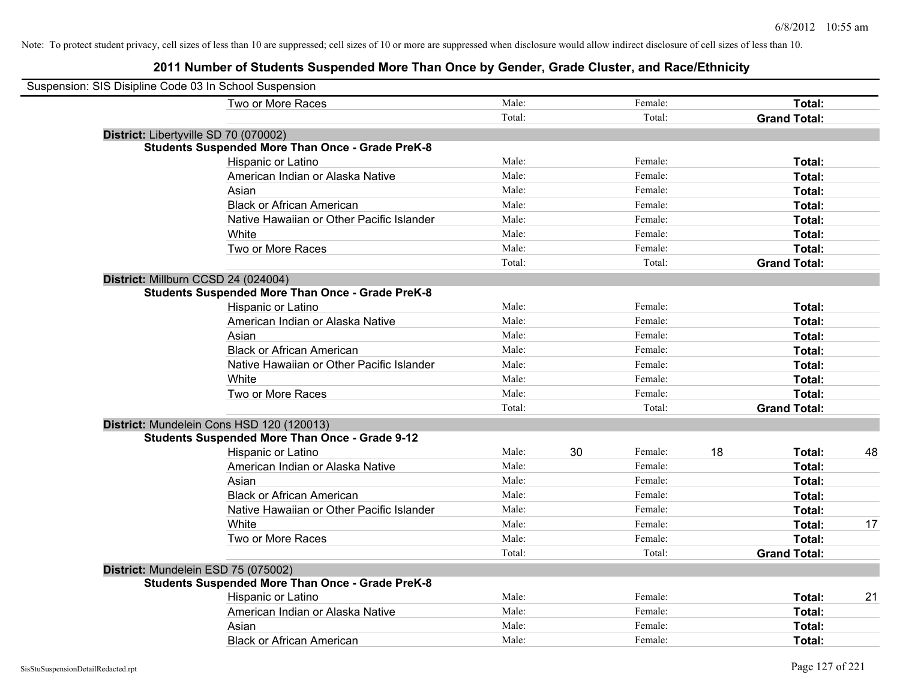| Suspension: SIS Disipline Code 03 In School Suspension  |        |    |         |    |                     |    |
|---------------------------------------------------------|--------|----|---------|----|---------------------|----|
| Two or More Races                                       | Male:  |    | Female: |    | Total:              |    |
|                                                         | Total: |    | Total:  |    | <b>Grand Total:</b> |    |
| District: Libertyville SD 70 (070002)                   |        |    |         |    |                     |    |
| <b>Students Suspended More Than Once - Grade PreK-8</b> |        |    |         |    |                     |    |
| Hispanic or Latino                                      | Male:  |    | Female: |    | Total:              |    |
| American Indian or Alaska Native                        | Male:  |    | Female: |    | Total:              |    |
| Asian                                                   | Male:  |    | Female: |    | Total:              |    |
| <b>Black or African American</b>                        | Male:  |    | Female: |    | Total:              |    |
| Native Hawaiian or Other Pacific Islander               | Male:  |    | Female: |    | Total:              |    |
| White                                                   | Male:  |    | Female: |    | Total:              |    |
| Two or More Races                                       | Male:  |    | Female: |    | Total:              |    |
|                                                         | Total: |    | Total:  |    | <b>Grand Total:</b> |    |
| District: Millburn CCSD 24 (024004)                     |        |    |         |    |                     |    |
| <b>Students Suspended More Than Once - Grade PreK-8</b> |        |    |         |    |                     |    |
| Hispanic or Latino                                      | Male:  |    | Female: |    | Total:              |    |
| American Indian or Alaska Native                        | Male:  |    | Female: |    | Total:              |    |
| Asian                                                   | Male:  |    | Female: |    | Total:              |    |
| <b>Black or African American</b>                        | Male:  |    | Female: |    | Total:              |    |
| Native Hawaiian or Other Pacific Islander               | Male:  |    | Female: |    | Total:              |    |
| White                                                   | Male:  |    | Female: |    | Total:              |    |
| Two or More Races                                       | Male:  |    | Female: |    | Total:              |    |
|                                                         | Total: |    | Total:  |    | <b>Grand Total:</b> |    |
| District: Mundelein Cons HSD 120 (120013)               |        |    |         |    |                     |    |
| <b>Students Suspended More Than Once - Grade 9-12</b>   |        |    |         |    |                     |    |
| Hispanic or Latino                                      | Male:  | 30 | Female: | 18 | Total:              | 48 |
| American Indian or Alaska Native                        | Male:  |    | Female: |    | Total:              |    |
| Asian                                                   | Male:  |    | Female: |    | Total:              |    |
| <b>Black or African American</b>                        | Male:  |    | Female: |    | Total:              |    |
| Native Hawaiian or Other Pacific Islander               | Male:  |    | Female: |    | Total:              |    |
| White                                                   | Male:  |    | Female: |    | Total:              | 17 |
| Two or More Races                                       | Male:  |    | Female: |    | Total:              |    |
|                                                         | Total: |    | Total:  |    | <b>Grand Total:</b> |    |
| District: Mundelein ESD 75 (075002)                     |        |    |         |    |                     |    |
| <b>Students Suspended More Than Once - Grade PreK-8</b> |        |    |         |    |                     |    |
| Hispanic or Latino                                      | Male:  |    | Female: |    | Total:              | 21 |
| American Indian or Alaska Native                        | Male:  |    | Female: |    | Total:              |    |
| Asian                                                   | Male:  |    | Female: |    | Total:              |    |
| <b>Black or African American</b>                        | Male:  |    | Female: |    | Total:              |    |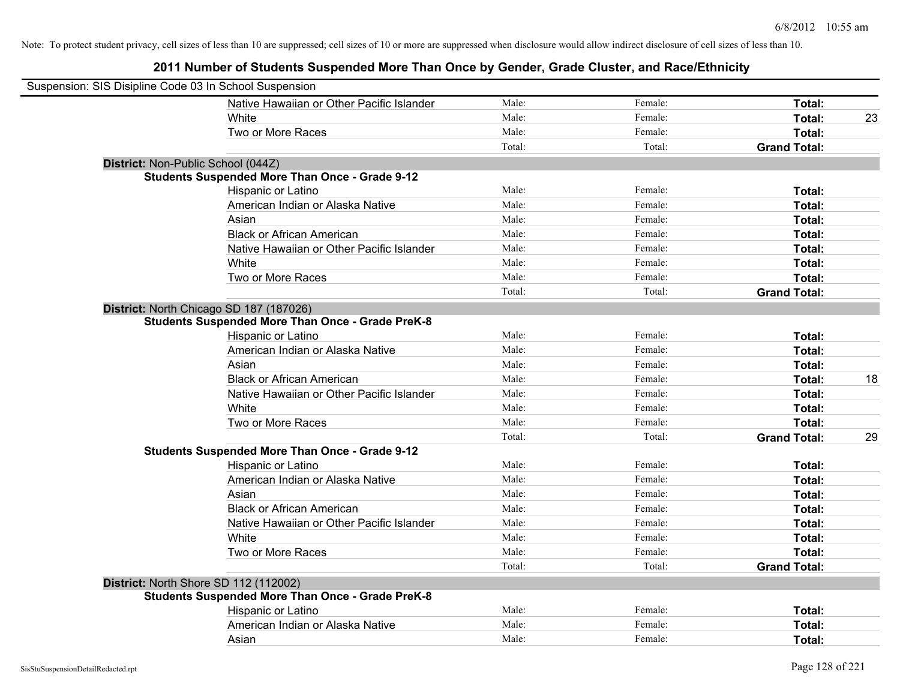| Suspension: SIS Disipline Code 03 In School Suspension |                                                         |        |         |                     |    |
|--------------------------------------------------------|---------------------------------------------------------|--------|---------|---------------------|----|
|                                                        | Native Hawaiian or Other Pacific Islander               | Male:  | Female: | Total:              |    |
|                                                        | White                                                   | Male:  | Female: | Total:              | 23 |
|                                                        | Two or More Races                                       | Male:  | Female: | Total:              |    |
|                                                        |                                                         | Total: | Total:  | <b>Grand Total:</b> |    |
| District: Non-Public School (044Z)                     |                                                         |        |         |                     |    |
|                                                        | <b>Students Suspended More Than Once - Grade 9-12</b>   |        |         |                     |    |
|                                                        | Hispanic or Latino                                      | Male:  | Female: | Total:              |    |
|                                                        | American Indian or Alaska Native                        | Male:  | Female: | Total:              |    |
|                                                        | Asian                                                   | Male:  | Female: | Total:              |    |
|                                                        | <b>Black or African American</b>                        | Male:  | Female: | Total:              |    |
|                                                        | Native Hawaiian or Other Pacific Islander               | Male:  | Female: | Total:              |    |
|                                                        | White                                                   | Male:  | Female: | Total:              |    |
|                                                        | Two or More Races                                       | Male:  | Female: | Total:              |    |
|                                                        |                                                         | Total: | Total:  | <b>Grand Total:</b> |    |
|                                                        | District: North Chicago SD 187 (187026)                 |        |         |                     |    |
|                                                        | <b>Students Suspended More Than Once - Grade PreK-8</b> |        |         |                     |    |
|                                                        | Hispanic or Latino                                      | Male:  | Female: | Total:              |    |
|                                                        | American Indian or Alaska Native                        | Male:  | Female: | Total:              |    |
|                                                        | Asian                                                   | Male:  | Female: | Total:              |    |
|                                                        | <b>Black or African American</b>                        | Male:  | Female: | Total:              | 18 |
|                                                        | Native Hawaiian or Other Pacific Islander               | Male:  | Female: | Total:              |    |
|                                                        | White                                                   | Male:  | Female: | Total:              |    |
|                                                        | Two or More Races                                       | Male:  | Female: | Total:              |    |
|                                                        |                                                         | Total: | Total:  | <b>Grand Total:</b> | 29 |
|                                                        | <b>Students Suspended More Than Once - Grade 9-12</b>   |        |         |                     |    |
|                                                        | Hispanic or Latino                                      | Male:  | Female: | Total:              |    |
|                                                        | American Indian or Alaska Native                        | Male:  | Female: | Total:              |    |
|                                                        | Asian                                                   | Male:  | Female: | Total:              |    |
|                                                        | <b>Black or African American</b>                        | Male:  | Female: | Total:              |    |
|                                                        | Native Hawaiian or Other Pacific Islander               | Male:  | Female: | Total:              |    |
|                                                        | White                                                   | Male:  | Female: | Total:              |    |
|                                                        | Two or More Races                                       | Male:  | Female: | Total:              |    |
|                                                        |                                                         | Total: | Total:  | <b>Grand Total:</b> |    |
|                                                        | District: North Shore SD 112 (112002)                   |        |         |                     |    |
|                                                        | <b>Students Suspended More Than Once - Grade PreK-8</b> |        |         |                     |    |
|                                                        | Hispanic or Latino                                      | Male:  | Female: | Total:              |    |
|                                                        | American Indian or Alaska Native                        | Male:  | Female: | Total:              |    |
|                                                        | Asian                                                   | Male:  | Female: | Total:              |    |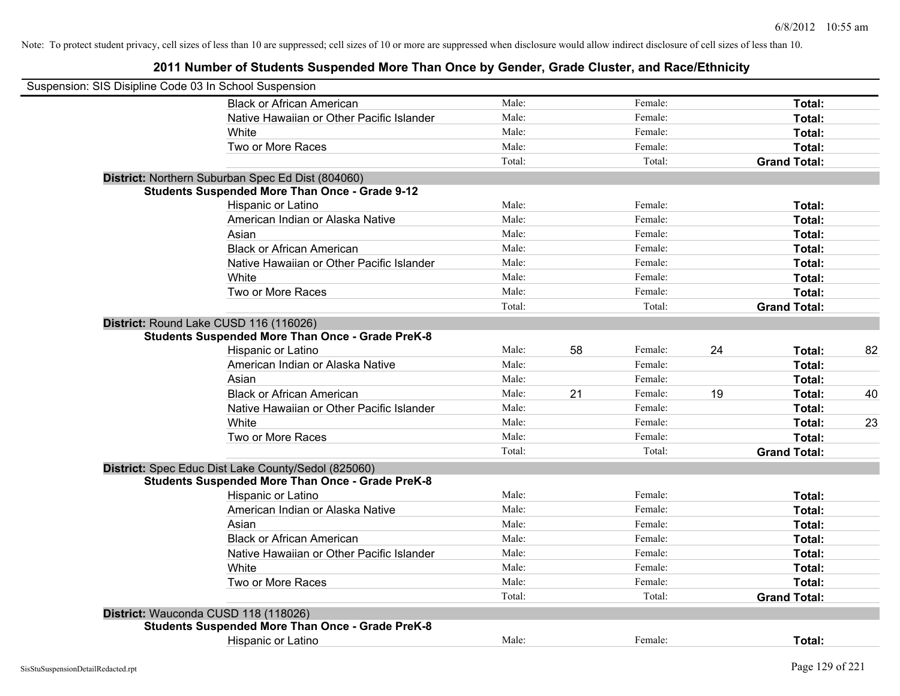| Suspension: SIS Disipline Code 03 In School Suspension                                            |        |    |         |    |                     |    |
|---------------------------------------------------------------------------------------------------|--------|----|---------|----|---------------------|----|
| <b>Black or African American</b>                                                                  | Male:  |    | Female: |    | Total:              |    |
| Native Hawaiian or Other Pacific Islander                                                         | Male:  |    | Female: |    | Total:              |    |
| White                                                                                             | Male:  |    | Female: |    | Total:              |    |
| Two or More Races                                                                                 | Male:  |    | Female: |    | Total:              |    |
|                                                                                                   | Total: |    | Total:  |    | <b>Grand Total:</b> |    |
| District: Northern Suburban Spec Ed Dist (804060)                                                 |        |    |         |    |                     |    |
| <b>Students Suspended More Than Once - Grade 9-12</b>                                             |        |    |         |    |                     |    |
| Hispanic or Latino                                                                                | Male:  |    | Female: |    | Total:              |    |
| American Indian or Alaska Native                                                                  | Male:  |    | Female: |    | Total:              |    |
| Asian                                                                                             | Male:  |    | Female: |    | Total:              |    |
| <b>Black or African American</b>                                                                  | Male:  |    | Female: |    | Total:              |    |
| Native Hawaiian or Other Pacific Islander                                                         | Male:  |    | Female: |    | Total:              |    |
| White                                                                                             | Male:  |    | Female: |    | Total:              |    |
| Two or More Races                                                                                 | Male:  |    | Female: |    | Total:              |    |
|                                                                                                   | Total: |    | Total:  |    | <b>Grand Total:</b> |    |
| District: Round Lake CUSD 116 (116026)<br><b>Students Suspended More Than Once - Grade PreK-8</b> |        |    |         |    |                     |    |
| Hispanic or Latino                                                                                | Male:  | 58 | Female: | 24 | Total:              | 82 |
| American Indian or Alaska Native                                                                  | Male:  |    | Female: |    | Total:              |    |
| Asian                                                                                             | Male:  |    | Female: |    | Total:              |    |
| <b>Black or African American</b>                                                                  | Male:  | 21 | Female: | 19 | Total:              | 40 |
| Native Hawaiian or Other Pacific Islander                                                         | Male:  |    | Female: |    | Total:              |    |
| White                                                                                             | Male:  |    | Female: |    | Total:              | 23 |
| Two or More Races                                                                                 | Male:  |    | Female: |    | Total:              |    |
|                                                                                                   | Total: |    | Total:  |    | <b>Grand Total:</b> |    |
| District: Spec Educ Dist Lake County/Sedol (825060)                                               |        |    |         |    |                     |    |
| <b>Students Suspended More Than Once - Grade PreK-8</b>                                           |        |    |         |    |                     |    |
| Hispanic or Latino                                                                                | Male:  |    | Female: |    | Total:              |    |
| American Indian or Alaska Native                                                                  | Male:  |    | Female: |    | Total:              |    |
| Asian                                                                                             | Male:  |    | Female: |    | Total:              |    |
| <b>Black or African American</b>                                                                  | Male:  |    | Female: |    | Total:              |    |
| Native Hawaiian or Other Pacific Islander                                                         | Male:  |    | Female: |    | Total:              |    |
| White                                                                                             | Male:  |    | Female: |    | Total:              |    |
| Two or More Races                                                                                 | Male:  |    | Female: |    | Total:              |    |
|                                                                                                   | Total: |    | Total:  |    | <b>Grand Total:</b> |    |
| District: Wauconda CUSD 118 (118026)                                                              |        |    |         |    |                     |    |
| <b>Students Suspended More Than Once - Grade PreK-8</b>                                           |        |    |         |    |                     |    |
| <b>Hispanic or Latino</b>                                                                         | Male:  |    | Female: |    | Total:              |    |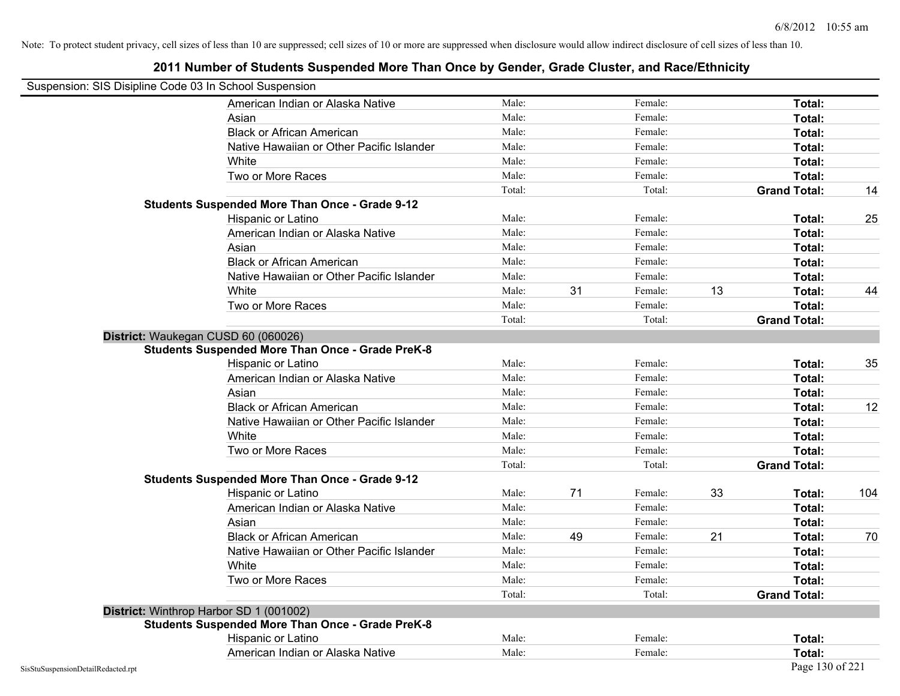| Suspension: SIS Disipline Code 03 In School Suspension |                                                         |        |    |         |    |                     |     |
|--------------------------------------------------------|---------------------------------------------------------|--------|----|---------|----|---------------------|-----|
|                                                        | American Indian or Alaska Native                        | Male:  |    | Female: |    | Total:              |     |
|                                                        | Asian                                                   | Male:  |    | Female: |    | Total:              |     |
|                                                        | <b>Black or African American</b>                        | Male:  |    | Female: |    | Total:              |     |
|                                                        | Native Hawaiian or Other Pacific Islander               | Male:  |    | Female: |    | Total:              |     |
|                                                        | White                                                   | Male:  |    | Female: |    | Total:              |     |
|                                                        | Two or More Races                                       | Male:  |    | Female: |    | Total:              |     |
|                                                        |                                                         | Total: |    | Total:  |    | <b>Grand Total:</b> | 14  |
|                                                        | <b>Students Suspended More Than Once - Grade 9-12</b>   |        |    |         |    |                     |     |
|                                                        | Hispanic or Latino                                      | Male:  |    | Female: |    | Total:              | 25  |
|                                                        | American Indian or Alaska Native                        | Male:  |    | Female: |    | Total:              |     |
|                                                        | Asian                                                   | Male:  |    | Female: |    | Total:              |     |
|                                                        | <b>Black or African American</b>                        | Male:  |    | Female: |    | Total:              |     |
|                                                        | Native Hawaiian or Other Pacific Islander               | Male:  |    | Female: |    | Total:              |     |
|                                                        | White                                                   | Male:  | 31 | Female: | 13 | Total:              | 44  |
|                                                        | Two or More Races                                       | Male:  |    | Female: |    | Total:              |     |
|                                                        |                                                         | Total: |    | Total:  |    | <b>Grand Total:</b> |     |
|                                                        | District: Waukegan CUSD 60 (060026)                     |        |    |         |    |                     |     |
|                                                        | <b>Students Suspended More Than Once - Grade PreK-8</b> |        |    |         |    |                     |     |
|                                                        | Hispanic or Latino                                      | Male:  |    | Female: |    | Total:              | 35  |
|                                                        | American Indian or Alaska Native                        | Male:  |    | Female: |    | Total:              |     |
|                                                        | Asian                                                   | Male:  |    | Female: |    | Total:              |     |
|                                                        | <b>Black or African American</b>                        | Male:  |    | Female: |    | Total:              | 12  |
|                                                        | Native Hawaiian or Other Pacific Islander               | Male:  |    | Female: |    | Total:              |     |
|                                                        | White                                                   | Male:  |    | Female: |    | Total:              |     |
|                                                        | Two or More Races                                       | Male:  |    | Female: |    | Total:              |     |
|                                                        |                                                         | Total: |    | Total:  |    | <b>Grand Total:</b> |     |
|                                                        | <b>Students Suspended More Than Once - Grade 9-12</b>   |        |    |         |    |                     |     |
|                                                        | Hispanic or Latino                                      | Male:  | 71 | Female: | 33 | Total:              | 104 |
|                                                        | American Indian or Alaska Native                        | Male:  |    | Female: |    | Total:              |     |
|                                                        | Asian                                                   | Male:  |    | Female: |    | Total:              |     |
|                                                        | <b>Black or African American</b>                        | Male:  | 49 | Female: | 21 | Total:              | 70  |
|                                                        | Native Hawaiian or Other Pacific Islander               | Male:  |    | Female: |    | Total:              |     |
|                                                        | White                                                   | Male:  |    | Female: |    | Total:              |     |
|                                                        | Two or More Races                                       | Male:  |    | Female: |    | Total:              |     |
|                                                        |                                                         | Total: |    | Total:  |    | <b>Grand Total:</b> |     |
|                                                        | District: Winthrop Harbor SD 1 (001002)                 |        |    |         |    |                     |     |
|                                                        | <b>Students Suspended More Than Once - Grade PreK-8</b> |        |    |         |    |                     |     |
|                                                        | Hispanic or Latino                                      | Male:  |    | Female: |    | Total:              |     |
|                                                        | American Indian or Alaska Native                        | Male:  |    | Female: |    | Total:              |     |
| SisStuSuspensionDetailRedacted.rpt                     |                                                         |        |    |         |    | Page 130 of 221     |     |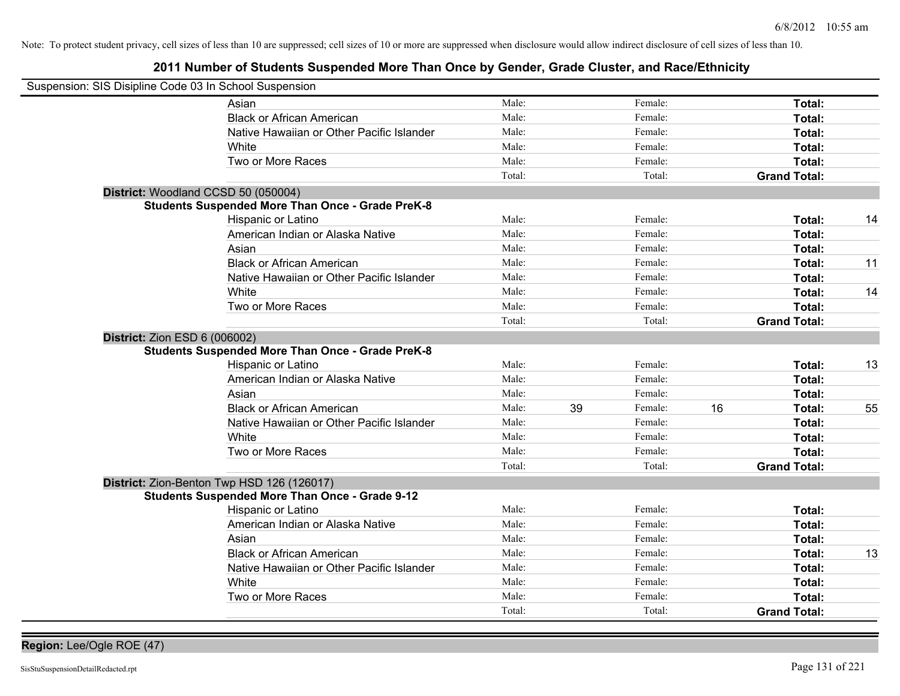| Suspension: SIS Disipline Code 03 In School Suspension |                                                         |        |               |                     |    |
|--------------------------------------------------------|---------------------------------------------------------|--------|---------------|---------------------|----|
|                                                        | Asian                                                   | Male:  | Female:       | Total:              |    |
|                                                        | <b>Black or African American</b>                        | Male:  | Female:       | Total:              |    |
|                                                        | Native Hawaiian or Other Pacific Islander               | Male:  | Female:       | Total:              |    |
|                                                        | White                                                   | Male:  | Female:       | Total:              |    |
|                                                        | Two or More Races                                       | Male:  | Female:       | Total:              |    |
|                                                        |                                                         | Total: | Total:        | <b>Grand Total:</b> |    |
| District: Woodland CCSD 50 (050004)                    |                                                         |        |               |                     |    |
|                                                        | <b>Students Suspended More Than Once - Grade PreK-8</b> |        |               |                     |    |
|                                                        | Hispanic or Latino                                      | Male:  | Female:       | Total:              | 14 |
|                                                        | American Indian or Alaska Native                        | Male:  | Female:       | Total:              |    |
|                                                        | Asian                                                   | Male:  | Female:       | Total:              |    |
|                                                        | <b>Black or African American</b>                        | Male:  | Female:       | Total:              | 11 |
|                                                        | Native Hawaiian or Other Pacific Islander               | Male:  | Female:       | Total:              |    |
|                                                        | White                                                   | Male:  | Female:       | Total:              | 14 |
|                                                        | Two or More Races                                       | Male:  | Female:       | Total:              |    |
|                                                        |                                                         | Total: | Total:        | <b>Grand Total:</b> |    |
| District: Zion ESD 6 (006002)                          | <b>Students Suspended More Than Once - Grade PreK-8</b> |        |               |                     |    |
|                                                        | Hispanic or Latino                                      | Male:  | Female:       | Total:              | 13 |
|                                                        | American Indian or Alaska Native                        | Male:  | Female:       | Total:              |    |
|                                                        | Asian                                                   | Male:  | Female:       | Total:              |    |
|                                                        | <b>Black or African American</b>                        | Male:  | 39<br>Female: | 16<br>Total:        | 55 |
|                                                        | Native Hawaiian or Other Pacific Islander               | Male:  | Female:       | Total:              |    |
|                                                        | White                                                   | Male:  | Female:       | Total:              |    |
|                                                        | Two or More Races                                       | Male:  | Female:       | Total:              |    |
|                                                        |                                                         | Total: | Total:        | <b>Grand Total:</b> |    |
| District: Zion-Benton Twp HSD 126 (126017)             |                                                         |        |               |                     |    |
|                                                        | <b>Students Suspended More Than Once - Grade 9-12</b>   |        |               |                     |    |
|                                                        | Hispanic or Latino                                      | Male:  | Female:       | Total:              |    |
|                                                        | American Indian or Alaska Native                        | Male:  | Female:       | Total:              |    |
|                                                        | Asian                                                   | Male:  | Female:       | Total:              |    |
|                                                        | <b>Black or African American</b>                        | Male:  | Female:       | Total:              | 13 |
|                                                        | Native Hawaiian or Other Pacific Islander               | Male:  | Female:       | Total:              |    |
|                                                        | White                                                   | Male:  | Female:       | Total:              |    |
|                                                        | Two or More Races                                       | Male:  | Female:       | Total:              |    |
|                                                        |                                                         | Total: | Total:        | <b>Grand Total:</b> |    |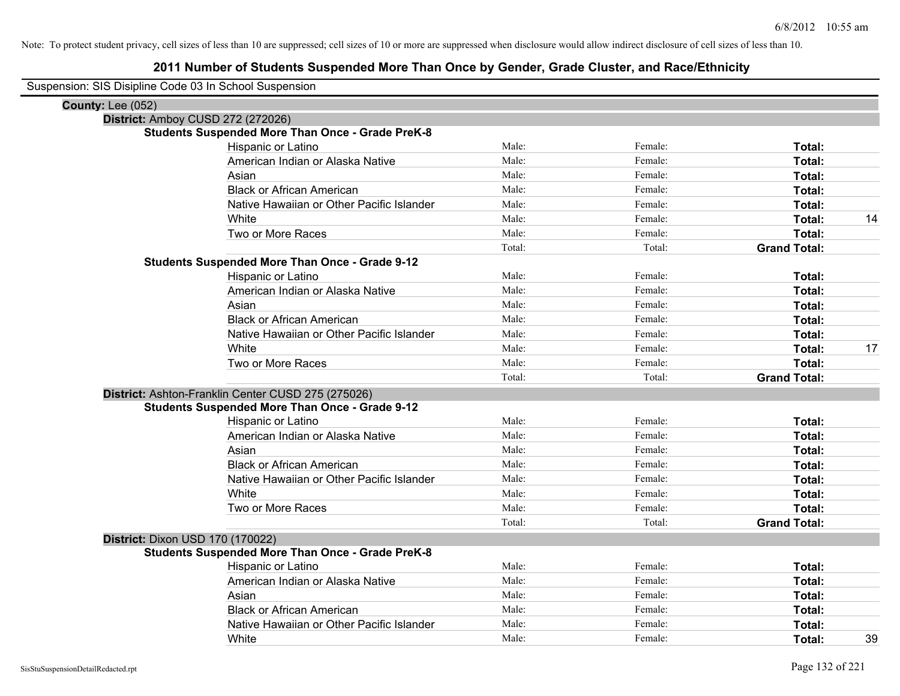|                          | Suspension: SIS Disipline Code 03 In School Suspension  |        |         |                     |    |
|--------------------------|---------------------------------------------------------|--------|---------|---------------------|----|
| <b>County: Lee (052)</b> |                                                         |        |         |                     |    |
|                          | District: Amboy CUSD 272 (272026)                       |        |         |                     |    |
|                          | <b>Students Suspended More Than Once - Grade PreK-8</b> |        |         |                     |    |
|                          | Hispanic or Latino                                      | Male:  | Female: | Total:              |    |
|                          | American Indian or Alaska Native                        | Male:  | Female: | Total:              |    |
|                          | Asian                                                   | Male:  | Female: | Total:              |    |
|                          | <b>Black or African American</b>                        | Male:  | Female: | Total:              |    |
|                          | Native Hawaiian or Other Pacific Islander               | Male:  | Female: | Total:              |    |
|                          | White                                                   | Male:  | Female: | Total:              | 14 |
|                          | Two or More Races                                       | Male:  | Female: | Total:              |    |
|                          |                                                         | Total: | Total:  | <b>Grand Total:</b> |    |
|                          | <b>Students Suspended More Than Once - Grade 9-12</b>   |        |         |                     |    |
|                          | Hispanic or Latino                                      | Male:  | Female: | Total:              |    |
|                          | American Indian or Alaska Native                        | Male:  | Female: | Total:              |    |
|                          | Asian                                                   | Male:  | Female: | Total:              |    |
|                          | <b>Black or African American</b>                        | Male:  | Female: | Total:              |    |
|                          | Native Hawaiian or Other Pacific Islander               | Male:  | Female: | Total:              |    |
|                          | White                                                   | Male:  | Female: | Total:              | 17 |
|                          | Two or More Races                                       | Male:  | Female: | Total:              |    |
|                          |                                                         | Total: | Total:  | <b>Grand Total:</b> |    |
|                          | District: Ashton-Franklin Center CUSD 275 (275026)      |        |         |                     |    |
|                          | <b>Students Suspended More Than Once - Grade 9-12</b>   |        |         |                     |    |
|                          | Hispanic or Latino                                      | Male:  | Female: | Total:              |    |
|                          | American Indian or Alaska Native                        | Male:  | Female: | Total:              |    |
|                          | Asian                                                   | Male:  | Female: | Total:              |    |
|                          | <b>Black or African American</b>                        | Male:  | Female: | Total:              |    |
|                          | Native Hawaiian or Other Pacific Islander               | Male:  | Female: | Total:              |    |
|                          | White                                                   | Male:  | Female: | Total:              |    |
|                          | Two or More Races                                       | Male:  | Female: | Total:              |    |
|                          |                                                         | Total: | Total:  | <b>Grand Total:</b> |    |
|                          | District: Dixon USD 170 (170022)                        |        |         |                     |    |
|                          | <b>Students Suspended More Than Once - Grade PreK-8</b> |        |         |                     |    |
|                          | Hispanic or Latino                                      | Male:  | Female: | Total:              |    |
|                          | American Indian or Alaska Native                        | Male:  | Female: | Total:              |    |
|                          | Asian                                                   | Male:  | Female: | Total:              |    |
|                          | <b>Black or African American</b>                        | Male:  | Female: | <b>Total:</b>       |    |
|                          | Native Hawaiian or Other Pacific Islander               | Male:  | Female: | Total:              |    |
|                          | White                                                   | Male:  | Female: | Total:              | 39 |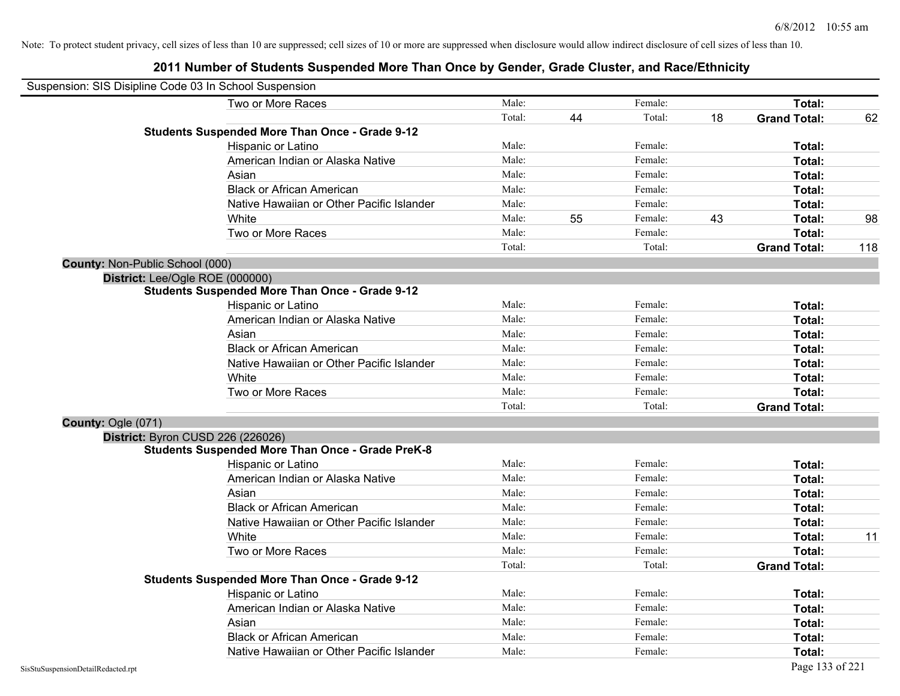| Suspension: SIS Disipline Code 03 In School Suspension |                                                         |        |    |         |    |                     |     |
|--------------------------------------------------------|---------------------------------------------------------|--------|----|---------|----|---------------------|-----|
|                                                        | Two or More Races                                       | Male:  |    | Female: |    | Total:              |     |
|                                                        |                                                         | Total: | 44 | Total:  | 18 | <b>Grand Total:</b> | 62  |
|                                                        | <b>Students Suspended More Than Once - Grade 9-12</b>   |        |    |         |    |                     |     |
|                                                        | <b>Hispanic or Latino</b>                               | Male:  |    | Female: |    | Total:              |     |
|                                                        | American Indian or Alaska Native                        | Male:  |    | Female: |    | Total:              |     |
|                                                        | Asian                                                   | Male:  |    | Female: |    | Total:              |     |
|                                                        | <b>Black or African American</b>                        | Male:  |    | Female: |    | Total:              |     |
|                                                        | Native Hawaiian or Other Pacific Islander               | Male:  |    | Female: |    | Total:              |     |
|                                                        | White                                                   | Male:  | 55 | Female: | 43 | Total:              | 98  |
|                                                        | Two or More Races                                       | Male:  |    | Female: |    | Total:              |     |
|                                                        |                                                         | Total: |    | Total:  |    | <b>Grand Total:</b> | 118 |
| County: Non-Public School (000)                        |                                                         |        |    |         |    |                     |     |
| District: Lee/Ogle ROE (000000)                        |                                                         |        |    |         |    |                     |     |
|                                                        | <b>Students Suspended More Than Once - Grade 9-12</b>   |        |    |         |    |                     |     |
|                                                        | Hispanic or Latino                                      | Male:  |    | Female: |    | Total:              |     |
|                                                        | American Indian or Alaska Native                        | Male:  |    | Female: |    | Total:              |     |
|                                                        | Asian                                                   | Male:  |    | Female: |    | Total:              |     |
|                                                        | <b>Black or African American</b>                        | Male:  |    | Female: |    | Total:              |     |
|                                                        | Native Hawaiian or Other Pacific Islander               | Male:  |    | Female: |    | Total:              |     |
|                                                        | White                                                   | Male:  |    | Female: |    | Total:              |     |
|                                                        | Two or More Races                                       | Male:  |    | Female: |    | Total:              |     |
|                                                        |                                                         | Total: |    | Total:  |    | <b>Grand Total:</b> |     |
| County: Ogle (071)                                     |                                                         |        |    |         |    |                     |     |
|                                                        | District: Byron CUSD 226 (226026)                       |        |    |         |    |                     |     |
|                                                        | <b>Students Suspended More Than Once - Grade PreK-8</b> |        |    |         |    |                     |     |
|                                                        | Hispanic or Latino                                      | Male:  |    | Female: |    | Total:              |     |
|                                                        | American Indian or Alaska Native                        | Male:  |    | Female: |    | Total:              |     |
|                                                        | Asian                                                   | Male:  |    | Female: |    | Total:              |     |
|                                                        | <b>Black or African American</b>                        | Male:  |    | Female: |    | Total:              |     |
|                                                        | Native Hawaiian or Other Pacific Islander               | Male:  |    | Female: |    | Total:              |     |
|                                                        | White                                                   | Male:  |    | Female: |    | Total:              | 11  |
|                                                        | Two or More Races                                       | Male:  |    | Female: |    | Total:              |     |
|                                                        |                                                         | Total: |    | Total:  |    | <b>Grand Total:</b> |     |
|                                                        | <b>Students Suspended More Than Once - Grade 9-12</b>   |        |    |         |    |                     |     |
|                                                        | Hispanic or Latino                                      | Male:  |    | Female: |    | Total:              |     |
|                                                        | American Indian or Alaska Native                        | Male:  |    | Female: |    | Total:              |     |
|                                                        | Asian                                                   | Male:  |    | Female: |    | Total:              |     |
|                                                        | <b>Black or African American</b>                        | Male:  |    | Female: |    | Total:              |     |
|                                                        | Native Hawaiian or Other Pacific Islander               | Male:  |    | Female: |    | Total:              |     |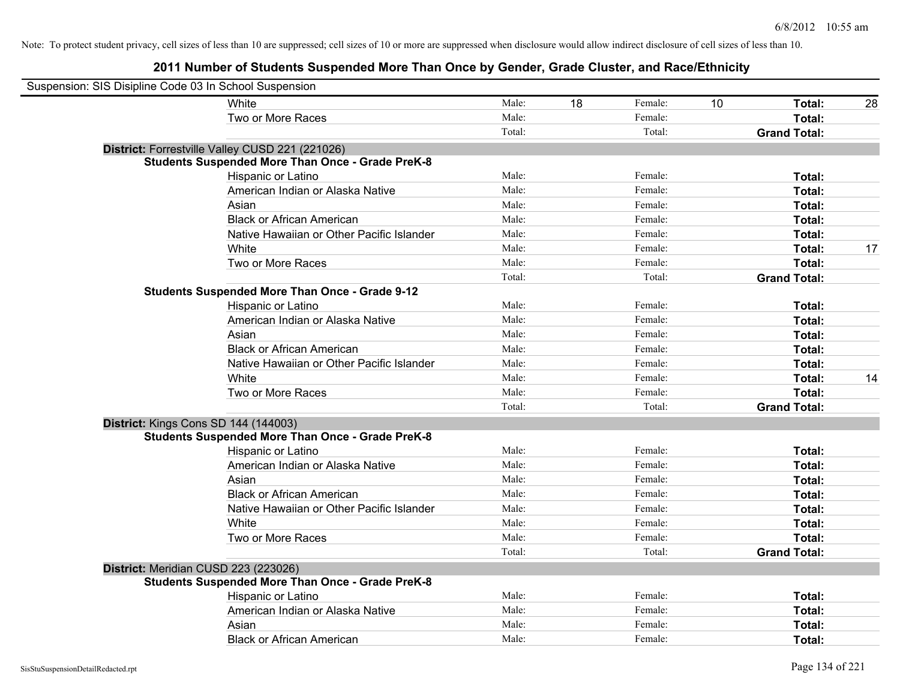| Suspension: SIS Disipline Code 03 In School Suspension  |        |    |         |    |                     |    |
|---------------------------------------------------------|--------|----|---------|----|---------------------|----|
| White                                                   | Male:  | 18 | Female: | 10 | Total:              | 28 |
| Two or More Races                                       | Male:  |    | Female: |    | Total:              |    |
|                                                         | Total: |    | Total:  |    | <b>Grand Total:</b> |    |
| District: Forrestville Valley CUSD 221 (221026)         |        |    |         |    |                     |    |
| <b>Students Suspended More Than Once - Grade PreK-8</b> |        |    |         |    |                     |    |
| Hispanic or Latino                                      | Male:  |    | Female: |    | Total:              |    |
| American Indian or Alaska Native                        | Male:  |    | Female: |    | Total:              |    |
| Asian                                                   | Male:  |    | Female: |    | Total:              |    |
| <b>Black or African American</b>                        | Male:  |    | Female: |    | Total:              |    |
| Native Hawaiian or Other Pacific Islander               | Male:  |    | Female: |    | Total:              |    |
| White                                                   | Male:  |    | Female: |    | Total:              | 17 |
| Two or More Races                                       | Male:  |    | Female: |    | Total:              |    |
|                                                         | Total: |    | Total:  |    | <b>Grand Total:</b> |    |
| <b>Students Suspended More Than Once - Grade 9-12</b>   |        |    |         |    |                     |    |
| Hispanic or Latino                                      | Male:  |    | Female: |    | Total:              |    |
| American Indian or Alaska Native                        | Male:  |    | Female: |    | Total:              |    |
| Asian                                                   | Male:  |    | Female: |    | Total:              |    |
| <b>Black or African American</b>                        | Male:  |    | Female: |    | Total:              |    |
| Native Hawaiian or Other Pacific Islander               | Male:  |    | Female: |    | Total:              |    |
| White                                                   | Male:  |    | Female: |    | Total:              | 14 |
| Two or More Races                                       | Male:  |    | Female: |    | Total:              |    |
|                                                         | Total: |    | Total:  |    | <b>Grand Total:</b> |    |
| District: Kings Cons SD 144 (144003)                    |        |    |         |    |                     |    |
| <b>Students Suspended More Than Once - Grade PreK-8</b> |        |    |         |    |                     |    |
| Hispanic or Latino                                      | Male:  |    | Female: |    | Total:              |    |
| American Indian or Alaska Native                        | Male:  |    | Female: |    | Total:              |    |
| Asian                                                   | Male:  |    | Female: |    | Total:              |    |
| <b>Black or African American</b>                        | Male:  |    | Female: |    | Total:              |    |
| Native Hawaiian or Other Pacific Islander               | Male:  |    | Female: |    | Total:              |    |
| White                                                   | Male:  |    | Female: |    | Total:              |    |
| Two or More Races                                       | Male:  |    | Female: |    | Total:              |    |
|                                                         | Total: |    | Total:  |    | <b>Grand Total:</b> |    |
| District: Meridian CUSD 223 (223026)                    |        |    |         |    |                     |    |
| <b>Students Suspended More Than Once - Grade PreK-8</b> |        |    |         |    |                     |    |
| Hispanic or Latino                                      | Male:  |    | Female: |    | Total:              |    |
| American Indian or Alaska Native                        | Male:  |    | Female: |    | Total:              |    |
| Asian                                                   | Male:  |    | Female: |    | Total:              |    |
| <b>Black or African American</b>                        | Male:  |    | Female: |    | Total:              |    |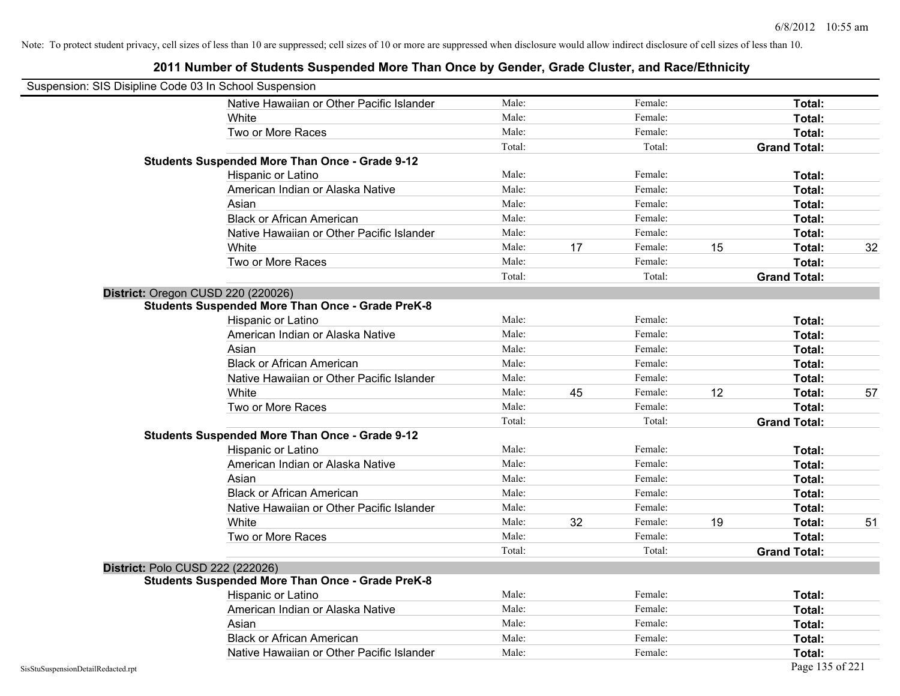| Suspension: SIS Disipline Code 03 In School Suspension |                                                         |        |    |         |    |                     |    |
|--------------------------------------------------------|---------------------------------------------------------|--------|----|---------|----|---------------------|----|
|                                                        | Native Hawaiian or Other Pacific Islander               | Male:  |    | Female: |    | Total:              |    |
|                                                        | White                                                   | Male:  |    | Female: |    | Total:              |    |
|                                                        | Two or More Races                                       | Male:  |    | Female: |    | Total:              |    |
|                                                        |                                                         | Total: |    | Total:  |    | <b>Grand Total:</b> |    |
|                                                        | <b>Students Suspended More Than Once - Grade 9-12</b>   |        |    |         |    |                     |    |
|                                                        | Hispanic or Latino                                      | Male:  |    | Female: |    | Total:              |    |
|                                                        | American Indian or Alaska Native                        | Male:  |    | Female: |    | Total:              |    |
|                                                        | Asian                                                   | Male:  |    | Female: |    | Total:              |    |
|                                                        | <b>Black or African American</b>                        | Male:  |    | Female: |    | Total:              |    |
|                                                        | Native Hawaiian or Other Pacific Islander               | Male:  |    | Female: |    | Total:              |    |
|                                                        | White                                                   | Male:  | 17 | Female: | 15 | Total:              | 32 |
|                                                        | Two or More Races                                       | Male:  |    | Female: |    | Total:              |    |
|                                                        |                                                         | Total: |    | Total:  |    | <b>Grand Total:</b> |    |
|                                                        | District: Oregon CUSD 220 (220026)                      |        |    |         |    |                     |    |
|                                                        | <b>Students Suspended More Than Once - Grade PreK-8</b> |        |    |         |    |                     |    |
|                                                        | Hispanic or Latino                                      | Male:  |    | Female: |    | Total:              |    |
|                                                        | American Indian or Alaska Native                        | Male:  |    | Female: |    | Total:              |    |
|                                                        | Asian                                                   | Male:  |    | Female: |    | Total:              |    |
|                                                        | <b>Black or African American</b>                        | Male:  |    | Female: |    | Total:              |    |
|                                                        | Native Hawaiian or Other Pacific Islander               | Male:  |    | Female: |    | Total:              |    |
|                                                        | White                                                   | Male:  | 45 | Female: | 12 | Total:              | 57 |
|                                                        | Two or More Races                                       | Male:  |    | Female: |    | Total:              |    |
|                                                        |                                                         | Total: |    | Total:  |    | <b>Grand Total:</b> |    |
|                                                        | <b>Students Suspended More Than Once - Grade 9-12</b>   |        |    |         |    |                     |    |
|                                                        | Hispanic or Latino                                      | Male:  |    | Female: |    | Total:              |    |
|                                                        | American Indian or Alaska Native                        | Male:  |    | Female: |    | Total:              |    |
|                                                        | Asian                                                   | Male:  |    | Female: |    | Total:              |    |
|                                                        | <b>Black or African American</b>                        | Male:  |    | Female: |    | Total:              |    |
|                                                        | Native Hawaiian or Other Pacific Islander               | Male:  |    | Female: |    | Total:              |    |
|                                                        | White                                                   | Male:  | 32 | Female: | 19 | Total:              | 51 |
|                                                        | Two or More Races                                       | Male:  |    | Female: |    | Total:              |    |
|                                                        |                                                         | Total: |    | Total:  |    | <b>Grand Total:</b> |    |
|                                                        | District: Polo CUSD 222 (222026)                        |        |    |         |    |                     |    |
|                                                        | <b>Students Suspended More Than Once - Grade PreK-8</b> |        |    |         |    |                     |    |
|                                                        | Hispanic or Latino                                      | Male:  |    | Female: |    | Total:              |    |
|                                                        | American Indian or Alaska Native                        | Male:  |    | Female: |    | Total:              |    |
|                                                        | Asian                                                   | Male:  |    | Female: |    | Total:              |    |
|                                                        | <b>Black or African American</b>                        | Male:  |    | Female: |    | Total:              |    |
|                                                        | Native Hawaiian or Other Pacific Islander               | Male:  |    | Female: |    | Total:              |    |
| SisStuSuspensionDetailRedacted.rpt                     |                                                         |        |    |         |    | Page 135 of 221     |    |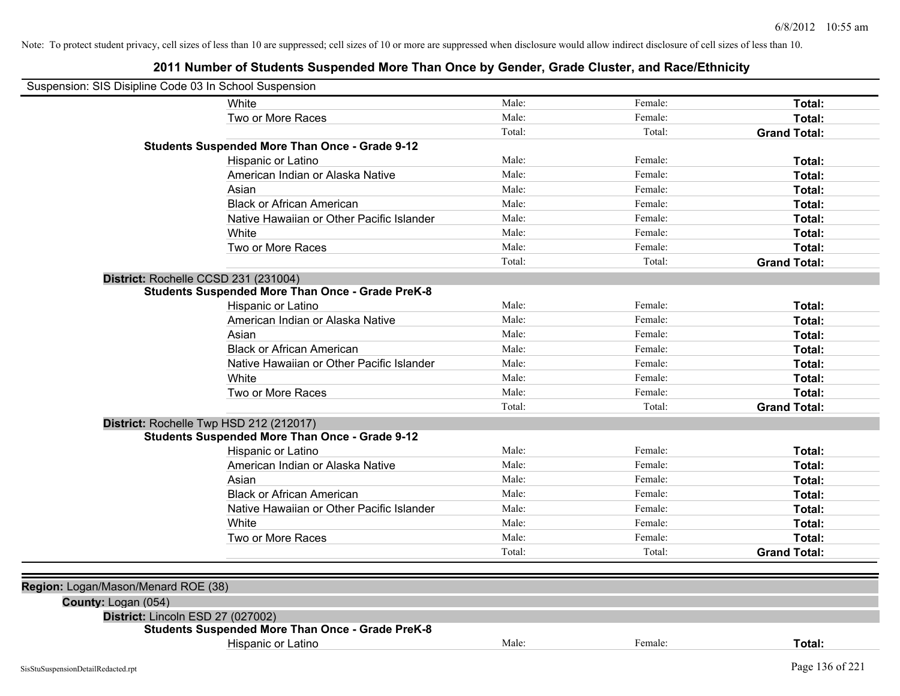| Suspension: SIS Disipline Code 03 In School Suspension |                                                         |        |         |                     |
|--------------------------------------------------------|---------------------------------------------------------|--------|---------|---------------------|
| White                                                  |                                                         | Male:  | Female: | Total:              |
|                                                        | Two or More Races                                       | Male:  | Female: | Total:              |
|                                                        |                                                         | Total: | Total:  | <b>Grand Total:</b> |
|                                                        | <b>Students Suspended More Than Once - Grade 9-12</b>   |        |         |                     |
|                                                        | Hispanic or Latino                                      | Male:  | Female: | Total:              |
|                                                        | American Indian or Alaska Native                        | Male:  | Female: | Total:              |
| Asian                                                  |                                                         | Male:  | Female: | Total:              |
|                                                        | <b>Black or African American</b>                        | Male:  | Female: | Total:              |
|                                                        | Native Hawaiian or Other Pacific Islander               | Male:  | Female: | Total:              |
| White                                                  |                                                         | Male:  | Female: | Total:              |
|                                                        | Two or More Races                                       | Male:  | Female: | Total:              |
|                                                        |                                                         | Total: | Total:  | <b>Grand Total:</b> |
| District: Rochelle CCSD 231 (231004)                   |                                                         |        |         |                     |
|                                                        | <b>Students Suspended More Than Once - Grade PreK-8</b> |        |         |                     |
|                                                        | Hispanic or Latino                                      | Male:  | Female: | Total:              |
|                                                        | American Indian or Alaska Native                        | Male:  | Female: | Total:              |
| Asian                                                  |                                                         | Male:  | Female: | Total:              |
|                                                        | <b>Black or African American</b>                        | Male:  | Female: | Total:              |
|                                                        | Native Hawaiian or Other Pacific Islander               | Male:  | Female: | Total:              |
| White                                                  |                                                         | Male:  | Female: | Total:              |
|                                                        | Two or More Races                                       | Male:  | Female: | Total:              |
|                                                        |                                                         | Total: | Total:  | <b>Grand Total:</b> |
| District: Rochelle Twp HSD 212 (212017)                |                                                         |        |         |                     |
|                                                        | <b>Students Suspended More Than Once - Grade 9-12</b>   |        |         |                     |
|                                                        | Hispanic or Latino                                      | Male:  | Female: | Total:              |
|                                                        | American Indian or Alaska Native                        | Male:  | Female: | Total:              |
| Asian                                                  |                                                         | Male:  | Female: | Total:              |
|                                                        | <b>Black or African American</b>                        | Male:  | Female: | Total:              |
|                                                        | Native Hawaiian or Other Pacific Islander               | Male:  | Female: | Total:              |
| White                                                  |                                                         | Male:  | Female: | Total:              |
|                                                        | Two or More Races                                       | Male:  | Female: | Total:              |
|                                                        |                                                         | Total: | Total:  | <b>Grand Total:</b> |
|                                                        |                                                         |        |         |                     |
| Region: Logan/Mason/Menard ROE (38)                    |                                                         |        |         |                     |
| County: Logan (054)                                    |                                                         |        |         |                     |
| District: Lincoln ESD 27 (027002)                      |                                                         |        |         |                     |
|                                                        | <b>Students Suspended More Than Once - Grade PreK-8</b> |        |         |                     |
|                                                        | Hispanic or Latino                                      | Male:  | Female: | Total:              |
| SisStuSuspensionDetailRedacted.rpt                     |                                                         |        |         | Page 136 of 221     |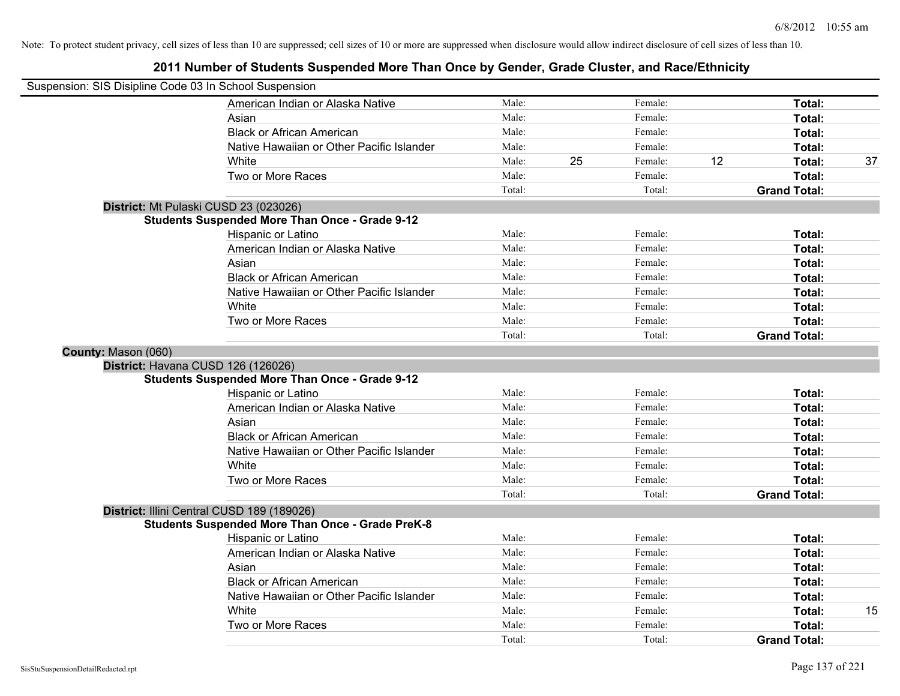| Suspension: SIS Disipline Code 03 In School Suspension |                                                         |        |    |         |    |                     |    |
|--------------------------------------------------------|---------------------------------------------------------|--------|----|---------|----|---------------------|----|
|                                                        | American Indian or Alaska Native                        | Male:  |    | Female: |    | Total:              |    |
|                                                        | Asian                                                   | Male:  |    | Female: |    | Total:              |    |
|                                                        | <b>Black or African American</b>                        | Male:  |    | Female: |    | Total:              |    |
|                                                        | Native Hawaiian or Other Pacific Islander               | Male:  |    | Female: |    | Total:              |    |
|                                                        | White                                                   | Male:  | 25 | Female: | 12 | Total:              | 37 |
|                                                        | Two or More Races                                       | Male:  |    | Female: |    | Total:              |    |
|                                                        |                                                         | Total: |    | Total:  |    | <b>Grand Total:</b> |    |
|                                                        | District: Mt Pulaski CUSD 23 (023026)                   |        |    |         |    |                     |    |
|                                                        | <b>Students Suspended More Than Once - Grade 9-12</b>   |        |    |         |    |                     |    |
|                                                        | Hispanic or Latino                                      | Male:  |    | Female: |    | Total:              |    |
|                                                        | American Indian or Alaska Native                        | Male:  |    | Female: |    | Total:              |    |
|                                                        | Asian                                                   | Male:  |    | Female: |    | Total:              |    |
|                                                        | <b>Black or African American</b>                        | Male:  |    | Female: |    | Total:              |    |
|                                                        | Native Hawaiian or Other Pacific Islander               | Male:  |    | Female: |    | Total:              |    |
|                                                        | White                                                   | Male:  |    | Female: |    | Total:              |    |
|                                                        | Two or More Races                                       | Male:  |    | Female: |    | Total:              |    |
|                                                        |                                                         | Total: |    | Total:  |    | <b>Grand Total:</b> |    |
| County: Mason (060)                                    |                                                         |        |    |         |    |                     |    |
|                                                        | District: Havana CUSD 126 (126026)                      |        |    |         |    |                     |    |
|                                                        | <b>Students Suspended More Than Once - Grade 9-12</b>   |        |    |         |    |                     |    |
|                                                        | Hispanic or Latino                                      | Male:  |    | Female: |    | Total:              |    |
|                                                        | American Indian or Alaska Native                        | Male:  |    | Female: |    | Total:              |    |
|                                                        | Asian                                                   | Male:  |    | Female: |    | Total:              |    |
|                                                        | <b>Black or African American</b>                        | Male:  |    | Female: |    | Total:              |    |
|                                                        | Native Hawaiian or Other Pacific Islander               | Male:  |    | Female: |    | Total:              |    |
|                                                        | White                                                   | Male:  |    | Female: |    | Total:              |    |
|                                                        | Two or More Races                                       | Male:  |    | Female: |    | Total:              |    |
|                                                        |                                                         | Total: |    | Total:  |    | <b>Grand Total:</b> |    |
|                                                        | District: Illini Central CUSD 189 (189026)              |        |    |         |    |                     |    |
|                                                        | <b>Students Suspended More Than Once - Grade PreK-8</b> |        |    |         |    |                     |    |
|                                                        | Hispanic or Latino                                      | Male:  |    | Female: |    | Total:              |    |
|                                                        | American Indian or Alaska Native                        | Male:  |    | Female: |    | Total:              |    |
|                                                        | Asian                                                   | Male:  |    | Female: |    | Total:              |    |
|                                                        | <b>Black or African American</b>                        | Male:  |    | Female: |    | Total:              |    |
|                                                        | Native Hawaiian or Other Pacific Islander               | Male:  |    | Female: |    | Total:              |    |
|                                                        | White                                                   | Male:  |    | Female: |    | Total:              | 15 |
|                                                        | Two or More Races                                       | Male:  |    | Female: |    | Total:              |    |
|                                                        |                                                         | Total: |    | Total:  |    | <b>Grand Total:</b> |    |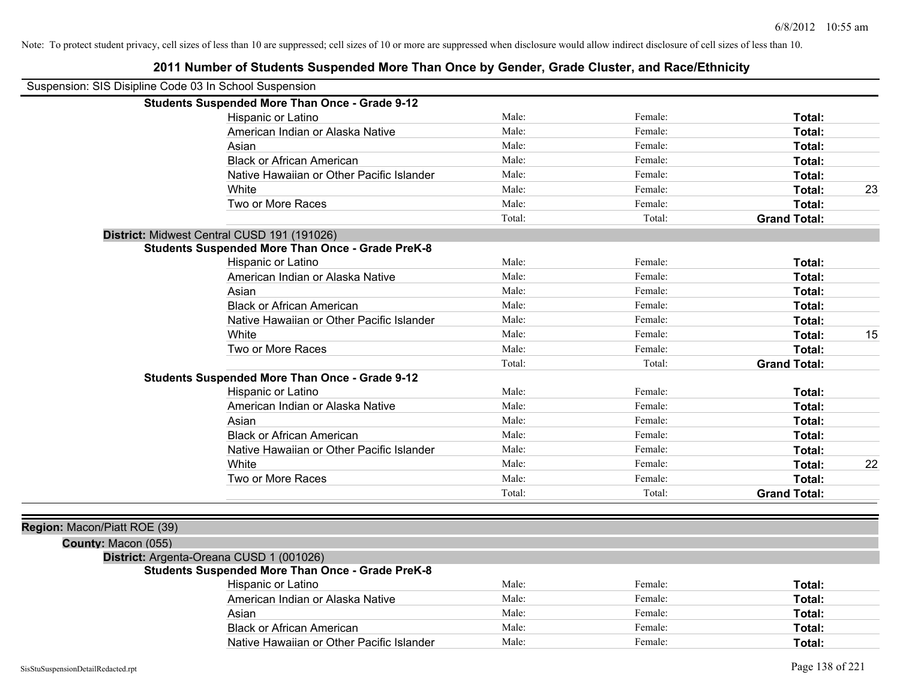| Suspension: SIS Disipline Code 03 In School Suspension |                                                         |        |         |                     |    |
|--------------------------------------------------------|---------------------------------------------------------|--------|---------|---------------------|----|
|                                                        | <b>Students Suspended More Than Once - Grade 9-12</b>   |        |         |                     |    |
|                                                        | Hispanic or Latino                                      | Male:  | Female: | Total:              |    |
|                                                        | American Indian or Alaska Native                        | Male:  | Female: | Total:              |    |
|                                                        | Asian                                                   | Male:  | Female: | Total:              |    |
|                                                        | <b>Black or African American</b>                        | Male:  | Female: | Total:              |    |
|                                                        | Native Hawaiian or Other Pacific Islander               | Male:  | Female: | Total:              |    |
|                                                        | White                                                   | Male:  | Female: | Total:              | 23 |
|                                                        | Two or More Races                                       | Male:  | Female: | Total:              |    |
|                                                        |                                                         | Total: | Total:  | <b>Grand Total:</b> |    |
|                                                        | District: Midwest Central CUSD 191 (191026)             |        |         |                     |    |
|                                                        | <b>Students Suspended More Than Once - Grade PreK-8</b> |        |         |                     |    |
|                                                        | Hispanic or Latino                                      | Male:  | Female: | Total:              |    |
|                                                        | American Indian or Alaska Native                        | Male:  | Female: | Total:              |    |
|                                                        | Asian                                                   | Male:  | Female: | Total:              |    |
|                                                        | <b>Black or African American</b>                        | Male:  | Female: | Total:              |    |
|                                                        | Native Hawaiian or Other Pacific Islander               | Male:  | Female: | Total:              |    |
|                                                        | White                                                   | Male:  | Female: | Total:              | 15 |
|                                                        | Two or More Races                                       | Male:  | Female: | Total:              |    |
|                                                        |                                                         | Total: | Total:  | <b>Grand Total:</b> |    |
|                                                        | <b>Students Suspended More Than Once - Grade 9-12</b>   |        |         |                     |    |
|                                                        | Hispanic or Latino                                      | Male:  | Female: | Total:              |    |
|                                                        | American Indian or Alaska Native                        | Male:  | Female: | <b>Total:</b>       |    |
|                                                        | Asian                                                   | Male:  | Female: | Total:              |    |
|                                                        | <b>Black or African American</b>                        | Male:  | Female: | Total:              |    |
|                                                        | Native Hawaiian or Other Pacific Islander               | Male:  | Female: | Total:              |    |
|                                                        | White                                                   | Male:  | Female: | Total:              | 22 |
|                                                        | Two or More Races                                       | Male:  | Female: | Total:              |    |
|                                                        |                                                         | Total: | Total:  | <b>Grand Total:</b> |    |
| Region: Macon/Piatt ROE (39)                           |                                                         |        |         |                     |    |
| County: Macon (055)                                    |                                                         |        |         |                     |    |
|                                                        | District: Argenta-Oreana CUSD 1 (001026)                |        |         |                     |    |
|                                                        | <b>Students Suspended More Than Once - Grade PreK-8</b> |        |         |                     |    |
|                                                        | Hispanic or Latino                                      | Male:  | Female: | Total:              |    |
|                                                        | American Indian or Alaska Native                        | Male:  | Female: | Total:              |    |
|                                                        | Asian                                                   | Male:  | Female: | Total:              |    |
|                                                        | <b>Black or African American</b>                        | Male:  | Female: | Total:              |    |
|                                                        | Native Hawaiian or Other Pacific Islander               | Male:  | Female: | Total:              |    |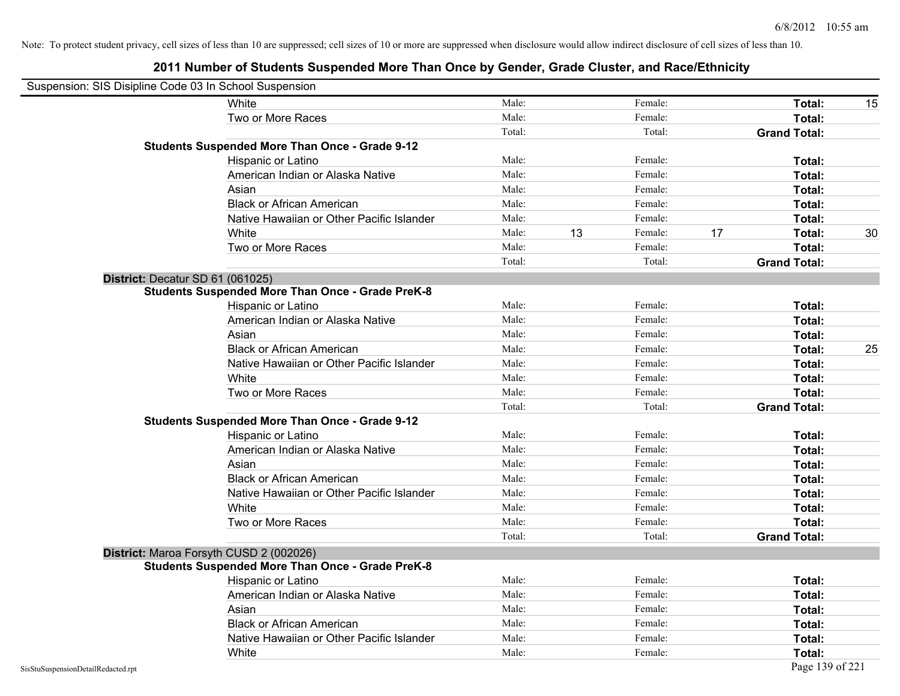| Suspension: SIS Disipline Code 03 In School Suspension |                                                         |        |    |         |    |                     |    |
|--------------------------------------------------------|---------------------------------------------------------|--------|----|---------|----|---------------------|----|
|                                                        | White                                                   | Male:  |    | Female: |    | Total:              | 15 |
|                                                        | Two or More Races                                       | Male:  |    | Female: |    | Total:              |    |
|                                                        |                                                         | Total: |    | Total:  |    | <b>Grand Total:</b> |    |
|                                                        | Students Suspended More Than Once - Grade 9-12          |        |    |         |    |                     |    |
|                                                        | Hispanic or Latino                                      | Male:  |    | Female: |    | Total:              |    |
|                                                        | American Indian or Alaska Native                        | Male:  |    | Female: |    | Total:              |    |
|                                                        | Asian                                                   | Male:  |    | Female: |    | Total:              |    |
|                                                        | <b>Black or African American</b>                        | Male:  |    | Female: |    | Total:              |    |
|                                                        | Native Hawaiian or Other Pacific Islander               | Male:  |    | Female: |    | Total:              |    |
|                                                        | White                                                   | Male:  | 13 | Female: | 17 | Total:              | 30 |
|                                                        | Two or More Races                                       | Male:  |    | Female: |    | Total:              |    |
|                                                        |                                                         | Total: |    | Total:  |    | <b>Grand Total:</b> |    |
| District: Decatur SD 61 (061025)                       |                                                         |        |    |         |    |                     |    |
|                                                        | <b>Students Suspended More Than Once - Grade PreK-8</b> |        |    |         |    |                     |    |
|                                                        | Hispanic or Latino                                      | Male:  |    | Female: |    | Total:              |    |
|                                                        | American Indian or Alaska Native                        | Male:  |    | Female: |    | Total:              |    |
|                                                        | Asian                                                   | Male:  |    | Female: |    | Total:              |    |
|                                                        | <b>Black or African American</b>                        | Male:  |    | Female: |    | Total:              | 25 |
|                                                        | Native Hawaiian or Other Pacific Islander               | Male:  |    | Female: |    | Total:              |    |
|                                                        | White                                                   | Male:  |    | Female: |    | Total:              |    |
|                                                        | Two or More Races                                       | Male:  |    | Female: |    | Total:              |    |
|                                                        |                                                         | Total: |    | Total:  |    | <b>Grand Total:</b> |    |
|                                                        | <b>Students Suspended More Than Once - Grade 9-12</b>   |        |    |         |    |                     |    |
|                                                        | Hispanic or Latino                                      | Male:  |    | Female: |    | Total:              |    |
|                                                        | American Indian or Alaska Native                        | Male:  |    | Female: |    | Total:              |    |
|                                                        | Asian                                                   | Male:  |    | Female: |    | Total:              |    |
|                                                        | <b>Black or African American</b>                        | Male:  |    | Female: |    | Total:              |    |
|                                                        | Native Hawaiian or Other Pacific Islander               | Male:  |    | Female: |    | Total:              |    |
|                                                        | White                                                   | Male:  |    | Female: |    | Total:              |    |
|                                                        | Two or More Races                                       | Male:  |    | Female: |    | Total:              |    |
|                                                        |                                                         | Total: |    | Total:  |    | <b>Grand Total:</b> |    |
| District: Maroa Forsyth CUSD 2 (002026)                |                                                         |        |    |         |    |                     |    |
|                                                        | <b>Students Suspended More Than Once - Grade PreK-8</b> |        |    |         |    |                     |    |
|                                                        | Hispanic or Latino                                      | Male:  |    | Female: |    | Total:              |    |
|                                                        | American Indian or Alaska Native                        | Male:  |    | Female: |    | Total:              |    |
|                                                        | Asian                                                   | Male:  |    | Female: |    | Total:              |    |
|                                                        | <b>Black or African American</b>                        | Male:  |    | Female: |    | Total:              |    |
|                                                        | Native Hawaiian or Other Pacific Islander               | Male:  |    | Female: |    | Total:              |    |
|                                                        | White                                                   | Male:  |    | Female: |    | Total:              |    |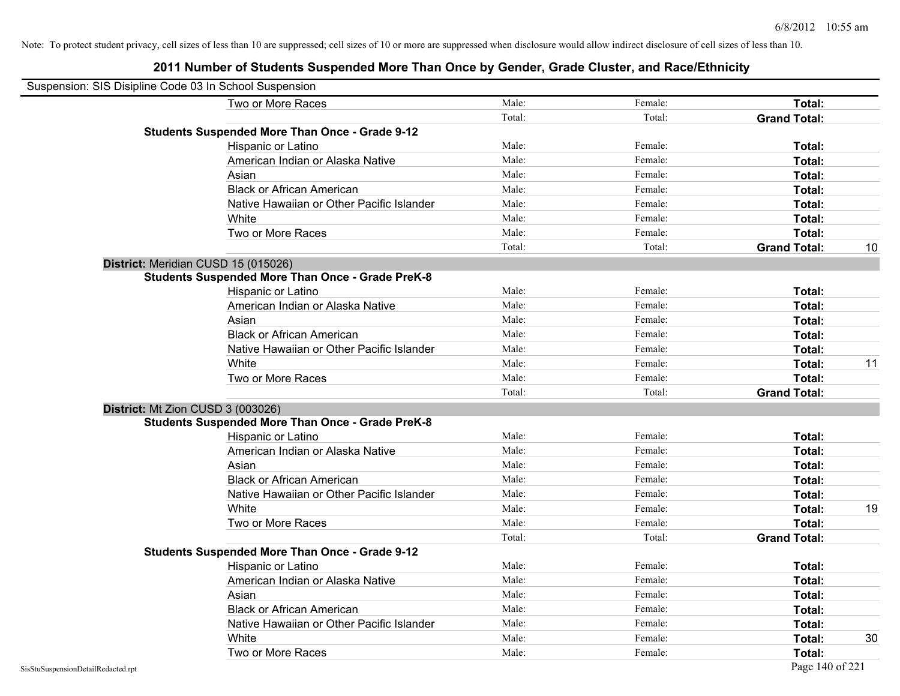| Suspension: SIS Disipline Code 03 In School Suspension |                                                         |        |         |                     |    |
|--------------------------------------------------------|---------------------------------------------------------|--------|---------|---------------------|----|
|                                                        | Two or More Races                                       | Male:  | Female: | Total:              |    |
|                                                        |                                                         | Total: | Total:  | <b>Grand Total:</b> |    |
|                                                        | <b>Students Suspended More Than Once - Grade 9-12</b>   |        |         |                     |    |
|                                                        | Hispanic or Latino                                      | Male:  | Female: | Total:              |    |
|                                                        | American Indian or Alaska Native                        | Male:  | Female: | Total:              |    |
|                                                        | Asian                                                   | Male:  | Female: | Total:              |    |
|                                                        | <b>Black or African American</b>                        | Male:  | Female: | Total:              |    |
|                                                        | Native Hawaiian or Other Pacific Islander               | Male:  | Female: | Total:              |    |
|                                                        | White                                                   | Male:  | Female: | Total:              |    |
|                                                        | Two or More Races                                       | Male:  | Female: | Total:              |    |
|                                                        |                                                         | Total: | Total:  | <b>Grand Total:</b> | 10 |
|                                                        | District: Meridian CUSD 15 (015026)                     |        |         |                     |    |
|                                                        | <b>Students Suspended More Than Once - Grade PreK-8</b> |        |         |                     |    |
|                                                        | Hispanic or Latino                                      | Male:  | Female: | Total:              |    |
|                                                        | American Indian or Alaska Native                        | Male:  | Female: | Total:              |    |
|                                                        | Asian                                                   | Male:  | Female: | Total:              |    |
|                                                        | <b>Black or African American</b>                        | Male:  | Female: | Total:              |    |
|                                                        | Native Hawaiian or Other Pacific Islander               | Male:  | Female: | Total:              |    |
|                                                        | White                                                   | Male:  | Female: | Total:              | 11 |
|                                                        | Two or More Races                                       | Male:  | Female: | Total:              |    |
|                                                        |                                                         | Total: | Total:  | <b>Grand Total:</b> |    |
|                                                        | District: Mt Zion CUSD 3 (003026)                       |        |         |                     |    |
|                                                        | <b>Students Suspended More Than Once - Grade PreK-8</b> |        |         |                     |    |
|                                                        | Hispanic or Latino                                      | Male:  | Female: | Total:              |    |
|                                                        | American Indian or Alaska Native                        | Male:  | Female: | Total:              |    |
|                                                        | Asian                                                   | Male:  | Female: | Total:              |    |
|                                                        | <b>Black or African American</b>                        | Male:  | Female: | Total:              |    |
|                                                        | Native Hawaiian or Other Pacific Islander               | Male:  | Female: | Total:              |    |
|                                                        | White                                                   | Male:  | Female: | Total:              | 19 |
|                                                        | Two or More Races                                       | Male:  | Female: | Total:              |    |
|                                                        |                                                         | Total: | Total:  | <b>Grand Total:</b> |    |
|                                                        | <b>Students Suspended More Than Once - Grade 9-12</b>   |        |         |                     |    |
|                                                        | Hispanic or Latino                                      | Male:  | Female: | Total:              |    |
|                                                        | American Indian or Alaska Native                        | Male:  | Female: | Total:              |    |
|                                                        | Asian                                                   | Male:  | Female: | Total:              |    |
|                                                        | <b>Black or African American</b>                        | Male:  | Female: | Total:              |    |
|                                                        | Native Hawaiian or Other Pacific Islander               | Male:  | Female: | Total:              |    |
|                                                        | White                                                   | Male:  | Female: | Total:              | 30 |
|                                                        | Two or More Races                                       | Male:  | Female: | Total:              |    |
| SisStuSuspensionDetailRedacted.rpt                     |                                                         |        |         | Page 140 of 221     |    |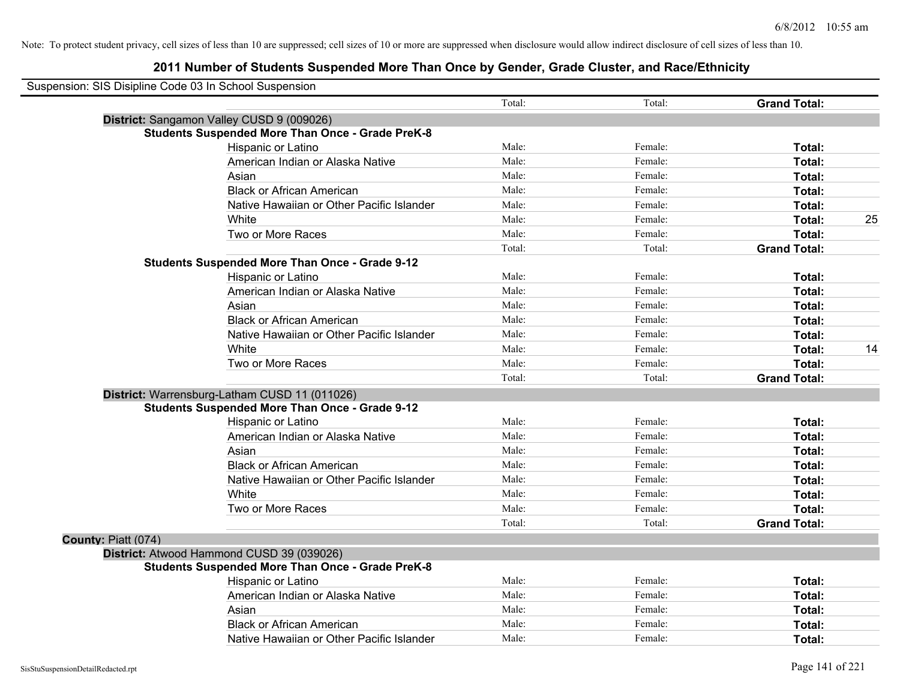| Suspension: SIS Disipline Code 03 In School Suspension |                                                         |        |         |                     |    |
|--------------------------------------------------------|---------------------------------------------------------|--------|---------|---------------------|----|
|                                                        |                                                         | Total: | Total:  | <b>Grand Total:</b> |    |
|                                                        | District: Sangamon Valley CUSD 9 (009026)               |        |         |                     |    |
|                                                        | <b>Students Suspended More Than Once - Grade PreK-8</b> |        |         |                     |    |
|                                                        | Hispanic or Latino                                      | Male:  | Female: | Total:              |    |
|                                                        | American Indian or Alaska Native                        | Male:  | Female: | Total:              |    |
|                                                        | Asian                                                   | Male:  | Female: | Total:              |    |
|                                                        | <b>Black or African American</b>                        | Male:  | Female: | Total:              |    |
|                                                        | Native Hawaiian or Other Pacific Islander               | Male:  | Female: | Total:              |    |
|                                                        | White                                                   | Male:  | Female: | Total:              | 25 |
|                                                        | Two or More Races                                       | Male:  | Female: | Total:              |    |
|                                                        |                                                         | Total: | Total:  | <b>Grand Total:</b> |    |
|                                                        | <b>Students Suspended More Than Once - Grade 9-12</b>   |        |         |                     |    |
|                                                        | Hispanic or Latino                                      | Male:  | Female: | Total:              |    |
|                                                        | American Indian or Alaska Native                        | Male:  | Female: | Total:              |    |
|                                                        | Asian                                                   | Male:  | Female: | Total:              |    |
|                                                        | <b>Black or African American</b>                        | Male:  | Female: | Total:              |    |
|                                                        | Native Hawaiian or Other Pacific Islander               | Male:  | Female: | Total:              |    |
|                                                        | White                                                   | Male:  | Female: | Total:              | 14 |
|                                                        | Two or More Races                                       | Male:  | Female: | Total:              |    |
|                                                        |                                                         | Total: | Total:  | <b>Grand Total:</b> |    |
|                                                        | District: Warrensburg-Latham CUSD 11 (011026)           |        |         |                     |    |
|                                                        | <b>Students Suspended More Than Once - Grade 9-12</b>   |        |         |                     |    |
|                                                        | Hispanic or Latino                                      | Male:  | Female: | Total:              |    |
|                                                        | American Indian or Alaska Native                        | Male:  | Female: | Total:              |    |
|                                                        | Asian                                                   | Male:  | Female: | Total:              |    |
|                                                        | <b>Black or African American</b>                        | Male:  | Female: | Total:              |    |
|                                                        | Native Hawaiian or Other Pacific Islander               | Male:  | Female: | Total:              |    |
|                                                        | White                                                   | Male:  | Female: | Total:              |    |
|                                                        | Two or More Races                                       | Male:  | Female: | Total:              |    |
|                                                        |                                                         | Total: | Total:  | <b>Grand Total:</b> |    |
| County: Piatt (074)                                    |                                                         |        |         |                     |    |
|                                                        | District: Atwood Hammond CUSD 39 (039026)               |        |         |                     |    |
|                                                        | <b>Students Suspended More Than Once - Grade PreK-8</b> |        |         |                     |    |
|                                                        | Hispanic or Latino                                      | Male:  | Female: | Total:              |    |
|                                                        | American Indian or Alaska Native                        | Male:  | Female: | Total:              |    |
|                                                        | Asian                                                   | Male:  | Female: | Total:              |    |
|                                                        | <b>Black or African American</b>                        | Male:  | Female: | Total:              |    |
|                                                        | Native Hawaiian or Other Pacific Islander               | Male:  | Female: | Total:              |    |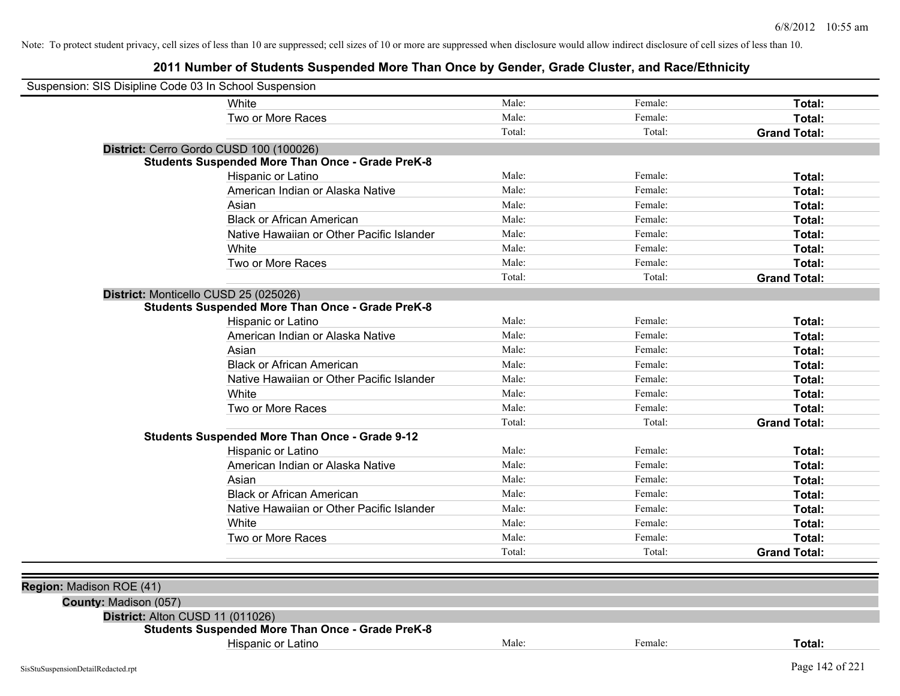| Suspension: SIS Disipline Code 03 In School Suspension |                                                                                             |        |         |                     |
|--------------------------------------------------------|---------------------------------------------------------------------------------------------|--------|---------|---------------------|
|                                                        | White                                                                                       | Male:  | Female: | Total:              |
|                                                        | Two or More Races                                                                           | Male:  | Female: | Total:              |
|                                                        |                                                                                             | Total: | Total:  | <b>Grand Total:</b> |
|                                                        | District: Cerro Gordo CUSD 100 (100026)                                                     |        |         |                     |
|                                                        | <b>Students Suspended More Than Once - Grade PreK-8</b>                                     |        |         |                     |
|                                                        | Hispanic or Latino                                                                          | Male:  | Female: | Total:              |
|                                                        | American Indian or Alaska Native                                                            | Male:  | Female: | Total:              |
|                                                        | Asian                                                                                       | Male:  | Female: | Total:              |
|                                                        | <b>Black or African American</b>                                                            | Male:  | Female: | Total:              |
|                                                        | Native Hawaiian or Other Pacific Islander                                                   | Male:  | Female: | Total:              |
|                                                        | White                                                                                       | Male:  | Female: | Total:              |
|                                                        | Two or More Races                                                                           | Male:  | Female: | Total:              |
|                                                        |                                                                                             | Total: | Total:  | <b>Grand Total:</b> |
|                                                        | District: Monticello CUSD 25 (025026)                                                       |        |         |                     |
|                                                        | <b>Students Suspended More Than Once - Grade PreK-8</b>                                     |        |         |                     |
|                                                        | Hispanic or Latino                                                                          | Male:  | Female: | Total:              |
|                                                        | American Indian or Alaska Native                                                            | Male:  | Female: | Total:              |
|                                                        | Asian                                                                                       | Male:  | Female: | Total:              |
|                                                        | <b>Black or African American</b>                                                            | Male:  | Female: | Total:              |
|                                                        | Native Hawaiian or Other Pacific Islander                                                   | Male:  | Female: | Total:              |
|                                                        | White                                                                                       | Male:  | Female: | Total:              |
|                                                        | Two or More Races                                                                           | Male:  | Female: | Total:              |
|                                                        |                                                                                             | Total: | Total:  | <b>Grand Total:</b> |
|                                                        | <b>Students Suspended More Than Once - Grade 9-12</b>                                       |        |         |                     |
|                                                        | Hispanic or Latino                                                                          | Male:  | Female: | Total:              |
|                                                        | American Indian or Alaska Native                                                            | Male:  | Female: | Total:              |
|                                                        | Asian                                                                                       | Male:  | Female: | Total:              |
|                                                        | <b>Black or African American</b>                                                            | Male:  | Female: | Total:              |
|                                                        | Native Hawaiian or Other Pacific Islander                                                   | Male:  | Female: | Total:              |
|                                                        | White                                                                                       | Male:  | Female: | Total:              |
|                                                        | Two or More Races                                                                           | Male:  | Female: | Total:              |
|                                                        |                                                                                             | Total: | Total:  | <b>Grand Total:</b> |
|                                                        |                                                                                             |        |         |                     |
| Region: Madison ROE (41)                               |                                                                                             |        |         |                     |
|                                                        |                                                                                             |        |         |                     |
| County: Madison (057)                                  |                                                                                             |        |         |                     |
|                                                        | District: Alton CUSD 11 (011026)<br><b>Students Suspended More Than Once - Grade PreK-8</b> |        |         |                     |
|                                                        | Hispanic or Latino                                                                          | Male:  | Female: | Total:              |
|                                                        |                                                                                             |        |         |                     |
| SisStuSuspensionDetailRedacted.rpt                     |                                                                                             |        |         | Page 142 of 221     |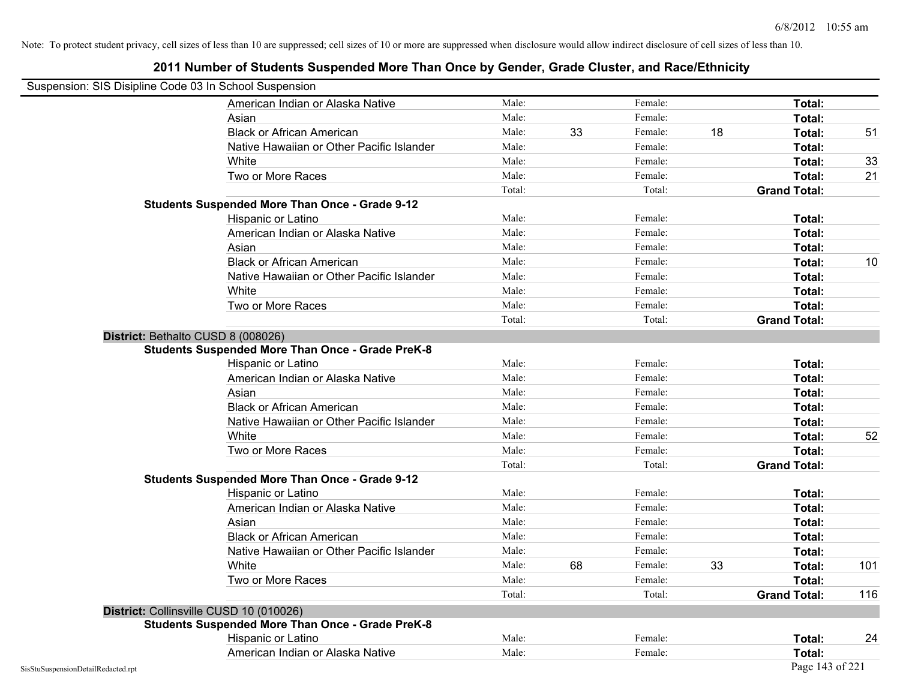| Suspension: SIS Disipline Code 03 In School Suspension |                                                         |        |    |         |    |                     |     |
|--------------------------------------------------------|---------------------------------------------------------|--------|----|---------|----|---------------------|-----|
|                                                        | American Indian or Alaska Native                        | Male:  |    | Female: |    | Total:              |     |
|                                                        | Asian                                                   | Male:  |    | Female: |    | Total:              |     |
|                                                        | <b>Black or African American</b>                        | Male:  | 33 | Female: | 18 | Total:              | 51  |
|                                                        | Native Hawaiian or Other Pacific Islander               | Male:  |    | Female: |    | Total:              |     |
|                                                        | White                                                   | Male:  |    | Female: |    | Total:              | 33  |
|                                                        | Two or More Races                                       | Male:  |    | Female: |    | Total:              | 21  |
|                                                        |                                                         | Total: |    | Total:  |    | <b>Grand Total:</b> |     |
|                                                        | <b>Students Suspended More Than Once - Grade 9-12</b>   |        |    |         |    |                     |     |
|                                                        | Hispanic or Latino                                      | Male:  |    | Female: |    | Total:              |     |
|                                                        | American Indian or Alaska Native                        | Male:  |    | Female: |    | Total:              |     |
|                                                        | Asian                                                   | Male:  |    | Female: |    | Total:              |     |
|                                                        | <b>Black or African American</b>                        | Male:  |    | Female: |    | Total:              | 10  |
|                                                        | Native Hawaiian or Other Pacific Islander               | Male:  |    | Female: |    | Total:              |     |
|                                                        | White                                                   | Male:  |    | Female: |    | Total:              |     |
|                                                        | Two or More Races                                       | Male:  |    | Female: |    | Total:              |     |
|                                                        |                                                         | Total: |    | Total:  |    | <b>Grand Total:</b> |     |
|                                                        | District: Bethalto CUSD 8 (008026)                      |        |    |         |    |                     |     |
|                                                        | <b>Students Suspended More Than Once - Grade PreK-8</b> |        |    |         |    |                     |     |
|                                                        | Hispanic or Latino                                      | Male:  |    | Female: |    | Total:              |     |
|                                                        | American Indian or Alaska Native                        | Male:  |    | Female: |    | Total:              |     |
|                                                        | Asian                                                   | Male:  |    | Female: |    | Total:              |     |
|                                                        | <b>Black or African American</b>                        | Male:  |    | Female: |    | Total:              |     |
|                                                        | Native Hawaiian or Other Pacific Islander               | Male:  |    | Female: |    | Total:              |     |
|                                                        | White                                                   | Male:  |    | Female: |    | Total:              | 52  |
|                                                        | Two or More Races                                       | Male:  |    | Female: |    | Total:              |     |
|                                                        |                                                         | Total: |    | Total:  |    | <b>Grand Total:</b> |     |
|                                                        | <b>Students Suspended More Than Once - Grade 9-12</b>   |        |    |         |    |                     |     |
|                                                        | Hispanic or Latino                                      | Male:  |    | Female: |    | Total:              |     |
|                                                        | American Indian or Alaska Native                        | Male:  |    | Female: |    | Total:              |     |
|                                                        | Asian                                                   | Male:  |    | Female: |    | Total:              |     |
|                                                        | <b>Black or African American</b>                        | Male:  |    | Female: |    | Total:              |     |
|                                                        | Native Hawaiian or Other Pacific Islander               | Male:  |    | Female: |    | Total:              |     |
|                                                        | White                                                   | Male:  | 68 | Female: | 33 | Total:              | 101 |
|                                                        | Two or More Races                                       | Male:  |    | Female: |    | Total:              |     |
|                                                        |                                                         | Total: |    | Total:  |    | <b>Grand Total:</b> | 116 |
|                                                        | District: Collinsville CUSD 10 (010026)                 |        |    |         |    |                     |     |
|                                                        | <b>Students Suspended More Than Once - Grade PreK-8</b> |        |    |         |    |                     |     |
|                                                        | Hispanic or Latino                                      | Male:  |    | Female: |    | Total:              | 24  |
|                                                        | American Indian or Alaska Native                        | Male:  |    | Female: |    | Total:              |     |
| SisStuSuspensionDetailRedacted.rpt                     |                                                         |        |    |         |    | Page 143 of 221     |     |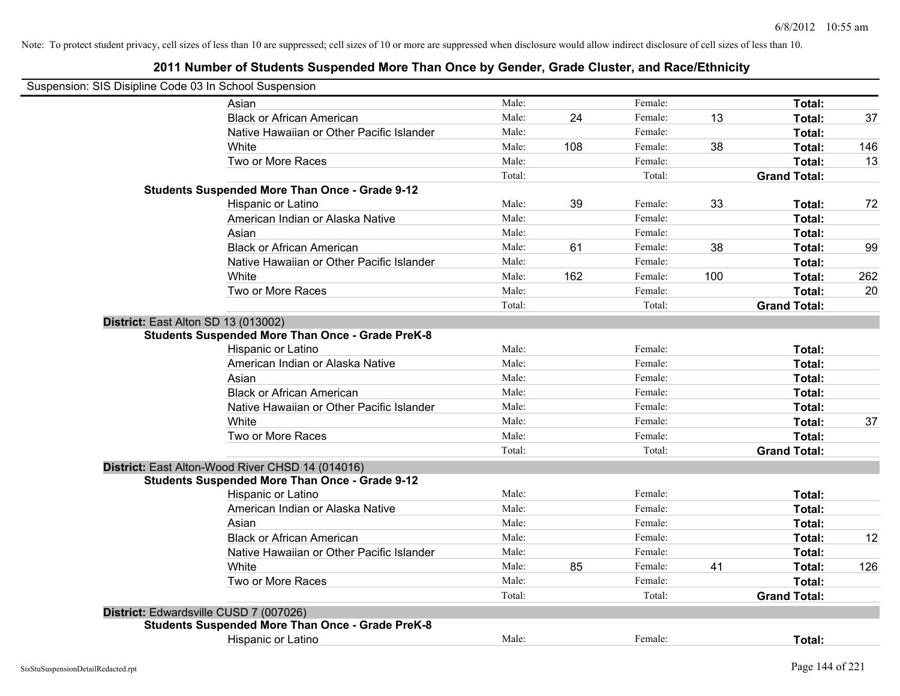| Suspension: SIS Disipline Code 03 In School Suspension  |        |     |         |     |                     |     |
|---------------------------------------------------------|--------|-----|---------|-----|---------------------|-----|
| Asian                                                   | Male:  |     | Female: |     | Total:              |     |
| <b>Black or African American</b>                        | Male:  | 24  | Female: | 13  | Total:              | 37  |
| Native Hawaiian or Other Pacific Islander               | Male:  |     | Female: |     | Total:              |     |
| White                                                   | Male:  | 108 | Female: | 38  | Total:              | 146 |
| Two or More Races                                       | Male:  |     | Female: |     | Total:              | 13  |
|                                                         | Total: |     | Total:  |     | <b>Grand Total:</b> |     |
| <b>Students Suspended More Than Once - Grade 9-12</b>   |        |     |         |     |                     |     |
| Hispanic or Latino                                      | Male:  | 39  | Female: | 33  | Total:              | 72  |
| American Indian or Alaska Native                        | Male:  |     | Female: |     | Total:              |     |
| Asian                                                   | Male:  |     | Female: |     | Total:              |     |
| <b>Black or African American</b>                        | Male:  | 61  | Female: | 38  | Total:              | 99  |
| Native Hawaiian or Other Pacific Islander               | Male:  |     | Female: |     | Total:              |     |
| White                                                   | Male:  | 162 | Female: | 100 | Total:              | 262 |
| Two or More Races                                       | Male:  |     | Female: |     | Total:              | 20  |
|                                                         | Total: |     | Total:  |     | <b>Grand Total:</b> |     |
| District: East Alton SD 13 (013002)                     |        |     |         |     |                     |     |
| <b>Students Suspended More Than Once - Grade PreK-8</b> |        |     |         |     |                     |     |
| Hispanic or Latino                                      | Male:  |     | Female: |     | Total:              |     |
| American Indian or Alaska Native                        | Male:  |     | Female: |     | Total:              |     |
| Asian                                                   | Male:  |     | Female: |     | Total:              |     |
| <b>Black or African American</b>                        | Male:  |     | Female: |     | Total:              |     |
| Native Hawaiian or Other Pacific Islander               | Male:  |     | Female: |     | Total:              |     |
| White                                                   | Male:  |     | Female: |     | Total:              | 37  |
| Two or More Races                                       | Male:  |     | Female: |     | Total:              |     |
|                                                         | Total: |     | Total:  |     | <b>Grand Total:</b> |     |
| District: East Alton-Wood River CHSD 14 (014016)        |        |     |         |     |                     |     |
| <b>Students Suspended More Than Once - Grade 9-12</b>   |        |     |         |     |                     |     |
| Hispanic or Latino                                      | Male:  |     | Female: |     | Total:              |     |
| American Indian or Alaska Native                        | Male:  |     | Female: |     | Total:              |     |
| Asian                                                   | Male:  |     | Female: |     | Total:              |     |
| <b>Black or African American</b>                        | Male:  |     | Female: |     | Total:              | 12  |
| Native Hawaiian or Other Pacific Islander               | Male:  |     | Female: |     | Total:              |     |
| White                                                   | Male:  | 85  | Female: | 41  | Total:              | 126 |
| Two or More Races                                       | Male:  |     | Female: |     | Total:              |     |
|                                                         | Total: |     | Total:  |     | <b>Grand Total:</b> |     |
| District: Edwardsville CUSD 7 (007026)                  |        |     |         |     |                     |     |
| <b>Students Suspended More Than Once - Grade PreK-8</b> |        |     |         |     |                     |     |
| <b>Hispanic or Latino</b>                               | Male:  |     | Female: |     | Total:              |     |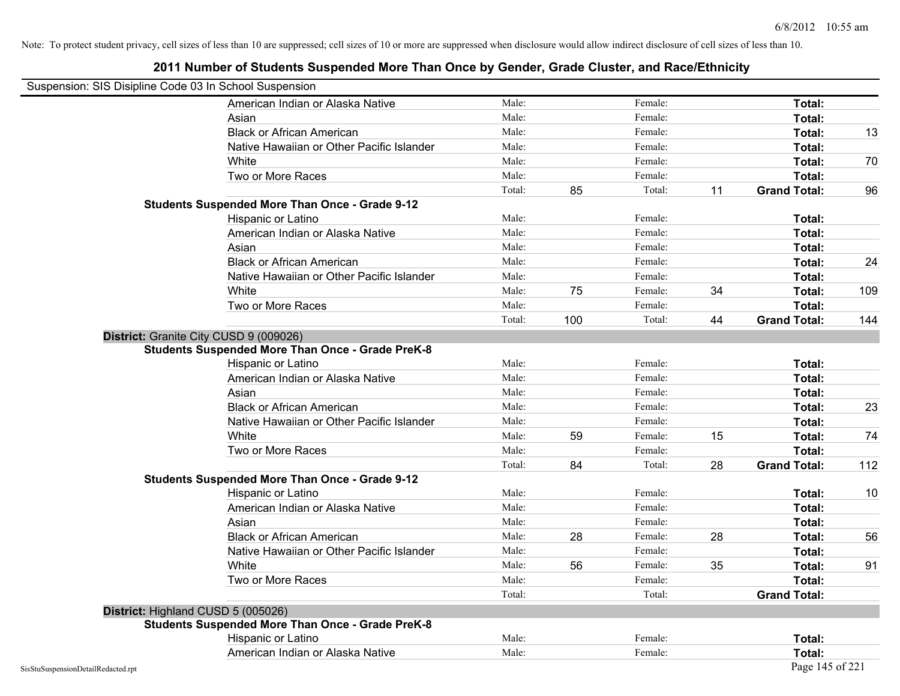| Suspension: SIS Disipline Code 03 In School Suspension |                                                         |        |     |         |    |                     |     |
|--------------------------------------------------------|---------------------------------------------------------|--------|-----|---------|----|---------------------|-----|
|                                                        | American Indian or Alaska Native                        | Male:  |     | Female: |    | Total:              |     |
|                                                        | Asian                                                   | Male:  |     | Female: |    | Total:              |     |
|                                                        | <b>Black or African American</b>                        | Male:  |     | Female: |    | Total:              | 13  |
|                                                        | Native Hawaiian or Other Pacific Islander               | Male:  |     | Female: |    | Total:              |     |
|                                                        | White                                                   | Male:  |     | Female: |    | Total:              | 70  |
|                                                        | Two or More Races                                       | Male:  |     | Female: |    | Total:              |     |
|                                                        |                                                         | Total: | 85  | Total:  | 11 | <b>Grand Total:</b> | 96  |
|                                                        | <b>Students Suspended More Than Once - Grade 9-12</b>   |        |     |         |    |                     |     |
|                                                        | Hispanic or Latino                                      | Male:  |     | Female: |    | Total:              |     |
|                                                        | American Indian or Alaska Native                        | Male:  |     | Female: |    | Total:              |     |
|                                                        | Asian                                                   | Male:  |     | Female: |    | Total:              |     |
|                                                        | <b>Black or African American</b>                        | Male:  |     | Female: |    | Total:              | 24  |
|                                                        | Native Hawaiian or Other Pacific Islander               | Male:  |     | Female: |    | Total:              |     |
|                                                        | White                                                   | Male:  | 75  | Female: | 34 | Total:              | 109 |
|                                                        | Two or More Races                                       | Male:  |     | Female: |    | Total:              |     |
|                                                        |                                                         | Total: | 100 | Total:  | 44 | <b>Grand Total:</b> | 144 |
|                                                        | District: Granite City CUSD 9 (009026)                  |        |     |         |    |                     |     |
|                                                        | <b>Students Suspended More Than Once - Grade PreK-8</b> |        |     |         |    |                     |     |
|                                                        | Hispanic or Latino                                      | Male:  |     | Female: |    | Total:              |     |
|                                                        | American Indian or Alaska Native                        | Male:  |     | Female: |    | Total:              |     |
|                                                        | Asian                                                   | Male:  |     | Female: |    | Total:              |     |
|                                                        | <b>Black or African American</b>                        | Male:  |     | Female: |    | Total:              | 23  |
|                                                        | Native Hawaiian or Other Pacific Islander               | Male:  |     | Female: |    | Total:              |     |
|                                                        | White                                                   | Male:  | 59  | Female: | 15 | Total:              | 74  |
|                                                        | Two or More Races                                       | Male:  |     | Female: |    | Total:              |     |
|                                                        |                                                         | Total: | 84  | Total:  | 28 | <b>Grand Total:</b> | 112 |
|                                                        | <b>Students Suspended More Than Once - Grade 9-12</b>   |        |     |         |    |                     |     |
|                                                        | Hispanic or Latino                                      | Male:  |     | Female: |    | Total:              | 10  |
|                                                        | American Indian or Alaska Native                        | Male:  |     | Female: |    | Total:              |     |
|                                                        | Asian                                                   | Male:  |     | Female: |    | Total:              |     |
|                                                        | <b>Black or African American</b>                        | Male:  | 28  | Female: | 28 | Total:              | 56  |
|                                                        | Native Hawaiian or Other Pacific Islander               | Male:  |     | Female: |    | Total:              |     |
|                                                        | White                                                   | Male:  | 56  | Female: | 35 | Total:              | 91  |
|                                                        | Two or More Races                                       | Male:  |     | Female: |    | Total:              |     |
|                                                        |                                                         | Total: |     | Total:  |    | <b>Grand Total:</b> |     |
|                                                        | District: Highland CUSD 5 (005026)                      |        |     |         |    |                     |     |
|                                                        | <b>Students Suspended More Than Once - Grade PreK-8</b> |        |     |         |    |                     |     |
|                                                        | Hispanic or Latino                                      | Male:  |     | Female: |    | Total:              |     |
|                                                        | American Indian or Alaska Native                        | Male:  |     | Female: |    | Total:              |     |
| SisStuSuspensionDetailRedacted.rpt                     |                                                         |        |     |         |    | Page 145 of 221     |     |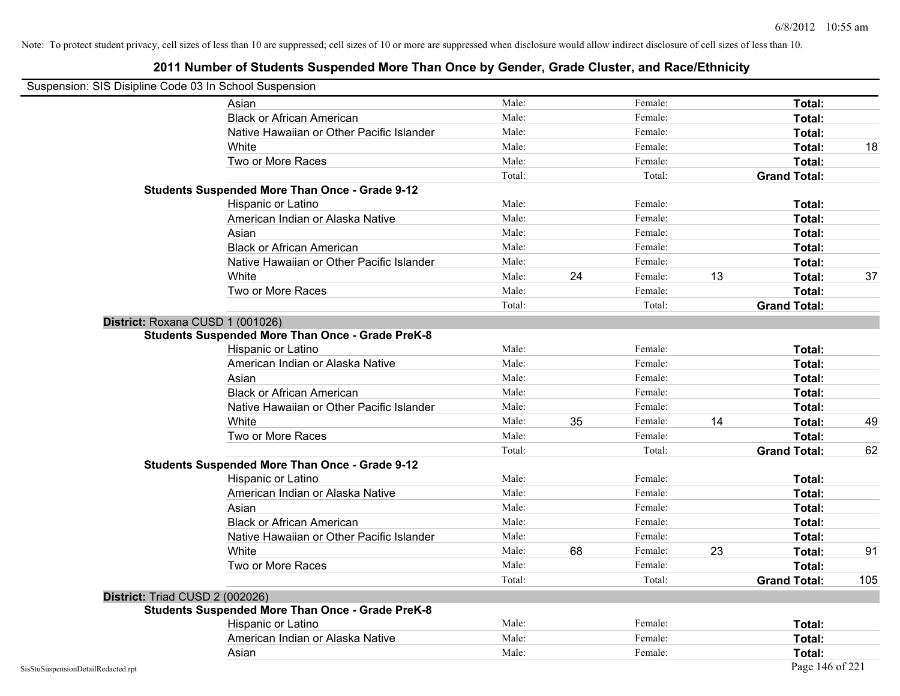| Suspension: SIS Disipline Code 03 In School Suspension |                                                         |        |    |         |    |                     |     |
|--------------------------------------------------------|---------------------------------------------------------|--------|----|---------|----|---------------------|-----|
|                                                        | Asian                                                   | Male:  |    | Female: |    | Total:              |     |
|                                                        | <b>Black or African American</b>                        | Male:  |    | Female: |    | Total:              |     |
|                                                        | Native Hawaiian or Other Pacific Islander               | Male:  |    | Female: |    | Total:              |     |
|                                                        | White                                                   | Male:  |    | Female: |    | Total:              | 18  |
|                                                        | Two or More Races                                       | Male:  |    | Female: |    | Total:              |     |
|                                                        |                                                         | Total: |    | Total:  |    | <b>Grand Total:</b> |     |
|                                                        | <b>Students Suspended More Than Once - Grade 9-12</b>   |        |    |         |    |                     |     |
|                                                        | Hispanic or Latino                                      | Male:  |    | Female: |    | Total:              |     |
|                                                        | American Indian or Alaska Native                        | Male:  |    | Female: |    | Total:              |     |
|                                                        | Asian                                                   | Male:  |    | Female: |    | Total:              |     |
|                                                        | <b>Black or African American</b>                        | Male:  |    | Female: |    | Total:              |     |
|                                                        | Native Hawaiian or Other Pacific Islander               | Male:  |    | Female: |    | Total:              |     |
|                                                        | White                                                   | Male:  | 24 | Female: | 13 | Total:              | 37  |
|                                                        | Two or More Races                                       | Male:  |    | Female: |    | Total:              |     |
|                                                        |                                                         | Total: |    | Total:  |    | <b>Grand Total:</b> |     |
| District: Roxana CUSD 1 (001026)                       |                                                         |        |    |         |    |                     |     |
|                                                        | <b>Students Suspended More Than Once - Grade PreK-8</b> |        |    |         |    |                     |     |
|                                                        | Hispanic or Latino                                      | Male:  |    | Female: |    | Total:              |     |
|                                                        | American Indian or Alaska Native                        | Male:  |    | Female: |    | Total:              |     |
|                                                        | Asian                                                   | Male:  |    | Female: |    | Total:              |     |
|                                                        | <b>Black or African American</b>                        | Male:  |    | Female: |    | Total:              |     |
|                                                        | Native Hawaiian or Other Pacific Islander               | Male:  |    | Female: |    | Total:              |     |
|                                                        | White                                                   | Male:  | 35 | Female: | 14 | Total:              | 49  |
|                                                        | Two or More Races                                       | Male:  |    | Female: |    | Total:              |     |
|                                                        |                                                         | Total: |    | Total:  |    | <b>Grand Total:</b> | 62  |
|                                                        | <b>Students Suspended More Than Once - Grade 9-12</b>   |        |    |         |    |                     |     |
|                                                        | Hispanic or Latino                                      | Male:  |    | Female: |    | Total:              |     |
|                                                        | American Indian or Alaska Native                        | Male:  |    | Female: |    | Total:              |     |
|                                                        | Asian                                                   | Male:  |    | Female: |    | Total:              |     |
|                                                        | <b>Black or African American</b>                        | Male:  |    | Female: |    | Total:              |     |
|                                                        | Native Hawaiian or Other Pacific Islander               | Male:  |    | Female: |    | Total:              |     |
|                                                        | White                                                   | Male:  | 68 | Female: | 23 | Total:              | 91  |
|                                                        | Two or More Races                                       | Male:  |    | Female: |    | Total:              |     |
|                                                        |                                                         | Total: |    | Total:  |    | <b>Grand Total:</b> | 105 |
| District: Triad CUSD 2 (002026)                        |                                                         |        |    |         |    |                     |     |
|                                                        | <b>Students Suspended More Than Once - Grade PreK-8</b> |        |    |         |    |                     |     |
|                                                        | Hispanic or Latino                                      | Male:  |    | Female: |    | Total:              |     |
|                                                        | American Indian or Alaska Native                        | Male:  |    | Female: |    | Total:              |     |
|                                                        | Asian                                                   | Male:  |    | Female: |    | Total:              |     |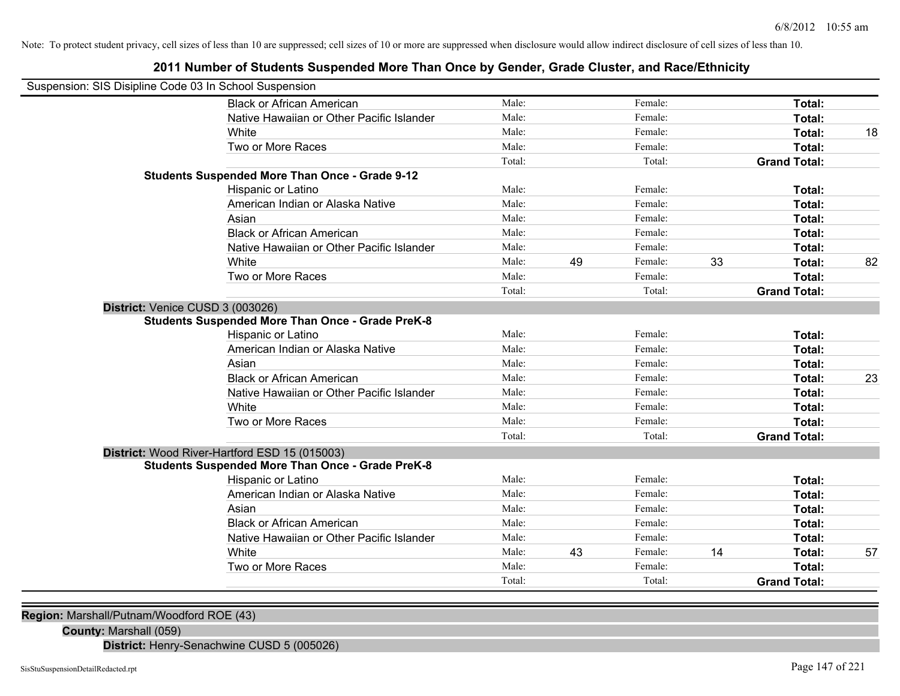# **2011 Number of Students Suspended More Than Once by Gender, Grade Cluster, and Race/Ethnicity**

| Suspension: SIS Disipline Code 03 In School Suspension |                                                                                                          |        |    |         |    |                         |    |
|--------------------------------------------------------|----------------------------------------------------------------------------------------------------------|--------|----|---------|----|-------------------------|----|
|                                                        | <b>Black or African American</b>                                                                         | Male:  |    | Female: |    | <b>Total:</b>           |    |
|                                                        | Native Hawaiian or Other Pacific Islander                                                                | Male:  |    | Female: |    | Total:                  |    |
|                                                        | White                                                                                                    | Male:  |    | Female: |    | Total:                  | 18 |
|                                                        | Two or More Races                                                                                        | Male:  |    | Female: |    | Total:                  |    |
|                                                        |                                                                                                          | Total: |    | Total:  |    | <b>Grand Total:</b>     |    |
|                                                        | <b>Students Suspended More Than Once - Grade 9-12</b>                                                    |        |    |         |    |                         |    |
|                                                        | Hispanic or Latino                                                                                       | Male:  |    | Female: |    | Total:                  |    |
|                                                        | American Indian or Alaska Native                                                                         | Male:  |    | Female: |    | Total:                  |    |
|                                                        | Asian                                                                                                    | Male:  |    | Female: |    | Total:                  |    |
|                                                        | <b>Black or African American</b>                                                                         | Male:  |    | Female: |    | Total:                  |    |
|                                                        | Native Hawaiian or Other Pacific Islander                                                                | Male:  |    | Female: |    | Total:                  |    |
|                                                        | White                                                                                                    | Male:  | 49 | Female: | 33 | Total:                  | 82 |
|                                                        | Two or More Races                                                                                        | Male:  |    | Female: |    | Total:                  |    |
|                                                        |                                                                                                          | Total: |    | Total:  |    | <b>Grand Total:</b>     |    |
| District: Venice CUSD 3 (003026)                       |                                                                                                          |        |    |         |    |                         |    |
|                                                        | <b>Students Suspended More Than Once - Grade PreK-8</b>                                                  | Male:  |    | Female: |    |                         |    |
|                                                        | Hispanic or Latino<br>American Indian or Alaska Native                                                   | Male:  |    | Female: |    | Total:<br><b>Total:</b> |    |
|                                                        | Asian                                                                                                    | Male:  |    | Female: |    |                         |    |
|                                                        | <b>Black or African American</b>                                                                         | Male:  |    | Female: |    | Total:                  |    |
|                                                        | Native Hawaiian or Other Pacific Islander                                                                | Male:  |    | Female: |    | Total:                  | 23 |
|                                                        | White                                                                                                    | Male:  |    | Female: |    | Total:                  |    |
|                                                        | Two or More Races                                                                                        | Male:  |    | Female: |    | Total:<br>Total:        |    |
|                                                        |                                                                                                          | Total: |    | Total:  |    | <b>Grand Total:</b>     |    |
|                                                        |                                                                                                          |        |    |         |    |                         |    |
|                                                        | District: Wood River-Hartford ESD 15 (015003)<br><b>Students Suspended More Than Once - Grade PreK-8</b> |        |    |         |    |                         |    |
|                                                        | Hispanic or Latino                                                                                       | Male:  |    | Female: |    | Total:                  |    |
|                                                        | American Indian or Alaska Native                                                                         | Male:  |    | Female: |    | Total:                  |    |
|                                                        | Asian                                                                                                    | Male:  |    | Female: |    | <b>Total:</b>           |    |
|                                                        | <b>Black or African American</b>                                                                         | Male:  |    | Female: |    | Total:                  |    |
|                                                        | Native Hawaiian or Other Pacific Islander                                                                | Male:  |    | Female: |    | Total:                  |    |
|                                                        | White                                                                                                    | Male:  | 43 | Female: | 14 | Total:                  | 57 |
|                                                        | Two or More Races                                                                                        | Male:  |    | Female: |    | Total:                  |    |
|                                                        |                                                                                                          | Total: |    | Total:  |    | <b>Grand Total:</b>     |    |
|                                                        |                                                                                                          |        |    |         |    |                         |    |

**Region:** Marshall/Putnam/Woodford ROE (43)

**County:** Marshall (059)

**District:** Henry-Senachwine CUSD 5 (005026)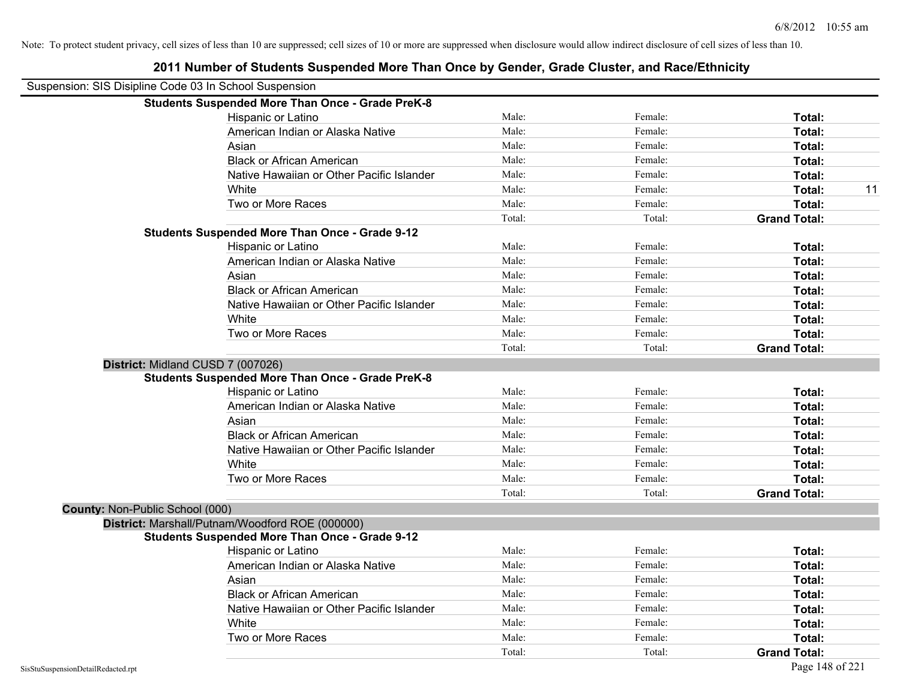| Suspension: SIS Disipline Code 03 In School Suspension  |        |         |                     |
|---------------------------------------------------------|--------|---------|---------------------|
| <b>Students Suspended More Than Once - Grade PreK-8</b> |        |         |                     |
| Hispanic or Latino                                      | Male:  | Female: | Total:              |
| American Indian or Alaska Native                        | Male:  | Female: | Total:              |
| Asian                                                   | Male:  | Female: | Total:              |
| <b>Black or African American</b>                        | Male:  | Female: | Total:              |
| Native Hawaiian or Other Pacific Islander               | Male:  | Female: | Total:              |
| White                                                   | Male:  | Female: | 11<br>Total:        |
| Two or More Races                                       | Male:  | Female: | Total:              |
|                                                         | Total: | Total:  | <b>Grand Total:</b> |
| <b>Students Suspended More Than Once - Grade 9-12</b>   |        |         |                     |
| Hispanic or Latino                                      | Male:  | Female: | Total:              |
| American Indian or Alaska Native                        | Male:  | Female: | Total:              |
| Asian                                                   | Male:  | Female: | Total:              |
| <b>Black or African American</b>                        | Male:  | Female: | Total:              |
| Native Hawaiian or Other Pacific Islander               | Male:  | Female: | Total:              |
| White                                                   | Male:  | Female: | Total:              |
| Two or More Races                                       | Male:  | Female: | Total:              |
|                                                         | Total: | Total:  | <b>Grand Total:</b> |
| District: Midland CUSD 7 (007026)                       |        |         |                     |
| <b>Students Suspended More Than Once - Grade PreK-8</b> |        |         |                     |
| Hispanic or Latino                                      | Male:  | Female: | Total:              |
| American Indian or Alaska Native                        | Male:  | Female: | Total:              |
| Asian                                                   | Male:  | Female: | Total:              |
| <b>Black or African American</b>                        | Male:  | Female: | Total:              |
| Native Hawaiian or Other Pacific Islander               | Male:  | Female: | Total:              |
| White                                                   | Male:  | Female: | Total:              |
| Two or More Races                                       | Male:  | Female: | Total:              |
|                                                         | Total: | Total:  | <b>Grand Total:</b> |
| County: Non-Public School (000)                         |        |         |                     |
| District: Marshall/Putnam/Woodford ROE (000000)         |        |         |                     |
| <b>Students Suspended More Than Once - Grade 9-12</b>   |        |         |                     |
| Hispanic or Latino                                      | Male:  | Female: | Total:              |
| American Indian or Alaska Native                        | Male:  | Female: | Total:              |
| Asian                                                   | Male:  | Female: | Total:              |
| <b>Black or African American</b>                        | Male:  | Female: | Total:              |
| Native Hawaiian or Other Pacific Islander               | Male:  | Female: | Total:              |
| White                                                   | Male:  | Female: | Total:              |
| Two or More Races                                       | Male:  | Female: | Total:              |
|                                                         | Total: | Total:  | <b>Grand Total:</b> |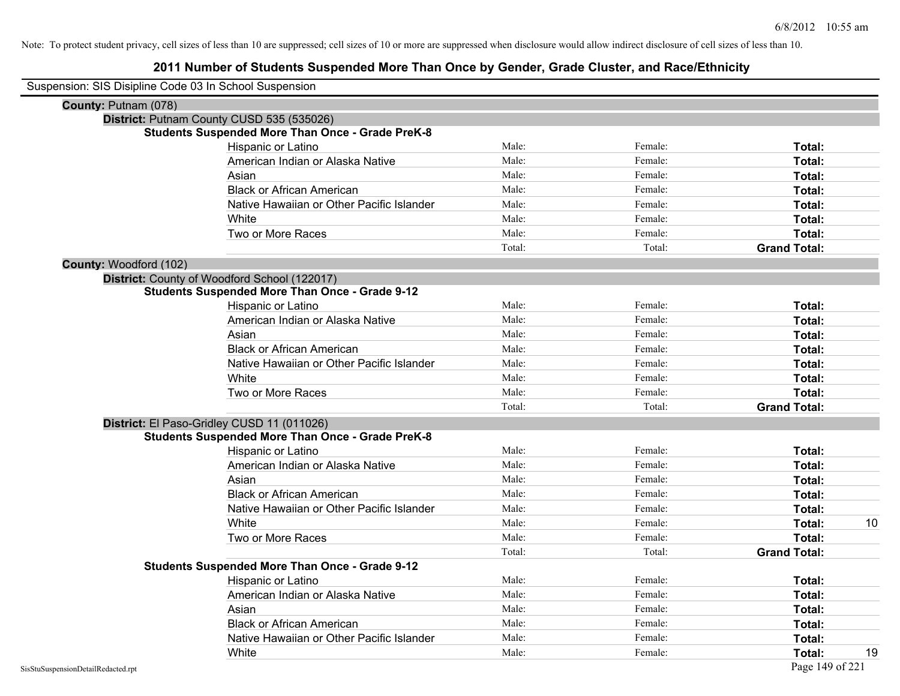| Suspension: SIS Disipline Code 03 In School Suspension |                                                         |        |         |                     |    |
|--------------------------------------------------------|---------------------------------------------------------|--------|---------|---------------------|----|
| County: Putnam (078)                                   |                                                         |        |         |                     |    |
|                                                        | District: Putnam County CUSD 535 (535026)               |        |         |                     |    |
|                                                        | <b>Students Suspended More Than Once - Grade PreK-8</b> |        |         |                     |    |
|                                                        | Hispanic or Latino                                      | Male:  | Female: | Total:              |    |
|                                                        | American Indian or Alaska Native                        | Male:  | Female: | Total:              |    |
|                                                        | Asian                                                   | Male:  | Female: | Total:              |    |
|                                                        | <b>Black or African American</b>                        | Male:  | Female: | Total:              |    |
|                                                        | Native Hawaiian or Other Pacific Islander               | Male:  | Female: | Total:              |    |
|                                                        | White                                                   | Male:  | Female: | Total:              |    |
|                                                        | Two or More Races                                       | Male:  | Female: | Total:              |    |
|                                                        |                                                         | Total: | Total:  | <b>Grand Total:</b> |    |
| County: Woodford (102)                                 |                                                         |        |         |                     |    |
|                                                        | District: County of Woodford School (122017)            |        |         |                     |    |
|                                                        | <b>Students Suspended More Than Once - Grade 9-12</b>   |        |         |                     |    |
|                                                        | Hispanic or Latino                                      | Male:  | Female: | Total:              |    |
|                                                        | American Indian or Alaska Native                        | Male:  | Female: | Total:              |    |
|                                                        | Asian                                                   | Male:  | Female: | Total:              |    |
|                                                        | <b>Black or African American</b>                        | Male:  | Female: | Total:              |    |
|                                                        | Native Hawaiian or Other Pacific Islander               | Male:  | Female: | Total:              |    |
|                                                        | White                                                   | Male:  | Female: | Total:              |    |
|                                                        | Two or More Races                                       | Male:  | Female: | Total:              |    |
|                                                        |                                                         | Total: | Total:  | <b>Grand Total:</b> |    |
|                                                        | District: El Paso-Gridley CUSD 11 (011026)              |        |         |                     |    |
|                                                        | <b>Students Suspended More Than Once - Grade PreK-8</b> |        |         |                     |    |
|                                                        | Hispanic or Latino                                      | Male:  | Female: | Total:              |    |
|                                                        | American Indian or Alaska Native                        | Male:  | Female: | Total:              |    |
|                                                        | Asian                                                   | Male:  | Female: | Total:              |    |
|                                                        | <b>Black or African American</b>                        | Male:  | Female: | Total:              |    |
|                                                        | Native Hawaiian or Other Pacific Islander               | Male:  | Female: | Total:              |    |
|                                                        | White                                                   | Male:  | Female: | Total:              | 10 |
|                                                        | Two or More Races                                       | Male:  | Female: | Total:              |    |
|                                                        |                                                         | Total: | Total:  | <b>Grand Total:</b> |    |
|                                                        | <b>Students Suspended More Than Once - Grade 9-12</b>   |        |         |                     |    |
|                                                        | Hispanic or Latino                                      | Male:  | Female: | Total:              |    |
|                                                        | American Indian or Alaska Native                        | Male:  | Female: | Total:              |    |
|                                                        | Asian                                                   | Male:  | Female: | Total:              |    |
|                                                        | <b>Black or African American</b>                        | Male:  | Female: | Total:              |    |
|                                                        | Native Hawaiian or Other Pacific Islander               | Male:  | Female: | Total:              |    |
|                                                        | White                                                   | Male:  | Female: | Total:              | 19 |
| SisStuSuspensionDetailRedacted.rpt                     |                                                         |        |         | Page 149 of 221     |    |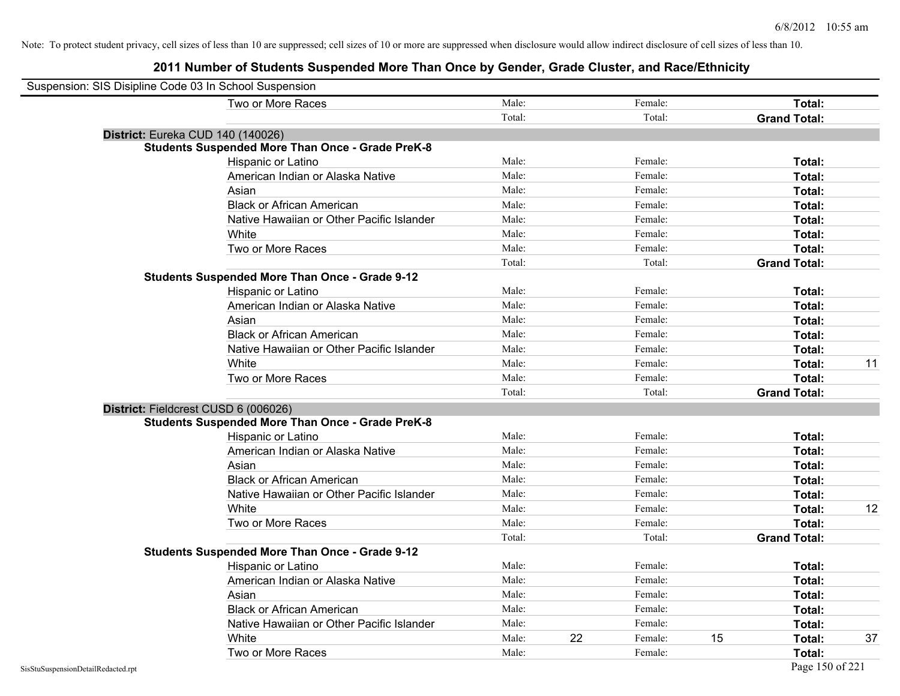| Suspension: SIS Disipline Code 03 In School Suspension |                                                         |        |    |         |                     |    |
|--------------------------------------------------------|---------------------------------------------------------|--------|----|---------|---------------------|----|
|                                                        | Two or More Races                                       | Male:  |    | Female: | Total:              |    |
|                                                        |                                                         | Total: |    | Total:  | <b>Grand Total:</b> |    |
| District: Eureka CUD 140 (140026)                      |                                                         |        |    |         |                     |    |
|                                                        | <b>Students Suspended More Than Once - Grade PreK-8</b> |        |    |         |                     |    |
|                                                        | Hispanic or Latino                                      | Male:  |    | Female: | Total:              |    |
|                                                        | American Indian or Alaska Native                        | Male:  |    | Female: | Total:              |    |
|                                                        | Asian                                                   | Male:  |    | Female: | Total:              |    |
|                                                        | <b>Black or African American</b>                        | Male:  |    | Female: | Total:              |    |
|                                                        | Native Hawaiian or Other Pacific Islander               | Male:  |    | Female: | Total:              |    |
|                                                        | White                                                   | Male:  |    | Female: | Total:              |    |
|                                                        | Two or More Races                                       | Male:  |    | Female: | Total:              |    |
|                                                        |                                                         | Total: |    | Total:  | <b>Grand Total:</b> |    |
|                                                        | <b>Students Suspended More Than Once - Grade 9-12</b>   |        |    |         |                     |    |
|                                                        | Hispanic or Latino                                      | Male:  |    | Female: | Total:              |    |
|                                                        | American Indian or Alaska Native                        | Male:  |    | Female: | Total:              |    |
|                                                        | Asian                                                   | Male:  |    | Female: | Total:              |    |
|                                                        | <b>Black or African American</b>                        | Male:  |    | Female: | Total:              |    |
|                                                        | Native Hawaiian or Other Pacific Islander               | Male:  |    | Female: | Total:              |    |
|                                                        | White                                                   | Male:  |    | Female: | Total:              | 11 |
|                                                        | Two or More Races                                       | Male:  |    | Female: | Total:              |    |
|                                                        |                                                         | Total: |    | Total:  | <b>Grand Total:</b> |    |
| District: Fieldcrest CUSD 6 (006026)                   |                                                         |        |    |         |                     |    |
|                                                        | <b>Students Suspended More Than Once - Grade PreK-8</b> |        |    |         |                     |    |
|                                                        | Hispanic or Latino                                      | Male:  |    | Female: | Total:              |    |
|                                                        | American Indian or Alaska Native                        | Male:  |    | Female: | Total:              |    |
|                                                        | Asian                                                   | Male:  |    | Female: | Total:              |    |
|                                                        | <b>Black or African American</b>                        | Male:  |    | Female: | Total:              |    |
|                                                        | Native Hawaiian or Other Pacific Islander               | Male:  |    | Female: | Total:              |    |
|                                                        | White                                                   | Male:  |    | Female: | Total:              | 12 |
|                                                        | Two or More Races                                       | Male:  |    | Female: | Total:              |    |
|                                                        |                                                         | Total: |    | Total:  | <b>Grand Total:</b> |    |
|                                                        | <b>Students Suspended More Than Once - Grade 9-12</b>   |        |    |         |                     |    |
|                                                        | Hispanic or Latino                                      | Male:  |    | Female: | Total:              |    |
|                                                        | American Indian or Alaska Native                        | Male:  |    | Female: | Total:              |    |
|                                                        | Asian                                                   | Male:  |    | Female: | Total:              |    |
|                                                        | <b>Black or African American</b>                        | Male:  |    | Female: | Total:              |    |
|                                                        | Native Hawaiian or Other Pacific Islander               | Male:  |    | Female: | Total:              |    |
|                                                        | White                                                   | Male:  | 22 | Female: | 15<br><b>Total:</b> | 37 |
|                                                        | Two or More Races                                       | Male:  |    | Female: | Total:              |    |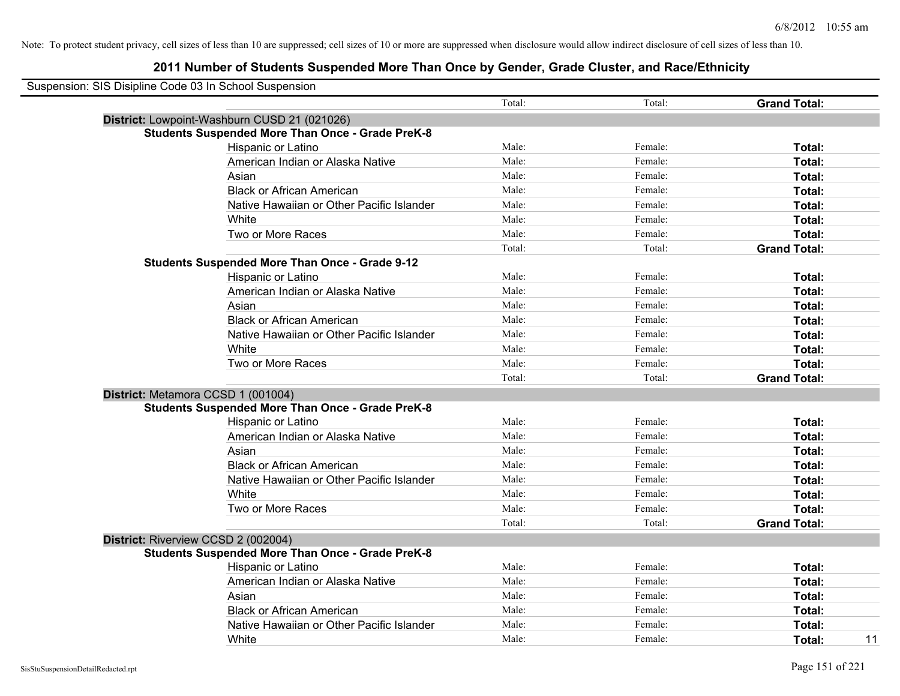| Suspension: SIS Disipline Code 03 In School Suspension |                                                         |        |         |                     |
|--------------------------------------------------------|---------------------------------------------------------|--------|---------|---------------------|
|                                                        |                                                         | Total: | Total:  | <b>Grand Total:</b> |
|                                                        | District: Lowpoint-Washburn CUSD 21 (021026)            |        |         |                     |
|                                                        | <b>Students Suspended More Than Once - Grade PreK-8</b> |        |         |                     |
|                                                        | Hispanic or Latino                                      | Male:  | Female: | Total:              |
|                                                        | American Indian or Alaska Native                        | Male:  | Female: | Total:              |
|                                                        | Asian                                                   | Male:  | Female: | Total:              |
|                                                        | <b>Black or African American</b>                        | Male:  | Female: | Total:              |
|                                                        | Native Hawaiian or Other Pacific Islander               | Male:  | Female: | Total:              |
|                                                        | White                                                   | Male:  | Female: | Total:              |
|                                                        | Two or More Races                                       | Male:  | Female: | Total:              |
|                                                        |                                                         | Total: | Total:  | <b>Grand Total:</b> |
|                                                        | <b>Students Suspended More Than Once - Grade 9-12</b>   |        |         |                     |
|                                                        | Hispanic or Latino                                      | Male:  | Female: | Total:              |
|                                                        | American Indian or Alaska Native                        | Male:  | Female: | Total:              |
|                                                        | Asian                                                   | Male:  | Female: | Total:              |
|                                                        | <b>Black or African American</b>                        | Male:  | Female: | Total:              |
|                                                        | Native Hawaiian or Other Pacific Islander               | Male:  | Female: | Total:              |
|                                                        | White                                                   | Male:  | Female: | Total:              |
|                                                        | Two or More Races                                       | Male:  | Female: | Total:              |
|                                                        |                                                         | Total: | Total:  | <b>Grand Total:</b> |
| District: Metamora CCSD 1 (001004)                     |                                                         |        |         |                     |
|                                                        | <b>Students Suspended More Than Once - Grade PreK-8</b> |        |         |                     |
|                                                        | Hispanic or Latino                                      | Male:  | Female: | Total:              |
|                                                        | American Indian or Alaska Native                        | Male:  | Female: | Total:              |
|                                                        | Asian                                                   | Male:  | Female: | Total:              |
|                                                        | <b>Black or African American</b>                        | Male:  | Female: | Total:              |
|                                                        | Native Hawaiian or Other Pacific Islander               | Male:  | Female: | Total:              |
|                                                        | White                                                   | Male:  | Female: | Total:              |
|                                                        | Two or More Races                                       | Male:  | Female: | Total:              |
|                                                        |                                                         | Total: | Total:  | <b>Grand Total:</b> |
| District: Riverview CCSD 2 (002004)                    |                                                         |        |         |                     |
|                                                        | <b>Students Suspended More Than Once - Grade PreK-8</b> |        |         |                     |
|                                                        | <b>Hispanic or Latino</b>                               | Male:  | Female: | Total:              |
|                                                        | American Indian or Alaska Native                        | Male:  | Female: | Total:              |
|                                                        | Asian                                                   | Male:  | Female: | Total:              |
|                                                        | <b>Black or African American</b>                        | Male:  | Female: | Total:              |
|                                                        | Native Hawaiian or Other Pacific Islander               | Male:  | Female: | Total:              |
|                                                        | White                                                   | Male:  | Female: | 11<br>Total:        |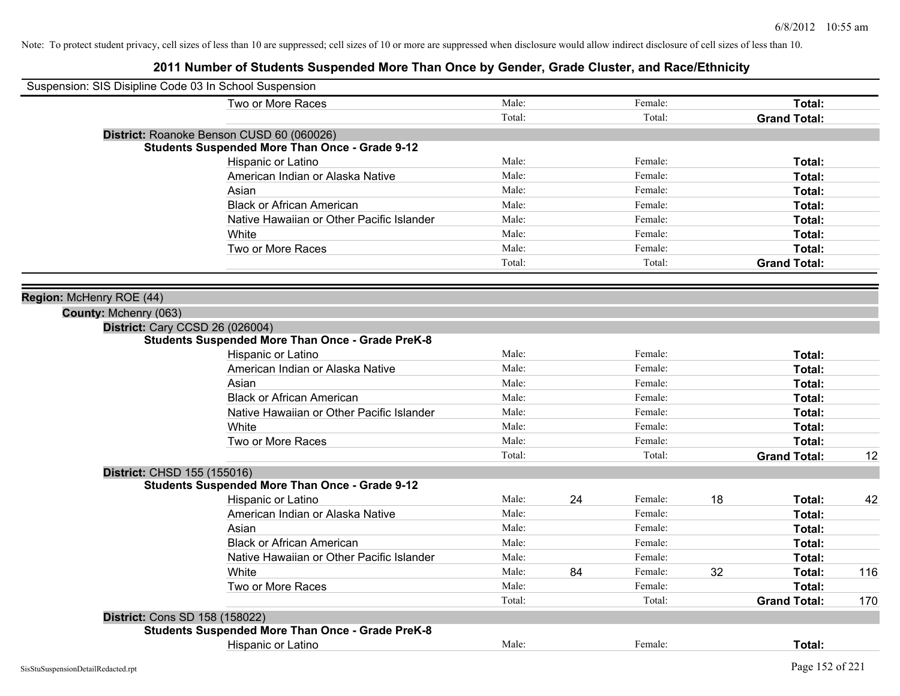| Suspension: SIS Disipline Code 03 In School Suspension |                                                         |        |    |         |    |                     |     |
|--------------------------------------------------------|---------------------------------------------------------|--------|----|---------|----|---------------------|-----|
|                                                        | Two or More Races                                       | Male:  |    | Female: |    | Total:              |     |
|                                                        |                                                         | Total: |    | Total:  |    | <b>Grand Total:</b> |     |
|                                                        | District: Roanoke Benson CUSD 60 (060026)               |        |    |         |    |                     |     |
|                                                        | <b>Students Suspended More Than Once - Grade 9-12</b>   |        |    |         |    |                     |     |
|                                                        | Hispanic or Latino                                      | Male:  |    | Female: |    | Total:              |     |
|                                                        | American Indian or Alaska Native                        | Male:  |    | Female: |    | Total:              |     |
|                                                        | Asian                                                   | Male:  |    | Female: |    | Total:              |     |
|                                                        | <b>Black or African American</b>                        | Male:  |    | Female: |    | Total:              |     |
|                                                        | Native Hawaiian or Other Pacific Islander               | Male:  |    | Female: |    | Total:              |     |
|                                                        | White                                                   | Male:  |    | Female: |    | Total:              |     |
|                                                        | Two or More Races                                       | Male:  |    | Female: |    | Total:              |     |
|                                                        |                                                         | Total: |    | Total:  |    | <b>Grand Total:</b> |     |
|                                                        |                                                         |        |    |         |    |                     |     |
| Region: McHenry ROE (44)                               |                                                         |        |    |         |    |                     |     |
| County: Mchenry (063)                                  |                                                         |        |    |         |    |                     |     |
| <b>District: Cary CCSD 26 (026004)</b>                 |                                                         |        |    |         |    |                     |     |
|                                                        | <b>Students Suspended More Than Once - Grade PreK-8</b> |        |    |         |    |                     |     |
|                                                        | Hispanic or Latino                                      | Male:  |    | Female: |    | Total:              |     |
|                                                        | American Indian or Alaska Native                        | Male:  |    | Female: |    | Total:              |     |
|                                                        | Asian                                                   | Male:  |    | Female: |    | Total:              |     |
|                                                        | <b>Black or African American</b>                        | Male:  |    | Female: |    | Total:              |     |
|                                                        | Native Hawaiian or Other Pacific Islander               | Male:  |    | Female: |    | Total:              |     |
|                                                        | White                                                   | Male:  |    | Female: |    | Total:              |     |
|                                                        | Two or More Races                                       | Male:  |    | Female: |    | <b>Total:</b>       |     |
|                                                        |                                                         | Total: |    | Total:  |    | <b>Grand Total:</b> | 12  |
| District: CHSD 155 (155016)                            |                                                         |        |    |         |    |                     |     |
|                                                        | <b>Students Suspended More Than Once - Grade 9-12</b>   |        |    |         |    |                     |     |
|                                                        | Hispanic or Latino                                      | Male:  | 24 | Female: | 18 | Total:              | 42  |
|                                                        | American Indian or Alaska Native                        | Male:  |    | Female: |    | Total:              |     |
|                                                        | Asian                                                   | Male:  |    | Female: |    | Total:              |     |
|                                                        | <b>Black or African American</b>                        | Male:  |    | Female: |    | Total:              |     |
|                                                        | Native Hawaiian or Other Pacific Islander               | Male:  |    | Female: |    | Total:              |     |
|                                                        | White                                                   | Male:  | 84 | Female: | 32 | Total:              | 116 |
|                                                        | Two or More Races                                       | Male:  |    | Female: |    | Total:              |     |
|                                                        |                                                         | Total: |    | Total:  |    | <b>Grand Total:</b> | 170 |
| <b>District: Cons SD 158 (158022)</b>                  |                                                         |        |    |         |    |                     |     |
|                                                        | <b>Students Suspended More Than Once - Grade PreK-8</b> |        |    |         |    |                     |     |
|                                                        | Hispanic or Latino                                      | Male:  |    | Female: |    | Total:              |     |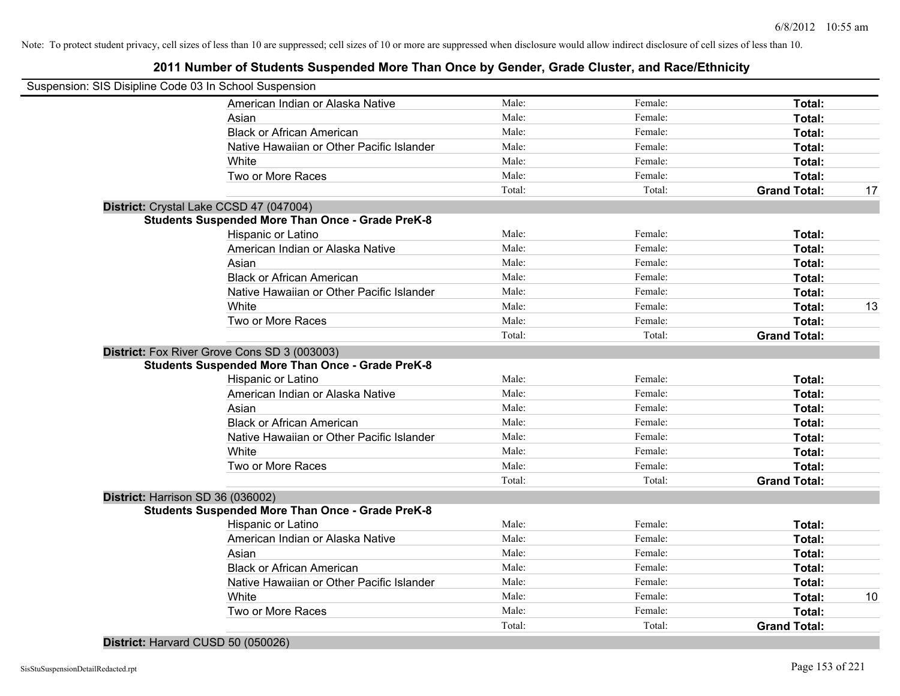| Suspension: SIS Disipline Code 03 In School Suspension  |        |         |                     |    |
|---------------------------------------------------------|--------|---------|---------------------|----|
| American Indian or Alaska Native                        | Male:  | Female: | Total:              |    |
| Asian                                                   | Male:  | Female: | Total:              |    |
| <b>Black or African American</b>                        | Male:  | Female: | Total:              |    |
| Native Hawaiian or Other Pacific Islander               | Male:  | Female: | Total:              |    |
| White                                                   | Male:  | Female: | Total:              |    |
| Two or More Races                                       | Male:  | Female: | Total:              |    |
|                                                         | Total: | Total:  | <b>Grand Total:</b> | 17 |
| District: Crystal Lake CCSD 47 (047004)                 |        |         |                     |    |
| <b>Students Suspended More Than Once - Grade PreK-8</b> |        |         |                     |    |
| Hispanic or Latino                                      | Male:  | Female: | Total:              |    |
| American Indian or Alaska Native                        | Male:  | Female: | Total:              |    |
| Asian                                                   | Male:  | Female: | Total:              |    |
| <b>Black or African American</b>                        | Male:  | Female: | Total:              |    |
| Native Hawaiian or Other Pacific Islander               | Male:  | Female: | Total:              |    |
| White                                                   | Male:  | Female: | Total:              | 13 |
| Two or More Races                                       | Male:  | Female: | Total:              |    |
|                                                         | Total: | Total:  | <b>Grand Total:</b> |    |
| District: Fox River Grove Cons SD 3 (003003)            |        |         |                     |    |
| <b>Students Suspended More Than Once - Grade PreK-8</b> |        |         |                     |    |
| Hispanic or Latino                                      | Male:  | Female: | Total:              |    |
| American Indian or Alaska Native                        | Male:  | Female: | Total:              |    |
| Asian                                                   | Male:  | Female: | Total:              |    |
| <b>Black or African American</b>                        | Male:  | Female: | Total:              |    |
| Native Hawaiian or Other Pacific Islander               | Male:  | Female: | Total:              |    |
| White                                                   | Male:  | Female: | Total:              |    |
| Two or More Races                                       | Male:  | Female: | Total:              |    |
|                                                         | Total: | Total:  | <b>Grand Total:</b> |    |
| District: Harrison SD 36 (036002)                       |        |         |                     |    |
| <b>Students Suspended More Than Once - Grade PreK-8</b> |        |         |                     |    |
| Hispanic or Latino                                      | Male:  | Female: | Total:              |    |
| American Indian or Alaska Native                        | Male:  | Female: | Total:              |    |
| Asian                                                   | Male:  | Female: | Total:              |    |
| <b>Black or African American</b>                        | Male:  | Female: | Total:              |    |
| Native Hawaiian or Other Pacific Islander               | Male:  | Female: | Total:              |    |
| White                                                   | Male:  | Female: | Total:              | 10 |
| Two or More Races                                       | Male:  | Female: | Total:              |    |
|                                                         | Total: | Total:  | <b>Grand Total:</b> |    |
|                                                         |        |         |                     |    |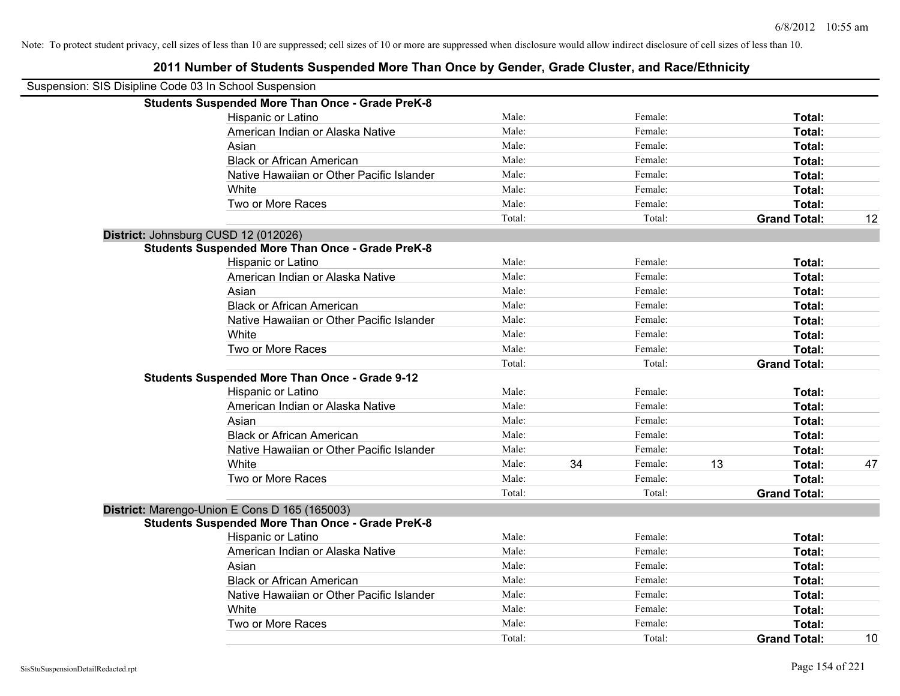| Suspension: SIS Disipline Code 03 In School Suspension |                                                         |        |    |         |    |                     |    |
|--------------------------------------------------------|---------------------------------------------------------|--------|----|---------|----|---------------------|----|
|                                                        | <b>Students Suspended More Than Once - Grade PreK-8</b> |        |    |         |    |                     |    |
|                                                        | Hispanic or Latino                                      | Male:  |    | Female: |    | Total:              |    |
|                                                        | American Indian or Alaska Native                        | Male:  |    | Female: |    | Total:              |    |
|                                                        | Asian                                                   | Male:  |    | Female: |    | Total:              |    |
|                                                        | <b>Black or African American</b>                        | Male:  |    | Female: |    | Total:              |    |
|                                                        | Native Hawaiian or Other Pacific Islander               | Male:  |    | Female: |    | Total:              |    |
|                                                        | White                                                   | Male:  |    | Female: |    | Total:              |    |
|                                                        | Two or More Races                                       | Male:  |    | Female: |    | Total:              |    |
|                                                        |                                                         | Total: |    | Total:  |    | <b>Grand Total:</b> | 12 |
|                                                        | District: Johnsburg CUSD 12 (012026)                    |        |    |         |    |                     |    |
|                                                        | <b>Students Suspended More Than Once - Grade PreK-8</b> |        |    |         |    |                     |    |
|                                                        | Hispanic or Latino                                      | Male:  |    | Female: |    | Total:              |    |
|                                                        | American Indian or Alaska Native                        | Male:  |    | Female: |    | Total:              |    |
|                                                        | Asian                                                   | Male:  |    | Female: |    | Total:              |    |
|                                                        | <b>Black or African American</b>                        | Male:  |    | Female: |    | Total:              |    |
|                                                        | Native Hawaiian or Other Pacific Islander               | Male:  |    | Female: |    | Total:              |    |
|                                                        | White                                                   | Male:  |    | Female: |    | Total:              |    |
|                                                        | Two or More Races                                       | Male:  |    | Female: |    | Total:              |    |
|                                                        |                                                         | Total: |    | Total:  |    | <b>Grand Total:</b> |    |
|                                                        | <b>Students Suspended More Than Once - Grade 9-12</b>   |        |    |         |    |                     |    |
|                                                        | Hispanic or Latino                                      | Male:  |    | Female: |    | Total:              |    |
|                                                        | American Indian or Alaska Native                        | Male:  |    | Female: |    | Total:              |    |
|                                                        | Asian                                                   | Male:  |    | Female: |    | Total:              |    |
|                                                        | <b>Black or African American</b>                        | Male:  |    | Female: |    | Total:              |    |
|                                                        | Native Hawaiian or Other Pacific Islander               | Male:  |    | Female: |    | Total:              |    |
|                                                        | White                                                   | Male:  | 34 | Female: | 13 | Total:              | 47 |
|                                                        | Two or More Races                                       | Male:  |    | Female: |    | Total:              |    |
|                                                        |                                                         | Total: |    | Total:  |    | <b>Grand Total:</b> |    |
|                                                        | District: Marengo-Union E Cons D 165 (165003)           |        |    |         |    |                     |    |
|                                                        | <b>Students Suspended More Than Once - Grade PreK-8</b> |        |    |         |    |                     |    |
|                                                        | Hispanic or Latino                                      | Male:  |    | Female: |    | Total:              |    |
|                                                        | American Indian or Alaska Native                        | Male:  |    | Female: |    | Total:              |    |
|                                                        | Asian                                                   | Male:  |    | Female: |    | Total:              |    |
|                                                        | <b>Black or African American</b>                        | Male:  |    | Female: |    | Total:              |    |
|                                                        | Native Hawaiian or Other Pacific Islander               | Male:  |    | Female: |    | Total:              |    |
|                                                        | White                                                   | Male:  |    | Female: |    | Total:              |    |
|                                                        | Two or More Races                                       | Male:  |    | Female: |    | Total:              |    |
|                                                        |                                                         | Total: |    | Total:  |    | <b>Grand Total:</b> | 10 |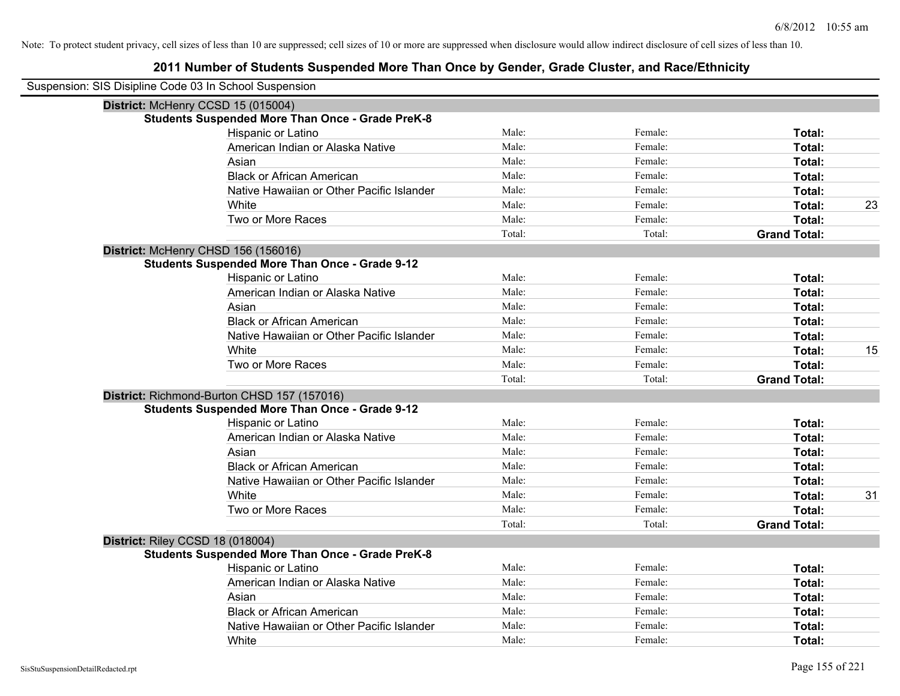| Suspension: SIS Disipline Code 03 In School Suspension |                                                         |        |         |                     |    |
|--------------------------------------------------------|---------------------------------------------------------|--------|---------|---------------------|----|
|                                                        | District: McHenry CCSD 15 (015004)                      |        |         |                     |    |
|                                                        | <b>Students Suspended More Than Once - Grade PreK-8</b> |        |         |                     |    |
|                                                        | Hispanic or Latino                                      | Male:  | Female: | Total:              |    |
|                                                        | American Indian or Alaska Native                        | Male:  | Female: | <b>Total:</b>       |    |
|                                                        | Asian                                                   | Male:  | Female: | Total:              |    |
|                                                        | <b>Black or African American</b>                        | Male:  | Female: | Total:              |    |
|                                                        | Native Hawaiian or Other Pacific Islander               | Male:  | Female: | Total:              |    |
|                                                        | White                                                   | Male:  | Female: | Total:              | 23 |
|                                                        | Two or More Races                                       | Male:  | Female: | Total:              |    |
|                                                        |                                                         | Total: | Total:  | <b>Grand Total:</b> |    |
|                                                        | District: McHenry CHSD 156 (156016)                     |        |         |                     |    |
|                                                        | <b>Students Suspended More Than Once - Grade 9-12</b>   |        |         |                     |    |
|                                                        | Hispanic or Latino                                      | Male:  | Female: | Total:              |    |
|                                                        | American Indian or Alaska Native                        | Male:  | Female: | Total:              |    |
|                                                        | Asian                                                   | Male:  | Female: | Total:              |    |
|                                                        | <b>Black or African American</b>                        | Male:  | Female: | Total:              |    |
|                                                        | Native Hawaiian or Other Pacific Islander               | Male:  | Female: | Total:              |    |
|                                                        | White                                                   | Male:  | Female: | Total:              | 15 |
|                                                        | Two or More Races                                       | Male:  | Female: | Total:              |    |
|                                                        |                                                         | Total: | Total:  | <b>Grand Total:</b> |    |
|                                                        | District: Richmond-Burton CHSD 157 (157016)             |        |         |                     |    |
|                                                        | <b>Students Suspended More Than Once - Grade 9-12</b>   |        |         |                     |    |
|                                                        | Hispanic or Latino                                      | Male:  | Female: | Total:              |    |
|                                                        | American Indian or Alaska Native                        | Male:  | Female: | Total:              |    |
|                                                        | Asian                                                   | Male:  | Female: | Total:              |    |
|                                                        | <b>Black or African American</b>                        | Male:  | Female: | Total:              |    |
|                                                        | Native Hawaiian or Other Pacific Islander               | Male:  | Female: | Total:              |    |
|                                                        | White                                                   | Male:  | Female: | Total:              | 31 |
|                                                        | Two or More Races                                       | Male:  | Female: | Total:              |    |
|                                                        |                                                         | Total: | Total:  | <b>Grand Total:</b> |    |
|                                                        | District: Riley CCSD 18 (018004)                        |        |         |                     |    |
|                                                        | <b>Students Suspended More Than Once - Grade PreK-8</b> |        |         |                     |    |
|                                                        | Hispanic or Latino                                      | Male:  | Female: | Total:              |    |
|                                                        | American Indian or Alaska Native                        | Male:  | Female: | Total:              |    |
|                                                        | Asian                                                   | Male:  | Female: | Total:              |    |
|                                                        | <b>Black or African American</b>                        | Male:  | Female: | Total:              |    |
|                                                        | Native Hawaiian or Other Pacific Islander               | Male:  | Female: | Total:              |    |
|                                                        | White                                                   | Male:  | Female: | Total:              |    |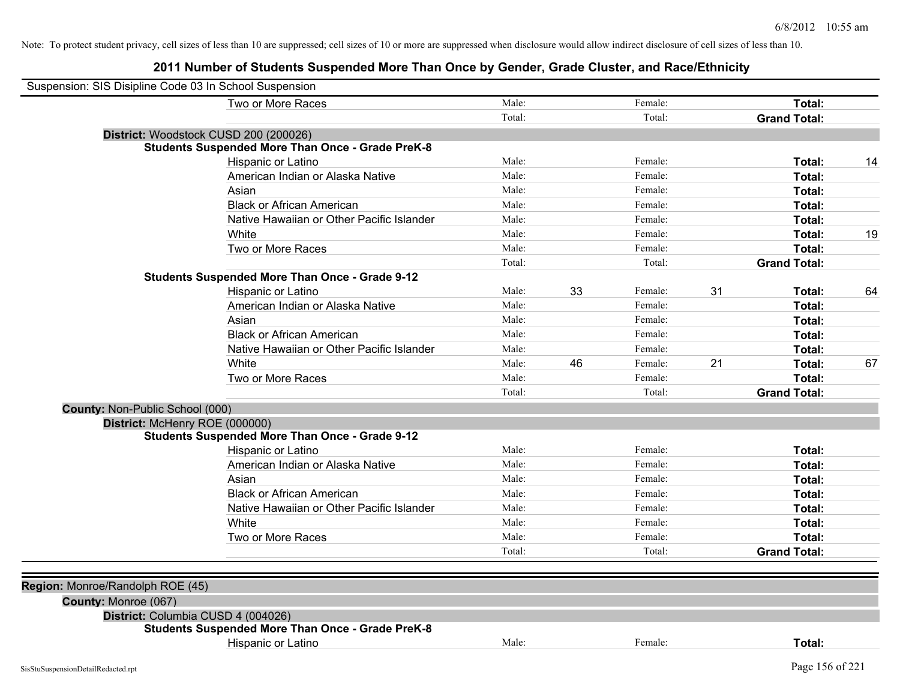| Suspension: SIS Disipline Code 03 In School Suspension |                                                         |        |    |         |    |                     |    |
|--------------------------------------------------------|---------------------------------------------------------|--------|----|---------|----|---------------------|----|
|                                                        | Two or More Races                                       | Male:  |    | Female: |    | Total:              |    |
|                                                        |                                                         | Total: |    | Total:  |    | <b>Grand Total:</b> |    |
| District: Woodstock CUSD 200 (200026)                  |                                                         |        |    |         |    |                     |    |
|                                                        | <b>Students Suspended More Than Once - Grade PreK-8</b> |        |    |         |    |                     |    |
|                                                        | Hispanic or Latino                                      | Male:  |    | Female: |    | Total:              | 14 |
|                                                        | American Indian or Alaska Native                        | Male:  |    | Female: |    | Total:              |    |
|                                                        | Asian                                                   | Male:  |    | Female: |    | Total:              |    |
|                                                        | <b>Black or African American</b>                        | Male:  |    | Female: |    | Total:              |    |
|                                                        | Native Hawaiian or Other Pacific Islander               | Male:  |    | Female: |    | Total:              |    |
|                                                        | White                                                   | Male:  |    | Female: |    | Total:              | 19 |
|                                                        | Two or More Races                                       | Male:  |    | Female: |    | Total:              |    |
|                                                        |                                                         | Total: |    | Total:  |    | <b>Grand Total:</b> |    |
|                                                        | <b>Students Suspended More Than Once - Grade 9-12</b>   |        |    |         |    |                     |    |
|                                                        | Hispanic or Latino                                      | Male:  | 33 | Female: | 31 | Total:              | 64 |
|                                                        | American Indian or Alaska Native                        | Male:  |    | Female: |    | Total:              |    |
|                                                        | Asian                                                   | Male:  |    | Female: |    | Total:              |    |
|                                                        | <b>Black or African American</b>                        | Male:  |    | Female: |    | Total:              |    |
|                                                        | Native Hawaiian or Other Pacific Islander               | Male:  |    | Female: |    | Total:              |    |
|                                                        | White                                                   | Male:  | 46 | Female: | 21 | Total:              | 67 |
|                                                        | Two or More Races                                       | Male:  |    | Female: |    | Total:              |    |
|                                                        |                                                         | Total: |    | Total:  |    | <b>Grand Total:</b> |    |
| County: Non-Public School (000)                        |                                                         |        |    |         |    |                     |    |
| District: McHenry ROE (000000)                         |                                                         |        |    |         |    |                     |    |
|                                                        | <b>Students Suspended More Than Once - Grade 9-12</b>   |        |    |         |    |                     |    |
|                                                        | Hispanic or Latino                                      | Male:  |    | Female: |    | Total:              |    |
|                                                        | American Indian or Alaska Native                        | Male:  |    | Female: |    | Total:              |    |
|                                                        | Asian                                                   | Male:  |    | Female: |    | Total:              |    |
|                                                        | <b>Black or African American</b>                        | Male:  |    | Female: |    | Total:              |    |
|                                                        | Native Hawaiian or Other Pacific Islander               | Male:  |    | Female: |    | Total:              |    |
|                                                        | White                                                   | Male:  |    | Female: |    | Total:              |    |
|                                                        | Two or More Races                                       | Male:  |    | Female: |    | Total:              |    |
|                                                        |                                                         | Total: |    | Total:  |    | <b>Grand Total:</b> |    |
| Region: Monroe/Randolph ROE (45)                       |                                                         |        |    |         |    |                     |    |
| County: Monroe (067)                                   |                                                         |        |    |         |    |                     |    |
| District: Columbia CUSD 4 (004026)                     |                                                         |        |    |         |    |                     |    |
|                                                        | <b>Students Suspended More Than Once - Grade PreK-8</b> |        |    |         |    |                     |    |
|                                                        | Hispanic or Latino                                      | Male:  |    | Female: |    | Total:              |    |
|                                                        |                                                         |        |    |         |    |                     |    |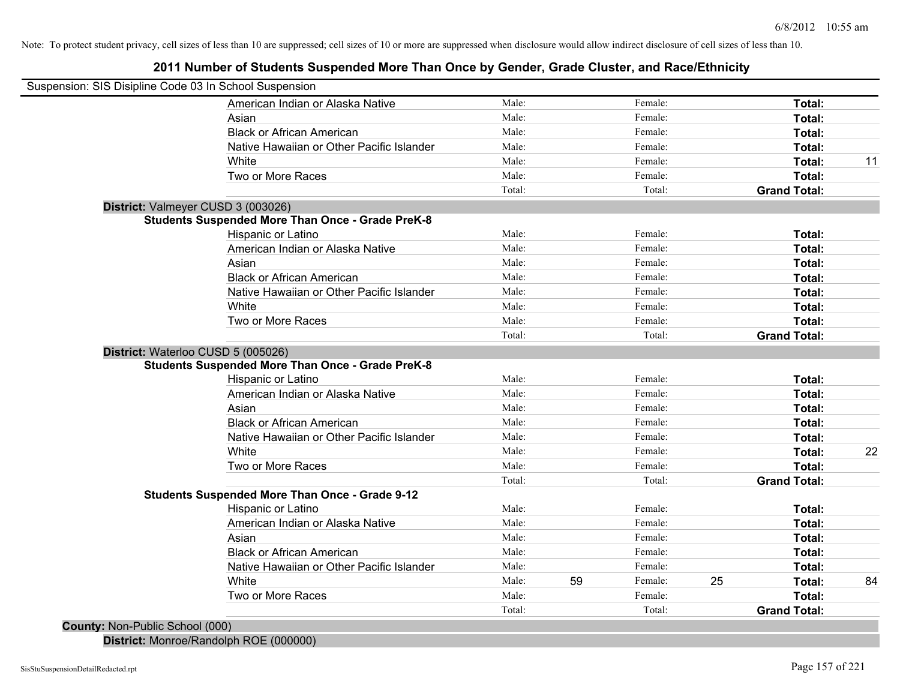**2011 Number of Students Suspended More Than Once by Gender, Grade Cluster, and Race/Ethnicity**

| Suspension: SIS Disipline Code 03 In School Suspension |                                                         |        |    |         |    |                     |    |
|--------------------------------------------------------|---------------------------------------------------------|--------|----|---------|----|---------------------|----|
|                                                        | American Indian or Alaska Native                        | Male:  |    | Female: |    | Total:              |    |
|                                                        | Asian                                                   | Male:  |    | Female: |    | Total:              |    |
|                                                        | <b>Black or African American</b>                        | Male:  |    | Female: |    | Total:              |    |
|                                                        | Native Hawaiian or Other Pacific Islander               | Male:  |    | Female: |    | Total:              |    |
|                                                        | White                                                   | Male:  |    | Female: |    | Total:              | 11 |
|                                                        | Two or More Races                                       | Male:  |    | Female: |    | Total:              |    |
|                                                        |                                                         | Total: |    | Total:  |    | <b>Grand Total:</b> |    |
|                                                        | District: Valmeyer CUSD 3 (003026)                      |        |    |         |    |                     |    |
|                                                        | <b>Students Suspended More Than Once - Grade PreK-8</b> |        |    |         |    |                     |    |
|                                                        | Hispanic or Latino                                      | Male:  |    | Female: |    | Total:              |    |
|                                                        | American Indian or Alaska Native                        | Male:  |    | Female: |    | Total:              |    |
|                                                        | Asian                                                   | Male:  |    | Female: |    | Total:              |    |
|                                                        | <b>Black or African American</b>                        | Male:  |    | Female: |    | Total:              |    |
|                                                        | Native Hawaiian or Other Pacific Islander               | Male:  |    | Female: |    | Total:              |    |
|                                                        | White                                                   | Male:  |    | Female: |    | Total:              |    |
|                                                        | Two or More Races                                       | Male:  |    | Female: |    | Total:              |    |
|                                                        |                                                         | Total: |    | Total:  |    | <b>Grand Total:</b> |    |
| District: Waterloo CUSD 5 (005026)                     |                                                         |        |    |         |    |                     |    |
|                                                        | <b>Students Suspended More Than Once - Grade PreK-8</b> |        |    |         |    |                     |    |
|                                                        | Hispanic or Latino                                      | Male:  |    | Female: |    | Total:              |    |
|                                                        | American Indian or Alaska Native                        | Male:  |    | Female: |    | Total:              |    |
|                                                        | Asian                                                   | Male:  |    | Female: |    | Total:              |    |
|                                                        | <b>Black or African American</b>                        | Male:  |    | Female: |    | Total:              |    |
|                                                        | Native Hawaiian or Other Pacific Islander               | Male:  |    | Female: |    | Total:              |    |
|                                                        | White                                                   | Male:  |    | Female: |    | Total:              | 22 |
|                                                        | Two or More Races                                       | Male:  |    | Female: |    | Total:              |    |
|                                                        |                                                         | Total: |    | Total:  |    | <b>Grand Total:</b> |    |
|                                                        | <b>Students Suspended More Than Once - Grade 9-12</b>   |        |    |         |    |                     |    |
|                                                        | Hispanic or Latino                                      | Male:  |    | Female: |    | Total:              |    |
|                                                        | American Indian or Alaska Native                        | Male:  |    | Female: |    | Total:              |    |
|                                                        | Asian                                                   | Male:  |    | Female: |    | Total:              |    |
|                                                        | <b>Black or African American</b>                        | Male:  |    | Female: |    | Total:              |    |
|                                                        | Native Hawaiian or Other Pacific Islander               | Male:  |    | Female: |    | Total:              |    |
|                                                        | White                                                   | Male:  | 59 | Female: | 25 | Total:              | 84 |
|                                                        | Two or More Races                                       | Male:  |    | Female: |    | Total:              |    |
|                                                        |                                                         | Total: |    |         |    |                     |    |
| County: Non-Public School (000)                        |                                                         |        |    | Total:  |    | <b>Grand Total:</b> |    |

**District:** Monroe/Randolph ROE (000000)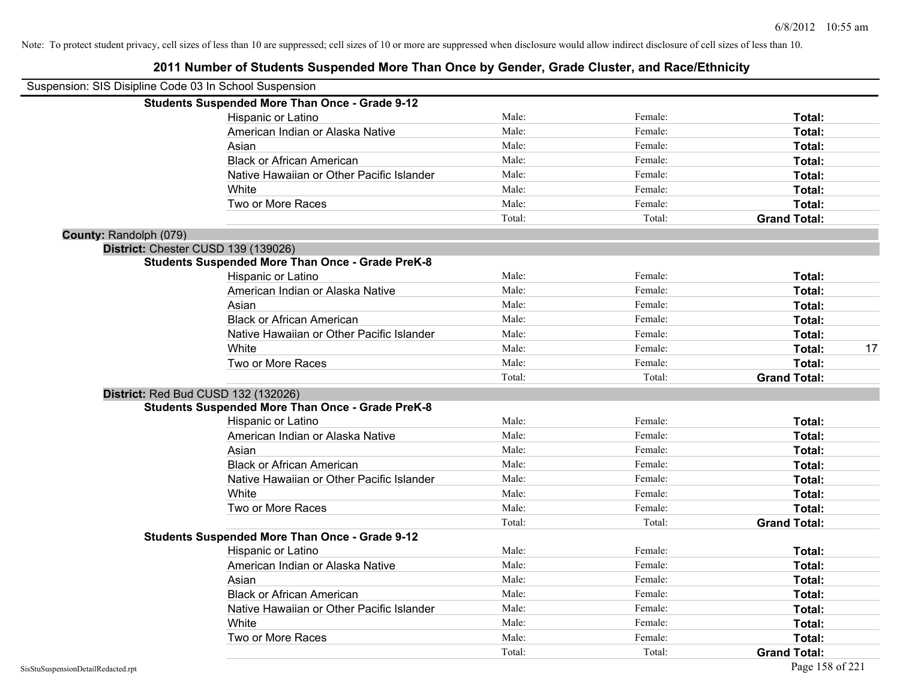| Suspension: SIS Disipline Code 03 In School Suspension |                                                         |        |         |                     |    |
|--------------------------------------------------------|---------------------------------------------------------|--------|---------|---------------------|----|
|                                                        | <b>Students Suspended More Than Once - Grade 9-12</b>   |        |         |                     |    |
|                                                        | Hispanic or Latino                                      | Male:  | Female: | Total:              |    |
|                                                        | American Indian or Alaska Native                        | Male:  | Female: | Total:              |    |
|                                                        | Asian                                                   | Male:  | Female: | Total:              |    |
|                                                        | <b>Black or African American</b>                        | Male:  | Female: | Total:              |    |
|                                                        | Native Hawaiian or Other Pacific Islander               | Male:  | Female: | Total:              |    |
|                                                        | White                                                   | Male:  | Female: | Total:              |    |
|                                                        | Two or More Races                                       | Male:  | Female: | Total:              |    |
|                                                        |                                                         | Total: | Total:  | <b>Grand Total:</b> |    |
| County: Randolph (079)                                 |                                                         |        |         |                     |    |
|                                                        | District: Chester CUSD 139 (139026)                     |        |         |                     |    |
|                                                        | <b>Students Suspended More Than Once - Grade PreK-8</b> |        |         |                     |    |
|                                                        | Hispanic or Latino                                      | Male:  | Female: | Total:              |    |
|                                                        | American Indian or Alaska Native                        | Male:  | Female: | Total:              |    |
|                                                        | Asian                                                   | Male:  | Female: | Total:              |    |
|                                                        | <b>Black or African American</b>                        | Male:  | Female: | Total:              |    |
|                                                        | Native Hawaiian or Other Pacific Islander               | Male:  | Female: | Total:              |    |
|                                                        | White                                                   | Male:  | Female: | <b>Total:</b>       | 17 |
|                                                        | Two or More Races                                       | Male:  | Female: | Total:              |    |
|                                                        |                                                         | Total: | Total:  | <b>Grand Total:</b> |    |
|                                                        | <b>District: Red Bud CUSD 132 (132026)</b>              |        |         |                     |    |
|                                                        | <b>Students Suspended More Than Once - Grade PreK-8</b> |        |         |                     |    |
|                                                        | Hispanic or Latino                                      | Male:  | Female: | Total:              |    |
|                                                        | American Indian or Alaska Native                        | Male:  | Female: | Total:              |    |
|                                                        | Asian                                                   | Male:  | Female: | Total:              |    |
|                                                        | <b>Black or African American</b>                        | Male:  | Female: | Total:              |    |
|                                                        | Native Hawaiian or Other Pacific Islander               | Male:  | Female: | Total:              |    |
|                                                        | White                                                   | Male:  | Female: | Total:              |    |
|                                                        | Two or More Races                                       | Male:  | Female: | Total:              |    |
|                                                        |                                                         | Total: | Total:  | <b>Grand Total:</b> |    |
|                                                        | <b>Students Suspended More Than Once - Grade 9-12</b>   |        |         |                     |    |
|                                                        | Hispanic or Latino                                      | Male:  | Female: | Total:              |    |
|                                                        | American Indian or Alaska Native                        | Male:  | Female: | Total:              |    |
|                                                        | Asian                                                   | Male:  | Female: | Total:              |    |
|                                                        | <b>Black or African American</b>                        | Male:  | Female: | Total:              |    |
|                                                        | Native Hawaiian or Other Pacific Islander               | Male:  | Female: | Total:              |    |
|                                                        | White                                                   | Male:  | Female: | Total:              |    |
|                                                        | Two or More Races                                       | Male:  | Female: | Total:              |    |
|                                                        |                                                         | Total: | Total:  | <b>Grand Total:</b> |    |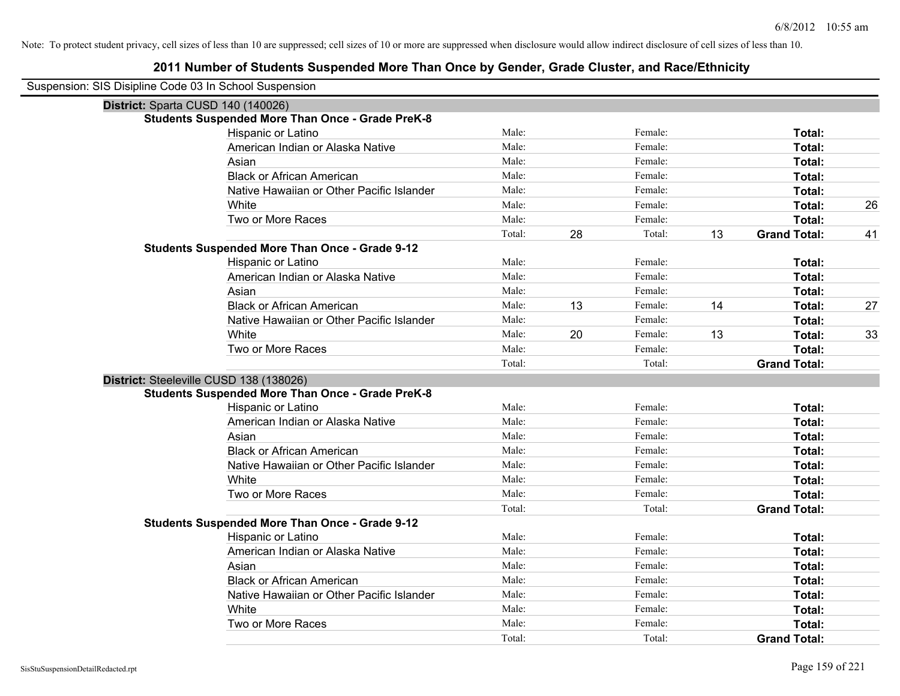| Suspension: SIS Disipline Code 03 In School Suspension  |        |    |         |    |                     |    |
|---------------------------------------------------------|--------|----|---------|----|---------------------|----|
| District: Sparta CUSD 140 (140026)                      |        |    |         |    |                     |    |
| <b>Students Suspended More Than Once - Grade PreK-8</b> |        |    |         |    |                     |    |
| Hispanic or Latino                                      | Male:  |    | Female: |    | Total:              |    |
| American Indian or Alaska Native                        | Male:  |    | Female: |    | Total:              |    |
| Asian                                                   | Male:  |    | Female: |    | Total:              |    |
| <b>Black or African American</b>                        | Male:  |    | Female: |    | Total:              |    |
| Native Hawaiian or Other Pacific Islander               | Male:  |    | Female: |    | Total:              |    |
| White                                                   | Male:  |    | Female: |    | Total:              | 26 |
| Two or More Races                                       | Male:  |    | Female: |    | Total:              |    |
|                                                         | Total: | 28 | Total:  | 13 | <b>Grand Total:</b> | 41 |
| <b>Students Suspended More Than Once - Grade 9-12</b>   |        |    |         |    |                     |    |
| Hispanic or Latino                                      | Male:  |    | Female: |    | Total:              |    |
| American Indian or Alaska Native                        | Male:  |    | Female: |    | Total:              |    |
| Asian                                                   | Male:  |    | Female: |    | Total:              |    |
| <b>Black or African American</b>                        | Male:  | 13 | Female: | 14 | Total:              | 27 |
| Native Hawaiian or Other Pacific Islander               | Male:  |    | Female: |    | Total:              |    |
| White                                                   | Male:  | 20 | Female: | 13 | Total:              | 33 |
| Two or More Races                                       | Male:  |    | Female: |    | Total:              |    |
|                                                         | Total: |    | Total:  |    | <b>Grand Total:</b> |    |
| District: Steeleville CUSD 138 (138026)                 |        |    |         |    |                     |    |
| <b>Students Suspended More Than Once - Grade PreK-8</b> |        |    |         |    |                     |    |
| Hispanic or Latino                                      | Male:  |    | Female: |    | Total:              |    |
| American Indian or Alaska Native                        | Male:  |    | Female: |    | Total:              |    |
| Asian                                                   | Male:  |    | Female: |    | Total:              |    |
| <b>Black or African American</b>                        | Male:  |    | Female: |    | Total:              |    |
| Native Hawaiian or Other Pacific Islander               | Male:  |    | Female: |    | Total:              |    |
| White                                                   | Male:  |    | Female: |    | Total:              |    |
| Two or More Races                                       | Male:  |    | Female: |    | Total:              |    |
|                                                         | Total: |    | Total:  |    | <b>Grand Total:</b> |    |
| Students Suspended More Than Once - Grade 9-12          |        |    |         |    |                     |    |
| Hispanic or Latino                                      | Male:  |    | Female: |    | Total:              |    |
| American Indian or Alaska Native                        | Male:  |    | Female: |    | Total:              |    |
| Asian                                                   | Male:  |    | Female: |    | Total:              |    |
| <b>Black or African American</b>                        | Male:  |    | Female: |    | Total:              |    |
| Native Hawaiian or Other Pacific Islander               | Male:  |    | Female: |    | Total:              |    |
| White                                                   | Male:  |    | Female: |    | Total:              |    |
| Two or More Races                                       | Male:  |    | Female: |    | Total:              |    |
|                                                         | Total: |    | Total:  |    | <b>Grand Total:</b> |    |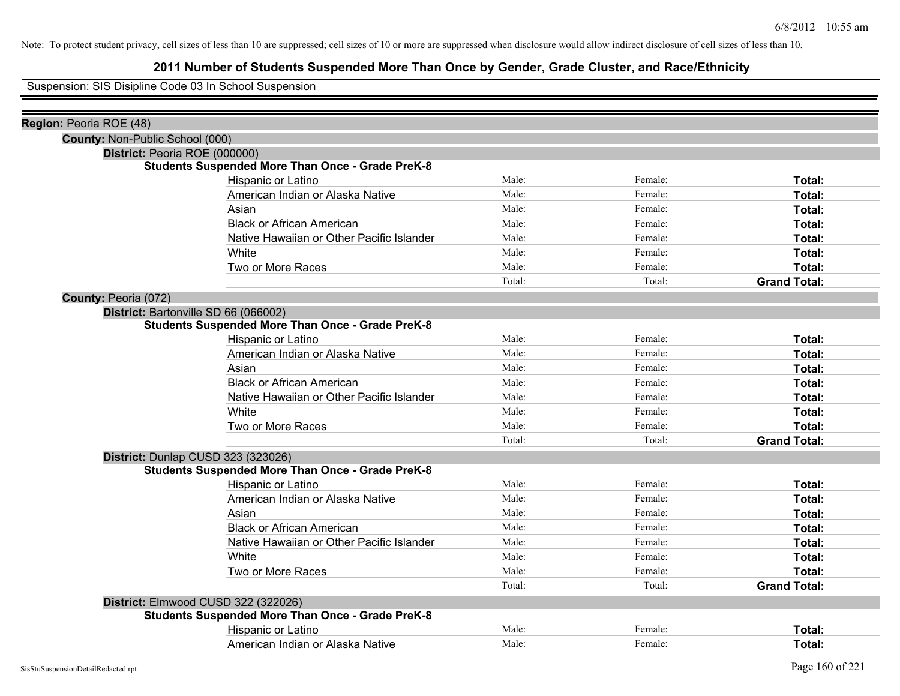# **2011 Number of Students Suspended More Than Once by Gender, Grade Cluster, and Race/Ethnicity**

Suspension: SIS Disipline Code 03 In School Suspension

| Region: Peoria ROE (48) |                                                                                               |        |         |                     |
|-------------------------|-----------------------------------------------------------------------------------------------|--------|---------|---------------------|
|                         | County: Non-Public School (000)                                                               |        |         |                     |
|                         | District: Peoria ROE (000000)<br><b>Students Suspended More Than Once - Grade PreK-8</b>      |        |         |                     |
|                         | Hispanic or Latino                                                                            | Male:  | Female: | Total:              |
|                         | American Indian or Alaska Native                                                              | Male:  | Female: | Total:              |
|                         | Asian                                                                                         | Male:  | Female: | Total:              |
|                         | <b>Black or African American</b>                                                              | Male:  | Female: | Total:              |
|                         | Native Hawaiian or Other Pacific Islander                                                     | Male:  | Female: | Total:              |
|                         | White                                                                                         | Male:  | Female: | Total:              |
|                         | Two or More Races                                                                             | Male:  | Female: | Total:              |
|                         |                                                                                               | Total: | Total:  | <b>Grand Total:</b> |
|                         |                                                                                               |        |         |                     |
|                         | <b>County: Peoria (072)</b><br>District: Bartonville SD 66 (066002)                           |        |         |                     |
|                         | <b>Students Suspended More Than Once - Grade PreK-8</b>                                       |        |         |                     |
|                         | Hispanic or Latino                                                                            | Male:  | Female: | Total:              |
|                         | American Indian or Alaska Native                                                              | Male:  | Female: | Total:              |
|                         | Asian                                                                                         | Male:  | Female: | Total:              |
|                         | <b>Black or African American</b>                                                              | Male:  | Female: | Total:              |
|                         | Native Hawaiian or Other Pacific Islander                                                     | Male:  | Female: | Total:              |
|                         | White                                                                                         | Male:  | Female: | Total:              |
|                         | Two or More Races                                                                             | Male:  | Female: | Total:              |
|                         |                                                                                               | Total: | Total:  | <b>Grand Total:</b> |
|                         |                                                                                               |        |         |                     |
|                         | District: Dunlap CUSD 323 (323026)<br><b>Students Suspended More Than Once - Grade PreK-8</b> |        |         |                     |
|                         | Hispanic or Latino                                                                            | Male:  | Female: | Total:              |
|                         | American Indian or Alaska Native                                                              | Male:  | Female: | Total:              |
|                         | Asian                                                                                         | Male:  | Female: | Total:              |
|                         | <b>Black or African American</b>                                                              | Male:  | Female: | Total:              |
|                         | Native Hawaiian or Other Pacific Islander                                                     | Male:  | Female: | Total:              |
|                         | White                                                                                         | Male:  | Female: | Total:              |
|                         | Two or More Races                                                                             | Male:  | Female: | Total:              |
|                         |                                                                                               | Total: | Total:  | <b>Grand Total:</b> |
|                         | District: Elmwood CUSD 322 (322026)                                                           |        |         |                     |
|                         | <b>Students Suspended More Than Once - Grade PreK-8</b>                                       |        |         |                     |
|                         | Hispanic or Latino                                                                            | Male:  | Female: | Total:              |
|                         | American Indian or Alaska Native                                                              | Male:  | Female: | Total:              |
|                         |                                                                                               |        |         |                     |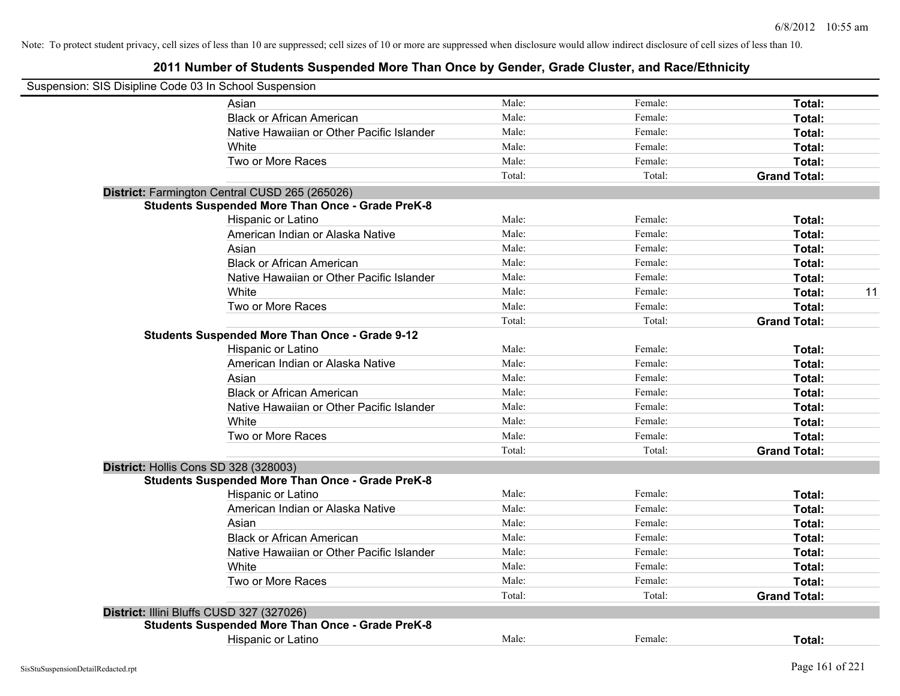| Suspension: SIS Disipline Code 03 In School Suspension |                                                         |        |         |                     |    |
|--------------------------------------------------------|---------------------------------------------------------|--------|---------|---------------------|----|
|                                                        | Asian                                                   | Male:  | Female: | Total:              |    |
|                                                        | <b>Black or African American</b>                        | Male:  | Female: | Total:              |    |
|                                                        | Native Hawaiian or Other Pacific Islander               | Male:  | Female: | Total:              |    |
|                                                        | White                                                   | Male:  | Female: | Total:              |    |
|                                                        | Two or More Races                                       | Male:  | Female: | Total:              |    |
|                                                        |                                                         | Total: | Total:  | <b>Grand Total:</b> |    |
|                                                        | District: Farmington Central CUSD 265 (265026)          |        |         |                     |    |
|                                                        | <b>Students Suspended More Than Once - Grade PreK-8</b> |        |         |                     |    |
|                                                        | Hispanic or Latino                                      | Male:  | Female: | Total:              |    |
|                                                        | American Indian or Alaska Native                        | Male:  | Female: | Total:              |    |
|                                                        | Asian                                                   | Male:  | Female: | Total:              |    |
|                                                        | <b>Black or African American</b>                        | Male:  | Female: | Total:              |    |
|                                                        | Native Hawaiian or Other Pacific Islander               | Male:  | Female: | Total:              |    |
|                                                        | White                                                   | Male:  | Female: | Total:              | 11 |
|                                                        | Two or More Races                                       | Male:  | Female: | Total:              |    |
|                                                        |                                                         | Total: | Total:  | <b>Grand Total:</b> |    |
|                                                        | <b>Students Suspended More Than Once - Grade 9-12</b>   |        |         |                     |    |
|                                                        | Hispanic or Latino                                      | Male:  | Female: | Total:              |    |
|                                                        | American Indian or Alaska Native                        | Male:  | Female: | Total:              |    |
|                                                        | Asian                                                   | Male:  | Female: | Total:              |    |
|                                                        | <b>Black or African American</b>                        | Male:  | Female: | Total:              |    |
|                                                        | Native Hawaiian or Other Pacific Islander               | Male:  | Female: | Total:              |    |
|                                                        | White                                                   | Male:  | Female: | Total:              |    |
|                                                        | Two or More Races                                       | Male:  | Female: | Total:              |    |
|                                                        |                                                         | Total: | Total:  | <b>Grand Total:</b> |    |
| District: Hollis Cons SD 328 (328003)                  |                                                         |        |         |                     |    |
|                                                        | <b>Students Suspended More Than Once - Grade PreK-8</b> |        |         |                     |    |
|                                                        | Hispanic or Latino                                      | Male:  | Female: | Total:              |    |
|                                                        | American Indian or Alaska Native                        | Male:  | Female: | Total:              |    |
|                                                        | Asian                                                   | Male:  | Female: | Total:              |    |
|                                                        | <b>Black or African American</b>                        | Male:  | Female: | Total:              |    |
|                                                        | Native Hawaiian or Other Pacific Islander               | Male:  | Female: | Total:              |    |
|                                                        | White                                                   | Male:  | Female: | Total:              |    |
|                                                        | Two or More Races                                       | Male:  | Female: | Total:              |    |
|                                                        |                                                         | Total: | Total:  | <b>Grand Total:</b> |    |
| District: Illini Bluffs CUSD 327 (327026)              |                                                         |        |         |                     |    |
|                                                        | <b>Students Suspended More Than Once - Grade PreK-8</b> |        |         |                     |    |
|                                                        | <b>Hispanic or Latino</b>                               | Male:  | Female: | Total:              |    |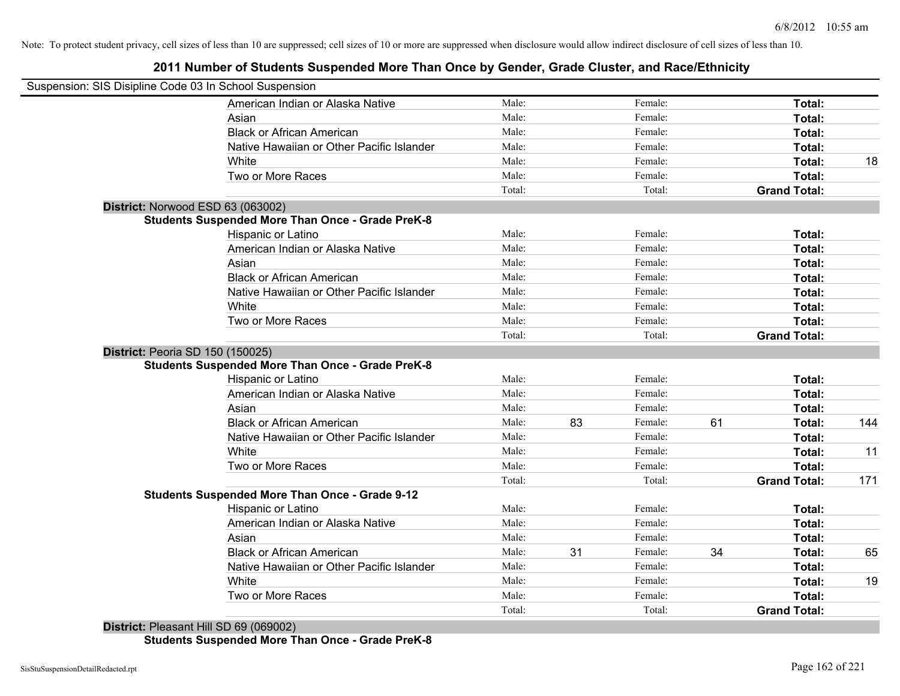# **2011 Number of Students Suspended More Than Once by Gender, Grade Cluster, and Race/Ethnicity**

| Suspension: SIS Disipline Code 03 In School Suspension |                                                         |        |    |         |    |                     |     |
|--------------------------------------------------------|---------------------------------------------------------|--------|----|---------|----|---------------------|-----|
|                                                        | American Indian or Alaska Native                        | Male:  |    | Female: |    | Total:              |     |
| Asian                                                  |                                                         | Male:  |    | Female: |    | Total:              |     |
|                                                        | <b>Black or African American</b>                        | Male:  |    | Female: |    | Total:              |     |
|                                                        | Native Hawaiian or Other Pacific Islander               | Male:  |    | Female: |    | Total:              |     |
| White                                                  |                                                         | Male:  |    | Female: |    | Total:              | 18  |
|                                                        | Two or More Races                                       | Male:  |    | Female: |    | Total:              |     |
|                                                        |                                                         | Total: |    | Total:  |    | <b>Grand Total:</b> |     |
| District: Norwood ESD 63 (063002)                      |                                                         |        |    |         |    |                     |     |
|                                                        | <b>Students Suspended More Than Once - Grade PreK-8</b> |        |    |         |    |                     |     |
|                                                        | Hispanic or Latino                                      | Male:  |    | Female: |    | Total:              |     |
|                                                        | American Indian or Alaska Native                        | Male:  |    | Female: |    | Total:              |     |
| Asian                                                  |                                                         | Male:  |    | Female: |    | Total:              |     |
|                                                        | <b>Black or African American</b>                        | Male:  |    | Female: |    | Total:              |     |
|                                                        | Native Hawaiian or Other Pacific Islander               | Male:  |    | Female: |    | Total:              |     |
| White                                                  |                                                         | Male:  |    | Female: |    | Total:              |     |
|                                                        | Two or More Races                                       | Male:  |    | Female: |    | Total:              |     |
|                                                        |                                                         | Total: |    | Total:  |    | <b>Grand Total:</b> |     |
| District: Peoria SD 150 (150025)                       |                                                         |        |    |         |    |                     |     |
|                                                        | <b>Students Suspended More Than Once - Grade PreK-8</b> |        |    |         |    |                     |     |
|                                                        | Hispanic or Latino                                      | Male:  |    | Female: |    | Total:              |     |
|                                                        | American Indian or Alaska Native                        | Male:  |    | Female: |    | Total:              |     |
| Asian                                                  |                                                         | Male:  |    | Female: |    | Total:              |     |
|                                                        | <b>Black or African American</b>                        | Male:  | 83 | Female: | 61 | Total:              | 144 |
|                                                        | Native Hawaiian or Other Pacific Islander               | Male:  |    | Female: |    | Total:              |     |
| White                                                  |                                                         | Male:  |    | Female: |    | Total:              | 11  |
|                                                        | Two or More Races                                       | Male:  |    | Female: |    | Total:              |     |
|                                                        |                                                         | Total: |    | Total:  |    | <b>Grand Total:</b> | 171 |
|                                                        | <b>Students Suspended More Than Once - Grade 9-12</b>   |        |    |         |    |                     |     |
|                                                        | Hispanic or Latino                                      | Male:  |    | Female: |    | Total:              |     |
|                                                        | American Indian or Alaska Native                        | Male:  |    | Female: |    | Total:              |     |
| Asian                                                  |                                                         | Male:  |    | Female: |    | Total:              |     |
|                                                        | <b>Black or African American</b>                        | Male:  | 31 | Female: | 34 | Total:              | 65  |
|                                                        | Native Hawaiian or Other Pacific Islander               | Male:  |    | Female: |    | Total:              |     |
| White                                                  |                                                         | Male:  |    | Female: |    | Total:              | 19  |
|                                                        | Two or More Races                                       | Male:  |    | Female: |    | Total:              |     |
| .                                                      |                                                         | Total: |    | Total:  |    | <b>Grand Total:</b> |     |

**District:** Pleasant Hill SD 69 (069002) **Students Suspended More Than Once - Grade PreK-8**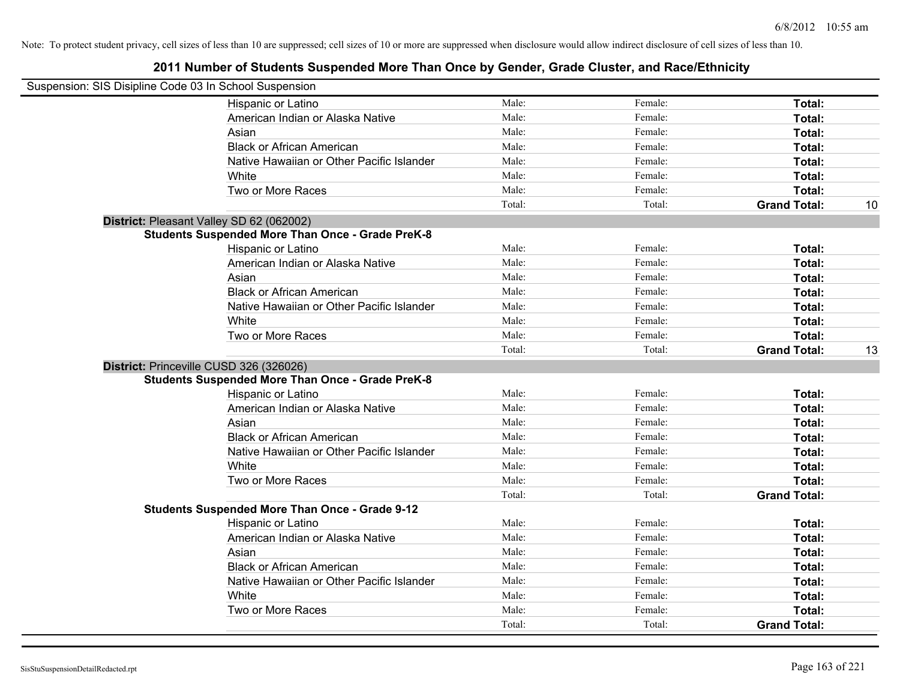| Suspension: SIS Disipline Code 03 In School Suspension                                             |                                           |        |         |                     |    |
|----------------------------------------------------------------------------------------------------|-------------------------------------------|--------|---------|---------------------|----|
| Hispanic or Latino                                                                                 |                                           | Male:  | Female: | Total:              |    |
| American Indian or Alaska Native                                                                   |                                           | Male:  | Female: | Total:              |    |
| Asian                                                                                              |                                           | Male:  | Female: | Total:              |    |
| <b>Black or African American</b>                                                                   |                                           | Male:  | Female: | Total:              |    |
|                                                                                                    | Native Hawaiian or Other Pacific Islander | Male:  | Female: | Total:              |    |
| White                                                                                              |                                           | Male:  | Female: | Total:              |    |
| Two or More Races                                                                                  |                                           | Male:  | Female: | Total:              |    |
|                                                                                                    |                                           | Total: | Total:  | <b>Grand Total:</b> | 10 |
| District: Pleasant Valley SD 62 (062002)                                                           |                                           |        |         |                     |    |
| <b>Students Suspended More Than Once - Grade PreK-8</b>                                            |                                           |        |         |                     |    |
| Hispanic or Latino                                                                                 |                                           | Male:  | Female: | Total:              |    |
| American Indian or Alaska Native                                                                   |                                           | Male:  | Female: | Total:              |    |
| Asian                                                                                              |                                           | Male:  | Female: | Total:              |    |
| <b>Black or African American</b>                                                                   |                                           | Male:  | Female: | Total:              |    |
|                                                                                                    | Native Hawaiian or Other Pacific Islander | Male:  | Female: | Total:              |    |
| White                                                                                              |                                           | Male:  | Female: | Total:              |    |
| Two or More Races                                                                                  |                                           | Male:  | Female: | Total:              |    |
|                                                                                                    |                                           | Total: | Total:  | <b>Grand Total:</b> | 13 |
| District: Princeville CUSD 326 (326026)<br><b>Students Suspended More Than Once - Grade PreK-8</b> |                                           |        |         |                     |    |
| Hispanic or Latino                                                                                 |                                           | Male:  | Female: | Total:              |    |
| American Indian or Alaska Native                                                                   |                                           | Male:  | Female: | Total:              |    |
| Asian                                                                                              |                                           | Male:  | Female: | Total:              |    |
| <b>Black or African American</b>                                                                   |                                           | Male:  | Female: | Total:              |    |
|                                                                                                    | Native Hawaiian or Other Pacific Islander | Male:  | Female: | Total:              |    |
| White                                                                                              |                                           | Male:  | Female: | Total:              |    |
| Two or More Races                                                                                  |                                           | Male:  | Female: | Total:              |    |
|                                                                                                    |                                           | Total: | Total:  | <b>Grand Total:</b> |    |
| <b>Students Suspended More Than Once - Grade 9-12</b>                                              |                                           |        |         |                     |    |
| Hispanic or Latino                                                                                 |                                           | Male:  | Female: | Total:              |    |
| American Indian or Alaska Native                                                                   |                                           | Male:  | Female: | Total:              |    |
| Asian                                                                                              |                                           | Male:  | Female: | Total:              |    |
| <b>Black or African American</b>                                                                   |                                           | Male:  | Female: | Total:              |    |
|                                                                                                    | Native Hawaiian or Other Pacific Islander | Male:  | Female: | Total:              |    |
| White                                                                                              |                                           | Male:  | Female: | Total:              |    |
| Two or More Races                                                                                  |                                           | Male:  | Female: | Total:              |    |
|                                                                                                    |                                           | Total: | Total:  | <b>Grand Total:</b> |    |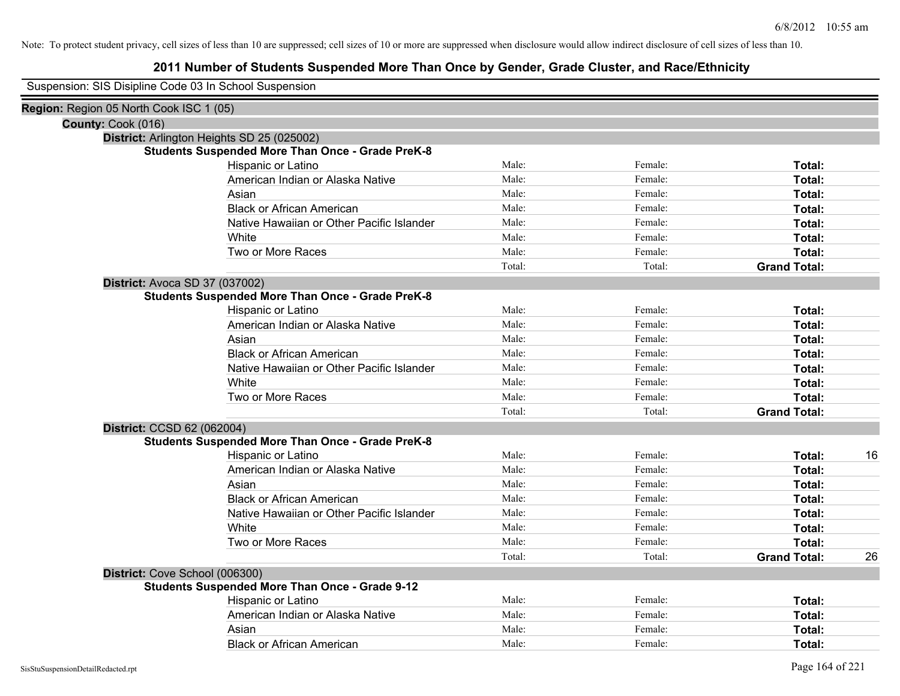| Suspension: SIS Disipline Code 03 In School Suspension |
|--------------------------------------------------------|
|--------------------------------------------------------|

| Region: Region 05 North Cook ISC 1 (05) |                                                         |        |         |                     |    |
|-----------------------------------------|---------------------------------------------------------|--------|---------|---------------------|----|
| County: Cook (016)                      |                                                         |        |         |                     |    |
|                                         | District: Arlington Heights SD 25 (025002)              |        |         |                     |    |
|                                         | <b>Students Suspended More Than Once - Grade PreK-8</b> |        |         |                     |    |
|                                         | Hispanic or Latino                                      | Male:  | Female: | Total:              |    |
|                                         | American Indian or Alaska Native                        | Male:  | Female: | Total:              |    |
|                                         | Asian                                                   | Male:  | Female: | Total:              |    |
|                                         | <b>Black or African American</b>                        | Male:  | Female: | Total:              |    |
|                                         | Native Hawaiian or Other Pacific Islander               | Male:  | Female: | Total:              |    |
|                                         | White                                                   | Male:  | Female: | Total:              |    |
|                                         | Two or More Races                                       | Male:  | Female: | Total:              |    |
|                                         |                                                         | Total: | Total:  | <b>Grand Total:</b> |    |
| District: Avoca SD 37 (037002)          |                                                         |        |         |                     |    |
|                                         | <b>Students Suspended More Than Once - Grade PreK-8</b> |        |         |                     |    |
|                                         | Hispanic or Latino                                      | Male:  | Female: | Total:              |    |
|                                         | American Indian or Alaska Native                        | Male:  | Female: | Total:              |    |
|                                         | Asian                                                   | Male:  | Female: | Total:              |    |
|                                         | <b>Black or African American</b>                        | Male:  | Female: | Total:              |    |
|                                         | Native Hawaiian or Other Pacific Islander               | Male:  | Female: | Total:              |    |
|                                         | White                                                   | Male:  | Female: | Total:              |    |
|                                         | Two or More Races                                       | Male:  | Female: | Total:              |    |
|                                         |                                                         | Total: | Total:  | <b>Grand Total:</b> |    |
| District: CCSD 62 (062004)              |                                                         |        |         |                     |    |
|                                         | <b>Students Suspended More Than Once - Grade PreK-8</b> |        |         |                     |    |
|                                         | Hispanic or Latino                                      | Male:  | Female: | Total:              | 16 |
|                                         | American Indian or Alaska Native                        | Male:  | Female: | Total:              |    |
|                                         | Asian                                                   | Male:  | Female: | Total:              |    |
|                                         | <b>Black or African American</b>                        | Male:  | Female: | Total:              |    |
|                                         | Native Hawaiian or Other Pacific Islander               | Male:  | Female: | Total:              |    |
|                                         | White                                                   | Male:  | Female: | Total:              |    |
|                                         | Two or More Races                                       | Male:  | Female: | Total:              |    |
|                                         |                                                         | Total: | Total:  | <b>Grand Total:</b> | 26 |
| District: Cove School (006300)          |                                                         |        |         |                     |    |
|                                         | <b>Students Suspended More Than Once - Grade 9-12</b>   |        |         |                     |    |
|                                         | Hispanic or Latino                                      | Male:  | Female: | Total:              |    |
|                                         | American Indian or Alaska Native                        | Male:  | Female: | Total:              |    |
|                                         | Asian                                                   | Male:  | Female: | Total:              |    |
|                                         | <b>Black or African American</b>                        | Male:  | Female: | Total:              |    |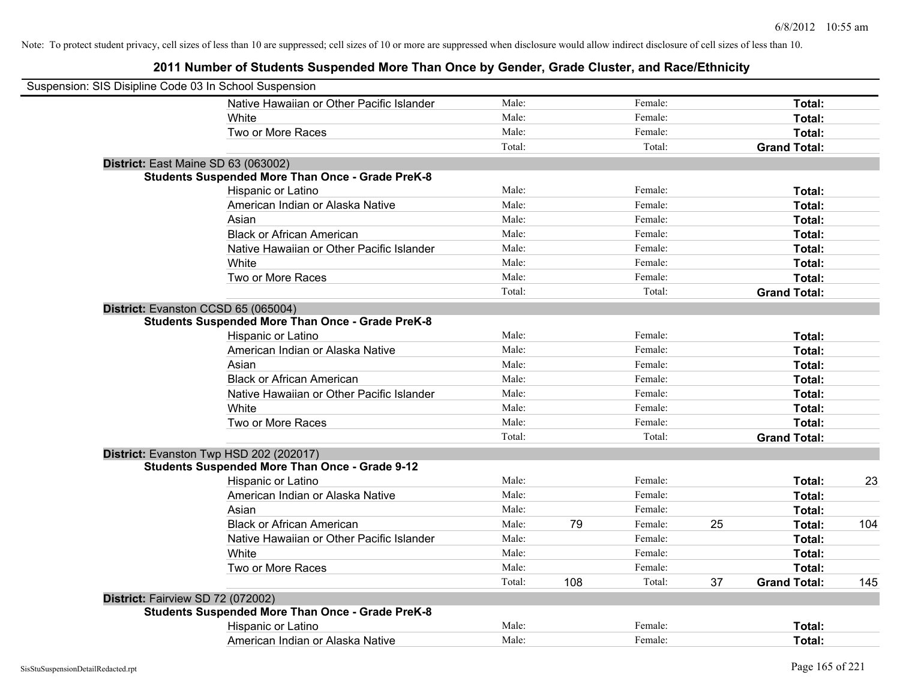| Suspension: SIS Disipline Code 03 In School Suspension |                                                         |        |     |         |    |                     |     |
|--------------------------------------------------------|---------------------------------------------------------|--------|-----|---------|----|---------------------|-----|
|                                                        | Native Hawaiian or Other Pacific Islander               | Male:  |     | Female: |    | Total:              |     |
|                                                        | White                                                   | Male:  |     | Female: |    | Total:              |     |
|                                                        | Two or More Races                                       | Male:  |     | Female: |    | Total:              |     |
|                                                        |                                                         | Total: |     | Total:  |    | <b>Grand Total:</b> |     |
|                                                        | District: East Maine SD 63 (063002)                     |        |     |         |    |                     |     |
|                                                        | <b>Students Suspended More Than Once - Grade PreK-8</b> |        |     |         |    |                     |     |
|                                                        | Hispanic or Latino                                      | Male:  |     | Female: |    | Total:              |     |
|                                                        | American Indian or Alaska Native                        | Male:  |     | Female: |    | Total:              |     |
|                                                        | Asian                                                   | Male:  |     | Female: |    | Total:              |     |
|                                                        | <b>Black or African American</b>                        | Male:  |     | Female: |    | Total:              |     |
|                                                        | Native Hawaiian or Other Pacific Islander               | Male:  |     | Female: |    | Total:              |     |
|                                                        | White                                                   | Male:  |     | Female: |    | Total:              |     |
|                                                        | Two or More Races                                       | Male:  |     | Female: |    | Total:              |     |
|                                                        |                                                         | Total: |     | Total:  |    | <b>Grand Total:</b> |     |
|                                                        | District: Evanston CCSD 65 (065004)                     |        |     |         |    |                     |     |
|                                                        | <b>Students Suspended More Than Once - Grade PreK-8</b> |        |     |         |    |                     |     |
|                                                        | Hispanic or Latino                                      | Male:  |     | Female: |    | Total:              |     |
|                                                        | American Indian or Alaska Native                        | Male:  |     | Female: |    | Total:              |     |
|                                                        | Asian                                                   | Male:  |     | Female: |    | Total:              |     |
|                                                        | <b>Black or African American</b>                        | Male:  |     | Female: |    | Total:              |     |
|                                                        | Native Hawaiian or Other Pacific Islander               | Male:  |     | Female: |    | Total:              |     |
|                                                        | White                                                   | Male:  |     | Female: |    | Total:              |     |
|                                                        | Two or More Races                                       | Male:  |     | Female: |    | Total:              |     |
|                                                        |                                                         | Total: |     | Total:  |    | <b>Grand Total:</b> |     |
|                                                        | District: Evanston Twp HSD 202 (202017)                 |        |     |         |    |                     |     |
|                                                        | <b>Students Suspended More Than Once - Grade 9-12</b>   |        |     |         |    |                     |     |
|                                                        | Hispanic or Latino                                      | Male:  |     | Female: |    | Total:              | 23  |
|                                                        | American Indian or Alaska Native                        | Male:  |     | Female: |    | Total:              |     |
|                                                        | Asian                                                   | Male:  |     | Female: |    | Total:              |     |
|                                                        | <b>Black or African American</b>                        | Male:  | 79  | Female: | 25 | Total:              | 104 |
|                                                        | Native Hawaiian or Other Pacific Islander               | Male:  |     | Female: |    | Total:              |     |
|                                                        | White                                                   | Male:  |     | Female: |    | Total:              |     |
|                                                        | Two or More Races                                       | Male:  |     | Female: |    | Total:              |     |
|                                                        |                                                         | Total: | 108 | Total:  | 37 | <b>Grand Total:</b> | 145 |
|                                                        | District: Fairview SD 72 (072002)                       |        |     |         |    |                     |     |
|                                                        | <b>Students Suspended More Than Once - Grade PreK-8</b> |        |     |         |    |                     |     |
|                                                        | Hispanic or Latino                                      | Male:  |     | Female: |    | Total:              |     |
|                                                        | American Indian or Alaska Native                        | Male:  |     | Female: |    | Total:              |     |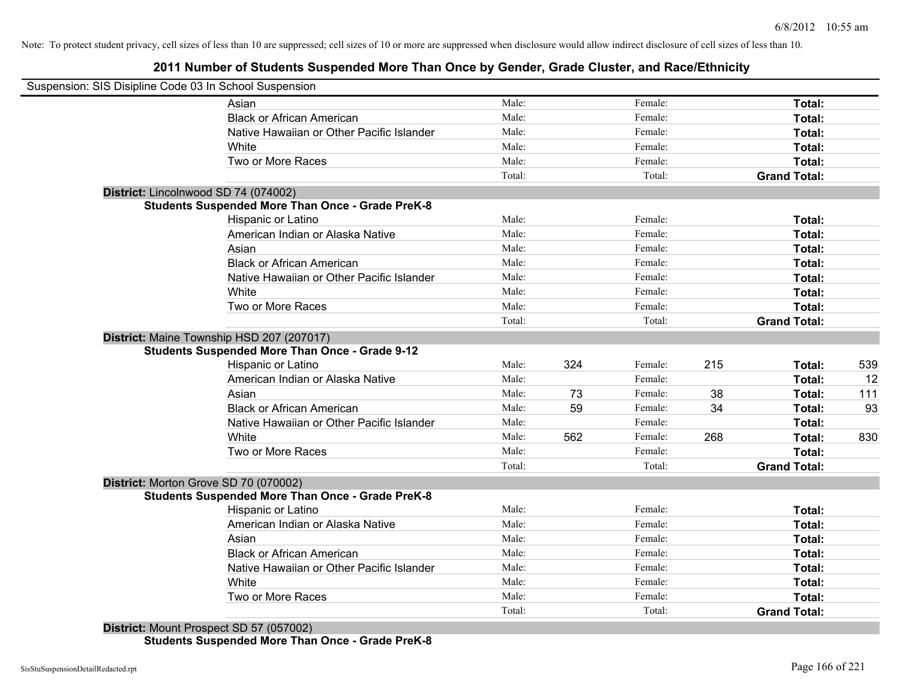# **2011 Number of Students Suspended More Than Once by Gender, Grade Cluster, and Race/Ethnicity**

| Suspension: SIS Disipline Code 03 In School Suspension                                             |        |     |         |     |                     |     |
|----------------------------------------------------------------------------------------------------|--------|-----|---------|-----|---------------------|-----|
| Asian                                                                                              | Male:  |     | Female: |     | Total:              |     |
| <b>Black or African American</b>                                                                   | Male:  |     | Female: |     | Total:              |     |
| Native Hawaiian or Other Pacific Islander                                                          | Male:  |     | Female: |     | Total:              |     |
| White                                                                                              | Male:  |     | Female: |     | Total:              |     |
| Two or More Races                                                                                  | Male:  |     | Female: |     | Total:              |     |
|                                                                                                    | Total: |     | Total:  |     | <b>Grand Total:</b> |     |
| District: Lincolnwood SD 74 (074002)                                                               |        |     |         |     |                     |     |
| <b>Students Suspended More Than Once - Grade PreK-8</b>                                            |        |     |         |     |                     |     |
| Hispanic or Latino                                                                                 | Male:  |     | Female: |     | Total:              |     |
| American Indian or Alaska Native                                                                   | Male:  |     | Female: |     | Total:              |     |
| Asian                                                                                              | Male:  |     | Female: |     | Total:              |     |
| <b>Black or African American</b>                                                                   | Male:  |     | Female: |     | Total:              |     |
| Native Hawaiian or Other Pacific Islander                                                          | Male:  |     | Female: |     | Total:              |     |
| White                                                                                              | Male:  |     | Female: |     | Total:              |     |
| Two or More Races                                                                                  | Male:  |     | Female: |     | Total:              |     |
|                                                                                                    | Total: |     | Total:  |     | <b>Grand Total:</b> |     |
| District: Maine Township HSD 207 (207017)<br><b>Students Suspended More Than Once - Grade 9-12</b> |        |     | Female: |     |                     |     |
| Hispanic or Latino                                                                                 | Male:  | 324 | Female: | 215 | Total:              | 539 |
| American Indian or Alaska Native                                                                   | Male:  |     |         |     | Total:              | 12  |
| Asian                                                                                              | Male:  | 73  | Female: | 38  | Total:              | 111 |
| <b>Black or African American</b>                                                                   | Male:  | 59  | Female: | 34  | Total:              | 93  |
| Native Hawaiian or Other Pacific Islander                                                          | Male:  |     | Female: |     | Total:              |     |
| White                                                                                              | Male:  | 562 | Female: | 268 | Total:              | 830 |
| Two or More Races                                                                                  | Male:  |     | Female: |     | Total:              |     |
|                                                                                                    | Total: |     | Total:  |     | <b>Grand Total:</b> |     |
| District: Morton Grove SD 70 (070002)                                                              |        |     |         |     |                     |     |
| <b>Students Suspended More Than Once - Grade PreK-8</b>                                            |        |     |         |     |                     |     |
| Hispanic or Latino                                                                                 | Male:  |     | Female: |     | Total:              |     |
| American Indian or Alaska Native                                                                   | Male:  |     | Female: |     | Total:              |     |
| Asian                                                                                              | Male:  |     | Female: |     | Total:              |     |
| <b>Black or African American</b>                                                                   | Male:  |     | Female: |     | Total:              |     |
| Native Hawaiian or Other Pacific Islander                                                          | Male:  |     | Female: |     | Total:              |     |
| White                                                                                              | Male:  |     | Female: |     | Total:              |     |
| Two or More Races                                                                                  | Male:  |     | Female: |     | Total:              |     |
|                                                                                                    | Total: |     | Total:  |     | <b>Grand Total:</b> |     |

**Students Suspended More Than Once - Grade PreK-8**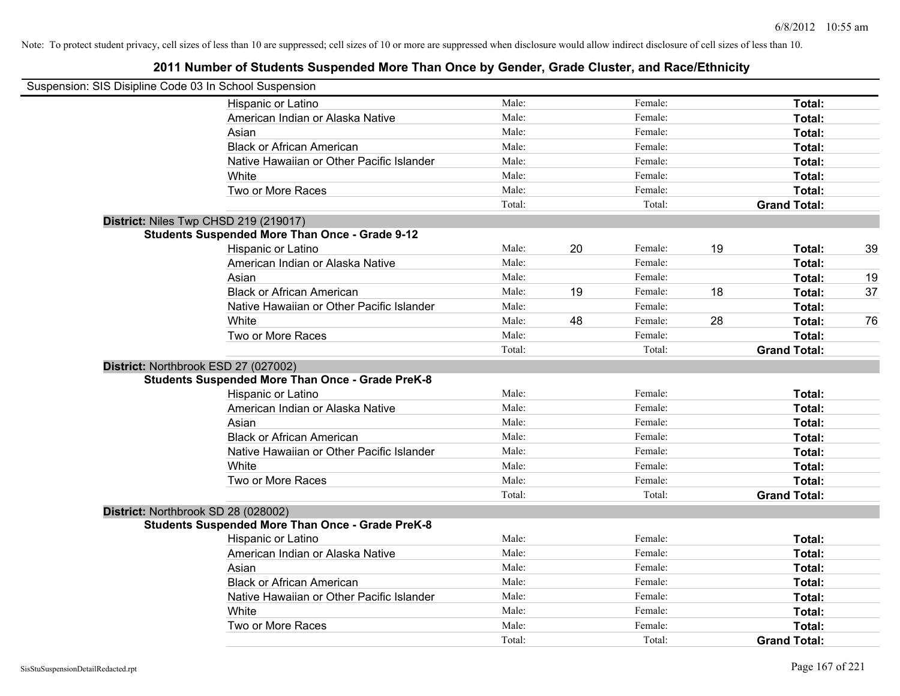| Suspension: SIS Disipline Code 03 In School Suspension |                                                         |        |    |         |    |                     |    |
|--------------------------------------------------------|---------------------------------------------------------|--------|----|---------|----|---------------------|----|
|                                                        | Hispanic or Latino                                      | Male:  |    | Female: |    | Total:              |    |
|                                                        | American Indian or Alaska Native                        | Male:  |    | Female: |    | Total:              |    |
|                                                        | Asian                                                   | Male:  |    | Female: |    | Total:              |    |
|                                                        | <b>Black or African American</b>                        | Male:  |    | Female: |    | Total:              |    |
|                                                        | Native Hawaiian or Other Pacific Islander               | Male:  |    | Female: |    | Total:              |    |
|                                                        | White                                                   | Male:  |    | Female: |    | Total:              |    |
|                                                        | Two or More Races                                       | Male:  |    | Female: |    | Total:              |    |
|                                                        |                                                         | Total: |    | Total:  |    | <b>Grand Total:</b> |    |
|                                                        | District: Niles Twp CHSD 219 (219017)                   |        |    |         |    |                     |    |
|                                                        | <b>Students Suspended More Than Once - Grade 9-12</b>   |        |    |         |    |                     |    |
|                                                        | Hispanic or Latino                                      | Male:  | 20 | Female: | 19 | Total:              | 39 |
|                                                        | American Indian or Alaska Native                        | Male:  |    | Female: |    | Total:              |    |
|                                                        | Asian                                                   | Male:  |    | Female: |    | Total:              | 19 |
|                                                        | <b>Black or African American</b>                        | Male:  | 19 | Female: | 18 | Total:              | 37 |
|                                                        | Native Hawaiian or Other Pacific Islander               | Male:  |    | Female: |    | Total:              |    |
|                                                        | White                                                   | Male:  | 48 | Female: | 28 | Total:              | 76 |
|                                                        | Two or More Races                                       | Male:  |    | Female: |    | Total:              |    |
|                                                        |                                                         | Total: |    | Total:  |    | <b>Grand Total:</b> |    |
|                                                        | District: Northbrook ESD 27 (027002)                    |        |    |         |    |                     |    |
|                                                        | <b>Students Suspended More Than Once - Grade PreK-8</b> |        |    |         |    |                     |    |
|                                                        | Hispanic or Latino                                      | Male:  |    | Female: |    | Total:              |    |
|                                                        | American Indian or Alaska Native                        | Male:  |    | Female: |    | Total:              |    |
|                                                        | Asian                                                   | Male:  |    | Female: |    | Total:              |    |
|                                                        | <b>Black or African American</b>                        | Male:  |    | Female: |    | Total:              |    |
|                                                        | Native Hawaiian or Other Pacific Islander               | Male:  |    | Female: |    | Total:              |    |
|                                                        | White                                                   | Male:  |    | Female: |    | Total:              |    |
|                                                        | Two or More Races                                       | Male:  |    | Female: |    | Total:              |    |
|                                                        |                                                         | Total: |    | Total:  |    | <b>Grand Total:</b> |    |
|                                                        | District: Northbrook SD 28 (028002)                     |        |    |         |    |                     |    |
|                                                        | <b>Students Suspended More Than Once - Grade PreK-8</b> |        |    |         |    |                     |    |
|                                                        | Hispanic or Latino                                      | Male:  |    | Female: |    | Total:              |    |
|                                                        | American Indian or Alaska Native                        | Male:  |    | Female: |    | Total:              |    |
|                                                        | Asian                                                   | Male:  |    | Female: |    | Total:              |    |
|                                                        | <b>Black or African American</b>                        | Male:  |    | Female: |    | Total:              |    |
|                                                        | Native Hawaiian or Other Pacific Islander               | Male:  |    | Female: |    | Total:              |    |
|                                                        | White                                                   | Male:  |    | Female: |    | Total:              |    |
|                                                        | Two or More Races                                       | Male:  |    | Female: |    | Total:              |    |
|                                                        |                                                         | Total: |    | Total:  |    | <b>Grand Total:</b> |    |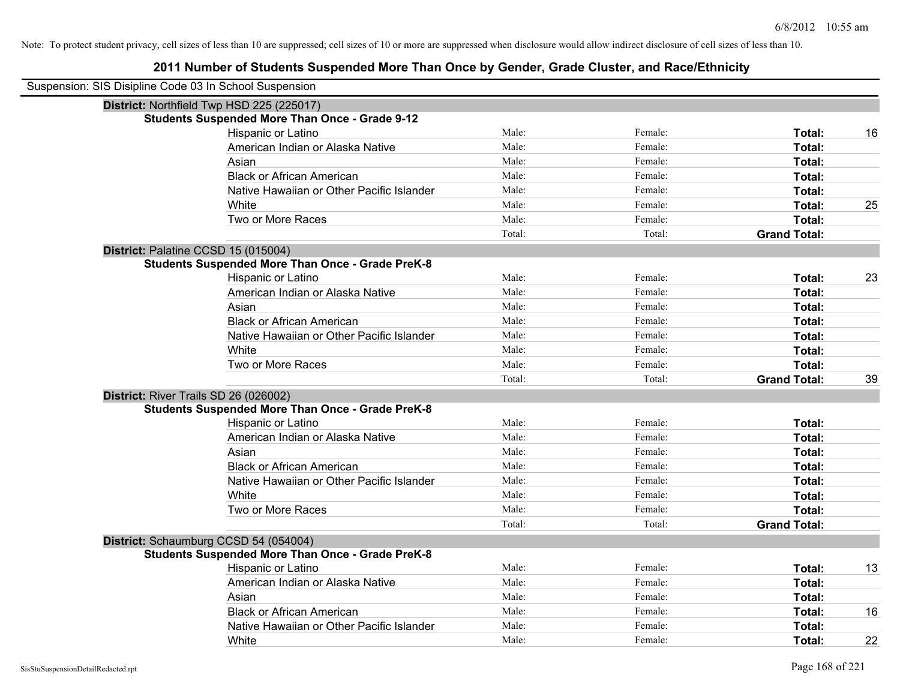| Suspension: SIS Disipline Code 03 In School Suspension |                                                         |        |         |                     |    |
|--------------------------------------------------------|---------------------------------------------------------|--------|---------|---------------------|----|
|                                                        | District: Northfield Twp HSD 225 (225017)               |        |         |                     |    |
|                                                        | <b>Students Suspended More Than Once - Grade 9-12</b>   |        |         |                     |    |
|                                                        | Hispanic or Latino                                      | Male:  | Female: | Total:              | 16 |
|                                                        | American Indian or Alaska Native                        | Male:  | Female: | Total:              |    |
|                                                        | Asian                                                   | Male:  | Female: | Total:              |    |
|                                                        | <b>Black or African American</b>                        | Male:  | Female: | Total:              |    |
|                                                        | Native Hawaiian or Other Pacific Islander               | Male:  | Female: | Total:              |    |
|                                                        | White                                                   | Male:  | Female: | Total:              | 25 |
|                                                        | Two or More Races                                       | Male:  | Female: | Total:              |    |
|                                                        |                                                         | Total: | Total:  | <b>Grand Total:</b> |    |
|                                                        | District: Palatine CCSD 15 (015004)                     |        |         |                     |    |
|                                                        | <b>Students Suspended More Than Once - Grade PreK-8</b> |        |         |                     |    |
|                                                        | Hispanic or Latino                                      | Male:  | Female: | Total:              | 23 |
|                                                        | American Indian or Alaska Native                        | Male:  | Female: | Total:              |    |
|                                                        | Asian                                                   | Male:  | Female: | Total:              |    |
|                                                        | <b>Black or African American</b>                        | Male:  | Female: | Total:              |    |
|                                                        | Native Hawaiian or Other Pacific Islander               | Male:  | Female: | Total:              |    |
|                                                        | White                                                   | Male:  | Female: | Total:              |    |
|                                                        | Two or More Races                                       | Male:  | Female: | Total:              |    |
|                                                        |                                                         | Total: | Total:  | <b>Grand Total:</b> | 39 |
|                                                        | District: River Trails SD 26 (026002)                   |        |         |                     |    |
|                                                        | <b>Students Suspended More Than Once - Grade PreK-8</b> |        |         |                     |    |
|                                                        | Hispanic or Latino                                      | Male:  | Female: | Total:              |    |
|                                                        | American Indian or Alaska Native                        | Male:  | Female: | Total:              |    |
|                                                        | Asian                                                   | Male:  | Female: | Total:              |    |
|                                                        | <b>Black or African American</b>                        | Male:  | Female: | Total:              |    |
|                                                        | Native Hawaiian or Other Pacific Islander               | Male:  | Female: | Total:              |    |
|                                                        | White                                                   | Male:  | Female: | Total:              |    |
|                                                        | Two or More Races                                       | Male:  | Female: | Total:              |    |
|                                                        |                                                         | Total: | Total:  | <b>Grand Total:</b> |    |
|                                                        | District: Schaumburg CCSD 54 (054004)                   |        |         |                     |    |
|                                                        | <b>Students Suspended More Than Once - Grade PreK-8</b> |        |         |                     |    |
|                                                        | Hispanic or Latino                                      | Male:  | Female: | Total:              | 13 |
|                                                        | American Indian or Alaska Native                        | Male:  | Female: | Total:              |    |
|                                                        | Asian                                                   | Male:  | Female: | Total:              |    |
|                                                        | <b>Black or African American</b>                        | Male:  | Female: | Total:              | 16 |
|                                                        | Native Hawaiian or Other Pacific Islander               | Male:  | Female: | Total:              |    |
|                                                        | White                                                   | Male:  | Female: | Total:              | 22 |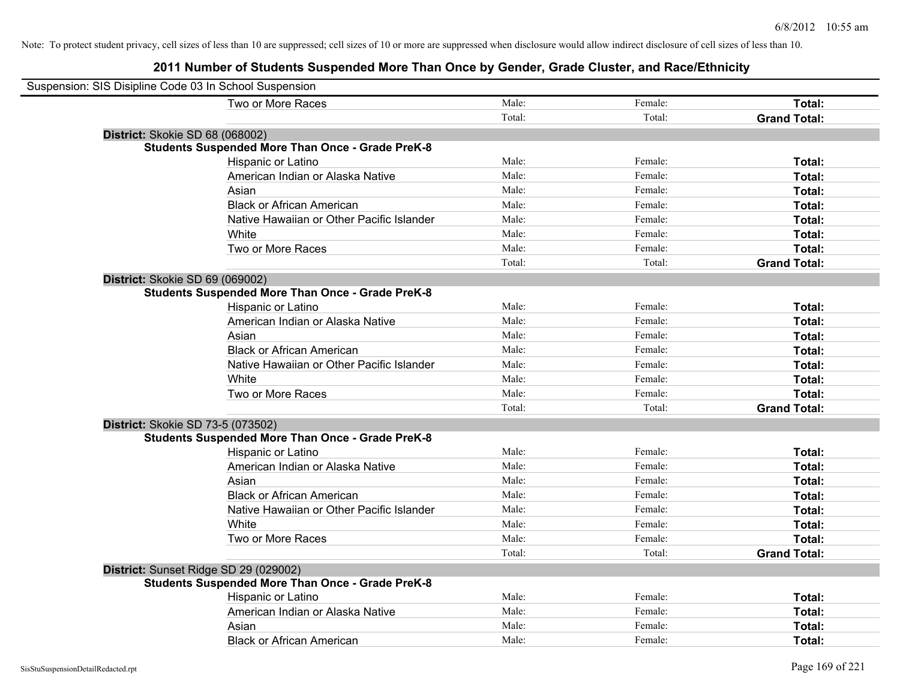| Suspension: SIS Disipline Code 03 In School Suspension  |        |         |                     |
|---------------------------------------------------------|--------|---------|---------------------|
| Two or More Races                                       | Male:  | Female: | Total:              |
|                                                         | Total: | Total:  | <b>Grand Total:</b> |
| District: Skokie SD 68 (068002)                         |        |         |                     |
| <b>Students Suspended More Than Once - Grade PreK-8</b> |        |         |                     |
| Hispanic or Latino                                      | Male:  | Female: | Total:              |
| American Indian or Alaska Native                        | Male:  | Female: | Total:              |
| Asian                                                   | Male:  | Female: | Total:              |
| <b>Black or African American</b>                        | Male:  | Female: | Total:              |
| Native Hawaiian or Other Pacific Islander               | Male:  | Female: | Total:              |
| White                                                   | Male:  | Female: | Total:              |
| Two or More Races                                       | Male:  | Female: | Total:              |
|                                                         | Total: | Total:  | <b>Grand Total:</b> |
| District: Skokie SD 69 (069002)                         |        |         |                     |
| <b>Students Suspended More Than Once - Grade PreK-8</b> |        |         |                     |
| Hispanic or Latino                                      | Male:  | Female: | Total:              |
| American Indian or Alaska Native                        | Male:  | Female: | Total:              |
| Asian                                                   | Male:  | Female: | Total:              |
| <b>Black or African American</b>                        | Male:  | Female: | Total:              |
| Native Hawaiian or Other Pacific Islander               | Male:  | Female: | Total:              |
| White                                                   | Male:  | Female: | Total:              |
| Two or More Races                                       | Male:  | Female: | Total:              |
|                                                         | Total: | Total:  | <b>Grand Total:</b> |
| District: Skokie SD 73-5 (073502)                       |        |         |                     |
| <b>Students Suspended More Than Once - Grade PreK-8</b> |        |         |                     |
| <b>Hispanic or Latino</b>                               | Male:  | Female: | Total:              |
| American Indian or Alaska Native                        | Male:  | Female: | Total:              |
| Asian                                                   | Male:  | Female: | Total:              |
| <b>Black or African American</b>                        | Male:  | Female: | Total:              |
| Native Hawaiian or Other Pacific Islander               | Male:  | Female: | Total:              |
| White                                                   | Male:  | Female: | Total:              |
| Two or More Races                                       | Male:  | Female: | Total:              |
|                                                         | Total: | Total:  | <b>Grand Total:</b> |
| District: Sunset Ridge SD 29 (029002)                   |        |         |                     |
| <b>Students Suspended More Than Once - Grade PreK-8</b> |        |         |                     |
| Hispanic or Latino                                      | Male:  | Female: | Total:              |
| American Indian or Alaska Native                        | Male:  | Female: | Total:              |
| Asian                                                   | Male:  | Female: | Total:              |
| <b>Black or African American</b>                        | Male:  | Female: | Total:              |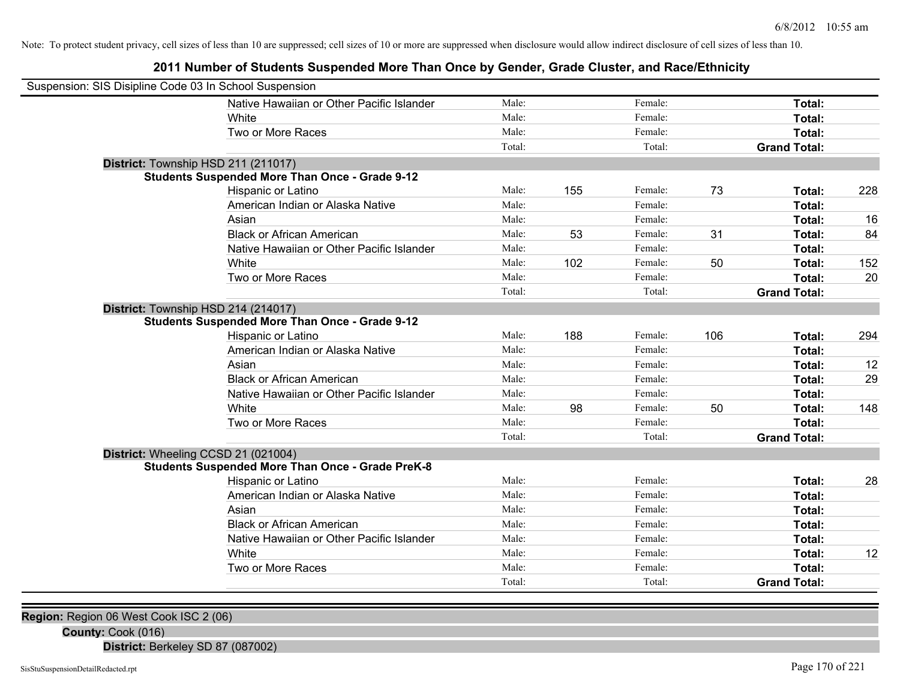**2011 Number of Students Suspended More Than Once by Gender, Grade Cluster, and Race/Ethnicity**

| Suspension: SIS Disipline Code 03 In School Suspension |                                                         |        |     |         |     |                     |     |
|--------------------------------------------------------|---------------------------------------------------------|--------|-----|---------|-----|---------------------|-----|
|                                                        | Native Hawaiian or Other Pacific Islander               | Male:  |     | Female: |     | Total:              |     |
|                                                        | White                                                   | Male:  |     | Female: |     | Total:              |     |
|                                                        | Two or More Races                                       | Male:  |     | Female: |     | Total:              |     |
|                                                        |                                                         | Total: |     | Total:  |     | <b>Grand Total:</b> |     |
| District: Township HSD 211 (211017)                    |                                                         |        |     |         |     |                     |     |
|                                                        | <b>Students Suspended More Than Once - Grade 9-12</b>   |        |     |         |     |                     |     |
|                                                        | Hispanic or Latino                                      | Male:  | 155 | Female: | 73  | Total:              | 228 |
|                                                        | American Indian or Alaska Native                        | Male:  |     | Female: |     | Total:              |     |
|                                                        | Asian                                                   | Male:  |     | Female: |     | Total:              | 16  |
|                                                        | <b>Black or African American</b>                        | Male:  | 53  | Female: | 31  | Total:              | 84  |
|                                                        | Native Hawaiian or Other Pacific Islander               | Male:  |     | Female: |     | Total:              |     |
|                                                        | White                                                   | Male:  | 102 | Female: | 50  | Total:              | 152 |
|                                                        | Two or More Races                                       | Male:  |     | Female: |     | Total:              | 20  |
|                                                        |                                                         | Total: |     | Total:  |     | <b>Grand Total:</b> |     |
| District: Township HSD 214 (214017)                    |                                                         |        |     |         |     |                     |     |
|                                                        | <b>Students Suspended More Than Once - Grade 9-12</b>   |        |     |         |     |                     |     |
|                                                        | Hispanic or Latino                                      | Male:  | 188 | Female: | 106 | Total:              | 294 |
|                                                        | American Indian or Alaska Native                        | Male:  |     | Female: |     | <b>Total:</b>       |     |
|                                                        | Asian                                                   | Male:  |     | Female: |     | Total:              | 12  |
|                                                        | <b>Black or African American</b>                        | Male:  |     | Female: |     | Total:              | 29  |
|                                                        | Native Hawaiian or Other Pacific Islander               | Male:  |     | Female: |     | Total:              |     |
|                                                        | White                                                   | Male:  | 98  | Female: | 50  | Total:              | 148 |
|                                                        | Two or More Races                                       | Male:  |     | Female: |     | Total:              |     |
|                                                        |                                                         | Total: |     | Total:  |     | <b>Grand Total:</b> |     |
| District: Wheeling CCSD 21 (021004)                    |                                                         |        |     |         |     |                     |     |
|                                                        | <b>Students Suspended More Than Once - Grade PreK-8</b> |        |     |         |     |                     |     |
|                                                        | Hispanic or Latino                                      | Male:  |     | Female: |     | Total:              | 28  |
|                                                        | American Indian or Alaska Native                        | Male:  |     | Female: |     | Total:              |     |
|                                                        | Asian                                                   | Male:  |     | Female: |     | Total:              |     |
|                                                        | <b>Black or African American</b>                        | Male:  |     | Female: |     | Total:              |     |
|                                                        | Native Hawaiian or Other Pacific Islander               | Male:  |     | Female: |     | Total:              |     |
|                                                        | White                                                   | Male:  |     | Female: |     | Total:              | 12  |
|                                                        | Two or More Races                                       | Male:  |     | Female: |     | Total:              |     |
|                                                        |                                                         | Total: |     | Total:  |     | <b>Grand Total:</b> |     |

**Region:** Region 06 West Cook ISC 2 (06)

**County:** Cook (016)

**District:** Berkeley SD 87 (087002)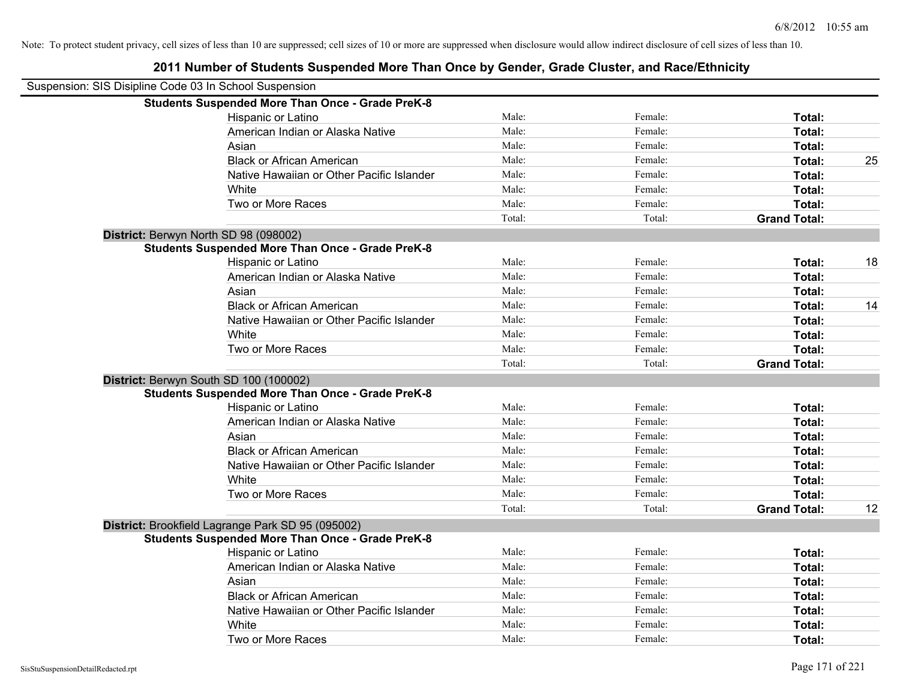| Suspension: SIS Disipline Code 03 In School Suspension |                                                         |        |         |                     |    |
|--------------------------------------------------------|---------------------------------------------------------|--------|---------|---------------------|----|
|                                                        | <b>Students Suspended More Than Once - Grade PreK-8</b> |        |         |                     |    |
|                                                        | <b>Hispanic or Latino</b>                               | Male:  | Female: | Total:              |    |
|                                                        | American Indian or Alaska Native                        | Male:  | Female: | Total:              |    |
|                                                        | Asian                                                   | Male:  | Female: | Total:              |    |
|                                                        | <b>Black or African American</b>                        | Male:  | Female: | Total:              | 25 |
|                                                        | Native Hawaiian or Other Pacific Islander               | Male:  | Female: | Total:              |    |
|                                                        | White                                                   | Male:  | Female: | Total:              |    |
|                                                        | Two or More Races                                       | Male:  | Female: | Total:              |    |
|                                                        |                                                         | Total: | Total:  | <b>Grand Total:</b> |    |
| District: Berwyn North SD 98 (098002)                  |                                                         |        |         |                     |    |
|                                                        | <b>Students Suspended More Than Once - Grade PreK-8</b> |        |         |                     |    |
|                                                        | Hispanic or Latino                                      | Male:  | Female: | Total:              | 18 |
|                                                        | American Indian or Alaska Native                        | Male:  | Female: | Total:              |    |
|                                                        | Asian                                                   | Male:  | Female: | Total:              |    |
|                                                        | <b>Black or African American</b>                        | Male:  | Female: | Total:              | 14 |
|                                                        | Native Hawaiian or Other Pacific Islander               | Male:  | Female: | Total:              |    |
|                                                        | White                                                   | Male:  | Female: | Total:              |    |
|                                                        | Two or More Races                                       | Male:  | Female: | Total:              |    |
|                                                        |                                                         | Total: | Total:  | <b>Grand Total:</b> |    |
|                                                        | District: Berwyn South SD 100 (100002)                  |        |         |                     |    |
|                                                        | <b>Students Suspended More Than Once - Grade PreK-8</b> |        |         |                     |    |
|                                                        | Hispanic or Latino                                      | Male:  | Female: | Total:              |    |
|                                                        | American Indian or Alaska Native                        | Male:  | Female: | Total:              |    |
|                                                        | Asian                                                   | Male:  | Female: | Total:              |    |
|                                                        | <b>Black or African American</b>                        | Male:  | Female: | <b>Total:</b>       |    |
|                                                        | Native Hawaiian or Other Pacific Islander               | Male:  | Female: | Total:              |    |
|                                                        | White                                                   | Male:  | Female: | Total:              |    |
|                                                        | Two or More Races                                       | Male:  | Female: | Total:              |    |
|                                                        |                                                         | Total: | Total:  | <b>Grand Total:</b> | 12 |
|                                                        | District: Brookfield Lagrange Park SD 95 (095002)       |        |         |                     |    |
|                                                        | <b>Students Suspended More Than Once - Grade PreK-8</b> |        |         |                     |    |
|                                                        | Hispanic or Latino                                      | Male:  | Female: | Total:              |    |
|                                                        | American Indian or Alaska Native                        | Male:  | Female: | Total:              |    |
|                                                        | Asian                                                   | Male:  | Female: | Total:              |    |
|                                                        | <b>Black or African American</b>                        | Male:  | Female: | Total:              |    |
|                                                        | Native Hawaiian or Other Pacific Islander               | Male:  | Female: | Total:              |    |
|                                                        | White                                                   | Male:  | Female: | Total:              |    |
|                                                        | Two or More Races                                       | Male:  | Female: | Total:              |    |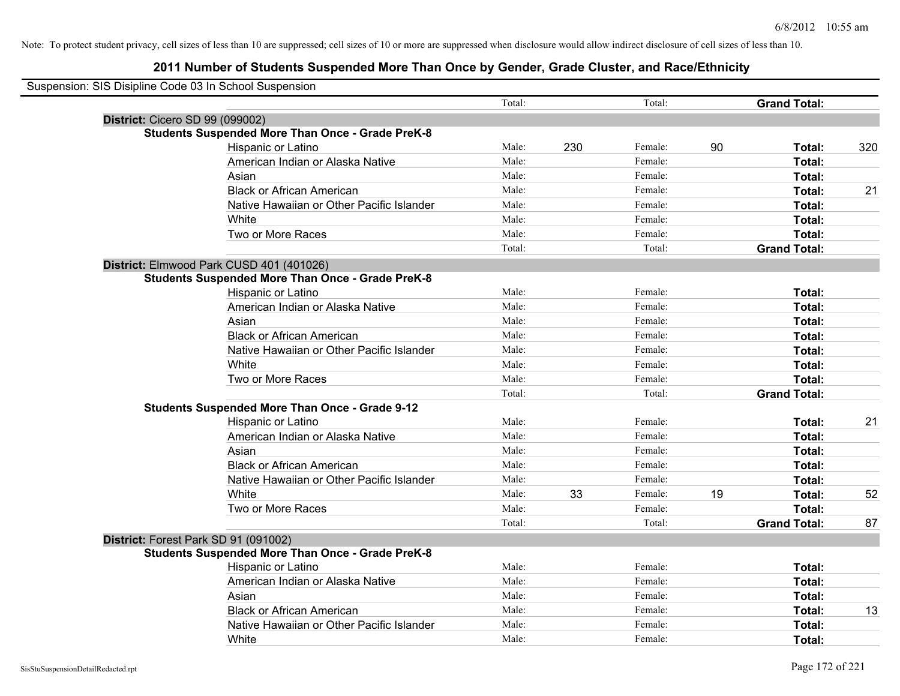| Suspension: SIS Disipline Code 03 In School Suspension |                                                         |        |     |         |    |                     |     |
|--------------------------------------------------------|---------------------------------------------------------|--------|-----|---------|----|---------------------|-----|
|                                                        |                                                         | Total: |     | Total:  |    | <b>Grand Total:</b> |     |
| District: Cicero SD 99 (099002)                        |                                                         |        |     |         |    |                     |     |
|                                                        | <b>Students Suspended More Than Once - Grade PreK-8</b> |        |     |         |    |                     |     |
|                                                        | Hispanic or Latino                                      | Male:  | 230 | Female: | 90 | Total:              | 320 |
|                                                        | American Indian or Alaska Native                        | Male:  |     | Female: |    | Total:              |     |
|                                                        | Asian                                                   | Male:  |     | Female: |    | Total:              |     |
|                                                        | <b>Black or African American</b>                        | Male:  |     | Female: |    | Total:              | 21  |
|                                                        | Native Hawaiian or Other Pacific Islander               | Male:  |     | Female: |    | Total:              |     |
|                                                        | White                                                   | Male:  |     | Female: |    | Total:              |     |
|                                                        | Two or More Races                                       | Male:  |     | Female: |    | Total:              |     |
|                                                        |                                                         | Total: |     | Total:  |    | <b>Grand Total:</b> |     |
| District: Elmwood Park CUSD 401 (401026)               |                                                         |        |     |         |    |                     |     |
|                                                        | <b>Students Suspended More Than Once - Grade PreK-8</b> |        |     |         |    |                     |     |
|                                                        | Hispanic or Latino                                      | Male:  |     | Female: |    | Total:              |     |
|                                                        | American Indian or Alaska Native                        | Male:  |     | Female: |    | Total:              |     |
|                                                        | Asian                                                   | Male:  |     | Female: |    | Total:              |     |
|                                                        | <b>Black or African American</b>                        | Male:  |     | Female: |    | Total:              |     |
|                                                        | Native Hawaiian or Other Pacific Islander               | Male:  |     | Female: |    | Total:              |     |
|                                                        | White                                                   | Male:  |     | Female: |    | Total:              |     |
|                                                        | Two or More Races                                       | Male:  |     | Female: |    | Total:              |     |
|                                                        |                                                         | Total: |     | Total:  |    | <b>Grand Total:</b> |     |
|                                                        | <b>Students Suspended More Than Once - Grade 9-12</b>   |        |     |         |    |                     |     |
|                                                        | Hispanic or Latino                                      | Male:  |     | Female: |    | Total:              | 21  |
|                                                        | American Indian or Alaska Native                        | Male:  |     | Female: |    | Total:              |     |
|                                                        | Asian                                                   | Male:  |     | Female: |    | <b>Total:</b>       |     |
|                                                        | <b>Black or African American</b>                        | Male:  |     | Female: |    | Total:              |     |
|                                                        | Native Hawaiian or Other Pacific Islander               | Male:  |     | Female: |    | Total:              |     |
|                                                        | White                                                   | Male:  | 33  | Female: | 19 | Total:              | 52  |
|                                                        | Two or More Races                                       | Male:  |     | Female: |    | Total:              |     |
|                                                        |                                                         | Total: |     | Total:  |    | <b>Grand Total:</b> | 87  |
| District: Forest Park SD 91 (091002)                   |                                                         |        |     |         |    |                     |     |
|                                                        | <b>Students Suspended More Than Once - Grade PreK-8</b> |        |     |         |    |                     |     |
|                                                        | Hispanic or Latino                                      | Male:  |     | Female: |    | Total:              |     |
|                                                        | American Indian or Alaska Native                        | Male:  |     | Female: |    | Total:              |     |
|                                                        | Asian                                                   | Male:  |     | Female: |    | Total:              |     |
|                                                        | <b>Black or African American</b>                        | Male:  |     | Female: |    | Total:              | 13  |
|                                                        | Native Hawaiian or Other Pacific Islander               | Male:  |     | Female: |    | Total:              |     |
|                                                        | White                                                   | Male:  |     | Female: |    | Total:              |     |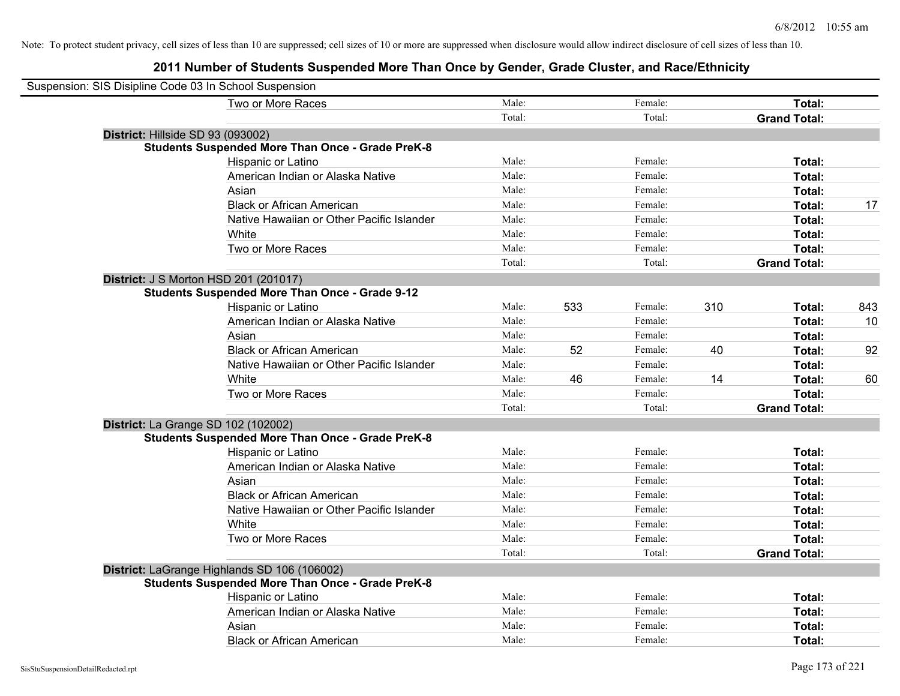| Suspension: SIS Disipline Code 03 In School Suspension  |        |     |         |     |                     |     |
|---------------------------------------------------------|--------|-----|---------|-----|---------------------|-----|
| Two or More Races                                       | Male:  |     | Female: |     | Total:              |     |
|                                                         | Total: |     | Total:  |     | <b>Grand Total:</b> |     |
| District: Hillside SD 93 (093002)                       |        |     |         |     |                     |     |
| <b>Students Suspended More Than Once - Grade PreK-8</b> |        |     |         |     |                     |     |
| Hispanic or Latino                                      | Male:  |     | Female: |     | Total:              |     |
| American Indian or Alaska Native                        | Male:  |     | Female: |     | Total:              |     |
| Asian                                                   | Male:  |     | Female: |     | Total:              |     |
| <b>Black or African American</b>                        | Male:  |     | Female: |     | Total:              | 17  |
| Native Hawaiian or Other Pacific Islander               | Male:  |     | Female: |     | Total:              |     |
| White                                                   | Male:  |     | Female: |     | Total:              |     |
| Two or More Races                                       | Male:  |     | Female: |     | Total:              |     |
|                                                         | Total: |     | Total:  |     | <b>Grand Total:</b> |     |
| <b>District: J S Morton HSD 201 (201017)</b>            |        |     |         |     |                     |     |
| <b>Students Suspended More Than Once - Grade 9-12</b>   |        |     |         |     |                     |     |
| Hispanic or Latino                                      | Male:  | 533 | Female: | 310 | Total:              | 843 |
| American Indian or Alaska Native                        | Male:  |     | Female: |     | Total:              | 10  |
| Asian                                                   | Male:  |     | Female: |     | Total:              |     |
| <b>Black or African American</b>                        | Male:  | 52  | Female: | 40  | Total:              | 92  |
| Native Hawaiian or Other Pacific Islander               | Male:  |     | Female: |     | Total:              |     |
| White                                                   | Male:  | 46  | Female: | 14  | Total:              | 60  |
| Two or More Races                                       | Male:  |     | Female: |     | Total:              |     |
|                                                         | Total: |     | Total:  |     | <b>Grand Total:</b> |     |
| District: La Grange SD 102 (102002)                     |        |     |         |     |                     |     |
| <b>Students Suspended More Than Once - Grade PreK-8</b> |        |     |         |     |                     |     |
| Hispanic or Latino                                      | Male:  |     | Female: |     | Total:              |     |
| American Indian or Alaska Native                        | Male:  |     | Female: |     | Total:              |     |
| Asian                                                   | Male:  |     | Female: |     | Total:              |     |
| <b>Black or African American</b>                        | Male:  |     | Female: |     | Total:              |     |
| Native Hawaiian or Other Pacific Islander               | Male:  |     | Female: |     | Total:              |     |
| White                                                   | Male:  |     | Female: |     | Total:              |     |
| Two or More Races                                       | Male:  |     | Female: |     | Total:              |     |
|                                                         | Total: |     | Total:  |     | <b>Grand Total:</b> |     |
| District: LaGrange Highlands SD 106 (106002)            |        |     |         |     |                     |     |
| <b>Students Suspended More Than Once - Grade PreK-8</b> |        |     |         |     |                     |     |
| Hispanic or Latino                                      | Male:  |     | Female: |     | Total:              |     |
| American Indian or Alaska Native                        | Male:  |     | Female: |     | Total:              |     |
| Asian                                                   | Male:  |     | Female: |     | Total:              |     |
| <b>Black or African American</b>                        | Male:  |     | Female: |     | Total:              |     |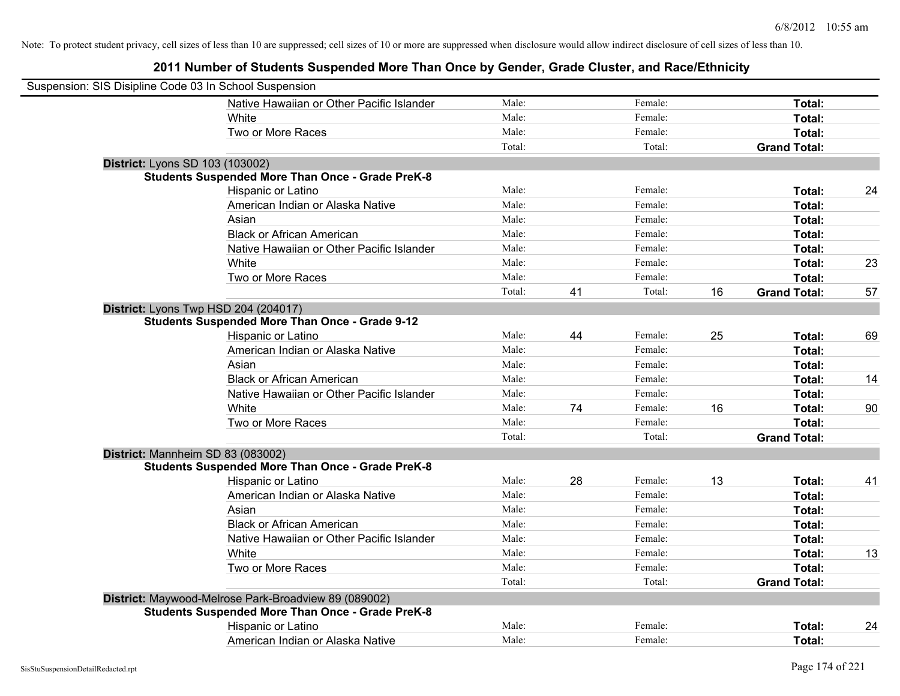| Suspension: SIS Disipline Code 03 In School Suspension |                                                         |        |    |         |    |                     |    |
|--------------------------------------------------------|---------------------------------------------------------|--------|----|---------|----|---------------------|----|
|                                                        | Native Hawaiian or Other Pacific Islander               | Male:  |    | Female: |    | Total:              |    |
|                                                        | White                                                   | Male:  |    | Female: |    | Total:              |    |
|                                                        | Two or More Races                                       | Male:  |    | Female: |    | Total:              |    |
|                                                        |                                                         | Total: |    | Total:  |    | <b>Grand Total:</b> |    |
| District: Lyons SD 103 (103002)                        |                                                         |        |    |         |    |                     |    |
|                                                        | <b>Students Suspended More Than Once - Grade PreK-8</b> |        |    |         |    |                     |    |
|                                                        | Hispanic or Latino                                      | Male:  |    | Female: |    | Total:              | 24 |
|                                                        | American Indian or Alaska Native                        | Male:  |    | Female: |    | Total:              |    |
|                                                        | Asian                                                   | Male:  |    | Female: |    | Total:              |    |
|                                                        | <b>Black or African American</b>                        | Male:  |    | Female: |    | Total:              |    |
|                                                        | Native Hawaiian or Other Pacific Islander               | Male:  |    | Female: |    | Total:              |    |
|                                                        | White                                                   | Male:  |    | Female: |    | Total:              | 23 |
|                                                        | Two or More Races                                       | Male:  |    | Female: |    | Total:              |    |
|                                                        |                                                         | Total: | 41 | Total:  | 16 | <b>Grand Total:</b> | 57 |
|                                                        | District: Lyons Twp HSD 204 (204017)                    |        |    |         |    |                     |    |
|                                                        | <b>Students Suspended More Than Once - Grade 9-12</b>   |        |    |         |    |                     |    |
|                                                        | Hispanic or Latino                                      | Male:  | 44 | Female: | 25 | Total:              | 69 |
|                                                        | American Indian or Alaska Native                        | Male:  |    | Female: |    | Total:              |    |
|                                                        | Asian                                                   | Male:  |    | Female: |    | Total:              |    |
|                                                        | <b>Black or African American</b>                        | Male:  |    | Female: |    | Total:              | 14 |
|                                                        | Native Hawaiian or Other Pacific Islander               | Male:  |    | Female: |    | Total:              |    |
|                                                        | White                                                   | Male:  | 74 | Female: | 16 | Total:              | 90 |
|                                                        | Two or More Races                                       | Male:  |    | Female: |    | Total:              |    |
|                                                        |                                                         | Total: |    | Total:  |    | <b>Grand Total:</b> |    |
|                                                        | District: Mannheim SD 83 (083002)                       |        |    |         |    |                     |    |
|                                                        | <b>Students Suspended More Than Once - Grade PreK-8</b> |        |    |         |    |                     |    |
|                                                        | Hispanic or Latino                                      | Male:  | 28 | Female: | 13 | Total:              | 41 |
|                                                        | American Indian or Alaska Native                        | Male:  |    | Female: |    | Total:              |    |
|                                                        | Asian                                                   | Male:  |    | Female: |    | Total:              |    |
|                                                        | <b>Black or African American</b>                        | Male:  |    | Female: |    | Total:              |    |
|                                                        | Native Hawaiian or Other Pacific Islander               | Male:  |    | Female: |    | Total:              |    |
|                                                        | White                                                   | Male:  |    | Female: |    | Total:              | 13 |
|                                                        | Two or More Races                                       | Male:  |    | Female: |    | Total:              |    |
|                                                        |                                                         | Total: |    | Total:  |    | <b>Grand Total:</b> |    |
|                                                        | District: Maywood-Melrose Park-Broadview 89 (089002)    |        |    |         |    |                     |    |
|                                                        | <b>Students Suspended More Than Once - Grade PreK-8</b> |        |    |         |    |                     |    |
|                                                        | Hispanic or Latino                                      | Male:  |    | Female: |    | Total:              | 24 |
|                                                        | American Indian or Alaska Native                        | Male:  |    | Female: |    | Total:              |    |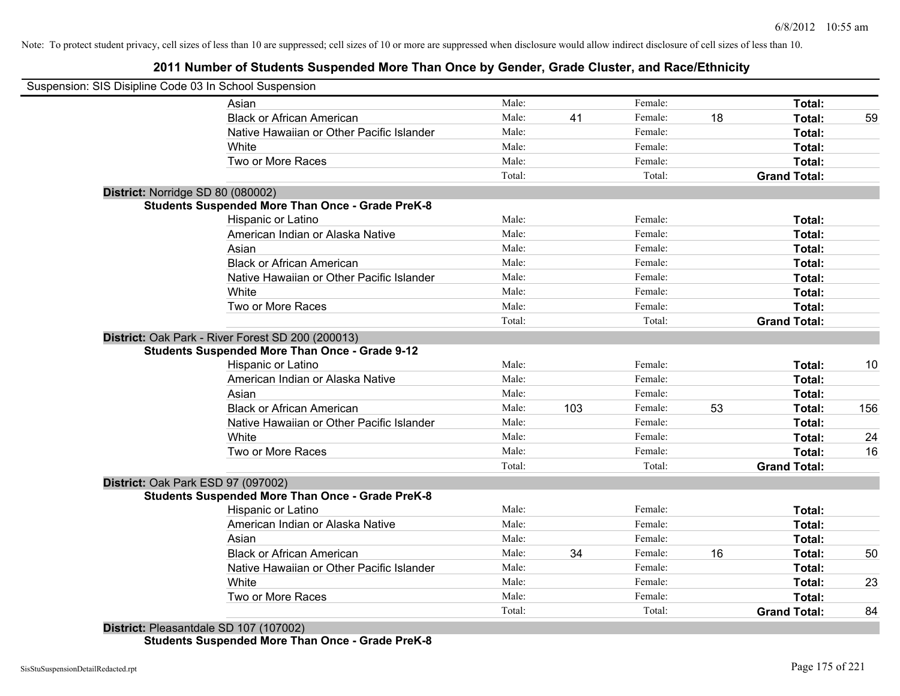**2011 Number of Students Suspended More Than Once by Gender, Grade Cluster, and Race/Ethnicity**

|                                    | Suspension: SIS Disipline Code 03 In School Suspension  |        |     |         |    |                     |     |
|------------------------------------|---------------------------------------------------------|--------|-----|---------|----|---------------------|-----|
|                                    | Asian                                                   | Male:  |     | Female: |    | Total:              |     |
|                                    | <b>Black or African American</b>                        | Male:  | 41  | Female: | 18 | Total:              | 59  |
|                                    | Native Hawaiian or Other Pacific Islander               | Male:  |     | Female: |    | Total:              |     |
|                                    | White                                                   | Male:  |     | Female: |    | Total:              |     |
|                                    | Two or More Races                                       | Male:  |     | Female: |    | Total:              |     |
|                                    |                                                         | Total: |     | Total:  |    | <b>Grand Total:</b> |     |
| District: Norridge SD 80 (080002)  |                                                         |        |     |         |    |                     |     |
|                                    | <b>Students Suspended More Than Once - Grade PreK-8</b> |        |     |         |    |                     |     |
|                                    | Hispanic or Latino                                      | Male:  |     | Female: |    | Total:              |     |
|                                    | American Indian or Alaska Native                        | Male:  |     | Female: |    | Total:              |     |
|                                    | Asian                                                   | Male:  |     | Female: |    | Total:              |     |
|                                    | <b>Black or African American</b>                        | Male:  |     | Female: |    | Total:              |     |
|                                    | Native Hawaiian or Other Pacific Islander               | Male:  |     | Female: |    | Total:              |     |
|                                    | White                                                   | Male:  |     | Female: |    | Total:              |     |
|                                    | Two or More Races                                       | Male:  |     | Female: |    | Total:              |     |
|                                    |                                                         | Total: |     | Total:  |    | <b>Grand Total:</b> |     |
|                                    | District: Oak Park - River Forest SD 200 (200013)       |        |     |         |    |                     |     |
|                                    | <b>Students Suspended More Than Once - Grade 9-12</b>   |        |     |         |    |                     |     |
|                                    | Hispanic or Latino                                      | Male:  |     | Female: |    | Total:              | 10  |
|                                    | American Indian or Alaska Native                        | Male:  |     | Female: |    | Total:              |     |
|                                    | Asian                                                   | Male:  |     | Female: |    | Total:              |     |
|                                    | <b>Black or African American</b>                        | Male:  | 103 | Female: | 53 | Total:              | 156 |
|                                    | Native Hawaiian or Other Pacific Islander               | Male:  |     | Female: |    | Total:              |     |
|                                    | White                                                   | Male:  |     | Female: |    | Total:              | 24  |
|                                    | Two or More Races                                       | Male:  |     | Female: |    | Total:              | 16  |
|                                    |                                                         | Total: |     | Total:  |    | <b>Grand Total:</b> |     |
| District: Oak Park ESD 97 (097002) |                                                         |        |     |         |    |                     |     |
|                                    | <b>Students Suspended More Than Once - Grade PreK-8</b> |        |     |         |    |                     |     |
|                                    | Hispanic or Latino                                      | Male:  |     | Female: |    | Total:              |     |
|                                    | American Indian or Alaska Native                        | Male:  |     | Female: |    | Total:              |     |
|                                    | Asian                                                   | Male:  |     | Female: |    | Total:              |     |
|                                    | <b>Black or African American</b>                        | Male:  | 34  | Female: | 16 | Total:              | 50  |
|                                    | Native Hawaiian or Other Pacific Islander               | Male:  |     | Female: |    | Total:              |     |
|                                    | White                                                   | Male:  |     | Female: |    | Total:              | 23  |
|                                    | Two or More Races                                       | Male:  |     | Female: |    | Total:              |     |
|                                    |                                                         | Total: |     | Total:  |    | <b>Grand Total:</b> | 84  |

**District:** Pleasantdale SD 107 (107002) **Students Suspended More Than Once - Grade PreK-8**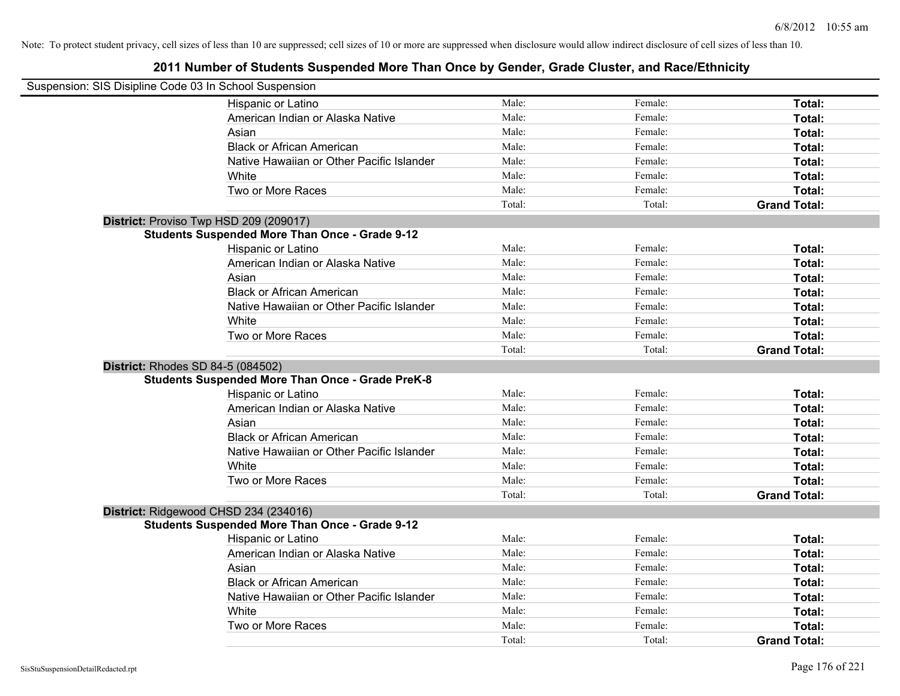| Suspension: SIS Disipline Code 03 In School Suspension |                                                         |        |         |                     |
|--------------------------------------------------------|---------------------------------------------------------|--------|---------|---------------------|
|                                                        | Hispanic or Latino                                      | Male:  | Female: | Total:              |
|                                                        | American Indian or Alaska Native                        | Male:  | Female: | Total:              |
|                                                        | Asian                                                   | Male:  | Female: | Total:              |
|                                                        | <b>Black or African American</b>                        | Male:  | Female: | Total:              |
|                                                        | Native Hawaiian or Other Pacific Islander               | Male:  | Female: | Total:              |
|                                                        | White                                                   | Male:  | Female: | Total:              |
|                                                        | Two or More Races                                       | Male:  | Female: | Total:              |
|                                                        |                                                         | Total: | Total:  | <b>Grand Total:</b> |
| District: Proviso Twp HSD 209 (209017)                 |                                                         |        |         |                     |
|                                                        | <b>Students Suspended More Than Once - Grade 9-12</b>   |        |         |                     |
|                                                        | Hispanic or Latino                                      | Male:  | Female: | Total:              |
|                                                        | American Indian or Alaska Native                        | Male:  | Female: | Total:              |
|                                                        | Asian                                                   | Male:  | Female: | Total:              |
|                                                        | <b>Black or African American</b>                        | Male:  | Female: | Total:              |
|                                                        | Native Hawaiian or Other Pacific Islander               | Male:  | Female: | Total:              |
|                                                        | White                                                   | Male:  | Female: | Total:              |
|                                                        | Two or More Races                                       | Male:  | Female: | Total:              |
|                                                        |                                                         | Total: | Total:  | <b>Grand Total:</b> |
| District: Rhodes SD 84-5 (084502)                      |                                                         |        |         |                     |
|                                                        | <b>Students Suspended More Than Once - Grade PreK-8</b> |        |         |                     |
|                                                        | Hispanic or Latino                                      | Male:  | Female: | Total:              |
|                                                        | American Indian or Alaska Native                        | Male:  | Female: | Total:              |
|                                                        | Asian                                                   | Male:  | Female: | Total:              |
|                                                        | <b>Black or African American</b>                        | Male:  | Female: | Total:              |
|                                                        | Native Hawaiian or Other Pacific Islander               | Male:  | Female: | Total:              |
|                                                        | White                                                   | Male:  | Female: | Total:              |
|                                                        | Two or More Races                                       | Male:  | Female: | Total:              |
|                                                        |                                                         | Total: | Total:  | <b>Grand Total:</b> |
| District: Ridgewood CHSD 234 (234016)                  |                                                         |        |         |                     |
|                                                        | <b>Students Suspended More Than Once - Grade 9-12</b>   |        |         |                     |
|                                                        | <b>Hispanic or Latino</b>                               | Male:  | Female: | Total:              |
|                                                        | American Indian or Alaska Native                        | Male:  | Female: | Total:              |
|                                                        | Asian                                                   | Male:  | Female: | Total:              |
|                                                        | <b>Black or African American</b>                        | Male:  | Female: | Total:              |
|                                                        | Native Hawaiian or Other Pacific Islander               | Male:  | Female: | Total:              |
|                                                        | White                                                   | Male:  | Female: | Total:              |
|                                                        | Two or More Races                                       | Male:  | Female: | <b>Total:</b>       |
|                                                        |                                                         | Total: | Total:  | <b>Grand Total:</b> |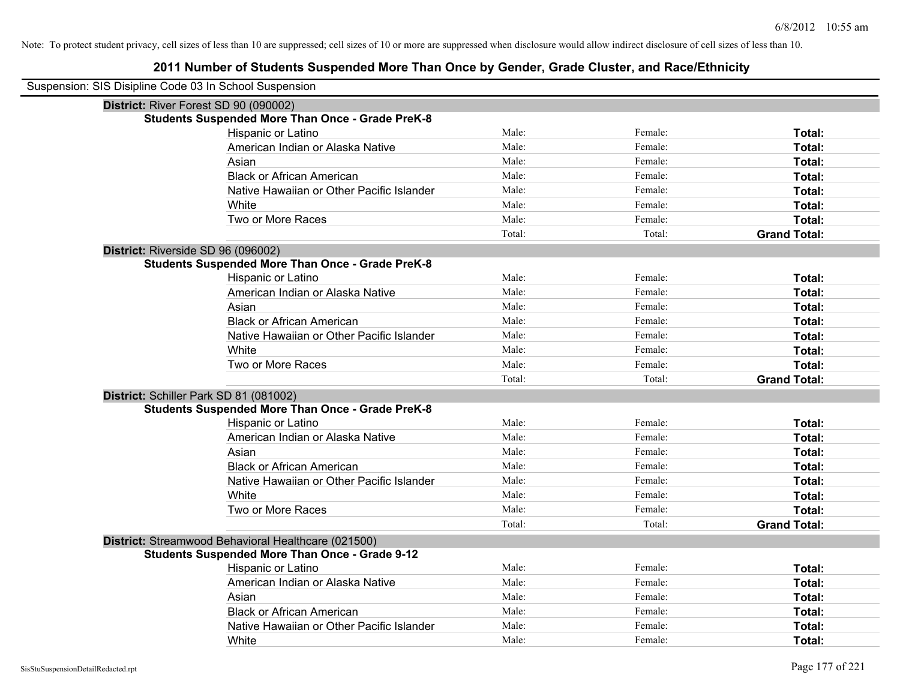| Suspension: SIS Disipline Code 03 In School Suspension |                                                         |        |         |                     |
|--------------------------------------------------------|---------------------------------------------------------|--------|---------|---------------------|
| District: River Forest SD 90 (090002)                  |                                                         |        |         |                     |
|                                                        | <b>Students Suspended More Than Once - Grade PreK-8</b> |        |         |                     |
|                                                        | Hispanic or Latino                                      | Male:  | Female: | Total:              |
|                                                        | American Indian or Alaska Native                        | Male:  | Female: | Total:              |
|                                                        | Asian                                                   | Male:  | Female: | Total:              |
|                                                        | <b>Black or African American</b>                        | Male:  | Female: | Total:              |
|                                                        | Native Hawaiian or Other Pacific Islander               | Male:  | Female: | Total:              |
|                                                        | White                                                   | Male:  | Female: | Total:              |
|                                                        | Two or More Races                                       | Male:  | Female: | Total:              |
|                                                        |                                                         | Total: | Total:  | <b>Grand Total:</b> |
| District: Riverside SD 96 (096002)                     |                                                         |        |         |                     |
|                                                        | <b>Students Suspended More Than Once - Grade PreK-8</b> |        |         |                     |
|                                                        | Hispanic or Latino                                      | Male:  | Female: | Total:              |
|                                                        | American Indian or Alaska Native                        | Male:  | Female: | Total:              |
|                                                        | Asian                                                   | Male:  | Female: | Total:              |
|                                                        | <b>Black or African American</b>                        | Male:  | Female: | Total:              |
|                                                        | Native Hawaiian or Other Pacific Islander               | Male:  | Female: | Total:              |
|                                                        | White                                                   | Male:  | Female: | Total:              |
|                                                        | Two or More Races                                       | Male:  | Female: | Total:              |
|                                                        |                                                         | Total: | Total:  | <b>Grand Total:</b> |
|                                                        | District: Schiller Park SD 81 (081002)                  |        |         |                     |
|                                                        | <b>Students Suspended More Than Once - Grade PreK-8</b> |        |         |                     |
|                                                        | Hispanic or Latino                                      | Male:  | Female: | Total:              |
|                                                        | American Indian or Alaska Native                        | Male:  | Female: | Total:              |
|                                                        | Asian                                                   | Male:  | Female: | Total:              |
|                                                        | <b>Black or African American</b>                        | Male:  | Female: | Total:              |
|                                                        | Native Hawaiian or Other Pacific Islander               | Male:  | Female: | Total:              |
|                                                        | White                                                   | Male:  | Female: | Total:              |
|                                                        | Two or More Races                                       | Male:  | Female: | Total:              |
|                                                        |                                                         | Total: | Total:  | <b>Grand Total:</b> |
|                                                        | District: Streamwood Behavioral Healthcare (021500)     |        |         |                     |
|                                                        | <b>Students Suspended More Than Once - Grade 9-12</b>   |        |         |                     |
|                                                        | Hispanic or Latino                                      | Male:  | Female: | Total:              |
|                                                        | American Indian or Alaska Native                        | Male:  | Female: | Total:              |
|                                                        | Asian                                                   | Male:  | Female: | Total:              |
|                                                        | <b>Black or African American</b>                        | Male:  | Female: | Total:              |
|                                                        | Native Hawaiian or Other Pacific Islander               | Male:  | Female: | Total:              |
|                                                        | White                                                   | Male:  | Female: | Total:              |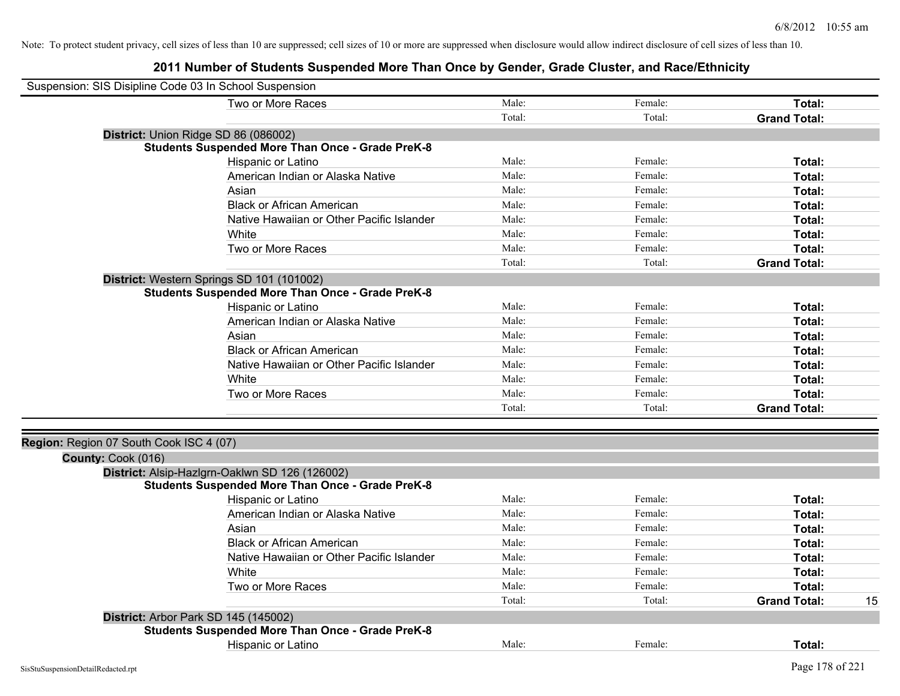| Suspension: SIS Disipline Code 03 In School Suspension |                                                         |        |         |                     |    |
|--------------------------------------------------------|---------------------------------------------------------|--------|---------|---------------------|----|
|                                                        | Two or More Races                                       | Male:  | Female: | Total:              |    |
|                                                        |                                                         | Total: | Total:  | <b>Grand Total:</b> |    |
|                                                        | District: Union Ridge SD 86 (086002)                    |        |         |                     |    |
|                                                        | <b>Students Suspended More Than Once - Grade PreK-8</b> |        |         |                     |    |
|                                                        | Hispanic or Latino                                      | Male:  | Female: | Total:              |    |
|                                                        | American Indian or Alaska Native                        | Male:  | Female: | Total:              |    |
|                                                        | Asian                                                   | Male:  | Female: | Total:              |    |
|                                                        | <b>Black or African American</b>                        | Male:  | Female: | Total:              |    |
|                                                        | Native Hawaiian or Other Pacific Islander               | Male:  | Female: | Total:              |    |
|                                                        | White                                                   | Male:  | Female: | Total:              |    |
|                                                        | Two or More Races                                       | Male:  | Female: | Total:              |    |
|                                                        |                                                         | Total: | Total:  | <b>Grand Total:</b> |    |
|                                                        | District: Western Springs SD 101 (101002)               |        |         |                     |    |
|                                                        | <b>Students Suspended More Than Once - Grade PreK-8</b> |        |         |                     |    |
|                                                        | Hispanic or Latino                                      | Male:  | Female: | <b>Total:</b>       |    |
|                                                        | American Indian or Alaska Native                        | Male:  | Female: | Total:              |    |
|                                                        | Asian                                                   | Male:  | Female: | Total:              |    |
|                                                        | <b>Black or African American</b>                        | Male:  | Female: | Total:              |    |
|                                                        | Native Hawaiian or Other Pacific Islander               | Male:  | Female: | <b>Total:</b>       |    |
|                                                        | White                                                   | Male:  | Female: | <b>Total:</b>       |    |
|                                                        | Two or More Races                                       | Male:  | Female: | Total:              |    |
|                                                        |                                                         | Total: | Total:  | <b>Grand Total:</b> |    |
|                                                        |                                                         |        |         |                     |    |
| Region: Region 07 South Cook ISC 4 (07)                |                                                         |        |         |                     |    |
| County: Cook (016)                                     |                                                         |        |         |                     |    |
|                                                        | District: Alsip-Hazlgrn-Oaklwn SD 126 (126002)          |        |         |                     |    |
|                                                        | <b>Students Suspended More Than Once - Grade PreK-8</b> |        |         |                     |    |
|                                                        | Hispanic or Latino                                      | Male:  | Female: | Total:              |    |
|                                                        | American Indian or Alaska Native                        | Male:  | Female: | Total:              |    |
|                                                        | Asian                                                   | Male:  | Female: | Total:              |    |
|                                                        | <b>Black or African American</b>                        | Male:  | Female: | Total:              |    |
|                                                        | Native Hawaiian or Other Pacific Islander               | Male:  | Female: | Total:              |    |
|                                                        | White                                                   | Male:  | Female: | Total:              |    |
|                                                        | Two or More Races                                       | Male:  | Female: | Total:              |    |
|                                                        |                                                         | Total: | Total:  | <b>Grand Total:</b> | 15 |
|                                                        | District: Arbor Park SD 145 (145002)                    |        |         |                     |    |
|                                                        | <b>Students Suspended More Than Once - Grade PreK-8</b> |        |         |                     |    |
|                                                        | Hispanic or Latino                                      | Male:  | Female: | Total:              |    |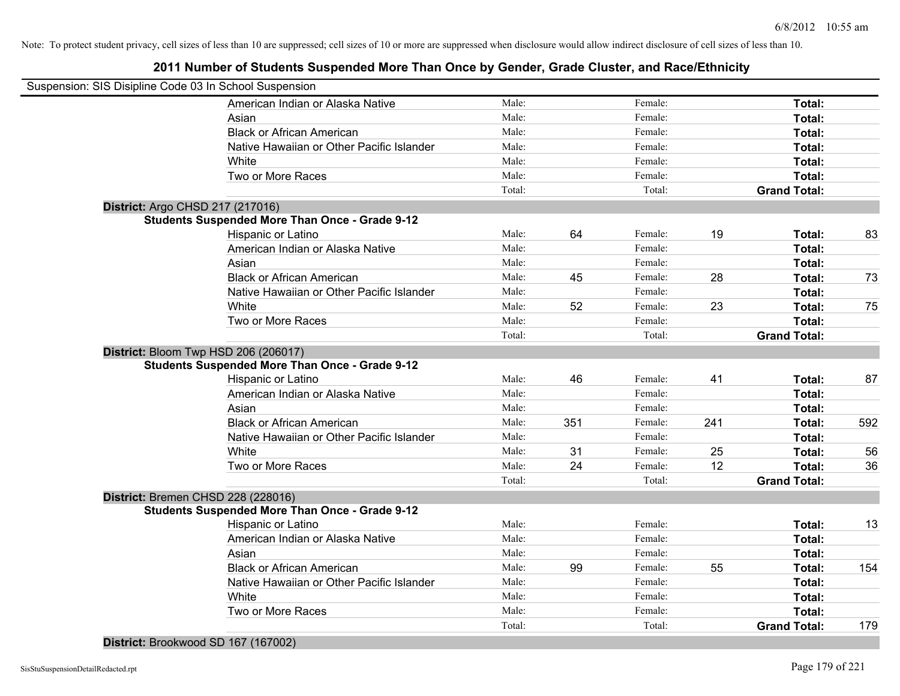# **2011 Number of Students Suspended More Than Once by Gender, Grade Cluster, and Race/Ethnicity**

| Suspension: SIS Disipline Code 03 In School Suspension |        |     |         |     |                     |     |
|--------------------------------------------------------|--------|-----|---------|-----|---------------------|-----|
| American Indian or Alaska Native                       | Male:  |     | Female: |     | Total:              |     |
| Asian                                                  | Male:  |     | Female: |     | Total:              |     |
| <b>Black or African American</b>                       | Male:  |     | Female: |     | Total:              |     |
| Native Hawaiian or Other Pacific Islander              | Male:  |     | Female: |     | Total:              |     |
| White                                                  | Male:  |     | Female: |     | Total:              |     |
| Two or More Races                                      | Male:  |     | Female: |     | Total:              |     |
|                                                        | Total: |     | Total:  |     | <b>Grand Total:</b> |     |
| District: Argo CHSD 217 (217016)                       |        |     |         |     |                     |     |
| <b>Students Suspended More Than Once - Grade 9-12</b>  |        |     |         |     |                     |     |
| Hispanic or Latino                                     | Male:  | 64  | Female: | 19  | Total:              | 83  |
| American Indian or Alaska Native                       | Male:  |     | Female: |     | Total:              |     |
| Asian                                                  | Male:  |     | Female: |     | Total:              |     |
| <b>Black or African American</b>                       | Male:  | 45  | Female: | 28  | Total:              | 73  |
| Native Hawaiian or Other Pacific Islander              | Male:  |     | Female: |     | Total:              |     |
| White                                                  | Male:  | 52  | Female: | 23  | Total:              | 75  |
| Two or More Races                                      | Male:  |     | Female: |     | Total:              |     |
|                                                        | Total: |     | Total:  |     | <b>Grand Total:</b> |     |
| District: Bloom Twp HSD 206 (206017)                   |        |     |         |     |                     |     |
| <b>Students Suspended More Than Once - Grade 9-12</b>  |        |     |         |     |                     |     |
| Hispanic or Latino                                     | Male:  | 46  | Female: | 41  | Total:              | 87  |
| American Indian or Alaska Native                       | Male:  |     | Female: |     | Total:              |     |
| Asian                                                  | Male:  |     | Female: |     | Total:              |     |
| <b>Black or African American</b>                       | Male:  | 351 | Female: | 241 | Total:              | 592 |
| Native Hawaiian or Other Pacific Islander              | Male:  |     | Female: |     | Total:              |     |
| White                                                  | Male:  | 31  | Female: | 25  | Total:              | 56  |
| Two or More Races                                      | Male:  | 24  | Female: | 12  | Total:              | 36  |
|                                                        | Total: |     | Total:  |     | <b>Grand Total:</b> |     |
| District: Bremen CHSD 228 (228016)                     |        |     |         |     |                     |     |
| <b>Students Suspended More Than Once - Grade 9-12</b>  |        |     |         |     |                     |     |
| Hispanic or Latino                                     | Male:  |     | Female: |     | Total:              | 13  |
| American Indian or Alaska Native                       | Male:  |     | Female: |     | Total:              |     |
| Asian                                                  | Male:  |     | Female: |     | Total:              |     |
| <b>Black or African American</b>                       | Male:  | 99  | Female: | 55  | Total:              | 154 |
| Native Hawaiian or Other Pacific Islander              | Male:  |     | Female: |     | Total:              |     |
| White                                                  | Male:  |     | Female: |     | Total:              |     |
| Two or More Races                                      | Male:  |     | Female: |     | Total:              |     |
|                                                        | Total: |     | Total:  |     | <b>Grand Total:</b> | 179 |
|                                                        |        |     |         |     |                     |     |

**District:** Brookwood SD 167 (167002)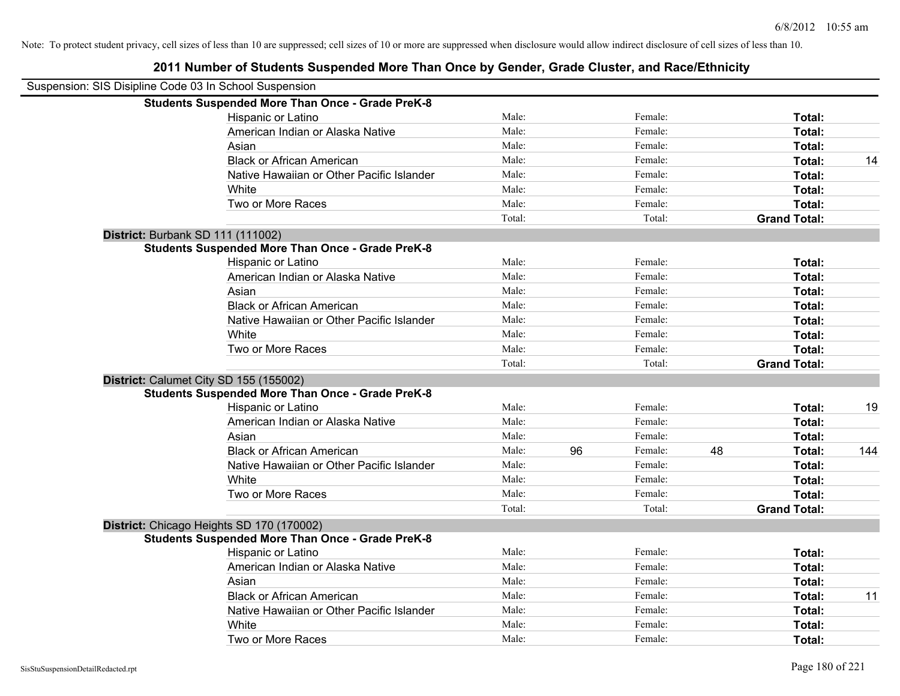| Suspension: SIS Disipline Code 03 In School Suspension |                                                         |        |    |         |    |                     |     |
|--------------------------------------------------------|---------------------------------------------------------|--------|----|---------|----|---------------------|-----|
|                                                        | <b>Students Suspended More Than Once - Grade PreK-8</b> |        |    |         |    |                     |     |
|                                                        | Hispanic or Latino                                      | Male:  |    | Female: |    | Total:              |     |
|                                                        | American Indian or Alaska Native                        | Male:  |    | Female: |    | <b>Total:</b>       |     |
|                                                        | Asian                                                   | Male:  |    | Female: |    | Total:              |     |
|                                                        | <b>Black or African American</b>                        | Male:  |    | Female: |    | Total:              | 14  |
|                                                        | Native Hawaiian or Other Pacific Islander               | Male:  |    | Female: |    | Total:              |     |
|                                                        | White                                                   | Male:  |    | Female: |    | Total:              |     |
|                                                        | Two or More Races                                       | Male:  |    | Female: |    | Total:              |     |
|                                                        |                                                         | Total: |    | Total:  |    | <b>Grand Total:</b> |     |
|                                                        | District: Burbank SD 111 (111002)                       |        |    |         |    |                     |     |
|                                                        | <b>Students Suspended More Than Once - Grade PreK-8</b> |        |    |         |    |                     |     |
|                                                        | Hispanic or Latino                                      | Male:  |    | Female: |    | Total:              |     |
|                                                        | American Indian or Alaska Native                        | Male:  |    | Female: |    | Total:              |     |
|                                                        | Asian                                                   | Male:  |    | Female: |    | <b>Total:</b>       |     |
|                                                        | <b>Black or African American</b>                        | Male:  |    | Female: |    | Total:              |     |
|                                                        | Native Hawaiian or Other Pacific Islander               | Male:  |    | Female: |    | Total:              |     |
|                                                        | White                                                   | Male:  |    | Female: |    | Total:              |     |
|                                                        | Two or More Races                                       | Male:  |    | Female: |    | Total:              |     |
|                                                        |                                                         | Total: |    | Total:  |    | <b>Grand Total:</b> |     |
|                                                        | District: Calumet City SD 155 (155002)                  |        |    |         |    |                     |     |
|                                                        | <b>Students Suspended More Than Once - Grade PreK-8</b> |        |    |         |    |                     |     |
|                                                        | Hispanic or Latino                                      | Male:  |    | Female: |    | Total:              | 19  |
|                                                        | American Indian or Alaska Native                        | Male:  |    | Female: |    | Total:              |     |
|                                                        | Asian                                                   | Male:  |    | Female: |    | Total:              |     |
|                                                        | <b>Black or African American</b>                        | Male:  | 96 | Female: | 48 | <b>Total:</b>       | 144 |
|                                                        | Native Hawaiian or Other Pacific Islander               | Male:  |    | Female: |    | <b>Total:</b>       |     |
|                                                        | White                                                   | Male:  |    | Female: |    | Total:              |     |
|                                                        | Two or More Races                                       | Male:  |    | Female: |    | Total:              |     |
|                                                        |                                                         | Total: |    | Total:  |    | <b>Grand Total:</b> |     |
|                                                        | District: Chicago Heights SD 170 (170002)               |        |    |         |    |                     |     |
|                                                        | <b>Students Suspended More Than Once - Grade PreK-8</b> |        |    |         |    |                     |     |
|                                                        | Hispanic or Latino                                      | Male:  |    | Female: |    | Total:              |     |
|                                                        | American Indian or Alaska Native                        | Male:  |    | Female: |    | Total:              |     |
|                                                        | Asian                                                   | Male:  |    | Female: |    | Total:              |     |
|                                                        | <b>Black or African American</b>                        | Male:  |    | Female: |    | Total:              | 11  |
|                                                        | Native Hawaiian or Other Pacific Islander               | Male:  |    | Female: |    | Total:              |     |
|                                                        | White                                                   | Male:  |    | Female: |    | <b>Total:</b>       |     |
|                                                        | Two or More Races                                       | Male:  |    | Female: |    | Total:              |     |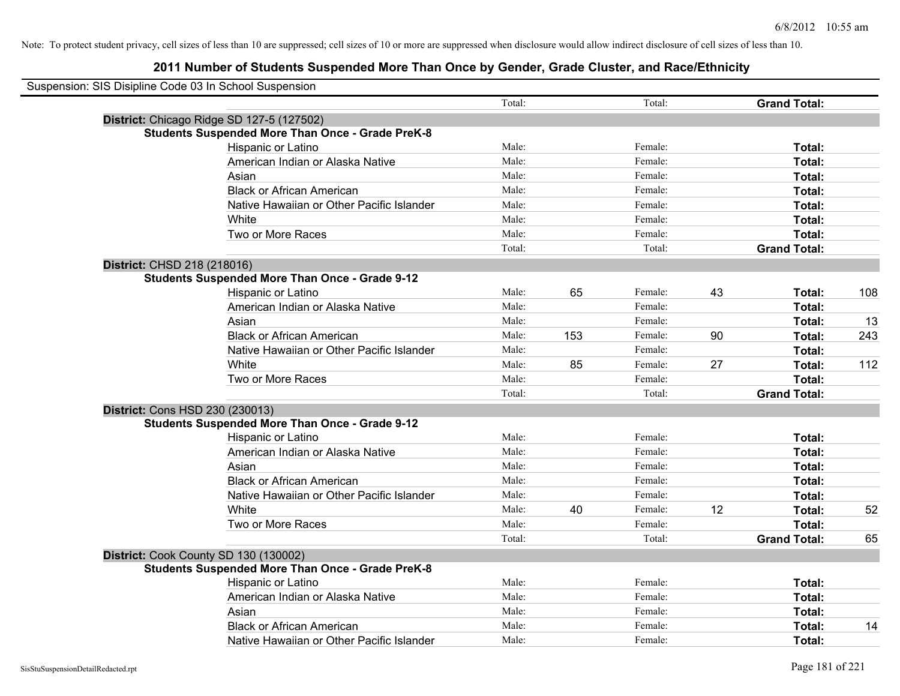| Suspension: SIS Disipline Code 03 In School Suspension |                                                         |        |     |         |    |                     |     |
|--------------------------------------------------------|---------------------------------------------------------|--------|-----|---------|----|---------------------|-----|
|                                                        |                                                         | Total: |     | Total:  |    | <b>Grand Total:</b> |     |
|                                                        | District: Chicago Ridge SD 127-5 (127502)               |        |     |         |    |                     |     |
|                                                        | <b>Students Suspended More Than Once - Grade PreK-8</b> |        |     |         |    |                     |     |
|                                                        | Hispanic or Latino                                      | Male:  |     | Female: |    | Total:              |     |
|                                                        | American Indian or Alaska Native                        | Male:  |     | Female: |    | Total:              |     |
|                                                        | Asian                                                   | Male:  |     | Female: |    | Total:              |     |
|                                                        | <b>Black or African American</b>                        | Male:  |     | Female: |    | Total:              |     |
|                                                        | Native Hawaiian or Other Pacific Islander               | Male:  |     | Female: |    | Total:              |     |
|                                                        | White                                                   | Male:  |     | Female: |    | Total:              |     |
|                                                        | Two or More Races                                       | Male:  |     | Female: |    | Total:              |     |
|                                                        |                                                         | Total: |     | Total:  |    | <b>Grand Total:</b> |     |
| District: CHSD 218 (218016)                            |                                                         |        |     |         |    |                     |     |
|                                                        | <b>Students Suspended More Than Once - Grade 9-12</b>   |        |     |         |    |                     |     |
|                                                        | Hispanic or Latino                                      | Male:  | 65  | Female: | 43 | Total:              | 108 |
|                                                        | American Indian or Alaska Native                        | Male:  |     | Female: |    | Total:              |     |
|                                                        | Asian                                                   | Male:  |     | Female: |    | Total:              | 13  |
|                                                        | <b>Black or African American</b>                        | Male:  | 153 | Female: | 90 | Total:              | 243 |
|                                                        | Native Hawaiian or Other Pacific Islander               | Male:  |     | Female: |    | Total:              |     |
|                                                        | White                                                   | Male:  | 85  | Female: | 27 | Total:              | 112 |
|                                                        | Two or More Races                                       | Male:  |     | Female: |    | Total:              |     |
|                                                        |                                                         | Total: |     | Total:  |    | <b>Grand Total:</b> |     |
| District: Cons HSD 230 (230013)                        |                                                         |        |     |         |    |                     |     |
|                                                        | <b>Students Suspended More Than Once - Grade 9-12</b>   |        |     |         |    |                     |     |
|                                                        | Hispanic or Latino                                      | Male:  |     | Female: |    | Total:              |     |
|                                                        | American Indian or Alaska Native                        | Male:  |     | Female: |    | Total:              |     |
|                                                        | Asian                                                   | Male:  |     | Female: |    | Total:              |     |
|                                                        | <b>Black or African American</b>                        | Male:  |     | Female: |    | Total:              |     |
|                                                        | Native Hawaiian or Other Pacific Islander               | Male:  |     | Female: |    | Total:              |     |
|                                                        | White                                                   | Male:  | 40  | Female: | 12 | Total:              | 52  |
|                                                        | Two or More Races                                       | Male:  |     | Female: |    | Total:              |     |
|                                                        |                                                         | Total: |     | Total:  |    | <b>Grand Total:</b> | 65  |
|                                                        | District: Cook County SD 130 (130002)                   |        |     |         |    |                     |     |
|                                                        | <b>Students Suspended More Than Once - Grade PreK-8</b> |        |     |         |    |                     |     |
|                                                        | <b>Hispanic or Latino</b>                               | Male:  |     | Female: |    | Total:              |     |
|                                                        | American Indian or Alaska Native                        | Male:  |     | Female: |    | Total:              |     |
|                                                        | Asian                                                   | Male:  |     | Female: |    | Total:              |     |
|                                                        | <b>Black or African American</b>                        | Male:  |     | Female: |    | Total:              | 14  |
|                                                        | Native Hawaiian or Other Pacific Islander               | Male:  |     | Female: |    | Total:              |     |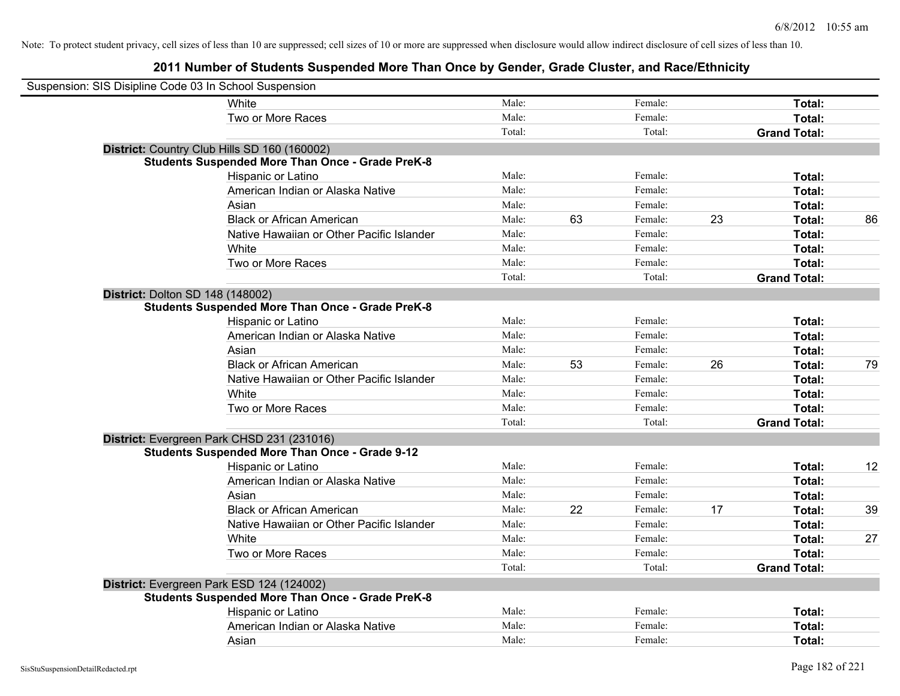| Suspension: SIS Disipline Code 03 In School Suspension |                                                         |        |    |         |    |                     |    |
|--------------------------------------------------------|---------------------------------------------------------|--------|----|---------|----|---------------------|----|
|                                                        | White                                                   | Male:  |    | Female: |    | Total:              |    |
|                                                        | Two or More Races                                       | Male:  |    | Female: |    | Total:              |    |
|                                                        |                                                         | Total: |    | Total:  |    | <b>Grand Total:</b> |    |
|                                                        | District: Country Club Hills SD 160 (160002)            |        |    |         |    |                     |    |
|                                                        | <b>Students Suspended More Than Once - Grade PreK-8</b> |        |    |         |    |                     |    |
|                                                        | Hispanic or Latino                                      | Male:  |    | Female: |    | Total:              |    |
|                                                        | American Indian or Alaska Native                        | Male:  |    | Female: |    | Total:              |    |
|                                                        | Asian                                                   | Male:  |    | Female: |    | Total:              |    |
|                                                        | <b>Black or African American</b>                        | Male:  | 63 | Female: | 23 | Total:              | 86 |
|                                                        | Native Hawaiian or Other Pacific Islander               | Male:  |    | Female: |    | Total:              |    |
|                                                        | White                                                   | Male:  |    | Female: |    | Total:              |    |
|                                                        | Two or More Races                                       | Male:  |    | Female: |    | Total:              |    |
|                                                        |                                                         | Total: |    | Total:  |    | <b>Grand Total:</b> |    |
| <b>District: Dolton SD 148 (148002)</b>                |                                                         |        |    |         |    |                     |    |
|                                                        | <b>Students Suspended More Than Once - Grade PreK-8</b> |        |    |         |    |                     |    |
|                                                        | Hispanic or Latino                                      | Male:  |    | Female: |    | Total:              |    |
|                                                        | American Indian or Alaska Native                        | Male:  |    | Female: |    | Total:              |    |
|                                                        | Asian                                                   | Male:  |    | Female: |    | Total:              |    |
|                                                        | <b>Black or African American</b>                        | Male:  | 53 | Female: | 26 | Total:              | 79 |
|                                                        | Native Hawaiian or Other Pacific Islander               | Male:  |    | Female: |    | Total:              |    |
|                                                        | White                                                   | Male:  |    | Female: |    | Total:              |    |
|                                                        | Two or More Races                                       | Male:  |    | Female: |    | Total:              |    |
|                                                        |                                                         | Total: |    | Total:  |    | <b>Grand Total:</b> |    |
|                                                        | District: Evergreen Park CHSD 231 (231016)              |        |    |         |    |                     |    |
|                                                        | <b>Students Suspended More Than Once - Grade 9-12</b>   |        |    |         |    |                     |    |
|                                                        | Hispanic or Latino                                      | Male:  |    | Female: |    | Total:              | 12 |
|                                                        | American Indian or Alaska Native                        | Male:  |    | Female: |    | Total:              |    |
|                                                        | Asian                                                   | Male:  |    | Female: |    | Total:              |    |
|                                                        | <b>Black or African American</b>                        | Male:  | 22 | Female: | 17 | Total:              | 39 |
|                                                        | Native Hawaiian or Other Pacific Islander               | Male:  |    | Female: |    | Total:              |    |
|                                                        | White                                                   | Male:  |    | Female: |    | Total:              | 27 |
|                                                        | Two or More Races                                       | Male:  |    | Female: |    | Total:              |    |
|                                                        |                                                         | Total: |    | Total:  |    | <b>Grand Total:</b> |    |
|                                                        | District: Evergreen Park ESD 124 (124002)               |        |    |         |    |                     |    |
|                                                        | <b>Students Suspended More Than Once - Grade PreK-8</b> |        |    |         |    |                     |    |
|                                                        | Hispanic or Latino                                      | Male:  |    | Female: |    | Total:              |    |
|                                                        | American Indian or Alaska Native                        | Male:  |    | Female: |    | Total:              |    |
|                                                        | Asian                                                   | Male:  |    | Female: |    | Total:              |    |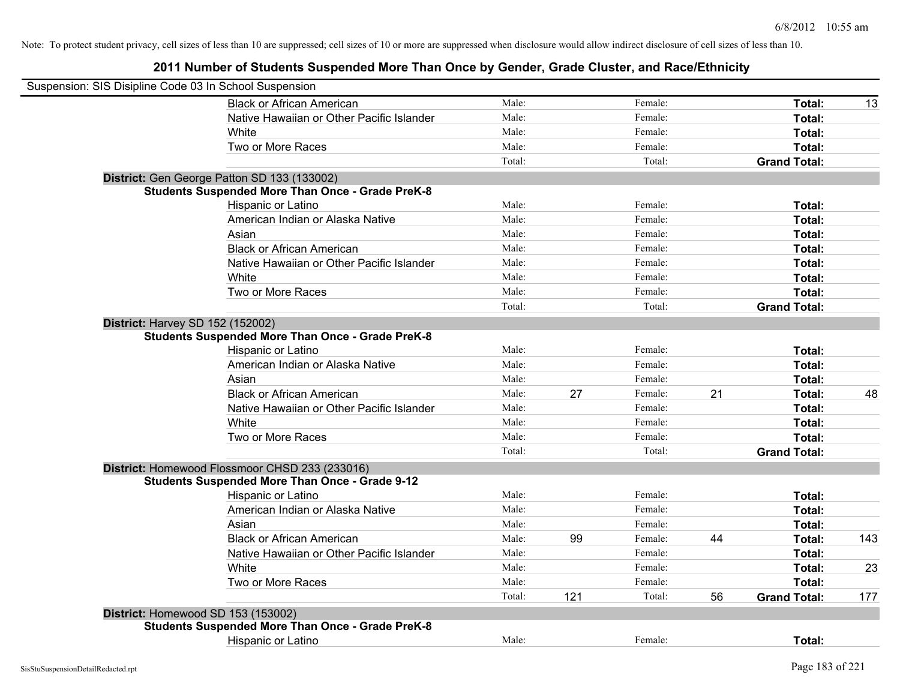| Suspension: SIS Disipline Code 03 In School Suspension |                                                         |        |     |         |    |                     |     |
|--------------------------------------------------------|---------------------------------------------------------|--------|-----|---------|----|---------------------|-----|
|                                                        | <b>Black or African American</b>                        | Male:  |     | Female: |    | Total:              | 13  |
|                                                        | Native Hawaiian or Other Pacific Islander               | Male:  |     | Female: |    | Total:              |     |
|                                                        | White                                                   | Male:  |     | Female: |    | Total:              |     |
|                                                        | Two or More Races                                       | Male:  |     | Female: |    | Total:              |     |
|                                                        |                                                         | Total: |     | Total:  |    | <b>Grand Total:</b> |     |
|                                                        | District: Gen George Patton SD 133 (133002)             |        |     |         |    |                     |     |
|                                                        | <b>Students Suspended More Than Once - Grade PreK-8</b> |        |     |         |    |                     |     |
|                                                        | Hispanic or Latino                                      | Male:  |     | Female: |    | Total:              |     |
|                                                        | American Indian or Alaska Native                        | Male:  |     | Female: |    | Total:              |     |
|                                                        | Asian                                                   | Male:  |     | Female: |    | Total:              |     |
|                                                        | <b>Black or African American</b>                        | Male:  |     | Female: |    | Total:              |     |
|                                                        | Native Hawaiian or Other Pacific Islander               | Male:  |     | Female: |    | Total:              |     |
|                                                        | White                                                   | Male:  |     | Female: |    | Total:              |     |
|                                                        | Two or More Races                                       | Male:  |     | Female: |    | Total:              |     |
|                                                        |                                                         | Total: |     | Total:  |    | <b>Grand Total:</b> |     |
|                                                        | <b>District: Harvey SD 152 (152002)</b>                 |        |     |         |    |                     |     |
|                                                        | <b>Students Suspended More Than Once - Grade PreK-8</b> |        |     |         |    |                     |     |
|                                                        | Hispanic or Latino                                      | Male:  |     | Female: |    | Total:              |     |
|                                                        | American Indian or Alaska Native                        | Male:  |     | Female: |    | Total:              |     |
|                                                        | Asian                                                   | Male:  |     | Female: |    | Total:              |     |
|                                                        | <b>Black or African American</b>                        | Male:  | 27  | Female: | 21 | Total:              | 48  |
|                                                        | Native Hawaiian or Other Pacific Islander               | Male:  |     | Female: |    | Total:              |     |
|                                                        | White                                                   | Male:  |     | Female: |    | Total:              |     |
|                                                        | Two or More Races                                       | Male:  |     | Female: |    | Total:              |     |
|                                                        |                                                         | Total: |     | Total:  |    | <b>Grand Total:</b> |     |
|                                                        | District: Homewood Flossmoor CHSD 233 (233016)          |        |     |         |    |                     |     |
|                                                        | <b>Students Suspended More Than Once - Grade 9-12</b>   |        |     |         |    |                     |     |
|                                                        | Hispanic or Latino                                      | Male:  |     | Female: |    | Total:              |     |
|                                                        | American Indian or Alaska Native                        | Male:  |     | Female: |    | Total:              |     |
|                                                        | Asian                                                   | Male:  |     | Female: |    | Total:              |     |
|                                                        | <b>Black or African American</b>                        | Male:  | 99  | Female: | 44 | Total:              | 143 |
|                                                        | Native Hawaiian or Other Pacific Islander               | Male:  |     | Female: |    | Total:              |     |
|                                                        | White                                                   | Male:  |     | Female: |    | Total:              | 23  |
|                                                        | Two or More Races                                       | Male:  |     | Female: |    | Total:              |     |
|                                                        |                                                         | Total: | 121 | Total:  | 56 | <b>Grand Total:</b> | 177 |
|                                                        | District: Homewood SD 153 (153002)                      |        |     |         |    |                     |     |
|                                                        | <b>Students Suspended More Than Once - Grade PreK-8</b> |        |     |         |    |                     |     |
|                                                        | <b>Hispanic or Latino</b>                               | Male:  |     | Female: |    | Total:              |     |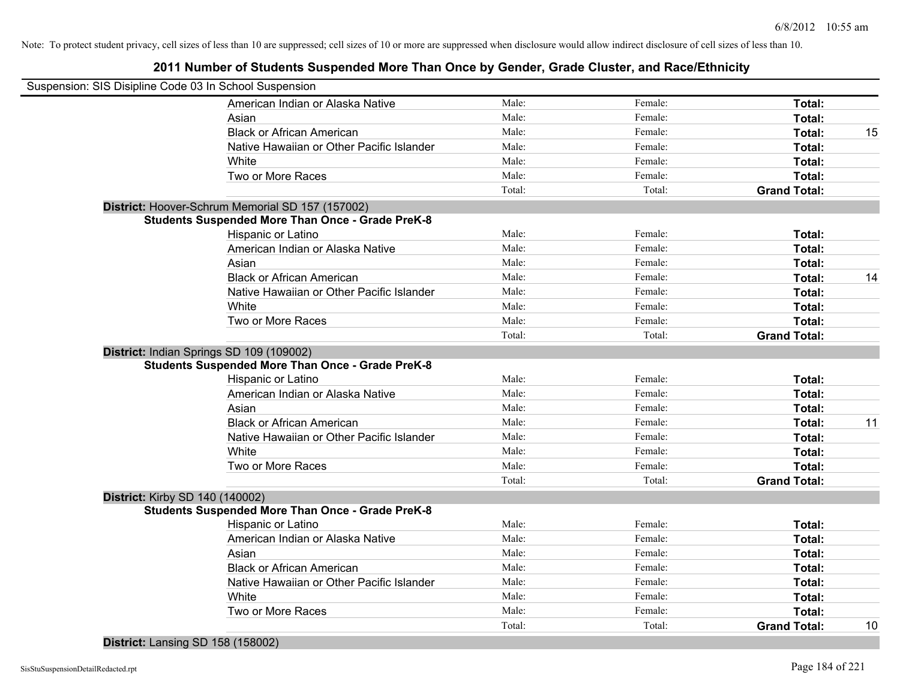# **2011 Number of Students Suspended More Than Once by Gender, Grade Cluster, and Race/Ethnicity**

|                                 | Suspension: SIS Disipline Code 03 In School Suspension  |        |         |                     |    |
|---------------------------------|---------------------------------------------------------|--------|---------|---------------------|----|
|                                 | American Indian or Alaska Native                        | Male:  | Female: | Total:              |    |
|                                 | Asian                                                   | Male:  | Female: | Total:              |    |
|                                 | <b>Black or African American</b>                        | Male:  | Female: | Total:              | 15 |
|                                 | Native Hawaiian or Other Pacific Islander               | Male:  | Female: | Total:              |    |
|                                 | White                                                   | Male:  | Female: | Total:              |    |
|                                 | Two or More Races                                       | Male:  | Female: | Total:              |    |
|                                 |                                                         | Total: | Total:  | <b>Grand Total:</b> |    |
|                                 | District: Hoover-Schrum Memorial SD 157 (157002)        |        |         |                     |    |
|                                 | <b>Students Suspended More Than Once - Grade PreK-8</b> |        |         |                     |    |
|                                 | Hispanic or Latino                                      | Male:  | Female: | Total:              |    |
|                                 | American Indian or Alaska Native                        | Male:  | Female: | Total:              |    |
|                                 | Asian                                                   | Male:  | Female: | Total:              |    |
|                                 | <b>Black or African American</b>                        | Male:  | Female: | Total:              | 14 |
|                                 | Native Hawaiian or Other Pacific Islander               | Male:  | Female: | Total:              |    |
|                                 | White                                                   | Male:  | Female: | Total:              |    |
|                                 | Two or More Races                                       | Male:  | Female: | Total:              |    |
|                                 |                                                         | Total: | Total:  | <b>Grand Total:</b> |    |
|                                 | District: Indian Springs SD 109 (109002)                |        |         |                     |    |
|                                 | <b>Students Suspended More Than Once - Grade PreK-8</b> |        |         |                     |    |
|                                 | Hispanic or Latino                                      | Male:  | Female: | Total:              |    |
|                                 | American Indian or Alaska Native                        | Male:  | Female: | Total:              |    |
|                                 | Asian                                                   | Male:  | Female: | Total:              |    |
|                                 | <b>Black or African American</b>                        | Male:  | Female: | Total:              | 11 |
|                                 | Native Hawaiian or Other Pacific Islander               | Male:  | Female: | Total:              |    |
|                                 | White                                                   | Male:  | Female: | Total:              |    |
|                                 | Two or More Races                                       | Male:  | Female: | Total:              |    |
|                                 |                                                         | Total: | Total:  | <b>Grand Total:</b> |    |
| District: Kirby SD 140 (140002) |                                                         |        |         |                     |    |
|                                 | <b>Students Suspended More Than Once - Grade PreK-8</b> |        |         |                     |    |
|                                 | Hispanic or Latino                                      | Male:  | Female: | Total:              |    |
|                                 | American Indian or Alaska Native                        | Male:  | Female: | Total:              |    |
|                                 | Asian                                                   | Male:  | Female: | Total:              |    |
|                                 | <b>Black or African American</b>                        | Male:  | Female: | Total:              |    |
|                                 | Native Hawaiian or Other Pacific Islander               | Male:  | Female: | Total:              |    |
|                                 | White                                                   | Male:  | Female: | Total:              |    |
|                                 | Two or More Races                                       | Male:  | Female: | Total:              |    |
|                                 |                                                         | Total: | Total:  | <b>Grand Total:</b> | 10 |

**District:** Lansing SD 158 (158002)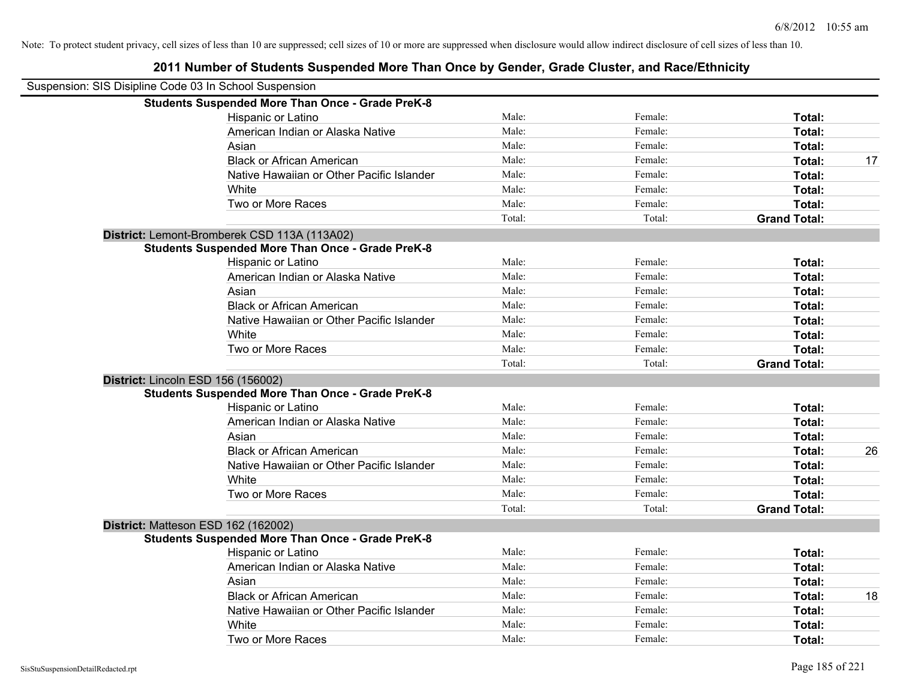| Suspension: SIS Disipline Code 03 In School Suspension |                                                         |        |         |                     |    |
|--------------------------------------------------------|---------------------------------------------------------|--------|---------|---------------------|----|
|                                                        | <b>Students Suspended More Than Once - Grade PreK-8</b> |        |         |                     |    |
|                                                        | Hispanic or Latino                                      | Male:  | Female: | Total:              |    |
|                                                        | American Indian or Alaska Native                        | Male:  | Female: | Total:              |    |
|                                                        | Asian                                                   | Male:  | Female: | Total:              |    |
|                                                        | <b>Black or African American</b>                        | Male:  | Female: | Total:              | 17 |
|                                                        | Native Hawaiian or Other Pacific Islander               | Male:  | Female: | Total:              |    |
|                                                        | White                                                   | Male:  | Female: | Total:              |    |
|                                                        | Two or More Races                                       | Male:  | Female: | Total:              |    |
|                                                        |                                                         | Total: | Total:  | <b>Grand Total:</b> |    |
|                                                        | District: Lemont-Bromberek CSD 113A (113A02)            |        |         |                     |    |
|                                                        | <b>Students Suspended More Than Once - Grade PreK-8</b> |        |         |                     |    |
|                                                        | Hispanic or Latino                                      | Male:  | Female: | Total:              |    |
|                                                        | American Indian or Alaska Native                        | Male:  | Female: | <b>Total:</b>       |    |
|                                                        | Asian                                                   | Male:  | Female: | Total:              |    |
|                                                        | <b>Black or African American</b>                        | Male:  | Female: | Total:              |    |
|                                                        | Native Hawaiian or Other Pacific Islander               | Male:  | Female: | Total:              |    |
|                                                        | White                                                   | Male:  | Female: | Total:              |    |
|                                                        | Two or More Races                                       | Male:  | Female: | Total:              |    |
|                                                        |                                                         | Total: | Total:  | <b>Grand Total:</b> |    |
| District: Lincoln ESD 156 (156002)                     |                                                         |        |         |                     |    |
|                                                        | <b>Students Suspended More Than Once - Grade PreK-8</b> |        |         |                     |    |
|                                                        | Hispanic or Latino                                      | Male:  | Female: | Total:              |    |
|                                                        | American Indian or Alaska Native                        | Male:  | Female: | Total:              |    |
|                                                        | Asian                                                   | Male:  | Female: | Total:              |    |
|                                                        | <b>Black or African American</b>                        | Male:  | Female: | Total:              | 26 |
|                                                        | Native Hawaiian or Other Pacific Islander               | Male:  | Female: | <b>Total:</b>       |    |
|                                                        | White                                                   | Male:  | Female: | Total:              |    |
|                                                        | Two or More Races                                       | Male:  | Female: | Total:              |    |
|                                                        |                                                         | Total: | Total:  | <b>Grand Total:</b> |    |
|                                                        | District: Matteson ESD 162 (162002)                     |        |         |                     |    |
|                                                        | <b>Students Suspended More Than Once - Grade PreK-8</b> |        |         |                     |    |
|                                                        | Hispanic or Latino                                      | Male:  | Female: | Total:              |    |
|                                                        | American Indian or Alaska Native                        | Male:  | Female: | Total:              |    |
|                                                        | Asian                                                   | Male:  | Female: | Total:              |    |
|                                                        | <b>Black or African American</b>                        | Male:  | Female: | Total:              | 18 |
|                                                        | Native Hawaiian or Other Pacific Islander               | Male:  | Female: | Total:              |    |
|                                                        | White                                                   | Male:  | Female: | <b>Total:</b>       |    |
|                                                        | Two or More Races                                       | Male:  | Female: | Total:              |    |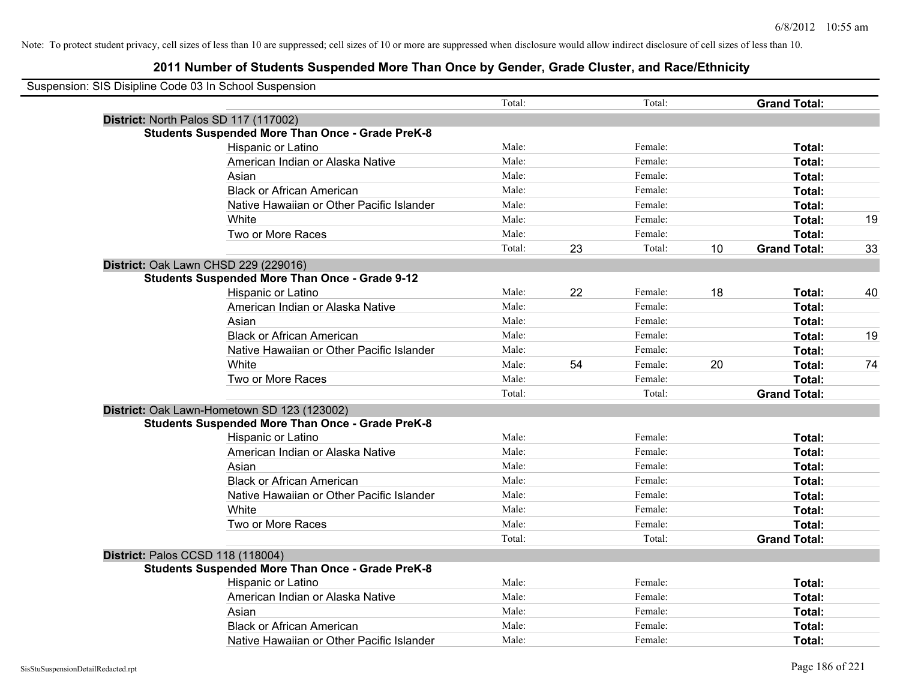| Suspension: SIS Disipline Code 03 In School Suspension |                                                         |        |    |         |    |                     |    |
|--------------------------------------------------------|---------------------------------------------------------|--------|----|---------|----|---------------------|----|
|                                                        |                                                         | Total: |    | Total:  |    | <b>Grand Total:</b> |    |
|                                                        | District: North Palos SD 117 (117002)                   |        |    |         |    |                     |    |
|                                                        | <b>Students Suspended More Than Once - Grade PreK-8</b> |        |    |         |    |                     |    |
|                                                        | Hispanic or Latino                                      | Male:  |    | Female: |    | Total:              |    |
|                                                        | American Indian or Alaska Native                        | Male:  |    | Female: |    | Total:              |    |
|                                                        | Asian                                                   | Male:  |    | Female: |    | Total:              |    |
|                                                        | <b>Black or African American</b>                        | Male:  |    | Female: |    | Total:              |    |
|                                                        | Native Hawaiian or Other Pacific Islander               | Male:  |    | Female: |    | Total:              |    |
|                                                        | White                                                   | Male:  |    | Female: |    | Total:              | 19 |
|                                                        | Two or More Races                                       | Male:  |    | Female: |    | <b>Total:</b>       |    |
|                                                        |                                                         | Total: | 23 | Total:  | 10 | <b>Grand Total:</b> | 33 |
|                                                        | District: Oak Lawn CHSD 229 (229016)                    |        |    |         |    |                     |    |
|                                                        | <b>Students Suspended More Than Once - Grade 9-12</b>   |        |    |         |    |                     |    |
|                                                        | Hispanic or Latino                                      | Male:  | 22 | Female: | 18 | Total:              | 40 |
|                                                        | American Indian or Alaska Native                        | Male:  |    | Female: |    | Total:              |    |
|                                                        | Asian                                                   | Male:  |    | Female: |    | Total:              |    |
|                                                        | <b>Black or African American</b>                        | Male:  |    | Female: |    | Total:              | 19 |
|                                                        | Native Hawaiian or Other Pacific Islander               | Male:  |    | Female: |    | Total:              |    |
|                                                        | White                                                   | Male:  | 54 | Female: | 20 | Total:              | 74 |
|                                                        | Two or More Races                                       | Male:  |    | Female: |    | Total:              |    |
|                                                        |                                                         | Total: |    | Total:  |    | <b>Grand Total:</b> |    |
|                                                        | District: Oak Lawn-Hometown SD 123 (123002)             |        |    |         |    |                     |    |
|                                                        | <b>Students Suspended More Than Once - Grade PreK-8</b> |        |    |         |    |                     |    |
|                                                        | Hispanic or Latino                                      | Male:  |    | Female: |    | Total:              |    |
|                                                        | American Indian or Alaska Native                        | Male:  |    | Female: |    | Total:              |    |
|                                                        | Asian                                                   | Male:  |    | Female: |    | Total:              |    |
|                                                        | <b>Black or African American</b>                        | Male:  |    | Female: |    | Total:              |    |
|                                                        | Native Hawaiian or Other Pacific Islander               | Male:  |    | Female: |    | Total:              |    |
|                                                        | White                                                   | Male:  |    | Female: |    | Total:              |    |
|                                                        | Two or More Races                                       | Male:  |    | Female: |    | Total:              |    |
|                                                        |                                                         | Total: |    | Total:  |    | <b>Grand Total:</b> |    |
|                                                        | District: Palos CCSD 118 (118004)                       |        |    |         |    |                     |    |
|                                                        | <b>Students Suspended More Than Once - Grade PreK-8</b> |        |    |         |    |                     |    |
|                                                        | Hispanic or Latino                                      | Male:  |    | Female: |    | Total:              |    |
|                                                        | American Indian or Alaska Native                        | Male:  |    | Female: |    | Total:              |    |
|                                                        | Asian                                                   | Male:  |    | Female: |    | Total:              |    |
|                                                        | <b>Black or African American</b>                        | Male:  |    | Female: |    | <b>Total:</b>       |    |
|                                                        | Native Hawaiian or Other Pacific Islander               | Male:  |    | Female: |    | Total:              |    |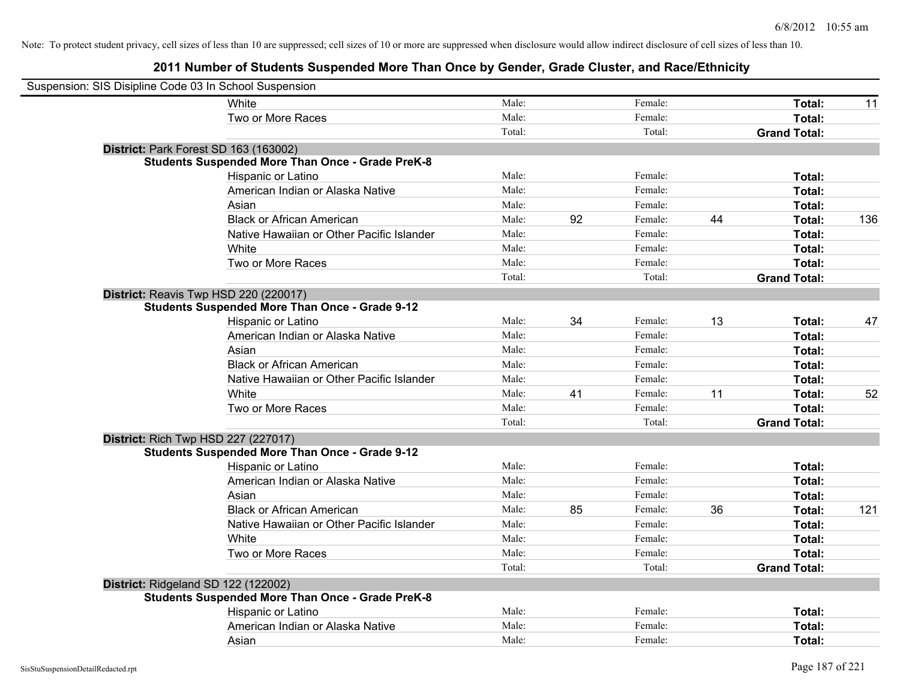| Suspension: SIS Disipline Code 03 In School Suspension |                                                         |        |    |         |    |                     |     |
|--------------------------------------------------------|---------------------------------------------------------|--------|----|---------|----|---------------------|-----|
|                                                        | White                                                   | Male:  |    | Female: |    | Total:              | 11  |
|                                                        | Two or More Races                                       | Male:  |    | Female: |    | Total:              |     |
|                                                        |                                                         | Total: |    | Total:  |    | <b>Grand Total:</b> |     |
| District: Park Forest SD 163 (163002)                  |                                                         |        |    |         |    |                     |     |
|                                                        | <b>Students Suspended More Than Once - Grade PreK-8</b> |        |    |         |    |                     |     |
|                                                        | Hispanic or Latino                                      | Male:  |    | Female: |    | Total:              |     |
|                                                        | American Indian or Alaska Native                        | Male:  |    | Female: |    | Total:              |     |
|                                                        | Asian                                                   | Male:  |    | Female: |    | Total:              |     |
|                                                        | <b>Black or African American</b>                        | Male:  | 92 | Female: | 44 | Total:              | 136 |
|                                                        | Native Hawaiian or Other Pacific Islander               | Male:  |    | Female: |    | Total:              |     |
|                                                        | White                                                   | Male:  |    | Female: |    | Total:              |     |
|                                                        | Two or More Races                                       | Male:  |    | Female: |    | Total:              |     |
|                                                        |                                                         | Total: |    | Total:  |    | <b>Grand Total:</b> |     |
| District: Reavis Twp HSD 220 (220017)                  |                                                         |        |    |         |    |                     |     |
|                                                        | <b>Students Suspended More Than Once - Grade 9-12</b>   |        |    |         |    |                     |     |
|                                                        | Hispanic or Latino                                      | Male:  | 34 | Female: | 13 | Total:              | 47  |
|                                                        | American Indian or Alaska Native                        | Male:  |    | Female: |    | Total:              |     |
|                                                        | Asian                                                   | Male:  |    | Female: |    | Total:              |     |
|                                                        | <b>Black or African American</b>                        | Male:  |    | Female: |    | Total:              |     |
|                                                        | Native Hawaiian or Other Pacific Islander               | Male:  |    | Female: |    | Total:              |     |
|                                                        | White                                                   | Male:  | 41 | Female: | 11 | Total:              | 52  |
|                                                        | Two or More Races                                       | Male:  |    | Female: |    | Total:              |     |
|                                                        |                                                         | Total: |    | Total:  |    | <b>Grand Total:</b> |     |
| District: Rich Twp HSD 227 (227017)                    |                                                         |        |    |         |    |                     |     |
|                                                        | <b>Students Suspended More Than Once - Grade 9-12</b>   |        |    |         |    |                     |     |
|                                                        | Hispanic or Latino                                      | Male:  |    | Female: |    | Total:              |     |
|                                                        | American Indian or Alaska Native                        | Male:  |    | Female: |    | Total:              |     |
|                                                        | Asian                                                   | Male:  |    | Female: |    | Total:              |     |
|                                                        | <b>Black or African American</b>                        | Male:  | 85 | Female: | 36 | Total:              | 121 |
|                                                        | Native Hawaiian or Other Pacific Islander               | Male:  |    | Female: |    | Total:              |     |
|                                                        | White                                                   | Male:  |    | Female: |    | Total:              |     |
|                                                        | Two or More Races                                       | Male:  |    | Female: |    | Total:              |     |
|                                                        |                                                         | Total: |    | Total:  |    | <b>Grand Total:</b> |     |
| District: Ridgeland SD 122 (122002)                    |                                                         |        |    |         |    |                     |     |
|                                                        | <b>Students Suspended More Than Once - Grade PreK-8</b> |        |    |         |    |                     |     |
|                                                        | Hispanic or Latino                                      | Male:  |    | Female: |    | Total:              |     |
|                                                        | American Indian or Alaska Native                        | Male:  |    | Female: |    | Total:              |     |
|                                                        | Asian                                                   | Male:  |    | Female: |    | Total:              |     |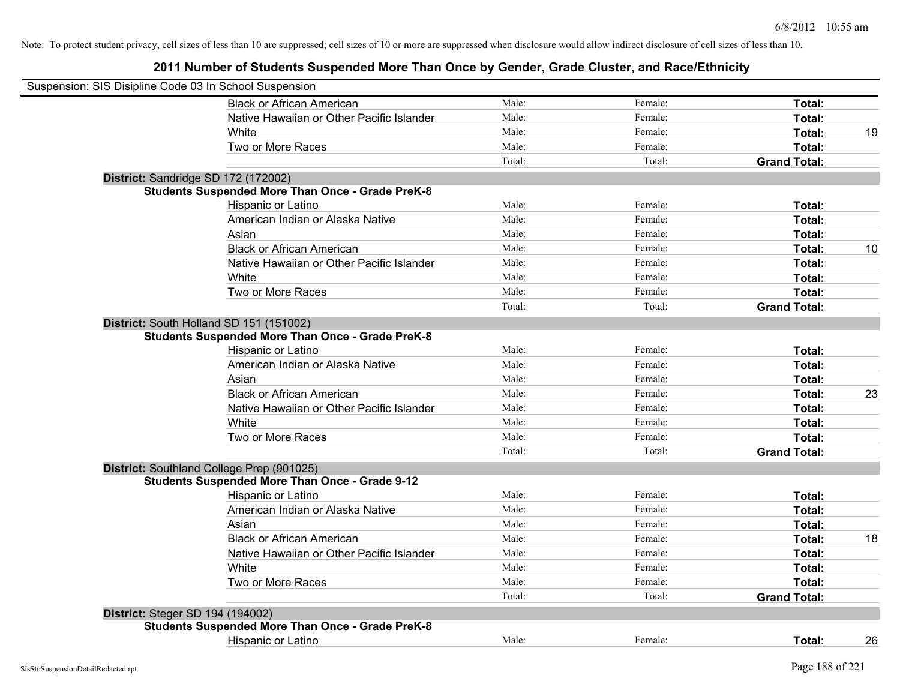| Suspension: SIS Disipline Code 03 In School Suspension |                                                                                                    |        |         |                     |    |
|--------------------------------------------------------|----------------------------------------------------------------------------------------------------|--------|---------|---------------------|----|
|                                                        | <b>Black or African American</b>                                                                   | Male:  | Female: | Total:              |    |
|                                                        | Native Hawaiian or Other Pacific Islander                                                          | Male:  | Female: | Total:              |    |
|                                                        | White                                                                                              | Male:  | Female: | Total:              | 19 |
|                                                        | Two or More Races                                                                                  | Male:  | Female: | Total:              |    |
|                                                        |                                                                                                    | Total: | Total:  | <b>Grand Total:</b> |    |
| District: Sandridge SD 172 (172002)                    |                                                                                                    |        |         |                     |    |
|                                                        | <b>Students Suspended More Than Once - Grade PreK-8</b>                                            |        |         |                     |    |
|                                                        | Hispanic or Latino                                                                                 | Male:  | Female: | Total:              |    |
|                                                        | American Indian or Alaska Native                                                                   | Male:  | Female: | Total:              |    |
|                                                        | Asian                                                                                              | Male:  | Female: | Total:              |    |
|                                                        | <b>Black or African American</b>                                                                   | Male:  | Female: | Total:              | 10 |
|                                                        | Native Hawaiian or Other Pacific Islander                                                          | Male:  | Female: | Total:              |    |
|                                                        | White                                                                                              | Male:  | Female: | Total:              |    |
|                                                        | Two or More Races                                                                                  | Male:  | Female: | Total:              |    |
|                                                        |                                                                                                    | Total: | Total:  | <b>Grand Total:</b> |    |
|                                                        | District: South Holland SD 151 (151002)<br><b>Students Suspended More Than Once - Grade PreK-8</b> |        |         |                     |    |
|                                                        | Hispanic or Latino                                                                                 | Male:  | Female: | Total:              |    |
|                                                        | American Indian or Alaska Native                                                                   | Male:  | Female: | Total:              |    |
|                                                        | Asian                                                                                              | Male:  | Female: | Total:              |    |
|                                                        | <b>Black or African American</b>                                                                   | Male:  | Female: | Total:              | 23 |
|                                                        | Native Hawaiian or Other Pacific Islander                                                          | Male:  | Female: | Total:              |    |
|                                                        | White                                                                                              | Male:  | Female: | Total:              |    |
|                                                        | Two or More Races                                                                                  | Male:  | Female: | Total:              |    |
|                                                        |                                                                                                    | Total: | Total:  | <b>Grand Total:</b> |    |
|                                                        | District: Southland College Prep (901025)                                                          |        |         |                     |    |
|                                                        | <b>Students Suspended More Than Once - Grade 9-12</b>                                              |        |         |                     |    |
|                                                        | Hispanic or Latino                                                                                 | Male:  | Female: | Total:              |    |
|                                                        | American Indian or Alaska Native                                                                   | Male:  | Female: | Total:              |    |
|                                                        | Asian                                                                                              | Male:  | Female: | Total:              |    |
|                                                        | <b>Black or African American</b>                                                                   | Male:  | Female: | Total:              | 18 |
|                                                        | Native Hawaiian or Other Pacific Islander                                                          | Male:  | Female: | Total:              |    |
|                                                        | White                                                                                              | Male:  | Female: | Total:              |    |
|                                                        | Two or More Races                                                                                  | Male:  | Female: | Total:              |    |
|                                                        |                                                                                                    | Total: | Total:  | <b>Grand Total:</b> |    |
| <b>District: Steger SD 194 (194002)</b>                |                                                                                                    |        |         |                     |    |
|                                                        | <b>Students Suspended More Than Once - Grade PreK-8</b>                                            |        |         |                     |    |
|                                                        | <b>Hispanic or Latino</b>                                                                          | Male:  | Female: | Total:              | 26 |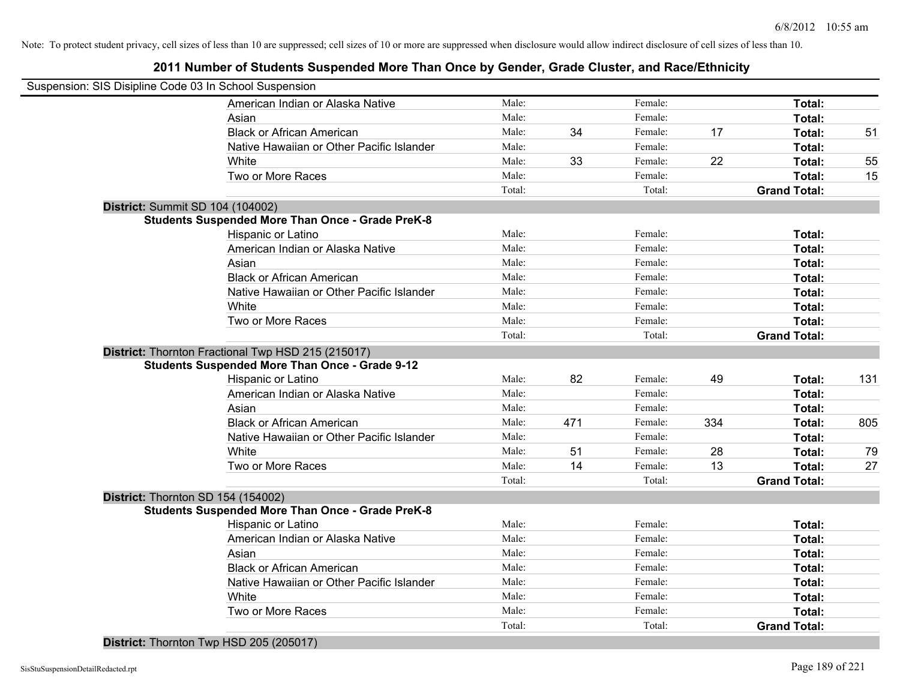**2011 Number of Students Suspended More Than Once by Gender, Grade Cluster, and Race/Ethnicity**

| Suspension: SIS Disipline Code 03 In School Suspension |                                                         |        |     |         |     |                     |     |
|--------------------------------------------------------|---------------------------------------------------------|--------|-----|---------|-----|---------------------|-----|
|                                                        |                                                         |        |     |         |     |                     |     |
|                                                        | American Indian or Alaska Native                        | Male:  |     | Female: |     | Total:              |     |
|                                                        | Asian                                                   | Male:  |     | Female: |     | Total:              |     |
|                                                        | <b>Black or African American</b>                        | Male:  | 34  | Female: | 17  | Total:              | 51  |
|                                                        | Native Hawaiian or Other Pacific Islander               | Male:  |     | Female: |     | Total:              |     |
|                                                        | White                                                   | Male:  | 33  | Female: | 22  | Total:              | 55  |
|                                                        | Two or More Races                                       | Male:  |     | Female: |     | Total:              | 15  |
|                                                        |                                                         | Total: |     | Total:  |     | <b>Grand Total:</b> |     |
| District: Summit SD 104 (104002)                       |                                                         |        |     |         |     |                     |     |
|                                                        | <b>Students Suspended More Than Once - Grade PreK-8</b> |        |     |         |     |                     |     |
|                                                        | Hispanic or Latino                                      | Male:  |     | Female: |     | Total:              |     |
|                                                        | American Indian or Alaska Native                        | Male:  |     | Female: |     | Total:              |     |
|                                                        | Asian                                                   | Male:  |     | Female: |     | Total:              |     |
|                                                        | <b>Black or African American</b>                        | Male:  |     | Female: |     | Total:              |     |
|                                                        | Native Hawaiian or Other Pacific Islander               | Male:  |     | Female: |     | Total:              |     |
|                                                        | White                                                   | Male:  |     | Female: |     | Total:              |     |
|                                                        | Two or More Races                                       | Male:  |     | Female: |     | Total:              |     |
|                                                        |                                                         | Total: |     | Total:  |     | <b>Grand Total:</b> |     |
|                                                        | District: Thornton Fractional Twp HSD 215 (215017)      |        |     |         |     |                     |     |
|                                                        | <b>Students Suspended More Than Once - Grade 9-12</b>   | Male:  |     |         |     |                     |     |
|                                                        | Hispanic or Latino                                      |        | 82  | Female: | 49  | Total:              | 131 |
|                                                        | American Indian or Alaska Native                        | Male:  |     | Female: |     | Total:              |     |
|                                                        | Asian                                                   | Male:  |     | Female: |     | Total:              |     |
|                                                        | <b>Black or African American</b>                        | Male:  | 471 | Female: | 334 | Total:              | 805 |
|                                                        | Native Hawaiian or Other Pacific Islander               | Male:  |     | Female: |     | Total:              |     |
|                                                        | White                                                   | Male:  | 51  | Female: | 28  | Total:              | 79  |
|                                                        | Two or More Races                                       | Male:  | 14  | Female: | 13  | Total:              | 27  |
|                                                        |                                                         | Total: |     | Total:  |     | <b>Grand Total:</b> |     |
|                                                        | District: Thornton SD 154 (154002)                      |        |     |         |     |                     |     |
|                                                        | <b>Students Suspended More Than Once - Grade PreK-8</b> |        |     |         |     |                     |     |
|                                                        | Hispanic or Latino                                      | Male:  |     | Female: |     | Total:              |     |
|                                                        | American Indian or Alaska Native                        | Male:  |     | Female: |     | Total:              |     |
|                                                        | Asian                                                   | Male:  |     | Female: |     | Total:              |     |
|                                                        | <b>Black or African American</b>                        | Male:  |     | Female: |     | Total:              |     |
|                                                        | Native Hawaiian or Other Pacific Islander               | Male:  |     | Female: |     | Total:              |     |
|                                                        | White                                                   | Male:  |     | Female: |     | Total:              |     |
|                                                        | Two or More Races                                       | Male:  |     | Female: |     | Total:              |     |
|                                                        |                                                         | Total: |     | Total:  |     | <b>Grand Total:</b> |     |
|                                                        |                                                         |        |     |         |     |                     |     |

**District:** Thornton Twp HSD 205 (205017)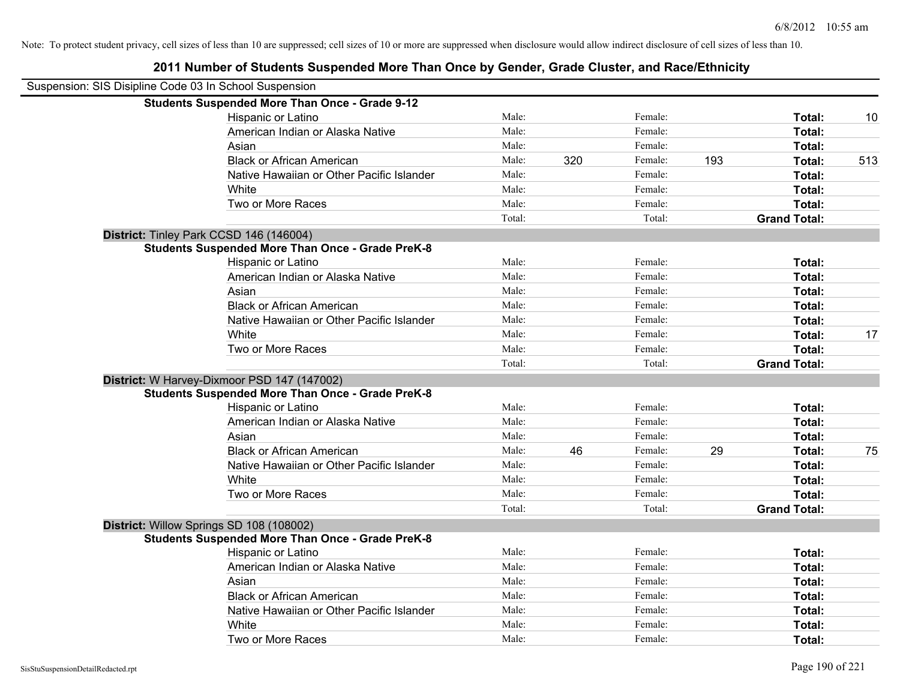| Suspension: SIS Disipline Code 03 In School Suspension |                                                         |        |     |         |     |                     |     |
|--------------------------------------------------------|---------------------------------------------------------|--------|-----|---------|-----|---------------------|-----|
|                                                        | <b>Students Suspended More Than Once - Grade 9-12</b>   |        |     |         |     |                     |     |
|                                                        | Hispanic or Latino                                      | Male:  |     | Female: |     | Total:              | 10  |
|                                                        | American Indian or Alaska Native                        | Male:  |     | Female: |     | Total:              |     |
|                                                        | Asian                                                   | Male:  |     | Female: |     | Total:              |     |
|                                                        | <b>Black or African American</b>                        | Male:  | 320 | Female: | 193 | Total:              | 513 |
|                                                        | Native Hawaiian or Other Pacific Islander               | Male:  |     | Female: |     | Total:              |     |
|                                                        | White                                                   | Male:  |     | Female: |     | Total:              |     |
|                                                        | Two or More Races                                       | Male:  |     | Female: |     | Total:              |     |
|                                                        |                                                         | Total: |     | Total:  |     | <b>Grand Total:</b> |     |
|                                                        | District: Tinley Park CCSD 146 (146004)                 |        |     |         |     |                     |     |
|                                                        | <b>Students Suspended More Than Once - Grade PreK-8</b> |        |     |         |     |                     |     |
|                                                        | Hispanic or Latino                                      | Male:  |     | Female: |     | Total:              |     |
|                                                        | American Indian or Alaska Native                        | Male:  |     | Female: |     | Total:              |     |
|                                                        | Asian                                                   | Male:  |     | Female: |     | Total:              |     |
|                                                        | <b>Black or African American</b>                        | Male:  |     | Female: |     | Total:              |     |
|                                                        | Native Hawaiian or Other Pacific Islander               | Male:  |     | Female: |     | Total:              |     |
|                                                        | White                                                   | Male:  |     | Female: |     | Total:              | 17  |
|                                                        | Two or More Races                                       | Male:  |     | Female: |     | Total:              |     |
|                                                        |                                                         | Total: |     | Total:  |     | <b>Grand Total:</b> |     |
|                                                        | District: W Harvey-Dixmoor PSD 147 (147002)             |        |     |         |     |                     |     |
|                                                        | <b>Students Suspended More Than Once - Grade PreK-8</b> |        |     |         |     |                     |     |
|                                                        | Hispanic or Latino                                      | Male:  |     | Female: |     | Total:              |     |
|                                                        | American Indian or Alaska Native                        | Male:  |     | Female: |     | Total:              |     |
|                                                        | Asian                                                   | Male:  |     | Female: |     | Total:              |     |
|                                                        | <b>Black or African American</b>                        | Male:  | 46  | Female: | 29  | Total:              | 75  |
|                                                        | Native Hawaiian or Other Pacific Islander               | Male:  |     | Female: |     | Total:              |     |
|                                                        | White                                                   | Male:  |     | Female: |     | Total:              |     |
|                                                        | Two or More Races                                       | Male:  |     | Female: |     | Total:              |     |
|                                                        |                                                         | Total: |     | Total:  |     | <b>Grand Total:</b> |     |
|                                                        | District: Willow Springs SD 108 (108002)                |        |     |         |     |                     |     |
|                                                        | <b>Students Suspended More Than Once - Grade PreK-8</b> |        |     |         |     |                     |     |
|                                                        | Hispanic or Latino                                      | Male:  |     | Female: |     | Total:              |     |
|                                                        | American Indian or Alaska Native                        | Male:  |     | Female: |     | Total:              |     |
|                                                        | Asian                                                   | Male:  |     | Female: |     | Total:              |     |
|                                                        | <b>Black or African American</b>                        | Male:  |     | Female: |     | Total:              |     |
|                                                        | Native Hawaiian or Other Pacific Islander               | Male:  |     | Female: |     | Total:              |     |
|                                                        | White                                                   | Male:  |     | Female: |     | Total:              |     |
|                                                        | Two or More Races                                       | Male:  |     | Female: |     | Total:              |     |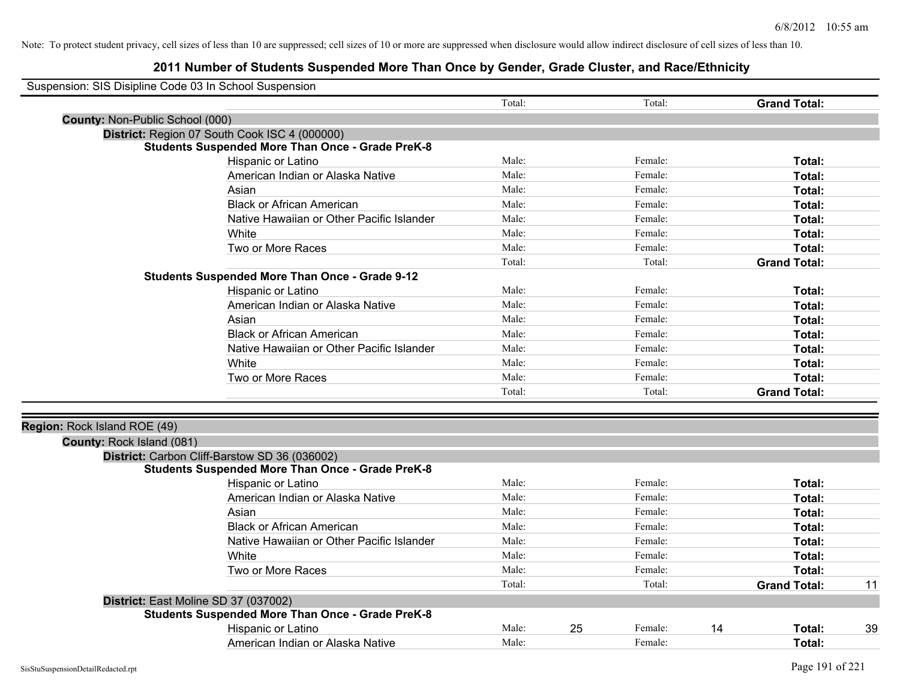| Suspension: SIS Disipline Code 03 In School Suspension |                                                         |        |    |         |    |                     |    |
|--------------------------------------------------------|---------------------------------------------------------|--------|----|---------|----|---------------------|----|
|                                                        |                                                         | Total: |    | Total:  |    | <b>Grand Total:</b> |    |
| County: Non-Public School (000)                        |                                                         |        |    |         |    |                     |    |
|                                                        | District: Region 07 South Cook ISC 4 (000000)           |        |    |         |    |                     |    |
|                                                        | <b>Students Suspended More Than Once - Grade PreK-8</b> |        |    |         |    |                     |    |
|                                                        | Hispanic or Latino                                      | Male:  |    | Female: |    | Total:              |    |
|                                                        | American Indian or Alaska Native                        | Male:  |    | Female: |    | <b>Total:</b>       |    |
|                                                        | Asian                                                   | Male:  |    | Female: |    | Total:              |    |
|                                                        | <b>Black or African American</b>                        | Male:  |    | Female: |    | Total:              |    |
|                                                        | Native Hawaiian or Other Pacific Islander               | Male:  |    | Female: |    | Total:              |    |
|                                                        | White                                                   | Male:  |    | Female: |    | Total:              |    |
|                                                        | Two or More Races                                       | Male:  |    | Female: |    | Total:              |    |
|                                                        |                                                         | Total: |    | Total:  |    | <b>Grand Total:</b> |    |
|                                                        | <b>Students Suspended More Than Once - Grade 9-12</b>   |        |    |         |    |                     |    |
|                                                        | Hispanic or Latino                                      | Male:  |    | Female: |    | Total:              |    |
|                                                        | American Indian or Alaska Native                        | Male:  |    | Female: |    | Total:              |    |
|                                                        | Asian                                                   | Male:  |    | Female: |    | Total:              |    |
|                                                        | <b>Black or African American</b>                        | Male:  |    | Female: |    | Total:              |    |
|                                                        | Native Hawaiian or Other Pacific Islander               | Male:  |    | Female: |    | Total:              |    |
|                                                        | White                                                   | Male:  |    | Female: |    | Total:              |    |
|                                                        | Two or More Races                                       | Male:  |    | Female: |    | Total:              |    |
|                                                        |                                                         | Total: |    | Total:  |    | <b>Grand Total:</b> |    |
|                                                        |                                                         |        |    |         |    |                     |    |
| Region: Rock Island ROE (49)                           |                                                         |        |    |         |    |                     |    |
| County: Rock Island (081)                              |                                                         |        |    |         |    |                     |    |
|                                                        | District: Carbon Cliff-Barstow SD 36 (036002)           |        |    |         |    |                     |    |
|                                                        | <b>Students Suspended More Than Once - Grade PreK-8</b> |        |    |         |    |                     |    |
|                                                        | Hispanic or Latino                                      | Male:  |    | Female: |    | Total:              |    |
|                                                        | American Indian or Alaska Native                        | Male:  |    | Female: |    | Total:              |    |
|                                                        | Asian                                                   | Male:  |    | Female: |    | Total:              |    |
|                                                        | <b>Black or African American</b>                        | Male:  |    | Female: |    | Total:              |    |
|                                                        | Native Hawaiian or Other Pacific Islander               | Male:  |    | Female: |    | Total:              |    |
|                                                        | White                                                   | Male:  |    | Female: |    | Total:              |    |
|                                                        | Two or More Races                                       | Male:  |    | Female: |    | Total:              |    |
|                                                        |                                                         | Total: |    | Total:  |    | <b>Grand Total:</b> | 11 |
|                                                        | District: East Moline SD 37 (037002)                    |        |    |         |    |                     |    |
|                                                        | <b>Students Suspended More Than Once - Grade PreK-8</b> |        |    |         |    |                     |    |
|                                                        | Hispanic or Latino                                      | Male:  | 25 | Female: | 14 | <b>Total:</b>       | 39 |
|                                                        | American Indian or Alaska Native                        | Male:  |    | Female: |    | Total:              |    |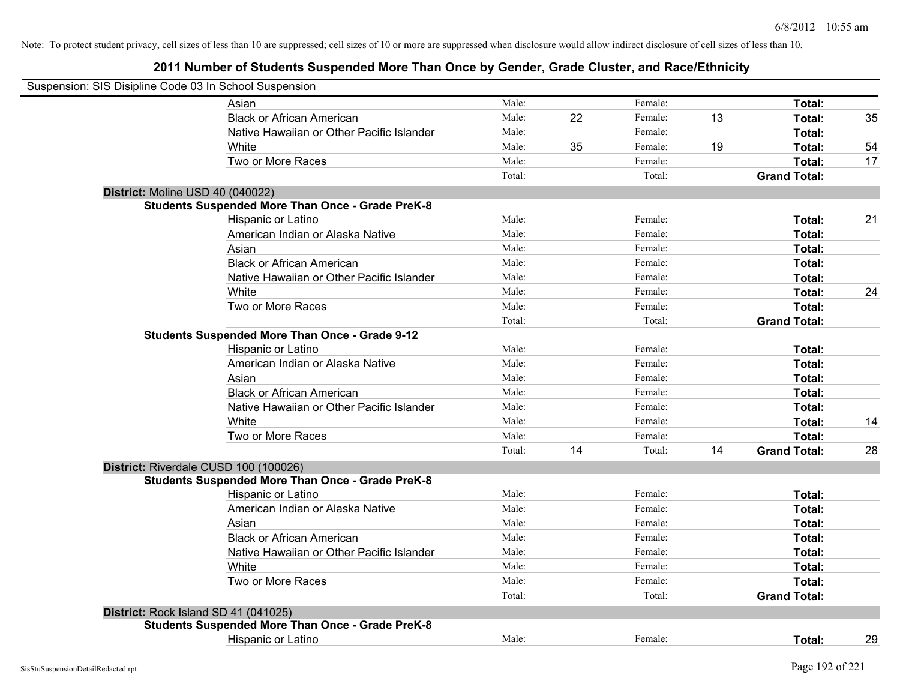| Suspension: SIS Disipline Code 03 In School Suspension |                                                         |        |    |         |    |                     |    |
|--------------------------------------------------------|---------------------------------------------------------|--------|----|---------|----|---------------------|----|
|                                                        | Asian                                                   | Male:  |    | Female: |    | Total:              |    |
|                                                        | <b>Black or African American</b>                        | Male:  | 22 | Female: | 13 | Total:              | 35 |
|                                                        | Native Hawaiian or Other Pacific Islander               | Male:  |    | Female: |    | Total:              |    |
|                                                        | White                                                   | Male:  | 35 | Female: | 19 | Total:              | 54 |
|                                                        | Two or More Races                                       | Male:  |    | Female: |    | Total:              | 17 |
|                                                        |                                                         | Total: |    | Total:  |    | <b>Grand Total:</b> |    |
|                                                        | District: Moline USD 40 (040022)                        |        |    |         |    |                     |    |
|                                                        | <b>Students Suspended More Than Once - Grade PreK-8</b> |        |    |         |    |                     |    |
|                                                        | Hispanic or Latino                                      | Male:  |    | Female: |    | Total:              | 21 |
|                                                        | American Indian or Alaska Native                        | Male:  |    | Female: |    | Total:              |    |
|                                                        | Asian                                                   | Male:  |    | Female: |    | Total:              |    |
|                                                        | <b>Black or African American</b>                        | Male:  |    | Female: |    | Total:              |    |
|                                                        | Native Hawaiian or Other Pacific Islander               | Male:  |    | Female: |    | Total:              |    |
|                                                        | White                                                   | Male:  |    | Female: |    | Total:              | 24 |
|                                                        | Two or More Races                                       | Male:  |    | Female: |    | Total:              |    |
|                                                        |                                                         | Total: |    | Total:  |    | <b>Grand Total:</b> |    |
|                                                        | <b>Students Suspended More Than Once - Grade 9-12</b>   |        |    |         |    |                     |    |
|                                                        | Hispanic or Latino                                      | Male:  |    | Female: |    | Total:              |    |
|                                                        | American Indian or Alaska Native                        | Male:  |    | Female: |    | Total:              |    |
|                                                        | Asian                                                   | Male:  |    | Female: |    | Total:              |    |
|                                                        | <b>Black or African American</b>                        | Male:  |    | Female: |    | Total:              |    |
|                                                        | Native Hawaiian or Other Pacific Islander               | Male:  |    | Female: |    | Total:              |    |
|                                                        | White                                                   | Male:  |    | Female: |    | Total:              | 14 |
|                                                        | Two or More Races                                       | Male:  |    | Female: |    | Total:              |    |
|                                                        |                                                         | Total: | 14 | Total:  | 14 | <b>Grand Total:</b> | 28 |
|                                                        | District: Riverdale CUSD 100 (100026)                   |        |    |         |    |                     |    |
|                                                        | <b>Students Suspended More Than Once - Grade PreK-8</b> |        |    |         |    |                     |    |
|                                                        | Hispanic or Latino                                      | Male:  |    | Female: |    | Total:              |    |
|                                                        | American Indian or Alaska Native                        | Male:  |    | Female: |    | Total:              |    |
|                                                        | Asian                                                   | Male:  |    | Female: |    | Total:              |    |
|                                                        | <b>Black or African American</b>                        | Male:  |    | Female: |    | Total:              |    |
|                                                        | Native Hawaiian or Other Pacific Islander               | Male:  |    | Female: |    | Total:              |    |
|                                                        | White                                                   | Male:  |    | Female: |    | Total:              |    |
|                                                        | Two or More Races                                       | Male:  |    | Female: |    | Total:              |    |
|                                                        |                                                         | Total: |    | Total:  |    | <b>Grand Total:</b> |    |
|                                                        | District: Rock Island SD 41 (041025)                    |        |    |         |    |                     |    |
|                                                        | <b>Students Suspended More Than Once - Grade PreK-8</b> |        |    |         |    |                     |    |
|                                                        | Hispanic or Latino                                      | Male:  |    | Female: |    | Total:              | 29 |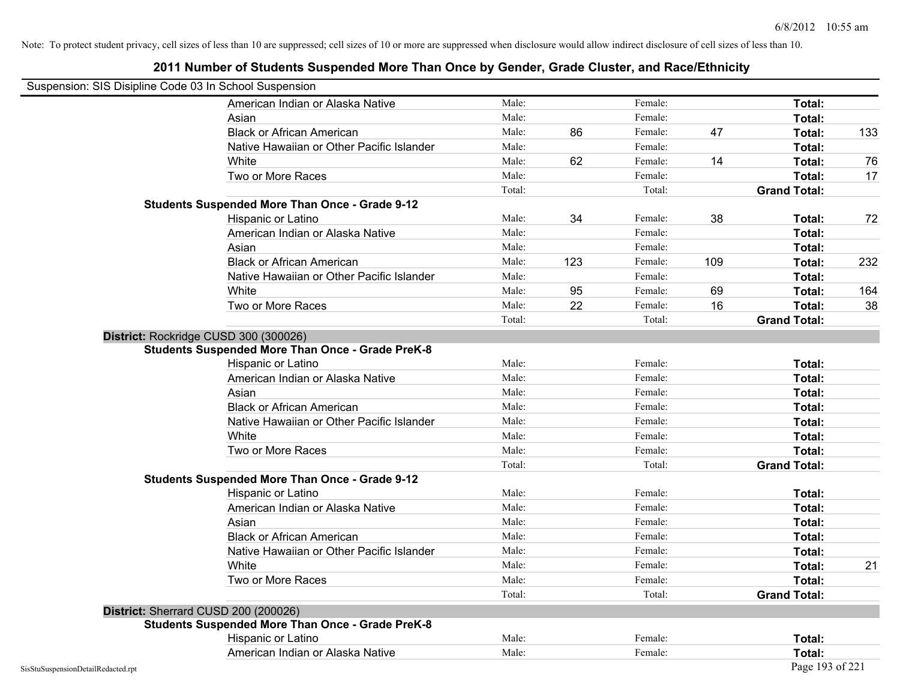| Suspension: SIS Disipline Code 03 In School Suspension |                                                         |        |     |         |     |                     |     |
|--------------------------------------------------------|---------------------------------------------------------|--------|-----|---------|-----|---------------------|-----|
|                                                        | American Indian or Alaska Native                        | Male:  |     | Female: |     | Total:              |     |
|                                                        | Asian                                                   | Male:  |     | Female: |     | Total:              |     |
|                                                        | <b>Black or African American</b>                        | Male:  | 86  | Female: | 47  | Total:              | 133 |
|                                                        | Native Hawaiian or Other Pacific Islander               | Male:  |     | Female: |     | Total:              |     |
|                                                        | White                                                   | Male:  | 62  | Female: | 14  | Total:              | 76  |
|                                                        | Two or More Races                                       | Male:  |     | Female: |     | Total:              | 17  |
|                                                        |                                                         | Total: |     | Total:  |     | <b>Grand Total:</b> |     |
|                                                        | <b>Students Suspended More Than Once - Grade 9-12</b>   |        |     |         |     |                     |     |
|                                                        | Hispanic or Latino                                      | Male:  | 34  | Female: | 38  | Total:              | 72  |
|                                                        | American Indian or Alaska Native                        | Male:  |     | Female: |     | Total:              |     |
|                                                        | Asian                                                   | Male:  |     | Female: |     | Total:              |     |
|                                                        | <b>Black or African American</b>                        | Male:  | 123 | Female: | 109 | Total:              | 232 |
|                                                        | Native Hawaiian or Other Pacific Islander               | Male:  |     | Female: |     | Total:              |     |
|                                                        | White                                                   | Male:  | 95  | Female: | 69  | Total:              | 164 |
|                                                        | Two or More Races                                       | Male:  | 22  | Female: | 16  | Total:              | 38  |
|                                                        |                                                         | Total: |     | Total:  |     | <b>Grand Total:</b> |     |
|                                                        | District: Rockridge CUSD 300 (300026)                   |        |     |         |     |                     |     |
|                                                        | <b>Students Suspended More Than Once - Grade PreK-8</b> |        |     |         |     |                     |     |
|                                                        | Hispanic or Latino                                      | Male:  |     | Female: |     | Total:              |     |
|                                                        | American Indian or Alaska Native                        | Male:  |     | Female: |     | Total:              |     |
|                                                        | Asian                                                   | Male:  |     | Female: |     | Total:              |     |
|                                                        | <b>Black or African American</b>                        | Male:  |     | Female: |     | Total:              |     |
|                                                        | Native Hawaiian or Other Pacific Islander               | Male:  |     | Female: |     | Total:              |     |
|                                                        | White                                                   | Male:  |     | Female: |     | Total:              |     |
|                                                        | Two or More Races                                       | Male:  |     | Female: |     | Total:              |     |
|                                                        |                                                         | Total: |     | Total:  |     | <b>Grand Total:</b> |     |
|                                                        | <b>Students Suspended More Than Once - Grade 9-12</b>   |        |     |         |     |                     |     |
|                                                        | Hispanic or Latino                                      | Male:  |     | Female: |     | Total:              |     |
|                                                        | American Indian or Alaska Native                        | Male:  |     | Female: |     | Total:              |     |
|                                                        | Asian                                                   | Male:  |     | Female: |     | Total:              |     |
|                                                        | <b>Black or African American</b>                        | Male:  |     | Female: |     | Total:              |     |
|                                                        | Native Hawaiian or Other Pacific Islander               | Male:  |     | Female: |     | Total:              |     |
|                                                        | White                                                   | Male:  |     | Female: |     | Total:              | 21  |
|                                                        | Two or More Races                                       | Male:  |     | Female: |     | Total:              |     |
|                                                        |                                                         | Total: |     | Total:  |     | <b>Grand Total:</b> |     |
|                                                        | District: Sherrard CUSD 200 (200026)                    |        |     |         |     |                     |     |
|                                                        | <b>Students Suspended More Than Once - Grade PreK-8</b> |        |     |         |     |                     |     |
|                                                        | Hispanic or Latino                                      | Male:  |     | Female: |     | Total:              |     |
|                                                        | American Indian or Alaska Native                        | Male:  |     | Female: |     | Total:              |     |
| SisStuSuspensionDetailRedacted.rpt                     |                                                         |        |     |         |     | Page 193 of 221     |     |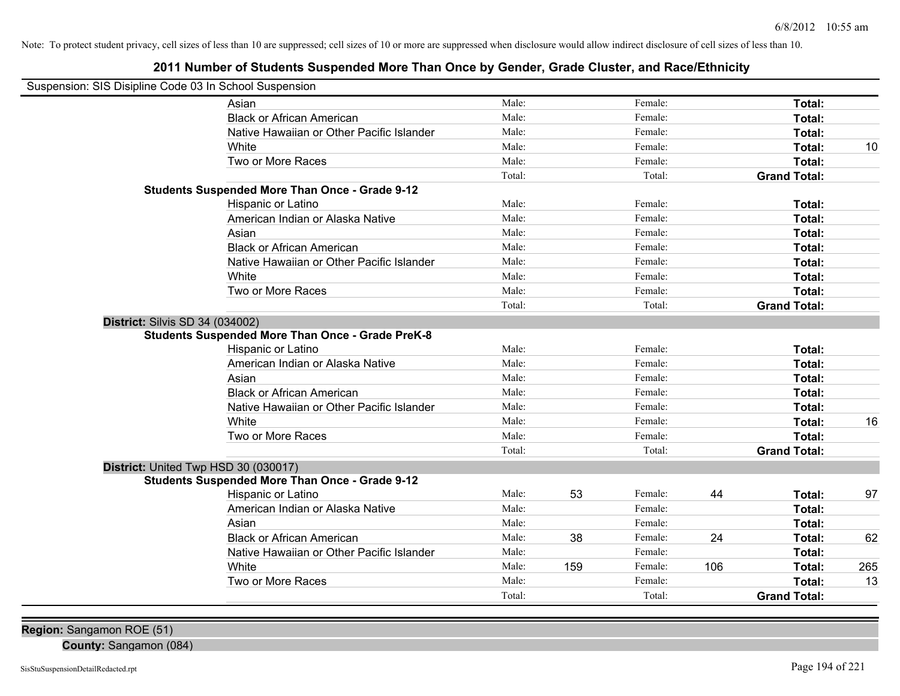# **2011 Number of Students Suspended More Than Once by Gender, Grade Cluster, and Race/Ethnicity**

| Suspension: SIS Disipline Code 03 In School Suspension |                                                         |        |     |         |     |                     |     |
|--------------------------------------------------------|---------------------------------------------------------|--------|-----|---------|-----|---------------------|-----|
|                                                        | Asian                                                   | Male:  |     | Female: |     | Total:              |     |
|                                                        | <b>Black or African American</b>                        | Male:  |     | Female: |     | Total:              |     |
|                                                        | Native Hawaiian or Other Pacific Islander               | Male:  |     | Female: |     | Total:              |     |
|                                                        | White                                                   | Male:  |     | Female: |     | Total:              | 10  |
|                                                        | Two or More Races                                       | Male:  |     | Female: |     | Total:              |     |
|                                                        |                                                         | Total: |     | Total:  |     | <b>Grand Total:</b> |     |
|                                                        | <b>Students Suspended More Than Once - Grade 9-12</b>   |        |     |         |     |                     |     |
|                                                        | Hispanic or Latino                                      | Male:  |     | Female: |     | Total:              |     |
|                                                        | American Indian or Alaska Native                        | Male:  |     | Female: |     | Total:              |     |
|                                                        | Asian                                                   | Male:  |     | Female: |     | Total:              |     |
|                                                        | <b>Black or African American</b>                        | Male:  |     | Female: |     | Total:              |     |
|                                                        | Native Hawaiian or Other Pacific Islander               | Male:  |     | Female: |     | Total:              |     |
|                                                        | White                                                   | Male:  |     | Female: |     | Total:              |     |
|                                                        | Two or More Races                                       | Male:  |     | Female: |     | Total:              |     |
|                                                        |                                                         | Total: |     | Total:  |     | <b>Grand Total:</b> |     |
| <b>District: Silvis SD 34 (034002)</b>                 |                                                         |        |     |         |     |                     |     |
|                                                        | <b>Students Suspended More Than Once - Grade PreK-8</b> |        |     |         |     |                     |     |
|                                                        | Hispanic or Latino                                      | Male:  |     | Female: |     | Total:              |     |
|                                                        | American Indian or Alaska Native                        | Male:  |     | Female: |     | Total:              |     |
|                                                        | Asian                                                   | Male:  |     | Female: |     | Total:              |     |
|                                                        | <b>Black or African American</b>                        | Male:  |     | Female: |     | Total:              |     |
|                                                        | Native Hawaiian or Other Pacific Islander               | Male:  |     | Female: |     | Total:              |     |
|                                                        | White                                                   | Male:  |     | Female: |     | Total:              | 16  |
|                                                        | Two or More Races                                       | Male:  |     | Female: |     | Total:              |     |
|                                                        |                                                         | Total: |     | Total:  |     | <b>Grand Total:</b> |     |
| District: United Twp HSD 30 (030017)                   |                                                         |        |     |         |     |                     |     |
|                                                        | <b>Students Suspended More Than Once - Grade 9-12</b>   |        |     |         |     |                     |     |
|                                                        | Hispanic or Latino                                      | Male:  | 53  | Female: | 44  | Total:              | 97  |
|                                                        | American Indian or Alaska Native                        | Male:  |     | Female: |     | Total:              |     |
|                                                        | Asian                                                   | Male:  |     | Female: |     | Total:              |     |
|                                                        | <b>Black or African American</b>                        | Male:  | 38  | Female: | 24  | Total:              | 62  |
|                                                        | Native Hawaiian or Other Pacific Islander               | Male:  |     | Female: |     | Total:              |     |
|                                                        | White                                                   | Male:  | 159 | Female: | 106 | Total:              | 265 |
|                                                        | Two or More Races                                       | Male:  |     | Female: |     | Total:              | 13  |
|                                                        |                                                         | Total: |     | Total:  |     | <b>Grand Total:</b> |     |

**County:** Sangamon (084)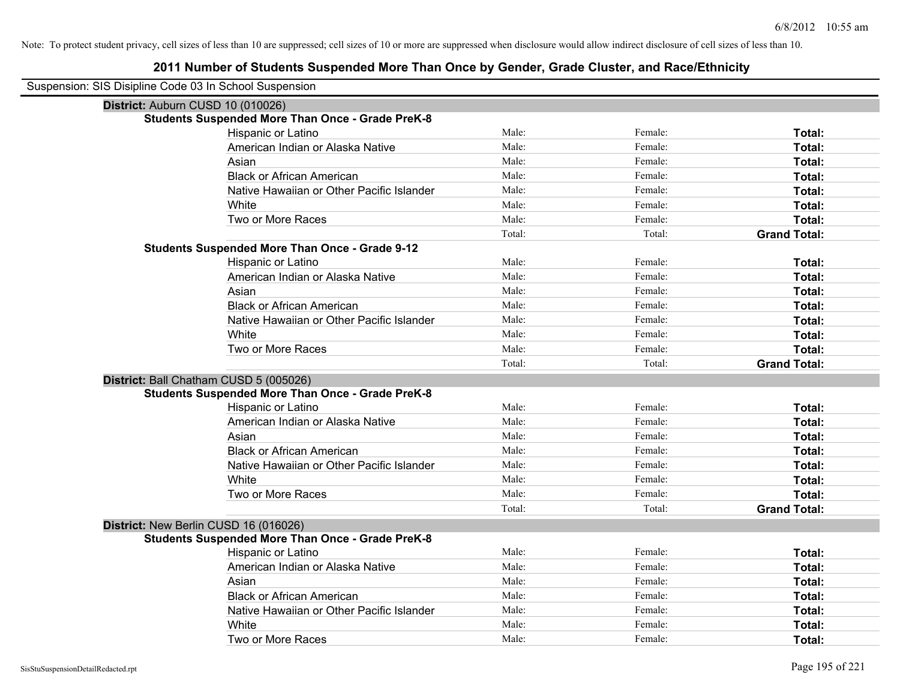| Suspension: SIS Disipline Code 03 In School Suspension  |        |         |                     |
|---------------------------------------------------------|--------|---------|---------------------|
| District: Auburn CUSD 10 (010026)                       |        |         |                     |
| <b>Students Suspended More Than Once - Grade PreK-8</b> |        |         |                     |
| Hispanic or Latino                                      | Male:  | Female: | Total:              |
| American Indian or Alaska Native                        | Male:  | Female: | Total:              |
| Asian                                                   | Male:  | Female: | Total:              |
| <b>Black or African American</b>                        | Male:  | Female: | Total:              |
| Native Hawaiian or Other Pacific Islander               | Male:  | Female: | Total:              |
| White                                                   | Male:  | Female: | Total:              |
| Two or More Races                                       | Male:  | Female: | Total:              |
|                                                         | Total: | Total:  | <b>Grand Total:</b> |
| <b>Students Suspended More Than Once - Grade 9-12</b>   |        |         |                     |
| Hispanic or Latino                                      | Male:  | Female: | Total:              |
| American Indian or Alaska Native                        | Male:  | Female: | Total:              |
| Asian                                                   | Male:  | Female: | Total:              |
| <b>Black or African American</b>                        | Male:  | Female: | Total:              |
| Native Hawaiian or Other Pacific Islander               | Male:  | Female: | Total:              |
| White                                                   | Male:  | Female: | Total:              |
| Two or More Races                                       | Male:  | Female: | Total:              |
|                                                         | Total: | Total:  | <b>Grand Total:</b> |
| District: Ball Chatham CUSD 5 (005026)                  |        |         |                     |
| <b>Students Suspended More Than Once - Grade PreK-8</b> |        |         |                     |
| Hispanic or Latino                                      | Male:  | Female: | Total:              |
| American Indian or Alaska Native                        | Male:  | Female: | Total:              |
| Asian                                                   | Male:  | Female: | Total:              |
| <b>Black or African American</b>                        | Male:  | Female: | Total:              |
| Native Hawaiian or Other Pacific Islander               | Male:  | Female: | Total:              |
| White                                                   | Male:  | Female: | Total:              |
| Two or More Races                                       | Male:  | Female: | Total:              |
|                                                         | Total: | Total:  | <b>Grand Total:</b> |
| District: New Berlin CUSD 16 (016026)                   |        |         |                     |
| <b>Students Suspended More Than Once - Grade PreK-8</b> |        |         |                     |
| Hispanic or Latino                                      | Male:  | Female: | Total:              |
| American Indian or Alaska Native                        | Male:  | Female: | Total:              |
| Asian                                                   | Male:  | Female: | Total:              |
| <b>Black or African American</b>                        | Male:  | Female: | Total:              |
| Native Hawaiian or Other Pacific Islander               | Male:  | Female: | Total:              |
| White                                                   | Male:  | Female: | <b>Total:</b>       |
| Two or More Races                                       | Male:  | Female: | Total:              |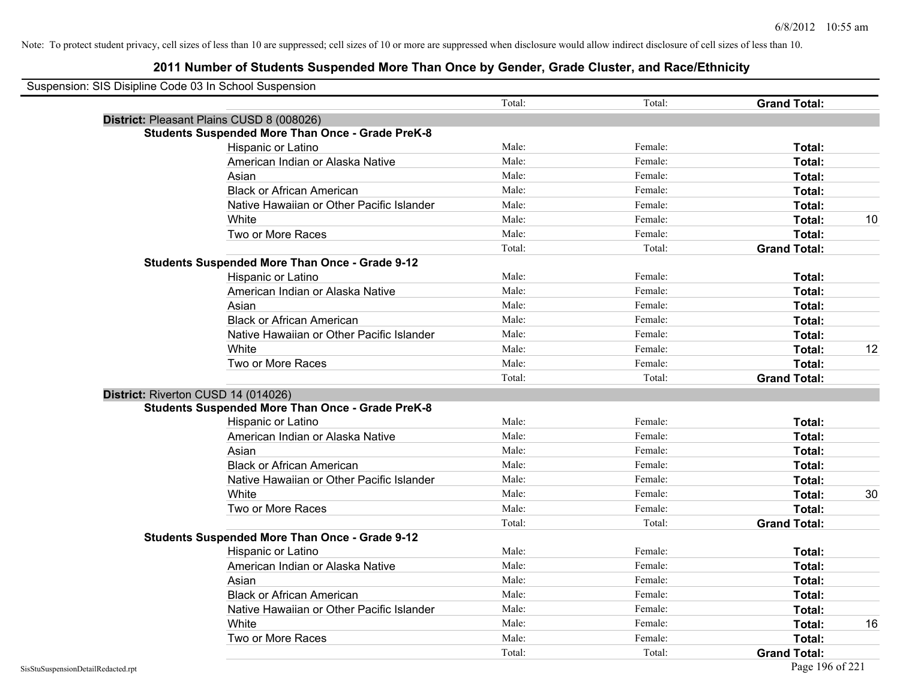| Suspension: SIS Disipline Code 03 In School Suspension |                                                         |        |         |                     |    |
|--------------------------------------------------------|---------------------------------------------------------|--------|---------|---------------------|----|
|                                                        |                                                         | Total: | Total:  | <b>Grand Total:</b> |    |
| District: Pleasant Plains CUSD 8 (008026)              |                                                         |        |         |                     |    |
|                                                        | <b>Students Suspended More Than Once - Grade PreK-8</b> |        |         |                     |    |
| Hispanic or Latino                                     |                                                         | Male:  | Female: | Total:              |    |
|                                                        | American Indian or Alaska Native                        | Male:  | Female: | Total:              |    |
| Asian                                                  |                                                         | Male:  | Female: | Total:              |    |
|                                                        | <b>Black or African American</b>                        | Male:  | Female: | Total:              |    |
|                                                        | Native Hawaiian or Other Pacific Islander               | Male:  | Female: | Total:              |    |
| White                                                  |                                                         | Male:  | Female: | Total:              | 10 |
|                                                        | Two or More Races                                       | Male:  | Female: | Total:              |    |
|                                                        |                                                         | Total: | Total:  | <b>Grand Total:</b> |    |
|                                                        | <b>Students Suspended More Than Once - Grade 9-12</b>   |        |         |                     |    |
| Hispanic or Latino                                     |                                                         | Male:  | Female: | Total:              |    |
|                                                        | American Indian or Alaska Native                        | Male:  | Female: | Total:              |    |
| Asian                                                  |                                                         | Male:  | Female: | Total:              |    |
|                                                        | <b>Black or African American</b>                        | Male:  | Female: | Total:              |    |
|                                                        | Native Hawaiian or Other Pacific Islander               | Male:  | Female: | Total:              |    |
| White                                                  |                                                         | Male:  | Female: | Total:              | 12 |
|                                                        | Two or More Races                                       | Male:  | Female: | Total:              |    |
|                                                        |                                                         | Total: | Total:  | <b>Grand Total:</b> |    |
| District: Riverton CUSD 14 (014026)                    |                                                         |        |         |                     |    |
|                                                        | <b>Students Suspended More Than Once - Grade PreK-8</b> |        |         |                     |    |
| <b>Hispanic or Latino</b>                              |                                                         | Male:  | Female: | Total:              |    |
|                                                        | American Indian or Alaska Native                        | Male:  | Female: | Total:              |    |
| Asian                                                  |                                                         | Male:  | Female: | Total:              |    |
|                                                        | <b>Black or African American</b>                        | Male:  | Female: | Total:              |    |
|                                                        | Native Hawaiian or Other Pacific Islander               | Male:  | Female: | Total:              |    |
| White                                                  |                                                         | Male:  | Female: | Total:              | 30 |
|                                                        | Two or More Races                                       | Male:  | Female: | Total:              |    |
|                                                        |                                                         | Total: | Total:  | <b>Grand Total:</b> |    |
|                                                        | <b>Students Suspended More Than Once - Grade 9-12</b>   |        |         |                     |    |
| Hispanic or Latino                                     |                                                         | Male:  | Female: | Total:              |    |
|                                                        | American Indian or Alaska Native                        | Male:  | Female: | Total:              |    |
| Asian                                                  |                                                         | Male:  | Female: | Total:              |    |
|                                                        | <b>Black or African American</b>                        | Male:  | Female: | Total:              |    |
|                                                        | Native Hawaiian or Other Pacific Islander               | Male:  | Female: | Total:              |    |
| White                                                  |                                                         | Male:  | Female: | Total:              | 16 |
|                                                        | Two or More Races                                       | Male:  | Female: | Total:              |    |
|                                                        |                                                         | Total: | Total:  | <b>Grand Total:</b> |    |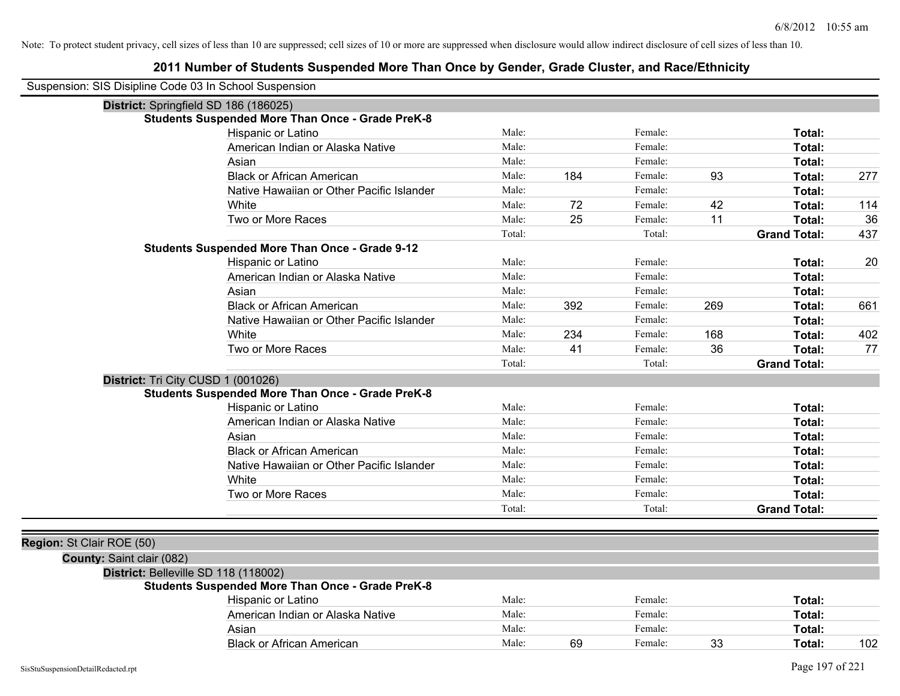| Suspension: SIS Disipline Code 03 In School Suspension |                                                         |        |     |         |     |                     |     |
|--------------------------------------------------------|---------------------------------------------------------|--------|-----|---------|-----|---------------------|-----|
| District: Springfield SD 186 (186025)                  |                                                         |        |     |         |     |                     |     |
|                                                        | <b>Students Suspended More Than Once - Grade PreK-8</b> |        |     |         |     |                     |     |
|                                                        | Hispanic or Latino                                      | Male:  |     | Female: |     | Total:              |     |
|                                                        | American Indian or Alaska Native                        | Male:  |     | Female: |     | Total:              |     |
|                                                        | Asian                                                   | Male:  |     | Female: |     | Total:              |     |
|                                                        | <b>Black or African American</b>                        | Male:  | 184 | Female: | 93  | Total:              | 277 |
|                                                        | Native Hawaiian or Other Pacific Islander               | Male:  |     | Female: |     | Total:              |     |
|                                                        | White                                                   | Male:  | 72  | Female: | 42  | Total:              | 114 |
|                                                        | Two or More Races                                       | Male:  | 25  | Female: | 11  | Total:              | 36  |
|                                                        |                                                         | Total: |     | Total:  |     | <b>Grand Total:</b> | 437 |
|                                                        | <b>Students Suspended More Than Once - Grade 9-12</b>   |        |     |         |     |                     |     |
|                                                        | Hispanic or Latino                                      | Male:  |     | Female: |     | Total:              | 20  |
|                                                        | American Indian or Alaska Native                        | Male:  |     | Female: |     | Total:              |     |
|                                                        | Asian                                                   | Male:  |     | Female: |     | Total:              |     |
|                                                        | <b>Black or African American</b>                        | Male:  | 392 | Female: | 269 | Total:              | 661 |
|                                                        | Native Hawaiian or Other Pacific Islander               | Male:  |     | Female: |     | Total:              |     |
|                                                        | White                                                   | Male:  | 234 | Female: | 168 | Total:              | 402 |
|                                                        | Two or More Races                                       | Male:  | 41  | Female: | 36  | Total:              | 77  |
|                                                        |                                                         | Total: |     | Total:  |     | <b>Grand Total:</b> |     |
| District: Tri City CUSD 1 (001026)                     |                                                         |        |     |         |     |                     |     |
|                                                        | <b>Students Suspended More Than Once - Grade PreK-8</b> |        |     |         |     |                     |     |
|                                                        | Hispanic or Latino                                      | Male:  |     | Female: |     | Total:              |     |
|                                                        | American Indian or Alaska Native                        | Male:  |     | Female: |     | Total:              |     |
|                                                        | Asian                                                   | Male:  |     | Female: |     | Total:              |     |
|                                                        | <b>Black or African American</b>                        | Male:  |     | Female: |     | Total:              |     |
|                                                        | Native Hawaiian or Other Pacific Islander               | Male:  |     | Female: |     | Total:              |     |
|                                                        | White                                                   | Male:  |     | Female: |     | Total:              |     |
|                                                        | Two or More Races                                       | Male:  |     | Female: |     | Total:              |     |
|                                                        |                                                         | Total: |     | Total:  |     | <b>Grand Total:</b> |     |
|                                                        |                                                         |        |     |         |     |                     |     |
| Region: St Clair ROE (50)                              |                                                         |        |     |         |     |                     |     |
| County: Saint clair (082)                              |                                                         |        |     |         |     |                     |     |
| District: Belleville SD 118 (118002)                   |                                                         |        |     |         |     |                     |     |
|                                                        | <b>Students Suspended More Than Once - Grade PreK-8</b> |        |     |         |     |                     |     |
|                                                        | Hispanic or Latino                                      | Male:  |     | Female: |     | Total:              |     |
|                                                        | American Indian or Alaska Native                        | Male:  |     | Female: |     | Total:              |     |
|                                                        | Asian                                                   | Male:  |     | Female: |     | Total:              |     |
|                                                        | <b>Black or African American</b>                        | Male:  | 69  | Female: | 33  | Total:              | 102 |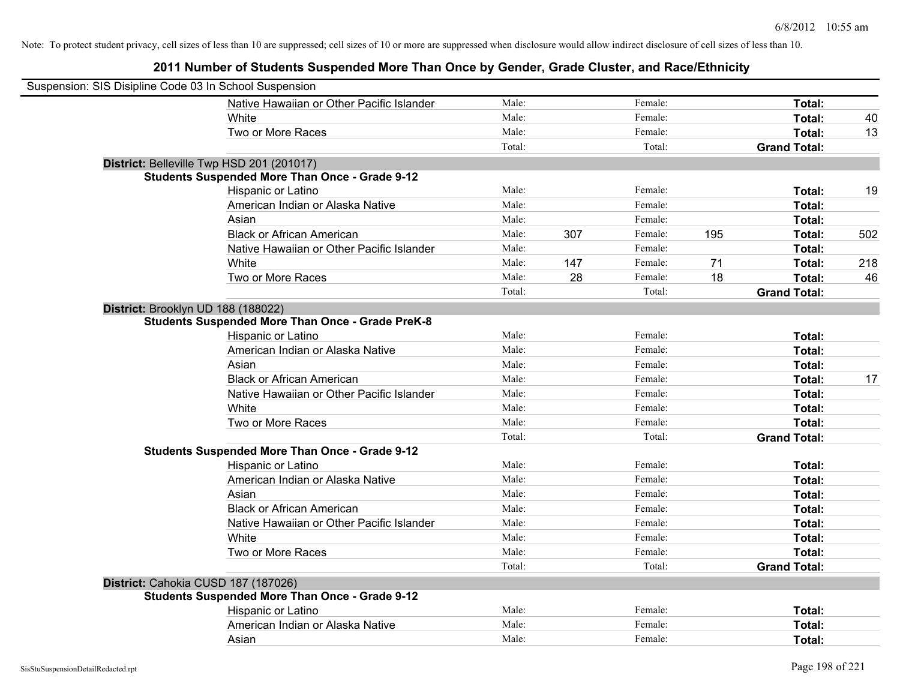| Suspension: SIS Disipline Code 03 In School Suspension |                                                         |        |     |         |     |                     |     |
|--------------------------------------------------------|---------------------------------------------------------|--------|-----|---------|-----|---------------------|-----|
|                                                        | Native Hawaiian or Other Pacific Islander               | Male:  |     | Female: |     | Total:              |     |
|                                                        | White                                                   | Male:  |     | Female: |     | Total:              | 40  |
|                                                        | Two or More Races                                       | Male:  |     | Female: |     | Total:              | 13  |
|                                                        |                                                         | Total: |     | Total:  |     | <b>Grand Total:</b> |     |
|                                                        | District: Belleville Twp HSD 201 (201017)               |        |     |         |     |                     |     |
|                                                        | <b>Students Suspended More Than Once - Grade 9-12</b>   |        |     |         |     |                     |     |
|                                                        | Hispanic or Latino                                      | Male:  |     | Female: |     | Total:              | 19  |
|                                                        | American Indian or Alaska Native                        | Male:  |     | Female: |     | Total:              |     |
|                                                        | Asian                                                   | Male:  |     | Female: |     | Total:              |     |
|                                                        | <b>Black or African American</b>                        | Male:  | 307 | Female: | 195 | Total:              | 502 |
|                                                        | Native Hawaiian or Other Pacific Islander               | Male:  |     | Female: |     | Total:              |     |
|                                                        | White                                                   | Male:  | 147 | Female: | 71  | Total:              | 218 |
|                                                        | Two or More Races                                       | Male:  | 28  | Female: | 18  | Total:              | 46  |
|                                                        |                                                         | Total: |     | Total:  |     | <b>Grand Total:</b> |     |
| District: Brooklyn UD 188 (188022)                     |                                                         |        |     |         |     |                     |     |
|                                                        | <b>Students Suspended More Than Once - Grade PreK-8</b> |        |     |         |     |                     |     |
|                                                        | Hispanic or Latino                                      | Male:  |     | Female: |     | Total:              |     |
|                                                        | American Indian or Alaska Native                        | Male:  |     | Female: |     | Total:              |     |
|                                                        | Asian                                                   | Male:  |     | Female: |     | Total:              |     |
|                                                        | <b>Black or African American</b>                        | Male:  |     | Female: |     | Total:              | 17  |
|                                                        | Native Hawaiian or Other Pacific Islander               | Male:  |     | Female: |     | Total:              |     |
|                                                        | White                                                   | Male:  |     | Female: |     | Total:              |     |
|                                                        | Two or More Races                                       | Male:  |     | Female: |     | Total:              |     |
|                                                        |                                                         | Total: |     | Total:  |     | <b>Grand Total:</b> |     |
|                                                        | <b>Students Suspended More Than Once - Grade 9-12</b>   |        |     |         |     |                     |     |
|                                                        | Hispanic or Latino                                      | Male:  |     | Female: |     | Total:              |     |
|                                                        | American Indian or Alaska Native                        | Male:  |     | Female: |     | Total:              |     |
|                                                        | Asian                                                   | Male:  |     | Female: |     | Total:              |     |
|                                                        | <b>Black or African American</b>                        | Male:  |     | Female: |     | Total:              |     |
|                                                        | Native Hawaiian or Other Pacific Islander               | Male:  |     | Female: |     | Total:              |     |
|                                                        | White                                                   | Male:  |     | Female: |     | Total:              |     |
|                                                        | Two or More Races                                       | Male:  |     | Female: |     | Total:              |     |
|                                                        |                                                         | Total: |     | Total:  |     | <b>Grand Total:</b> |     |
| District: Cahokia CUSD 187 (187026)                    |                                                         |        |     |         |     |                     |     |
|                                                        | <b>Students Suspended More Than Once - Grade 9-12</b>   |        |     |         |     |                     |     |
|                                                        | Hispanic or Latino                                      | Male:  |     | Female: |     | Total:              |     |
|                                                        | American Indian or Alaska Native                        | Male:  |     | Female: |     | Total:              |     |
|                                                        | Asian                                                   | Male:  |     | Female: |     | Total:              |     |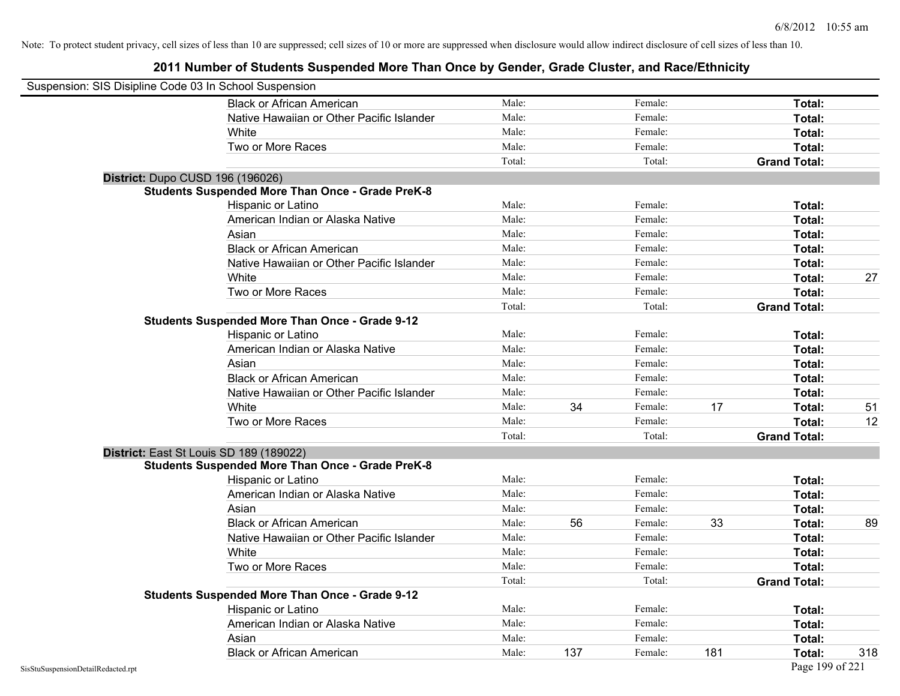| Suspension: SIS Disipline Code 03 In School Suspension |                                                         |        |     |         |     |                     |     |
|--------------------------------------------------------|---------------------------------------------------------|--------|-----|---------|-----|---------------------|-----|
|                                                        | <b>Black or African American</b>                        | Male:  |     | Female: |     | Total:              |     |
|                                                        | Native Hawaiian or Other Pacific Islander               | Male:  |     | Female: |     | Total:              |     |
|                                                        | White                                                   | Male:  |     | Female: |     | Total:              |     |
|                                                        | Two or More Races                                       | Male:  |     | Female: |     | Total:              |     |
|                                                        |                                                         | Total: |     | Total:  |     | <b>Grand Total:</b> |     |
|                                                        | District: Dupo CUSD 196 (196026)                        |        |     |         |     |                     |     |
|                                                        | <b>Students Suspended More Than Once - Grade PreK-8</b> |        |     |         |     |                     |     |
|                                                        | Hispanic or Latino                                      | Male:  |     | Female: |     | Total:              |     |
|                                                        | American Indian or Alaska Native                        | Male:  |     | Female: |     | Total:              |     |
|                                                        | Asian                                                   | Male:  |     | Female: |     | Total:              |     |
|                                                        | <b>Black or African American</b>                        | Male:  |     | Female: |     | Total:              |     |
|                                                        | Native Hawaiian or Other Pacific Islander               | Male:  |     | Female: |     | Total:              |     |
|                                                        | White                                                   | Male:  |     | Female: |     | Total:              | 27  |
|                                                        | Two or More Races                                       | Male:  |     | Female: |     | Total:              |     |
|                                                        |                                                         | Total: |     | Total:  |     | <b>Grand Total:</b> |     |
|                                                        | <b>Students Suspended More Than Once - Grade 9-12</b>   |        |     |         |     |                     |     |
|                                                        | Hispanic or Latino                                      | Male:  |     | Female: |     | Total:              |     |
|                                                        | American Indian or Alaska Native                        | Male:  |     | Female: |     | Total:              |     |
|                                                        | Asian                                                   | Male:  |     | Female: |     | Total:              |     |
|                                                        | <b>Black or African American</b>                        | Male:  |     | Female: |     | Total:              |     |
|                                                        | Native Hawaiian or Other Pacific Islander               | Male:  |     | Female: |     | Total:              |     |
|                                                        | White                                                   | Male:  | 34  | Female: | 17  | Total:              | 51  |
|                                                        | Two or More Races                                       | Male:  |     | Female: |     | Total:              | 12  |
|                                                        |                                                         | Total: |     | Total:  |     | <b>Grand Total:</b> |     |
|                                                        | District: East St Louis SD 189 (189022)                 |        |     |         |     |                     |     |
|                                                        | <b>Students Suspended More Than Once - Grade PreK-8</b> |        |     |         |     |                     |     |
|                                                        | Hispanic or Latino                                      | Male:  |     | Female: |     | Total:              |     |
|                                                        | American Indian or Alaska Native                        | Male:  |     | Female: |     | Total:              |     |
|                                                        | Asian                                                   | Male:  |     | Female: |     | Total:              |     |
|                                                        | <b>Black or African American</b>                        | Male:  | 56  | Female: | 33  | Total:              | 89  |
|                                                        | Native Hawaiian or Other Pacific Islander               | Male:  |     | Female: |     | Total:              |     |
|                                                        | White                                                   | Male:  |     | Female: |     | Total:              |     |
|                                                        | Two or More Races                                       | Male:  |     | Female: |     | Total:              |     |
|                                                        |                                                         | Total: |     | Total:  |     | <b>Grand Total:</b> |     |
|                                                        | <b>Students Suspended More Than Once - Grade 9-12</b>   |        |     |         |     |                     |     |
|                                                        | Hispanic or Latino                                      | Male:  |     | Female: |     | Total:              |     |
|                                                        | American Indian or Alaska Native                        | Male:  |     | Female: |     | Total:              |     |
|                                                        | Asian                                                   | Male:  |     | Female: |     | Total:              |     |
|                                                        | <b>Black or African American</b>                        | Male:  | 137 | Female: | 181 | Total:              | 318 |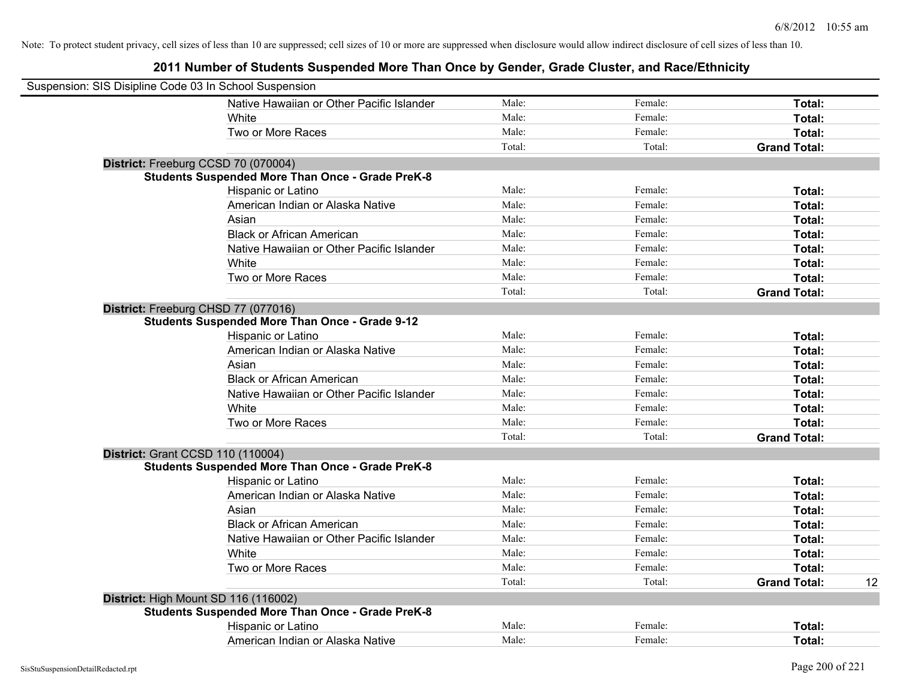| Suspension: SIS Disipline Code 03 In School Suspension  |        |         |                           |
|---------------------------------------------------------|--------|---------|---------------------------|
| Native Hawaiian or Other Pacific Islander               | Male:  | Female: | Total:                    |
| White                                                   | Male:  | Female: | Total:                    |
| Two or More Races                                       | Male:  | Female: | Total:                    |
|                                                         | Total: | Total:  | <b>Grand Total:</b>       |
| District: Freeburg CCSD 70 (070004)                     |        |         |                           |
| <b>Students Suspended More Than Once - Grade PreK-8</b> |        |         |                           |
| Hispanic or Latino                                      | Male:  | Female: | Total:                    |
| American Indian or Alaska Native                        | Male:  | Female: | Total:                    |
| Asian                                                   | Male:  | Female: | Total:                    |
| <b>Black or African American</b>                        | Male:  | Female: | Total:                    |
| Native Hawaiian or Other Pacific Islander               | Male:  | Female: | Total:                    |
| White                                                   | Male:  | Female: | Total:                    |
| Two or More Races                                       | Male:  | Female: | Total:                    |
|                                                         | Total: | Total:  | <b>Grand Total:</b>       |
| District: Freeburg CHSD 77 (077016)                     |        |         |                           |
| <b>Students Suspended More Than Once - Grade 9-12</b>   |        |         |                           |
| Hispanic or Latino                                      | Male:  | Female: | Total:                    |
| American Indian or Alaska Native                        | Male:  | Female: | Total:                    |
| Asian                                                   | Male:  | Female: | Total:                    |
| <b>Black or African American</b>                        | Male:  | Female: | Total:                    |
| Native Hawaiian or Other Pacific Islander               | Male:  | Female: | Total:                    |
| White                                                   | Male:  | Female: | Total:                    |
| Two or More Races                                       | Male:  | Female: | Total:                    |
|                                                         | Total: | Total:  | <b>Grand Total:</b>       |
| <b>District: Grant CCSD 110 (110004)</b>                |        |         |                           |
| <b>Students Suspended More Than Once - Grade PreK-8</b> |        |         |                           |
| Hispanic or Latino                                      | Male:  | Female: | Total:                    |
| American Indian or Alaska Native                        | Male:  | Female: | Total:                    |
| Asian                                                   | Male:  | Female: | Total:                    |
| <b>Black or African American</b>                        | Male:  | Female: | Total:                    |
| Native Hawaiian or Other Pacific Islander               | Male:  | Female: | Total:                    |
| White                                                   | Male:  | Female: | Total:                    |
| Two or More Races                                       | Male:  | Female: | Total:                    |
|                                                         | Total: | Total:  | <b>Grand Total:</b><br>12 |
| District: High Mount SD 116 (116002)                    |        |         |                           |
| <b>Students Suspended More Than Once - Grade PreK-8</b> |        |         |                           |
| Hispanic or Latino                                      | Male:  | Female: | Total:                    |
| American Indian or Alaska Native                        | Male:  | Female: | Total:                    |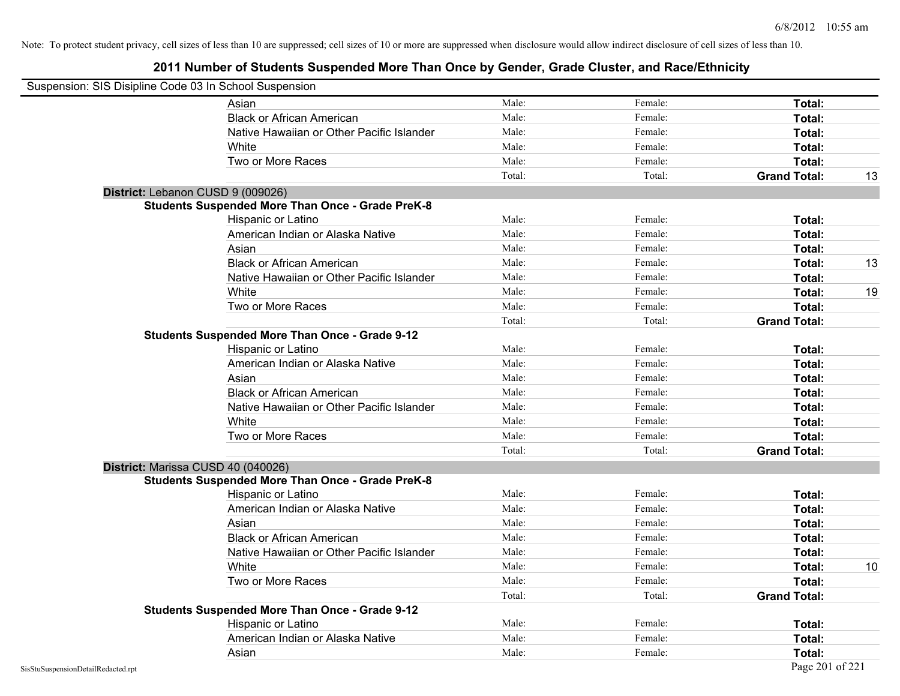| Suspension: SIS Disipline Code 03 In School Suspension |                                                         |        |         |                     |    |
|--------------------------------------------------------|---------------------------------------------------------|--------|---------|---------------------|----|
|                                                        | Asian                                                   | Male:  | Female: | Total:              |    |
|                                                        | <b>Black or African American</b>                        | Male:  | Female: | Total:              |    |
|                                                        | Native Hawaiian or Other Pacific Islander               | Male:  | Female: | Total:              |    |
|                                                        | White                                                   | Male:  | Female: | Total:              |    |
|                                                        | Two or More Races                                       | Male:  | Female: | Total:              |    |
|                                                        |                                                         | Total: | Total:  | <b>Grand Total:</b> | 13 |
| District: Lebanon CUSD 9 (009026)                      |                                                         |        |         |                     |    |
|                                                        | <b>Students Suspended More Than Once - Grade PreK-8</b> |        |         |                     |    |
|                                                        | Hispanic or Latino                                      | Male:  | Female: | Total:              |    |
|                                                        | American Indian or Alaska Native                        | Male:  | Female: | Total:              |    |
|                                                        | Asian                                                   | Male:  | Female: | Total:              |    |
|                                                        | <b>Black or African American</b>                        | Male:  | Female: | Total:              | 13 |
|                                                        | Native Hawaiian or Other Pacific Islander               | Male:  | Female: | Total:              |    |
|                                                        | White                                                   | Male:  | Female: | Total:              | 19 |
|                                                        | Two or More Races                                       | Male:  | Female: | Total:              |    |
|                                                        |                                                         | Total: | Total:  | <b>Grand Total:</b> |    |
|                                                        | <b>Students Suspended More Than Once - Grade 9-12</b>   |        |         |                     |    |
|                                                        | Hispanic or Latino                                      | Male:  | Female: | Total:              |    |
|                                                        | American Indian or Alaska Native                        | Male:  | Female: | Total:              |    |
|                                                        | Asian                                                   | Male:  | Female: | Total:              |    |
|                                                        | <b>Black or African American</b>                        | Male:  | Female: | Total:              |    |
|                                                        | Native Hawaiian or Other Pacific Islander               | Male:  | Female: | Total:              |    |
|                                                        | White                                                   | Male:  | Female: | Total:              |    |
|                                                        | Two or More Races                                       | Male:  | Female: | Total:              |    |
|                                                        |                                                         | Total: | Total:  | <b>Grand Total:</b> |    |
| District: Marissa CUSD 40 (040026)                     |                                                         |        |         |                     |    |
|                                                        | <b>Students Suspended More Than Once - Grade PreK-8</b> |        |         |                     |    |
|                                                        | Hispanic or Latino                                      | Male:  | Female: | Total:              |    |
|                                                        | American Indian or Alaska Native                        | Male:  | Female: | Total:              |    |
|                                                        | Asian                                                   | Male:  | Female: | Total:              |    |
|                                                        | <b>Black or African American</b>                        | Male:  | Female: | Total:              |    |
|                                                        | Native Hawaiian or Other Pacific Islander               | Male:  | Female: | Total:              |    |
|                                                        | White                                                   | Male:  | Female: | Total:              | 10 |
|                                                        | Two or More Races                                       | Male:  | Female: | Total:              |    |
|                                                        |                                                         | Total: | Total:  | <b>Grand Total:</b> |    |
|                                                        | <b>Students Suspended More Than Once - Grade 9-12</b>   |        |         |                     |    |
|                                                        | Hispanic or Latino                                      | Male:  | Female: | Total:              |    |
|                                                        | American Indian or Alaska Native                        | Male:  | Female: | Total:              |    |
|                                                        | Asian                                                   | Male:  | Female: | Total:              |    |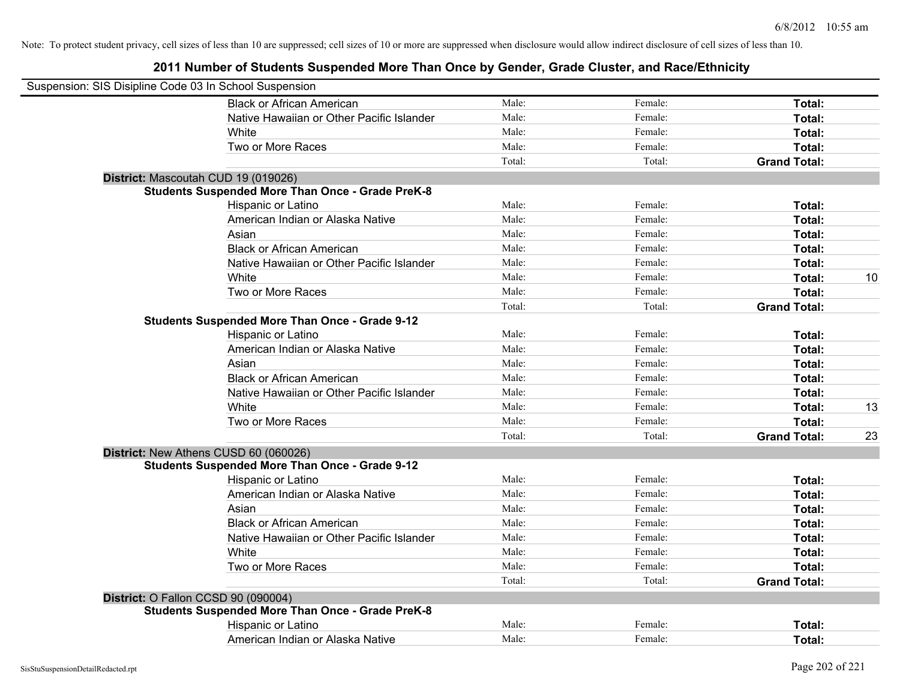| Suspension: SIS Disipline Code 03 In School Suspension |                                                         |        |         |                     |    |
|--------------------------------------------------------|---------------------------------------------------------|--------|---------|---------------------|----|
|                                                        | <b>Black or African American</b>                        | Male:  | Female: | Total:              |    |
|                                                        | Native Hawaiian or Other Pacific Islander               | Male:  | Female: | Total:              |    |
|                                                        | White                                                   | Male:  | Female: | Total:              |    |
|                                                        | Two or More Races                                       | Male:  | Female: | Total:              |    |
|                                                        |                                                         | Total: | Total:  | <b>Grand Total:</b> |    |
|                                                        | District: Mascoutah CUD 19 (019026)                     |        |         |                     |    |
|                                                        | <b>Students Suspended More Than Once - Grade PreK-8</b> |        |         |                     |    |
|                                                        | Hispanic or Latino                                      | Male:  | Female: | Total:              |    |
|                                                        | American Indian or Alaska Native                        | Male:  | Female: | Total:              |    |
|                                                        | Asian                                                   | Male:  | Female: | Total:              |    |
|                                                        | <b>Black or African American</b>                        | Male:  | Female: | Total:              |    |
|                                                        | Native Hawaiian or Other Pacific Islander               | Male:  | Female: | Total:              |    |
|                                                        | White                                                   | Male:  | Female: | Total:              | 10 |
|                                                        | Two or More Races                                       | Male:  | Female: | Total:              |    |
|                                                        |                                                         | Total: | Total:  | <b>Grand Total:</b> |    |
|                                                        | <b>Students Suspended More Than Once - Grade 9-12</b>   |        |         |                     |    |
|                                                        | Hispanic or Latino                                      | Male:  | Female: | Total:              |    |
|                                                        | American Indian or Alaska Native                        | Male:  | Female: | Total:              |    |
|                                                        | Asian                                                   | Male:  | Female: | Total:              |    |
|                                                        | <b>Black or African American</b>                        | Male:  | Female: | Total:              |    |
|                                                        | Native Hawaiian or Other Pacific Islander               | Male:  | Female: | Total:              |    |
|                                                        | White                                                   | Male:  | Female: | Total:              | 13 |
|                                                        | Two or More Races                                       | Male:  | Female: | Total:              |    |
|                                                        |                                                         | Total: | Total:  | <b>Grand Total:</b> | 23 |
|                                                        | District: New Athens CUSD 60 (060026)                   |        |         |                     |    |
|                                                        | <b>Students Suspended More Than Once - Grade 9-12</b>   |        |         |                     |    |
|                                                        | Hispanic or Latino                                      | Male:  | Female: | Total:              |    |
|                                                        | American Indian or Alaska Native                        | Male:  | Female: | Total:              |    |
|                                                        | Asian                                                   | Male:  | Female: | Total:              |    |
|                                                        | <b>Black or African American</b>                        | Male:  | Female: | Total:              |    |
|                                                        | Native Hawaiian or Other Pacific Islander               | Male:  | Female: | Total:              |    |
|                                                        | <b>White</b>                                            | Male:  | Female: | Total:              |    |
|                                                        | Two or More Races                                       | Male:  | Female: | Total:              |    |
|                                                        |                                                         | Total: | Total:  | <b>Grand Total:</b> |    |
| District: O Fallon CCSD 90 (090004)                    |                                                         |        |         |                     |    |
|                                                        | <b>Students Suspended More Than Once - Grade PreK-8</b> |        |         |                     |    |
|                                                        | Hispanic or Latino                                      | Male:  | Female: | <b>Total:</b>       |    |
|                                                        | American Indian or Alaska Native                        | Male:  | Female: | Total:              |    |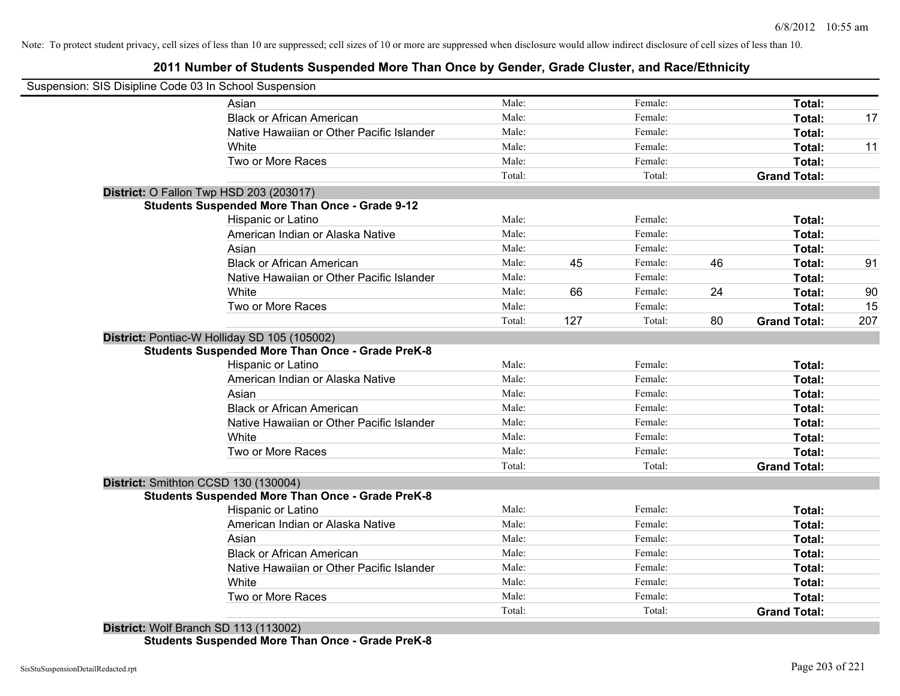# **2011 Number of Students Suspended More Than Once by Gender, Grade Cluster, and Race/Ethnicity**

| Suspension: SIS Disipline Code 03 In School Suspension<br>Male:<br>Female:<br>Total:<br>Asian<br><b>Black or African American</b><br>Male:<br>Female:<br>Total:<br>Male:<br>Female:<br>Native Hawaiian or Other Pacific Islander<br>Total:<br>Male:<br>Female:<br>White<br><b>Total:</b><br>Two or More Races<br>Male:<br>Female:<br>Total:<br>Total:<br>Total:<br><b>Grand Total:</b><br>District: O Fallon Twp HSD 203 (203017)<br><b>Students Suspended More Than Once - Grade 9-12</b><br>Male:<br>Female:<br>Hispanic or Latino<br>Total:<br>Male:<br>American Indian or Alaska Native<br>Female:<br>Total:<br>Male:<br>Asian<br>Female:<br>Total:<br><b>Black or African American</b><br>Male:<br>45<br>46<br>Female:<br>Total:<br>Male:<br>Native Hawaiian or Other Pacific Islander<br>Female:<br>Total:<br>White<br>66<br>24<br>Male:<br>Female:<br>Total:<br>Two or More Races<br>Male:<br>Female:<br>Total:<br>127<br>80<br>Total:<br>Total:<br><b>Grand Total:</b><br>District: Pontiac-W Holliday SD 105 (105002)<br><b>Students Suspended More Than Once - Grade PreK-8</b><br>Male:<br>Female:<br>Hispanic or Latino<br>Total:<br>Male:<br>Female:<br>American Indian or Alaska Native<br>Total:<br>Male:<br>Female:<br>Asian<br>Total:<br>Male:<br><b>Black or African American</b><br>Female:<br>Total:<br>Native Hawaiian or Other Pacific Islander<br>Male:<br>Female:<br>Total:<br>White<br>Male:<br>Female:<br>Total:<br>Male:<br>Two or More Races<br>Female:<br>Total:<br>Total:<br>Total:<br><b>Grand Total:</b><br>District: Smithton CCSD 130 (130004)<br><b>Students Suspended More Than Once - Grade PreK-8</b><br>Male:<br>Hispanic or Latino<br>Female:<br>Total:<br>Male:<br>American Indian or Alaska Native<br>Female:<br>Total:<br>Male:<br>Asian<br>Female:<br>Total:<br>Male:<br><b>Black or African American</b><br>Female:<br>Total:<br>Male:<br>Native Hawaiian or Other Pacific Islander<br>Female:<br>Total:<br>White<br>Male:<br>Female:<br>Total:<br>Male:<br>Two or More Races<br>Female:<br>Total:<br>Total:<br>Total:<br><b>Grand Total:</b><br>District: Wolf Branch SD 113 (113002) |  |  |  |     |
|-------------------------------------------------------------------------------------------------------------------------------------------------------------------------------------------------------------------------------------------------------------------------------------------------------------------------------------------------------------------------------------------------------------------------------------------------------------------------------------------------------------------------------------------------------------------------------------------------------------------------------------------------------------------------------------------------------------------------------------------------------------------------------------------------------------------------------------------------------------------------------------------------------------------------------------------------------------------------------------------------------------------------------------------------------------------------------------------------------------------------------------------------------------------------------------------------------------------------------------------------------------------------------------------------------------------------------------------------------------------------------------------------------------------------------------------------------------------------------------------------------------------------------------------------------------------------------------------------------------------------------------------------------------------------------------------------------------------------------------------------------------------------------------------------------------------------------------------------------------------------------------------------------------------------------------------------------------------------------------------------------------------------------------------------------------------------------------------------------------------------------------|--|--|--|-----|
|                                                                                                                                                                                                                                                                                                                                                                                                                                                                                                                                                                                                                                                                                                                                                                                                                                                                                                                                                                                                                                                                                                                                                                                                                                                                                                                                                                                                                                                                                                                                                                                                                                                                                                                                                                                                                                                                                                                                                                                                                                                                                                                                     |  |  |  |     |
|                                                                                                                                                                                                                                                                                                                                                                                                                                                                                                                                                                                                                                                                                                                                                                                                                                                                                                                                                                                                                                                                                                                                                                                                                                                                                                                                                                                                                                                                                                                                                                                                                                                                                                                                                                                                                                                                                                                                                                                                                                                                                                                                     |  |  |  |     |
|                                                                                                                                                                                                                                                                                                                                                                                                                                                                                                                                                                                                                                                                                                                                                                                                                                                                                                                                                                                                                                                                                                                                                                                                                                                                                                                                                                                                                                                                                                                                                                                                                                                                                                                                                                                                                                                                                                                                                                                                                                                                                                                                     |  |  |  | 17  |
|                                                                                                                                                                                                                                                                                                                                                                                                                                                                                                                                                                                                                                                                                                                                                                                                                                                                                                                                                                                                                                                                                                                                                                                                                                                                                                                                                                                                                                                                                                                                                                                                                                                                                                                                                                                                                                                                                                                                                                                                                                                                                                                                     |  |  |  |     |
|                                                                                                                                                                                                                                                                                                                                                                                                                                                                                                                                                                                                                                                                                                                                                                                                                                                                                                                                                                                                                                                                                                                                                                                                                                                                                                                                                                                                                                                                                                                                                                                                                                                                                                                                                                                                                                                                                                                                                                                                                                                                                                                                     |  |  |  | 11  |
|                                                                                                                                                                                                                                                                                                                                                                                                                                                                                                                                                                                                                                                                                                                                                                                                                                                                                                                                                                                                                                                                                                                                                                                                                                                                                                                                                                                                                                                                                                                                                                                                                                                                                                                                                                                                                                                                                                                                                                                                                                                                                                                                     |  |  |  |     |
|                                                                                                                                                                                                                                                                                                                                                                                                                                                                                                                                                                                                                                                                                                                                                                                                                                                                                                                                                                                                                                                                                                                                                                                                                                                                                                                                                                                                                                                                                                                                                                                                                                                                                                                                                                                                                                                                                                                                                                                                                                                                                                                                     |  |  |  |     |
|                                                                                                                                                                                                                                                                                                                                                                                                                                                                                                                                                                                                                                                                                                                                                                                                                                                                                                                                                                                                                                                                                                                                                                                                                                                                                                                                                                                                                                                                                                                                                                                                                                                                                                                                                                                                                                                                                                                                                                                                                                                                                                                                     |  |  |  |     |
|                                                                                                                                                                                                                                                                                                                                                                                                                                                                                                                                                                                                                                                                                                                                                                                                                                                                                                                                                                                                                                                                                                                                                                                                                                                                                                                                                                                                                                                                                                                                                                                                                                                                                                                                                                                                                                                                                                                                                                                                                                                                                                                                     |  |  |  |     |
|                                                                                                                                                                                                                                                                                                                                                                                                                                                                                                                                                                                                                                                                                                                                                                                                                                                                                                                                                                                                                                                                                                                                                                                                                                                                                                                                                                                                                                                                                                                                                                                                                                                                                                                                                                                                                                                                                                                                                                                                                                                                                                                                     |  |  |  |     |
|                                                                                                                                                                                                                                                                                                                                                                                                                                                                                                                                                                                                                                                                                                                                                                                                                                                                                                                                                                                                                                                                                                                                                                                                                                                                                                                                                                                                                                                                                                                                                                                                                                                                                                                                                                                                                                                                                                                                                                                                                                                                                                                                     |  |  |  |     |
|                                                                                                                                                                                                                                                                                                                                                                                                                                                                                                                                                                                                                                                                                                                                                                                                                                                                                                                                                                                                                                                                                                                                                                                                                                                                                                                                                                                                                                                                                                                                                                                                                                                                                                                                                                                                                                                                                                                                                                                                                                                                                                                                     |  |  |  |     |
|                                                                                                                                                                                                                                                                                                                                                                                                                                                                                                                                                                                                                                                                                                                                                                                                                                                                                                                                                                                                                                                                                                                                                                                                                                                                                                                                                                                                                                                                                                                                                                                                                                                                                                                                                                                                                                                                                                                                                                                                                                                                                                                                     |  |  |  | 91  |
|                                                                                                                                                                                                                                                                                                                                                                                                                                                                                                                                                                                                                                                                                                                                                                                                                                                                                                                                                                                                                                                                                                                                                                                                                                                                                                                                                                                                                                                                                                                                                                                                                                                                                                                                                                                                                                                                                                                                                                                                                                                                                                                                     |  |  |  |     |
|                                                                                                                                                                                                                                                                                                                                                                                                                                                                                                                                                                                                                                                                                                                                                                                                                                                                                                                                                                                                                                                                                                                                                                                                                                                                                                                                                                                                                                                                                                                                                                                                                                                                                                                                                                                                                                                                                                                                                                                                                                                                                                                                     |  |  |  | 90  |
|                                                                                                                                                                                                                                                                                                                                                                                                                                                                                                                                                                                                                                                                                                                                                                                                                                                                                                                                                                                                                                                                                                                                                                                                                                                                                                                                                                                                                                                                                                                                                                                                                                                                                                                                                                                                                                                                                                                                                                                                                                                                                                                                     |  |  |  | 15  |
|                                                                                                                                                                                                                                                                                                                                                                                                                                                                                                                                                                                                                                                                                                                                                                                                                                                                                                                                                                                                                                                                                                                                                                                                                                                                                                                                                                                                                                                                                                                                                                                                                                                                                                                                                                                                                                                                                                                                                                                                                                                                                                                                     |  |  |  | 207 |
|                                                                                                                                                                                                                                                                                                                                                                                                                                                                                                                                                                                                                                                                                                                                                                                                                                                                                                                                                                                                                                                                                                                                                                                                                                                                                                                                                                                                                                                                                                                                                                                                                                                                                                                                                                                                                                                                                                                                                                                                                                                                                                                                     |  |  |  |     |
|                                                                                                                                                                                                                                                                                                                                                                                                                                                                                                                                                                                                                                                                                                                                                                                                                                                                                                                                                                                                                                                                                                                                                                                                                                                                                                                                                                                                                                                                                                                                                                                                                                                                                                                                                                                                                                                                                                                                                                                                                                                                                                                                     |  |  |  |     |
|                                                                                                                                                                                                                                                                                                                                                                                                                                                                                                                                                                                                                                                                                                                                                                                                                                                                                                                                                                                                                                                                                                                                                                                                                                                                                                                                                                                                                                                                                                                                                                                                                                                                                                                                                                                                                                                                                                                                                                                                                                                                                                                                     |  |  |  |     |
|                                                                                                                                                                                                                                                                                                                                                                                                                                                                                                                                                                                                                                                                                                                                                                                                                                                                                                                                                                                                                                                                                                                                                                                                                                                                                                                                                                                                                                                                                                                                                                                                                                                                                                                                                                                                                                                                                                                                                                                                                                                                                                                                     |  |  |  |     |
|                                                                                                                                                                                                                                                                                                                                                                                                                                                                                                                                                                                                                                                                                                                                                                                                                                                                                                                                                                                                                                                                                                                                                                                                                                                                                                                                                                                                                                                                                                                                                                                                                                                                                                                                                                                                                                                                                                                                                                                                                                                                                                                                     |  |  |  |     |
|                                                                                                                                                                                                                                                                                                                                                                                                                                                                                                                                                                                                                                                                                                                                                                                                                                                                                                                                                                                                                                                                                                                                                                                                                                                                                                                                                                                                                                                                                                                                                                                                                                                                                                                                                                                                                                                                                                                                                                                                                                                                                                                                     |  |  |  |     |
|                                                                                                                                                                                                                                                                                                                                                                                                                                                                                                                                                                                                                                                                                                                                                                                                                                                                                                                                                                                                                                                                                                                                                                                                                                                                                                                                                                                                                                                                                                                                                                                                                                                                                                                                                                                                                                                                                                                                                                                                                                                                                                                                     |  |  |  |     |
|                                                                                                                                                                                                                                                                                                                                                                                                                                                                                                                                                                                                                                                                                                                                                                                                                                                                                                                                                                                                                                                                                                                                                                                                                                                                                                                                                                                                                                                                                                                                                                                                                                                                                                                                                                                                                                                                                                                                                                                                                                                                                                                                     |  |  |  |     |
|                                                                                                                                                                                                                                                                                                                                                                                                                                                                                                                                                                                                                                                                                                                                                                                                                                                                                                                                                                                                                                                                                                                                                                                                                                                                                                                                                                                                                                                                                                                                                                                                                                                                                                                                                                                                                                                                                                                                                                                                                                                                                                                                     |  |  |  |     |
|                                                                                                                                                                                                                                                                                                                                                                                                                                                                                                                                                                                                                                                                                                                                                                                                                                                                                                                                                                                                                                                                                                                                                                                                                                                                                                                                                                                                                                                                                                                                                                                                                                                                                                                                                                                                                                                                                                                                                                                                                                                                                                                                     |  |  |  |     |
|                                                                                                                                                                                                                                                                                                                                                                                                                                                                                                                                                                                                                                                                                                                                                                                                                                                                                                                                                                                                                                                                                                                                                                                                                                                                                                                                                                                                                                                                                                                                                                                                                                                                                                                                                                                                                                                                                                                                                                                                                                                                                                                                     |  |  |  |     |
|                                                                                                                                                                                                                                                                                                                                                                                                                                                                                                                                                                                                                                                                                                                                                                                                                                                                                                                                                                                                                                                                                                                                                                                                                                                                                                                                                                                                                                                                                                                                                                                                                                                                                                                                                                                                                                                                                                                                                                                                                                                                                                                                     |  |  |  |     |
|                                                                                                                                                                                                                                                                                                                                                                                                                                                                                                                                                                                                                                                                                                                                                                                                                                                                                                                                                                                                                                                                                                                                                                                                                                                                                                                                                                                                                                                                                                                                                                                                                                                                                                                                                                                                                                                                                                                                                                                                                                                                                                                                     |  |  |  |     |
|                                                                                                                                                                                                                                                                                                                                                                                                                                                                                                                                                                                                                                                                                                                                                                                                                                                                                                                                                                                                                                                                                                                                                                                                                                                                                                                                                                                                                                                                                                                                                                                                                                                                                                                                                                                                                                                                                                                                                                                                                                                                                                                                     |  |  |  |     |
|                                                                                                                                                                                                                                                                                                                                                                                                                                                                                                                                                                                                                                                                                                                                                                                                                                                                                                                                                                                                                                                                                                                                                                                                                                                                                                                                                                                                                                                                                                                                                                                                                                                                                                                                                                                                                                                                                                                                                                                                                                                                                                                                     |  |  |  |     |
|                                                                                                                                                                                                                                                                                                                                                                                                                                                                                                                                                                                                                                                                                                                                                                                                                                                                                                                                                                                                                                                                                                                                                                                                                                                                                                                                                                                                                                                                                                                                                                                                                                                                                                                                                                                                                                                                                                                                                                                                                                                                                                                                     |  |  |  |     |
|                                                                                                                                                                                                                                                                                                                                                                                                                                                                                                                                                                                                                                                                                                                                                                                                                                                                                                                                                                                                                                                                                                                                                                                                                                                                                                                                                                                                                                                                                                                                                                                                                                                                                                                                                                                                                                                                                                                                                                                                                                                                                                                                     |  |  |  |     |
|                                                                                                                                                                                                                                                                                                                                                                                                                                                                                                                                                                                                                                                                                                                                                                                                                                                                                                                                                                                                                                                                                                                                                                                                                                                                                                                                                                                                                                                                                                                                                                                                                                                                                                                                                                                                                                                                                                                                                                                                                                                                                                                                     |  |  |  |     |
|                                                                                                                                                                                                                                                                                                                                                                                                                                                                                                                                                                                                                                                                                                                                                                                                                                                                                                                                                                                                                                                                                                                                                                                                                                                                                                                                                                                                                                                                                                                                                                                                                                                                                                                                                                                                                                                                                                                                                                                                                                                                                                                                     |  |  |  |     |
|                                                                                                                                                                                                                                                                                                                                                                                                                                                                                                                                                                                                                                                                                                                                                                                                                                                                                                                                                                                                                                                                                                                                                                                                                                                                                                                                                                                                                                                                                                                                                                                                                                                                                                                                                                                                                                                                                                                                                                                                                                                                                                                                     |  |  |  |     |

**Students Suspended More Than Once - Grade PreK-8**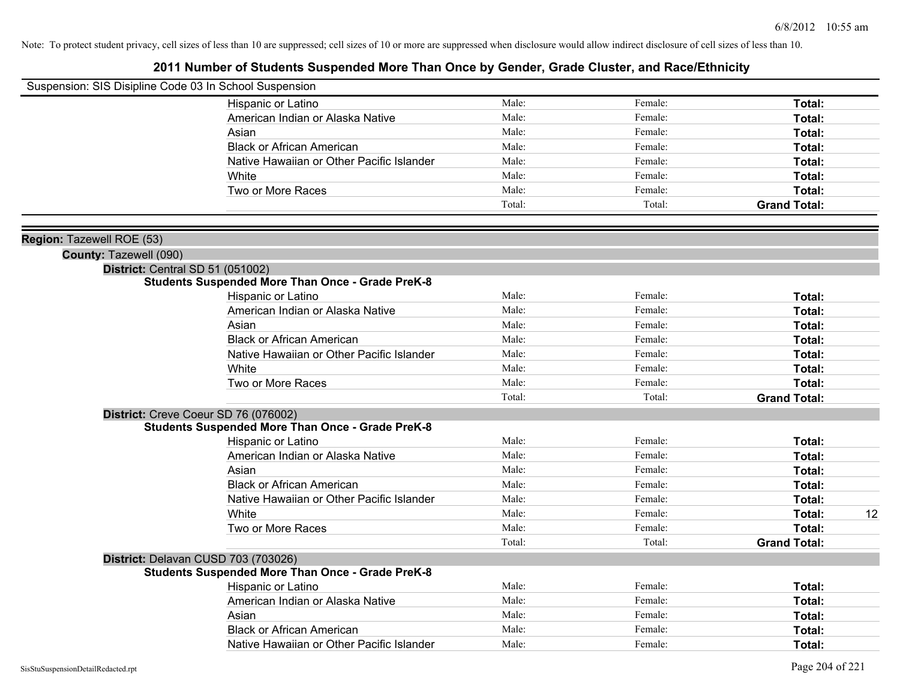| Suspension: SIS Disipline Code 03 In School Suspension |                                                         |                |         |                     |    |
|--------------------------------------------------------|---------------------------------------------------------|----------------|---------|---------------------|----|
|                                                        | Hispanic or Latino                                      | Male:          | Female: | Total:              |    |
|                                                        | American Indian or Alaska Native                        | Male:          | Female: | Total:              |    |
|                                                        | Asian                                                   | Male:          | Female: | Total:              |    |
|                                                        | <b>Black or African American</b>                        | Male:          | Female: | Total:              |    |
|                                                        | Native Hawaiian or Other Pacific Islander               | Male:          | Female: | Total:              |    |
|                                                        | White                                                   | Male:          | Female: | Total:              |    |
|                                                        | Two or More Races                                       | Male:          | Female: | Total:              |    |
|                                                        |                                                         | Total:         | Total:  | <b>Grand Total:</b> |    |
| Region: Tazewell ROE (53)                              |                                                         |                |         |                     |    |
| County: Tazewell (090)                                 |                                                         |                |         |                     |    |
|                                                        | District: Central SD 51 (051002)                        |                |         |                     |    |
|                                                        | <b>Students Suspended More Than Once - Grade PreK-8</b> |                |         |                     |    |
|                                                        | Hispanic or Latino                                      | Male:          | Female: | Total:              |    |
|                                                        | American Indian or Alaska Native                        | Male:          | Female: | Total:              |    |
|                                                        | Asian                                                   | Male:          | Female: | Total:              |    |
|                                                        | <b>Black or African American</b>                        | Male:          | Female: | Total:              |    |
|                                                        | Native Hawaiian or Other Pacific Islander               | Male:          | Female: | Total:              |    |
|                                                        | White                                                   | Male:          | Female: | Total:              |    |
|                                                        | Two or More Races                                       | Male:          | Female: | Total:              |    |
|                                                        |                                                         | Total:         | Total:  | <b>Grand Total:</b> |    |
|                                                        | District: Creve Coeur SD 76 (076002)                    |                |         |                     |    |
|                                                        | <b>Students Suspended More Than Once - Grade PreK-8</b> |                |         |                     |    |
|                                                        | Hispanic or Latino                                      | Male:          | Female: | Total:              |    |
|                                                        | American Indian or Alaska Native                        | Male:          | Female: | Total:              |    |
|                                                        | Asian                                                   | Male:          | Female: | Total:              |    |
|                                                        | <b>Black or African American</b>                        | Male:          | Female: | Total:              |    |
|                                                        | Native Hawaiian or Other Pacific Islander               | Male:          | Female: | Total:              |    |
|                                                        | White                                                   | Male:          | Female: | Total:              | 12 |
|                                                        | Two or More Races                                       | Male:          | Female: | <b>Total:</b>       |    |
|                                                        |                                                         | Total:         | Total:  | <b>Grand Total:</b> |    |
|                                                        | District: Delavan CUSD 703 (703026)                     |                |         |                     |    |
|                                                        | <b>Students Suspended More Than Once - Grade PreK-8</b> | Male:          | Female: |                     |    |
|                                                        | Hispanic or Latino                                      | Male:          | Female: | Total:              |    |
|                                                        | American Indian or Alaska Native                        |                |         | Total:              |    |
|                                                        | Asian                                                   | Male:<br>Male: | Female: | Total:              |    |
|                                                        | <b>Black or African American</b>                        |                | Female: | Total:              |    |
|                                                        | Native Hawaiian or Other Pacific Islander               | Male:          | Female: | Total:              |    |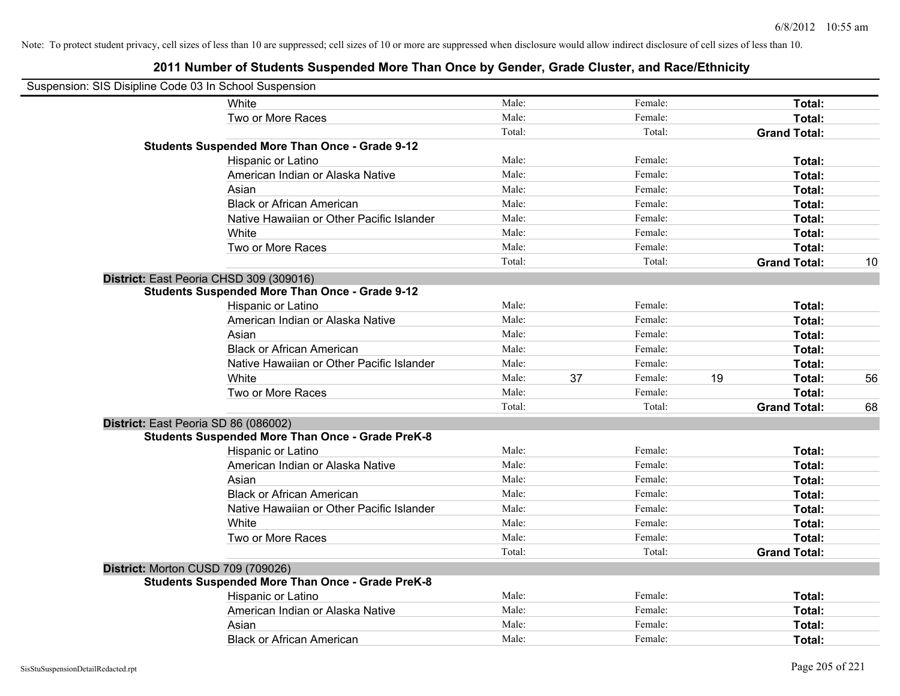| Suspension: SIS Disipline Code 03 In School Suspension |                                                         |        |    |         |    |                     |    |
|--------------------------------------------------------|---------------------------------------------------------|--------|----|---------|----|---------------------|----|
|                                                        | White                                                   | Male:  |    | Female: |    | Total:              |    |
|                                                        | Two or More Races                                       | Male:  |    | Female: |    | Total:              |    |
|                                                        |                                                         | Total: |    | Total:  |    | <b>Grand Total:</b> |    |
|                                                        | <b>Students Suspended More Than Once - Grade 9-12</b>   |        |    |         |    |                     |    |
|                                                        | Hispanic or Latino                                      | Male:  |    | Female: |    | Total:              |    |
|                                                        | American Indian or Alaska Native                        | Male:  |    | Female: |    | Total:              |    |
|                                                        | Asian                                                   | Male:  |    | Female: |    | Total:              |    |
|                                                        | <b>Black or African American</b>                        | Male:  |    | Female: |    | Total:              |    |
|                                                        | Native Hawaiian or Other Pacific Islander               | Male:  |    | Female: |    | Total:              |    |
|                                                        | White                                                   | Male:  |    | Female: |    | Total:              |    |
|                                                        | Two or More Races                                       | Male:  |    | Female: |    | Total:              |    |
|                                                        |                                                         | Total: |    | Total:  |    | <b>Grand Total:</b> | 10 |
|                                                        | District: East Peoria CHSD 309 (309016)                 |        |    |         |    |                     |    |
|                                                        | <b>Students Suspended More Than Once - Grade 9-12</b>   |        |    |         |    |                     |    |
|                                                        | Hispanic or Latino                                      | Male:  |    | Female: |    | Total:              |    |
|                                                        | American Indian or Alaska Native                        | Male:  |    | Female: |    | Total:              |    |
|                                                        | Asian                                                   | Male:  |    | Female: |    | Total:              |    |
|                                                        | <b>Black or African American</b>                        | Male:  |    | Female: |    | Total:              |    |
|                                                        | Native Hawaiian or Other Pacific Islander               | Male:  |    | Female: |    | Total:              |    |
|                                                        | White                                                   | Male:  | 37 | Female: | 19 | Total:              | 56 |
|                                                        | Two or More Races                                       | Male:  |    | Female: |    | Total:              |    |
|                                                        |                                                         | Total: |    | Total:  |    | <b>Grand Total:</b> | 68 |
|                                                        | District: East Peoria SD 86 (086002)                    |        |    |         |    |                     |    |
|                                                        | <b>Students Suspended More Than Once - Grade PreK-8</b> |        |    |         |    |                     |    |
|                                                        | Hispanic or Latino                                      | Male:  |    | Female: |    | Total:              |    |
|                                                        | American Indian or Alaska Native                        | Male:  |    | Female: |    | Total:              |    |
|                                                        | Asian                                                   | Male:  |    | Female: |    | Total:              |    |
|                                                        | <b>Black or African American</b>                        | Male:  |    | Female: |    | Total:              |    |
|                                                        | Native Hawaiian or Other Pacific Islander               | Male:  |    | Female: |    | Total:              |    |
|                                                        | White                                                   | Male:  |    | Female: |    | Total:              |    |
|                                                        | Two or More Races                                       | Male:  |    | Female: |    | Total:              |    |
|                                                        |                                                         | Total: |    | Total:  |    | <b>Grand Total:</b> |    |
|                                                        | District: Morton CUSD 709 (709026)                      |        |    |         |    |                     |    |
|                                                        | <b>Students Suspended More Than Once - Grade PreK-8</b> |        |    |         |    |                     |    |
|                                                        | Hispanic or Latino                                      | Male:  |    | Female: |    | Total:              |    |
|                                                        | American Indian or Alaska Native                        | Male:  |    | Female: |    | Total:              |    |
|                                                        | Asian                                                   | Male:  |    | Female: |    | Total:              |    |
|                                                        | <b>Black or African American</b>                        | Male:  |    | Female: |    | Total:              |    |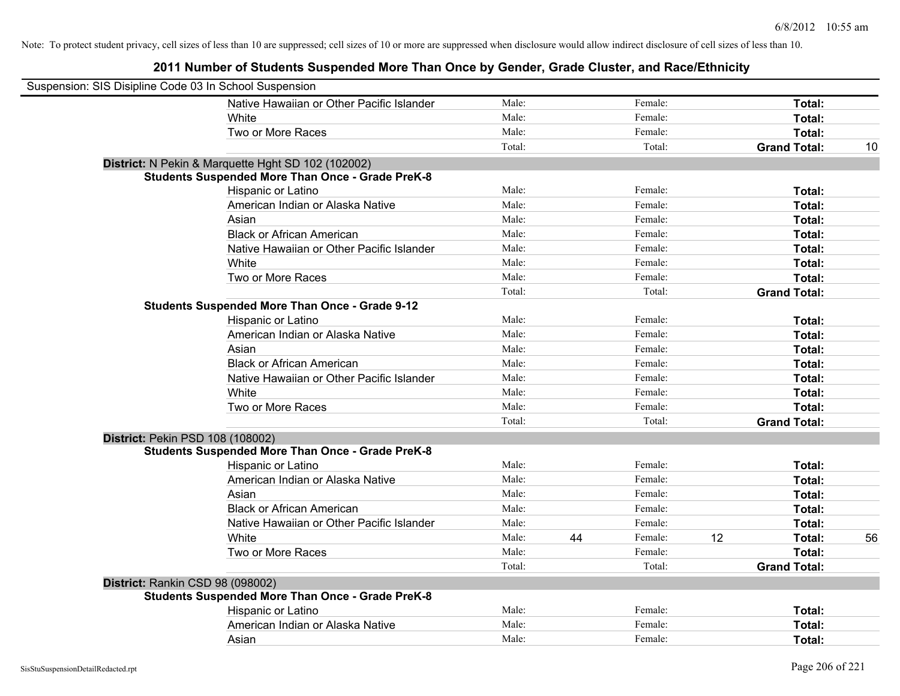| Suspension: SIS Disipline Code 03 In School Suspension |                                                         |        |    |         |    |                     |    |
|--------------------------------------------------------|---------------------------------------------------------|--------|----|---------|----|---------------------|----|
|                                                        | Native Hawaiian or Other Pacific Islander               | Male:  |    | Female: |    | Total:              |    |
|                                                        | White                                                   | Male:  |    | Female: |    | Total:              |    |
|                                                        | Two or More Races                                       | Male:  |    | Female: |    | Total:              |    |
|                                                        |                                                         | Total: |    | Total:  |    | <b>Grand Total:</b> | 10 |
|                                                        | District: N Pekin & Marquette Hght SD 102 (102002)      |        |    |         |    |                     |    |
|                                                        | <b>Students Suspended More Than Once - Grade PreK-8</b> |        |    |         |    |                     |    |
|                                                        | Hispanic or Latino                                      | Male:  |    | Female: |    | Total:              |    |
|                                                        | American Indian or Alaska Native                        | Male:  |    | Female: |    | Total:              |    |
|                                                        | Asian                                                   | Male:  |    | Female: |    | Total:              |    |
|                                                        | <b>Black or African American</b>                        | Male:  |    | Female: |    | Total:              |    |
|                                                        | Native Hawaiian or Other Pacific Islander               | Male:  |    | Female: |    | Total:              |    |
|                                                        | White                                                   | Male:  |    | Female: |    | Total:              |    |
|                                                        | Two or More Races                                       | Male:  |    | Female: |    | Total:              |    |
|                                                        |                                                         | Total: |    | Total:  |    | <b>Grand Total:</b> |    |
|                                                        | <b>Students Suspended More Than Once - Grade 9-12</b>   |        |    |         |    |                     |    |
|                                                        | Hispanic or Latino                                      | Male:  |    | Female: |    | Total:              |    |
|                                                        | American Indian or Alaska Native                        | Male:  |    | Female: |    | Total:              |    |
|                                                        | Asian                                                   | Male:  |    | Female: |    | Total:              |    |
|                                                        | <b>Black or African American</b>                        | Male:  |    | Female: |    | Total:              |    |
|                                                        | Native Hawaiian or Other Pacific Islander               | Male:  |    | Female: |    | Total:              |    |
|                                                        | White                                                   | Male:  |    | Female: |    | Total:              |    |
|                                                        | Two or More Races                                       | Male:  |    | Female: |    | Total:              |    |
|                                                        |                                                         | Total: |    | Total:  |    | <b>Grand Total:</b> |    |
| District: Pekin PSD 108 (108002)                       |                                                         |        |    |         |    |                     |    |
|                                                        | <b>Students Suspended More Than Once - Grade PreK-8</b> |        |    |         |    |                     |    |
|                                                        | Hispanic or Latino                                      | Male:  |    | Female: |    | Total:              |    |
|                                                        | American Indian or Alaska Native                        | Male:  |    | Female: |    | Total:              |    |
|                                                        | Asian                                                   | Male:  |    | Female: |    | Total:              |    |
|                                                        | <b>Black or African American</b>                        | Male:  |    | Female: |    | Total:              |    |
|                                                        | Native Hawaiian or Other Pacific Islander               | Male:  |    | Female: |    | Total:              |    |
|                                                        | White                                                   | Male:  | 44 | Female: | 12 | Total:              | 56 |
|                                                        | Two or More Races                                       | Male:  |    | Female: |    | Total:              |    |
|                                                        |                                                         | Total: |    | Total:  |    | <b>Grand Total:</b> |    |
| District: Rankin CSD 98 (098002)                       |                                                         |        |    |         |    |                     |    |
|                                                        | <b>Students Suspended More Than Once - Grade PreK-8</b> |        |    |         |    |                     |    |
|                                                        | Hispanic or Latino                                      | Male:  |    | Female: |    | Total:              |    |
|                                                        | American Indian or Alaska Native                        | Male:  |    | Female: |    | Total:              |    |
|                                                        | Asian                                                   | Male:  |    | Female: |    | Total:              |    |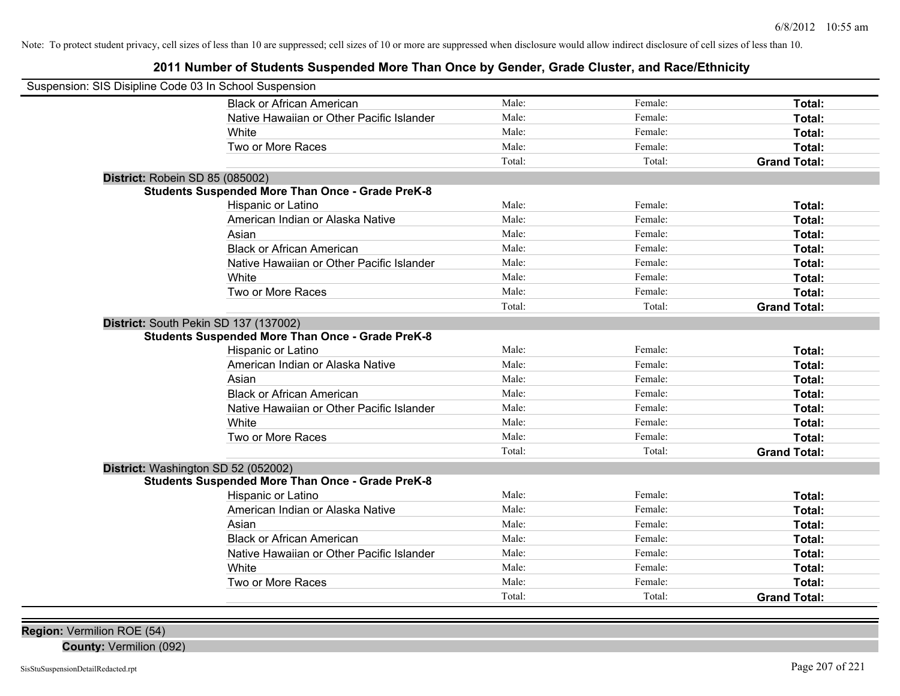**2011 Number of Students Suspended More Than Once by Gender, Grade Cluster, and Race/Ethnicity**

| Suspension: SIS Disipline Code 03 In School Suspension |                                                         |        |         |                     |  |  |
|--------------------------------------------------------|---------------------------------------------------------|--------|---------|---------------------|--|--|
|                                                        | <b>Black or African American</b>                        | Male:  | Female: | Total:              |  |  |
|                                                        | Native Hawaiian or Other Pacific Islander               | Male:  | Female: | Total:              |  |  |
|                                                        | White                                                   | Male:  | Female: | Total:              |  |  |
|                                                        | Two or More Races                                       | Male:  | Female: | Total:              |  |  |
|                                                        |                                                         | Total: | Total:  | <b>Grand Total:</b> |  |  |
| District: Robein SD 85 (085002)                        |                                                         |        |         |                     |  |  |
|                                                        | <b>Students Suspended More Than Once - Grade PreK-8</b> |        |         |                     |  |  |
|                                                        | Hispanic or Latino                                      | Male:  | Female: | Total:              |  |  |
|                                                        | American Indian or Alaska Native                        | Male:  | Female: | Total:              |  |  |
|                                                        | Asian                                                   | Male:  | Female: | Total:              |  |  |
|                                                        | <b>Black or African American</b>                        | Male:  | Female: | Total:              |  |  |
|                                                        | Native Hawaiian or Other Pacific Islander               | Male:  | Female: | Total:              |  |  |
|                                                        | White                                                   | Male:  | Female: | Total:              |  |  |
|                                                        | Two or More Races                                       | Male:  | Female: | Total:              |  |  |
|                                                        |                                                         | Total: | Total:  | <b>Grand Total:</b> |  |  |
| District: South Pekin SD 137 (137002)                  |                                                         |        |         |                     |  |  |
|                                                        | <b>Students Suspended More Than Once - Grade PreK-8</b> |        |         |                     |  |  |
|                                                        | Hispanic or Latino                                      | Male:  | Female: | Total:              |  |  |
|                                                        | American Indian or Alaska Native                        | Male:  | Female: | Total:              |  |  |
|                                                        | Asian                                                   | Male:  | Female: | Total:              |  |  |
|                                                        | <b>Black or African American</b>                        | Male:  | Female: | Total:              |  |  |
|                                                        | Native Hawaiian or Other Pacific Islander               | Male:  | Female: | Total:              |  |  |
|                                                        | White                                                   | Male:  | Female: | Total:              |  |  |
|                                                        | Two or More Races                                       | Male:  | Female: | Total:              |  |  |
|                                                        |                                                         | Total: | Total:  | <b>Grand Total:</b> |  |  |
| District: Washington SD 52 (052002)                    |                                                         |        |         |                     |  |  |
|                                                        | <b>Students Suspended More Than Once - Grade PreK-8</b> |        |         |                     |  |  |
|                                                        | Hispanic or Latino                                      | Male:  | Female: | Total:              |  |  |
|                                                        | American Indian or Alaska Native                        | Male:  | Female: | Total:              |  |  |
|                                                        | Asian                                                   | Male:  | Female: | Total:              |  |  |
|                                                        | <b>Black or African American</b>                        | Male:  | Female: | Total:              |  |  |
|                                                        | Native Hawaiian or Other Pacific Islander               | Male:  | Female: | Total:              |  |  |
|                                                        | White                                                   | Male:  | Female: | Total:              |  |  |
|                                                        | Two or More Races                                       | Male:  | Female: | Total:              |  |  |
|                                                        |                                                         | Total: | Total:  | <b>Grand Total:</b> |  |  |

**Region:** Vermilion ROE (54)

**County:** Vermilion (092)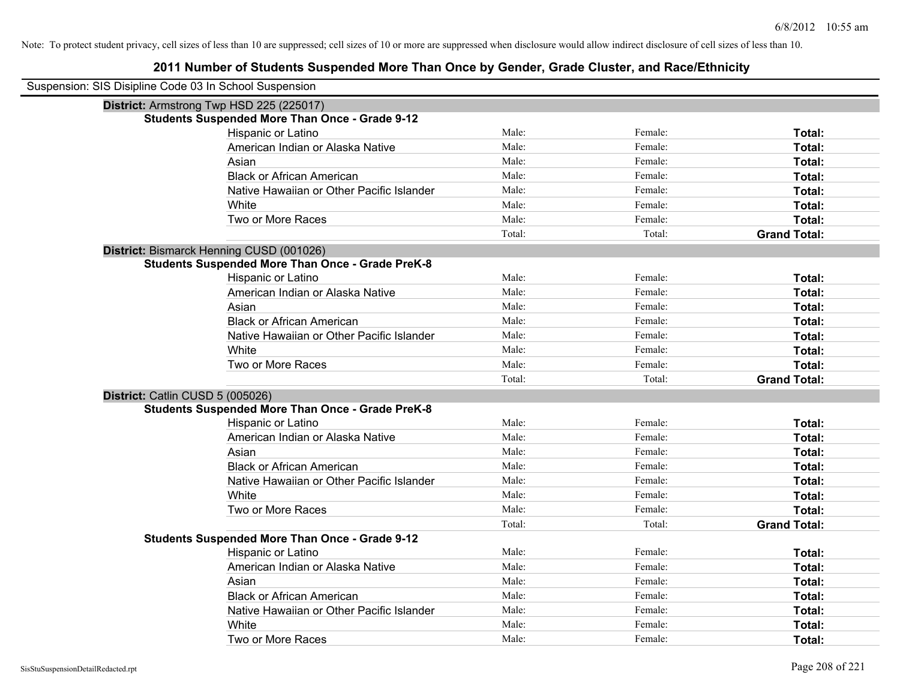| Suspension: SIS Disipline Code 03 In School Suspension |                                                         |        |         |                     |
|--------------------------------------------------------|---------------------------------------------------------|--------|---------|---------------------|
|                                                        | District: Armstrong Twp HSD 225 (225017)                |        |         |                     |
|                                                        | <b>Students Suspended More Than Once - Grade 9-12</b>   |        |         |                     |
|                                                        | Hispanic or Latino                                      | Male:  | Female: | Total:              |
|                                                        | American Indian or Alaska Native                        | Male:  | Female: | Total:              |
|                                                        | Asian                                                   | Male:  | Female: | Total:              |
|                                                        | <b>Black or African American</b>                        | Male:  | Female: | Total:              |
|                                                        | Native Hawaiian or Other Pacific Islander               | Male:  | Female: | Total:              |
|                                                        | White                                                   | Male:  | Female: | Total:              |
|                                                        | Two or More Races                                       | Male:  | Female: | Total:              |
|                                                        |                                                         | Total: | Total:  | <b>Grand Total:</b> |
|                                                        | District: Bismarck Henning CUSD (001026)                |        |         |                     |
|                                                        | <b>Students Suspended More Than Once - Grade PreK-8</b> |        |         |                     |
|                                                        | Hispanic or Latino                                      | Male:  | Female: | Total:              |
|                                                        | American Indian or Alaska Native                        | Male:  | Female: | Total:              |
|                                                        | Asian                                                   | Male:  | Female: | Total:              |
|                                                        | <b>Black or African American</b>                        | Male:  | Female: | Total:              |
|                                                        | Native Hawaiian or Other Pacific Islander               | Male:  | Female: | Total:              |
|                                                        | White                                                   | Male:  | Female: | Total:              |
|                                                        | Two or More Races                                       | Male:  | Female: | <b>Total:</b>       |
|                                                        |                                                         | Total: | Total:  | <b>Grand Total:</b> |
| District: Catlin CUSD 5 (005026)                       |                                                         |        |         |                     |
|                                                        | <b>Students Suspended More Than Once - Grade PreK-8</b> |        |         |                     |
|                                                        | Hispanic or Latino                                      | Male:  | Female: | Total:              |
|                                                        | American Indian or Alaska Native                        | Male:  | Female: | Total:              |
|                                                        | Asian                                                   | Male:  | Female: | Total:              |
|                                                        | <b>Black or African American</b>                        | Male:  | Female: | Total:              |
|                                                        | Native Hawaiian or Other Pacific Islander               | Male:  | Female: | Total:              |
|                                                        | White                                                   | Male:  | Female: | Total:              |
|                                                        | Two or More Races                                       | Male:  | Female: | Total:              |
|                                                        |                                                         | Total: | Total:  | <b>Grand Total:</b> |
|                                                        | <b>Students Suspended More Than Once - Grade 9-12</b>   |        |         |                     |
|                                                        | Hispanic or Latino                                      | Male:  | Female: | Total:              |
|                                                        | American Indian or Alaska Native                        | Male:  | Female: | Total:              |
|                                                        | Asian                                                   | Male:  | Female: | Total:              |
|                                                        | <b>Black or African American</b>                        | Male:  | Female: | Total:              |
|                                                        | Native Hawaiian or Other Pacific Islander               | Male:  | Female: | Total:              |
|                                                        | White                                                   | Male:  | Female: | <b>Total:</b>       |
|                                                        | Two or More Races                                       | Male:  | Female: | Total:              |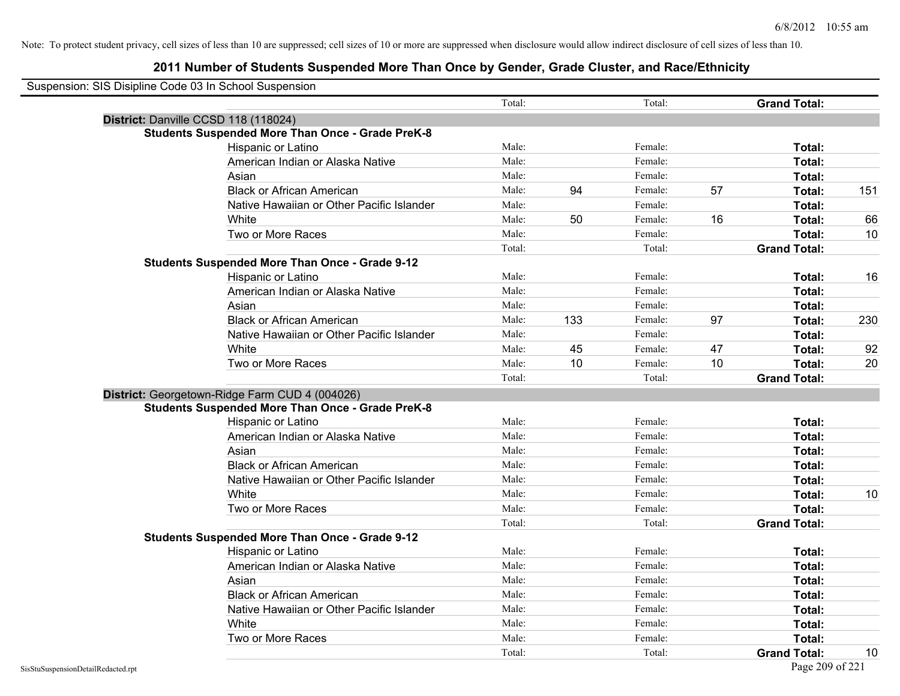| Suspension: SIS Disipline Code 03 In School Suspension |                                                         |        |     |         |    |                     |     |
|--------------------------------------------------------|---------------------------------------------------------|--------|-----|---------|----|---------------------|-----|
|                                                        |                                                         | Total: |     | Total:  |    | <b>Grand Total:</b> |     |
|                                                        | District: Danville CCSD 118 (118024)                    |        |     |         |    |                     |     |
|                                                        | <b>Students Suspended More Than Once - Grade PreK-8</b> |        |     |         |    |                     |     |
|                                                        | Hispanic or Latino                                      | Male:  |     | Female: |    | Total:              |     |
|                                                        | American Indian or Alaska Native                        | Male:  |     | Female: |    | Total:              |     |
|                                                        | Asian                                                   | Male:  |     | Female: |    | Total:              |     |
|                                                        | <b>Black or African American</b>                        | Male:  | 94  | Female: | 57 | Total:              | 151 |
|                                                        | Native Hawaiian or Other Pacific Islander               | Male:  |     | Female: |    | Total:              |     |
|                                                        | White                                                   | Male:  | 50  | Female: | 16 | Total:              | 66  |
|                                                        | Two or More Races                                       | Male:  |     | Female: |    | Total:              | 10  |
|                                                        |                                                         | Total: |     | Total:  |    | <b>Grand Total:</b> |     |
|                                                        | <b>Students Suspended More Than Once - Grade 9-12</b>   |        |     |         |    |                     |     |
|                                                        | Hispanic or Latino                                      | Male:  |     | Female: |    | Total:              | 16  |
|                                                        | American Indian or Alaska Native                        | Male:  |     | Female: |    | Total:              |     |
|                                                        | Asian                                                   | Male:  |     | Female: |    | Total:              |     |
|                                                        | <b>Black or African American</b>                        | Male:  | 133 | Female: | 97 | Total:              | 230 |
|                                                        | Native Hawaiian or Other Pacific Islander               | Male:  |     | Female: |    | Total:              |     |
|                                                        | White                                                   | Male:  | 45  | Female: | 47 | Total:              | 92  |
|                                                        | Two or More Races                                       | Male:  | 10  | Female: | 10 | Total:              | 20  |
|                                                        |                                                         | Total: |     | Total:  |    | <b>Grand Total:</b> |     |
|                                                        | District: Georgetown-Ridge Farm CUD 4 (004026)          |        |     |         |    |                     |     |
|                                                        | <b>Students Suspended More Than Once - Grade PreK-8</b> |        |     |         |    |                     |     |
|                                                        | Hispanic or Latino                                      | Male:  |     | Female: |    | Total:              |     |
|                                                        | American Indian or Alaska Native                        | Male:  |     | Female: |    | Total:              |     |
|                                                        | Asian                                                   | Male:  |     | Female: |    | Total:              |     |
|                                                        | <b>Black or African American</b>                        | Male:  |     | Female: |    | Total:              |     |
|                                                        | Native Hawaiian or Other Pacific Islander               | Male:  |     | Female: |    | Total:              |     |
|                                                        | White                                                   | Male:  |     | Female: |    | Total:              | 10  |
|                                                        | Two or More Races                                       | Male:  |     | Female: |    | Total:              |     |
|                                                        |                                                         | Total: |     | Total:  |    | <b>Grand Total:</b> |     |
|                                                        | <b>Students Suspended More Than Once - Grade 9-12</b>   |        |     |         |    |                     |     |
|                                                        | Hispanic or Latino                                      | Male:  |     | Female: |    | Total:              |     |
|                                                        | American Indian or Alaska Native                        | Male:  |     | Female: |    | Total:              |     |
|                                                        | Asian                                                   | Male:  |     | Female: |    | Total:              |     |
|                                                        | <b>Black or African American</b>                        | Male:  |     | Female: |    | Total:              |     |
|                                                        | Native Hawaiian or Other Pacific Islander               | Male:  |     | Female: |    | Total:              |     |
|                                                        | White                                                   | Male:  |     | Female: |    | Total:              |     |
|                                                        | Two or More Races                                       | Male:  |     | Female: |    | Total:              |     |
|                                                        |                                                         | Total: |     | Total:  |    | <b>Grand Total:</b> | 10  |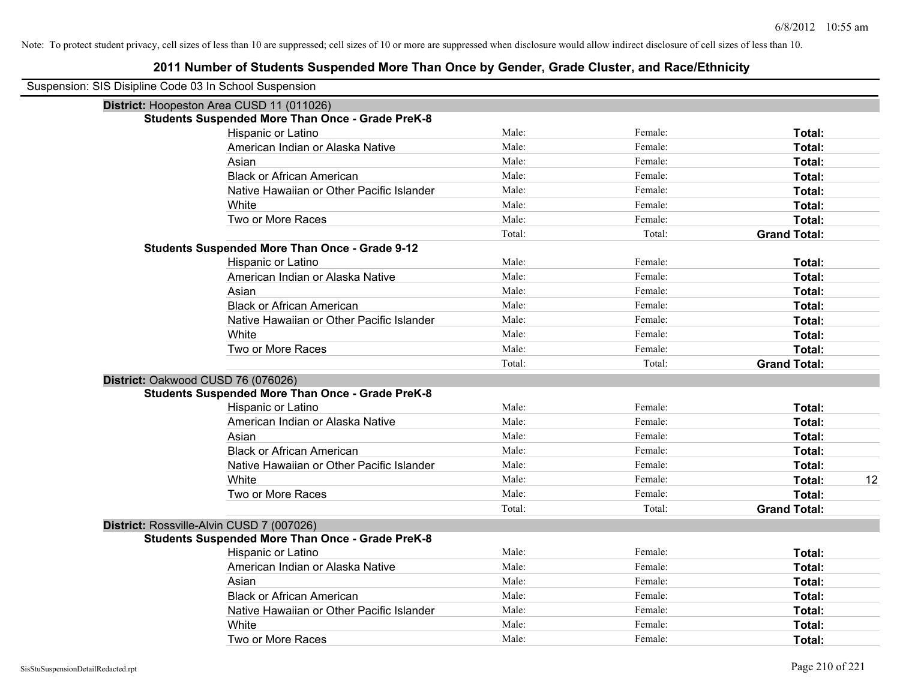| Suspension: SIS Disipline Code 03 In School Suspension |                                                         |        |         |                     |    |
|--------------------------------------------------------|---------------------------------------------------------|--------|---------|---------------------|----|
|                                                        | District: Hoopeston Area CUSD 11 (011026)               |        |         |                     |    |
|                                                        | <b>Students Suspended More Than Once - Grade PreK-8</b> |        |         |                     |    |
|                                                        | Hispanic or Latino                                      | Male:  | Female: | Total:              |    |
|                                                        | American Indian or Alaska Native                        | Male:  | Female: | Total:              |    |
|                                                        | Asian                                                   | Male:  | Female: | Total:              |    |
|                                                        | <b>Black or African American</b>                        | Male:  | Female: | Total:              |    |
|                                                        | Native Hawaiian or Other Pacific Islander               | Male:  | Female: | Total:              |    |
|                                                        | White                                                   | Male:  | Female: | Total:              |    |
|                                                        | Two or More Races                                       | Male:  | Female: | Total:              |    |
|                                                        |                                                         | Total: | Total:  | <b>Grand Total:</b> |    |
|                                                        | <b>Students Suspended More Than Once - Grade 9-12</b>   |        |         |                     |    |
|                                                        | Hispanic or Latino                                      | Male:  | Female: | Total:              |    |
|                                                        | American Indian or Alaska Native                        | Male:  | Female: | Total:              |    |
|                                                        | Asian                                                   | Male:  | Female: | Total:              |    |
|                                                        | <b>Black or African American</b>                        | Male:  | Female: | Total:              |    |
|                                                        | Native Hawaiian or Other Pacific Islander               | Male:  | Female: | Total:              |    |
|                                                        | White                                                   | Male:  | Female: | Total:              |    |
|                                                        | Two or More Races                                       | Male:  | Female: | Total:              |    |
|                                                        |                                                         | Total: | Total:  | <b>Grand Total:</b> |    |
|                                                        | District: Oakwood CUSD 76 (076026)                      |        |         |                     |    |
|                                                        | <b>Students Suspended More Than Once - Grade PreK-8</b> |        |         |                     |    |
|                                                        | Hispanic or Latino                                      | Male:  | Female: | Total:              |    |
|                                                        | American Indian or Alaska Native                        | Male:  | Female: | Total:              |    |
|                                                        | Asian                                                   | Male:  | Female: | Total:              |    |
|                                                        | <b>Black or African American</b>                        | Male:  | Female: | Total:              |    |
|                                                        | Native Hawaiian or Other Pacific Islander               | Male:  | Female: | Total:              |    |
|                                                        | White                                                   | Male:  | Female: | Total:              | 12 |
|                                                        | Two or More Races                                       | Male:  | Female: | Total:              |    |
|                                                        |                                                         | Total: | Total:  | <b>Grand Total:</b> |    |
|                                                        | District: Rossville-Alvin CUSD 7 (007026)               |        |         |                     |    |
|                                                        | <b>Students Suspended More Than Once - Grade PreK-8</b> |        |         |                     |    |
|                                                        | Hispanic or Latino                                      | Male:  | Female: | Total:              |    |
|                                                        | American Indian or Alaska Native                        | Male:  | Female: | Total:              |    |
|                                                        | Asian                                                   | Male:  | Female: | Total:              |    |
|                                                        | <b>Black or African American</b>                        | Male:  | Female: | Total:              |    |
|                                                        | Native Hawaiian or Other Pacific Islander               | Male:  | Female: | Total:              |    |
|                                                        | White                                                   | Male:  | Female: | Total:              |    |
|                                                        | Two or More Races                                       | Male:  | Female: | Total:              |    |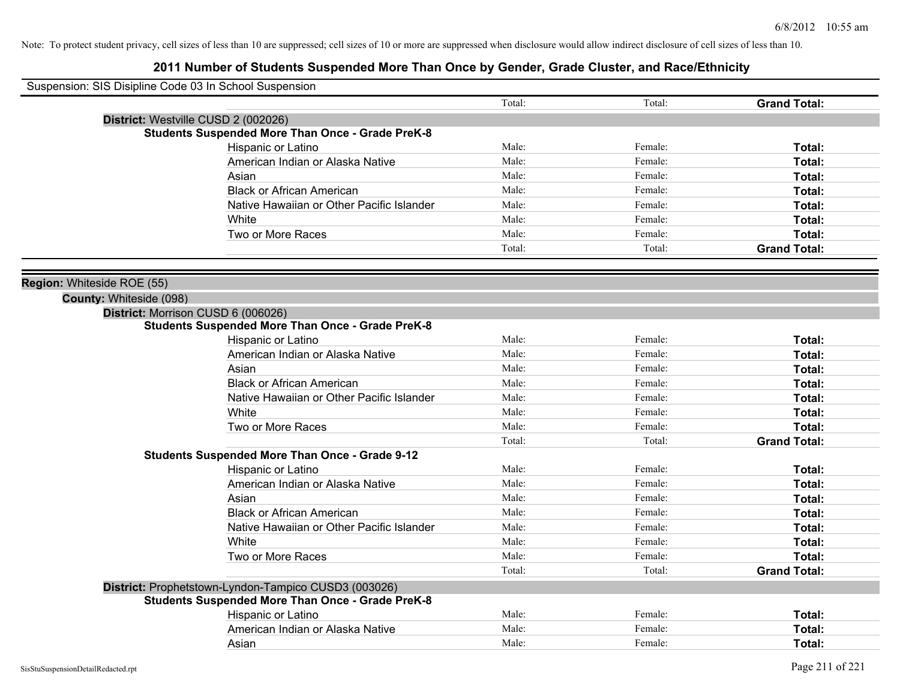| Suspension: SIS Disipline Code 03 In School Suspension  |        |         |                     |
|---------------------------------------------------------|--------|---------|---------------------|
|                                                         | Total: | Total:  | <b>Grand Total:</b> |
| District: Westville CUSD 2 (002026)                     |        |         |                     |
| <b>Students Suspended More Than Once - Grade PreK-8</b> |        |         |                     |
| Hispanic or Latino                                      | Male:  | Female: | Total:              |
| American Indian or Alaska Native                        | Male:  | Female: | Total:              |
| Asian                                                   | Male:  | Female: | Total:              |
| <b>Black or African American</b>                        | Male:  | Female: | Total:              |
| Native Hawaiian or Other Pacific Islander               | Male:  | Female: | Total:              |
| White                                                   | Male:  | Female: | Total:              |
| Two or More Races                                       | Male:  | Female: | Total:              |
|                                                         | Total: | Total:  | <b>Grand Total:</b> |
|                                                         |        |         |                     |
| Region: Whiteside ROE (55)                              |        |         |                     |
| County: Whiteside (098)                                 |        |         |                     |
| District: Morrison CUSD 6 (006026)                      |        |         |                     |
| <b>Students Suspended More Than Once - Grade PreK-8</b> |        |         |                     |
| Hispanic or Latino                                      | Male:  | Female: | Total:              |
| American Indian or Alaska Native                        | Male:  | Female: | Total:              |
| Asian                                                   | Male:  | Female: | Total:              |
| <b>Black or African American</b>                        | Male:  | Female: | Total:              |
| Native Hawaiian or Other Pacific Islander               | Male:  | Female: | Total:              |
| White                                                   | Male:  | Female: | Total:              |
| Two or More Races                                       | Male:  | Female: | Total:              |
|                                                         | Total: | Total:  | <b>Grand Total:</b> |
| <b>Students Suspended More Than Once - Grade 9-12</b>   |        |         |                     |
| <b>Hispanic or Latino</b>                               | Male:  | Female: | Total:              |
| American Indian or Alaska Native                        | Male:  | Female: | Total:              |
| Asian                                                   | Male:  | Female: | Total:              |
| <b>Black or African American</b>                        | Male:  | Female: | Total:              |
| Native Hawaiian or Other Pacific Islander               | Male:  | Female: | Total:              |
| White                                                   | Male:  | Female: | Total:              |
| Two or More Races                                       | Male:  | Female: | Total:              |
|                                                         | Total: | Total:  | <b>Grand Total:</b> |
| District: Prophetstown-Lyndon-Tampico CUSD3 (003026)    |        |         |                     |
| <b>Students Suspended More Than Once - Grade PreK-8</b> |        |         |                     |
| Hispanic or Latino                                      | Male:  | Female: | Total:              |
| American Indian or Alaska Native                        | Male:  | Female: | Total:              |
| Asian                                                   | Male:  | Female: | Total:              |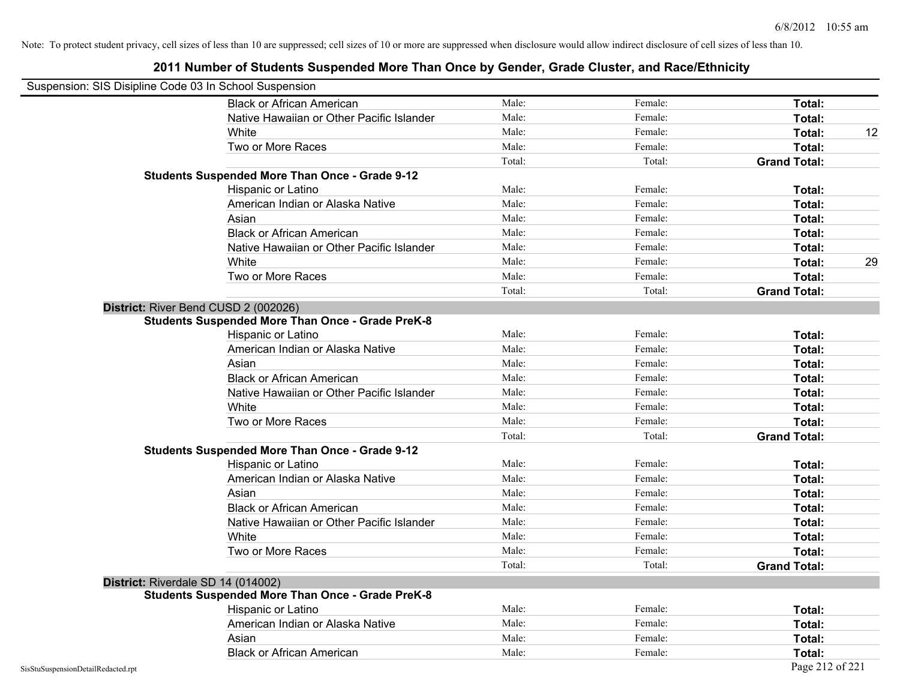| Suspension: SIS Disipline Code 03 In School Suspension |                                                         |        |         |                     |    |
|--------------------------------------------------------|---------------------------------------------------------|--------|---------|---------------------|----|
|                                                        | <b>Black or African American</b>                        | Male:  | Female: | Total:              |    |
|                                                        | Native Hawaiian or Other Pacific Islander               | Male:  | Female: | Total:              |    |
|                                                        | White                                                   | Male:  | Female: | Total:              | 12 |
|                                                        | Two or More Races                                       | Male:  | Female: | Total:              |    |
|                                                        |                                                         | Total: | Total:  | <b>Grand Total:</b> |    |
|                                                        | <b>Students Suspended More Than Once - Grade 9-12</b>   |        |         |                     |    |
|                                                        | Hispanic or Latino                                      | Male:  | Female: | Total:              |    |
|                                                        | American Indian or Alaska Native                        | Male:  | Female: | Total:              |    |
|                                                        | Asian                                                   | Male:  | Female: | <b>Total:</b>       |    |
|                                                        | <b>Black or African American</b>                        | Male:  | Female: | Total:              |    |
|                                                        | Native Hawaiian or Other Pacific Islander               | Male:  | Female: | Total:              |    |
|                                                        | White                                                   | Male:  | Female: | Total:              | 29 |
|                                                        | Two or More Races                                       | Male:  | Female: | Total:              |    |
|                                                        |                                                         | Total: | Total:  | <b>Grand Total:</b> |    |
| District: River Bend CUSD 2 (002026)                   |                                                         |        |         |                     |    |
|                                                        | <b>Students Suspended More Than Once - Grade PreK-8</b> |        |         |                     |    |
|                                                        | Hispanic or Latino                                      | Male:  | Female: | Total:              |    |
|                                                        | American Indian or Alaska Native                        | Male:  | Female: | Total:              |    |
|                                                        | Asian                                                   | Male:  | Female: | Total:              |    |
|                                                        | <b>Black or African American</b>                        | Male:  | Female: | Total:              |    |
|                                                        | Native Hawaiian or Other Pacific Islander               | Male:  | Female: | Total:              |    |
|                                                        | White                                                   | Male:  | Female: | Total:              |    |
|                                                        | Two or More Races                                       | Male:  | Female: | Total:              |    |
|                                                        |                                                         | Total: | Total:  | <b>Grand Total:</b> |    |
|                                                        | <b>Students Suspended More Than Once - Grade 9-12</b>   |        |         |                     |    |
|                                                        | Hispanic or Latino                                      | Male:  | Female: | Total:              |    |
|                                                        | American Indian or Alaska Native                        | Male:  | Female: | Total:              |    |
|                                                        | Asian                                                   | Male:  | Female: | Total:              |    |
|                                                        | <b>Black or African American</b>                        | Male:  | Female: | Total:              |    |
|                                                        | Native Hawaiian or Other Pacific Islander               | Male:  | Female: | Total:              |    |
|                                                        | White                                                   | Male:  | Female: | Total:              |    |
|                                                        | Two or More Races                                       | Male:  | Female: | Total:              |    |
|                                                        |                                                         | Total: | Total:  | <b>Grand Total:</b> |    |
| District: Riverdale SD 14 (014002)                     |                                                         |        |         |                     |    |
|                                                        | <b>Students Suspended More Than Once - Grade PreK-8</b> |        |         |                     |    |
|                                                        | Hispanic or Latino                                      | Male:  | Female: | Total:              |    |
|                                                        | American Indian or Alaska Native                        | Male:  | Female: | Total:              |    |
|                                                        | Asian                                                   | Male:  | Female: | Total:              |    |
|                                                        | <b>Black or African American</b>                        | Male:  | Female: | Total:              |    |
| SisStuSuspensionDetailRedacted.rpt                     |                                                         |        |         | Page 212 of 221     |    |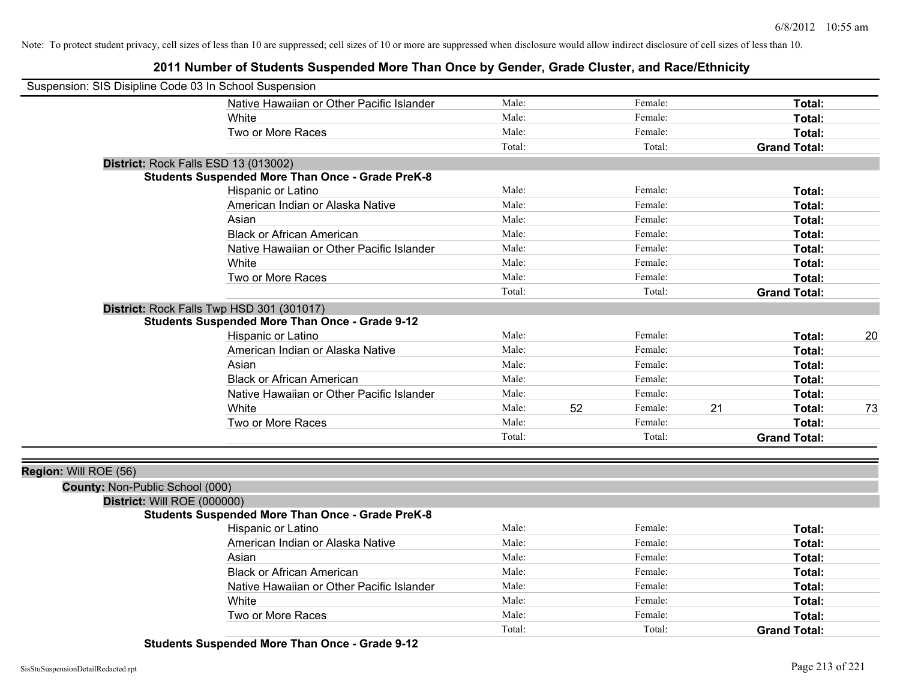| Suspension: SIS Disipline Code 03 In School Suspension |                                                         |        |    |         |    |                     |    |
|--------------------------------------------------------|---------------------------------------------------------|--------|----|---------|----|---------------------|----|
|                                                        | Native Hawaiian or Other Pacific Islander               | Male:  |    | Female: |    | Total:              |    |
|                                                        | White                                                   | Male:  |    | Female: |    | Total:              |    |
|                                                        | Two or More Races                                       | Male:  |    | Female: |    | Total:              |    |
|                                                        |                                                         | Total: |    | Total:  |    | <b>Grand Total:</b> |    |
| District: Rock Falls ESD 13 (013002)                   |                                                         |        |    |         |    |                     |    |
|                                                        | <b>Students Suspended More Than Once - Grade PreK-8</b> |        |    |         |    |                     |    |
|                                                        | Hispanic or Latino                                      | Male:  |    | Female: |    | Total:              |    |
|                                                        | American Indian or Alaska Native                        | Male:  |    | Female: |    | Total:              |    |
|                                                        | Asian                                                   | Male:  |    | Female: |    | Total:              |    |
|                                                        | <b>Black or African American</b>                        | Male:  |    | Female: |    | Total:              |    |
|                                                        | Native Hawaiian or Other Pacific Islander               | Male:  |    | Female: |    | Total:              |    |
|                                                        | White                                                   | Male:  |    | Female: |    | Total:              |    |
|                                                        | Two or More Races                                       | Male:  |    | Female: |    | Total:              |    |
|                                                        |                                                         | Total: |    | Total:  |    | <b>Grand Total:</b> |    |
|                                                        | District: Rock Falls Twp HSD 301 (301017)               |        |    |         |    |                     |    |
|                                                        | <b>Students Suspended More Than Once - Grade 9-12</b>   |        |    |         |    |                     |    |
|                                                        | Hispanic or Latino                                      | Male:  |    | Female: |    | Total:              | 20 |
|                                                        | American Indian or Alaska Native                        | Male:  |    | Female: |    | Total:              |    |
|                                                        | Asian                                                   | Male:  |    | Female: |    | Total:              |    |
|                                                        | <b>Black or African American</b>                        | Male:  |    | Female: |    | Total:              |    |
|                                                        | Native Hawaiian or Other Pacific Islander               | Male:  |    | Female: |    | Total:              |    |
|                                                        | White                                                   | Male:  | 52 | Female: | 21 | Total:              | 73 |
|                                                        | Two or More Races                                       | Male:  |    | Female: |    | Total:              |    |
|                                                        |                                                         | Total: |    | Total:  |    | <b>Grand Total:</b> |    |
| Region: Will ROE (56)                                  |                                                         |        |    |         |    |                     |    |
| County: Non-Public School (000)                        |                                                         |        |    |         |    |                     |    |
| District: Will ROE (000000)                            |                                                         |        |    |         |    |                     |    |
|                                                        | <b>Students Suspended More Than Once - Grade PreK-8</b> |        |    |         |    |                     |    |
|                                                        | Hispanic or Latino                                      | Male:  |    | Female: |    | Total:              |    |
|                                                        | American Indian or Alaska Native                        | Male:  |    | Female: |    | Total:              |    |
|                                                        | Asian                                                   | Male:  |    | Female: |    | Total:              |    |
|                                                        | <b>Black or African American</b>                        | Male:  |    | Female: |    | Total:              |    |
|                                                        | Native Hawaiian or Other Pacific Islander               | Male:  |    | Female: |    | Total:              |    |
|                                                        | White                                                   | Male:  |    | Female: |    | Total:              |    |
|                                                        | Two or More Races                                       | Male:  |    | Female: |    | Total:              |    |
|                                                        |                                                         | Total: |    | Total:  |    | <b>Grand Total:</b> |    |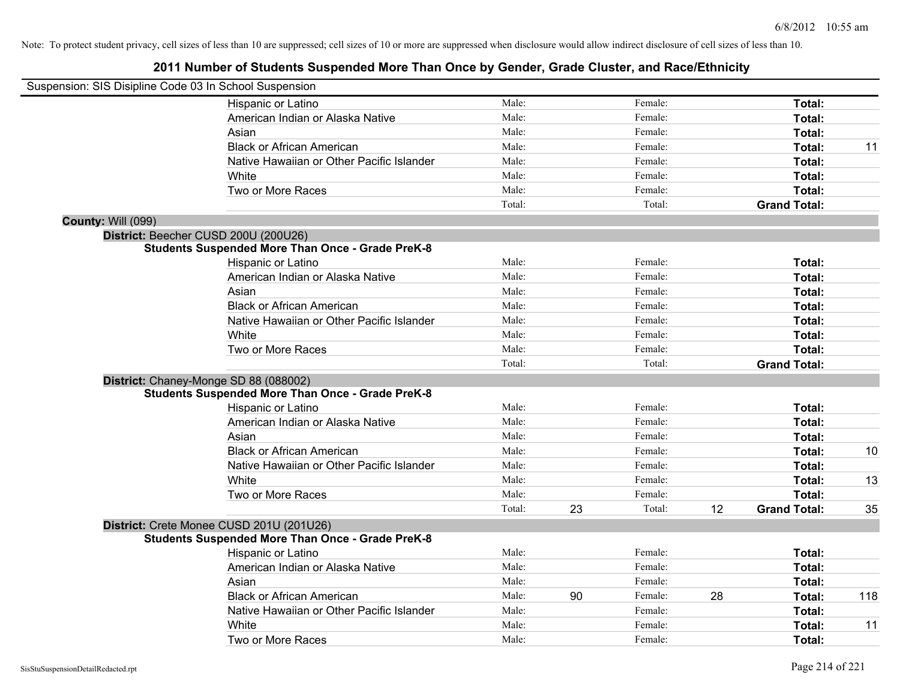| Suspension: SIS Disipline Code 03 In School Suspension |                                                         |        |    |         |    |                     |     |
|--------------------------------------------------------|---------------------------------------------------------|--------|----|---------|----|---------------------|-----|
|                                                        | Hispanic or Latino                                      | Male:  |    | Female: |    | Total:              |     |
|                                                        | American Indian or Alaska Native                        | Male:  |    | Female: |    | Total:              |     |
|                                                        | Asian                                                   | Male:  |    | Female: |    | Total:              |     |
|                                                        | <b>Black or African American</b>                        | Male:  |    | Female: |    | Total:              | 11  |
|                                                        | Native Hawaiian or Other Pacific Islander               | Male:  |    | Female: |    | Total:              |     |
|                                                        | White                                                   | Male:  |    | Female: |    | Total:              |     |
|                                                        | Two or More Races                                       | Male:  |    | Female: |    | Total:              |     |
|                                                        |                                                         | Total: |    | Total:  |    | <b>Grand Total:</b> |     |
| <b>County: Will (099)</b>                              |                                                         |        |    |         |    |                     |     |
|                                                        | District: Beecher CUSD 200U (200U26)                    |        |    |         |    |                     |     |
|                                                        | <b>Students Suspended More Than Once - Grade PreK-8</b> |        |    |         |    |                     |     |
|                                                        | Hispanic or Latino                                      | Male:  |    | Female: |    | Total:              |     |
|                                                        | American Indian or Alaska Native                        | Male:  |    | Female: |    | Total:              |     |
|                                                        | Asian                                                   | Male:  |    | Female: |    | Total:              |     |
|                                                        | <b>Black or African American</b>                        | Male:  |    | Female: |    | Total:              |     |
|                                                        | Native Hawaiian or Other Pacific Islander               | Male:  |    | Female: |    | Total:              |     |
|                                                        | White                                                   | Male:  |    | Female: |    | Total:              |     |
|                                                        | Two or More Races                                       | Male:  |    | Female: |    | Total:              |     |
|                                                        |                                                         | Total: |    | Total:  |    | <b>Grand Total:</b> |     |
|                                                        | District: Chaney-Monge SD 88 (088002)                   |        |    |         |    |                     |     |
|                                                        | <b>Students Suspended More Than Once - Grade PreK-8</b> |        |    |         |    |                     |     |
|                                                        | Hispanic or Latino                                      | Male:  |    | Female: |    | Total:              |     |
|                                                        | American Indian or Alaska Native                        | Male:  |    | Female: |    | Total:              |     |
|                                                        | Asian                                                   | Male:  |    | Female: |    | Total:              |     |
|                                                        | <b>Black or African American</b>                        | Male:  |    | Female: |    | Total:              | 10  |
|                                                        | Native Hawaiian or Other Pacific Islander               | Male:  |    | Female: |    | Total:              |     |
|                                                        | White                                                   | Male:  |    | Female: |    | Total:              | 13  |
|                                                        | Two or More Races                                       | Male:  |    | Female: |    | <b>Total:</b>       |     |
|                                                        |                                                         | Total: | 23 | Total:  | 12 | <b>Grand Total:</b> | 35  |
|                                                        | District: Crete Monee CUSD 201U (201U26)                |        |    |         |    |                     |     |
|                                                        | <b>Students Suspended More Than Once - Grade PreK-8</b> |        |    |         |    |                     |     |
|                                                        | Hispanic or Latino                                      | Male:  |    | Female: |    | Total:              |     |
|                                                        | American Indian or Alaska Native                        | Male:  |    | Female: |    | Total:              |     |
|                                                        | Asian                                                   | Male:  |    | Female: |    | Total:              |     |
|                                                        | <b>Black or African American</b>                        | Male:  | 90 | Female: | 28 | Total:              | 118 |
|                                                        | Native Hawaiian or Other Pacific Islander               | Male:  |    | Female: |    | Total:              |     |
|                                                        | White                                                   | Male:  |    | Female: |    | Total:              | 11  |
|                                                        | Two or More Races                                       | Male:  |    | Female: |    | Total:              |     |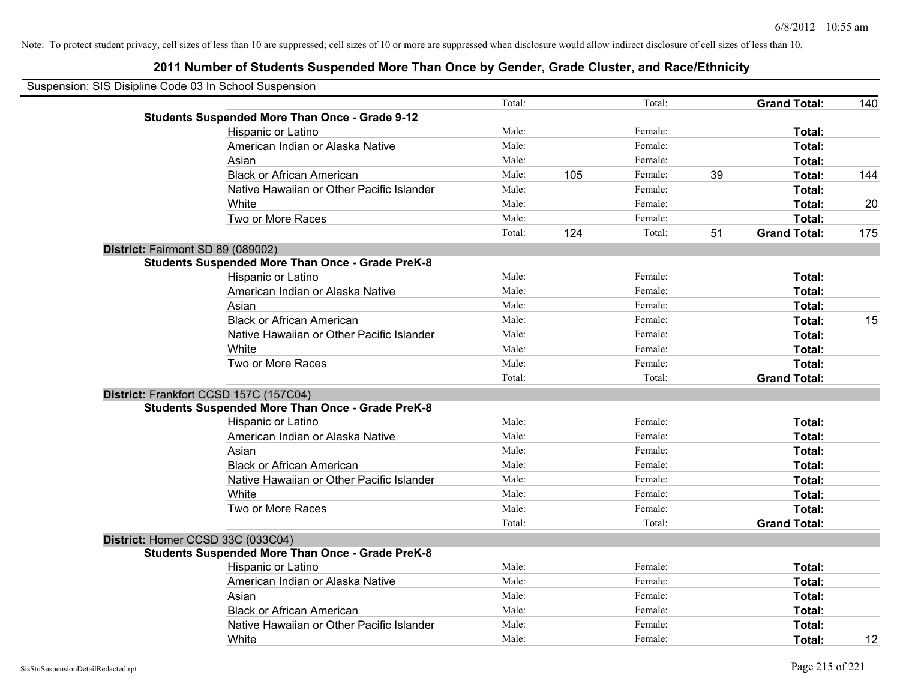| Suspension: SIS Disipline Code 03 In School Suspension |                                                         |        |     |         |    |                     |     |
|--------------------------------------------------------|---------------------------------------------------------|--------|-----|---------|----|---------------------|-----|
|                                                        |                                                         | Total: |     | Total:  |    | <b>Grand Total:</b> | 140 |
|                                                        | <b>Students Suspended More Than Once - Grade 9-12</b>   |        |     |         |    |                     |     |
|                                                        | Hispanic or Latino                                      | Male:  |     | Female: |    | Total:              |     |
|                                                        | American Indian or Alaska Native                        | Male:  |     | Female: |    | Total:              |     |
|                                                        | Asian                                                   | Male:  |     | Female: |    | Total:              |     |
|                                                        | <b>Black or African American</b>                        | Male:  | 105 | Female: | 39 | Total:              | 144 |
|                                                        | Native Hawaiian or Other Pacific Islander               | Male:  |     | Female: |    | Total:              |     |
|                                                        | White                                                   | Male:  |     | Female: |    | Total:              | 20  |
|                                                        | Two or More Races                                       | Male:  |     | Female: |    | Total:              |     |
|                                                        |                                                         | Total: | 124 | Total:  | 51 | <b>Grand Total:</b> | 175 |
|                                                        | District: Fairmont SD 89 (089002)                       |        |     |         |    |                     |     |
|                                                        | <b>Students Suspended More Than Once - Grade PreK-8</b> |        |     |         |    |                     |     |
|                                                        | Hispanic or Latino                                      | Male:  |     | Female: |    | Total:              |     |
|                                                        | American Indian or Alaska Native                        | Male:  |     | Female: |    | Total:              |     |
|                                                        | Asian                                                   | Male:  |     | Female: |    | Total:              |     |
|                                                        | <b>Black or African American</b>                        | Male:  |     | Female: |    | Total:              | 15  |
|                                                        | Native Hawaiian or Other Pacific Islander               | Male:  |     | Female: |    | Total:              |     |
|                                                        | White                                                   | Male:  |     | Female: |    | Total:              |     |
|                                                        | Two or More Races                                       | Male:  |     | Female: |    | Total:              |     |
|                                                        |                                                         | Total: |     | Total:  |    | <b>Grand Total:</b> |     |
|                                                        | District: Frankfort CCSD 157C (157C04)                  |        |     |         |    |                     |     |
|                                                        | <b>Students Suspended More Than Once - Grade PreK-8</b> |        |     |         |    |                     |     |
|                                                        | Hispanic or Latino                                      | Male:  |     | Female: |    | Total:              |     |
|                                                        | American Indian or Alaska Native                        | Male:  |     | Female: |    | Total:              |     |
|                                                        | Asian                                                   | Male:  |     | Female: |    | Total:              |     |
|                                                        | <b>Black or African American</b>                        | Male:  |     | Female: |    | Total:              |     |
|                                                        | Native Hawaiian or Other Pacific Islander               | Male:  |     | Female: |    | Total:              |     |
|                                                        | White                                                   | Male:  |     | Female: |    | Total:              |     |
|                                                        | Two or More Races                                       | Male:  |     | Female: |    | Total:              |     |
|                                                        |                                                         | Total: |     | Total:  |    | <b>Grand Total:</b> |     |
|                                                        | District: Homer CCSD 33C (033C04)                       |        |     |         |    |                     |     |
|                                                        | <b>Students Suspended More Than Once - Grade PreK-8</b> |        |     |         |    |                     |     |
|                                                        | Hispanic or Latino                                      | Male:  |     | Female: |    | Total:              |     |
|                                                        | American Indian or Alaska Native                        | Male:  |     | Female: |    | Total:              |     |
|                                                        | Asian                                                   | Male:  |     | Female: |    | Total:              |     |
|                                                        | <b>Black or African American</b>                        | Male:  |     | Female: |    | Total:              |     |
|                                                        | Native Hawaiian or Other Pacific Islander               | Male:  |     | Female: |    | Total:              |     |
|                                                        | White                                                   | Male:  |     | Female: |    | Total:              | 12  |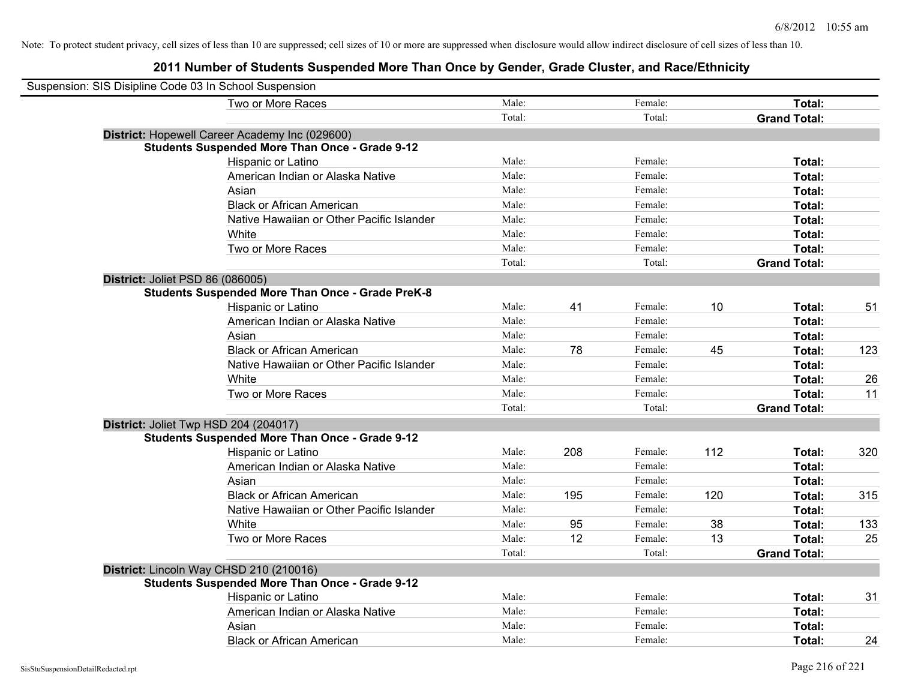| Suspension: SIS Disipline Code 03 In School Suspension |                                                         |        |     |         |     |                     |     |
|--------------------------------------------------------|---------------------------------------------------------|--------|-----|---------|-----|---------------------|-----|
|                                                        | Two or More Races                                       | Male:  |     | Female: |     | Total:              |     |
|                                                        |                                                         | Total: |     | Total:  |     | <b>Grand Total:</b> |     |
|                                                        | District: Hopewell Career Academy Inc (029600)          |        |     |         |     |                     |     |
|                                                        | <b>Students Suspended More Than Once - Grade 9-12</b>   |        |     |         |     |                     |     |
|                                                        | Hispanic or Latino                                      | Male:  |     | Female: |     | Total:              |     |
|                                                        | American Indian or Alaska Native                        | Male:  |     | Female: |     | Total:              |     |
|                                                        | Asian                                                   | Male:  |     | Female: |     | Total:              |     |
|                                                        | <b>Black or African American</b>                        | Male:  |     | Female: |     | Total:              |     |
|                                                        | Native Hawaiian or Other Pacific Islander               | Male:  |     | Female: |     | Total:              |     |
|                                                        | White                                                   | Male:  |     | Female: |     | Total:              |     |
|                                                        | Two or More Races                                       | Male:  |     | Female: |     | Total:              |     |
|                                                        |                                                         | Total: |     | Total:  |     | <b>Grand Total:</b> |     |
| District: Joliet PSD 86 (086005)                       |                                                         |        |     |         |     |                     |     |
|                                                        | <b>Students Suspended More Than Once - Grade PreK-8</b> |        |     |         |     |                     |     |
|                                                        | Hispanic or Latino                                      | Male:  | 41  | Female: | 10  | Total:              | 51  |
|                                                        | American Indian or Alaska Native                        | Male:  |     | Female: |     | Total:              |     |
|                                                        | Asian                                                   | Male:  |     | Female: |     | Total:              |     |
|                                                        | <b>Black or African American</b>                        | Male:  | 78  | Female: | 45  | Total:              | 123 |
|                                                        | Native Hawaiian or Other Pacific Islander               | Male:  |     | Female: |     | Total:              |     |
|                                                        | White                                                   | Male:  |     | Female: |     | Total:              | 26  |
|                                                        | Two or More Races                                       | Male:  |     | Female: |     | Total:              | 11  |
|                                                        |                                                         | Total: |     | Total:  |     | <b>Grand Total:</b> |     |
|                                                        | District: Joliet Twp HSD 204 (204017)                   |        |     |         |     |                     |     |
|                                                        | <b>Students Suspended More Than Once - Grade 9-12</b>   |        |     |         |     |                     |     |
|                                                        | Hispanic or Latino                                      | Male:  | 208 | Female: | 112 | Total:              | 320 |
|                                                        | American Indian or Alaska Native                        | Male:  |     | Female: |     | Total:              |     |
|                                                        | Asian                                                   | Male:  |     | Female: |     | Total:              |     |
|                                                        | <b>Black or African American</b>                        | Male:  | 195 | Female: | 120 | Total:              | 315 |
|                                                        | Native Hawaiian or Other Pacific Islander               | Male:  |     | Female: |     | Total:              |     |
|                                                        | White                                                   | Male:  | 95  | Female: | 38  | Total:              | 133 |
|                                                        | Two or More Races                                       | Male:  | 12  | Female: | 13  | Total:              | 25  |
|                                                        |                                                         | Total: |     | Total:  |     | <b>Grand Total:</b> |     |
|                                                        | District: Lincoln Way CHSD 210 (210016)                 |        |     |         |     |                     |     |
|                                                        | <b>Students Suspended More Than Once - Grade 9-12</b>   |        |     |         |     |                     |     |
|                                                        | Hispanic or Latino                                      | Male:  |     | Female: |     | Total:              | 31  |
|                                                        | American Indian or Alaska Native                        | Male:  |     | Female: |     | Total:              |     |
|                                                        | Asian                                                   | Male:  |     | Female: |     | Total:              |     |
|                                                        | <b>Black or African American</b>                        | Male:  |     | Female: |     | Total:              | 24  |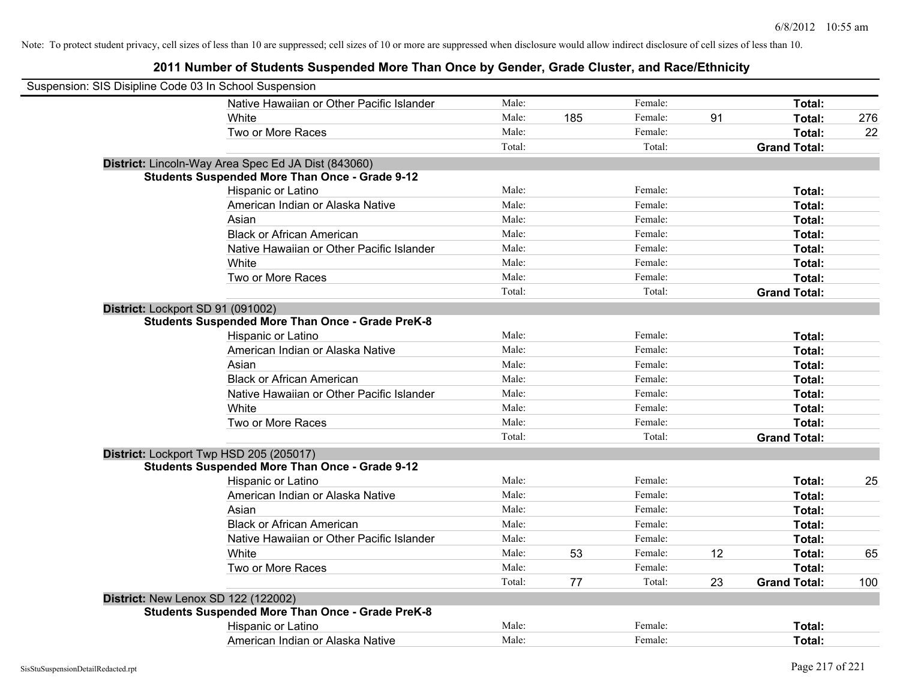**2011 Number of Students Suspended More Than Once by Gender, Grade Cluster, and Race/Ethnicity**

| Suspension: SIS Disipline Code 03 In School Suspension |                                                         |        |     |         |    |                     |     |
|--------------------------------------------------------|---------------------------------------------------------|--------|-----|---------|----|---------------------|-----|
|                                                        | Native Hawaiian or Other Pacific Islander               | Male:  |     | Female: |    | Total:              |     |
|                                                        | White                                                   | Male:  | 185 | Female: | 91 | Total:              | 276 |
|                                                        | Two or More Races                                       | Male:  |     | Female: |    | Total:              | 22  |
|                                                        |                                                         | Total: |     | Total:  |    | <b>Grand Total:</b> |     |
|                                                        | District: Lincoln-Way Area Spec Ed JA Dist (843060)     |        |     |         |    |                     |     |
|                                                        | <b>Students Suspended More Than Once - Grade 9-12</b>   |        |     |         |    |                     |     |
|                                                        | Hispanic or Latino                                      | Male:  |     | Female: |    | Total:              |     |
|                                                        | American Indian or Alaska Native                        | Male:  |     | Female: |    | Total:              |     |
|                                                        | Asian                                                   | Male:  |     | Female: |    | Total:              |     |
|                                                        | <b>Black or African American</b>                        | Male:  |     | Female: |    | Total:              |     |
|                                                        | Native Hawaiian or Other Pacific Islander               | Male:  |     | Female: |    | Total:              |     |
|                                                        | White                                                   | Male:  |     | Female: |    | Total:              |     |
|                                                        | Two or More Races                                       | Male:  |     | Female: |    | Total:              |     |
|                                                        |                                                         | Total: |     | Total:  |    | <b>Grand Total:</b> |     |
| District: Lockport SD 91 (091002)                      |                                                         |        |     |         |    |                     |     |
|                                                        | <b>Students Suspended More Than Once - Grade PreK-8</b> |        |     |         |    |                     |     |
|                                                        | Hispanic or Latino                                      | Male:  |     | Female: |    | Total:              |     |
|                                                        | American Indian or Alaska Native                        | Male:  |     | Female: |    | Total:              |     |
|                                                        | Asian                                                   | Male:  |     | Female: |    | Total:              |     |
|                                                        | <b>Black or African American</b>                        | Male:  |     | Female: |    | Total:              |     |
|                                                        | Native Hawaiian or Other Pacific Islander               | Male:  |     | Female: |    | Total:              |     |
|                                                        | White                                                   | Male:  |     | Female: |    | Total:              |     |
|                                                        | Two or More Races                                       | Male:  |     | Female: |    | Total:              |     |
|                                                        |                                                         | Total: |     | Total:  |    | <b>Grand Total:</b> |     |
|                                                        | District: Lockport Twp HSD 205 (205017)                 |        |     |         |    |                     |     |
|                                                        | <b>Students Suspended More Than Once - Grade 9-12</b>   |        |     |         |    |                     |     |
|                                                        | Hispanic or Latino                                      | Male:  |     | Female: |    | Total:              | 25  |
|                                                        | American Indian or Alaska Native                        | Male:  |     | Female: |    | Total:              |     |
|                                                        | Asian                                                   | Male:  |     | Female: |    | Total:              |     |
|                                                        | <b>Black or African American</b>                        | Male:  |     | Female: |    | Total:              |     |
|                                                        | Native Hawaiian or Other Pacific Islander               | Male:  |     | Female: |    | Total:              |     |
|                                                        | White                                                   | Male:  | 53  | Female: | 12 | Total:              | 65  |
|                                                        | Two or More Races                                       | Male:  |     | Female: |    | Total:              |     |
|                                                        |                                                         | Total: | 77  | Total:  | 23 | <b>Grand Total:</b> | 100 |
|                                                        | District: New Lenox SD 122 (122002)                     |        |     |         |    |                     |     |
|                                                        | <b>Students Suspended More Than Once - Grade PreK-8</b> |        |     |         |    |                     |     |
|                                                        | Hispanic or Latino                                      | Male:  |     | Female: |    | Total:              |     |
|                                                        | American Indian or Alaska Native                        | Male:  |     | Female: |    | Total:              |     |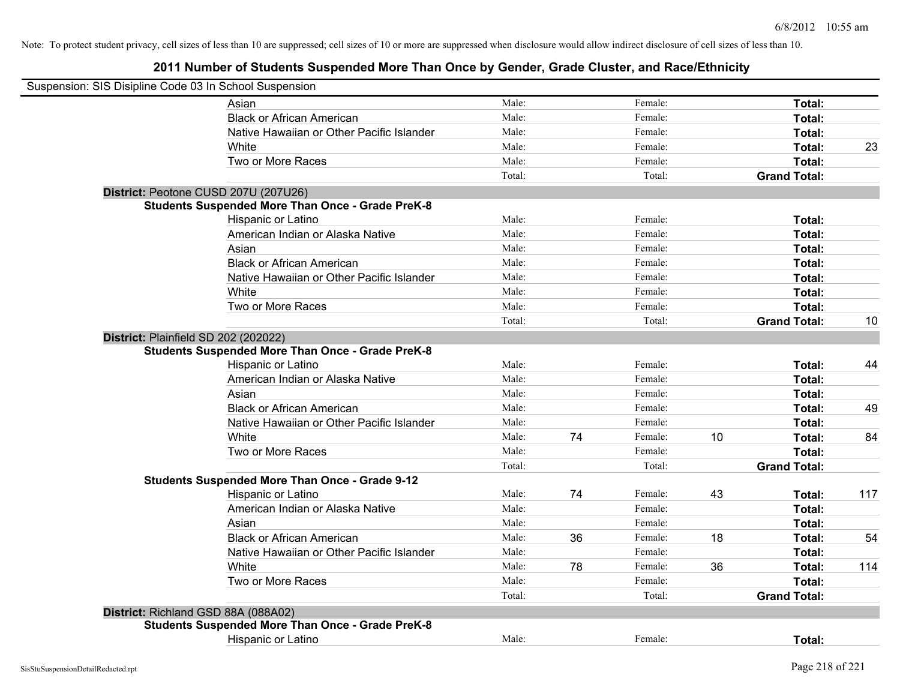## **2011 Number of Students Suspended More Than Once by Gender, Grade Cluster, and Race/Ethnicity**

| Suspension: SIS Disipline Code 03 In School Suspension |                                                         |        |    |         |    |                     |     |
|--------------------------------------------------------|---------------------------------------------------------|--------|----|---------|----|---------------------|-----|
|                                                        | Asian                                                   | Male:  |    | Female: |    | Total:              |     |
|                                                        | <b>Black or African American</b>                        | Male:  |    | Female: |    | Total:              |     |
|                                                        | Native Hawaiian or Other Pacific Islander               | Male:  |    | Female: |    | Total:              |     |
|                                                        | White                                                   | Male:  |    | Female: |    | Total:              | 23  |
|                                                        | Two or More Races                                       | Male:  |    | Female: |    | Total:              |     |
|                                                        |                                                         | Total: |    | Total:  |    | <b>Grand Total:</b> |     |
|                                                        | District: Peotone CUSD 207U (207U26)                    |        |    |         |    |                     |     |
|                                                        | <b>Students Suspended More Than Once - Grade PreK-8</b> |        |    |         |    |                     |     |
|                                                        | Hispanic or Latino                                      | Male:  |    | Female: |    | Total:              |     |
|                                                        | American Indian or Alaska Native                        | Male:  |    | Female: |    | Total:              |     |
|                                                        | Asian                                                   | Male:  |    | Female: |    | Total:              |     |
|                                                        | <b>Black or African American</b>                        | Male:  |    | Female: |    | Total:              |     |
|                                                        | Native Hawaiian or Other Pacific Islander               | Male:  |    | Female: |    | Total:              |     |
|                                                        | White                                                   | Male:  |    | Female: |    | Total:              |     |
|                                                        | Two or More Races                                       | Male:  |    | Female: |    | Total:              |     |
|                                                        |                                                         | Total: |    | Total:  |    | <b>Grand Total:</b> | 10  |
|                                                        | District: Plainfield SD 202 (202022)                    |        |    |         |    |                     |     |
|                                                        | <b>Students Suspended More Than Once - Grade PreK-8</b> |        |    |         |    |                     |     |
|                                                        | Hispanic or Latino                                      | Male:  |    | Female: |    | Total:              | 44  |
|                                                        | American Indian or Alaska Native                        | Male:  |    | Female: |    | Total:              |     |
|                                                        | Asian                                                   | Male:  |    | Female: |    | Total:              |     |
|                                                        | <b>Black or African American</b>                        | Male:  |    | Female: |    | Total:              | 49  |
|                                                        | Native Hawaiian or Other Pacific Islander               | Male:  |    | Female: |    | Total:              |     |
|                                                        | White                                                   | Male:  | 74 | Female: | 10 | Total:              | 84  |
|                                                        | Two or More Races                                       | Male:  |    | Female: |    | Total:              |     |
|                                                        |                                                         | Total: |    | Total:  |    | <b>Grand Total:</b> |     |
|                                                        | <b>Students Suspended More Than Once - Grade 9-12</b>   |        |    |         |    |                     |     |
|                                                        | Hispanic or Latino                                      | Male:  | 74 | Female: | 43 | Total:              | 117 |
|                                                        | American Indian or Alaska Native                        | Male:  |    | Female: |    | Total:              |     |
|                                                        | Asian                                                   | Male:  |    | Female: |    | Total:              |     |
|                                                        | <b>Black or African American</b>                        | Male:  | 36 | Female: | 18 | Total:              | 54  |
|                                                        | Native Hawaiian or Other Pacific Islander               | Male:  |    | Female: |    | Total:              |     |
|                                                        | White                                                   | Male:  | 78 | Female: | 36 | Total:              | 114 |
|                                                        | Two or More Races                                       | Male:  |    | Female: |    | Total:              |     |
|                                                        |                                                         | Total: |    | Total:  |    | <b>Grand Total:</b> |     |
|                                                        | District: Richland GSD 88A (088A02)                     |        |    |         |    |                     |     |
|                                                        | <b>Students Suspended More Than Once - Grade PreK-8</b> |        |    |         |    |                     |     |
|                                                        | Hispanic or Latino                                      | Male:  |    | Female: |    | Total:              |     |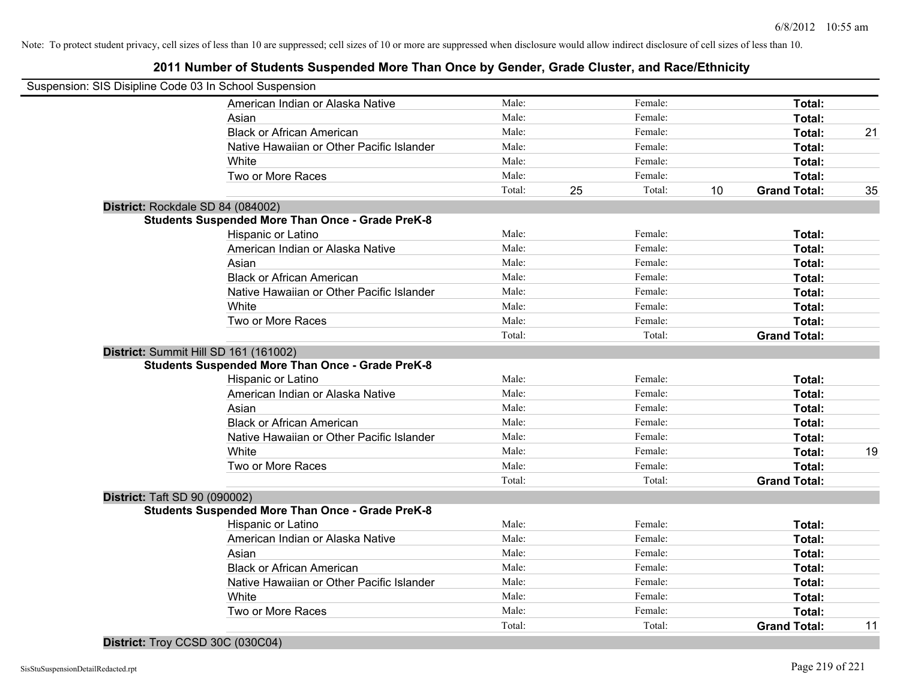## **2011 Number of Students Suspended More Than Once by Gender, Grade Cluster, and Race/Ethnicity**

| Suspension: SIS Disipline Code 03 In School Suspension |                                                         |        |              |    |                     |    |
|--------------------------------------------------------|---------------------------------------------------------|--------|--------------|----|---------------------|----|
|                                                        | American Indian or Alaska Native                        | Male:  | Female:      |    | Total:              |    |
|                                                        | Asian                                                   | Male:  | Female:      |    | Total:              |    |
|                                                        | <b>Black or African American</b>                        | Male:  | Female:      |    | Total:              | 21 |
|                                                        | Native Hawaiian or Other Pacific Islander               | Male:  | Female:      |    | Total:              |    |
|                                                        | White                                                   | Male:  | Female:      |    | Total:              |    |
|                                                        | Two or More Races                                       | Male:  | Female:      |    | Total:              |    |
|                                                        |                                                         | Total: | 25<br>Total: | 10 | <b>Grand Total:</b> | 35 |
| District: Rockdale SD 84 (084002)                      |                                                         |        |              |    |                     |    |
|                                                        | <b>Students Suspended More Than Once - Grade PreK-8</b> |        |              |    |                     |    |
|                                                        | Hispanic or Latino                                      | Male:  | Female:      |    | Total:              |    |
|                                                        | American Indian or Alaska Native                        | Male:  | Female:      |    | Total:              |    |
|                                                        | Asian                                                   | Male:  | Female:      |    | Total:              |    |
|                                                        | <b>Black or African American</b>                        | Male:  | Female:      |    | Total:              |    |
|                                                        | Native Hawaiian or Other Pacific Islander               | Male:  | Female:      |    | Total:              |    |
|                                                        | White                                                   | Male:  | Female:      |    | Total:              |    |
|                                                        | Two or More Races                                       | Male:  | Female:      |    | Total:              |    |
|                                                        |                                                         | Total: | Total:       |    | <b>Grand Total:</b> |    |
| District: Summit Hill SD 161 (161002)                  |                                                         |        |              |    |                     |    |
|                                                        | <b>Students Suspended More Than Once - Grade PreK-8</b> |        |              |    |                     |    |
|                                                        | Hispanic or Latino                                      | Male:  | Female:      |    | Total:              |    |
|                                                        | American Indian or Alaska Native                        | Male:  | Female:      |    | Total:              |    |
|                                                        | Asian                                                   | Male:  | Female:      |    | Total:              |    |
|                                                        | <b>Black or African American</b>                        | Male:  | Female:      |    | Total:              |    |
|                                                        | Native Hawaiian or Other Pacific Islander               | Male:  | Female:      |    | Total:              |    |
|                                                        | White                                                   | Male:  | Female:      |    | Total:              | 19 |
|                                                        | Two or More Races                                       | Male:  | Female:      |    | Total:              |    |
|                                                        |                                                         | Total: | Total:       |    | <b>Grand Total:</b> |    |
| <b>District: Taft SD 90 (090002)</b>                   |                                                         |        |              |    |                     |    |
|                                                        | <b>Students Suspended More Than Once - Grade PreK-8</b> |        |              |    |                     |    |
|                                                        | Hispanic or Latino                                      | Male:  | Female:      |    | Total:              |    |
|                                                        | American Indian or Alaska Native                        | Male:  | Female:      |    | Total:              |    |
|                                                        | Asian                                                   | Male:  | Female:      |    | Total:              |    |
|                                                        | <b>Black or African American</b>                        | Male:  | Female:      |    | Total:              |    |
|                                                        | Native Hawaiian or Other Pacific Islander               | Male:  | Female:      |    | Total:              |    |
|                                                        | White                                                   | Male:  | Female:      |    | Total:              |    |
|                                                        | Two or More Races                                       | Male:  | Female:      |    | Total:              |    |
|                                                        |                                                         | Total: | Total:       |    | <b>Grand Total:</b> | 11 |

## **District:** Troy CCSD 30C (030C04)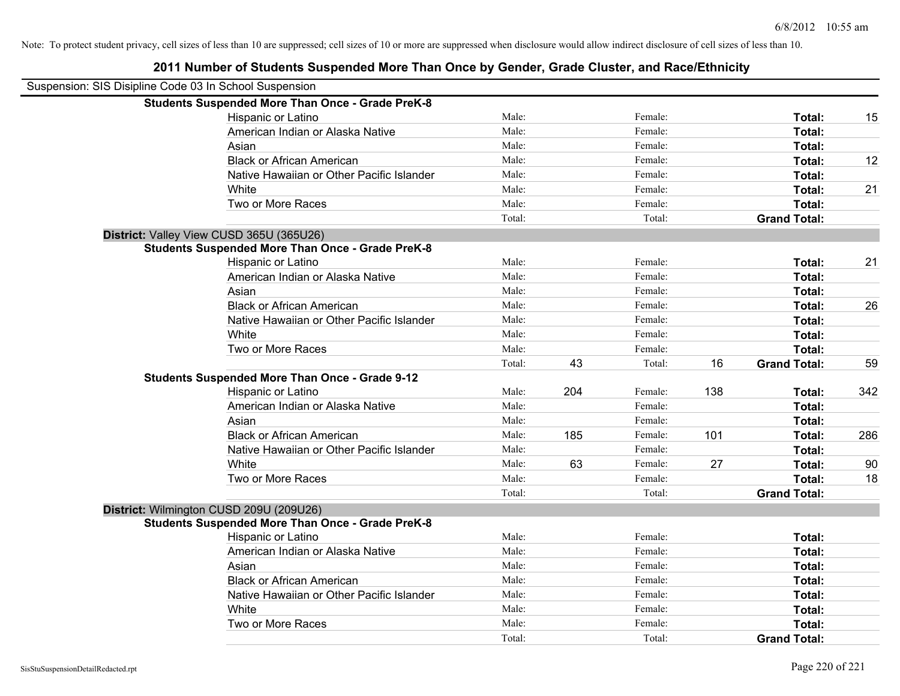**2011 Number of Students Suspended More Than Once by Gender, Grade Cluster, and Race/Ethnicity**

| Suspension: SIS Disipline Code 03 In School Suspension |                                                         |        |     |         |     |                     |     |
|--------------------------------------------------------|---------------------------------------------------------|--------|-----|---------|-----|---------------------|-----|
|                                                        | <b>Students Suspended More Than Once - Grade PreK-8</b> |        |     |         |     |                     |     |
|                                                        | Hispanic or Latino                                      | Male:  |     | Female: |     | Total:              | 15  |
|                                                        | American Indian or Alaska Native                        | Male:  |     | Female: |     | Total:              |     |
|                                                        | Asian                                                   | Male:  |     | Female: |     | Total:              |     |
|                                                        | <b>Black or African American</b>                        | Male:  |     | Female: |     | Total:              | 12  |
|                                                        | Native Hawaiian or Other Pacific Islander               | Male:  |     | Female: |     | Total:              |     |
|                                                        | White                                                   | Male:  |     | Female: |     | Total:              | 21  |
|                                                        | Two or More Races                                       | Male:  |     | Female: |     | Total:              |     |
|                                                        |                                                         | Total: |     | Total:  |     | <b>Grand Total:</b> |     |
|                                                        | District: Valley View CUSD 365U (365U26)                |        |     |         |     |                     |     |
|                                                        | <b>Students Suspended More Than Once - Grade PreK-8</b> |        |     |         |     |                     |     |
|                                                        | Hispanic or Latino                                      | Male:  |     | Female: |     | Total:              | 21  |
|                                                        | American Indian or Alaska Native                        | Male:  |     | Female: |     | Total:              |     |
|                                                        | Asian                                                   | Male:  |     | Female: |     | Total:              |     |
|                                                        | <b>Black or African American</b>                        | Male:  |     | Female: |     | Total:              | 26  |
|                                                        | Native Hawaiian or Other Pacific Islander               | Male:  |     | Female: |     | Total:              |     |
|                                                        | White                                                   | Male:  |     | Female: |     | Total:              |     |
|                                                        | Two or More Races                                       | Male:  |     | Female: |     | Total:              |     |
|                                                        |                                                         | Total: | 43  | Total:  | 16  | <b>Grand Total:</b> | 59  |
|                                                        | <b>Students Suspended More Than Once - Grade 9-12</b>   |        |     |         |     |                     |     |
|                                                        | Hispanic or Latino                                      | Male:  | 204 | Female: | 138 | Total:              | 342 |
|                                                        | American Indian or Alaska Native                        | Male:  |     | Female: |     | Total:              |     |
|                                                        | Asian                                                   | Male:  |     | Female: |     | Total:              |     |
|                                                        | <b>Black or African American</b>                        | Male:  | 185 | Female: | 101 | Total:              | 286 |
|                                                        | Native Hawaiian or Other Pacific Islander               | Male:  |     | Female: |     | Total:              |     |
|                                                        | White                                                   | Male:  | 63  | Female: | 27  | Total:              | 90  |
|                                                        | Two or More Races                                       | Male:  |     | Female: |     | Total:              | 18  |
|                                                        |                                                         | Total: |     | Total:  |     | <b>Grand Total:</b> |     |
|                                                        | District: Wilmington CUSD 209U (209U26)                 |        |     |         |     |                     |     |
|                                                        | <b>Students Suspended More Than Once - Grade PreK-8</b> |        |     |         |     |                     |     |
|                                                        | Hispanic or Latino                                      | Male:  |     | Female: |     | Total:              |     |
|                                                        | American Indian or Alaska Native                        | Male:  |     | Female: |     | Total:              |     |
|                                                        | Asian                                                   | Male:  |     | Female: |     | Total:              |     |
|                                                        | <b>Black or African American</b>                        | Male:  |     | Female: |     | Total:              |     |
|                                                        | Native Hawaiian or Other Pacific Islander               | Male:  |     | Female: |     | Total:              |     |
|                                                        | White                                                   | Male:  |     | Female: |     | Total:              |     |
|                                                        | Two or More Races                                       | Male:  |     | Female: |     | Total:              |     |
|                                                        |                                                         | Total: |     | Total:  |     | <b>Grand Total:</b> |     |